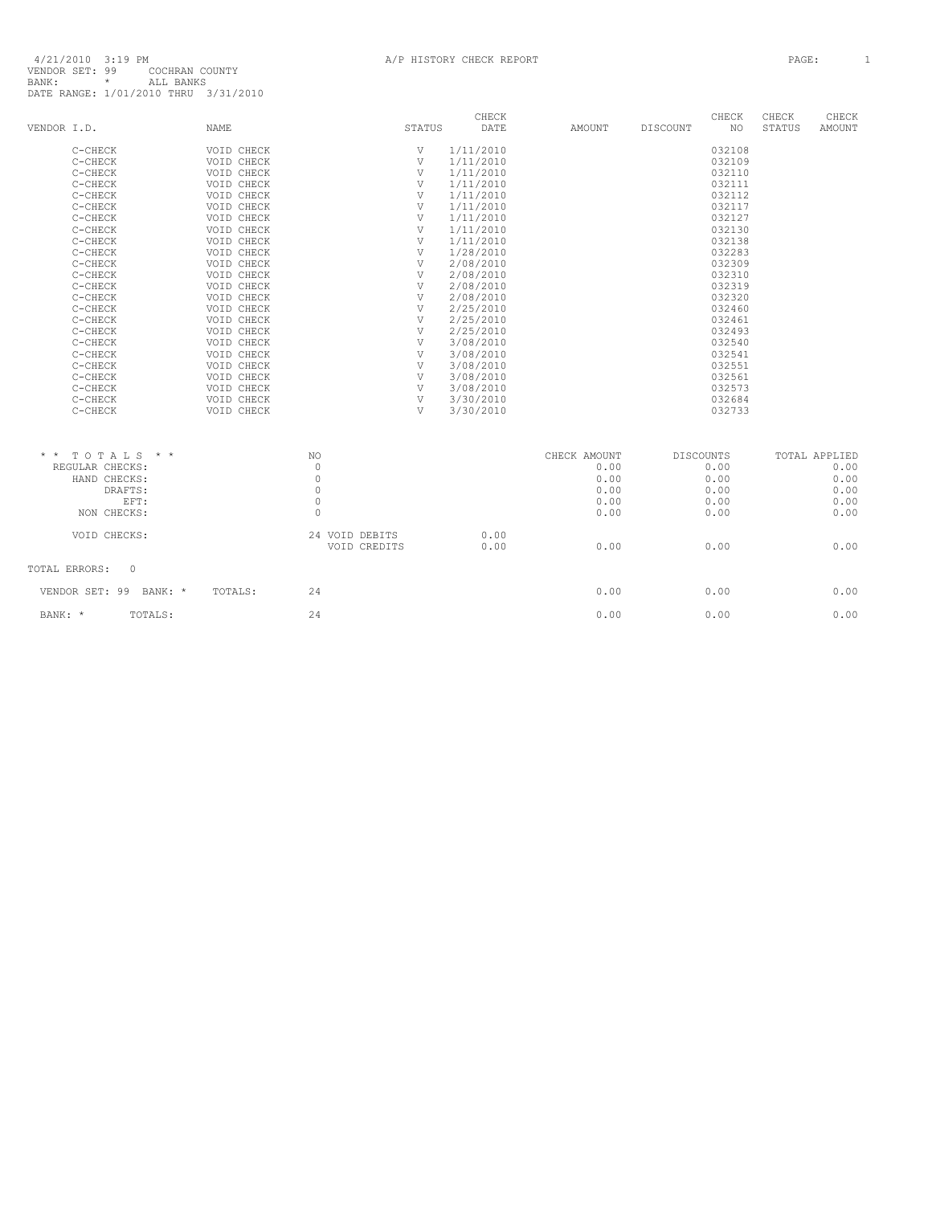|                 |                          |             |                |              | CHECK     |               |                  | CHECK  | CHECK         | CHECK         |
|-----------------|--------------------------|-------------|----------------|--------------|-----------|---------------|------------------|--------|---------------|---------------|
| VENDOR I.D.     |                          | <b>NAME</b> |                | STATUS       | DATE      | <b>AMOUNT</b> | <b>DISCOUNT</b>  | NO.    | <b>STATUS</b> | <b>AMOUNT</b> |
|                 | C-CHECK                  | VOID CHECK  |                | V            | 1/11/2010 |               |                  | 032108 |               |               |
|                 | C-CHECK                  | VOID CHECK  |                | V            | 1/11/2010 |               |                  | 032109 |               |               |
|                 | C-CHECK                  | VOID CHECK  |                | V            | 1/11/2010 |               |                  | 032110 |               |               |
|                 | C-CHECK                  | VOID CHECK  |                | V            | 1/11/2010 |               |                  | 032111 |               |               |
|                 | C-CHECK                  | VOID CHECK  |                | V            | 1/11/2010 |               |                  | 032112 |               |               |
|                 | C-CHECK                  | VOID CHECK  |                | V            | 1/11/2010 |               |                  | 032117 |               |               |
|                 | C-CHECK                  | VOID CHECK  |                | $\mathbf{V}$ | 1/11/2010 |               |                  | 032127 |               |               |
|                 | C-CHECK                  | VOID CHECK  |                | V            | 1/11/2010 |               |                  | 032130 |               |               |
|                 | C-CHECK                  | VOID CHECK  |                | V            | 1/11/2010 |               |                  | 032138 |               |               |
|                 | C-CHECK                  | VOID CHECK  |                | V            | 1/28/2010 |               |                  | 032283 |               |               |
|                 | C-CHECK                  | VOID CHECK  |                | V            | 2/08/2010 |               |                  | 032309 |               |               |
|                 | C-CHECK                  | VOID CHECK  |                | V            | 2/08/2010 |               |                  | 032310 |               |               |
|                 | C-CHECK                  | VOID CHECK  |                | $\mathbf{V}$ | 2/08/2010 |               |                  | 032319 |               |               |
|                 | C-CHECK                  | VOID CHECK  |                | V            | 2/08/2010 |               |                  | 032320 |               |               |
|                 | C-CHECK                  | VOID CHECK  |                | V            | 2/25/2010 |               |                  | 032460 |               |               |
|                 | C-CHECK                  | VOID CHECK  |                | V            | 2/25/2010 |               |                  | 032461 |               |               |
|                 | C-CHECK                  | VOID CHECK  |                | V            | 2/25/2010 |               |                  | 032493 |               |               |
|                 | C-CHECK                  | VOID CHECK  |                | V            | 3/08/2010 |               |                  | 032540 |               |               |
|                 | C-CHECK                  | VOID CHECK  |                | $\mathbf{V}$ | 3/08/2010 |               |                  | 032541 |               |               |
|                 | C-CHECK                  | VOID CHECK  |                | V            | 3/08/2010 |               |                  | 032551 |               |               |
|                 | C-CHECK                  | VOID CHECK  |                | V            | 3/08/2010 |               |                  | 032561 |               |               |
|                 | C-CHECK                  | VOID CHECK  |                | $\mathbf{V}$ | 3/08/2010 |               |                  | 032573 |               |               |
|                 | C-CHECK                  | VOID CHECK  |                | V            | 3/30/2010 |               |                  | 032684 |               |               |
|                 | C-CHECK                  | VOID CHECK  |                | $\mathbf{V}$ | 3/30/2010 |               |                  | 032733 |               |               |
|                 |                          |             |                |              |           |               |                  |        |               |               |
| $\star$ $\star$ | TOTALS * *               |             | NO             |              |           | CHECK AMOUNT  | <b>DISCOUNTS</b> |        |               | TOTAL APPLIED |
|                 | REGULAR CHECKS:          |             | $\mathbf 0$    |              |           | 0.00          |                  | 0.00   |               | 0.00          |
|                 | HAND CHECKS:             |             | $\mathbb O$    |              |           | 0.00          |                  | 0.00   |               | 0.00          |
|                 | DRAFTS:                  |             | $\mathbb O$    |              |           | 0.00          |                  | 0.00   |               | 0.00          |
|                 | EFT:                     |             | $\circ$        |              |           | 0.00          |                  | 0.00   |               | 0.00          |
|                 | NON CHECKS:              |             | $\circ$        |              |           | 0.00          |                  | 0.00   |               | 0.00          |
|                 | VOID CHECKS:             |             | 24 VOID DEBITS |              | 0.00      |               |                  |        |               |               |
|                 |                          |             | VOID CREDITS   |              | 0.00      | 0.00          |                  | 0.00   |               | 0.00          |
|                 | $\circ$<br>TOTAL ERRORS: |             |                |              |           |               |                  |        |               |               |
|                 | VENDOR SET: 99 BANK: *   | TOTALS:     | 24             |              |           | 0.00          |                  | 0.00   |               | 0.00          |
| BANK: *         | TOTALS:                  |             | 24             |              |           | 0.00          |                  | 0.00   |               | 0.00          |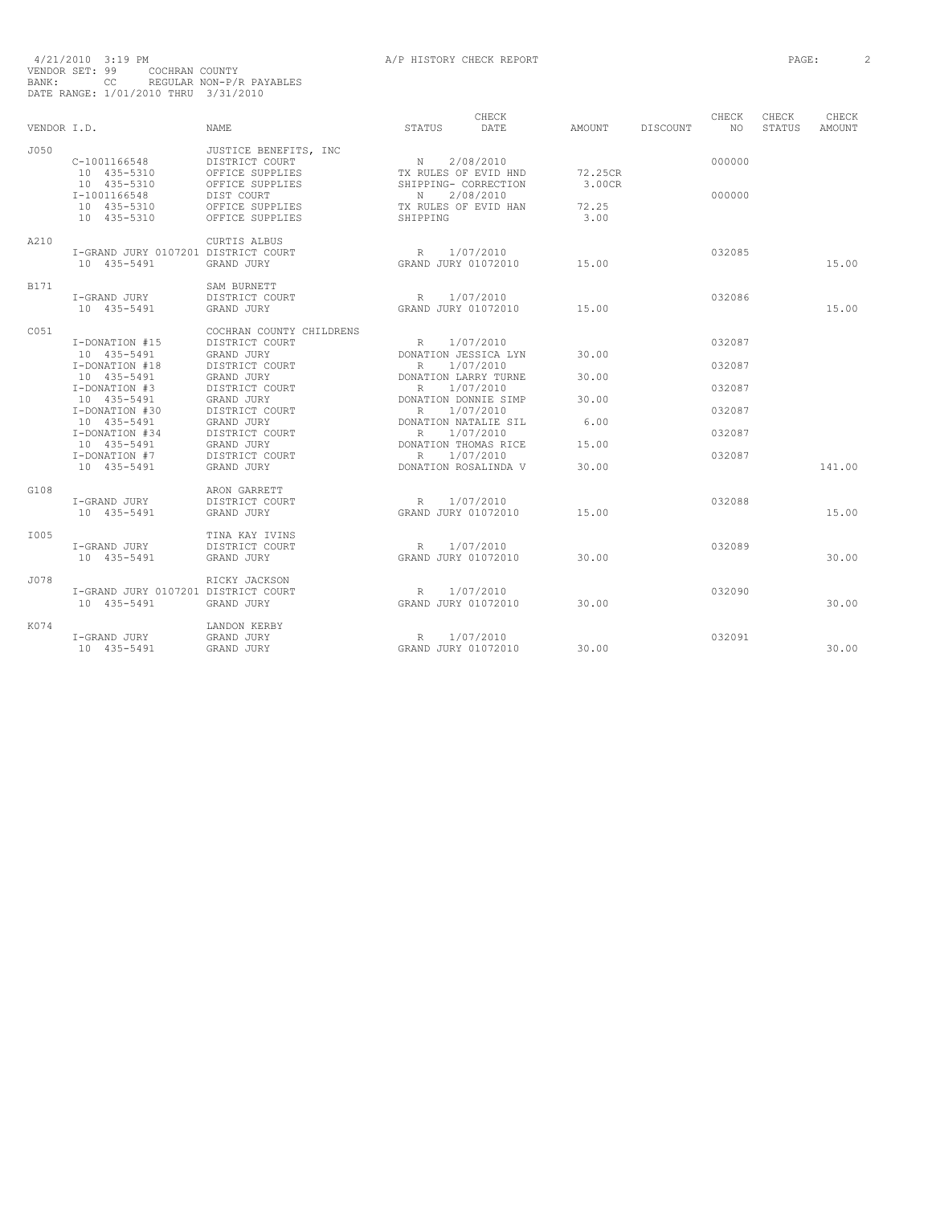| VENDOR I.D.       |                                                           | <b>NAME</b>                                                         | STATUS                                                                  | CHECK<br>DATE | AMOUNT                  | DISCOUNT | CHECK<br>NO. | CHECK<br>STATUS | CHECK<br>AMOUNT |
|-------------------|-----------------------------------------------------------|---------------------------------------------------------------------|-------------------------------------------------------------------------|---------------|-------------------------|----------|--------------|-----------------|-----------------|
| J050              | C-1001166548<br>10 435-5310                               | JUSTICE BENEFITS, INC<br>DISTRICT COURT<br>OFFICE SUPPLIES          | N<br>TX RULES OF EVID HND                                               | 2/08/2010     | 72.25CR                 |          | 000000       |                 |                 |
|                   | 10 435-5310<br>I-1001166548<br>10 435-5310<br>10 435-5310 | OFFICE SUPPLIES<br>DIST COURT<br>OFFICE SUPPLIES<br>OFFICE SUPPLIES | SHIPPING- CORRECTION<br>$\mathbb N$<br>TX RULES OF EVID HAN<br>SHIPPING | 2/08/2010     | 3.00CR<br>72.25<br>3.00 |          | 000000       |                 |                 |
| A210              | I-GRAND JURY 0107201 DISTRICT COURT<br>10 435-5491        | CURTIS ALBUS<br>GRAND JURY                                          | R<br>GRAND JURY 01072010                                                | 1/07/2010     | 15.00                   |          | 032085       |                 | 15.00           |
|                   |                                                           |                                                                     |                                                                         |               |                         |          |              |                 |                 |
| B171              | I-GRAND JURY<br>10 435-5491                               | SAM BURNETT<br>DISTRICT COURT<br>GRAND JURY                         | R 1/07/2010<br>GRAND JURY 01072010                                      |               | 15.00                   |          | 032086       |                 | 15.00           |
| C <sub>0.51</sub> |                                                           | COCHRAN COUNTY CHILDRENS                                            |                                                                         |               |                         |          |              |                 |                 |
|                   | I-DONATION #15                                            | DISTRICT COURT                                                      | R                                                                       | 1/07/2010     |                         |          | 032087       |                 |                 |
|                   | 10 435-5491<br>I-DONATION #18                             | GRAND JURY<br>DISTRICT COURT                                        | DONATION JESSICA LYN<br>R                                               | 1/07/2010     | 30.00                   |          | 032087       |                 |                 |
|                   | 10 435-5491                                               | GRAND JURY                                                          | DONATION LARRY TURNE                                                    |               | 30.00                   |          |              |                 |                 |
|                   | I-DONATION #3<br>10 435-5491                              | DISTRICT COURT<br>GRAND JURY                                        | R<br>DONATION DONNIE SIMP                                               | 1/07/2010     | 30.00                   |          | 032087       |                 |                 |
|                   | I-DONATION #30                                            | DISTRICT COURT                                                      | $R_{\perp}$                                                             | 1/07/2010     |                         |          | 032087       |                 |                 |
|                   | 10 435-5491                                               | GRAND JURY                                                          | DONATION NATALIE SIL                                                    |               | 6.00                    |          |              |                 |                 |
|                   | I-DONATION #34<br>10 435-5491                             | DISTRICT COURT<br>GRAND JURY                                        | R<br>DONATION THOMAS RICE                                               | 1/07/2010     | 15.00                   |          | 032087       |                 |                 |
|                   | I-DONATION #7                                             | DISTRICT COURT                                                      | R 1/07/2010                                                             |               |                         |          | 032087       |                 |                 |
|                   | 10 435-5491                                               | GRAND JURY                                                          | DONATION ROSALINDA V                                                    |               | 30.00                   |          |              |                 | 141.00          |
| G108              |                                                           | ARON GARRETT                                                        |                                                                         |               |                         |          |              |                 |                 |
|                   | I-GRAND JURY                                              | DISTRICT COURT                                                      | R                                                                       | 1/07/2010     |                         |          | 032088       |                 |                 |
|                   | 10 435-5491                                               | GRAND JURY                                                          | GRAND JURY 01072010                                                     |               | 15.00                   |          |              |                 | 15.00           |
| T005              |                                                           | TINA KAY IVINS                                                      |                                                                         |               |                         |          |              |                 |                 |
|                   | I-GRAND JURY                                              | DISTRICT COURT                                                      | R                                                                       | 1/07/2010     |                         |          | 032089       |                 |                 |
|                   | 10 435-5491                                               | GRAND JURY                                                          | GRAND JURY 01072010                                                     |               | 30.00                   |          |              |                 | 30.00           |
| J078              |                                                           | RICKY JACKSON                                                       |                                                                         |               |                         |          |              |                 |                 |
|                   | I-GRAND JURY 0107201 DISTRICT COURT                       |                                                                     | R                                                                       | 1/07/2010     |                         |          | 032090       |                 |                 |
|                   | 10 435-5491                                               | GRAND JURY                                                          | GRAND JURY 01072010                                                     |               | 30.00                   |          |              |                 | 30.00           |
| K074              |                                                           | LANDON KERBY                                                        |                                                                         |               |                         |          |              |                 |                 |
|                   | I-GRAND JURY<br>10 435-5491                               | GRAND JURY<br>GRAND JURY                                            | R<br>GRAND JURY 01072010                                                | 1/07/2010     | 30.00                   |          | 032091       |                 | 30.00           |
|                   |                                                           |                                                                     |                                                                         |               |                         |          |              |                 |                 |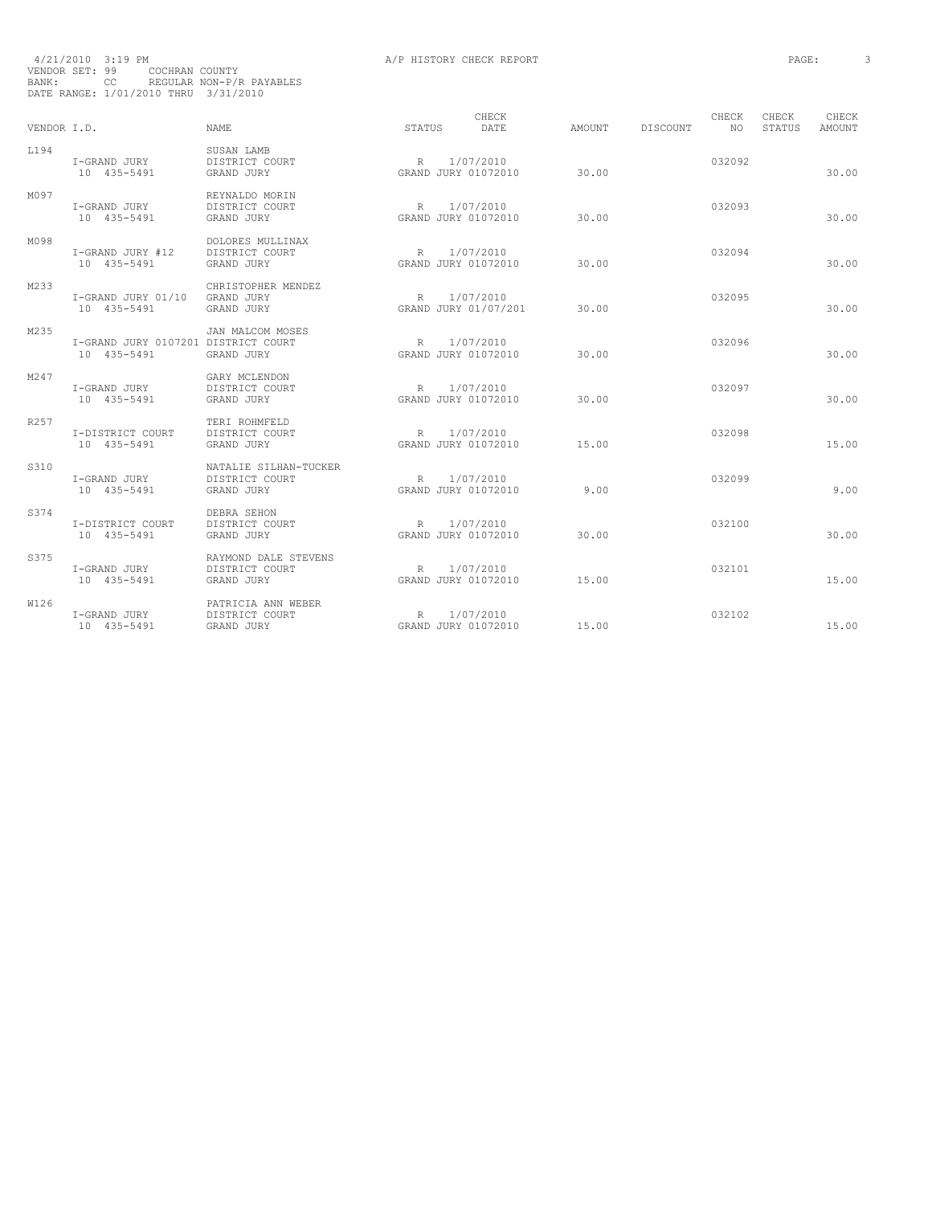| BANK:       | VENDOR SET: 99<br>COCHRAN COUNTY<br>CC<br>DATE RANGE: 1/01/2010 THRU 3/31/2010 | REGULAR NON-P/R PAYABLES                              |                                    |                                   |        |          |              |                 |                 |
|-------------|--------------------------------------------------------------------------------|-------------------------------------------------------|------------------------------------|-----------------------------------|--------|----------|--------------|-----------------|-----------------|
| VENDOR T.D. |                                                                                | NAME.                                                 | STATUS                             | CHECK<br><b>DATE</b>              | AMOUNT | DISCOUNT | CHECK<br>NO. | CHECK<br>STATUS | CHECK<br>AMOUNT |
| L194        | I-GRAND JURY<br>10 435-5491                                                    | SUSAN LAMB<br>DISTRICT COURT<br>GRAND JURY            | R<br>GRAND JURY 01072010           | 1/07/2010                         | 30.00  |          | 032092       |                 | 30.00           |
| M097        | I-GRAND JURY<br>10 435-5491                                                    | REYNALDO MORIN<br>DISTRICT COURT<br>GRAND JURY        | R<br>GRAND JURY 01072010           | 1/07/2010                         | 30.00  |          | 032093       |                 | 30.00           |
| M098        | I-GRAND JURY #12<br>10 435-5491                                                | DOLORES MULLINAX<br>DISTRICT COURT<br>GRAND JURY      | R<br>GRAND JURY 01072010           | 1/07/2010                         | 30.00  |          | 032094       |                 | 30.00           |
| M233        | I-GRAND JURY 01/10<br>10 435-5491                                              | CHRISTOPHER MENDEZ<br>GRAND JURY<br>GRAND JURY        | R                                  | 1/07/2010<br>GRAND JURY 01/07/201 | 30.00  |          | 032095       |                 | 30.00           |
| M235        | I-GRAND JURY 0107201 DISTRICT COURT<br>10 435-5491                             | JAN MALCOM MOSES<br>GRAND JURY                        | R<br>GRAND JURY 01072010           | 1/07/2010                         | 30.00  |          | 032096       |                 | 30.00           |
| M247        | I-GRAND JURY<br>10 435-5491                                                    | GARY MCLENDON<br>DISTRICT COURT<br>GRAND JURY         | R<br>GRAND JURY 01072010           | 1/07/2010                         | 30.00  |          | 032097       |                 | 30.00           |
| R257        | I-DISTRICT COURT<br>10 435-5491                                                | TERI ROHMFELD<br>DISTRICT COURT<br>GRAND JURY         | R<br>GRAND JURY 01072010           | 1/07/2010                         | 15.00  |          | 032098       |                 | 15.00           |
| S310        | I-GRAND JURY<br>10 435-5491                                                    | NATALIE SILHAN-TUCKER<br>DISTRICT COURT<br>GRAND JURY | $\mathbb R$<br>GRAND JURY 01072010 | 1/07/2010                         | 9.00   |          | 032099       |                 | 9.00            |
| S374        | I-DISTRICT COURT<br>10 435-5491                                                | DEBRA SEHON<br>DISTRICT COURT<br>GRAND JURY           | R<br>GRAND JURY 01072010           | 1/07/2010                         | 30.00  |          | 032100       |                 | 30.00           |
| S375        | I-GRAND JURY<br>10 435-5491                                                    | RAYMOND DALE STEVENS<br>DISTRICT COURT<br>GRAND JURY  | R<br>GRAND JURY 01072010           | 1/07/2010                         | 15.00  |          | 032101       |                 | 15.00           |
| W126        | I-GRAND JURY<br>10 435-5491                                                    | PATRICIA ANN WEBER<br>DISTRICT COURT<br>GRAND JURY    | R<br>GRAND JURY 01072010           | 1/07/2010                         | 15.00  |          | 032102       |                 | 15.00           |

4/21/2010 3:19 PM **A/P HISTORY CHECK REPORT PAGE:** 3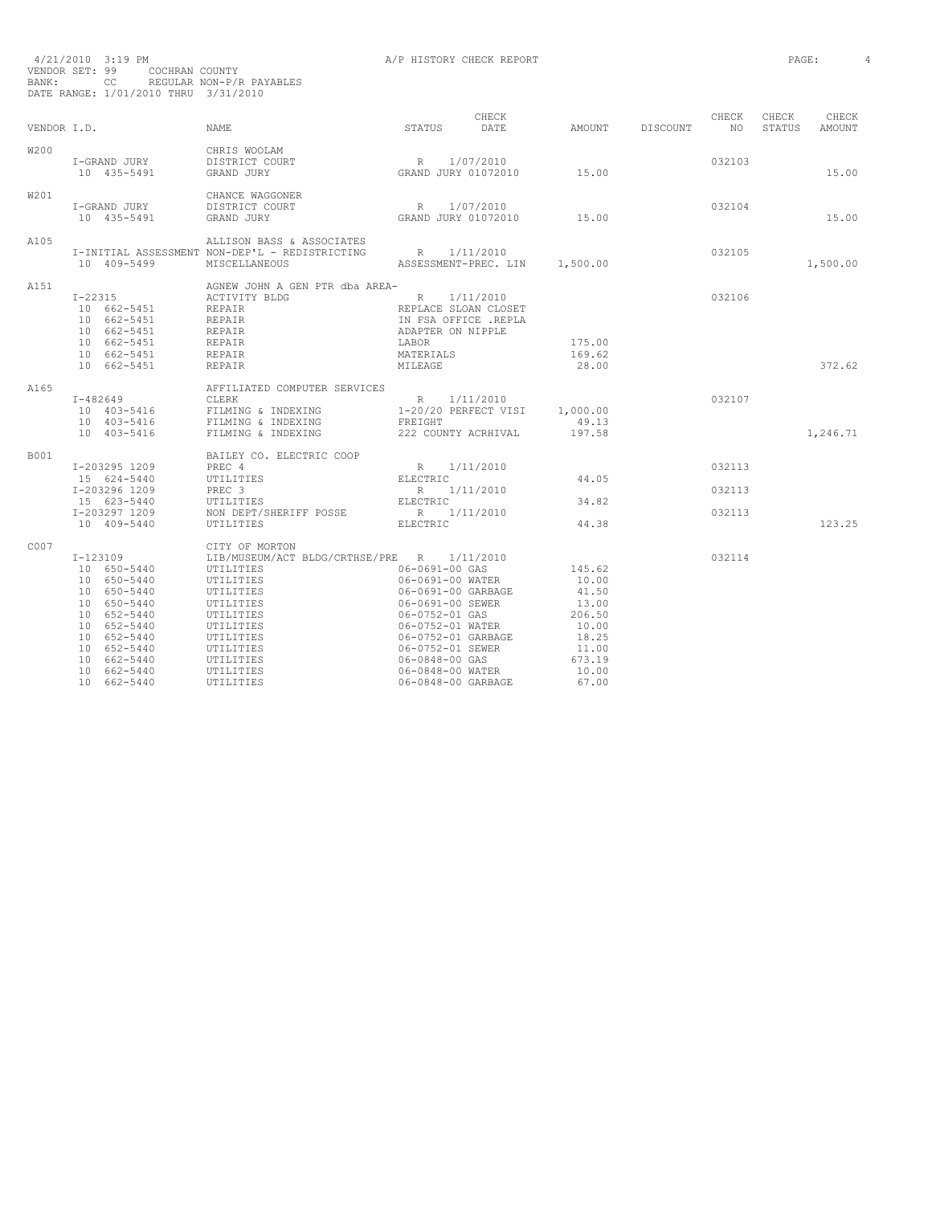| BANK:       | 4/21/2010 3:19 PM<br>VENDOR SET: 99<br>CC REGULAR NON-P/R PAYABLES<br>DATE RANGE: 1/01/2010 THRU 3/31/2010                                                                                                   | COCHRAN COUNTY                                                                                                                                                                    | A/P HISTORY CHECK REPORT                                                                                                                                                                                                       |                                                                                                    |                            | PAGE:           | 4 |
|-------------|--------------------------------------------------------------------------------------------------------------------------------------------------------------------------------------------------------------|-----------------------------------------------------------------------------------------------------------------------------------------------------------------------------------|--------------------------------------------------------------------------------------------------------------------------------------------------------------------------------------------------------------------------------|----------------------------------------------------------------------------------------------------|----------------------------|-----------------|---|
| VENDOR I.D. |                                                                                                                                                                                                              | NAME                                                                                                                                                                              | CHECK<br>STATUS DATE                                                                                                                                                                                                           | CHECK CHECK<br>AMOUNT DISCOUNT NO STATUS                                                           |                            | CHECK<br>AMOUNT |   |
| W200        | I-GRAND JURY DISTRICT COURT<br>10 435-5491                                                                                                                                                                   | CHRIS WOOLAM<br>GRAND JURY                                                                                                                                                        | R 1/07/2010<br>GRAND JURY 01072010 15.00                                                                                                                                                                                       |                                                                                                    | 032103                     | 15.00           |   |
| W201        | I-GRAND JURY<br>I-GRAND JURY DISTRICT CONTRACT DURY<br>10 435-5491 GRAND JURY                                                                                                                                | CHANCE WAGGONER<br>DISTRICT COURT                                                                                                                                                 | R 1/07/2010<br>GRAND JURY 01072010 15.00                                                                                                                                                                                       |                                                                                                    | 032104                     | 15.00           |   |
| A105        | 10 409-5499                                                                                                                                                                                                  | ALLISON BASS & ASSOCIATES<br>I-INITIAL ASSESSMENT NON-DEP'L - REDISTRICTING R $1/11/2010$<br>MISCELLANEOUS                                                                        | ASSESSMENT-PREC. LIN 1,500.00                                                                                                                                                                                                  |                                                                                                    | 032105                     | 1,500.00        |   |
| A151        |                                                                                                                                                                                                              | AGNEW JOHN A GEN PTR dba AREA-<br>ACTIVITY BLDG                                                                                                                                   | R 1/11/2010<br>REPLACE SLOAN CLOSET<br>IN FSA OFFICE .REPLA<br>ADAPTER ON NIPPLE<br>LABOR<br>MATERIALS<br>MILEAGE                                                                                                              | 175.00<br>169.62<br>28.00                                                                          | 032106                     | 372.62          |   |
| A165        |                                                                                                                                                                                                              | AFFILIATED COMPUTER SERVICES                                                                                                                                                      |                                                                                                                                                                                                                                |                                                                                                    | 032107                     | 1,246.71        |   |
| B001        | I-203295 1209<br>15 624-5440<br>I-203296 1209<br>15 623-5440<br>I-203297 1209<br>10 409-5440                                                                                                                 | BAILEY CO. ELECTRIC COOP<br>PREC 4<br>UTILITIES<br>PREC 3<br>UTILITIES<br>NON DEPT/SHERIFF POSSE<br>UTILITIES                                                                     | $\begin{array}{cc} \text{R} & 1/11/2010 \\ \text{ELECTRIC} & \end{array}$<br>R 1/11/2010<br>ELECTRIC<br>R 1/11/2010<br><b>ELECTRIC</b>                                                                                         | 44.05<br>34.82<br>44.38                                                                            | 032113<br>032113<br>032113 | 123.25          |   |
| C007        | I-123109<br>1 11111<br>10 650-5440 UTILITIES<br>10 650-5440 UTILITIES<br>10 650-5440<br>10 650-5440<br>10 652-5440<br>10 652-5440<br>10 652-5440<br>10 652-5440<br>10 662-5440<br>10 662-5440<br>10 662-5440 | CITY OF MORTON<br>LIB/MUSEUM/ACT BLDG/CRTHSE/PRE R 1/11/2010<br>UTILITIES<br>UTILITIES<br>UTILITIES<br>UTILITIES<br>UTILITIES<br>UTILITIES<br>UTILITIES<br>UTILITIES<br>UTILITIES | $06 - 0691 - 00$ GAS<br>06-0691-00 WATER<br>06-0691-00 GARBAGE<br>06-0691-00 SEWER<br>06-0752-01 GAS<br>06-0752-01 WATER<br>06-0752-01 GARBAGE<br>06-0752-01 SEWER<br>06-0848-00 GAS<br>06-0848-00 WATER<br>06-0848-00 GARBAGE | 145.62<br>10.00<br>41.50<br>13.00<br>206.50<br>10.00<br>18.25<br>11.00<br>673.19<br>10.00<br>67.00 | 032114                     |                 |   |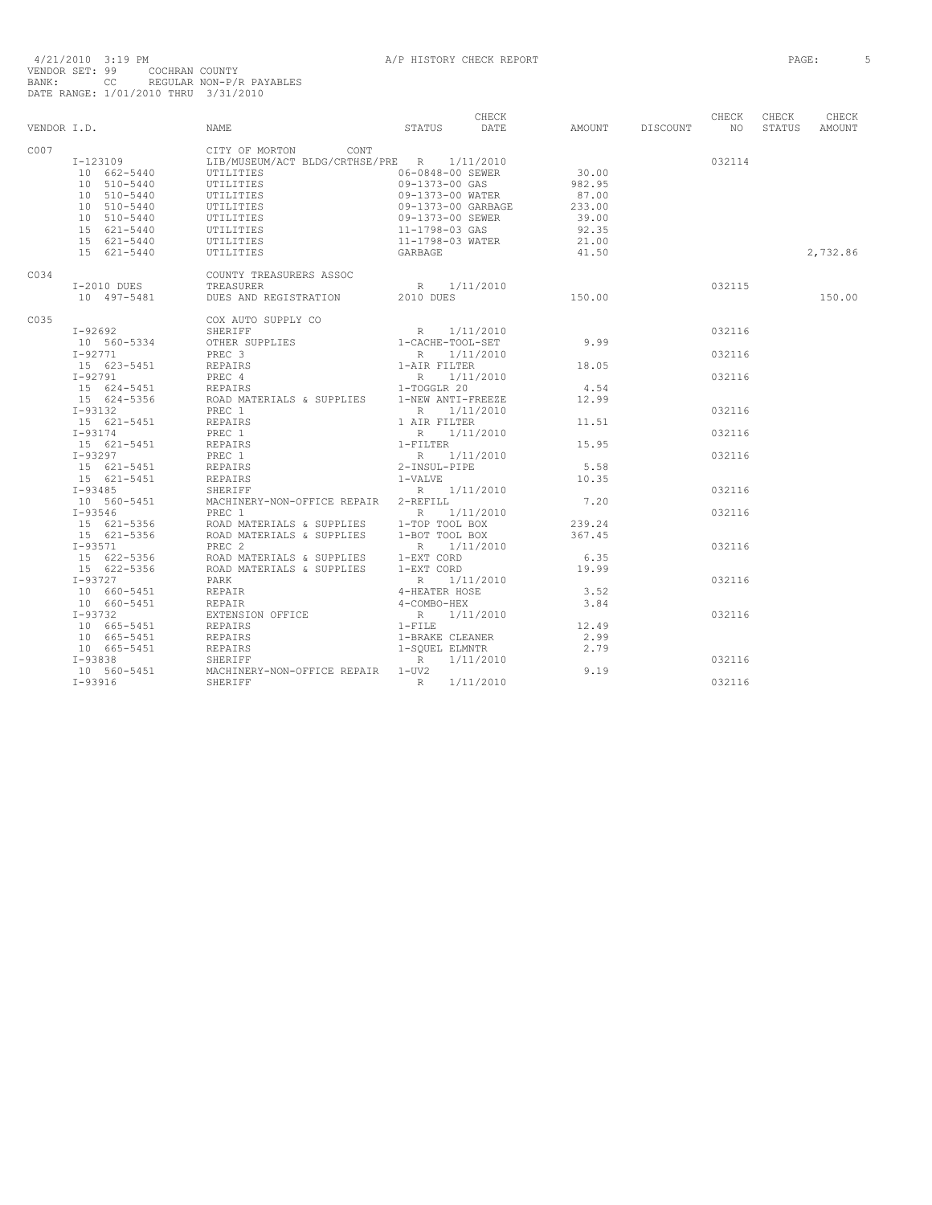|      |                                          |                                                                                                                                                                                                                                                                                    |                                                           | CHECK |        |                    | CHECK  | CHECK  | CHECK         |
|------|------------------------------------------|------------------------------------------------------------------------------------------------------------------------------------------------------------------------------------------------------------------------------------------------------------------------------------|-----------------------------------------------------------|-------|--------|--------------------|--------|--------|---------------|
|      | VENDOR I.D. NAME                         |                                                                                                                                                                                                                                                                                    | STATUS DATE                                               |       |        | AMOUNT DISCOUNT NO |        | STATUS | <b>AMOUNT</b> |
| C007 |                                          | CITY OF MORTON CONT                                                                                                                                                                                                                                                                |                                                           |       |        |                    |        |        |               |
|      |                                          |                                                                                                                                                                                                                                                                                    |                                                           |       |        |                    | 032114 |        |               |
|      |                                          | T-123109<br>10 662-5440 UTILITIES CONSUM/ACT BLDG/CRTHSE/PRE R 1/11/2010<br>10 662-5440 UTILITIES 06-0848-00 SEWER                                                                                                                                                                 |                                                           |       |        |                    |        |        |               |
|      | 10 510-5440                              | <b>UTILITIES</b>                                                                                                                                                                                                                                                                   | 09-1373-00 GAS                                            |       | 982.95 |                    |        |        |               |
|      | 10 510-5440                              |                                                                                                                                                                                                                                                                                    |                                                           |       | 87.00  |                    |        |        |               |
|      | 10 510-5440                              |                                                                                                                                                                                                                                                                                    |                                                           |       | 233.00 |                    |        |        |               |
|      | 10 510-5440                              |                                                                                                                                                                                                                                                                                    |                                                           |       | 39.00  |                    |        |        |               |
|      | 15 621-5440                              | UTILITIES<br>UTILITIES<br>UTILITIES<br>UTILITIES<br>UTILITIES<br>UTILITIES<br>UTILITIES<br>UTILITIES<br>209-1373-00 GARBAGE<br>UTILITIES<br>21-1798-03 GAS<br>UTILITIES<br>21-1798-03 WATER                                                                                        |                                                           |       | 92.35  |                    |        |        |               |
|      | 15 621-5440                              |                                                                                                                                                                                                                                                                                    |                                                           |       | 21.00  |                    |        |        |               |
|      | 15 621-5440                              | UTILITIES                                                                                                                                                                                                                                                                          | GARBAGE                                                   |       | 41.50  |                    |        |        | 2,732.86      |
| C034 |                                          | COUNTY TREASURERS ASSOC                                                                                                                                                                                                                                                            |                                                           |       |        |                    |        |        |               |
|      | I-2010 DUES                              | TREASURER                                                                                                                                                                                                                                                                          |                                                           |       |        |                    |        |        |               |
|      | 10 497-5481                              | DUES AND REGISTRATION 2010 DUES                                                                                                                                                                                                                                                    | R $1/11/2010$ 150.00 032115                               |       |        |                    |        |        | 150.00        |
| C035 |                                          | COX AUTO SUPPLY CO                                                                                                                                                                                                                                                                 |                                                           |       |        |                    |        |        |               |
|      | $I - 92692$                              |                                                                                                                                                                                                                                                                                    |                                                           |       |        |                    | 032116 |        |               |
|      | 10 560-5334                              |                                                                                                                                                                                                                                                                                    |                                                           |       |        |                    |        |        |               |
|      | $I - 92771$                              | PREC 3                                                                                                                                                                                                                                                                             |                                                           |       |        |                    | 032116 |        |               |
|      | 15 623-5451                              |                                                                                                                                                                                                                                                                                    |                                                           |       | 18.05  |                    |        |        |               |
|      | $I - 92791$                              | REPAIRS<br>PREC 4<br>REPAIRS                                                                                                                                                                                                                                                       | R 1/11/2010<br>1-AIR FILTER<br>R 1/11/2010<br>1-TOGGLR 20 |       |        |                    | 032116 |        |               |
|      | 15 624-5451                              |                                                                                                                                                                                                                                                                                    |                                                           |       | 4.54   |                    |        |        |               |
|      |                                          | 15 624-5356 ROAD MATERIALS & SUPPLIES 1-NEW ANTI-FREEZE                                                                                                                                                                                                                            |                                                           |       | 12.99  |                    |        |        |               |
|      | $I-93132$                                | PREC 1                                                                                                                                                                                                                                                                             | R 1/11/2010                                               |       |        |                    | 032116 |        |               |
|      | 15 621-5451                              | REPAIRS                                                                                                                                                                                                                                                                            | 1 AIR FILTER                                              |       | 11.51  |                    |        |        |               |
|      |                                          |                                                                                                                                                                                                                                                                                    |                                                           |       |        |                    | 032116 |        |               |
|      |                                          | 193174<br>193174<br>193297<br>193297<br>193297<br>193297<br>193297<br>193297<br>193297<br>193485<br>193485<br>193485<br>193485<br>193485<br>193485<br>193485<br>193485<br>193485<br>193485<br>2PREC 1<br>2PREC 1<br>2PREC 1<br>2PREC 1<br>2PREC 1<br>2PREC 1<br>2PREC 1<br>2PREC 1 |                                                           |       | 15.95  |                    |        |        |               |
|      |                                          |                                                                                                                                                                                                                                                                                    |                                                           |       |        |                    | 032116 |        |               |
|      |                                          |                                                                                                                                                                                                                                                                                    |                                                           |       | 5.58   |                    |        |        |               |
|      |                                          |                                                                                                                                                                                                                                                                                    |                                                           |       | 10.35  |                    |        |        |               |
|      |                                          |                                                                                                                                                                                                                                                                                    |                                                           |       |        |                    | 032116 |        |               |
|      |                                          |                                                                                                                                                                                                                                                                                    |                                                           |       | 7.20   |                    |        |        |               |
|      |                                          | R 1/11/2010                                                                                                                                                                                                                                                                        |                                                           |       |        |                    | 032116 |        |               |
|      |                                          |                                                                                                                                                                                                                                                                                    |                                                           |       | 239.24 |                    |        |        |               |
|      |                                          |                                                                                                                                                                                                                                                                                    |                                                           |       | 367.45 |                    |        |        |               |
|      |                                          |                                                                                                                                                                                                                                                                                    |                                                           |       |        |                    | 032116 |        |               |
|      |                                          |                                                                                                                                                                                                                                                                                    |                                                           |       | 6.35   |                    |        |        |               |
|      |                                          |                                                                                                                                                                                                                                                                                    |                                                           |       | 19.99  |                    |        |        |               |
|      | $I - 93727$                              | PARK                                                                                                                                                                                                                                                                               |                                                           |       |        |                    | 032116 |        |               |
|      |                                          |                                                                                                                                                                                                                                                                                    | R 1/11/2010<br>4-HEATER HOSE<br>4-COMBO-HEX               |       | 3.52   |                    |        |        |               |
|      | 10 660-5451 REPAIR<br>10 660-5451 REPAIR | REPAIR                                                                                                                                                                                                                                                                             |                                                           |       | 3.84   |                    |        |        |               |
|      | $I - 93732$                              | EXTENSION OFFICE                                                                                                                                                                                                                                                                   |                                                           |       |        |                    | 032116 |        |               |
|      | 10 665-5451                              | REPAIRS                                                                                                                                                                                                                                                                            | R 1/11/2010<br>1-FILE                                     |       | 12.49  |                    |        |        |               |
|      | 10 665-5451                              |                                                                                                                                                                                                                                                                                    | 1-BRAKE CLEANER                                           |       | 2.99   |                    |        |        |               |
|      | 10 665-5451                              | REPAIRS<br>REPAIRS<br>SHERIFF                                                                                                                                                                                                                                                      | 1-SOUEL ELMNTR                                            |       | 2.79   |                    |        |        |               |
|      | I-93838                                  | SHERIFF                                                                                                                                                                                                                                                                            | R 1/11/2010                                               |       |        |                    | 032116 |        |               |
|      | 10 560-5451                              | MACHINERY-NON-OFFICE REPAIR 1-UV2                                                                                                                                                                                                                                                  |                                                           |       | 9.19   |                    |        |        |               |
|      | $I-93916$                                | SHERTEF                                                                                                                                                                                                                                                                            | R<br>1/11/2010                                            |       |        |                    | 032116 |        |               |
|      |                                          |                                                                                                                                                                                                                                                                                    |                                                           |       |        |                    |        |        |               |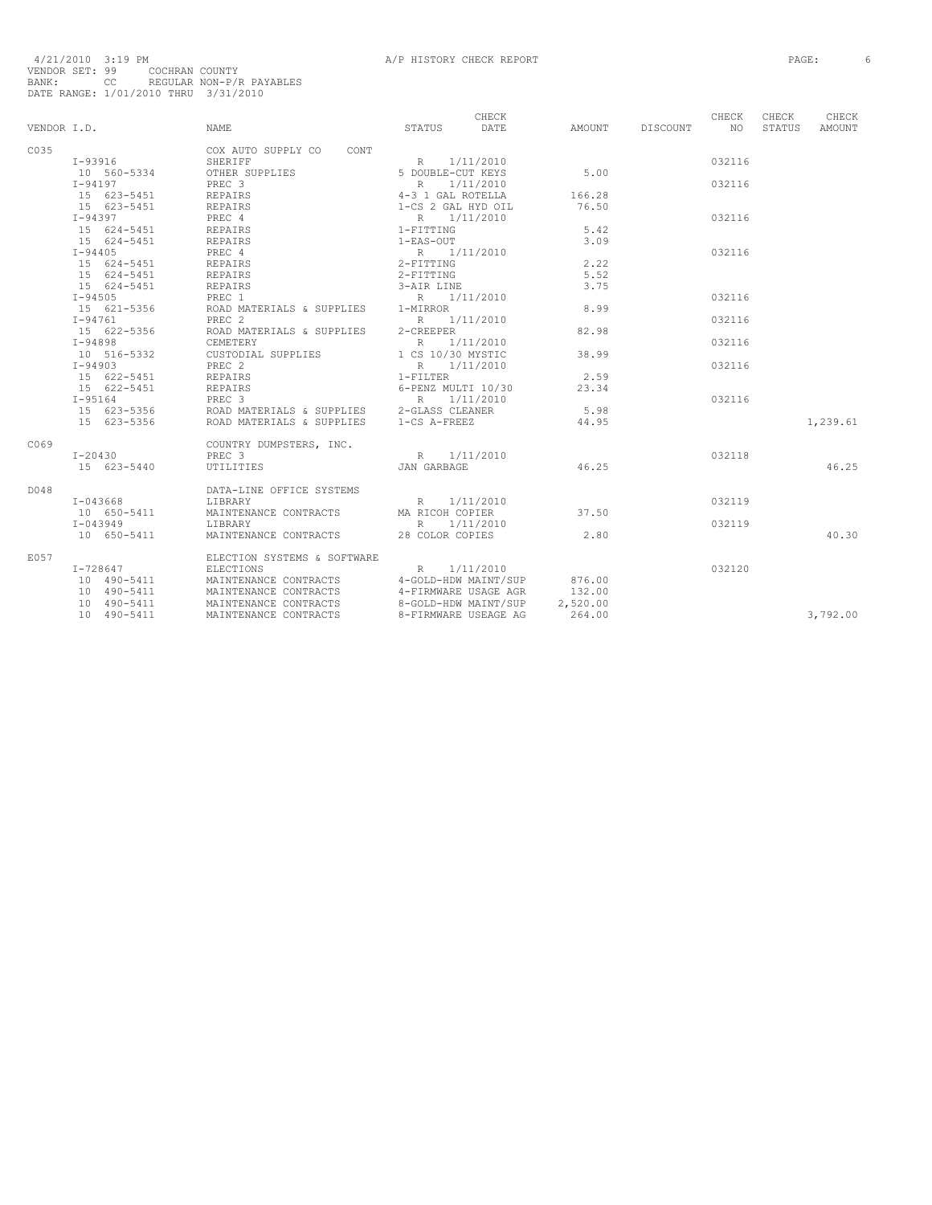| VENDOR I.D. |                                                 | <b>NAME</b>                                           | CHECK<br>STATUS DATE                    | AMOUNT DISCOUNT NO | CHECK  | CHECK<br>STATUS | CHECK<br>AMOUNT |
|-------------|-------------------------------------------------|-------------------------------------------------------|-----------------------------------------|--------------------|--------|-----------------|-----------------|
| C035        |                                                 | COX AUTO SUPPLY CO CONT                               |                                         |                    |        |                 |                 |
|             | I-93916                                         | SHERIFF                                               | R 1/11/2010                             |                    | 032116 |                 |                 |
|             | 10 560-5334                                     | OTHER SUPPLIES                                        | R 1/11/2010<br>5 DOUBLE-CUT KEYS        | 5.00               |        |                 |                 |
|             | I-94197                                         | PREC 3                                                | R 1/11/2010                             |                    | 032116 |                 |                 |
|             | 15 623-5451                                     | REPAIRS                                               | 4-3 1 GAL ROTELLA<br>1-CS 2 GAL HYD OIL | 166.28             |        |                 |                 |
|             | 15 623-5451                                     | REPAIRS                                               |                                         | 76.50              |        |                 |                 |
|             | I-94397                                         | PREC 4                                                | R 1/11/2010                             |                    | 032116 |                 |                 |
|             | 15 624-5451                                     | REPAIRS<br>REPAIRS                                    | $1-FITTING$                             | 5.42               |        |                 |                 |
|             | 15 624-5451                                     |                                                       | 1-EAS-OUT                               | 3.09               |        |                 |                 |
|             | $I - 94405$                                     | PREC 4                                                | R 1/11/2010<br>2-FITTING                |                    | 032116 |                 |                 |
|             | 15 624-5451<br>$-5$ $624-5451$<br>15 $624-5451$ | REPAIRS                                               |                                         | 2.22               |        |                 |                 |
|             |                                                 | REPAIRS                                               | 2-FITTING                               | 5.52               |        |                 |                 |
|             | 15 624-5451                                     | REPAIRS                                               | 3-AIR LINE                              | 3.75               |        |                 |                 |
|             | $I - 94505$                                     | PREC 1                                                | R 1/11/2010                             |                    | 032116 |                 |                 |
|             | 15 621-5356                                     | ROAD MATERIALS & SUPPLIES 1-MIRROR                    |                                         | 8.99               |        |                 |                 |
|             | $I - 94761$                                     | PREC <sub>2</sub>                                     | R 1/11/2010                             |                    | 032116 |                 |                 |
|             | 15 622-5356                                     | ROAD MATERIALS & SUPPLIES 2-CREEPER                   |                                         | 82.98              |        |                 |                 |
|             | $I-94898$                                       | CEMETERY                                              | R 1/11/2010                             |                    | 032116 |                 |                 |
|             | 10 516-5332                                     | CUSTODIAL SUPPLIES 1 CS 10/30 MYSTIC                  |                                         | 38.99              |        |                 |                 |
|             | $I - 94903$                                     | PREC 2                                                | R 1/11/2010                             |                    | 032116 |                 |                 |
|             | 15 622-5451                                     | REPAIRS                                               | $1-FILLTER$                             | 2.59               |        |                 |                 |
|             | 15 622-5451                                     | REPAIRS                                               | 6-PENZ MULTI 10/30                      | 23.34              |        |                 |                 |
|             | I-95164                                         | PREC <sub>3</sub>                                     | R 1/11/2010                             |                    | 032116 |                 |                 |
|             |                                                 | 15 623-5356 ROAD MATERIALS & SUPPLIES 2-GLASS CLEANER |                                         | 5.98               |        |                 |                 |
|             | 15 623-5356                                     | ROAD MATERIALS & SUPPLIES 1-CS A-FREEZ                |                                         | 44.95              |        |                 | 1,239.61        |
| C069        |                                                 | COUNTRY DUMPSTERS, INC.                               |                                         |                    |        |                 |                 |
|             | I-20430                                         | PREC <sub>3</sub>                                     | R 1/11/2010                             |                    | 032118 |                 |                 |
|             | 15 623-5440                                     | UTILITIES                                             | <b>JAN GARBAGE</b>                      | 46.25              |        |                 | 46.25           |
| D048        |                                                 | DATA-LINE OFFICE SYSTEMS                              |                                         |                    |        |                 |                 |
|             | $I - 043668$                                    | LIBRARY                                               | R 1/11/2010                             |                    | 032119 |                 |                 |
|             | 10 650-5411                                     | MAINTENANCE CONTRACTS MA RICOH COPIER                 |                                         | 37.50              |        |                 |                 |
|             | $I - 043949$                                    | LIBRARY                                               | R 1/11/2010                             |                    | 032119 |                 |                 |
|             | 10 650-5411                                     | MAINTENANCE CONTRACTS 28 COLOR COPIES                 |                                         | 2.80               |        |                 | 40.30           |
| E057        |                                                 | ELECTION SYSTEMS & SOFTWARE                           |                                         |                    |        |                 |                 |
|             | $I - 728647$                                    | ELECTIONS                                             | R<br>1/11/2010                          |                    | 032120 |                 |                 |
|             |                                                 | MAINTENANCE CONTRACTS 4-GOLD-HDW MAINT/SUP            |                                         | 876.00             |        |                 |                 |
|             | 10 490-5411<br>10 490-5411                      | MAINTENANCE CONTRACTS                                 | 4-FIRMWARE USAGE AGR                    | 132.00             |        |                 |                 |
|             | 10 490-5411                                     | MAINTENANCE CONTRACTS                                 | 8-GOLD-HDW MAINT/SUP                    | 2,520.00           |        |                 |                 |
|             | 10 490-5411                                     | MAINTENANCE CONTRACTS                                 | 8-FIRMWARE USEAGE AG                    | 264.00             |        |                 | 3,792.00        |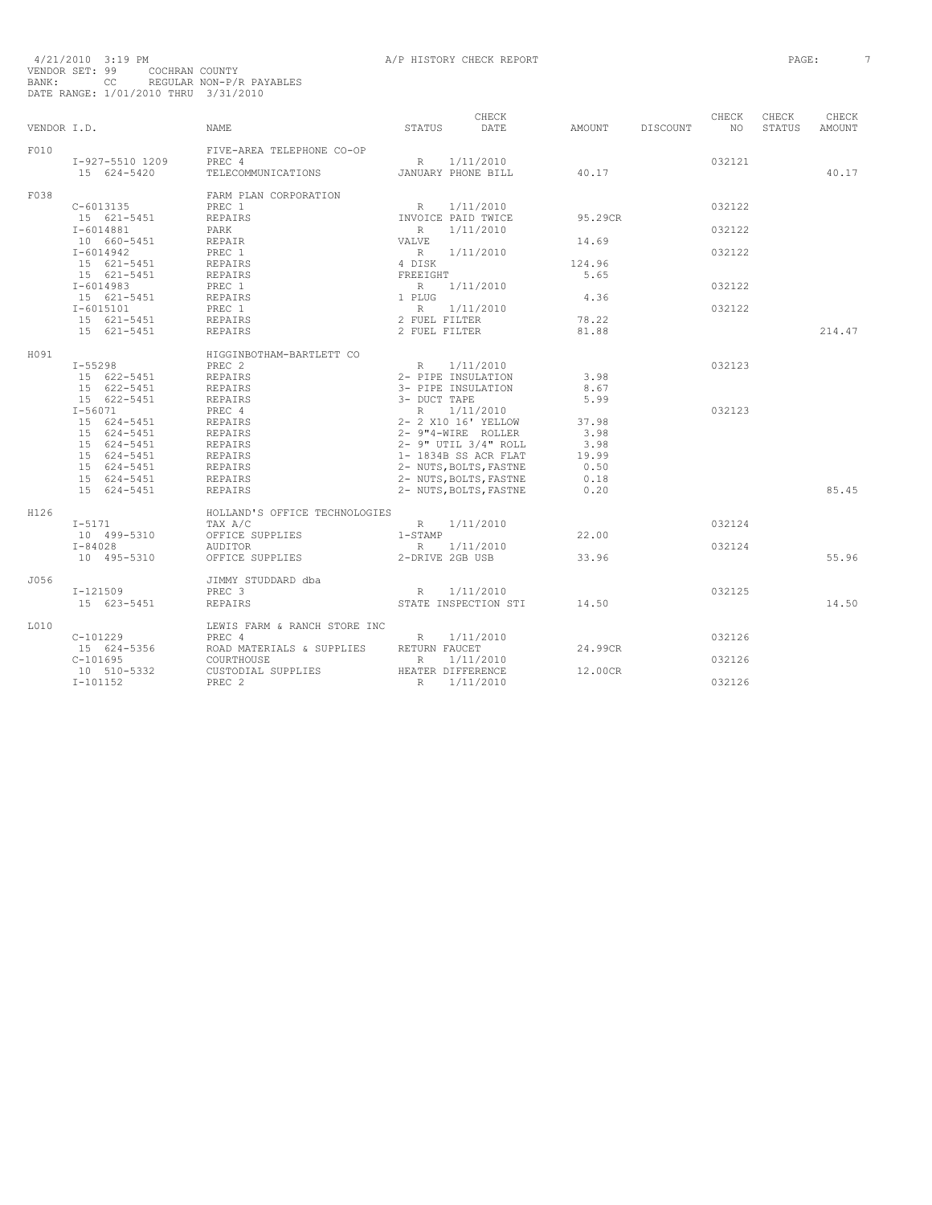|             |                 |                               |                                                                                                | CHECK                                     |         |          | CHECK           | CHECK  | CHECK         |
|-------------|-----------------|-------------------------------|------------------------------------------------------------------------------------------------|-------------------------------------------|---------|----------|-----------------|--------|---------------|
| VENDOR I.D. |                 | NAME                          | STATUS                                                                                         | <b>DATE</b>                               | AMOUNT  | DISCOUNT | NO <sub>1</sub> | STATUS | <b>AMOUNT</b> |
| F010        |                 | FIVE-AREA TELEPHONE CO-OP     |                                                                                                |                                           |         |          |                 |        |               |
|             | I-927-5510 1209 | PREC 4                        |                                                                                                | R 1/11/2010                               |         |          | 032121          |        |               |
|             | 15 624-5420     | TELECOMMUNICATIONS            |                                                                                                | JANUARY PHONE BILL                        | 40.17   |          |                 |        | 40.17         |
| F038        |                 | FARM PLAN CORPORATION         |                                                                                                |                                           |         |          |                 |        |               |
|             | $C - 6013135$   | PREC 1                        | R                                                                                              | 1/11/2010                                 |         |          | 032122          |        |               |
|             | 15 621-5451     | <b>REPAIRS</b>                | INVOICE PAID TWICE                                                                             |                                           | 95.29CR |          |                 |        |               |
|             | $I - 6014881$   | PARK                          | R                                                                                              | 1/11/2010                                 |         |          | 032122          |        |               |
|             | 10 660-5451     | REPAIR                        | VALVE                                                                                          |                                           | 14.69   |          |                 |        |               |
|             | $I - 6014942$   | PREC 1                        |                                                                                                | R 1/11/2010                               |         |          | 032122          |        |               |
|             | 15 621-5451     | REPAIRS                       | $\begin{array}{cc} & R & 1 \\ 4 & \text{DISK} \end{array}$                                     |                                           | 124.96  |          |                 |        |               |
|             | 15 621-5451     | REPAIRS                       | FREEIGHT                                                                                       |                                           | 5.65    |          |                 |        |               |
|             | $I-6014983$     | PREC 1                        | $\begin{array}{c}\n 1 \text{ } \mathsf{PLUG} \\  \mathsf{I} \quad \mathsf{PLUG}\n \end{array}$ | 1/11/2010                                 |         |          | 032122          |        |               |
|             | 15 621-5451     | REPAIRS                       |                                                                                                |                                           | 4.36    |          |                 |        |               |
|             | $I - 6015101$   | PREC 1                        |                                                                                                |                                           |         |          | 032122          |        |               |
|             | 15 621-5451     | <b>REPAIRS</b>                |                                                                                                |                                           | 78.22   |          |                 |        |               |
|             | 15 621-5451     | <b>REPAIRS</b>                | R 1/11/2010<br>2 FUEL FILTER<br>2 FUEL FILTER                                                  |                                           | 81.88   |          |                 |        | 214.47        |
| H091        |                 | HIGGINBOTHAM-BARTLETT CO      |                                                                                                |                                           |         |          |                 |        |               |
|             | I-55298         | PREC <sub>2</sub>             |                                                                                                | R 1/11/2010                               |         |          | 032123          |        |               |
|             | 15 622-5451     | REPAIRS                       | 2- PIPE INSULATION                                                                             |                                           | 3.98    |          |                 |        |               |
|             | 15 622-5451     | REPAIRS                       | 3- PIPE INSULATION                                                                             |                                           | 8.67    |          |                 |        |               |
|             | 15 622-5451     | REPAIRS                       | 3- DUCT TAPE                                                                                   |                                           | 5.99    |          |                 |        |               |
|             | $I - 56071$     | PREC 4                        |                                                                                                | R 1/11/2010                               |         |          | 032123          |        |               |
|             | 15 624-5451     | REPAIRS                       |                                                                                                | 2- 2 X10 16' YELLOW<br>2- 9"4-WIRE ROLLER | 37.98   |          |                 |        |               |
|             | 15 624-5451     | REPAIRS                       |                                                                                                |                                           | 3.98    |          |                 |        |               |
|             | 15 624-5451     | REPAIRS                       |                                                                                                | $2 - 9$ " UTIL $3/4$ " ROLL               | 3.98    |          |                 |        |               |
|             | 15 624-5451     | REPAIRS                       |                                                                                                | 1- 1834B SS ACR FLAT                      | 19.99   |          |                 |        |               |
|             | 15 624-5451     | REPAIRS                       |                                                                                                | 2- NUTS, BOLTS, FASTNE                    | 0.50    |          |                 |        |               |
|             | 15 624-5451     | REPAIRS                       |                                                                                                | 2- NUTS, BOLTS, FASTNE                    | 0.18    |          |                 |        |               |
|             | 15 624-5451     | <b>REPAIRS</b>                |                                                                                                | 2- NUTS, BOLTS, FASTNE                    | 0.20    |          |                 |        | 85.45         |
| H126        |                 | HOLLAND'S OFFICE TECHNOLOGIES |                                                                                                |                                           |         |          |                 |        |               |
|             | $I-5171$        | TAX A/C                       | R 1/11/2010                                                                                    |                                           |         |          | 032124          |        |               |
|             | 10 499-5310     | OFFICE SUPPLIES               | $1 - STAMP$                                                                                    |                                           | 22.00   |          |                 |        |               |
|             | $I - 84028$     | AUDITOR                       |                                                                                                | R 1/11/2010                               |         |          | 032124          |        |               |
|             | 10 495-5310     | OFFICE SUPPLIES               | 2-DRIVE 2GB USB                                                                                |                                           | 33.96   |          |                 |        | 55.96         |
| J056        |                 | JIMMY STUDDARD dba            |                                                                                                |                                           |         |          |                 |        |               |
|             | $I - 121509$    | PREC 3                        | R                                                                                              | 1/11/2010                                 |         |          | 032125          |        |               |
|             | 15 623-5451     | <b>REPAIRS</b>                |                                                                                                | STATE INSPECTION STI                      | 14.50   |          |                 |        | 14.50         |
| L010        |                 | LEWIS FARM & RANCH STORE INC  |                                                                                                |                                           |         |          |                 |        |               |
|             | $C-101229$      | PREC 4                        | R                                                                                              | 1/11/2010                                 |         |          | 032126          |        |               |
|             | 15 624-5356     | ROAD MATERIALS & SUPPLIES     | RETURN FAUCET                                                                                  |                                           | 24.99CR |          |                 |        |               |
|             | $C-101695$      | COURTHOUSE                    | $R_{\parallel}$                                                                                | 1/11/2010                                 |         |          | 032126          |        |               |
|             | 10 510-5332     | CUSTODIAL SUPPLIES            | HEATER DIFFERENCE                                                                              |                                           | 12.00CR |          |                 |        |               |
|             | $I-101152$      | PREC <sub>2</sub>             | R                                                                                              | 1/11/2010                                 |         |          | 032126          |        |               |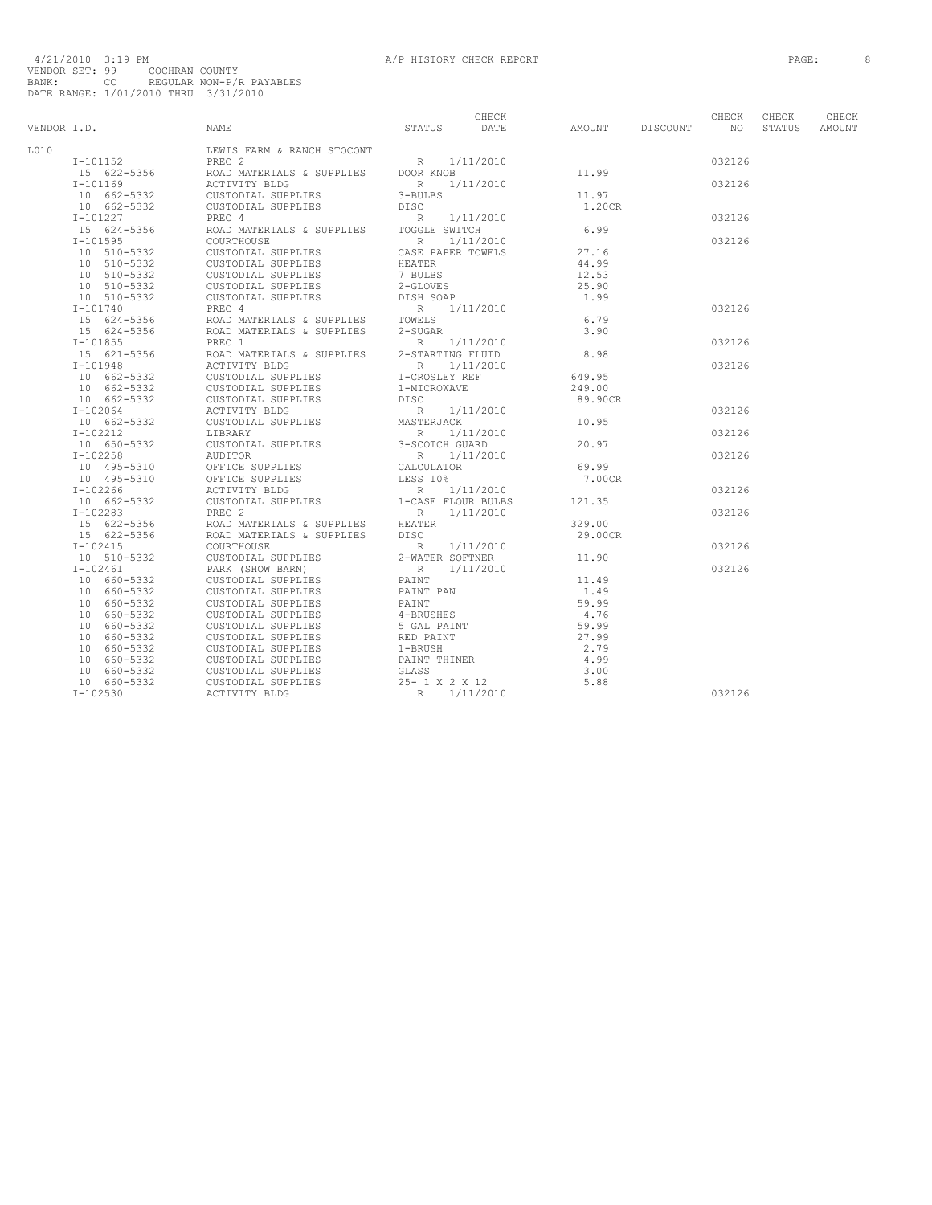|             |                         |                                                                                                                                                                                                                                                                                                                                                                                                                                                            |                                       | CHECK |                    | CHECK  | CHECK  | CHECK  |
|-------------|-------------------------|------------------------------------------------------------------------------------------------------------------------------------------------------------------------------------------------------------------------------------------------------------------------------------------------------------------------------------------------------------------------------------------------------------------------------------------------------------|---------------------------------------|-------|--------------------|--------|--------|--------|
| VENDOR I.D. |                         | NAME                                                                                                                                                                                                                                                                                                                                                                                                                                                       | STATUS DATE                           |       | AMOUNT DISCOUNT NO |        | STATUS | AMOUNT |
| L010        |                         | LEWIS FARM & RANCH STOCONT                                                                                                                                                                                                                                                                                                                                                                                                                                 |                                       |       |                    |        |        |        |
|             | $I - 101152$            |                                                                                                                                                                                                                                                                                                                                                                                                                                                            |                                       |       |                    | 032126 |        |        |
|             | 15 622-5356             | PREC 2<br>ROAD MATERIALS & SUPPLIES DOOR KNOB<br>ACTIVITY BLDC                                                                                                                                                                                                                                                                                                                                                                                             |                                       |       | 11.99              |        |        |        |
|             | I-101169                |                                                                                                                                                                                                                                                                                                                                                                                                                                                            |                                       |       |                    | 032126 |        |        |
|             | 10 662-5332             |                                                                                                                                                                                                                                                                                                                                                                                                                                                            |                                       |       | 11.97              |        |        |        |
|             | 10 662-5332             |                                                                                                                                                                                                                                                                                                                                                                                                                                                            |                                       |       | 1.20CR             |        |        |        |
|             | $I-101227$              |                                                                                                                                                                                                                                                                                                                                                                                                                                                            |                                       |       |                    | 032126 |        |        |
|             | 15 624-5356             | NORTHUITY BLDG<br>CUSTODIAL SUPPLIES<br>CUSTODIAL SUPPLIES<br>CUSTODIAL SUPPLIES<br>PREC 4<br>PREC 4<br>PREC 4<br>PREC 111/2010<br>COURTHOUSE<br>COURTING SUPPLIES<br>CUSTODIAL SUPPLIES<br>CUSTODIAL SUPPLIES<br>CUSTODIAL SUPPLIES<br>CUSTODIAL COURTI                                                                                                                                                                                                   |                                       |       | 6.99               |        |        |        |
|             | $I-101595$              |                                                                                                                                                                                                                                                                                                                                                                                                                                                            |                                       |       |                    | 032126 |        |        |
|             | 10 510-5332             |                                                                                                                                                                                                                                                                                                                                                                                                                                                            |                                       |       | 27.16              |        |        |        |
|             | $10 510 - 5332$         | CUSTODIAL SUPPLIES                                                                                                                                                                                                                                                                                                                                                                                                                                         |                                       |       | 44.99              |        |        |        |
|             | 10 510-5332             | CUSTODIAL SUPPLIES                                                                                                                                                                                                                                                                                                                                                                                                                                         | HEATER<br>7 BULBS                     |       | 12.53              |        |        |        |
|             | 10 510-5332             |                                                                                                                                                                                                                                                                                                                                                                                                                                                            |                                       |       | 25.90              |        |        |        |
|             | 10 510-5332             |                                                                                                                                                                                                                                                                                                                                                                                                                                                            |                                       |       | 1.99               |        |        |        |
|             | $I-101740$              | CUSTODIAL SUPPLIES<br>CUSTODIAL SUPPLIES<br>CUSTODIAL SUPPLIES<br>PREC 4 ROAD MATERIALS & SUPPLIES<br>ROAD MATERIALS & SUPPLIES<br>PREC 1 ROAD MATERIALS & SUPPLIES<br>PREC 1 2-SUGAR<br>PREC 1 1/11/2010<br>A ROAD MATERIALS & SUPPLIES<br>PREC                                                                                                                                                                                                           |                                       |       |                    | 032126 |        |        |
|             | 15 624-5356             |                                                                                                                                                                                                                                                                                                                                                                                                                                                            |                                       |       | 6.79               |        |        |        |
|             | 15 624-5356             |                                                                                                                                                                                                                                                                                                                                                                                                                                                            |                                       |       | 3.90               |        |        |        |
|             | $I-101855$              |                                                                                                                                                                                                                                                                                                                                                                                                                                                            |                                       |       |                    | 032126 |        |        |
|             | 15 621-5356             | REL I<br>ROAD MATERIALS & SUPPLIES 2-STARTING FLUID                                                                                                                                                                                                                                                                                                                                                                                                        |                                       |       | 8.98               |        |        |        |
|             | I-101948                |                                                                                                                                                                                                                                                                                                                                                                                                                                                            |                                       |       |                    | 032126 |        |        |
|             | 10 662-5332             | NOTIVITY BLDG<br>CUSTODIAL SUPPLIES<br>1-CROSLEY REF<br>CUSTODIAL SUPPLIES                                                                                                                                                                                                                                                                                                                                                                                 |                                       |       | 649.95             |        |        |        |
|             | 10 662-5332             |                                                                                                                                                                                                                                                                                                                                                                                                                                                            | 1-MICROWAVE                           |       | 249.00             |        |        |        |
|             | 10 662-5332             | CUSTODIAL SUPPLIES<br>CUSTODIAL SUPPLIES                                                                                                                                                                                                                                                                                                                                                                                                                   | 1-MIC<br>DISC                         |       | 89.90CR            |        |        |        |
|             | I-102064                |                                                                                                                                                                                                                                                                                                                                                                                                                                                            |                                       |       |                    | 032126 |        |        |
|             | 10 662-5332             |                                                                                                                                                                                                                                                                                                                                                                                                                                                            |                                       |       | 10.95              |        |        |        |
|             | $I-102212$              |                                                                                                                                                                                                                                                                                                                                                                                                                                                            |                                       |       |                    | 032126 |        |        |
|             | 10 650-5332             | $\begin{tabular}{lllllllllll} \multicolumn{2}{c}{\textbf{LIBKAKY}} & & & & & & & & \\ \multicolumn{2}{c}{\textbf{LIBKAKY}} & & & & & \multicolumn{2}{c}{\textbf{R}} & 1/11/2010} \\ \multicolumn{2}{c}{\textbf{CUSTODIALS}} & {\textbf{SUPPLIES}} & & {\textbf{3-SCOTCH GURAD}} \\ \multicolumn{2}{c}{\textbf{AUDITOR}} & & & & & \multicolumn{2}{c}{\textbf{SUSC}} & \multicolumn{2}{c}{\textbf{SUSC}} \\ \multicolumn{2}{c}{\textbf{AUDITOR}} & & & & &$ |                                       |       | 20.97              |        |        |        |
|             | $I-102258$              |                                                                                                                                                                                                                                                                                                                                                                                                                                                            | R 1/11/2010<br>CALCULATOR<br>LESS 10% |       |                    | 032126 |        |        |
|             | $102230$<br>10 495-5310 | OFFICE SUPPLIES                                                                                                                                                                                                                                                                                                                                                                                                                                            |                                       |       | 69.99              |        |        |        |
|             | 10 495-5310             | OFFICE SUPPLIES                                                                                                                                                                                                                                                                                                                                                                                                                                            |                                       |       | 7.00CR             |        |        |        |
|             | I-102266                |                                                                                                                                                                                                                                                                                                                                                                                                                                                            |                                       |       |                    | 032126 |        |        |
|             | 10 662-5332             |                                                                                                                                                                                                                                                                                                                                                                                                                                                            |                                       |       | 121.35             |        |        |        |
|             | $I-102283$              | OFFICE SUPPLIES<br>ACTIVITY BLDG<br>CUSTODIAL SUPPLIES<br>CUSTODIAL SUPPLIES<br>$1$ -CASE FLOUR BULBS<br>R 1/11/2010                                                                                                                                                                                                                                                                                                                                       |                                       |       |                    | 032126 |        |        |
|             | $15 622 - 5356$         | ROAD MATERIALS & SUPPLIES<br>ROAD MATERIALS & SUPPLIES<br>ROAD MATERIALS & SUPPLIES<br>DISC                                                                                                                                                                                                                                                                                                                                                                |                                       |       | 329.00             |        |        |        |
|             | 15 622-5356             |                                                                                                                                                                                                                                                                                                                                                                                                                                                            |                                       |       | 29.00CR            |        |        |        |
|             | $I-102415$              | COURTHOUSE                                                                                                                                                                                                                                                                                                                                                                                                                                                 | R 1/11/2010<br>2-WATER SOFTNER        |       |                    | 032126 |        |        |
|             | 10 510-5332             | CUSTODIAL SUPPLIES                                                                                                                                                                                                                                                                                                                                                                                                                                         |                                       |       | 11.90              |        |        |        |
|             | I-102461                | PARK (SHOW BARN)<br>CUSTODIAL SUPPLIES                                                                                                                                                                                                                                                                                                                                                                                                                     | R 1/11/2010<br>PAINT                  |       |                    | 032126 |        |        |
|             | 10 660-5332             |                                                                                                                                                                                                                                                                                                                                                                                                                                                            |                                       |       | 11.49              |        |        |        |
|             | 10 660-5332             | CUSTODIAL SUPPLIES                                                                                                                                                                                                                                                                                                                                                                                                                                         | PAINT PAN                             |       | 1.49               |        |        |        |
|             | 10 660-5332             | CUSTODIAL SUPPLIES                                                                                                                                                                                                                                                                                                                                                                                                                                         | PAINT                                 |       | 59.99              |        |        |        |
|             | 10 660-5332             | CUSTODIAL SUPPLIES<br>CUSTODIAL SUPPLIES                                                                                                                                                                                                                                                                                                                                                                                                                   | 4-BRUSHES                             |       | 4.76               |        |        |        |
|             | 10 660-5332             |                                                                                                                                                                                                                                                                                                                                                                                                                                                            | 5 GAL PAINT                           |       | 59.99              |        |        |        |
|             | 10 660-5332             |                                                                                                                                                                                                                                                                                                                                                                                                                                                            | RED PAINT                             |       | 27.99              |        |        |        |
|             | 10 660-5332             | CUSTODIAL SUPPLIES<br>CUSTODIAL SUPPLIES<br>CUSTODIAL SUPPLIES                                                                                                                                                                                                                                                                                                                                                                                             | 1-BRUSH                               |       | 2.79               |        |        |        |
|             | 10 660-5332             | CUSTODIAL SUPPLIES                                                                                                                                                                                                                                                                                                                                                                                                                                         | PAINT THINER                          |       | 4.99               |        |        |        |
|             | 10 660-5332             | CUSTODIAL SUPPLIES                                                                                                                                                                                                                                                                                                                                                                                                                                         | GLASS                                 |       | 3.00               |        |        |        |
|             | 10 660-5332             |                                                                                                                                                                                                                                                                                                                                                                                                                                                            | 25- 1 X 2 X 12                        |       | 5.88               |        |        |        |
|             | $I-102530$              | ACTIVITY BLDG                                                                                                                                                                                                                                                                                                                                                                                                                                              | R 1/11/2010                           |       |                    | 032126 |        |        |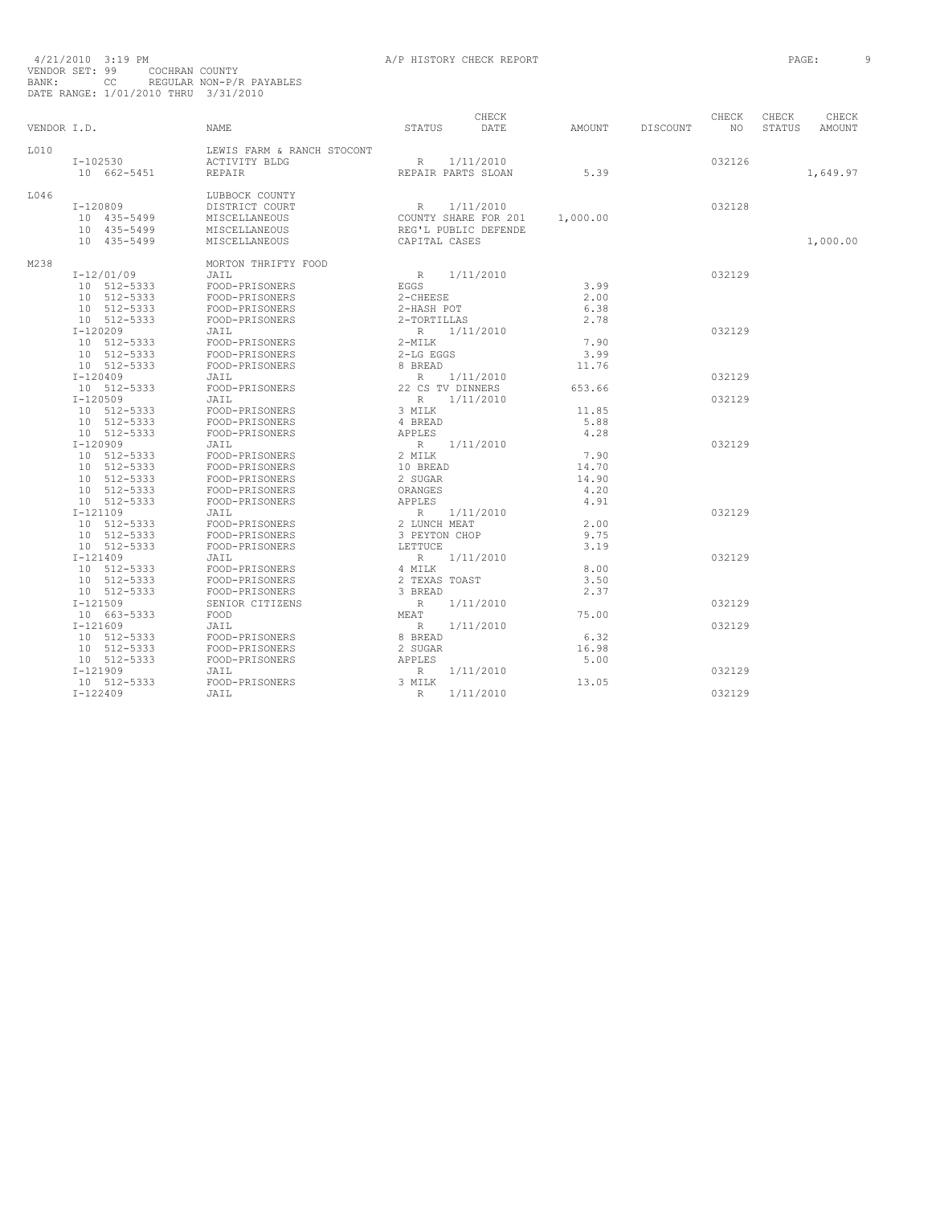|             |              |                            |                    | CHECK<br>DATE        |          |          | CHECK  | CHECK  | CHECK    |
|-------------|--------------|----------------------------|--------------------|----------------------|----------|----------|--------|--------|----------|
| VENDOR I.D. |              | <b>NAME</b>                | STATUS             |                      | AMOUNT   | DISCOUNT | NO     | STATUS | AMOUNT   |
| L010        |              | LEWIS FARM & RANCH STOCONT |                    |                      |          |          |        |        |          |
|             | $I-102530$   | <b>ACTIVITY BLDG</b>       | $\mathbb R$        | 1/11/2010            |          |          | 032126 |        |          |
|             | 10 662-5451  | REPAIR                     | REPAIR PARTS SLOAN |                      | 5.39     |          |        |        | 1,649.97 |
| L046        |              | LUBBOCK COUNTY             |                    |                      |          |          |        |        |          |
|             | I-120809     | DISTRICT COURT             | $R_{\parallel}$    | 1/11/2010            |          |          | 032128 |        |          |
|             | 10 435-5499  | MISCELLANEOUS              |                    | COUNTY SHARE FOR 201 | 1,000.00 |          |        |        |          |
|             | 10 435-5499  | MISCELLANEOUS              |                    | REG'L PUBLIC DEFENDE |          |          |        |        |          |
|             | 10 435-5499  | MISCELLANEOUS              | CAPITAL CASES      |                      |          |          |        |        | 1,000.00 |
| M238        |              | MORTON THRIFTY FOOD        |                    |                      |          |          |        |        |          |
|             | $I-12/01/09$ | JAIL                       | R                  | 1/11/2010            |          |          | 032129 |        |          |
|             | 10 512-5333  | FOOD-PRISONERS             | <b>EGGS</b>        |                      | 3.99     |          |        |        |          |
|             | 10 512-5333  | FOOD-PRISONERS             | 2-CHEESE           |                      | 2.00     |          |        |        |          |
|             | 10 512-5333  | FOOD-PRISONERS             | 2-HASH POT         |                      | 6.38     |          |        |        |          |
|             | 10 512-5333  | FOOD-PRISONERS             | 2-TORTILLAS        |                      | 2.78     |          |        |        |          |
|             | $I-120209$   | JAIL                       | R                  | 1/11/2010            |          |          | 032129 |        |          |
|             | 10 512-5333  | FOOD-PRISONERS             | $2-MILK$           |                      | 7.90     |          |        |        |          |
|             | 10 512-5333  | FOOD-PRISONERS             | 2-LG EGGS          |                      | 3.99     |          |        |        |          |
|             | 10 512-5333  | FOOD-PRISONERS             | 8 BREAD            |                      | 11.76    |          |        |        |          |
|             | $I-120409$   | JAIL                       | $\mathbb{R}$       | 1/11/2010            |          |          | 032129 |        |          |
|             | 10 512-5333  | FOOD-PRISONERS             | 22 CS TV DINNERS   |                      | 653.66   |          |        |        |          |
|             | $I-120509$   | JAIL                       | $\mathbb R$        | 1/11/2010            |          |          | 032129 |        |          |
|             | 10 512-5333  | FOOD-PRISONERS             | 3 MILK             |                      | 11.85    |          |        |        |          |
|             | 10 512-5333  | FOOD-PRISONERS             | 4 BREAD            |                      | 5.88     |          |        |        |          |
|             | 10 512-5333  | FOOD-PRISONERS             | APPLES             |                      | 4.28     |          |        |        |          |
|             | $I-120909$   | JAIL                       | $R_{\perp}$        | 1/11/2010            |          |          | 032129 |        |          |
|             | 10 512-5333  | FOOD-PRISONERS             | 2 MILK             |                      | 7.90     |          |        |        |          |
|             | 10 512-5333  | FOOD-PRISONERS             | 10 BREAD           |                      | 14.70    |          |        |        |          |
|             | 10 512-5333  | FOOD-PRISONERS             | 2 SUGAR            |                      | 14.90    |          |        |        |          |
|             | 10 512-5333  | FOOD-PRISONERS             | ORANGES            |                      | 4.20     |          |        |        |          |
|             | 10 512-5333  | FOOD-PRISONERS             | APPLES             |                      | 4.91     |          |        |        |          |
|             | $I-121109$   | JAIL                       | $R_{\perp}$        | 1/11/2010            |          |          | 032129 |        |          |
|             | 10 512-5333  | FOOD-PRISONERS             | 2 LUNCH MEAT       |                      | 2.00     |          |        |        |          |
|             | 10 512-5333  | FOOD-PRISONERS             | 3 PEYTON CHOP      |                      | 9.75     |          |        |        |          |
|             | 10 512-5333  | FOOD-PRISONERS             | LETTUCE.           |                      | 3.19     |          |        |        |          |
|             | $I - 121409$ | JAIL                       | $R_{\perp}$        | 1/11/2010            |          |          | 032129 |        |          |
|             | 10 512-5333  | FOOD-PRISONERS             | 4 MILK             |                      | 8.00     |          |        |        |          |
|             | 10 512-5333  | FOOD-PRISONERS             | 2 TEXAS TOAST      |                      | 3.50     |          |        |        |          |
|             | 10 512-5333  | FOOD-PRISONERS             | 3 BREAD            |                      | 2.37     |          |        |        |          |
|             | $I-121509$   | SENIOR CITIZENS            | $\mathbb{R}$       | 1/11/2010            |          |          | 032129 |        |          |
|             | 10 663-5333  | FOOD                       | MEAT               |                      | 75.00    |          |        |        |          |
|             | $I-121609$   | JAIL                       | $\mathbb R$        | 1/11/2010            |          |          | 032129 |        |          |
|             | 10 512-5333  | FOOD-PRISONERS             | 8 BREAD            |                      | 6.32     |          |        |        |          |
|             | 10 512-5333  | FOOD-PRISONERS             | 2 SUGAR            |                      | 16.98    |          |        |        |          |
|             | 10 512-5333  | FOOD-PRISONERS             | <b>APPLES</b>      |                      | 5.00     |          |        |        |          |
|             | $I-121909$   | JAIL                       | R                  | 1/11/2010            |          |          | 032129 |        |          |
|             | 10 512-5333  | FOOD-PRISONERS             | 3 MILK             |                      | 13.05    |          |        |        |          |
|             | $I-122409$   | JAIL                       | $\mathbb R$        | 1/11/2010            |          |          | 032129 |        |          |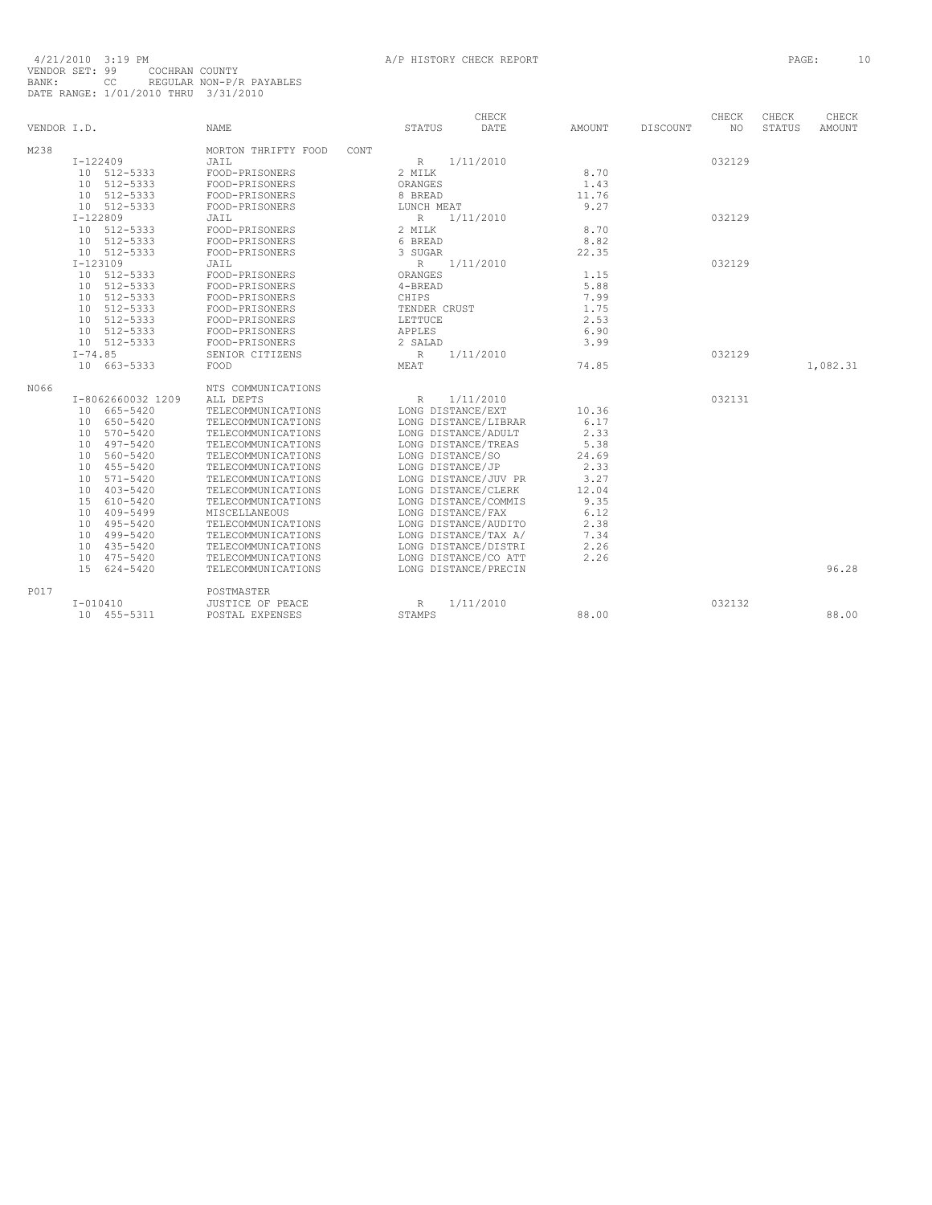|             |                                   |                                  |               |                   | CHECK                |               |          | CHECK  | CHECK  | CHECK         |
|-------------|-----------------------------------|----------------------------------|---------------|-------------------|----------------------|---------------|----------|--------|--------|---------------|
| VENDOR I.D. |                                   | <b>NAME</b>                      | STATUS        |                   | DATE                 | <b>AMOUNT</b> | DISCOUNT | NO.    | STATUS | <b>AMOUNT</b> |
| M238        |                                   | MORTON THRIFTY FOOD              | CONT          |                   |                      |               |          |        |        |               |
|             | $I-122409$                        | JAIL                             | $\mathbb R$   |                   | 1/11/2010            |               |          | 032129 |        |               |
|             | 10 512-5333                       | FOOD-PRISONERS                   | 2 MILK        |                   |                      | 8.70          |          |        |        |               |
|             | 512-5333<br>10                    | FOOD-PRISONERS                   | ORANGES       |                   |                      | 1.43          |          |        |        |               |
|             | 512-5333<br>10                    | FOOD-PRISONERS                   | 8 BREAD       |                   |                      | 11.76         |          |        |        |               |
|             | 10 512-5333                       | FOOD-PRISONERS                   |               | LUNCH MEAT        |                      | 9.27          |          |        |        |               |
|             | $I-122809$                        | JAIL                             | $R_{\perp}$   |                   | 1/11/2010            |               |          | 032129 |        |               |
|             | 512-5333<br>10                    | FOOD-PRISONERS                   | 2 MILK        |                   |                      | 8.70          |          |        |        |               |
|             | 10 512-5333                       | FOOD-PRISONERS                   | 6 BREAD       |                   |                      | 8.82          |          |        |        |               |
|             | 10 512-5333                       | FOOD-PRISONERS                   | 3 SUGAR       |                   |                      | 22.35         |          |        |        |               |
|             | $I-123109$                        | JAIL                             | $\mathbb R$   |                   | 1/11/2010            |               |          | 032129 |        |               |
|             | 512-5333<br>10                    | FOOD-PRISONERS                   | ORANGES       |                   |                      | 1.15          |          |        |        |               |
|             | 512-5333<br>10                    | FOOD-PRISONERS                   | $4-BREAD$     |                   |                      | 5.88          |          |        |        |               |
|             | 512-5333<br>10                    | FOOD-PRISONERS                   | CHIPS         |                   |                      | 7.99          |          |        |        |               |
|             | 512-5333                          |                                  |               |                   |                      | 1.75          |          |        |        |               |
|             | 10<br>512-5333<br>10 <sup>1</sup> | FOOD-PRISONERS<br>FOOD-PRISONERS | LETTUCE       | TENDER CRUST      |                      | 2.53          |          |        |        |               |
|             |                                   |                                  |               |                   |                      |               |          |        |        |               |
|             | 512-5333<br>10<br>10 512-5333     | FOOD-PRISONERS                   | <b>APPLES</b> |                   |                      | 6.90          |          |        |        |               |
|             |                                   | FOOD-PRISONERS                   | 2 SALAD       |                   |                      | 3.99          |          |        |        |               |
|             | $I - 74.85$                       | SENIOR CITIZENS                  | $\mathbb{R}$  |                   | 1/11/2010            |               |          | 032129 |        |               |
|             | 10 663-5333                       | FOOD                             | MEAT          |                   |                      | 74.85         |          |        |        | 1,082.31      |
| N066        |                                   | NTS COMMUNICATIONS               |               |                   |                      |               |          |        |        |               |
|             | I-8062660032 1209                 | ALL DEPTS                        | R             |                   | 1/11/2010            |               |          | 032131 |        |               |
|             | 665-5420<br>10                    | TELECOMMUNICATIONS               |               | LONG DISTANCE/EXT |                      | 10.36         |          |        |        |               |
|             | 650-5420<br>10                    | TELECOMMUNICATIONS               |               |                   | LONG DISTANCE/LIBRAR | 6.17          |          |        |        |               |
|             | 570-5420<br>10                    | TELECOMMUNICATIONS               |               |                   | LONG DISTANCE/ADULT  | 2.33          |          |        |        |               |
|             | 497-5420<br>10                    | TELECOMMUNICATIONS               |               |                   | LONG DISTANCE/TREAS  | 5.38          |          |        |        |               |
|             | 560-5420<br>10                    | TELECOMMUNICATIONS               |               | LONG DISTANCE/SO  |                      | 24.69         |          |        |        |               |
|             | 455-5420<br>10                    | TELECOMMUNICATIONS               |               | LONG DISTANCE/JP  |                      | 2.33          |          |        |        |               |
|             | $571 - 5420$<br>10                | TELECOMMUNICATIONS               |               |                   | LONG DISTANCE/JUV PR | 3.27          |          |        |        |               |
|             | $403 - 5420$<br>10                | TELECOMMUNICATIONS               |               |                   | LONG DISTANCE/CLERK  | 12.04         |          |        |        |               |
|             | 15<br>610-5420                    | TELECOMMUNICATIONS               |               |                   | LONG DISTANCE/COMMIS | 9.35          |          |        |        |               |
|             | 10<br>409-5499                    | MISCELLANEOUS                    |               | LONG DISTANCE/FAX |                      | 6.12          |          |        |        |               |
|             | 495-5420<br>10                    | TELECOMMUNICATIONS               |               |                   | LONG DISTANCE/AUDITO | 2.38          |          |        |        |               |
|             | 499-5420<br>10                    | TELECOMMUNICATIONS               |               |                   | LONG DISTANCE/TAX A/ | 7.34          |          |        |        |               |
|             | 435-5420<br>10                    | TELECOMMUNICATIONS               |               |                   | LONG DISTANCE/DISTRI | 2.26          |          |        |        |               |
|             | 475-5420<br>10                    | TELECOMMUNICATIONS               |               |                   | LONG DISTANCE/CO ATT | 2.26          |          |        |        |               |
|             |                                   |                                  |               |                   |                      |               |          |        |        |               |
|             | 1.5<br>624-5420                   | TELECOMMUNICATIONS               |               |                   | LONG DISTANCE/PRECIN |               |          |        |        | 96.28         |
| P017        |                                   | POSTMASTER                       |               |                   |                      |               |          |        |        |               |
|             | $I - 010410$                      | JUSTICE OF PEACE                 | R             |                   | 1/11/2010            |               |          | 032132 |        |               |
|             | 10 455-5311                       | POSTAL EXPENSES                  | STAMPS        |                   |                      | 88.00         |          |        |        | 88.00         |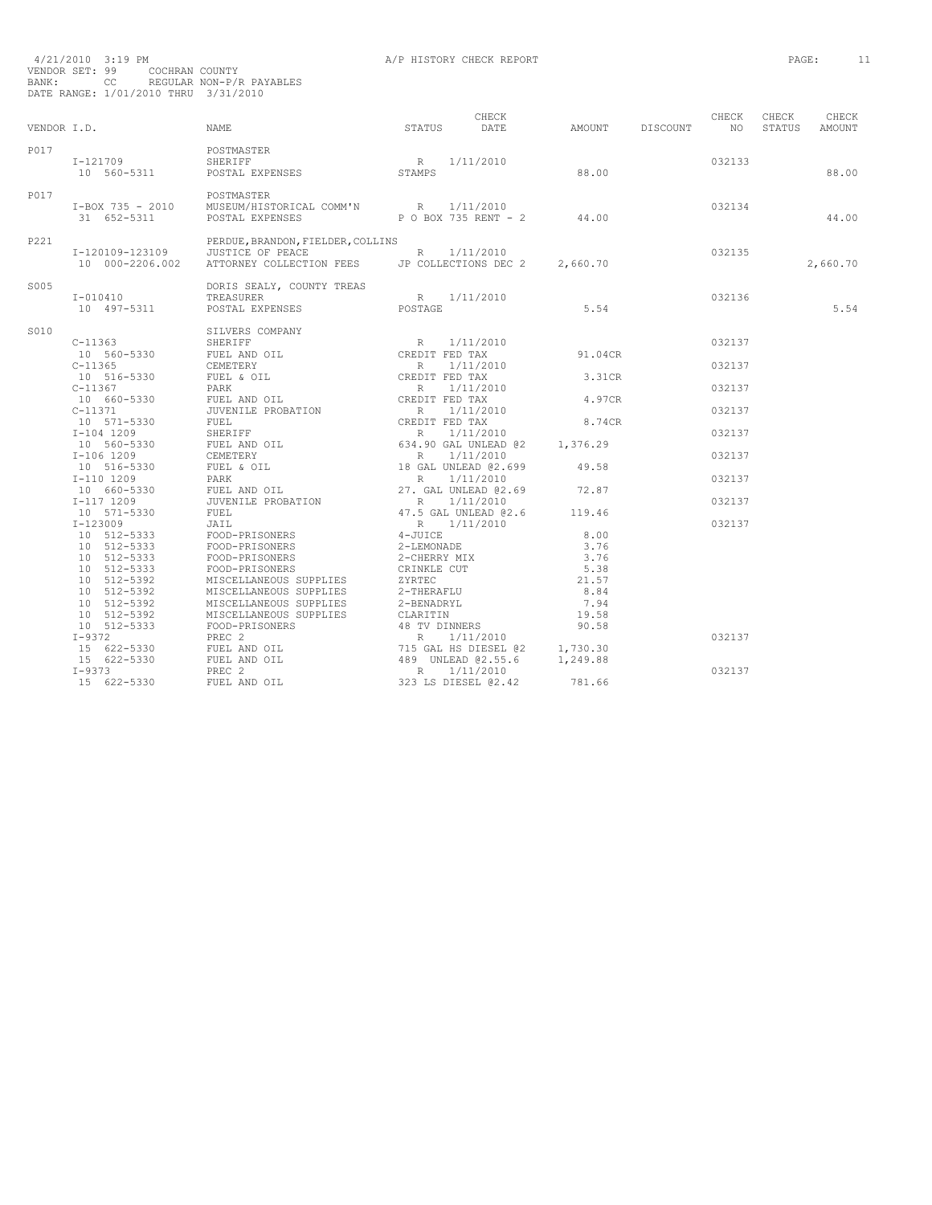|      | BANK: CC REGULAR NON-P/R PAYABLES<br>DATE RANGE: 1/01/2010 THRU 3/31/2010 | $4/21/2010$ $3\!:\!19$ PM $\,$ $\,$ A/P HISTORY CHECK REPORT VENDOR SET: $99$ $\,$ COCHRAN COUNTY                           |                   |                                                       |        |          | PAGE: |          | -11 |
|------|---------------------------------------------------------------------------|-----------------------------------------------------------------------------------------------------------------------------|-------------------|-------------------------------------------------------|--------|----------|-------|----------|-----|
|      | VENDOR I.D. NAME                                                          |                                                                                                                             | CHECK STATUS DATE | CHECK CHECK CHECK<br>AMOUNT DISCOUNT NO STATUS AMOUNT |        |          |       |          |     |
|      |                                                                           |                                                                                                                             |                   |                                                       |        |          |       |          |     |
| P017 |                                                                           | France COSTMASTER<br>The SHERIFF R 1/11/2010<br>10 560-5311 POSTAL EXPENSES STAMPS STAMPS 88.00                             |                   |                                                       |        | 032133   |       | 88.00    |     |
| P017 |                                                                           | FOSTMASTER<br>T-BOX 735 - 2010 MUSEUM/HISTORICAL COMM'N R 1/11/2010<br>31 652-5311 POSTAL EXPENSES POROX 735 RENT - 2 44.00 |                   |                                                       |        | 032134   |       | 44.00    |     |
| P221 |                                                                           | EERDUE, BRANDON, FIELDER, COLLINS<br>10 000-2206.002 ATTORNEY COLLECTION FEES DP COLLECTIONS DEC 2 2,660.70                 |                   |                                                       | 032135 |          |       | 2,660.70 |     |
| S005 |                                                                           | DORIS SEALY, COUNTY TREAS<br>197-5311 POSTAL EXPENSES RESORTAGE RESORTER SEALL POSTAGE POSTAGE S                            |                   |                                                       | 032136 |          |       | 5.54     |     |
| S010 |                                                                           |                                                                                                                             |                   |                                                       |        | 032137   |       |          |     |
|      |                                                                           |                                                                                                                             |                   |                                                       |        | 032137   |       |          |     |
|      |                                                                           |                                                                                                                             |                   |                                                       |        | 032137   |       |          |     |
|      |                                                                           |                                                                                                                             |                   |                                                       |        | 032137   |       |          |     |
|      |                                                                           |                                                                                                                             |                   |                                                       |        | 032137   |       |          |     |
|      |                                                                           |                                                                                                                             |                   |                                                       |        | 032137   |       |          |     |
|      |                                                                           |                                                                                                                             |                   |                                                       |        | 0.321.37 |       |          |     |
|      |                                                                           |                                                                                                                             |                   |                                                       |        | 032137   |       |          |     |
|      |                                                                           |                                                                                                                             |                   |                                                       |        | 032137   |       |          |     |
|      |                                                                           |                                                                                                                             |                   |                                                       |        |          |       |          |     |
|      |                                                                           |                                                                                                                             |                   |                                                       |        |          |       |          |     |
|      |                                                                           |                                                                                                                             |                   |                                                       |        |          |       |          |     |
|      |                                                                           |                                                                                                                             |                   |                                                       |        |          |       |          |     |
|      |                                                                           |                                                                                                                             |                   |                                                       |        |          |       |          |     |
|      |                                                                           |                                                                                                                             |                   |                                                       |        |          |       |          |     |
|      |                                                                           |                                                                                                                             |                   |                                                       |        |          |       |          |     |
|      |                                                                           |                                                                                                                             |                   |                                                       |        |          |       |          |     |
|      |                                                                           |                                                                                                                             |                   |                                                       |        | 032137   |       |          |     |
|      |                                                                           |                                                                                                                             |                   |                                                       |        |          |       |          |     |
|      |                                                                           |                                                                                                                             |                   |                                                       |        |          |       |          |     |
|      |                                                                           |                                                                                                                             |                   |                                                       |        | 032137   |       |          |     |
|      |                                                                           |                                                                                                                             |                   |                                                       |        |          |       |          |     |
|      |                                                                           |                                                                                                                             |                   |                                                       |        |          |       |          |     |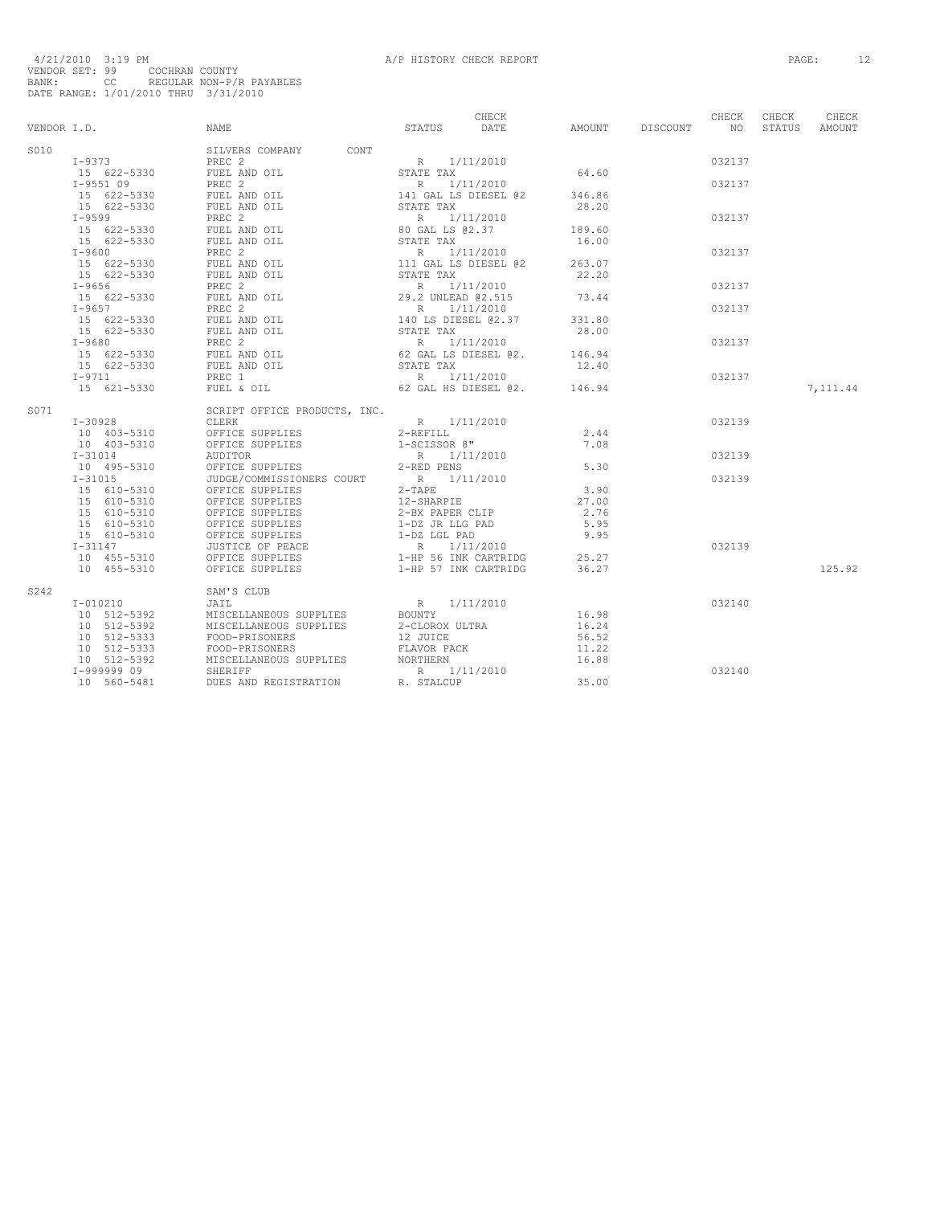|      |                                                                                                          |  |       | CHECK  | CHECK  | CHECK     |
|------|----------------------------------------------------------------------------------------------------------|--|-------|--------|--------|-----------|
|      | CHECK CHECK CHECK CHECK CHECK CHECK CHECK<br>VENDOR I.D. NAME NAME STATUS STATUS DATE AMOUNT DISCOUNT NO |  |       |        | STATUS | AMOUNT    |
| S010 |                                                                                                          |  |       |        |        |           |
|      |                                                                                                          |  |       |        |        |           |
|      |                                                                                                          |  |       |        |        |           |
|      |                                                                                                          |  |       |        |        |           |
|      |                                                                                                          |  |       |        |        |           |
|      |                                                                                                          |  |       |        |        |           |
|      |                                                                                                          |  |       |        |        |           |
|      |                                                                                                          |  |       |        |        |           |
|      |                                                                                                          |  |       |        |        |           |
|      |                                                                                                          |  |       |        |        |           |
|      |                                                                                                          |  |       |        |        |           |
|      |                                                                                                          |  |       |        |        |           |
|      |                                                                                                          |  |       |        |        |           |
|      |                                                                                                          |  |       |        |        |           |
|      |                                                                                                          |  |       |        |        |           |
|      |                                                                                                          |  |       |        |        |           |
|      |                                                                                                          |  |       |        |        |           |
|      |                                                                                                          |  |       |        |        |           |
|      |                                                                                                          |  |       |        |        |           |
|      |                                                                                                          |  |       |        |        |           |
|      |                                                                                                          |  |       |        |        |           |
|      |                                                                                                          |  |       |        |        | 7, 111.44 |
|      |                                                                                                          |  |       |        |        |           |
| S071 |                                                                                                          |  |       |        |        |           |
|      |                                                                                                          |  |       | 032139 |        |           |
|      |                                                                                                          |  |       |        |        |           |
|      |                                                                                                          |  |       |        |        |           |
|      |                                                                                                          |  |       | 032139 |        |           |
|      |                                                                                                          |  |       |        |        |           |
|      |                                                                                                          |  |       | 032139 |        |           |
|      |                                                                                                          |  |       |        |        |           |
|      |                                                                                                          |  |       |        |        |           |
|      |                                                                                                          |  |       |        |        |           |
|      |                                                                                                          |  |       |        |        |           |
|      |                                                                                                          |  |       |        |        |           |
|      |                                                                                                          |  |       | 032139 |        |           |
|      |                                                                                                          |  |       |        |        |           |
|      |                                                                                                          |  |       |        |        | 125.92    |
|      |                                                                                                          |  |       |        |        |           |
| S242 |                                                                                                          |  |       | 032140 |        |           |
|      |                                                                                                          |  |       |        |        |           |
|      |                                                                                                          |  |       |        |        |           |
|      |                                                                                                          |  |       |        |        |           |
|      |                                                                                                          |  |       |        |        |           |
|      |                                                                                                          |  |       |        |        |           |
|      |                                                                                                          |  |       | 032140 |        |           |
|      |                                                                                                          |  | 35.00 |        |        |           |
|      |                                                                                                          |  |       |        |        |           |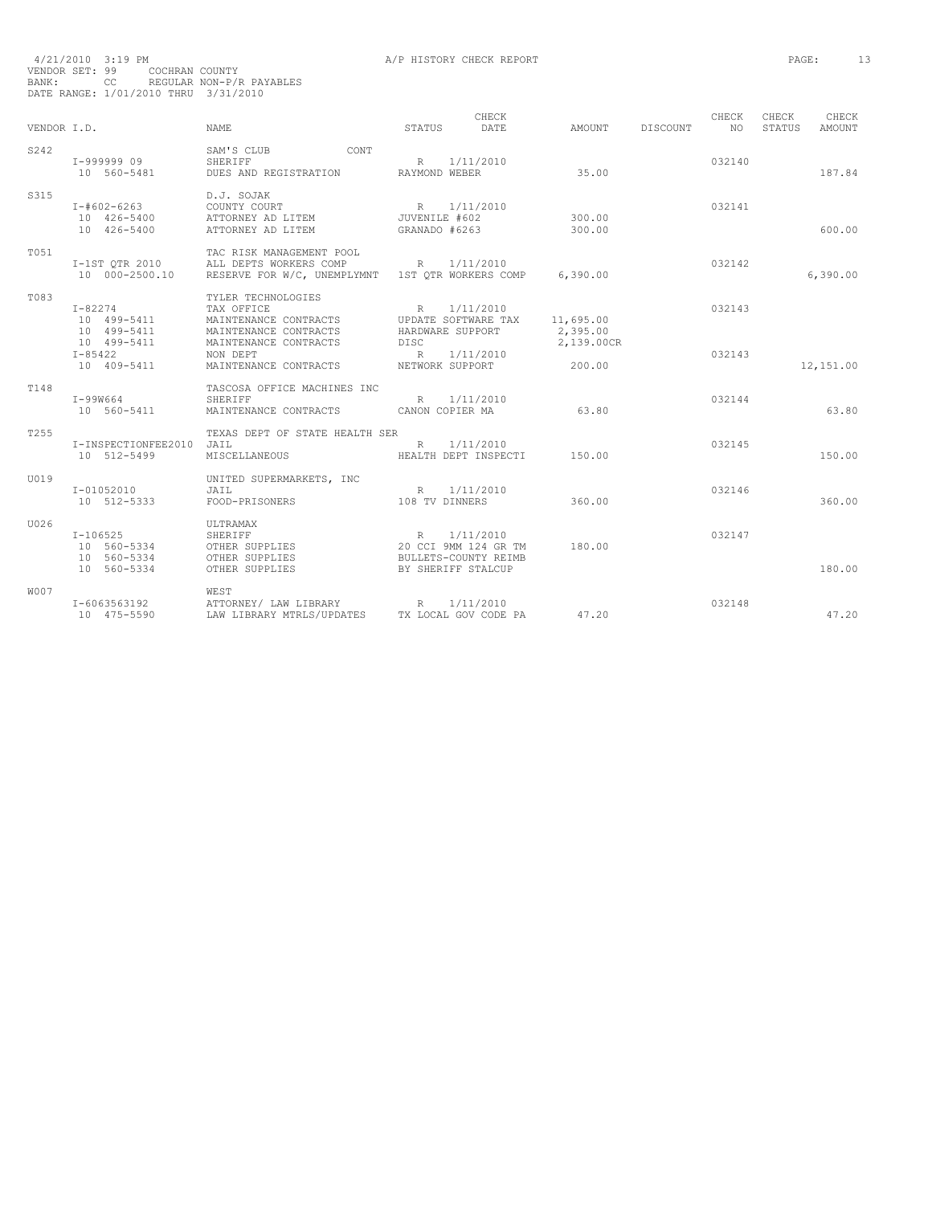| VENDOR I.D.      |                                            | NAME.                                                                                                  | STATUS                                        | CHECK<br>DATE.                                            | AMOUNT                | DISCOUNT | CHECK<br>NO. | CHECK<br>STATUS | CHECK<br><b>AMOUNT</b> |
|------------------|--------------------------------------------|--------------------------------------------------------------------------------------------------------|-----------------------------------------------|-----------------------------------------------------------|-----------------------|----------|--------------|-----------------|------------------------|
| S242             | I-999999 09<br>10 560-5481                 | SAM'S CLUB<br>CONT<br>SHERIFF<br>DUES AND REGISTRATION                                                 | R<br>RAYMOND WEBER                            | 1/11/2010                                                 | 35.00                 |          | 032140       |                 | 187.84                 |
| S315             | I-#602-6263<br>10 426-5400<br>10 426-5400  | D.J. SOJAK<br>COUNTY COURT<br>ATTORNEY AD LITEM<br>ATTORNEY AD LITEM                                   | R 1/11/2010<br>JUVENILE #602<br>GRANADO #6263 |                                                           | 300.00<br>300.00      |          | 032141       |                 | 600.00                 |
| T051             | I-1ST OTR 2010<br>10 000-2500.10           | TAC RISK MANAGEMENT POOL<br>ALL DEPTS WORKERS COMP<br>RESERVE FOR W/C, UNEMPLYMNT 1ST OTR WORKERS COMP | R 1/11/2010                                   |                                                           | 6,390.00              |          | 032142       |                 | 6,390.00               |
| T083             | $I - 82274$<br>10 499-5411<br>10 499-5411  | TYLER TECHNOLOGIES<br>TAX OFFICE<br>MAINTENANCE CONTRACTS<br>MAINTENANCE CONTRACTS                     | R<br>HARDWARE SUPPORT                         | 1/11/2010<br>UPDATE SOFTWARE TAX                          | 11,695.00<br>2,395.00 |          | 032143       |                 |                        |
|                  | 10 499-5411<br>$I - 85422$<br>10 409-5411  | MAINTENANCE CONTRACTS<br>NON DEPT<br>MAINTENANCE CONTRACTS                                             | DISC<br>R 1/11/2010<br>NETWORK SUPPORT        |                                                           | 2,139.00CR<br>200.00  |          | 032143       |                 | 12,151.00              |
| T148             | I-99W664<br>10 560-5411                    | TASCOSA OFFICE MACHINES INC<br>SHERIFF<br>MAINTENANCE CONTRACTS CANON COPIER MA                        |                                               | R 1/11/2010                                               | 63.80                 |          | 032144       |                 | 63.80                  |
| T <sub>255</sub> | I-INSPECTIONFEE2010<br>10 512-5499         | TEXAS DEPT OF STATE HEALTH SER<br>JAIL<br>MISCELLANEOUS                                                | R                                             | 1/11/2010<br>HEALTH DEPT INSPECTI                         | 150.00                |          | 032145       |                 | 150.00                 |
| U019             | I-01052010<br>10 512-5333                  | UNITED SUPERMARKETS, INC<br>JAIL<br>FOOD-PRISONERS                                                     | 108 TV DINNERS                                | R 1/11/2010                                               | 360.00                |          | 032146       |                 | 360.00                 |
| U026             | $I-106525$<br>10 560-5334<br>10 560-5334   | ULTRAMAX<br>SHERIFF<br>OTHER SUPPLIES<br>OTHER SUPPLIES                                                | R                                             | 1/11/2010<br>20 CCI 9MM 124 GR TM<br>BULLETS-COUNTY REIMB | 180.00                |          | 032147       |                 |                        |
| W007             | 10 560-5334<br>I-6063563192<br>10 475-5590 | OTHER SUPPLIES<br><b>WEST</b><br>ATTORNEY/ LAW LIBRARY<br>LAW LIBRARY MTRLS/UPDATES                    | R                                             | BY SHERIFF STALCUP<br>1/11/2010<br>TX LOCAL GOV CODE PA   | 47.20                 |          | 032148       |                 | 180.00<br>47.20        |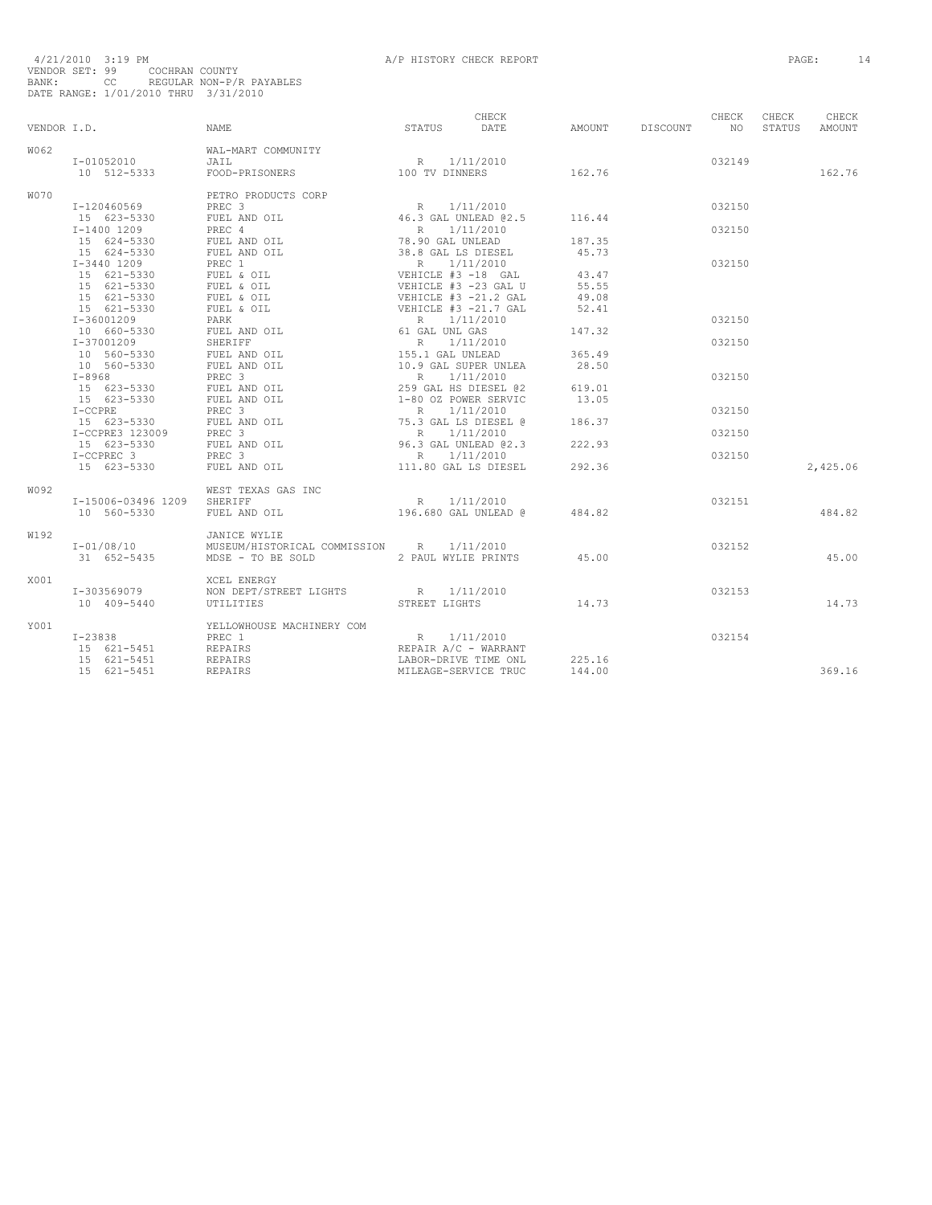| VENDOR I.D. |                                                                                    | CHECK<br>STATUS DATE<br>NAME                                                                                                                                                                                                                   |                                                                            | AMOUNT DISCOUNT NO | CHECK  | CHECK<br>STATUS | CHECK<br>AMOUNT |
|-------------|------------------------------------------------------------------------------------|------------------------------------------------------------------------------------------------------------------------------------------------------------------------------------------------------------------------------------------------|----------------------------------------------------------------------------|--------------------|--------|-----------------|-----------------|
| W062        |                                                                                    | WAL-MART COMMUNITY                                                                                                                                                                                                                             |                                                                            |                    |        |                 |                 |
|             | $I - 01052010$                                                                     |                                                                                                                                                                                                                                                |                                                                            |                    | 032149 |                 |                 |
|             |                                                                                    | $1-01052010$ $301$<br>$301$<br>$512-5333$ $500D-PRISONERS$ $100 TV DINNERS$                                                                                                                                                                    |                                                                            | 162.76             |        |                 | 162.76          |
| W070        |                                                                                    | PETRO PRODUCTS CORP                                                                                                                                                                                                                            |                                                                            |                    |        |                 |                 |
|             |                                                                                    |                                                                                                                                                                                                                                                |                                                                            |                    | 032150 |                 |                 |
|             |                                                                                    | T-120460569 PRETRO PRODUCTS CORP<br>15 623-5330 PREC 3<br>15 624-5330 PDEL AND OIL<br>15 624-5330 PDEL AND OIL<br>15 624-5330 PDEL AND OIL<br>15 624-5330 PDEL AND OIL<br>15 624-5330 PDEL AND OIL<br>15 624-5330 PDEL AND OIL<br>16.8 PDEL AN |                                                                            |                    |        |                 |                 |
|             |                                                                                    |                                                                                                                                                                                                                                                |                                                                            |                    | 032150 |                 |                 |
|             |                                                                                    |                                                                                                                                                                                                                                                |                                                                            |                    |        |                 |                 |
|             |                                                                                    |                                                                                                                                                                                                                                                |                                                                            |                    |        |                 |                 |
|             |                                                                                    |                                                                                                                                                                                                                                                |                                                                            |                    | 032150 |                 |                 |
|             |                                                                                    |                                                                                                                                                                                                                                                |                                                                            | 43.47              |        |                 |                 |
|             |                                                                                    |                                                                                                                                                                                                                                                |                                                                            | 55.55              |        |                 |                 |
|             |                                                                                    |                                                                                                                                                                                                                                                |                                                                            | 49.08              |        |                 |                 |
|             |                                                                                    |                                                                                                                                                                                                                                                |                                                                            | 52.41              |        |                 |                 |
|             |                                                                                    |                                                                                                                                                                                                                                                |                                                                            |                    | 032150 |                 |                 |
|             |                                                                                    |                                                                                                                                                                                                                                                |                                                                            | 147.32             |        |                 |                 |
|             |                                                                                    |                                                                                                                                                                                                                                                |                                                                            |                    | 032150 |                 |                 |
|             | 1-37001209<br>10 560-5330 FUEL AND OIL<br>10 560-5330 FUEL AND OIL<br>THE STREET 3 |                                                                                                                                                                                                                                                |                                                                            | 365.49             |        |                 |                 |
|             |                                                                                    |                                                                                                                                                                                                                                                |                                                                            | 28.50              |        |                 |                 |
|             |                                                                                    |                                                                                                                                                                                                                                                |                                                                            |                    | 032150 |                 |                 |
|             |                                                                                    |                                                                                                                                                                                                                                                |                                                                            |                    |        |                 |                 |
|             |                                                                                    |                                                                                                                                                                                                                                                |                                                                            |                    |        |                 |                 |
|             |                                                                                    |                                                                                                                                                                                                                                                |                                                                            |                    | 032150 |                 |                 |
|             |                                                                                    |                                                                                                                                                                                                                                                |                                                                            |                    |        |                 |                 |
|             |                                                                                    |                                                                                                                                                                                                                                                |                                                                            |                    | 032150 |                 |                 |
|             |                                                                                    |                                                                                                                                                                                                                                                |                                                                            |                    |        |                 |                 |
|             |                                                                                    |                                                                                                                                                                                                                                                |                                                                            |                    | 032150 |                 |                 |
|             |                                                                                    |                                                                                                                                                                                                                                                |                                                                            |                    |        |                 | 2,425.06        |
| W092        |                                                                                    | WEST TEXAS GAS INC                                                                                                                                                                                                                             |                                                                            |                    |        |                 |                 |
|             | I-15006-03496 1209 SHERIFF                                                         | SHERIFF R 1/11/2010<br>FUEL AND OIL 196.680 GAL UNLEAD @ 484.82                                                                                                                                                                                |                                                                            |                    | 032151 |                 |                 |
|             | 10 560-5330                                                                        |                                                                                                                                                                                                                                                |                                                                            |                    |        |                 | 484.82          |
| W192        |                                                                                    | JANICE WYLIE                                                                                                                                                                                                                                   |                                                                            |                    |        |                 |                 |
|             | $I - 01/08/10$                                                                     | MUSEUM/HISTORICAL COMMISSION R 1/11/2010                                                                                                                                                                                                       |                                                                            |                    | 032152 |                 |                 |
|             | 31 652-5435                                                                        | MDSE - TO BE SOLD 2 PAUL WYLIE PRINTS 45.00                                                                                                                                                                                                    |                                                                            |                    |        |                 | 45.00           |
| X001        |                                                                                    | XCEL ENERGY                                                                                                                                                                                                                                    |                                                                            |                    |        |                 |                 |
|             | I-303569079                                                                        | NON DEPT/STREET LIGHTS $R = 1/11/2010$                                                                                                                                                                                                         |                                                                            | 14.73              | 032153 |                 |                 |
|             | 10 409-5440                                                                        | UTILITIES                                                                                                                                                                                                                                      | STREET LIGHTS                                                              |                    |        |                 | 14.73           |
| Y001        |                                                                                    | YELLOWHOUSE MACHINERY COM                                                                                                                                                                                                                      |                                                                            |                    |        |                 |                 |
|             | I-23838                                                                            |                                                                                                                                                                                                                                                | R 1/11/2010<br>R 1/11/2010<br>REPAIR A/C - WARRANT<br>LABOR-DRIVE TIME ONL |                    | 032154 |                 |                 |
|             | 15 621-5451<br>15 621-5451                                                         |                                                                                                                                                                                                                                                |                                                                            |                    |        |                 |                 |
|             |                                                                                    | PREC 1<br>REPAIRS<br>REPAIRS<br>REPAIRS                                                                                                                                                                                                        |                                                                            | 225.16             |        |                 |                 |
|             | 15 621-5451                                                                        |                                                                                                                                                                                                                                                | MILEAGE-SERVICE TRUC                                                       | 144.00             |        |                 | 369.16          |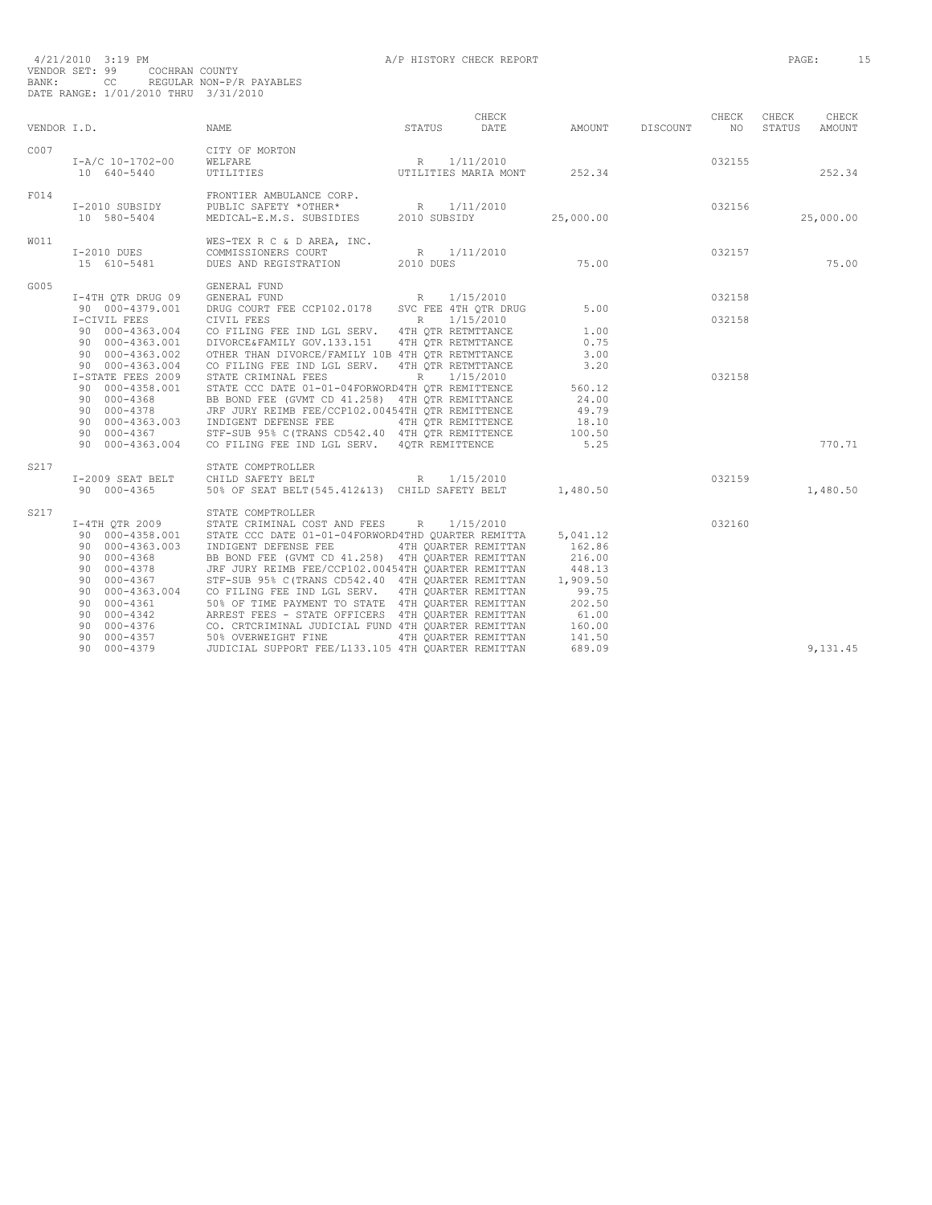| VENDOR I.D.       |                                                                                                                                                                                                                   | <b>NAME</b>                                                                                                                                                                                                                                                                                                                                                                                                                                                                                                                                                                                        | STATUS                                       | CHECK<br>DATE | AMOUNT                                                                                                       | DISCOUNT | CHECK<br>NO. | CHECK<br>STATUS | CHECK<br><b>AMOUNT</b> |
|-------------------|-------------------------------------------------------------------------------------------------------------------------------------------------------------------------------------------------------------------|----------------------------------------------------------------------------------------------------------------------------------------------------------------------------------------------------------------------------------------------------------------------------------------------------------------------------------------------------------------------------------------------------------------------------------------------------------------------------------------------------------------------------------------------------------------------------------------------------|----------------------------------------------|---------------|--------------------------------------------------------------------------------------------------------------|----------|--------------|-----------------|------------------------|
| C <sub>0</sub> 07 | I-A/C 10-1702-00<br>10 640-5440                                                                                                                                                                                   | CITY OF MORTON<br>WELFARE<br>UTILITIES                                                                                                                                                                                                                                                                                                                                                                                                                                                                                                                                                             | R 1/11/2010<br>UTILITIES MARIA MONT          |               | 252.34                                                                                                       |          | 032155       |                 | 252.34                 |
| F014              | I-2010 SUBSIDY<br>10 580-5404                                                                                                                                                                                     | FRONTIER AMBULANCE CORP.                                                                                                                                                                                                                                                                                                                                                                                                                                                                                                                                                                           |                                              |               | 25,000.00                                                                                                    |          | 032156       |                 | 25,000.00              |
| W011              | I-2010 DUES<br>15 610-5481                                                                                                                                                                                        | WES-TEX R C & D AREA, INC.<br>COMMISSIONERS COURT<br>DUES AND REGISTRATION 2010 DUES                                                                                                                                                                                                                                                                                                                                                                                                                                                                                                               | R 1/11/2010                                  |               | 75.00                                                                                                        |          | 032157       |                 | 75.00                  |
| G005              | I-4TH OTR DRUG 09<br>90 000-4379.001                                                                                                                                                                              | $\begin{tabular}{lllllllllll} \multicolumn{4}{c}{\tt GENERAL FUND} & & & R & 1/15/2010 \\ \multicolumn{4}{c}{\tt GENERAL FUND} & & & R & 1/15/2010 \\ \multicolumn{4}{c}{\tt DRUG} & {\tt COURT} & {\tt FEE} & {\tt CCP102.0178} & & & \\ \multicolumn{4}{c}{\tt CPTR} & & & R & 1/15/2010 \\ \multicolumn{4}{c}{\tt CPTR} & & & R & 1/15/2010 \\ \multicolumn{4}{c}{\tt CPTR} & & & R & 1/15/2010 \\ \mult$                                                                                                                                                                                       |                                              |               | 5.00                                                                                                         |          | 032158       |                 |                        |
|                   | I-CIVIL FEES<br>90 000-4363.002<br>90 000-4363.004                                                                                                                                                                | 90 000-4363.004 CO FILING FEE IND LGL SERV. 4TH QTR RETMTTANCE<br>90 000-4363.001 DIVORCE&FAMILY GOV.133.151 4TH OTR RETMTTANCE<br>OTHER THAN DIVORCE/FAMILY 10B 4TH OTR RETMTTANCE<br>CO FILING FEE IND LGL SERV.                                                                                                                                                                                                                                                                                                                                                                                 | 4TH OTR RETMTTANCE                           |               | 1.00<br>0.75<br>3.00<br>3.20                                                                                 |          | 032158       |                 |                        |
|                   | I-STATE FEES 2009<br>90 000-4358.001<br>90 000-4368<br>90 000-4378<br>90 000-4363.003<br>90 000-4367<br>90 000-4363.004                                                                                           | STATE CRIMINAL FEES<br>STATE CCC DATE 01-01-04FORWORD4TH OTR REMITTENCE<br>BB BOND FEE (GVMT CD 41.258) 4TH OTR REMITTANCE<br>JRF JURY REIMB FEE/CCP102.00454TH OTR REMITTENCE<br>INDIGENT DEFENSE FEE<br>STF-SUB 95% C(TRANS CD542.40 4TH OTR REMITTENCE<br>CO FILING FEE IND LGL SERV. 4OTR REMITTENCE                                                                                                                                                                                                                                                                                           | R 1/15/2010<br>4TH OTR REMITTENCE            |               | 560.12<br>24.00<br>49.79<br>18.10<br>100.50<br>5.25                                                          |          | 032158       |                 | 770.71                 |
| S217              | I-2009 SEAT BELT<br>90 000-4365                                                                                                                                                                                   | STATE COMPTROLLER<br>R<br>CHILD SAFETY BELT<br>50% OF SEAT BELT (545.412&13) CHILD SAFETY BELT                                                                                                                                                                                                                                                                                                                                                                                                                                                                                                     |                                              | 1/15/2010     | 1,480.50                                                                                                     |          | 032159       |                 | 1,480.50               |
| S217              | I-4TH QTR 2009<br>90 000-4358.001<br>90 000-4363.003<br>90 000-4368<br>90 000-4378<br>90 000-4367<br>000-4363.004<br>90<br>90 000-4361<br>90 000-4342<br>90 000-4376<br>90 000-4357<br>90 000-4379<br>90 000-4379 | STATE COMPTROLLER<br>STATE CRIMINAL COST AND FEES R<br>STATE CCC DATE 01-01-04FORWORD4THD QUARTER REMITTA<br>INDIGENT DEFENSE FEE<br>BB BOND FEE (GVMT CD 41,258) 4TH QUARTER REMITTAN<br>JRF JURY REIMB FEE/CCP102.00454TH QUARTER REMITTAN<br>STF-SUB 95% C(TRANS CD542.40 4TH QUARTER REMITTAN<br>CO FILING FEE IND LGL SERV. 4TH OUARTER REMITTAN<br>50% OF TIME PAYMENT TO STATE 4TH OUARTER REMITTAN<br>ARREST FEES - STATE OFFICERS 4TH QUARTER REMITTAN<br>CO. CRTCRIMINAL JUDICIAL FUND 4TH QUARTER REMITTAN<br>50% OVERWEIGHT FINE<br>JUDICIAL SUPPORT FEE/L133.105 4TH QUARTER REMITTAN | 4TH OUARTER REMITTAN<br>4TH OUARTER REMITTAN | 1/15/2010     | 5,041.12<br>162.86<br>216.00<br>448.13<br>1,909.50<br>99.75<br>202.50<br>61.00<br>160.00<br>141.50<br>689.09 |          | 032160       |                 | 9,131.45               |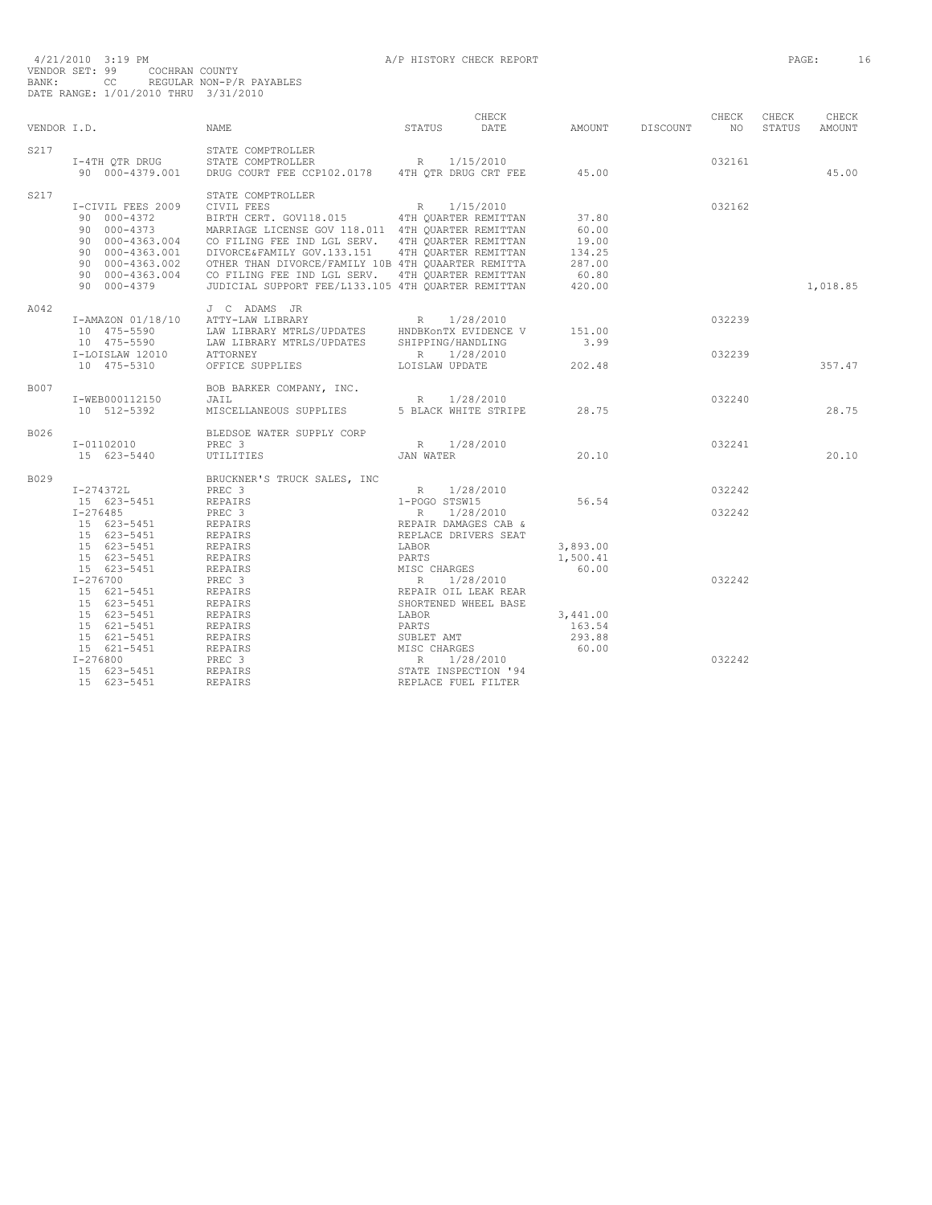|      | VENDOR I.D.                                                                                                           | NAME                                                                                                                                                                                                                                                                                                                                                                                                                                                                                                                             | STATUS DATE                                                                              | CHECK                                                        | AMOUNT DISCOUNT NO                                                      | CHECK            | CHECK<br>STATUS AMOUNT | CHECK    |
|------|-----------------------------------------------------------------------------------------------------------------------|----------------------------------------------------------------------------------------------------------------------------------------------------------------------------------------------------------------------------------------------------------------------------------------------------------------------------------------------------------------------------------------------------------------------------------------------------------------------------------------------------------------------------------|------------------------------------------------------------------------------------------|--------------------------------------------------------------|-------------------------------------------------------------------------|------------------|------------------------|----------|
| S217 |                                                                                                                       | STATE COMPTROLLER<br>T-4TH QTR DRUG STATE COMPTROLLER R 1/15/2010<br>90 000-4379.001 DRUG COURT FEE CCP102.0178 4TH QTR DRUG CRT FEE 45.00                                                                                                                                                                                                                                                                                                                                                                                       |                                                                                          |                                                              |                                                                         | 032161           |                        | 45.00    |
| S217 | I-CIVIL FEES 2009<br>90 000-4379                                                                                      | STATE COMPTROLLER<br>I-CIVIL FEES 2009 CIVIL FEES R 1/15/2010<br>90 000-4372 BIRTH CERT. GOV118.015 4TH QUARTER REMITTAN<br>90 000-4373 MARRIAGE LICENSE GOV 118.011 4TH QUARTER REMITTAN<br>90 000-4363.004 CO FILING FEE IND LGL SERV. 4TH QUARTER REMITTAN<br>90 000-4363.001 DIVORCE&FAMILY GOV.133.151 4TH QUARTER REMITTAN<br>90 000-4363.002 OTHER THAN DIVORCE/FAMILY 10B 4TH OUAARTER REMITTA<br>90 000-4363.004 CO FILING FEE IND LGL SERV. 4TH OUARTER REMITTAN<br>JUDICIAL SUPPORT FEE/L133.105 4TH OUARTER REMITTAN |                                                                                          |                                                              | 37.80<br>60.00<br>19.00<br>19.00<br>134.25<br>287.00<br>60.80<br>420.00 | 032162           |                        | 1,018.85 |
| A042 | I-LOISLAW 12010 ATTORNEY<br>10 475-5310                                                                               | J C ADAMS JR<br>1-AMAZON 01/18/10 U COMUNICARY R 1/28/2010<br>10 475-5590 LAW LIBRARY MTRLS/UPDATES HNDBKonTX EVIDENCE V 151.00<br>10 475-5590 LAW LIBRARY MTRLS/UPDATES SHIPPING/HANDLING 3.99<br>$\begin{tabular}{lcccccc} ATTORNEY & & & & R & 1/28/2010 \\ OFFICE SUPPLIES & & & & & \text{LOISLAW UPDATE} & & & & 202.48 \\ \end{tabular}$                                                                                                                                                                                  |                                                                                          |                                                              |                                                                         | 032239<br>032239 |                        | 357.47   |
| B007 | I-WEB000112150<br>10 512-5392                                                                                         | BOB BARKER COMPANY, INC.<br>$\begin{tabular}{lllllllllll} \texttt{JAIL} & \texttt{R} & \texttt{1/28/2010} \\ \texttt{MISCELLANEOUS SUPPLIES} & \texttt{5 BLACK WITHTE STRIPE} & \texttt{28.75} \end{tabular}$                                                                                                                                                                                                                                                                                                                    |                                                                                          |                                                              |                                                                         | 032240           |                        | 28.75    |
| B026 | I-01102010<br>15 623-5440                                                                                             | BLEDSOE WATER SUPPLY CORP<br>R 1/28/2010<br>JAN WATER<br>PREC <sub>3</sub><br>UTILITIES                                                                                                                                                                                                                                                                                                                                                                                                                                          |                                                                                          |                                                              | 20.10                                                                   | 032241           |                        | 20.10    |
| B029 | $I-274372L$<br>15 623-5451<br>I-276485<br>15 623-5451<br>15 623-5451                                                  | BRUCKNER'S TRUCK SALES, INC<br>PREC 3<br>R 1/28/2010<br>1-POGO STSW15<br>R 1/28/2010<br>REPAIR DAMAGES CAB &<br>REPAIRS<br>PREC 3<br>REPAIRS                                                                                                                                                                                                                                                                                                                                                                                     |                                                                                          |                                                              | 56.54                                                                   | 032242<br>032242 |                        |          |
|      | 15 623-5451<br>15 623-5451<br>15 623-5451<br>$I - 276700$<br>15 621-5451                                              | NEPAIRS<br>REPAIRS<br>REPAIRS<br>REPAIRS<br>PREC 3<br>REPAIRS<br>REPAIRS                                                                                                                                                                                                                                                                                                                                                                                                                                                         | REPLACE DRIVERS SEAT<br>LABOR<br>PARTS<br>SHORTENED WHEEL BASE                           | PARTS<br>MISC CHARGES<br>R 1/28/2010<br>REPAIR OIL LEAK REAR | 3,893.00<br>1,500.41<br>60.00                                           | 032242           |                        |          |
|      | 15 623-5451<br>15 623-5451<br>15 621-5451<br>15 621-5451<br>15 621-5451<br>$I - 276800$<br>15 623-5451<br>15 623-5451 | REPAIRS<br>LABOR<br>PARTS<br>REPAIRS<br>REPAIRS<br>REPAIRS<br>REPAIRS<br>REPAIRS<br>REPAIRS<br>REPAIRS                                                                                                                                                                                                                                                                                                                                                                                                                           | SUBLET AMT<br>MISC CHARGES<br>R 1/28/2010<br>STATE INSPECTION '94<br>REPLACE FUEL FILTER |                                                              | 3,441.00<br>163.54<br>293.88<br>60.00                                   | 032242           |                        |          |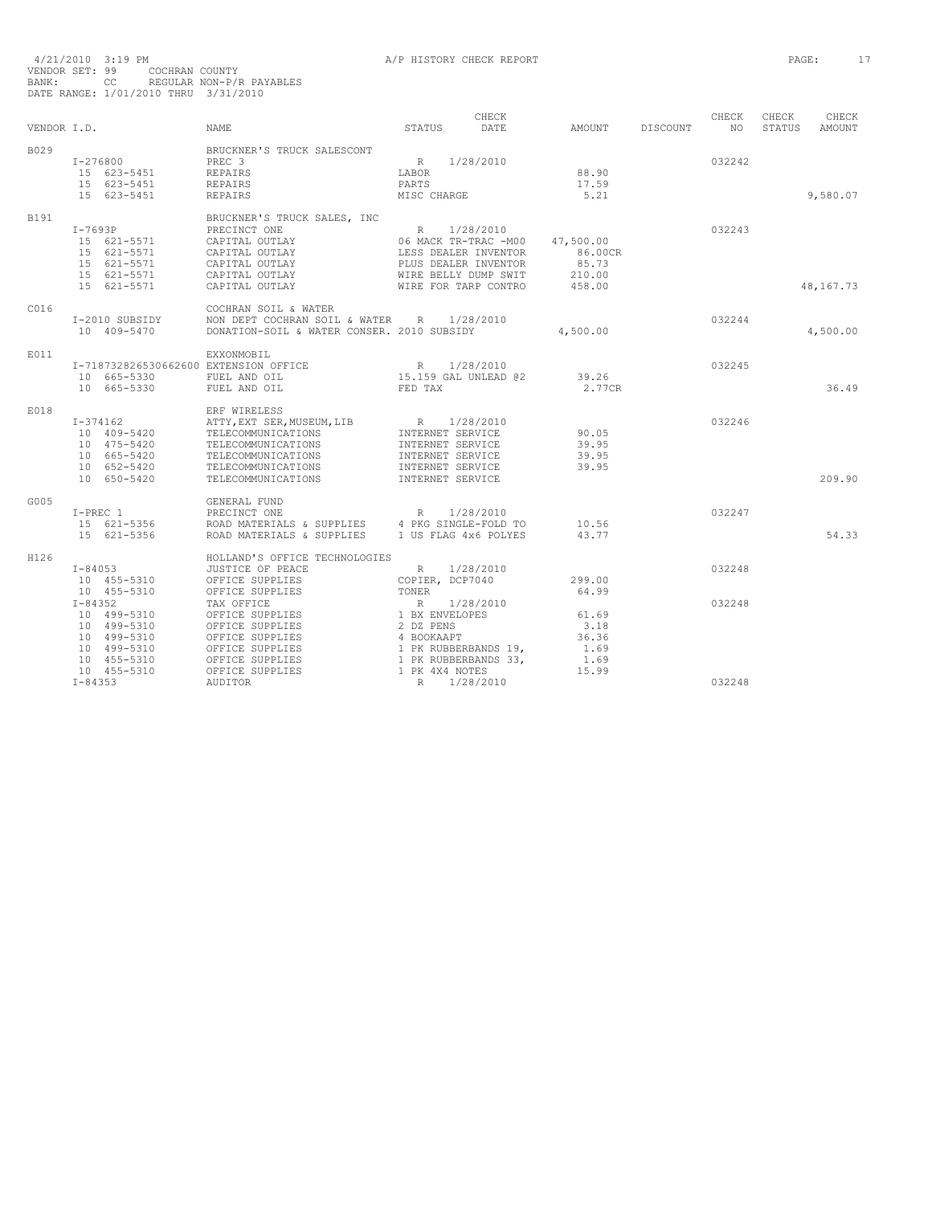| VENDOR I.D. |                                                                                                                      | <b>NAME</b>                                                                                                                                                          | STATUS                                                                                                                                  | CHECK<br>DATE | AMOUNT                                            | DISCOUNT | CHECK<br>NO      | CHECK<br>STATUS | CHECK<br>AMOUNT |
|-------------|----------------------------------------------------------------------------------------------------------------------|----------------------------------------------------------------------------------------------------------------------------------------------------------------------|-----------------------------------------------------------------------------------------------------------------------------------------|---------------|---------------------------------------------------|----------|------------------|-----------------|-----------------|
| B029        | I-276800<br>15 623-5451<br>15 623-5451<br>15 623-5451                                                                | BRUCKNER'S TRUCK SALESCONT<br>PREC <sub>3</sub><br>REPAIRS<br><b>REPAIRS</b><br><b>REPAIRS</b>                                                                       | R<br>LABOR<br>PARTS<br>MISC CHARGE                                                                                                      | 1/28/2010     | 88.90<br>17.59<br>5.21                            |          | 032242           |                 | 9,580.07        |
| B191        | $I-7693P$<br>15 621-5571<br>15 621-5571<br>15 621-5571<br>15 621-5571<br>15 621-5571                                 | BRUCKNER'S TRUCK SALES, INC<br>PRECINCT ONE<br>CAPITAL OUTLAY<br>CAPITAL OUTLAY<br>CAPITAL OUTLAY<br>CAPITAL OUTLAY<br>CAPITAL OUTLAY                                | $R_{\parallel}$<br>06 MACK TR-TRAC -M00<br>LESS DEALER INVENTOR<br>PLUS DEALER INVENTOR<br>WIRE BELLY DUMP SWIT<br>WIRE FOR TARP CONTRO | 1/28/2010     | 47,500.00<br>86.00CR<br>85.73<br>210.00<br>458.00 |          | 032243           |                 | 48, 167. 73     |
| C016        | I-2010 SUBSIDY<br>10 409-5470                                                                                        | COCHRAN SOIL & WATER<br>NON DEPT COCHRAN SOIL & WATER<br>DONATION-SOIL & WATER CONSER. 2010 SUBSIDY                                                                  | R                                                                                                                                       | 1/28/2010     | 4,500.00                                          |          | 032244           |                 | 4,500.00        |
| E011        | I-718732826530662600 EXTENSION OFFICE<br>10 665-5330<br>10 665-5330                                                  | EXXONMOBIL<br>FUEL AND OIL<br>FUEL AND OIL                                                                                                                           | R 1/28/2010<br>15.159 GAL UNLEAD @2<br>FED TAX                                                                                          |               | 39.26<br>2.77CR                                   |          | 032245           |                 | 36.49           |
| E018        | $I - 374162$<br>10 409-5420<br>10 475-5420<br>10 665-5420<br>10 652-5420<br>10 650-5420                              | ERF WIRELESS<br>ATTY, EXT SER, MUSEUM, LIB R 1/28/2010<br>TELECOMMUNICATIONS<br>TELECOMMUNICATIONS<br>TELECOMMUNICATIONS<br>TELECOMMUNICATIONS<br>TELECOMMUNICATIONS | INTERNET SERVICE<br>INTERNET SERVICE<br>INTERNET SERVICE<br>INTERNET SERVICE<br>INTERNET SERVICE                                        |               | 90.05<br>39.95<br>39.95<br>39.95                  |          | 032246           |                 | 209.90          |
| G005        | $I-PREC$ 1<br>15 621-5356<br>15 621-5356                                                                             | GENERAL FUND<br>ROAD MATERIALS & SUPPLIES                                                                                                                            | 1 US FLAG 4x6 POLYES                                                                                                                    |               | 10.56<br>43.77                                    |          | 032247           |                 | 54.33           |
| H126        | $I - 84053$<br>10 455-5310<br>10 455-5310                                                                            | HOLLAND'S OFFICE TECHNOLOGIES<br>JUSTICE OF PEACE<br>OFFICE SUPPLIES<br>OFFICE SUPPLIES                                                                              | R<br>COPIER, DCP7040<br>TONER                                                                                                           | 1/28/2010     | 299.00<br>64.99                                   |          | 032248           |                 |                 |
|             | $I - 84352$<br>10 499-5310<br>10 499-5310<br>10 499-5310<br>10 499-5310<br>10 455-5310<br>10 455-5310<br>$I - 84353$ | TAX OFFICE<br>OFFICE SUPPLIES<br>OFFICE SUPPLIES<br>OFFICE SUPPLIES<br>OFFICE SUPPLIES<br>OFFICE SUPPLIES<br>OFFICE SUPPLIES<br>AUDITOR                              | R 1/28/2010<br>1 BX ENVELOPES<br>2 DZ PENS<br>4 BOOKAAPT<br>1 PK RUBBERBANDS 19,<br>1 PK RUBBERBANDS 33,<br>1 PK 4X4 NOTES<br>R         | 1/28/2010     | 61.69<br>3.18<br>36.36<br>1.69<br>1.69<br>15.99   |          | 032248<br>032248 |                 |                 |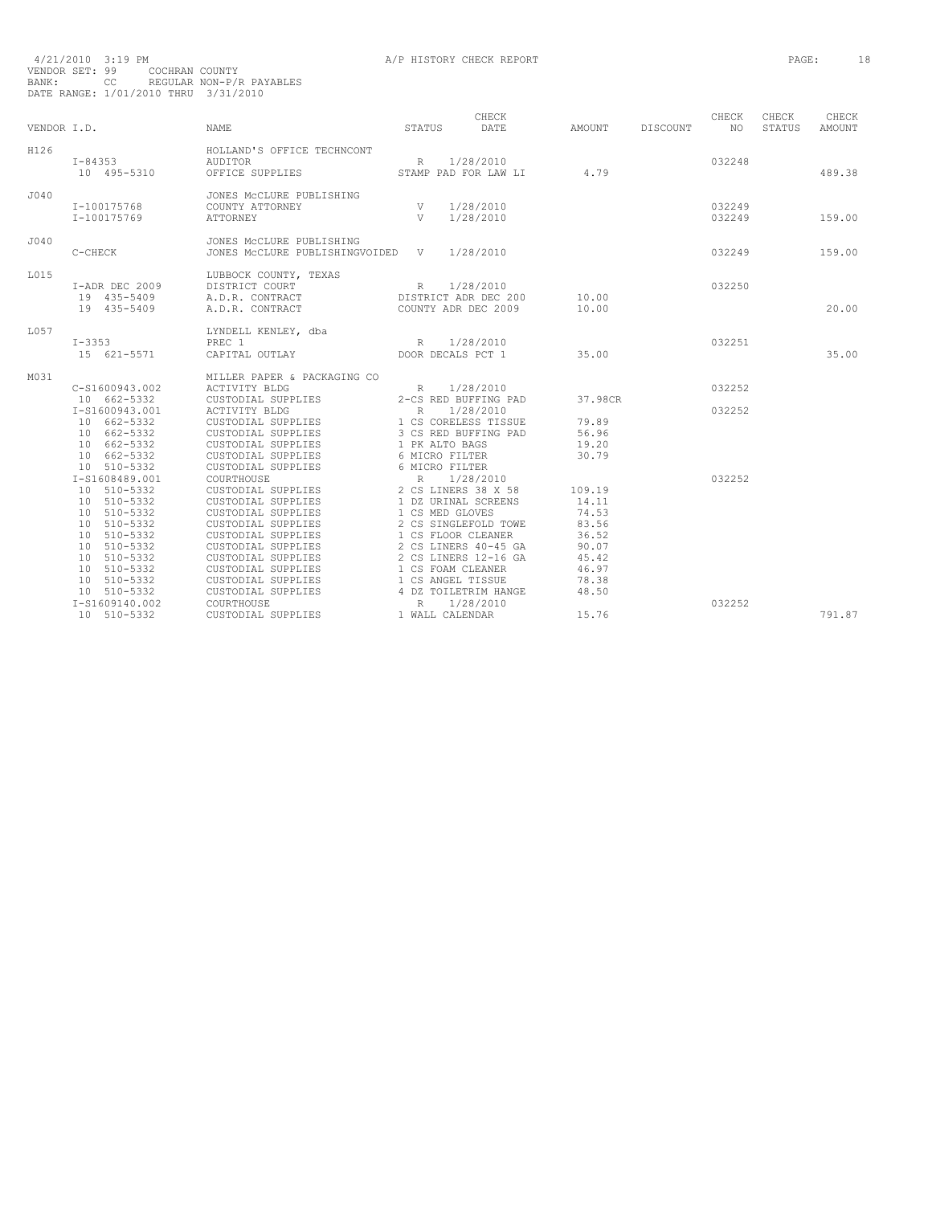| VENDOR I.D. |                                              | <b>NAME</b>                                                                   | STATUS          | CHECK<br>DATE                                            | AMOUNT         | DISCOUNT | CHECK<br>NO.     | CHECK<br>STATUS | CHECK<br>AMOUNT |
|-------------|----------------------------------------------|-------------------------------------------------------------------------------|-----------------|----------------------------------------------------------|----------------|----------|------------------|-----------------|-----------------|
| H126        | $I - 84353$<br>10 495-5310                   | HOLLAND'S OFFICE TECHNCONT<br>AUDITOR<br>OFFICE SUPPLIES                      |                 | R 1/28/2010<br>STAMP PAD FOR LAW LI                      | 4.79           |          | 032248           |                 | 489.38          |
| J040        | I-100175768<br>I-100175769                   | JONES MCCLURE PUBLISHING<br>COUNTY ATTORNEY<br>ATTORNEY                       | V<br>V          | 1/28/2010<br>1/28/2010                                   |                |          | 032249<br>032249 |                 | 159.00          |
| J040        | C-CHECK                                      | JONES MCCLURE PUBLISHING<br>JONES MCCLURE PUBLISHINGVOIDED V                  |                 | 1/28/2010                                                |                |          | 032249           |                 | 159.00          |
| L015        | I-ADR DEC 2009<br>19 435-5409<br>19 435-5409 | LUBBOCK COUNTY, TEXAS<br>DISTRICT COURT<br>A.D.R. CONTRACT<br>A.D.R. CONTRACT | $R_{\rm{1}}$    | 1/28/2010<br>DISTRICT ADR DEC 200<br>COUNTY ADR DEC 2009 | 10.00<br>10.00 |          | 032250           |                 | 20.00           |
| T.057       | $I - 3353$<br>15 621-5571                    | LYNDELL KENLEY, dba<br>PREC 1<br>CAPITAL OUTLAY                               | R               | 1/28/2010<br>DOOR DECALS PCT 1                           | 35.00          |          | 032251           |                 | 35.00           |
| M031        |                                              | MILLER PAPER & PACKAGING CO                                                   |                 |                                                          |                |          |                  |                 |                 |
|             | C-S1600943.002<br>10 662-5332                | ACTIVITY BLDG<br>CUSTODIAL SUPPLIES                                           | R               | 1/28/2010<br>2-CS RED BUFFING PAD                        | 37.98CR        |          | 032252           |                 |                 |
|             | I-S1600943.001                               | <b>ACTIVITY BLDG</b>                                                          | R               | 1/28/2010                                                |                |          | 032252           |                 |                 |
|             | 10 662-5332                                  |                                                                               |                 |                                                          | 79.89          |          |                  |                 |                 |
|             | 10 662-5332                                  | CUSTODIAL SUPPLIES<br>CUSTODIAL SUPPLIES                                      |                 | 1 CS CORELESS TISSUE<br>3 CS RED BUFFING PAD             | 56.96          |          |                  |                 |                 |
|             | 10 662-5332                                  | CUSTODIAL SUPPLIES                                                            |                 | 1 PK ALTO BAGS                                           | 19.20          |          |                  |                 |                 |
|             | 10 662-5332                                  | CUSTODIAL SUPPLIES                                                            |                 | 6 MICRO FILTER                                           | 30.79          |          |                  |                 |                 |
|             | 10 510-5332                                  | CUSTODIAL SUPPLIES                                                            |                 | 6 MICRO FILTER                                           |                |          |                  |                 |                 |
|             | I-S1608489.001                               | COURTHOUSE                                                                    | $R_{\parallel}$ | 1/28/2010                                                |                |          | 032252           |                 |                 |
|             | 10 510-5332                                  | CUSTODIAL SUPPLIES                                                            |                 | 2 CS LINERS 38 X 58                                      | 109.19         |          |                  |                 |                 |
|             | 10 510-5332                                  | CUSTODIAL SUPPLIES                                                            |                 | 1 DZ URINAL SCREENS                                      | 14.11          |          |                  |                 |                 |
|             | 10 510-5332                                  | CUSTODIAL SUPPLIES                                                            |                 | 1 CS MED GLOVES                                          | 74.53          |          |                  |                 |                 |
|             | 10 510-5332                                  | CUSTODIAL SUPPLIES                                                            |                 | 2 CS SINGLEFOLD TOWE                                     | 83.56          |          |                  |                 |                 |
|             | 10 510-5332                                  | CUSTODIAL SUPPLIES                                                            |                 | 1 CS FLOOR CLEANER                                       | 36.52          |          |                  |                 |                 |
|             | 10 510-5332                                  | CUSTODIAL SUPPLIES                                                            |                 | 2 CS LINERS 40-45 GA                                     | 90.07          |          |                  |                 |                 |
|             | 10 510-5332                                  | CUSTODIAL SUPPLIES                                                            |                 | 2 CS LINERS 12-16 GA                                     | 45.42          |          |                  |                 |                 |
|             | 510-5332<br>10<br>10 510-5332                | CUSTODIAL SUPPLIES                                                            |                 | 1 CS FOAM CLEANER<br>1 CS ANGEL TISSUE                   | 46.97<br>78.38 |          |                  |                 |                 |
|             | 10 510-5332                                  | CUSTODIAL SUPPLIES<br>CUSTODIAL SUPPLIES                                      |                 | 4 DZ TOILETRIM HANGE                                     | 48.50          |          |                  |                 |                 |
|             | I-S1609140.002                               | COURTHOUSE                                                                    | $R_{\parallel}$ | 1/28/2010                                                |                |          | 032252           |                 |                 |
|             | 10 510-5332                                  | CUSTODIAL SUPPLIES                                                            |                 | 1 WALL CALENDAR                                          | 15.76          |          |                  |                 | 791.87          |
|             |                                              |                                                                               |                 |                                                          |                |          |                  |                 |                 |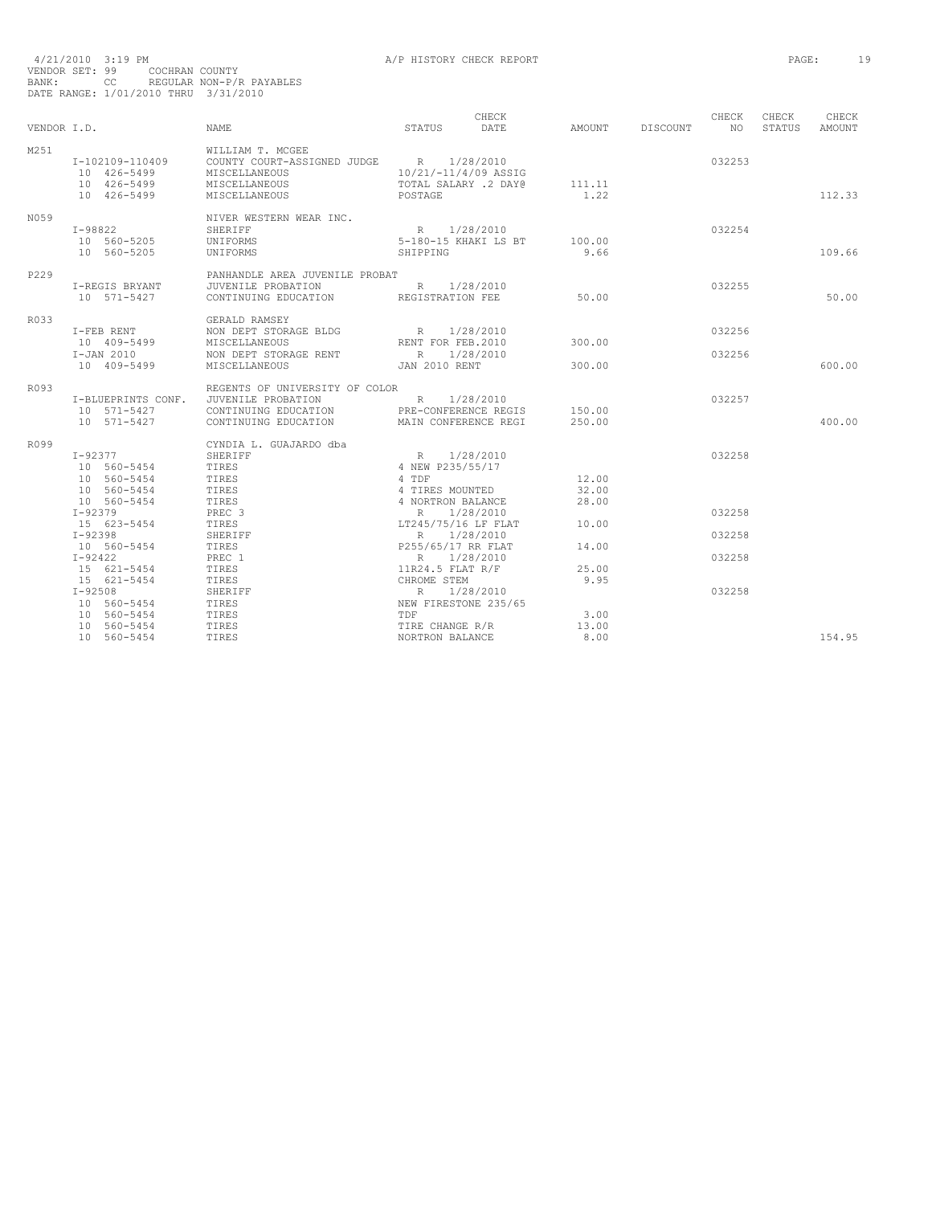|             |                            |                                         |                             | CHECK     |               |          | CHECK  | CHECK  | CHECK         |
|-------------|----------------------------|-----------------------------------------|-----------------------------|-----------|---------------|----------|--------|--------|---------------|
| VENDOR I.D. |                            | <b>NAME</b>                             | STATUS                      | DATE.     | AMOUNT        | DISCOUNT | NO.    | STATUS | <b>AMOUNT</b> |
| M251        |                            | WILLIAM T. MCGEE                        |                             |           |               |          |        |        |               |
|             | I-102109-110409            | COUNTY COURT-ASSIGNED JUDGE R 1/28/2010 |                             |           |               |          | 032253 |        |               |
|             | 10 426-5499                | MISCELLANEOUS                           | 10/21/-11/4/09 ASSIG        |           |               |          |        |        |               |
|             | 10 426-5499                | MISCELLANEOUS                           | TOTAL SALARY .2 DAY@        |           | 111.11        |          |        |        |               |
|             | 10 426-5499                | MISCELLANEOUS                           | POSTAGE                     |           | 1.22          |          |        |        | 112.33        |
| N059        |                            | NIVER WESTERN WEAR INC.                 |                             |           |               |          |        |        |               |
|             | I-98822                    | SHERIFF                                 | R 1/28/2010                 |           |               |          | 032254 |        |               |
|             | 10 560-5205                | UNIFORMS                                | 5-180-15 KHAKI LS BT        |           | 100.00        |          |        |        |               |
|             | 10 560-5205                | UNIFORMS                                | SHIPPING                    |           | 9.66          |          |        |        | 109.66        |
| P229        |                            | PANHANDLE AREA JUVENILE PROBAT          |                             |           |               |          |        |        |               |
|             | I-REGIS BRYANT             | JUVENILE PROBATION                      | R 1/28/2010                 |           |               |          | 032255 |        |               |
|             | 10 571-5427                | CONTINUING EDUCATION REGISTRATION FEE   |                             |           | 50.00         |          |        |        | 50.00         |
| R033        |                            | GERALD RAMSEY                           |                             |           |               |          |        |        |               |
|             | I-FEB RENT                 | NON DEPT STORAGE BLDG                   | R 1/28/2010                 |           |               |          | 032256 |        |               |
|             | 10 409-5499                | MISCELLANEOUS                           | RENT FOR FEB.2010           |           | 300.00        |          |        |        |               |
|             | $I-JAN$ 2010               | NON DEPT STORAGE RENT                   | R 1/28/2010                 |           |               |          | 032256 |        |               |
|             | 10 409-5499                | MISCELLANEOUS                           | JAN 2010 RENT               |           | 300.00        |          |        |        | 600.00        |
| R093        |                            | REGENTS OF UNIVERSITY OF COLOR          |                             |           |               |          |        |        |               |
|             | I-BLUEPRINTS CONF.         | JUVENILE PROBATION                      | R 1/28/2010                 |           |               |          | 032257 |        |               |
|             | 10 571-5427                | CONTINUING EDUCATION                    | PRE-CONFERENCE REGIS        |           | 150.00        |          |        |        |               |
|             | 10 571-5427                | CONTINUING EDUCATION                    | MAIN CONFERENCE REGI        |           | 250.00        |          |        |        | 400.00        |
| R099        |                            | CYNDIA L. GUAJARDO dba                  |                             |           |               |          |        |        |               |
|             | $I - 92377$                | SHERIFF                                 | R 1/28/2010                 |           |               |          | 032258 |        |               |
|             | 10 560-5454                | TIRES                                   | 4 NEW P235/55/17            |           |               |          |        |        |               |
|             | 10 560-5454                | TIRES                                   | 4 TDF                       |           | 12.00         |          |        |        |               |
|             | 10 560-5454                | TIRES                                   | 4 TIRES MOUNTED             |           | 32.00         |          |        |        |               |
|             | 10 560-5454                | TIRES                                   | 4 NORTRON BALANCE           |           | 28.00         |          |        |        |               |
|             | $I-92379$                  | PREC <sub>3</sub>                       | R 1/28/2010                 |           |               |          | 032258 |        |               |
|             | 15 623-5454                | TIRES                                   | LT245/75/16 LF FLAT         |           | 10.00         |          |        |        |               |
|             | $I-92398$                  | SHERIFF                                 | R 1/28/2010                 |           |               |          | 032258 |        |               |
|             | 10 560-5454                | TIRES                                   | P255/65/17 RR FLAT          |           | 14.00         |          |        |        |               |
|             | $I - 92422$                | PREC 1                                  | R                           | 1/28/2010 |               |          | 032258 |        |               |
|             | 15 621-5454                | TIRES                                   | 11R24.5 FLAT R/F            |           | 25.00<br>9.95 |          |        |        |               |
|             | 15 621-5454<br>$I - 92508$ | TIRES                                   | CHROME STEM<br>R 1/28/2010  |           |               |          | 032258 |        |               |
|             |                            | SHERIFF                                 |                             |           |               |          |        |        |               |
|             | 10 560-5454                | TIRES                                   | NEW FIRESTONE 235/65<br>TDF |           | 3.00          |          |        |        |               |
|             | 10 560-5454                | TIRES                                   |                             |           |               |          |        |        |               |
|             | 10 560-5454                | TIRES                                   | TIRE CHANGE R/R             |           | 13.00         |          |        |        |               |
|             | 10 560-5454                | TIRES                                   | NORTRON BALANCE             |           | 8.00          |          |        |        | 154.95        |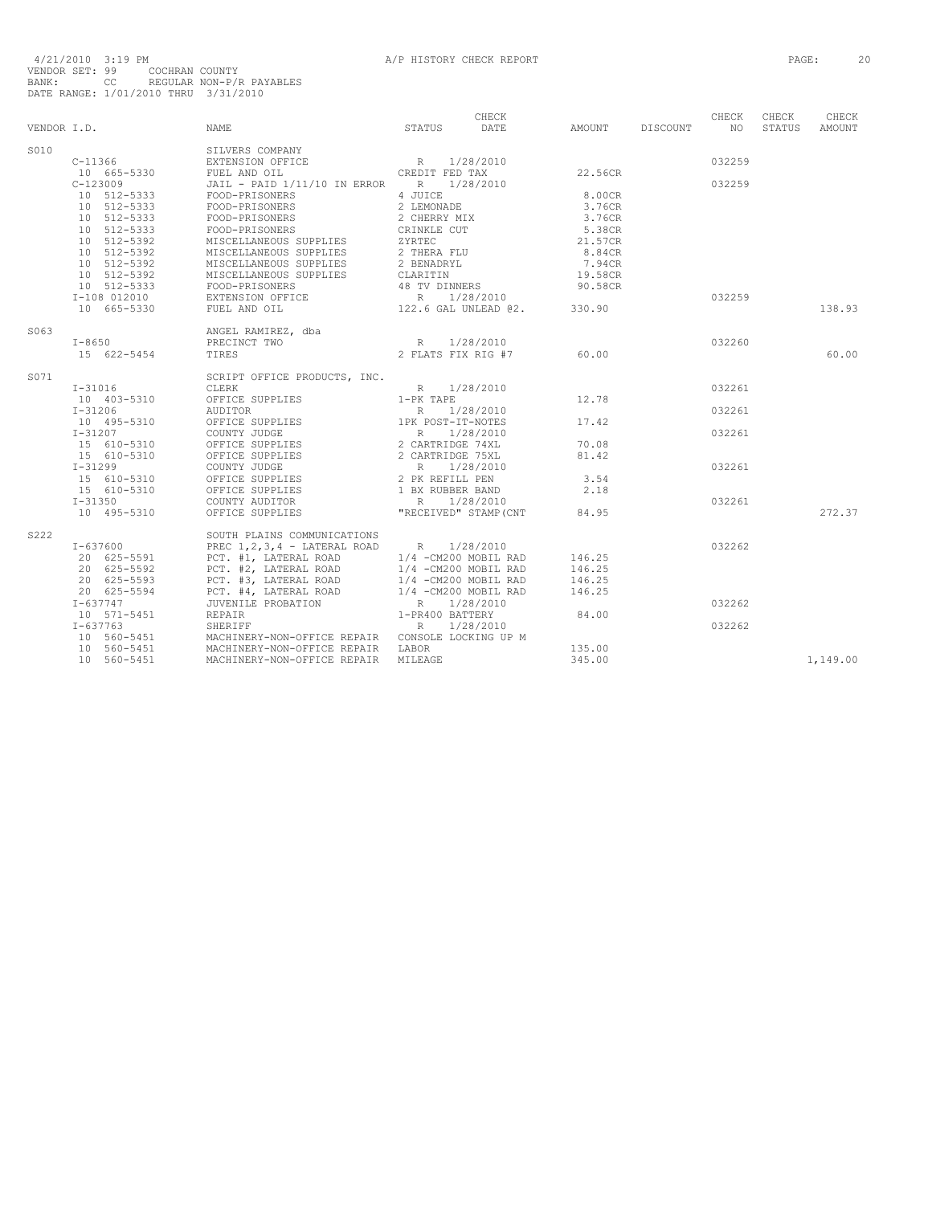|                  |                                    |                                                                                                                                                                                                                                          |              | CHECK                 |         |          | CHECK           | CHECK  | CHECK    |
|------------------|------------------------------------|------------------------------------------------------------------------------------------------------------------------------------------------------------------------------------------------------------------------------------------|--------------|-----------------------|---------|----------|-----------------|--------|----------|
| VENDOR I.D.      |                                    | <b>STATUS</b><br>NAME                                                                                                                                                                                                                    |              | DATE                  | AMOUNT  | DISCOUNT | NO <sub>1</sub> | STATUS | AMOUNT   |
| S <sub>010</sub> |                                    | SILVERS COMPANY                                                                                                                                                                                                                          |              |                       |         |          |                 |        |          |
|                  | $C-11366$                          |                                                                                                                                                                                                                                          |              |                       |         |          | 032259          |        |          |
|                  | 10 665-5330 FUEL AND OIL           | EXTENSION OFFICE R 1/28/2010<br>FUEL AND OIL CREDIT FED TAX                                                                                                                                                                              |              |                       | 22.56CR |          |                 |        |          |
|                  | $C-123009$                         | JAIL - PAID 1/11/10 IN ERROR R 1/28/2010                                                                                                                                                                                                 |              |                       |         |          | 032259          |        |          |
|                  | 10 512-5333                        | FOOD-PRISONERS                                                                                                                                                                                                                           | 4 JUICE      |                       | 8.00CR  |          |                 |        |          |
|                  | 10 512-5333                        | FOOD-PRISONERS                                                                                                                                                                                                                           | 2 LEMONADE   |                       | 3.76CR  |          |                 |        |          |
|                  | 10 512-5333                        | FOOD-PRISONERS                                                                                                                                                                                                                           | 2 CHERRY MIX |                       | 3.76CR  |          |                 |        |          |
|                  | 10 512-5333                        | FOOD-PRISONERS                                                                                                                                                                                                                           | CRINKLE CUT  |                       | 5.38CR  |          |                 |        |          |
|                  | 10 512-5392                        |                                                                                                                                                                                                                                          |              |                       |         |          |                 |        |          |
|                  | 10 512-5392                        |                                                                                                                                                                                                                                          |              |                       |         |          |                 |        |          |
|                  | $10$ $512-5392$<br>$10$ $512-5392$ |                                                                                                                                                                                                                                          |              |                       |         |          |                 |        |          |
|                  |                                    | 10 512-5392 MISCELLANEOUS SU<br>10 512-5333 FOOD-PRISONERS                                                                                                                                                                               |              |                       |         |          |                 |        |          |
|                  |                                    |                                                                                                                                                                                                                                          |              |                       |         |          |                 |        |          |
|                  | I-108 012010                       |                                                                                                                                                                                                                                          |              |                       |         |          | 032259          |        |          |
|                  | 10 665-5330                        |                                                                                                                                                                                                                                          |              |                       |         |          |                 |        | 138.93   |
| S063             |                                    |                                                                                                                                                                                                                                          |              |                       |         |          |                 |        |          |
|                  | $I - 8650$                         |                                                                                                                                                                                                                                          |              |                       |         |          | 032260          |        |          |
|                  | 15 622-5454                        |                                                                                                                                                                                                                                          |              |                       | 60.00   |          |                 |        | 60.00    |
| S071             |                                    | SCRIPT OFFICE PRODUCTS, INC.                                                                                                                                                                                                             |              |                       |         |          |                 |        |          |
|                  | $I - 31016$                        | R 1/28/2010<br>CLERK                                                                                                                                                                                                                     |              |                       |         |          | 032261          |        |          |
|                  | 10 403-5310                        | OFFICE SUPPLIES 1-PK TAPE                                                                                                                                                                                                                |              |                       | 12.78   |          |                 |        |          |
|                  |                                    |                                                                                                                                                                                                                                          |              |                       |         |          | 032261          |        |          |
|                  |                                    |                                                                                                                                                                                                                                          |              |                       | 17.42   |          |                 |        |          |
|                  |                                    |                                                                                                                                                                                                                                          |              |                       |         |          | 032261          |        |          |
|                  |                                    |                                                                                                                                                                                                                                          |              |                       | 70.08   |          |                 |        |          |
|                  |                                    |                                                                                                                                                                                                                                          |              |                       | 81.42   |          |                 |        |          |
|                  |                                    |                                                                                                                                                                                                                                          |              |                       |         |          | 032261          |        |          |
|                  |                                    |                                                                                                                                                                                                                                          |              |                       | 3.54    |          |                 |        |          |
|                  | 15 610-5310                        |                                                                                                                                                                                                                                          |              |                       | 2.18    |          |                 |        |          |
|                  | $I - 31350$                        | UFFICE SUPPLIES<br>CONNTY AUDITOR THE RESERVED RESERVED IN THE 1/28/2010                                                                                                                                                                 |              |                       |         |          | 032261          |        |          |
|                  | 10 495-5310                        | OFFICE SUPPLIES                                                                                                                                                                                                                          |              | "RECEIVED" STAMP (CNT | 84.95   |          |                 |        | 272.37   |
| S222             |                                    | SOUTH PLAINS COMMUNICATIONS                                                                                                                                                                                                              |              |                       |         |          |                 |        |          |
|                  | $I - 637600$                       | PREC $1, 2, 3, 4$ - LATERAL ROAD R 1/28/2010                                                                                                                                                                                             |              |                       |         |          | 032262          |        |          |
|                  | 20 625-5591                        | PCT. #1, LATERAL ROAD $1/4$ -CM200 MOBIL RAD<br>PCT. #2, LATERAL ROAD $1/4$ -CM200 MOBIL RAD                                                                                                                                             |              |                       | 146.25  |          |                 |        |          |
|                  | 20 625-5592                        |                                                                                                                                                                                                                                          |              |                       | 146.25  |          |                 |        |          |
|                  | 20 625-5593                        |                                                                                                                                                                                                                                          |              |                       | 146.25  |          |                 |        |          |
|                  | 20 625-5594                        |                                                                                                                                                                                                                                          |              |                       | 146.25  |          |                 |        |          |
|                  | I-637747                           |                                                                                                                                                                                                                                          |              |                       |         |          | 032262          |        |          |
|                  | 10 571-5451                        | PCT. #2, LATERAL ROAD 1/4 -CM200 MOBIL RAD<br>PCT. #3, LATERAL ROAD 1/4 -CM200 MOBIL RAD<br>PCT. #4, LATERAL ROAD 1/4 -CM200 MOBIL RAD<br>PCT. #4, LATERAL ROAD 1/4 -CM200 MOBIL RAD<br>TR 1/28/2010 REPAIR 1-PR400 BATTERY<br>SHERIFF . |              |                       | 84.00   |          |                 |        |          |
|                  | $I - 637763$                       |                                                                                                                                                                                                                                          |              |                       |         |          | 032262          |        |          |
|                  | 10 560-5451<br>10 560-5451         | MACHINERY-NON-OFFICE REPAIR CONSOLE LOCKING UP M                                                                                                                                                                                         |              |                       |         |          |                 |        |          |
|                  |                                    | MACHINERY-NON-OFFICE REPAIR LABOR                                                                                                                                                                                                        |              |                       | 135.00  |          |                 |        |          |
|                  | 10 560-5451                        | MACHINERY-NON-OFFICE REPAIR                                                                                                                                                                                                              | MILEAGE      |                       | 345.00  |          |                 |        | 1,149.00 |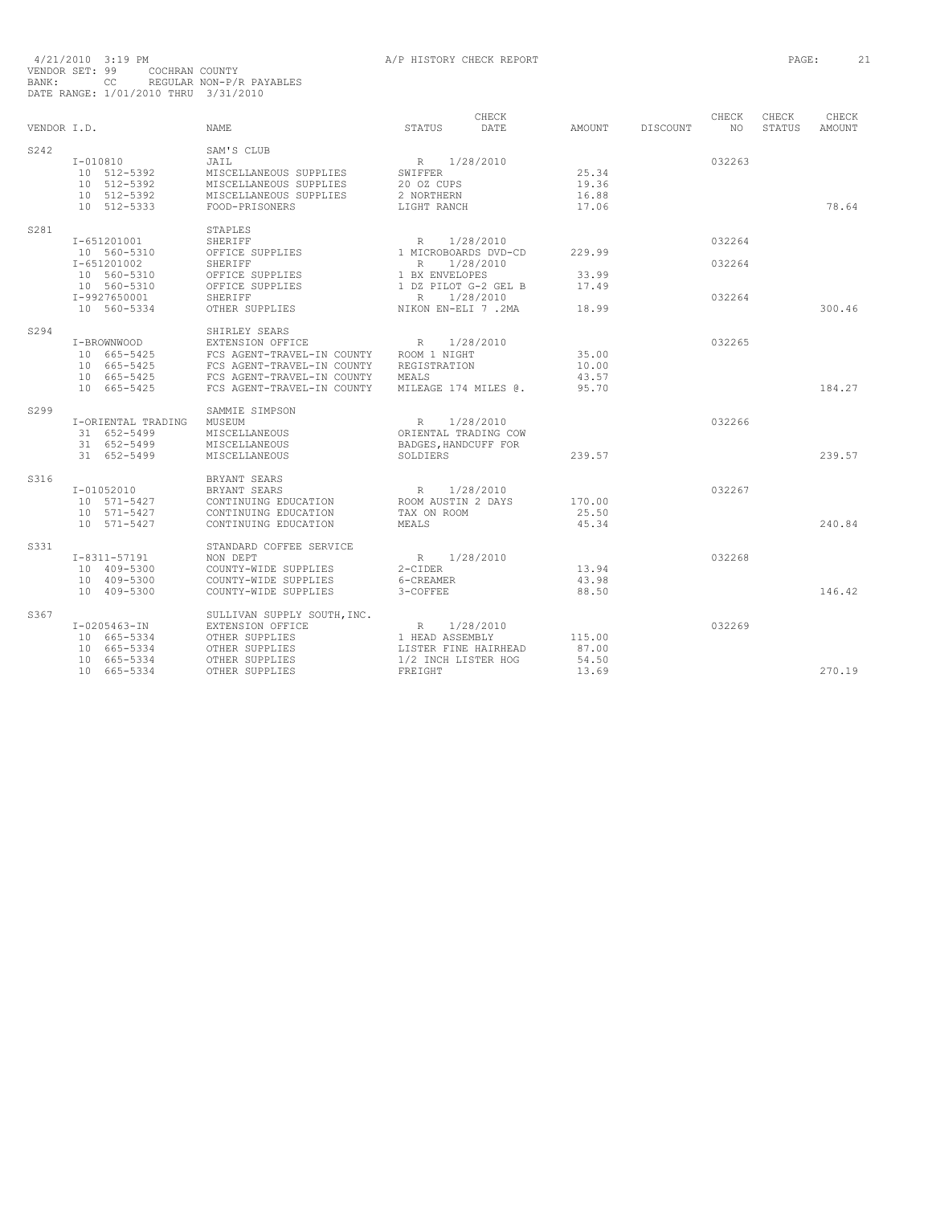| VENDOR I.D. |                                                                              | <b>NAME</b>                                                                                                                                               | STATUS                                                                                       | CHECK<br>DATE          | AMOUNT                            | DISCOUNT | CHECK<br>NO.     | CHECK<br><b>STATUS</b> | CHECK<br>AMOUNT |
|-------------|------------------------------------------------------------------------------|-----------------------------------------------------------------------------------------------------------------------------------------------------------|----------------------------------------------------------------------------------------------|------------------------|-----------------------------------|----------|------------------|------------------------|-----------------|
| S242        | $I-010810$<br>10 512-5392<br>10 512-5392<br>10 512-5392<br>10 512-5333       | SAM'S CLUB<br>JAIL<br>MISCELLANEOUS SUPPLIES<br>MISCELLANEOUS SUPPLIES<br>MISCELLANEOUS SUPPLIES<br>FOOD-PRISONERS                                        | R 1/28/2010<br>SWIFFER<br>20 OZ CUPS<br>2 NORTHERN<br>LIGHT RANCH                            |                        | 25.34<br>19.36<br>16.88<br>17.06  |          | 032263           |                        | 78.64           |
| S281        | I-651201001<br>10 560-5310                                                   | STAPLES<br>SHERIFF<br>OFFICE SUPPLIES                                                                                                                     | R<br>1 MICROBOARDS DVD-CD                                                                    | 1/28/2010              | 229.99                            |          | 032264           |                        |                 |
|             | I-651201002<br>10 560-5310<br>10 560-5310<br>I-9927650001                    | <b>SHERIFF</b><br>OFFICE SUPPLIES<br>OFFICE SUPPLIES<br>SHERIFF                                                                                           | R<br>1 BX ENVELOPES<br>1 DZ PILOT G-2 GEL B<br>$\mathbb R$                                   | 1/28/2010<br>1/28/2010 | 33.99<br>17.49                    |          | 032264<br>032264 |                        |                 |
|             | 10 560-5334                                                                  | OTHER SUPPLIES                                                                                                                                            | NIKON EN-ELI 7.2MA                                                                           |                        | 18.99                             |          |                  |                        | 300.46          |
| S294        | I-BROWNWOOD<br>10 665-5425<br>10 665-5425<br>10 665-5425<br>10 665-5425      | SHIRLEY SEARS<br>EXTENSION OFFICE<br>FCS AGENT-TRAVEL-IN COUNTY<br>FCS AGENT-TRAVEL-IN COUNTY<br>FCS AGENT-TRAVEL-IN COUNTY<br>FCS AGENT-TRAVEL-IN COUNTY | R<br>ROOM 1 NIGHT<br>REGISTRATION<br>MEALS<br>MILEAGE 174 MILES @.                           | 1/28/2010              | 35.00<br>10.00<br>43.57<br>95.70  |          | 032265           |                        | 184.27          |
| S299        | I-ORIENTAL TRADING<br>31 652-5499<br>31 652-5499<br>31 652-5499              | SAMMIE SIMPSON<br>MUSEUM<br>MISCELLANEOUS<br>MISCELLANEOUS<br>MISCELLANEOUS                                                                               | R<br>ORIENTAL TRADING COW<br>BADGES, HANDCUFF FOR<br>SOLDIERS                                | 1/28/2010              | 239.57                            |          | 032266           |                        | 239.57          |
| S316        | $I - 01052010$<br>10 571-5427<br>10 571-5427<br>10 571-5427                  | BRYANT SEARS<br>BRYANT SEARS<br>CONTINUING EDUCATION<br>CONTINUING EDUCATION<br>CONTINUING EDUCATION                                                      | $R_{\parallel}$<br>ROOM AUSTIN 2 DAYS<br>TAX ON ROOM<br>MEALS                                | 1/28/2010              | 170.00<br>25.50<br>45.34          |          | 032267           |                        | 240.84          |
| S331        | I-8311-57191<br>10 409-5300<br>10 409-5300<br>10 409-5300                    | STANDARD COFFEE SERVICE<br>NON DEPT<br>COUNTY-WIDE SUPPLIES<br>COUNTY-WIDE SUPPLIES<br>COUNTY-WIDE SUPPLIES                                               | $R_{\perp}$<br>$2$ -CIDER<br>6-CREAMER<br>3-COFFEE                                           | 1/28/2010              | 13.94<br>43.98<br>88.50           |          | 032268           |                        | 146.42          |
| S367        | $I-0205463 - IN$<br>10 665-5334<br>10 665-5334<br>10 665-5334<br>10 665-5334 | SULLIVAN SUPPLY SOUTH, INC.<br>EXTENSION OFFICE<br>OTHER SUPPLIES<br>OTHER SUPPLIES<br>OTHER SUPPLIES<br>OTHER SUPPLIES                                   | $R_{\parallel}$<br>1 HEAD ASSEMBLY<br>LISTER FINE HAIRHEAD<br>1/2 INCH LISTER HOG<br>FREIGHT | 1/28/2010              | 115.00<br>87.00<br>54.50<br>13.69 |          | 032269           |                        | 270.19          |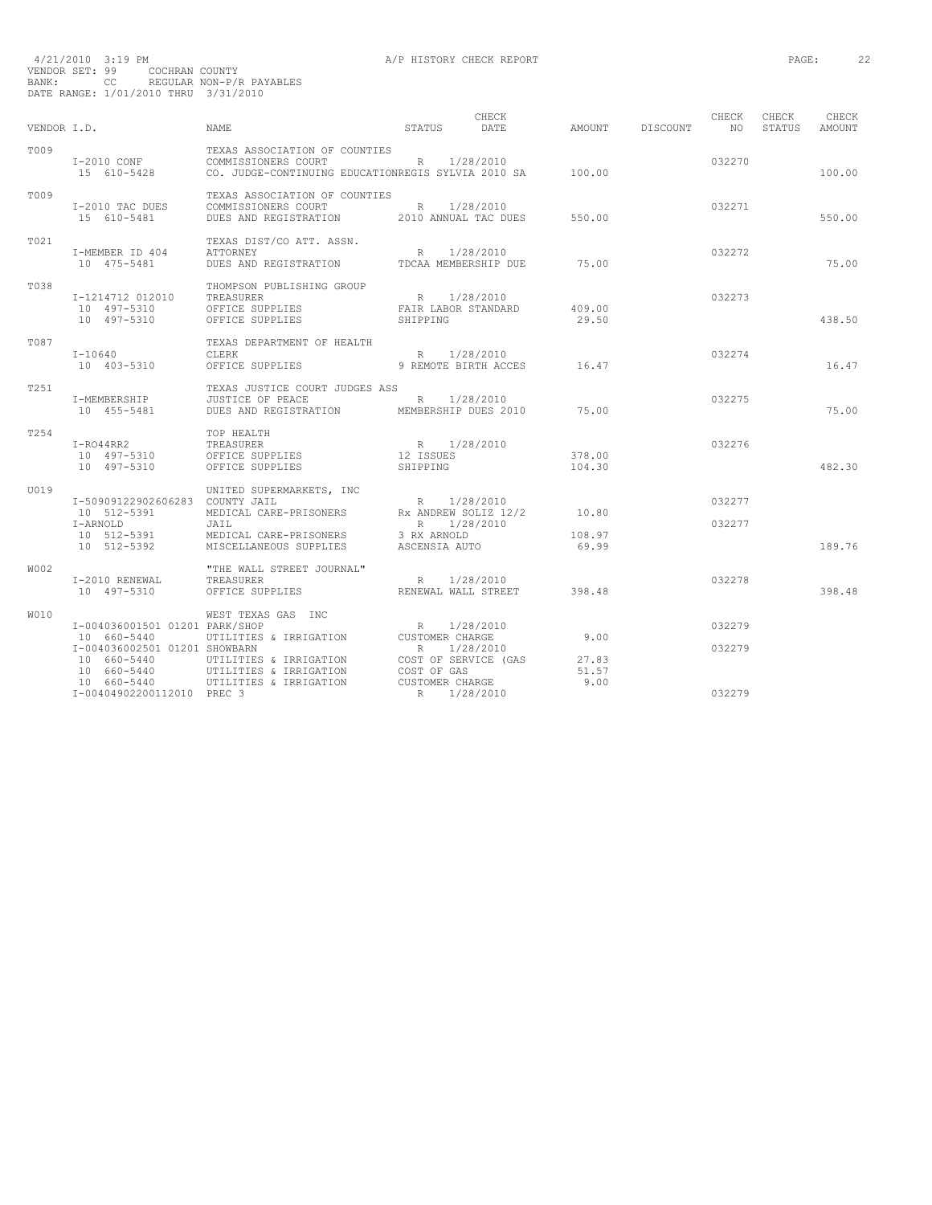| VENDOR I.D. |                                                                                               | NAME                                                                                                           | STATUS                                                                   | CHECK<br>DATE          | AMOUNT                   | DISCOUNT | CHECK<br>NO <sub>1</sub> | CHECK<br>STATUS | CHECK<br>AMOUNT |
|-------------|-----------------------------------------------------------------------------------------------|----------------------------------------------------------------------------------------------------------------|--------------------------------------------------------------------------|------------------------|--------------------------|----------|--------------------------|-----------------|-----------------|
| T009        | I-2010 CONF<br>15 610-5428                                                                    | TEXAS ASSOCIATION OF COUNTIES<br>COMMISSIONERS COURT<br>CO. JUDGE-CONTINUING EDUCATIONREGIS SYLVIA 2010 SA     | R                                                                        | 1/28/2010              | 100.00                   |          | 032270                   |                 | 100.00          |
| T009        | I-2010 TAC DUES<br>15 610-5481                                                                | TEXAS ASSOCIATION OF COUNTIES<br>COMMISSIONERS COURT<br>DUES AND REGISTRATION                                  | R 1/28/2010<br>2010 ANNUAL TAC DUES                                      |                        | 550.00                   |          | 032271                   |                 | 550.00          |
| T021        | I-MEMBER ID 404<br>10 475-5481                                                                | TEXAS DIST/CO ATT. ASSN.<br><b>ATTORNEY</b><br>DUES AND REGISTRATION                                           | R<br>TDCAA MEMBERSHIP DUE                                                | 1/28/2010              | 75.00                    |          | 032272                   |                 | 75.00           |
| T038        | I-1214712 012010<br>10 497-5310<br>10 497-5310                                                | THOMPSON PUBLISHING GROUP<br>TREASURER<br>OFFICE SUPPLIES<br>OFFICE SUPPLIES                                   | R<br>FAIR LABOR STANDARD<br>SHIPPING                                     | 1/28/2010              | 409.00<br>29.50          |          | 032273                   |                 | 438.50          |
| T087        | $I - 10640$<br>10 403-5310                                                                    | TEXAS DEPARTMENT OF HEALTH<br><b>CLERK</b><br>OFFICE SUPPLIES                                                  | R 1/28/2010<br>9 REMOTE BIRTH ACCES                                      |                        | 16.47                    |          | 032274                   |                 | 16.47           |
| T251        | I-MEMBERSHIP<br>10 455-5481                                                                   | TEXAS JUSTICE COURT JUDGES ASS<br>JUSTICE OF PEACE<br>DUES AND REGISTRATION MEMBERSHIP DUES 2010               | R 1/28/2010                                                              |                        | 75.00                    |          | 032275                   |                 | 75.00           |
| T254        | $I - RO44RR2$<br>10 497-5310<br>10 497-5310                                                   | TOP HEALTH<br>TREASURER<br>OFFICE SUPPLIES<br>OFFICE SUPPLIES                                                  | R 1/28/2010<br>12 ISSUES<br>SHIPPING                                     |                        | 378.00<br>104.30         |          | 032276                   |                 | 482.30          |
| U019        | I-50909122902606283 COUNTY JAIL<br>10 512-5391<br>I-ARNOLD<br>10 512-5391<br>10 512-5392      | UNITED SUPERMARKETS, INC<br>MEDICAL CARE-PRISONERS<br>JAIL<br>MEDICAL CARE-PRISONERS<br>MISCELLANEOUS SUPPLIES | R<br>RX ANDREW SOLIZ 12/2<br>R 1/28/2010<br>3 RX ARNOLD<br>ASCENSIA AUTO | 1/28/2010              | 10.80<br>108.97<br>69.99 |          | 032277<br>032277         |                 | 189.76          |
| W002        | I-2010 RENEWAL<br>10 497-5310                                                                 | "THE WALL STREET JOURNAL"<br>TREASURER<br>OFFICE SUPPLIES                                                      | R<br>RENEWAL WALL STREET                                                 | 1/28/2010              | 398.48                   |          | 032278                   |                 | 398.48          |
| W010        | I-004036001501 01201 PARK/SHOP<br>10 660-5440<br>I-004036002501 01201 SHOWBARN<br>10 660-5440 | WEST TEXAS GAS INC<br>UTILITIES & IRRIGATION<br>UTILITIES & IRRIGATION                                         | R<br>CUSTOMER CHARGE<br>R<br>COST OF SERVICE (GAS                        | 1/28/2010<br>1/28/2010 | 9.00<br>27.83            |          | 032279<br>032279         |                 |                 |
|             | 10 660-5440<br>10 660-5440<br>I-00404902200112010 PREC 3                                      | UTILITIES & IRRIGATION<br>UTILITIES & IRRIGATION                                                               | COST OF GAS<br>CUSTOMER CHARGE<br>R                                      | 1/28/2010              | 51.57<br>9.00            |          | 032279                   |                 |                 |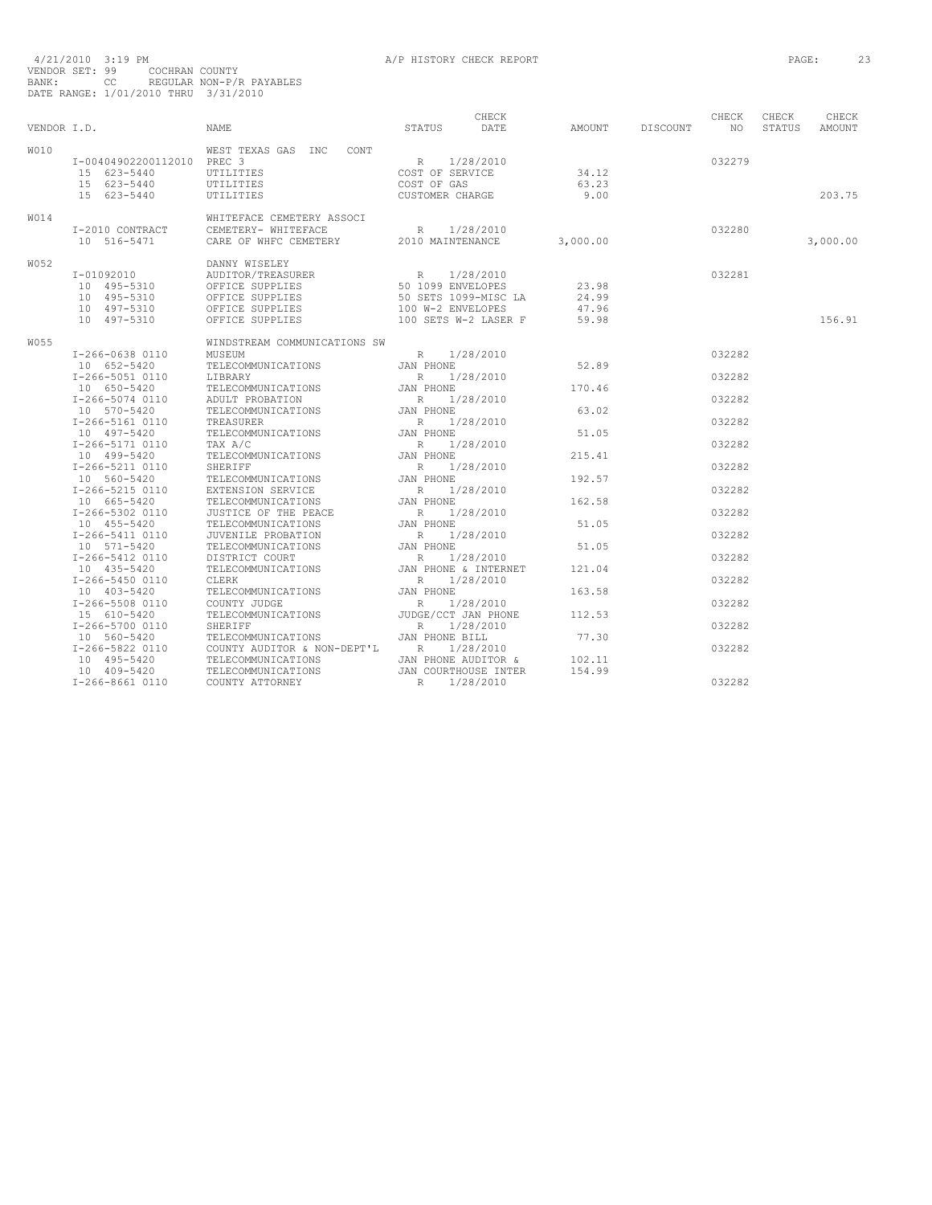| VENDOR I.D. |                                                                         | <b>NAME</b>                                                                                                    | STATUS                                                                                                | CHECK<br>DATE | AMOUNT                           | DISCOUNT | CHECK<br>NO. | CHECK<br>STATUS | CHECK<br>AMOUNT |
|-------------|-------------------------------------------------------------------------|----------------------------------------------------------------------------------------------------------------|-------------------------------------------------------------------------------------------------------|---------------|----------------------------------|----------|--------------|-----------------|-----------------|
| <b>W010</b> | I-00404902200112010 PREC 3<br>15 623-5440<br>15 623-5440<br>15 623-5440 | WEST TEXAS GAS INC<br>CONT<br><b>UTILITIES</b><br>UTILITIES<br>UTILITIES                                       | $R_{\perp}$<br>COST OF SERVICE<br>COST OF GAS<br>CUSTOMER CHARGE                                      | 1/28/2010     | 34.12<br>63.23<br>9.00           |          | 032279       |                 | 203.75          |
| <b>W014</b> | I-2010 CONTRACT<br>10 516-5471                                          | WHITEFACE CEMETERY ASSOCI<br>CEMETERY- WHITEFACE<br>CARE OF WHFC CEMETERY                                      | R<br>2010 MAINTENANCE                                                                                 | 1/28/2010     | 3,000.00                         |          | 032280       |                 | 3,000.00        |
| W052        | I-01092010<br>10 495-5310<br>10 495-5310<br>10 497-5310<br>10 497-5310  | DANNY WISELEY<br>AUDITOR/TREASURER<br>OFFICE SUPPLIES<br>OFFICE SUPPLIES<br>OFFICE SUPPLIES<br>OFFICE SUPPLIES | $R_{\odot}$<br>50 1099 ENVELOPES<br>50 SETS 1099-MISC LA<br>100 W-2 ENVELOPES<br>100 SETS W-2 LASER F | 1/28/2010     | 23.98<br>24.99<br>47.96<br>59.98 |          | 032281       |                 | 156.91          |
| W055        |                                                                         | WINDSTREAM COMMUNICATIONS SW                                                                                   |                                                                                                       |               |                                  |          |              |                 |                 |
|             | I-266-0638 0110<br>10 652-5420                                          | MUSEUM<br>TELECOMMUNICATIONS                                                                                   | $R \sim$<br>JAN PHONE                                                                                 | 1/28/2010     | 52.89                            |          | 032282       |                 |                 |
|             | I-266-5051 0110<br>10 650-5420                                          | LIBRARY<br>TELECOMMUNICATIONS                                                                                  | R<br>JAN PHONE                                                                                        | 1/28/2010     | 170.46                           |          | 032282       |                 |                 |
|             | I-266-5074 0110                                                         | ADULT PROBATION                                                                                                | R                                                                                                     | 1/28/2010     |                                  |          | 032282       |                 |                 |
|             | 10 570-5420<br>I-266-5161 0110<br>10 497-5420                           | TELECOMMUNICATIONS<br>TREASURER<br>TELECOMMUNICATIONS                                                          | JAN PHONE<br>$R_{\perp}$<br>JAN PHONE                                                                 | 1/28/2010     | 63.02<br>51.05                   |          | 032282       |                 |                 |
|             | I-266-5171 0110<br>10 499-5420                                          | TAX A/C<br>TELECOMMUNICATIONS                                                                                  | $R_{\parallel}$<br>JAN PHONE                                                                          | 1/28/2010     | 215.41                           |          | 032282       |                 |                 |
|             | I-266-5211 0110                                                         | SHERIFF                                                                                                        | $R_{\parallel}$                                                                                       | 1/28/2010     |                                  |          | 032282       |                 |                 |
|             | 10 560-5420<br>I-266-5215 0110                                          | TELECOMMUNICATIONS<br>EXTENSION SERVICE                                                                        | JAN PHONE<br>$R_{\perp}$                                                                              | 1/28/2010     | 192.57                           |          | 032282       |                 |                 |
|             | 10 665-5420<br>I-266-5302 0110                                          | TELECOMMUNICATIONS<br>JUSTICE OF THE PEACE                                                                     | JAN PHONE<br>$R_{\parallel}$                                                                          | 1/28/2010     | 162.58                           |          | 032282       |                 |                 |
|             | 10 455-5420<br>I-266-5411 0110                                          | TELECOMMUNICATIONS<br>JUVENILE PROBATION                                                                       | JAN PHONE<br>R                                                                                        | 1/28/2010     | 51.05                            |          | 032282       |                 |                 |
|             | 10 571-5420<br>I-266-5412 0110                                          | TELECOMMUNICATIONS<br>DISTRICT COURT                                                                           | JAN PHONE<br>R                                                                                        | 1/28/2010     | 51.05                            |          | 032282       |                 |                 |
|             | 10 435-5420<br>I-266-5450 0110                                          | TELECOMMUNICATIONS<br>CLERK                                                                                    | JAN PHONE & INTERNET<br>R                                                                             | 1/28/2010     | 121.04                           |          | 032282       |                 |                 |
|             | 10 403-5420<br>I-266-5508 0110                                          | TELECOMMUNICATIONS<br>COUNTY JUDGE                                                                             | JAN PHONE<br>R                                                                                        | 1/28/2010     | 163.58                           |          | 032282       |                 |                 |
|             | 15 610-5420<br>I-266-5700 0110                                          | TELECOMMUNICATIONS<br>SHERIFF                                                                                  | JUDGE/CCT JAN PHONE<br>$R_{\parallel}$                                                                | 1/28/2010     | 112.53                           |          | 032282       |                 |                 |
|             | 10 560-5420<br>I-266-5822 0110<br>10 495-5420                           | TELECOMMUNICATIONS<br>COUNTY AUDITOR & NON-DEPT'L<br>TELECOMMUNICATIONS                                        | JAN PHONE BILL<br>$R_{\perp}$<br>JAN PHONE AUDITOR &                                                  | 1/28/2010     | 77.30<br>102.11                  |          | 032282       |                 |                 |
|             | 10 409-5420<br>I-266-8661 0110                                          | TELECOMMUNICATIONS<br>COUNTY ATTORNEY                                                                          | JAN COURTHOUSE INTER<br>R                                                                             | 1/28/2010     | 154.99                           |          | 032282       |                 |                 |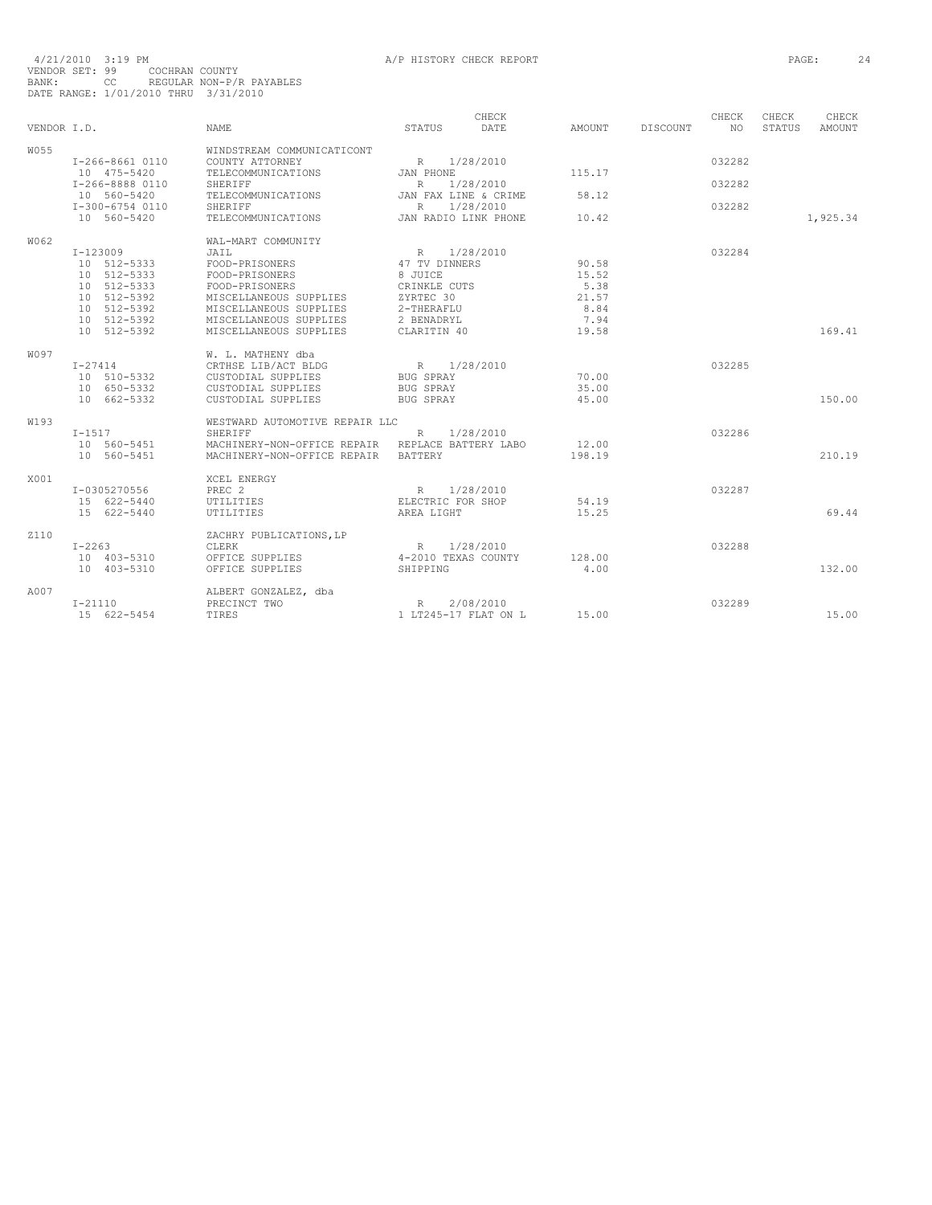| $4/21/2010$ 3:19 PM                  |    |                |                          |
|--------------------------------------|----|----------------|--------------------------|
| VENDOR SET: 99                       |    | COCHRAN COUNTY |                          |
| BANK:                                | CC |                | REGULAR NON-P/R PAYABLES |
| DATE RANGE: 1/01/2010 THRU 3/31/2010 |    |                |                          |

| VENDOR I.D.      |                                                                                     | <b>NAME</b>                                                                                                                          | STATUS                                                                   | CHECK<br>DATE          | AMOUNT                                  | DISCOUNT | CHECK<br>NO.     | CHECK<br>STATUS | CHECK<br><b>AMOUNT</b> |
|------------------|-------------------------------------------------------------------------------------|--------------------------------------------------------------------------------------------------------------------------------------|--------------------------------------------------------------------------|------------------------|-----------------------------------------|----------|------------------|-----------------|------------------------|
| W055             | I-266-8661 0110<br>10 475-5420<br>I-266-8888 0110                                   | WINDSTREAM COMMUNICATICONT<br>COUNTY ATTORNEY<br>TELECOMMUNICATIONS<br>SHERIFF                                                       | R<br>JAN PHONE<br>$\mathbb{R}$                                           | 1/28/2010<br>1/28/2010 | 115.17                                  |          | 032282<br>032282 |                 |                        |
|                  | 10 560-5420<br>I-300-6754 0110                                                      | TELECOMMUNICATIONS<br><b>SHERIFF</b>                                                                                                 | JAN FAX LINE & CRIME<br>R                                                | 1/28/2010              | 58.12                                   |          | 032282           |                 |                        |
|                  | 10 560-5420                                                                         | TELECOMMUNICATIONS                                                                                                                   | JAN RADIO LINK PHONE                                                     |                        | 10.42                                   |          |                  |                 | 1,925.34               |
| W062             | I-123009<br>10 512-5333<br>10 512-5333<br>10 512-5333<br>10 512-5392<br>10 512-5392 | WAL-MART COMMUNITY<br>JAIL<br>FOOD-PRISONERS<br>FOOD-PRISONERS<br>FOOD-PRISONERS<br>MISCELLANEOUS SUPPLIES<br>MISCELLANEOUS SUPPLIES | R<br>47 TV DINNERS<br>8 JUICE<br>CRINKLE CUTS<br>ZYRTEC 30<br>2-THERAFLU | 1/28/2010              | 90.58<br>15.52<br>5.38<br>21.57<br>8.84 |          | 032284           |                 |                        |
|                  | 10 512-5392<br>10 512-5392                                                          | MISCELLANEOUS SUPPLIES<br>MISCELLANEOUS SUPPLIES                                                                                     | 2 BENADRYL<br>CLARITIN 40                                                |                        | 7.94<br>19.58                           |          |                  |                 | 169.41                 |
| W097             | $I - 27414$<br>10 510-5332<br>10 650-5332<br>10 662-5332                            | W. L. MATHENY dba<br>CRTHSE LIB/ACT BLDG<br>CUSTODIAL SUPPLIES<br>CUSTODIAL SUPPLIES<br>CUSTODIAL SUPPLIES                           | R<br><b>BUG SPRAY</b><br><b>BUG SPRAY</b><br><b>BUG SPRAY</b>            | 1/28/2010              | 70.00<br>35.00<br>45.00                 |          | 032285           |                 | 150.00                 |
| W <sub>193</sub> | $I-1517$<br>10 560-5451<br>10 560-5451                                              | WESTWARD AUTOMOTIVE REPAIR LLC<br>SHERIFF<br>MACHINERY-NON-OFFICE REPAIR<br>MACHINERY-NON-OFFICE REPAIR                              | R<br>REPLACE BATTERY LABO<br><b>BATTERY</b>                              | 1/28/2010              | 12.00<br>198.19                         |          | 032286           |                 | 210.19                 |
| X001             | I-0305270556<br>15 622-5440<br>15 622-5440                                          | XCEL ENERGY<br>PREC <sub>2</sub><br>UTILITIES<br>UTILITIES                                                                           | R<br>ELECTRIC FOR SHOP<br>AREA LIGHT                                     | 1/28/2010              | 54.19<br>15.25                          |          | 032287           |                 | 69.44                  |
| <b>Z110</b>      | $I - 2263$<br>10 403-5310<br>10 403-5310                                            | ZACHRY PUBLICATIONS, LP<br>CLERK<br>OFFICE SUPPLIES<br>OFFICE SUPPLIES                                                               | R<br>4-2010 TEXAS COUNTY<br>SHIPPING                                     | 1/28/2010              | 128.00<br>4.00                          |          | 032288           |                 | 132.00                 |
| A007             | $I-21110$<br>15 622-5454                                                            | ALBERT GONZALEZ, dba<br>PRECINCT TWO<br>TIRES                                                                                        | R<br>1 LT245-17 FLAT ON L                                                | 2/08/2010              | 15.00                                   |          | 032289           |                 | 15.00                  |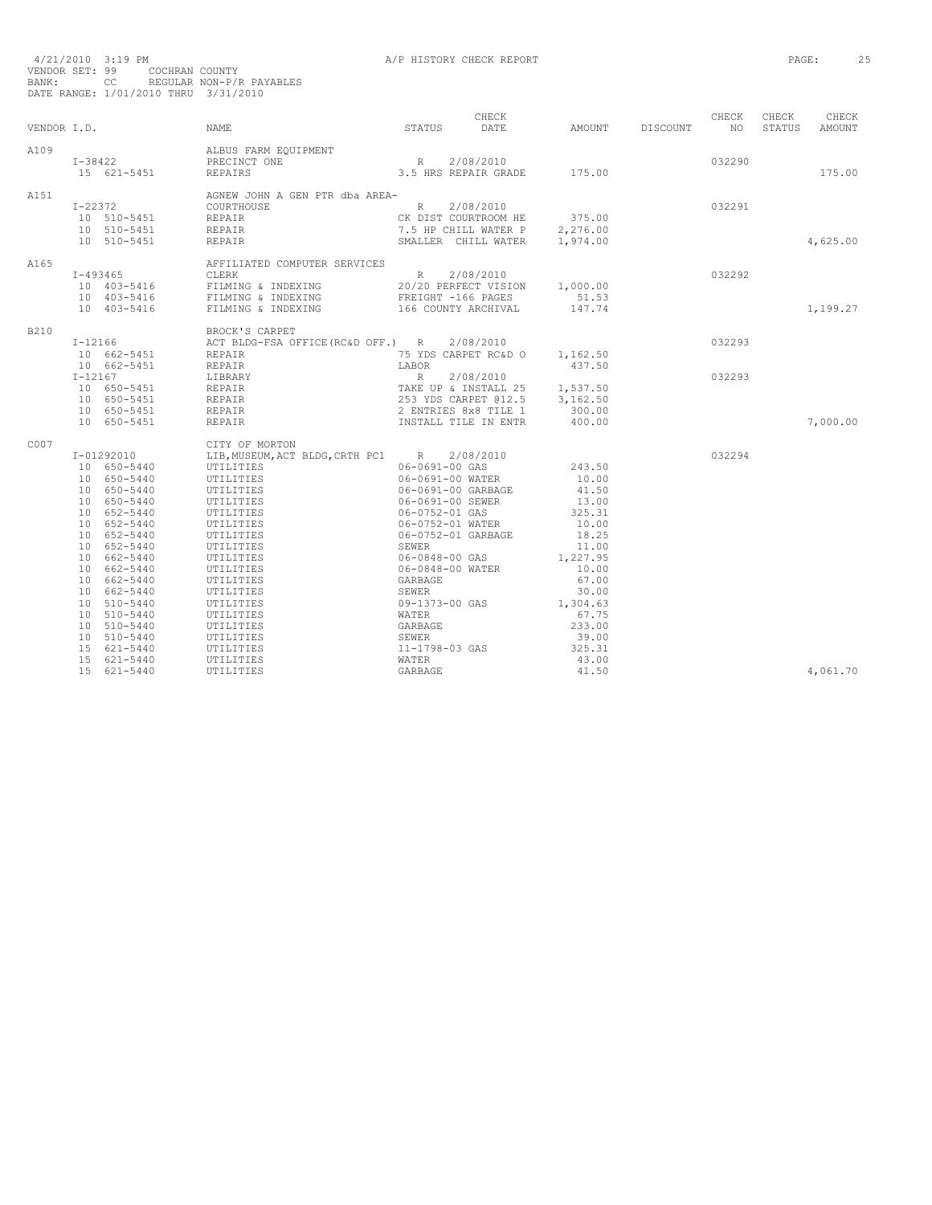| VENDOR I.D. |                                                      | <b>NAME</b>                                                   | CHECK<br>DATE<br>STATUS                                                                                        | AMOUNT            | DISCOUNT | CHECK<br>NO <sub>1</sub> | CHECK<br>STATUS | CHECK<br>AMOUNT |
|-------------|------------------------------------------------------|---------------------------------------------------------------|----------------------------------------------------------------------------------------------------------------|-------------------|----------|--------------------------|-----------------|-----------------|
| A109        | $I - 38422$                                          | ALBUS FARM EQUIPMENT<br>PRECINCT ONE                          |                                                                                                                |                   |          | 032290                   |                 |                 |
|             | 15 621-5451                                          | REPAIRS                                                       |                                                                                                                |                   |          |                          |                 | 175.00          |
| A151        |                                                      | AGNEW JOHN A GEN PTR dba AREA-                                |                                                                                                                |                   |          |                          |                 |                 |
|             | $I - 22372$                                          | <b>COURTHOUSE</b>                                             | R 2/08/2010                                                                                                    |                   |          | 032291                   |                 |                 |
|             | 10 510-5451 REPAIR<br>10 510-5451 REPAIR             |                                                               | CK DIST COURTROOM HE 375.00<br>7.5 HP CHILL WATER P 2,276.00                                                   |                   |          |                          |                 |                 |
|             |                                                      |                                                               |                                                                                                                |                   |          |                          |                 |                 |
|             | 10 510-5451                                          | REPAIR                                                        | SMALLER CHILL WATER 1,974.00                                                                                   |                   |          |                          |                 | 4,625.00        |
| A165        |                                                      | AFFILIATED COMPUTER SERVICES                                  |                                                                                                                |                   |          |                          |                 |                 |
|             | $T - 493465$                                         | <b>CLERK</b>                                                  | R<br>2/08/2010                                                                                                 |                   |          | 032292                   |                 |                 |
|             |                                                      |                                                               | 20/20 PERFECT VISION 1,000.00<br>FREIGHT -166 PAGES 51.53                                                      |                   |          |                          |                 |                 |
|             |                                                      |                                                               |                                                                                                                |                   |          |                          |                 |                 |
|             | 10 403-5416                                          | FILMING & INDEXING                                            | 166 COUNTY ARCHIVAL                                                                                            | 147.74            |          |                          |                 | 1,199.27        |
| B210        |                                                      | BROCK'S CARPET                                                |                                                                                                                |                   |          |                          |                 |                 |
|             |                                                      | I-12166 ACT BLDG-FSA OFFICE (RC&D OFF.) R 2/08/2010           |                                                                                                                |                   |          | 032293                   |                 |                 |
|             | 10 662-5451 REPAIR<br>10 662-5451 REPAIR             |                                                               | 75 YDS CARPET RC&D 0 1,162.50                                                                                  |                   |          |                          |                 |                 |
|             |                                                      |                                                               | LABOR                                                                                                          | 437.50            |          |                          |                 |                 |
|             | $I - 12167$<br>I-12167 LIBRARY<br>10 650-5451 REPAIR |                                                               | R 2/08/2010<br>TAKE UP & INSTALL 25 1,537.50<br>253 YDS CARPET @12.5 3,162.50<br>2 ENTRIES 8x8 TILE 1 300.00   |                   |          | 032293                   |                 |                 |
|             |                                                      |                                                               |                                                                                                                |                   |          |                          |                 |                 |
|             | 10 650-5451 REPAIR<br>10 650-5451 REPAIR             |                                                               |                                                                                                                |                   |          |                          |                 |                 |
|             |                                                      |                                                               |                                                                                                                |                   |          |                          |                 |                 |
|             | 10 650-5451                                          | REPAIR                                                        | INSTALL TILE IN ENTR                                                                                           | 400.00            |          |                          |                 | 7,000.00        |
| C007        |                                                      | CITY OF MORTON                                                |                                                                                                                |                   |          |                          |                 |                 |
|             | I-01292010                                           | LIB, MUSEUM, ACT BLDG, CRTH PC1 R 2/08/2010                   |                                                                                                                |                   |          | 032294                   |                 |                 |
|             | 10 650-5440                                          | UTILITIES<br>UTILITIES<br>UTILITIES                           | 06-0691-00 GAS                                                                                                 | 243.50            |          |                          |                 |                 |
|             | 10 650-5440                                          |                                                               | 06-0691-00 WATER                                                                                               | 10.00             |          |                          |                 |                 |
|             | 10 650-5440                                          | UTILITIES<br>UTILITIES                                        | 06-0691-00 GARBAGE                                                                                             | 41.50             |          |                          |                 |                 |
|             | 10 650-5440                                          |                                                               | 06-0691-00 SEWER                                                                                               | 13.00             |          |                          |                 |                 |
|             | 10 652-5440                                          | UTILITIES<br>UTILITIES                                        |                                                                                                                | 325.31            |          |                          |                 |                 |
|             | 10 652-5440                                          |                                                               | 06-0752-01 GAS<br>06-0752-01 GAS<br>06-0752-01 GARBAGE<br>SEWER<br>5EWER<br>06-0848-00 GAS<br>06-0848-00 WATER | 10.00             |          |                          |                 |                 |
|             | 10 652-5440                                          | UTILITIES<br>UTILITIES                                        |                                                                                                                | 18.25             |          |                          |                 |                 |
|             | 10 652-5440                                          |                                                               |                                                                                                                | 11.00             |          |                          |                 |                 |
|             | 10 662-5440                                          | UTILITIES<br>UTILITIES                                        |                                                                                                                | 1,227.95<br>10.00 |          |                          |                 |                 |
|             | 10 662-5440<br>10 662-5440                           |                                                               | GARBAGE                                                                                                        | 67.00             |          |                          |                 |                 |
|             | 10 662-5440                                          | UTILITIES<br>UTILITIES                                        |                                                                                                                | 30.00             |          |                          |                 |                 |
|             | 10 510-5440                                          |                                                               | SEWER<br>09-1373-00 GAS                                                                                        | 1,304.63          |          |                          |                 |                 |
|             | 10 510-5440                                          |                                                               | WATER                                                                                                          | 67.75             |          |                          |                 |                 |
|             | 10 510-5440                                          |                                                               | GARBAGE                                                                                                        | 233.00            |          |                          |                 |                 |
|             | 10 510-5440                                          |                                                               |                                                                                                                | 39.00             |          |                          |                 |                 |
|             | 15 621-5440                                          |                                                               | SEWER<br>11-1798-03 GAS                                                                                        | 325.31            |          |                          |                 |                 |
|             | 15 621-5440                                          |                                                               | WATER                                                                                                          | 43.00             |          |                          |                 |                 |
|             | 15 621-5440                                          | TI<br>THTTES<br>TLITTES<br>JTILITTES<br>UTILITTES<br>TTLITTES | GARBAGE                                                                                                        | 41.50             |          |                          |                 | 4,061.70        |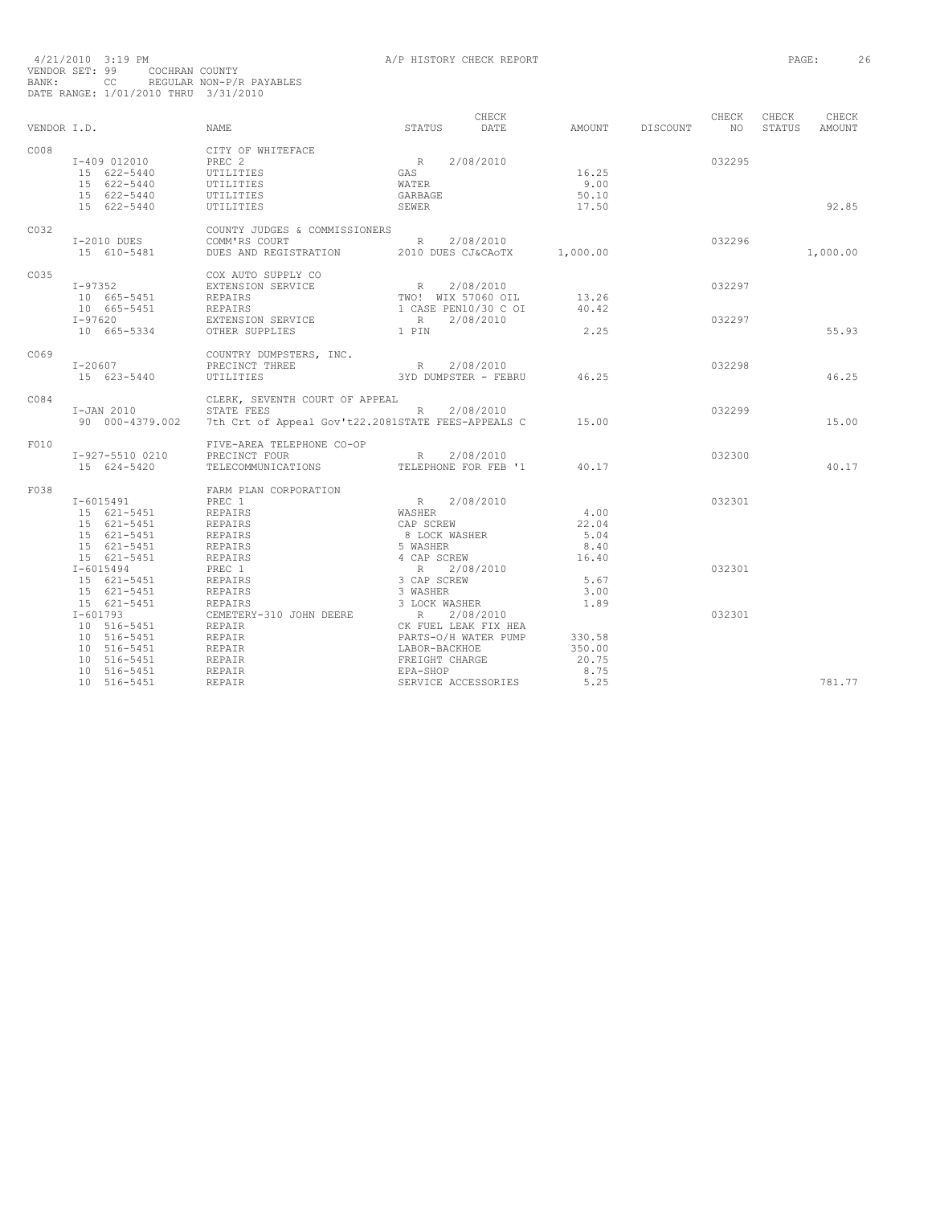|             |                                            |                                                                                                                                                                                                                                                                                                                                                                                                                                                                                                    |                                           | CHECK |              |          | CHECK  | CHECK  | CHECK         |
|-------------|--------------------------------------------|----------------------------------------------------------------------------------------------------------------------------------------------------------------------------------------------------------------------------------------------------------------------------------------------------------------------------------------------------------------------------------------------------------------------------------------------------------------------------------------------------|-------------------------------------------|-------|--------------|----------|--------|--------|---------------|
| VENDOR I.D. |                                            | NAME                                                                                                                                                                                                                                                                                                                                                                                                                                                                                               | STATUS                                    | DATE  | AMOUNT       | DISCOUNT | NQ     | STATUS | <b>AMOUNT</b> |
| C008        |                                            | CITY OF WHITEFACE                                                                                                                                                                                                                                                                                                                                                                                                                                                                                  |                                           |       |              |          |        |        |               |
|             | I-409 012010 PREC 2                        |                                                                                                                                                                                                                                                                                                                                                                                                                                                                                                    | R 2/08/2010<br>GAS                        |       | 16.25        |          | 032295 |        |               |
|             | 15 622-5440                                | UTILITIES                                                                                                                                                                                                                                                                                                                                                                                                                                                                                          |                                           |       |              |          |        |        |               |
|             | $15 622 - 5440$<br>$15 622 - 5440$         | UTILITIES                                                                                                                                                                                                                                                                                                                                                                                                                                                                                          | WATER                                     |       | 9.00         |          |        |        |               |
|             | 15 622-5440                                | UTILITIES                                                                                                                                                                                                                                                                                                                                                                                                                                                                                          | GARBAGE                                   |       | 50.10        |          |        |        |               |
|             | 15 622-5440                                | UTILITIES                                                                                                                                                                                                                                                                                                                                                                                                                                                                                          | SEWER                                     |       | 17.50        |          |        |        | 92.85         |
| C032        |                                            | COUNTY JUDGES & COMMISSIONERS                                                                                                                                                                                                                                                                                                                                                                                                                                                                      |                                           |       |              |          |        |        |               |
|             | I-2010 DUES                                | R 2/08/2010<br>COMM'RS COURT                                                                                                                                                                                                                                                                                                                                                                                                                                                                       |                                           |       |              |          | 032296 |        |               |
|             | 15 610-5481                                | DUES AND REGISTRATION 2010 DUES CJ&CAOTX 1,000.00                                                                                                                                                                                                                                                                                                                                                                                                                                                  |                                           |       |              |          |        |        | 1,000.00      |
| C035        |                                            | COX AUTO SUPPLY CO                                                                                                                                                                                                                                                                                                                                                                                                                                                                                 |                                           |       |              |          |        |        |               |
|             | I-97352 EXTENSION SERVICE                  |                                                                                                                                                                                                                                                                                                                                                                                                                                                                                                    |                                           |       |              |          | 032297 |        |               |
|             | 10 665-5451                                | REPAIRS                                                                                                                                                                                                                                                                                                                                                                                                                                                                                            |                                           |       | 13.26        |          |        |        |               |
|             | 10 665-5451 REPAIRS                        |                                                                                                                                                                                                                                                                                                                                                                                                                                                                                                    |                                           |       | 40.42        |          |        |        |               |
|             | $I - 97620$                                | EXTENSION SERVICE                                                                                                                                                                                                                                                                                                                                                                                                                                                                                  |                                           |       |              |          | 032297 |        |               |
|             | 10 665-5334                                | OTHER SUPPLIES                                                                                                                                                                                                                                                                                                                                                                                                                                                                                     | 1 PIN                                     |       | 2.25         |          |        |        | 55.93         |
| C069        |                                            | COUNTRY DUMPSTERS, INC.                                                                                                                                                                                                                                                                                                                                                                                                                                                                            |                                           |       |              |          |        |        |               |
|             | $I - 20607$                                | PRECINCT THREE                                                                                                                                                                                                                                                                                                                                                                                                                                                                                     | R 2/08/2010                               |       |              |          | 032298 |        |               |
|             | 15 623-5440                                | UTILITIES                                                                                                                                                                                                                                                                                                                                                                                                                                                                                          | 3YD DUMPSTER - FEBRU 46.25                |       |              |          |        |        | 46.25         |
| C084        |                                            | CLERK, SEVENTH COURT OF APPEAL                                                                                                                                                                                                                                                                                                                                                                                                                                                                     |                                           |       |              |          |        |        |               |
|             | I-JAN 2010 STATE FEES                      | I-JAN 2010 STATE FEES R 2/08/2010<br>90 000-4379.002 7th Crt of Appeal Gov't22.2081STATE FEES-APPEALS C 15.00                                                                                                                                                                                                                                                                                                                                                                                      |                                           |       |              |          | 032299 |        |               |
|             |                                            |                                                                                                                                                                                                                                                                                                                                                                                                                                                                                                    |                                           |       |              |          |        |        | 15.00         |
| F010        |                                            | FIVE-AREA TELEPHONE CO-OP                                                                                                                                                                                                                                                                                                                                                                                                                                                                          |                                           |       |              |          |        |        |               |
|             | I-927-5510 0210                            | PRECINCT FOUR                                                                                                                                                                                                                                                                                                                                                                                                                                                                                      | R 2/08/2010<br>TELEPHONE FOR FEB '1 40.17 |       |              |          | 032300 |        |               |
|             | 15 624-5420                                | TELECOMMUNICATIONS                                                                                                                                                                                                                                                                                                                                                                                                                                                                                 |                                           |       |              |          |        |        | 40.17         |
| F038        |                                            | FARM PLAN CORPORATION<br>$\begin{tabular}{l c c c} \multicolumn{1}{c}{\textbf{FARM} PLAN} \textbf{ CORPORTION} & \multicolumn{1}{c}{\textbf{R}} & 2/08/2010 \\ \multicolumn{1}{c}{\textbf{PREC 1}} & \multicolumn{1}{c}{\textbf{REPARRS}} & \multicolumn{1}{c}{\textbf{WASHER}} \\ \multicolumn{1}{c}{\textbf{REPARRS}} & \multicolumn{1}{c}{\textbf{CAP SCREW}} \\ \multicolumn{1}{c}{\textbf{REPARRS}} & \multicolumn{1}{c}{\textbf{S MOSK WASHER}} \\ \multicolumn{1}{c}{\textbf{REPARRS}} & \$ |                                           |       |              |          |        |        |               |
|             | I-6015491                                  |                                                                                                                                                                                                                                                                                                                                                                                                                                                                                                    |                                           |       |              |          | 032301 |        |               |
|             | 15 621-5451 REPAIRS                        |                                                                                                                                                                                                                                                                                                                                                                                                                                                                                                    |                                           |       | 4.00         |          |        |        |               |
|             | 15 621-5451 REPAIRS<br>15 621-5451 REPAIRS |                                                                                                                                                                                                                                                                                                                                                                                                                                                                                                    |                                           |       | 22.04        |          |        |        |               |
|             |                                            |                                                                                                                                                                                                                                                                                                                                                                                                                                                                                                    |                                           |       | 5.04         |          |        |        |               |
|             | 15 621-5451                                | REPAIRS<br>REPAIRS                                                                                                                                                                                                                                                                                                                                                                                                                                                                                 |                                           |       | 8.40         |          |        |        |               |
|             | 15 621-5451                                |                                                                                                                                                                                                                                                                                                                                                                                                                                                                                                    |                                           |       | 16.40        |          |        |        |               |
|             | $I - 6015494$                              |                                                                                                                                                                                                                                                                                                                                                                                                                                                                                                    |                                           |       |              |          | 032301 |        |               |
|             | 15 621-5451 REPAIRS                        |                                                                                                                                                                                                                                                                                                                                                                                                                                                                                                    |                                           |       | 5.67         |          |        |        |               |
|             | 15 621-5451<br>15 621-5451                 |                                                                                                                                                                                                                                                                                                                                                                                                                                                                                                    |                                           |       | 3.00<br>1.89 |          |        |        |               |
|             | $I-601793$                                 |                                                                                                                                                                                                                                                                                                                                                                                                                                                                                                    |                                           |       |              |          | 032301 |        |               |
|             | $1 - 601/33$<br>10 516-5451<br>10 516-5451 |                                                                                                                                                                                                                                                                                                                                                                                                                                                                                                    |                                           |       |              |          |        |        |               |
|             |                                            |                                                                                                                                                                                                                                                                                                                                                                                                                                                                                                    |                                           |       | 330.58       |          |        |        |               |
|             | 10 516-5451                                |                                                                                                                                                                                                                                                                                                                                                                                                                                                                                                    |                                           |       | 350.00       |          |        |        |               |
|             | 10 516-5451                                |                                                                                                                                                                                                                                                                                                                                                                                                                                                                                                    |                                           |       | 20.75        |          |        |        |               |
|             | 10 516-5451                                |                                                                                                                                                                                                                                                                                                                                                                                                                                                                                                    | EPA-SHOP                                  |       | 8.75         |          |        |        |               |
|             | 10 516-5451                                | REPAIR<br>REPAIR<br>REPAIR<br>REPAIR                                                                                                                                                                                                                                                                                                                                                                                                                                                               | SERVICE ACCESSORIES                       |       | 5.25         |          |        |        | 781.77        |
|             |                                            |                                                                                                                                                                                                                                                                                                                                                                                                                                                                                                    |                                           |       |              |          |        |        |               |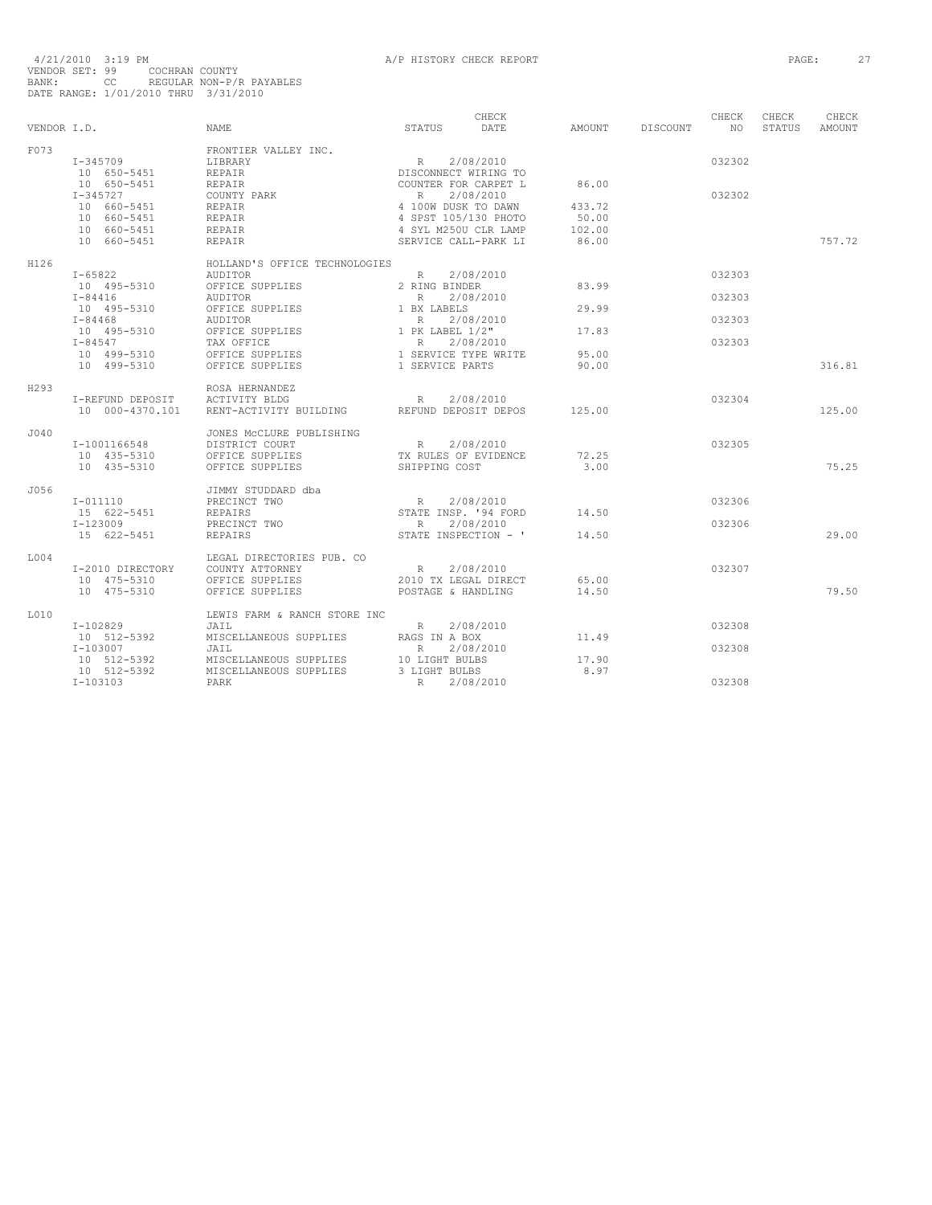|             |                  |                               |                      | CHECK                |        |          | CHECK           | CHECK  | CHECK  |
|-------------|------------------|-------------------------------|----------------------|----------------------|--------|----------|-----------------|--------|--------|
| VENDOR I.D. |                  | <b>NAME</b>                   | STATUS               | DATE                 | AMOUNT | DISCOUNT | NO <sub>1</sub> | STATUS | AMOUNT |
| F073        |                  | FRONTIER VALLEY INC.          |                      |                      |        |          |                 |        |        |
|             | $I - 345709$     | LIBRARY                       | R                    | 2/08/2010            |        |          | 032302          |        |        |
|             | 10 650-5451      | <b>REPAIR</b>                 | DISCONNECT WIRING TO |                      |        |          |                 |        |        |
|             | 10 650-5451      | REPAIR                        | COUNTER FOR CARPET L |                      | 86.00  |          |                 |        |        |
|             | $I - 345727$     | COUNTY PARK                   | R                    | 2/08/2010            |        |          | 032302          |        |        |
|             | 10 660-5451      | REPAIR                        | 4 100W DUSK TO DAWN  |                      | 433.72 |          |                 |        |        |
|             | 10 660-5451      | REPAIR                        |                      | 4 SPST 105/130 PHOTO | 50.00  |          |                 |        |        |
|             | 10 660-5451      | REPAIR                        |                      | 4 SYL M250U CLR LAMP | 102.00 |          |                 |        |        |
|             | 10 660-5451      | <b>REPAIR</b>                 |                      | SERVICE CALL-PARK LI | 86.00  |          |                 |        | 757.72 |
| H126        |                  | HOLLAND'S OFFICE TECHNOLOGIES |                      |                      |        |          |                 |        |        |
|             | $I - 65822$      | AUDITOR                       | R                    | 2/08/2010            |        |          | 032303          |        |        |
|             | 10 495-5310      | OFFICE SUPPLIES               | 2 RING BINDER        |                      | 83.99  |          |                 |        |        |
|             | $I - 84416$      | AUDITOR                       | R                    | 2/08/2010            |        |          | 032303          |        |        |
|             | 10 495-5310      | OFFICE SUPPLIES               | 1 BX LABELS          |                      | 29.99  |          |                 |        |        |
|             | $I - 84468$      | AUDITOR                       | R                    | 2/08/2010            |        |          | 032303          |        |        |
|             | 10 495-5310      | OFFICE SUPPLIES               | 1 PK LABEL 1/2"      |                      | 17.83  |          |                 |        |        |
|             | $I - 84547$      | TAX OFFICE                    | R                    | 2/08/2010            |        |          | 032303          |        |        |
|             | 10 499-5310      | OFFICE SUPPLIES               | 1 SERVICE TYPE WRITE |                      | 95.00  |          |                 |        |        |
|             | 10 499-5310      | OFFICE SUPPLIES               | 1 SERVICE PARTS      |                      | 90.00  |          |                 |        | 316.81 |
| H293        |                  | ROSA HERNANDEZ                |                      |                      |        |          |                 |        |        |
|             | I-REFUND DEPOSIT | ACTIVITY BLDG                 | R                    | 2/08/2010            |        |          | 032304          |        |        |
|             | 10 000-4370.101  | RENT-ACTIVITY BUILDING        |                      | REFUND DEPOSIT DEPOS | 125.00 |          |                 |        | 125.00 |
| J040        |                  | JONES MCCLURE PUBLISHING      |                      |                      |        |          |                 |        |        |
|             | I-1001166548     | DISTRICT COURT                | R                    | 2/08/2010            |        |          | 032305          |        |        |
|             | 10 435-5310      | OFFICE SUPPLIES               |                      | TX RULES OF EVIDENCE | 72.25  |          |                 |        |        |
|             | 10 435-5310      | OFFICE SUPPLIES               | SHIPPING COST        |                      | 3.00   |          |                 |        | 75.25  |
| J056        |                  | JIMMY STUDDARD dba            |                      |                      |        |          |                 |        |        |
|             | $I - 011110$     | PRECINCT TWO                  | R                    | 2/08/2010            |        |          | 032306          |        |        |
|             | 15 622-5451      | REPAIRS                       |                      | STATE INSP. '94 FORD | 14.50  |          |                 |        |        |
|             | I-123009         | PRECINCT TWO                  | R                    | 2/08/2010            |        |          | 032306          |        |        |
|             | 15 622-5451      | <b>REPAIRS</b>                |                      | STATE INSPECTION - ' | 14.50  |          |                 |        | 29.00  |
| T.OO4       |                  | LEGAL DIRECTORIES PUB. CO     |                      |                      |        |          |                 |        |        |
|             | I-2010 DIRECTORY | COUNTY ATTORNEY               | R                    | 2/08/2010            |        |          | 032307          |        |        |
|             | 10 475-5310      | OFFICE SUPPLIES               |                      | 2010 TX LEGAL DIRECT | 65.00  |          |                 |        |        |
|             | 10 475-5310      | OFFICE SUPPLIES               | POSTAGE & HANDLING   |                      | 14.50  |          |                 |        | 79.50  |
| L010        |                  | LEWIS FARM & RANCH STORE INC  |                      |                      |        |          |                 |        |        |
|             | I-102829         | JAIL                          | $R$ and $R$          | 2/08/2010            |        |          | 032308          |        |        |
|             | 10 512-5392      | MISCELLANEOUS SUPPLIES        | RAGS IN A BOX        |                      | 11.49  |          |                 |        |        |
|             | I-103007         | JAIL                          | R                    | 2/08/2010            |        |          | 032308          |        |        |
|             | 10 512-5392      | MISCELLANEOUS SUPPLIES        | 10 LIGHT BULBS       |                      | 17.90  |          |                 |        |        |
|             | 10 512-5392      | MISCELLANEOUS SUPPLIES        | 3 LIGHT BULBS        |                      | 8.97   |          |                 |        |        |
|             | $I-103103$       | PARK                          | $\mathbb{R}$         | 2/08/2010            |        |          | 032308          |        |        |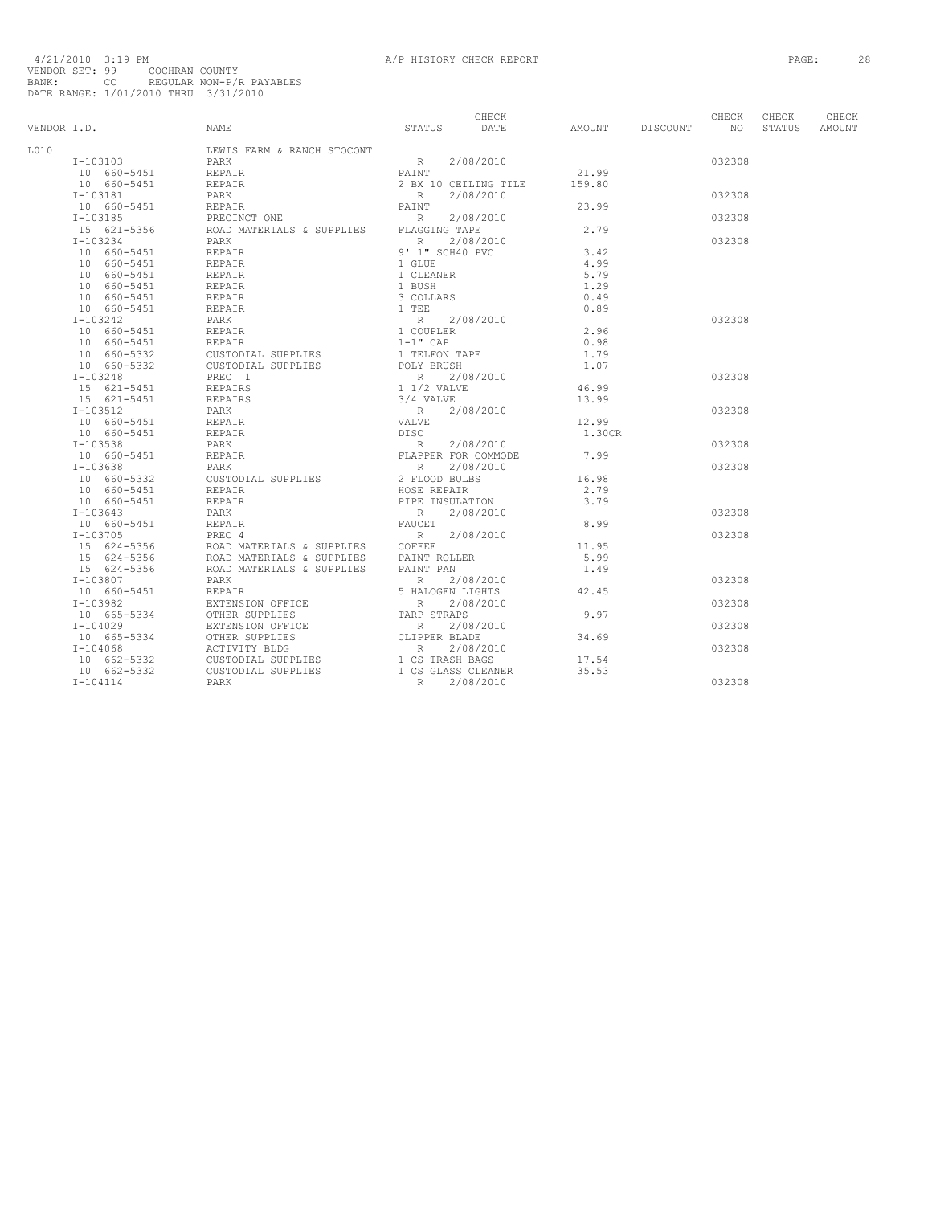| L010<br>LEWIS FARM & RANCH STOCONT                                                                                                                                                                                                                                                                                                                                                                                                                                                           |  |
|----------------------------------------------------------------------------------------------------------------------------------------------------------------------------------------------------------------------------------------------------------------------------------------------------------------------------------------------------------------------------------------------------------------------------------------------------------------------------------------------|--|
| $\begin{tabular}{ccccc} \texttt{R} & 2/08/2010 \\ \texttt{PAINT} & & \end{tabular}$<br>$I-103103$<br>PARK<br>032308                                                                                                                                                                                                                                                                                                                                                                          |  |
| PARK<br>REPAIR<br>$10 660 - 5451$<br>21.99                                                                                                                                                                                                                                                                                                                                                                                                                                                   |  |
| 10 660-5451<br>159.80                                                                                                                                                                                                                                                                                                                                                                                                                                                                        |  |
| 032308<br>$I-103181$                                                                                                                                                                                                                                                                                                                                                                                                                                                                         |  |
| ENETAIR<br>PARK 2 DE DARK REPAIR<br>REPAIR PARK REPAIR<br>PAINT<br>PRECINCT ONE ROAD MATERIALS & SUPPLIES FLAGGING TAPE<br>23.99<br>10 660-5451                                                                                                                                                                                                                                                                                                                                              |  |
| 032308<br>$I-103185$                                                                                                                                                                                                                                                                                                                                                                                                                                                                         |  |
| 2.79<br>15 621-5356                                                                                                                                                                                                                                                                                                                                                                                                                                                                          |  |
| $I-103234$<br>032308                                                                                                                                                                                                                                                                                                                                                                                                                                                                         |  |
| 3.42<br>10 660-5451                                                                                                                                                                                                                                                                                                                                                                                                                                                                          |  |
| 4.99<br>10 660-5451                                                                                                                                                                                                                                                                                                                                                                                                                                                                          |  |
| 10 660-5451<br>5.79                                                                                                                                                                                                                                                                                                                                                                                                                                                                          |  |
| 10 660-5451<br>1.29                                                                                                                                                                                                                                                                                                                                                                                                                                                                          |  |
| 0.49<br>10 660-5451                                                                                                                                                                                                                                                                                                                                                                                                                                                                          |  |
| 0.89<br>10 660-5451                                                                                                                                                                                                                                                                                                                                                                                                                                                                          |  |
| $I-103242$<br>032308                                                                                                                                                                                                                                                                                                                                                                                                                                                                         |  |
| 2.96<br>10 660-5451                                                                                                                                                                                                                                                                                                                                                                                                                                                                          |  |
| 0.98<br>10 660-5451                                                                                                                                                                                                                                                                                                                                                                                                                                                                          |  |
| 1.79<br>10 660-5332                                                                                                                                                                                                                                                                                                                                                                                                                                                                          |  |
| 1.07<br>10 660-5332                                                                                                                                                                                                                                                                                                                                                                                                                                                                          |  |
| 032308<br>I-103248                                                                                                                                                                                                                                                                                                                                                                                                                                                                           |  |
| 46.99<br>15 621-5451<br>15 621-5451                                                                                                                                                                                                                                                                                                                                                                                                                                                          |  |
| 13.99                                                                                                                                                                                                                                                                                                                                                                                                                                                                                        |  |
| $\begin{tabular}{l c c c} \multicolumn{1}{c}{\textbf{FREDAIR}} & \multicolumn{1}{c}{\textbf{FAPR}} & \multicolumn{1}{c}{\textbf{FAPR}} \\ \multicolumn{1}{c}{\textbf{FREDAIR}} & \multicolumn{1}{c}{\textbf{FAPR}} & \multicolumn{1}{c}{\textbf{FAPR}} \\ \multicolumn{1}{c}{\textbf{REPAIR}} & \multicolumn{1}{c}{\textbf{1 GLB} \textbf{N} \textbf{E}} \\ \multicolumn{1}{c}{\textbf{REPAIR}} & \multicolumn{1}{c}{\textbf{1 GLB} \textbf{N} \textbf{E}} \\ \mult$<br>$I-103512$<br>032308 |  |
| 12.99<br>10 660-5451                                                                                                                                                                                                                                                                                                                                                                                                                                                                         |  |
| 10 660-5451<br>1.30CR                                                                                                                                                                                                                                                                                                                                                                                                                                                                        |  |
| $I-103538$<br>032308                                                                                                                                                                                                                                                                                                                                                                                                                                                                         |  |
| 7.99<br>10 660-5451                                                                                                                                                                                                                                                                                                                                                                                                                                                                          |  |
| $I-103638$<br>032308                                                                                                                                                                                                                                                                                                                                                                                                                                                                         |  |
| 16.98<br>10 660-5332                                                                                                                                                                                                                                                                                                                                                                                                                                                                         |  |
| 10 660-5451<br>2.79                                                                                                                                                                                                                                                                                                                                                                                                                                                                          |  |
| 10 660-5451<br>3.79                                                                                                                                                                                                                                                                                                                                                                                                                                                                          |  |
| 032308<br>I-103643<br>PARK<br>R 2/08/2010<br>FAUCET                                                                                                                                                                                                                                                                                                                                                                                                                                          |  |
| 8.99<br>10 660-5451<br>REPAIR                                                                                                                                                                                                                                                                                                                                                                                                                                                                |  |
| PREC 4<br>RAD MATERIALS & SUPPLIES<br>ROAD MATERIALS & SUPPLIES<br>ROAD MATERIALS & SUPPLIES<br>ROAD MATERIALS & SUPPLIES<br>PAINT PAN<br>$I-103705$<br>032308                                                                                                                                                                                                                                                                                                                               |  |
| 15 624-5356<br>11.95                                                                                                                                                                                                                                                                                                                                                                                                                                                                         |  |
| 5.99<br>15 624-5356                                                                                                                                                                                                                                                                                                                                                                                                                                                                          |  |
| 15 624-5356<br>1.49                                                                                                                                                                                                                                                                                                                                                                                                                                                                          |  |
| 032308<br>$I-103807$                                                                                                                                                                                                                                                                                                                                                                                                                                                                         |  |
| 10 660-5451<br>42.45                                                                                                                                                                                                                                                                                                                                                                                                                                                                         |  |
| PARK R 2/08/2010<br>REPAIR 5 HALOGEN LIGHTS<br>EXTENSION OFFICE R 2/08/2010<br>OTHER SUPPLIES TARP STRAPS<br>TARP STRAPS<br>$I-103982$<br>032308<br>9.97                                                                                                                                                                                                                                                                                                                                     |  |
| 10 665-5334                                                                                                                                                                                                                                                                                                                                                                                                                                                                                  |  |
| $I-104029$<br>EXTENSION OFFICE R 2/08/2010<br>OTHER SUPPLIES CLIPPER BLADE<br>ACTIVITY BLDG CLIPPER BLADE<br>CUSTODIAL SUPPLIES 1 CS TRASH BAGS<br>CUSTODIAL SUPPLIES 1 CS GLASS CLEANER<br>032308<br>34.69                                                                                                                                                                                                                                                                                  |  |
| 10 665-5334<br>I-104068<br>032308                                                                                                                                                                                                                                                                                                                                                                                                                                                            |  |
| $10 662 - 5332$<br>17.54                                                                                                                                                                                                                                                                                                                                                                                                                                                                     |  |
| 35.53<br>10 662-5332                                                                                                                                                                                                                                                                                                                                                                                                                                                                         |  |
| PARK<br>R<br>2/08/2010<br>032308<br>$I - 104114$                                                                                                                                                                                                                                                                                                                                                                                                                                             |  |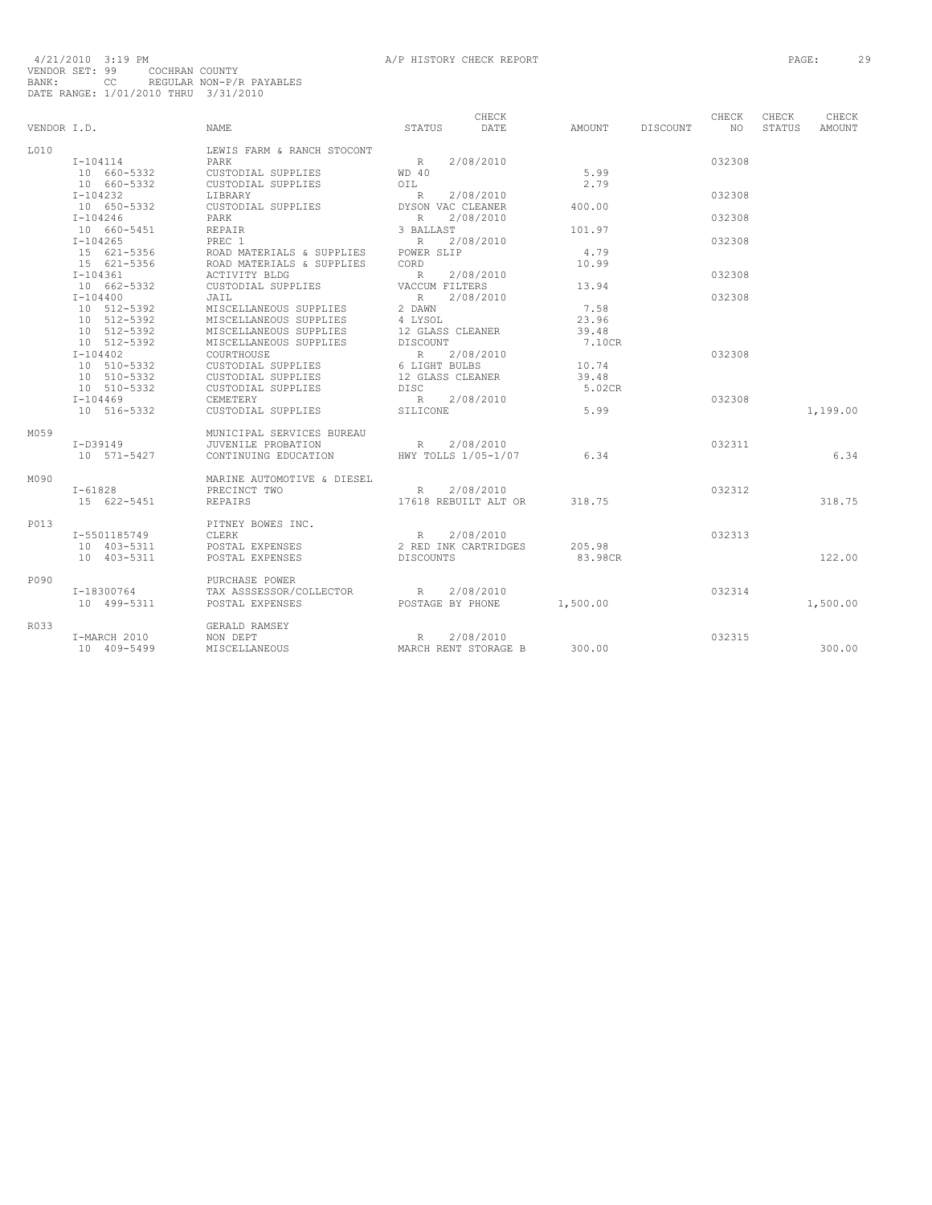|             |              |                            |                      | CHECK     |          |          | CHECK  | CHECK  | CHECK    |
|-------------|--------------|----------------------------|----------------------|-----------|----------|----------|--------|--------|----------|
| VENDOR I.D. |              | <b>NAME</b>                | STATUS               | DATE      | AMOUNT   | DISCOUNT | NO.    | STATUS | AMOUNT   |
| L010        |              | LEWIS FARM & RANCH STOCONT |                      |           |          |          |        |        |          |
|             | $I - 104114$ | PARK                       | R                    | 2/08/2010 |          |          | 032308 |        |          |
|             | 10 660-5332  | CUSTODIAL SUPPLIES         | WD 40                |           | 5.99     |          |        |        |          |
|             | 10 660-5332  | CUSTODIAL SUPPLIES         | OIL                  |           | 2.79     |          |        |        |          |
|             | $I - 104232$ | LIBRARY                    | R                    | 2/08/2010 |          |          | 032308 |        |          |
|             | 10 650-5332  | CUSTODIAL SUPPLIES         | DYSON VAC CLEANER    |           | 400.00   |          |        |        |          |
|             | $I - 104246$ | PARK                       | $R_{\rm c}$          | 2/08/2010 |          |          | 032308 |        |          |
|             | 10 660-5451  | REPAIR                     | 3 BALLAST            |           | 101.97   |          |        |        |          |
|             | $I - 104265$ | PREC 1                     | R                    | 2/08/2010 |          |          | 032308 |        |          |
|             | 15 621-5356  | ROAD MATERIALS & SUPPLIES  | POWER SLIP           |           | 4.79     |          |        |        |          |
|             | 15 621-5356  | ROAD MATERIALS & SUPPLIES  | CORD                 |           | 10.99    |          |        |        |          |
|             | $I - 104361$ | <b>ACTIVITY BLDG</b>       | R                    | 2/08/2010 |          |          | 032308 |        |          |
|             | 10 662-5332  | CUSTODIAL SUPPLIES         | VACCUM FILTERS       |           | 13.94    |          |        |        |          |
|             | $I - 104400$ | JAIL                       | R                    | 2/08/2010 |          |          | 032308 |        |          |
|             | 10 512-5392  | MISCELLANEOUS SUPPLIES     | 2 DAWN               |           | 7.58     |          |        |        |          |
|             | 10 512-5392  | MISCELLANEOUS SUPPLIES     | 4 LYSOL              |           | 23.96    |          |        |        |          |
|             | 10 512-5392  | MISCELLANEOUS SUPPLIES     | 12 GLASS CLEANER     |           | 39.48    |          |        |        |          |
|             | 10 512-5392  | MISCELLANEOUS SUPPLIES     | DISCOUNT             |           | 7.10CR   |          |        |        |          |
|             | $I - 104402$ | COURTHOUSE                 | R                    | 2/08/2010 |          |          | 032308 |        |          |
|             | 10 510-5332  | CUSTODIAL SUPPLIES         | 6 LIGHT BULBS        |           | 10.74    |          |        |        |          |
|             | 10 510-5332  | CUSTODIAL SUPPLIES         | 12 GLASS CLEANER     |           | 39.48    |          |        |        |          |
|             | 10 510-5332  | CUSTODIAL SUPPLIES         | DISC                 |           | 5.02CR   |          |        |        |          |
|             | $I - 104469$ | CEMETERY                   | R                    | 2/08/2010 |          |          | 032308 |        |          |
|             | 10 516-5332  | CUSTODIAL SUPPLIES         | STLICONE             |           | 5.99     |          |        |        | 1,199.00 |
|             |              |                            |                      |           |          |          |        |        |          |
| M059        |              | MUNICIPAL SERVICES BUREAU  |                      |           |          |          |        |        |          |
|             | I-D39149     | JUVENILE PROBATION         | R                    | 2/08/2010 |          |          | 032311 |        |          |
|             | 10 571-5427  | CONTINUING EDUCATION       | HWY TOLLS 1/05-1/07  |           | 6.34     |          |        |        | 6.34     |
| M090        |              | MARINE AUTOMOTIVE & DIESEL |                      |           |          |          |        |        |          |
|             | $I - 61828$  | PRECINCT TWO               | R                    | 2/08/2010 |          |          | 032312 |        |          |
|             | 15 622-5451  | <b>REPAIRS</b>             | 17618 REBUILT ALT OR |           | 318.75   |          |        |        | 318.75   |
| P013        |              | PITNEY BOWES INC.          |                      |           |          |          |        |        |          |
|             | I-5501185749 | CLERK                      | R                    | 2/08/2010 |          |          | 032313 |        |          |
|             | 10 403-5311  | POSTAL EXPENSES            | 2 RED INK CARTRIDGES |           | 205.98   |          |        |        |          |
|             | 10 403-5311  |                            |                      |           | 83.98CR  |          |        |        | 122.00   |
|             |              | POSTAL EXPENSES            | DISCOUNTS            |           |          |          |        |        |          |
| P090        |              | PURCHASE POWER             |                      |           |          |          |        |        |          |
|             | I-18300764   | TAX ASSSESSOR/COLLECTOR    | R                    | 2/08/2010 |          |          | 032314 |        |          |
|             | 10 499-5311  | POSTAL EXPENSES            | POSTAGE BY PHONE     |           | 1,500.00 |          |        |        | 1,500.00 |
| R033        |              | GERALD RAMSEY              |                      |           |          |          |        |        |          |
|             | I-MARCH 2010 | NON DEPT                   | R                    | 2/08/2010 |          |          | 032315 |        |          |
|             | 10 409-5499  | MISCELLANEOUS              | MARCH RENT STORAGE B |           | 300.00   |          |        |        | 300.00   |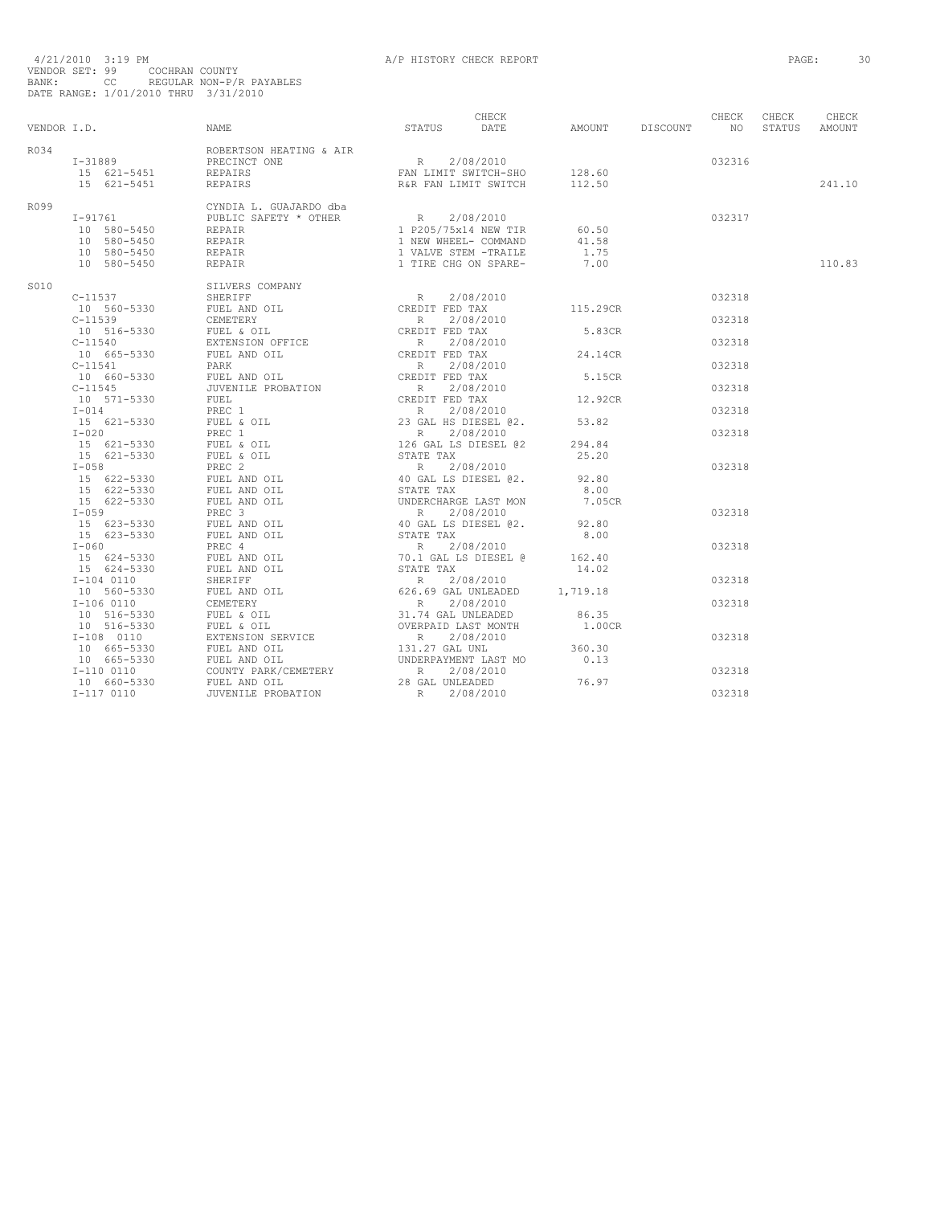| R034 |                                                                                                                                                                                                                                                                                                                                                                                                                                                                                                                                                                                                                         |  |      |        |        |
|------|-------------------------------------------------------------------------------------------------------------------------------------------------------------------------------------------------------------------------------------------------------------------------------------------------------------------------------------------------------------------------------------------------------------------------------------------------------------------------------------------------------------------------------------------------------------------------------------------------------------------------|--|------|--------|--------|
|      |                                                                                                                                                                                                                                                                                                                                                                                                                                                                                                                                                                                                                         |  |      | 032316 |        |
|      |                                                                                                                                                                                                                                                                                                                                                                                                                                                                                                                                                                                                                         |  |      |        |        |
|      |                                                                                                                                                                                                                                                                                                                                                                                                                                                                                                                                                                                                                         |  |      |        | 241.10 |
| R099 |                                                                                                                                                                                                                                                                                                                                                                                                                                                                                                                                                                                                                         |  |      |        |        |
|      |                                                                                                                                                                                                                                                                                                                                                                                                                                                                                                                                                                                                                         |  |      | 032317 |        |
|      |                                                                                                                                                                                                                                                                                                                                                                                                                                                                                                                                                                                                                         |  |      |        |        |
|      |                                                                                                                                                                                                                                                                                                                                                                                                                                                                                                                                                                                                                         |  |      |        |        |
|      |                                                                                                                                                                                                                                                                                                                                                                                                                                                                                                                                                                                                                         |  | 1.75 |        |        |
|      | $\begin{tabular}{lcccc} \tt T-91761 & & & CYNDIA L. GUJARDO dba & & & R & 2/08/2010 \\ 10 & 580-5450 & & & & REDAIR & & & & R & 2/08/2010 \\ 10 & 580-5450 & & & & & & 1 & P205/75x14 NEW TIR & & 60.50 \\ 10 & 580-5450 & & & & & & 1 & NEW WHEEL-L COMMAND & & 41.58 \\ 10 & 580-5450 & & & & & & 1 & NEW WHEEL-L COMMAND & & 41.58 \\ 10 & 5$<br>10 339-3430<br>C-11539<br>C-11539<br>C-11539<br>C-11539<br>C-11539<br>C-11539<br>C-11539<br>C-11539<br>C-11539<br>C-11539<br>C-11540<br>C-11540-5330<br>C-11540-5330<br>C-11540-5330<br>C-11540-5330<br>C-11540-5330<br>C-11540-5330<br>C-11540-5330<br>C-11540-533 |  |      |        | 110.83 |
| S010 |                                                                                                                                                                                                                                                                                                                                                                                                                                                                                                                                                                                                                         |  |      |        |        |
|      |                                                                                                                                                                                                                                                                                                                                                                                                                                                                                                                                                                                                                         |  |      | 032318 |        |
|      |                                                                                                                                                                                                                                                                                                                                                                                                                                                                                                                                                                                                                         |  |      |        |        |
|      |                                                                                                                                                                                                                                                                                                                                                                                                                                                                                                                                                                                                                         |  |      | 032318 |        |
|      |                                                                                                                                                                                                                                                                                                                                                                                                                                                                                                                                                                                                                         |  |      |        |        |
|      |                                                                                                                                                                                                                                                                                                                                                                                                                                                                                                                                                                                                                         |  |      | 032318 |        |
|      |                                                                                                                                                                                                                                                                                                                                                                                                                                                                                                                                                                                                                         |  |      |        |        |
|      |                                                                                                                                                                                                                                                                                                                                                                                                                                                                                                                                                                                                                         |  |      | 032318 |        |
|      |                                                                                                                                                                                                                                                                                                                                                                                                                                                                                                                                                                                                                         |  |      |        |        |
|      |                                                                                                                                                                                                                                                                                                                                                                                                                                                                                                                                                                                                                         |  |      | 032318 |        |
|      |                                                                                                                                                                                                                                                                                                                                                                                                                                                                                                                                                                                                                         |  |      |        |        |
|      |                                                                                                                                                                                                                                                                                                                                                                                                                                                                                                                                                                                                                         |  |      | 032318 |        |
|      |                                                                                                                                                                                                                                                                                                                                                                                                                                                                                                                                                                                                                         |  |      | 032318 |        |
|      |                                                                                                                                                                                                                                                                                                                                                                                                                                                                                                                                                                                                                         |  |      |        |        |
|      |                                                                                                                                                                                                                                                                                                                                                                                                                                                                                                                                                                                                                         |  |      |        |        |
|      |                                                                                                                                                                                                                                                                                                                                                                                                                                                                                                                                                                                                                         |  |      | 032318 |        |
|      |                                                                                                                                                                                                                                                                                                                                                                                                                                                                                                                                                                                                                         |  |      |        |        |
|      |                                                                                                                                                                                                                                                                                                                                                                                                                                                                                                                                                                                                                         |  |      |        |        |
|      |                                                                                                                                                                                                                                                                                                                                                                                                                                                                                                                                                                                                                         |  |      |        |        |
|      |                                                                                                                                                                                                                                                                                                                                                                                                                                                                                                                                                                                                                         |  |      | 032318 |        |
|      |                                                                                                                                                                                                                                                                                                                                                                                                                                                                                                                                                                                                                         |  |      |        |        |
|      |                                                                                                                                                                                                                                                                                                                                                                                                                                                                                                                                                                                                                         |  |      |        |        |
|      |                                                                                                                                                                                                                                                                                                                                                                                                                                                                                                                                                                                                                         |  |      | 032318 |        |
|      |                                                                                                                                                                                                                                                                                                                                                                                                                                                                                                                                                                                                                         |  |      |        |        |
|      |                                                                                                                                                                                                                                                                                                                                                                                                                                                                                                                                                                                                                         |  |      |        |        |
|      |                                                                                                                                                                                                                                                                                                                                                                                                                                                                                                                                                                                                                         |  |      | 032318 |        |
|      |                                                                                                                                                                                                                                                                                                                                                                                                                                                                                                                                                                                                                         |  |      |        |        |
|      |                                                                                                                                                                                                                                                                                                                                                                                                                                                                                                                                                                                                                         |  |      | 032318 |        |
|      |                                                                                                                                                                                                                                                                                                                                                                                                                                                                                                                                                                                                                         |  |      |        |        |
|      |                                                                                                                                                                                                                                                                                                                                                                                                                                                                                                                                                                                                                         |  |      |        |        |
|      |                                                                                                                                                                                                                                                                                                                                                                                                                                                                                                                                                                                                                         |  |      | 032318 |        |
|      |                                                                                                                                                                                                                                                                                                                                                                                                                                                                                                                                                                                                                         |  |      |        |        |
|      |                                                                                                                                                                                                                                                                                                                                                                                                                                                                                                                                                                                                                         |  |      |        |        |
|      |                                                                                                                                                                                                                                                                                                                                                                                                                                                                                                                                                                                                                         |  |      | 032318 |        |
|      |                                                                                                                                                                                                                                                                                                                                                                                                                                                                                                                                                                                                                         |  |      |        |        |
|      |                                                                                                                                                                                                                                                                                                                                                                                                                                                                                                                                                                                                                         |  |      | 032318 |        |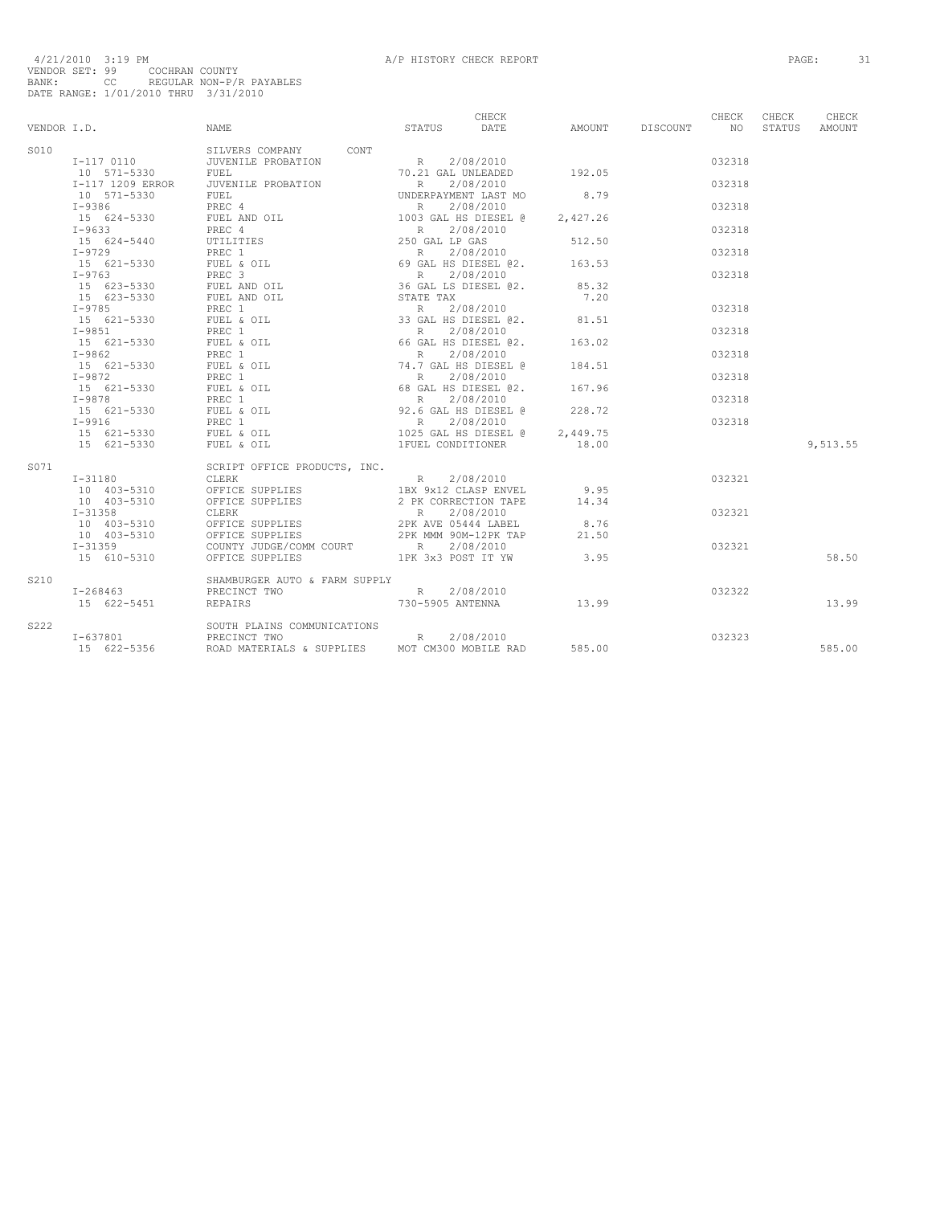|      |                                       | VENDOR I.D. CHECK CHECK CHECK CHECK CHECK CHECK CHECK CHECK CHECK                                               |                 |        |          | CHECK | CHECK<br>STATUS AMOUNT |
|------|---------------------------------------|-----------------------------------------------------------------------------------------------------------------|-----------------|--------|----------|-------|------------------------|
| S010 |                                       |                                                                                                                 |                 |        |          |       |                        |
|      |                                       |                                                                                                                 |                 |        | 032318   |       |                        |
|      |                                       |                                                                                                                 |                 |        |          |       |                        |
|      |                                       |                                                                                                                 |                 |        | 032318   |       |                        |
|      |                                       |                                                                                                                 |                 |        |          |       |                        |
|      |                                       |                                                                                                                 |                 |        | 032318   |       |                        |
|      |                                       |                                                                                                                 |                 |        |          |       |                        |
|      |                                       |                                                                                                                 |                 |        | 032318   |       |                        |
|      |                                       |                                                                                                                 |                 |        |          |       |                        |
|      |                                       |                                                                                                                 |                 |        |          |       |                        |
|      |                                       |                                                                                                                 |                 |        | 032318   |       |                        |
|      |                                       |                                                                                                                 |                 |        |          |       |                        |
|      |                                       |                                                                                                                 |                 |        | 032318   |       |                        |
|      |                                       |                                                                                                                 |                 |        |          |       |                        |
|      |                                       |                                                                                                                 |                 |        |          |       |                        |
|      |                                       |                                                                                                                 |                 |        | 032318   |       |                        |
|      |                                       |                                                                                                                 |                 |        |          |       |                        |
|      |                                       |                                                                                                                 |                 |        | 032318   |       |                        |
|      |                                       |                                                                                                                 |                 |        |          |       |                        |
|      |                                       |                                                                                                                 |                 |        | 032318   |       |                        |
|      |                                       |                                                                                                                 |                 |        |          |       |                        |
|      |                                       |                                                                                                                 |                 |        | 032318   |       |                        |
|      |                                       |                                                                                                                 |                 |        |          |       |                        |
|      |                                       |                                                                                                                 |                 |        | 0.32.318 |       |                        |
|      |                                       |                                                                                                                 |                 |        |          |       |                        |
|      |                                       |                                                                                                                 |                 |        | 032318   |       |                        |
|      |                                       |                                                                                                                 |                 |        |          |       |                        |
|      |                                       |                                                                                                                 |                 |        |          |       | 9,513.55               |
| S071 |                                       | SCRIPT OFFICE PRODUCTS, INC.<br>CLERK I                                                                         |                 |        |          |       |                        |
|      |                                       |                                                                                                                 | $R = 2/08/2010$ | 032321 |          |       |                        |
|      |                                       |                                                                                                                 |                 |        |          |       |                        |
|      |                                       |                                                                                                                 |                 |        |          |       |                        |
|      |                                       |                                                                                                                 |                 |        | 032321   |       |                        |
|      |                                       |                                                                                                                 |                 |        |          |       |                        |
|      |                                       |                                                                                                                 |                 |        |          |       |                        |
|      |                                       |                                                                                                                 |                 |        | 032321   |       |                        |
|      |                                       |                                                                                                                 |                 |        |          |       | 58.50                  |
| S210 |                                       | SHAMBURGER AUTO & FARM SUPPLY                                                                                   |                 |        |          |       |                        |
|      |                                       |                                                                                                                 |                 |        |          |       |                        |
|      |                                       | SHAMBURGER AUTO & FARM SUPPLY<br>1999/19910 13.99 PRECINCT TWO 15<br>15 622-5451 REPAIRS 730-5905 ANTENNA 13.99 |                 |        |          |       | 13.99                  |
| S222 |                                       | SOUTH PLAINS COMMUNICATIONS                                                                                     |                 |        |          |       |                        |
|      | SOUTH PLAINS<br>I-637801 PRECINCT TWO | PRECINCT TWO CONSULTING R 2/08/2010<br>ROAD MATERIALS & SUPPLIES MOT CM300 MOBILE RAD 585.00 6051               | $R = 2/08/2010$ |        |          |       |                        |
|      | 15 622-5356                           |                                                                                                                 |                 |        |          |       | 585.00                 |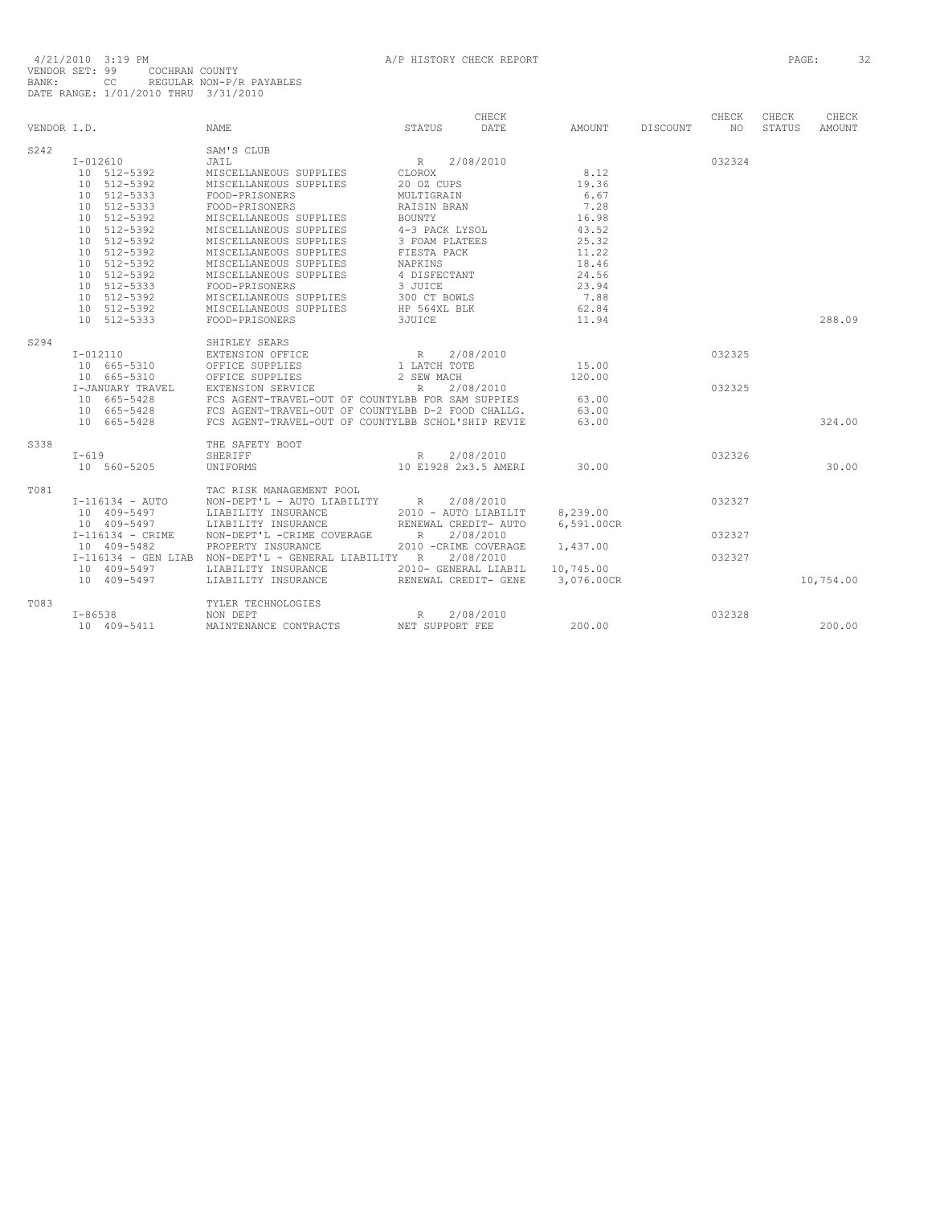|             |                  |                                                      |                                  | CHECK     |            |                 | CHECK  | CHECK  | CHECK         |
|-------------|------------------|------------------------------------------------------|----------------------------------|-----------|------------|-----------------|--------|--------|---------------|
| VENDOR I.D. |                  | <b>NAME</b>                                          | STATUS                           | DATE      | AMOUNT     | <b>DISCOUNT</b> | NO.    | STATUS | <b>AMOUNT</b> |
| S242        |                  | SAM'S CLUB                                           |                                  |           |            |                 |        |        |               |
|             | $I - 012610$     | JAIL                                                 | R 2/08/2010                      |           |            |                 | 032324 |        |               |
|             | 10 512-5392      | MISCELLANEOUS SUPPLIES                               | CLOROX                           |           | 8.12       |                 |        |        |               |
|             | 10 512-5392      | MISCELLANEOUS SUPPLIES                               | 20 OZ CUPS                       |           | 19.36      |                 |        |        |               |
|             | 10 512-5333      | FOOD-PRISONERS                                       | MULTIGRAIN                       |           | 6.67       |                 |        |        |               |
|             | 10 512-5333      | FOOD-PRISONERS                                       | RAISIN BRAN                      |           | 7.28       |                 |        |        |               |
|             | 10 512-5392      | MISCELLANEOUS SUPPLIES                               | BOUNTY                           |           | 16.98      |                 |        |        |               |
|             | 10 512-5392      | MISCELLANEOUS SUPPLIES                               | 4-3 PACK LYSOL                   |           | 43.52      |                 |        |        |               |
|             | 10 512-5392      | MISCELLANEOUS SUPPLIES                               | 3 FOAM PLATEES                   |           | 25.32      |                 |        |        |               |
|             | 10 512-5392      | MISCELLANEOUS SUPPLIES                               |                                  |           | 11.22      |                 |        |        |               |
|             |                  |                                                      | FIESTA PACK<br>NAPKINS           |           |            |                 |        |        |               |
|             | 10 512-5392      | MISCELLANEOUS SUPPLIES                               |                                  |           | 18.46      |                 |        |        |               |
|             | 10 512-5392      | MISCELLANEOUS SUPPLIES                               | 4 DISFECTANT                     |           | 24.56      |                 |        |        |               |
|             | 10 512-5333      | FOOD-PRISONERS                                       | 3 JUICE<br>300 CT BOWLS          |           | 23.94      |                 |        |        |               |
|             | 10 512-5392      | MISCELLANEOUS SUPPLIES                               |                                  |           | 7.88       |                 |        |        |               |
|             | 10 512-5392      | MISCELLANEOUS SUPPLIES                               | HP 564XL BLK                     |           | 62.84      |                 |        |        |               |
|             | 10 512-5333      | FOOD-PRISONERS                                       | 3JUICE                           |           | 11.94      |                 |        |        | 288.09        |
| S294        |                  | SHIRLEY SEARS                                        |                                  |           |            |                 |        |        |               |
|             | $I-012110$       | EXTENSION OFFICE                                     | R 2/08/2010                      |           |            |                 | 032325 |        |               |
|             | 10 665-5310      | OFFICE SUPPLIES                                      | 1 LATCH TOTE                     |           | 15.00      |                 |        |        |               |
|             | $10 665 - 5310$  | OFFICE SUPPLIES                                      | 2 SEW MACH                       |           | 120.00     |                 |        |        |               |
|             | I-JANUARY TRAVEL | EXTENSION SERVICE                                    | R                                | 2/08/2010 |            |                 | 032325 |        |               |
|             | 10 665-5428      | FCS AGENT-TRAVEL-OUT OF COUNTYLBB FOR SAM SUPPIES    |                                  |           | 63.00      |                 |        |        |               |
|             | 10 665-5428      | FCS AGENT-TRAVEL-OUT OF COUNTYLBB D-2 FOOD CHALLG.   |                                  |           | 63.00      |                 |        |        |               |
|             | 10 665-5428      | FCS AGENT-TRAVEL-OUT OF COUNTYLBB SCHOL'SHIP REVIE   |                                  |           | 63.00      |                 |        |        | 324.00        |
| S338        |                  | THE SAFETY BOOT                                      |                                  |           |            |                 |        |        |               |
|             | $I-619$          | SHERIFF                                              | R                                | 2/08/2010 |            |                 | 032326 |        |               |
|             | 10 560-5205      | UNIFORMS                                             | 10 E1928 2x3.5 AMERI             |           | 30.00      |                 |        |        | 30.00         |
|             |                  |                                                      |                                  |           |            |                 |        |        |               |
| T081        |                  | TAC RISK MANAGEMENT POOL                             |                                  |           |            |                 |        |        |               |
|             | I-116134 - AUTO  | NON-DEPT'L - AUTO LIABILITY R                        |                                  | 2/08/2010 |            |                 | 032327 |        |               |
|             | 10 409-5497      | LIABILITY INSURANCE                                  | 2010 - AUTO LIABILIT             |           | 8.239.00   |                 |        |        |               |
|             | 10 409-5497      | LIABILITY INSURANCE                                  | RENEWAL CREDIT- AUTO             |           | 6,591.00CR |                 |        |        |               |
|             | I-116134 - CRIME | NON-DEPT'L -CRIME COVERAGE                           | R                                | 2/08/2010 |            |                 | 032327 |        |               |
|             | 10 409-5482      | PROPERTY INSURANCE                                   | 2010 - CRIME COVERAGE            |           | 1,437.00   |                 |        |        |               |
|             |                  | I-116134 - GEN LIAB NON-DEPT'L - GENERAL LIABILITY R |                                  | 2/08/2010 |            |                 | 032327 |        |               |
|             | 10 409-5497      | LIABILITY INSURANCE                                  | 2010- GENERAL LIABIL             |           | 10,745.00  |                 |        |        |               |
|             | 10 409-5497      | LIABILITY INSURANCE                                  | RENEWAL CREDIT- GENE             |           | 3,076.00CR |                 |        |        | 10,754.00     |
| T083        |                  |                                                      |                                  |           |            |                 |        |        |               |
|             |                  | TYLER TECHNOLOGIES                                   |                                  |           |            |                 |        |        |               |
|             | $I - 86538$      | NON DEPT                                             | $\mathbb R$ . In the $\mathbb R$ | 2/08/2010 |            |                 | 032328 |        |               |
|             | 10 409-5411      | MAINTENANCE CONTRACTS                                | NET SUPPORT FEE                  |           | 200.00     |                 |        |        | 200.00        |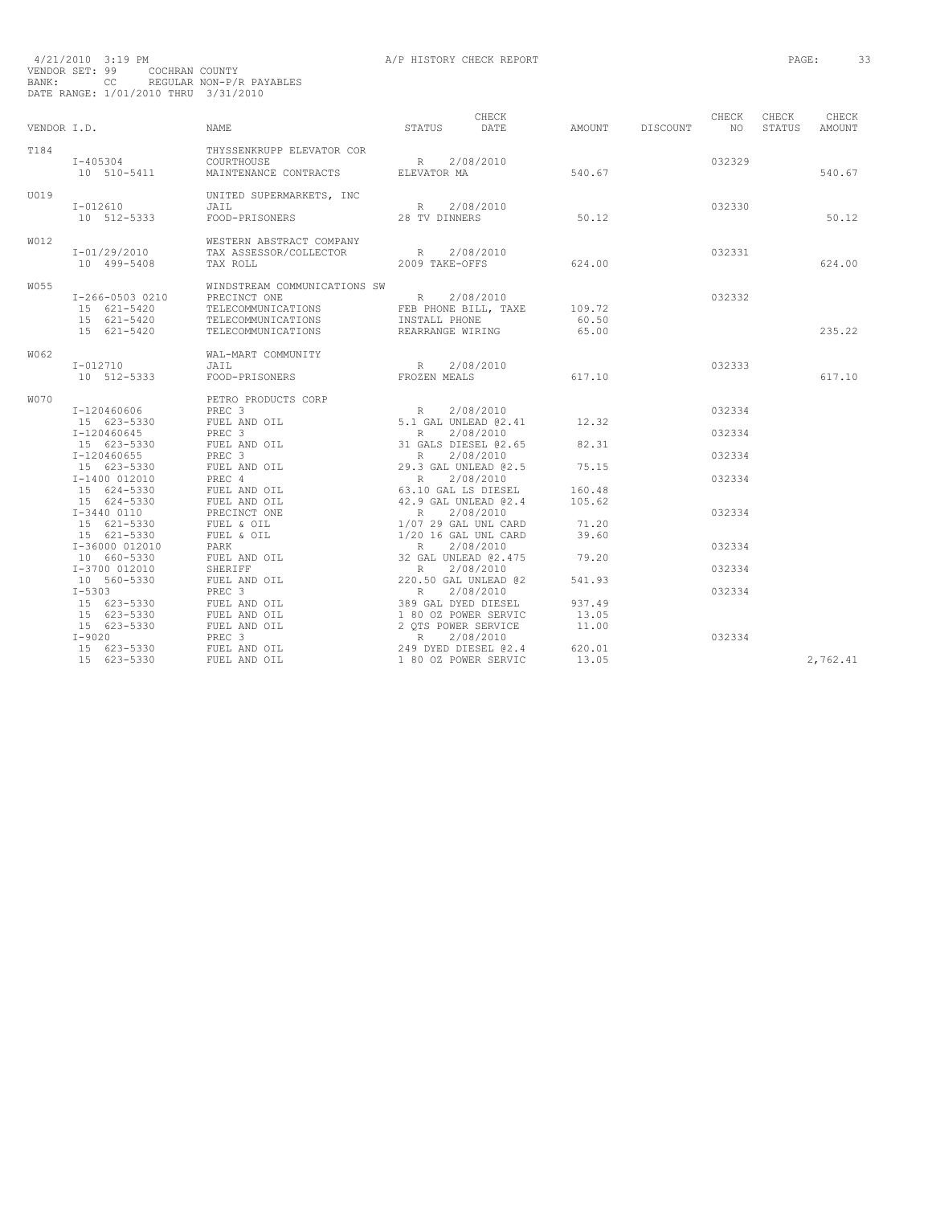| VENDOR I.D. |                                                                         | NAME                                                                                                                                                                                                                                                                                                 | STATUS DATE                                      | CHECK                       | AMOUNT DISCOUNT NO       | CHECK            | CHECK<br>STATUS | CHECK<br>AMOUNT |
|-------------|-------------------------------------------------------------------------|------------------------------------------------------------------------------------------------------------------------------------------------------------------------------------------------------------------------------------------------------------------------------------------------------|--------------------------------------------------|-----------------------------|--------------------------|------------------|-----------------|-----------------|
| T184        | $I - 405304$<br>10 510-5411                                             | THYSSENKRUPP ELEVATOR COR<br>COURTHOUSE<br>MAINTENANCE CONTRACTS ELEVATOR MA                                                                                                                                                                                                                         | R 2/08/2010                                      |                             | 540.67                   | 032329           |                 | 540.67          |
| U019        | $I - 012610$<br>10 512-5333                                             | UNITED SUPERMARKETS, INC<br>JAIL<br>FOOD-PRISONERS 28 TV DINNERS                                                                                                                                                                                                                                     | R 2/08/2010                                      |                             | 50.1<br>50.12            | 032330           |                 | 50.12           |
| <b>W012</b> | I-01/29/2010<br>10 499-5408                                             | WESTERN ABSTRACT COMPANY<br>TAX ASSESSOR/COLLECTOR<br>TAX ROLL                                                                                                                                                                                                                                       | R 2/08/2010<br>2009 TAKE-OFFS                    |                             | 624.00                   | 032331           |                 | 624.00          |
| W055        | I-266-0503 0210<br>15 621-5420<br>15 621-5420<br>15 621-5420            | WINDSTREAM COMMUNICATIONS SW<br>PRECINCT ONE<br>TELECOMMUNICATIONS<br>TELECOMMUNICATIONS<br>TELECOMMUNICATIONS                                                                                                                                                                                       | R 2/08/2010<br>INSTALL PHONE<br>REARRANGE WIRING | FEB PHONE BILL, TAXE 109.72 | 60.50<br>65.00           | 032332           |                 | 235.22          |
| W062        | I-012710<br>10 512-5333                                                 | WAL-MART COMMUNITY<br>JAIL<br>FOOD-PRISONERS                                                                                                                                                                                                                                                         | R 2/08/2010<br>FROZEN MEALS                      |                             | 617.10                   | 032333           |                 | 617.10          |
| <b>W070</b> | I-120460606<br>15 623-5330                                              | PETRO PRODUCTS CORP<br>PREC 3<br>FUEL AND OIL<br>PREC 3                                                                                                                                                                                                                                              |                                                  |                             | 12.32                    | 032334           |                 |                 |
|             | I-120460645<br>15 623-5330<br>I-120460655                               | FUEL AND OIL<br>PREC <sub>3</sub>                                                                                                                                                                                                                                                                    |                                                  |                             | 82.31                    | 032334<br>032334 |                 |                 |
|             | 15 623-5330 FUEL AND OIL<br>I-1400 012010 PREC 4<br>I-1400 012010       | PREC 4<br>PREC 4<br>FUEL AND OIL                                                                                                                                                                                                                                                                     |                                                  |                             | 75.15<br>160.48          | 032334           |                 |                 |
|             | 15 624-5330<br>15 624-5330<br>15 624-5330<br>I-3440 0110<br>15 621-5330 | ORP<br>R 2/08/2010<br>5.1 GAL UNLEAD @2.41<br>R 2/08/2010<br>31 GALS DIESEL @2.65<br>29.3 GAL UNLEAD @2.5<br>R 2/08/2010<br>63.10 GAL UNLEAD @2.4<br>42.9 GAL UNLEAD @2.4<br>R 2/08/2010<br>1/07 29 GAL UNLEAD @2.4<br>R 2/08/2010<br>1/01 4 GAL UNLEA<br>FUEL AND OIL<br>PRECINCT ONE<br>FUEL & OIL |                                                  |                             | 105.62<br>71.20          | 032334           |                 |                 |
|             | 15 621-5330<br>I-36000 012010<br>10 660-5330                            | FUEL & OIL<br>PARK<br>FUEL AND OIL                                                                                                                                                                                                                                                                   |                                                  |                             | 39.60<br>79.20           | 032334           |                 |                 |
|             | I-3700 012010<br>10 560-5330<br>$I - 5303$                              | SHERIFF<br>FUEL AND OIL<br>PREC <sub>3</sub>                                                                                                                                                                                                                                                         |                                                  |                             | 541.93                   | 032334<br>032334 |                 |                 |
|             | 15 623-5330 FUEL AND OIL<br>15 623-5330<br>15 623-5330                  | 1/07 29 GAL UNL CARD<br>1/20 16 GAL UNL CARD<br>R 2/08/2010<br>32 GAL UNLEAD @2.475<br>R 2/08/2010<br>220.50 GAL UNLEAD @2<br>R 2/08/2010<br>389 GAL DYED DIESEL<br>1 80 OZ POWER SERVIC<br>2 QTS POWER SERVIC<br>R 2/08/2010<br>R 2/08/2010<br>FUEL AND OIL<br>FUEL AND OIL                         |                                                  |                             | 937.49<br>13.05<br>11.00 |                  |                 |                 |
|             | $I-9020$<br>15 623-5330<br>15 623-5330                                  | PREC <sub>3</sub><br>READWARD DIESEL (2.4)<br>R 2/0 DIESEL (2.4)<br>1 00 00 PACEL (2.4)<br>FUEL AND OIL<br>FUEL AND OIL                                                                                                                                                                              |                                                  |                             | 620.01<br>13.05          | 032334           |                 | 2,762.41        |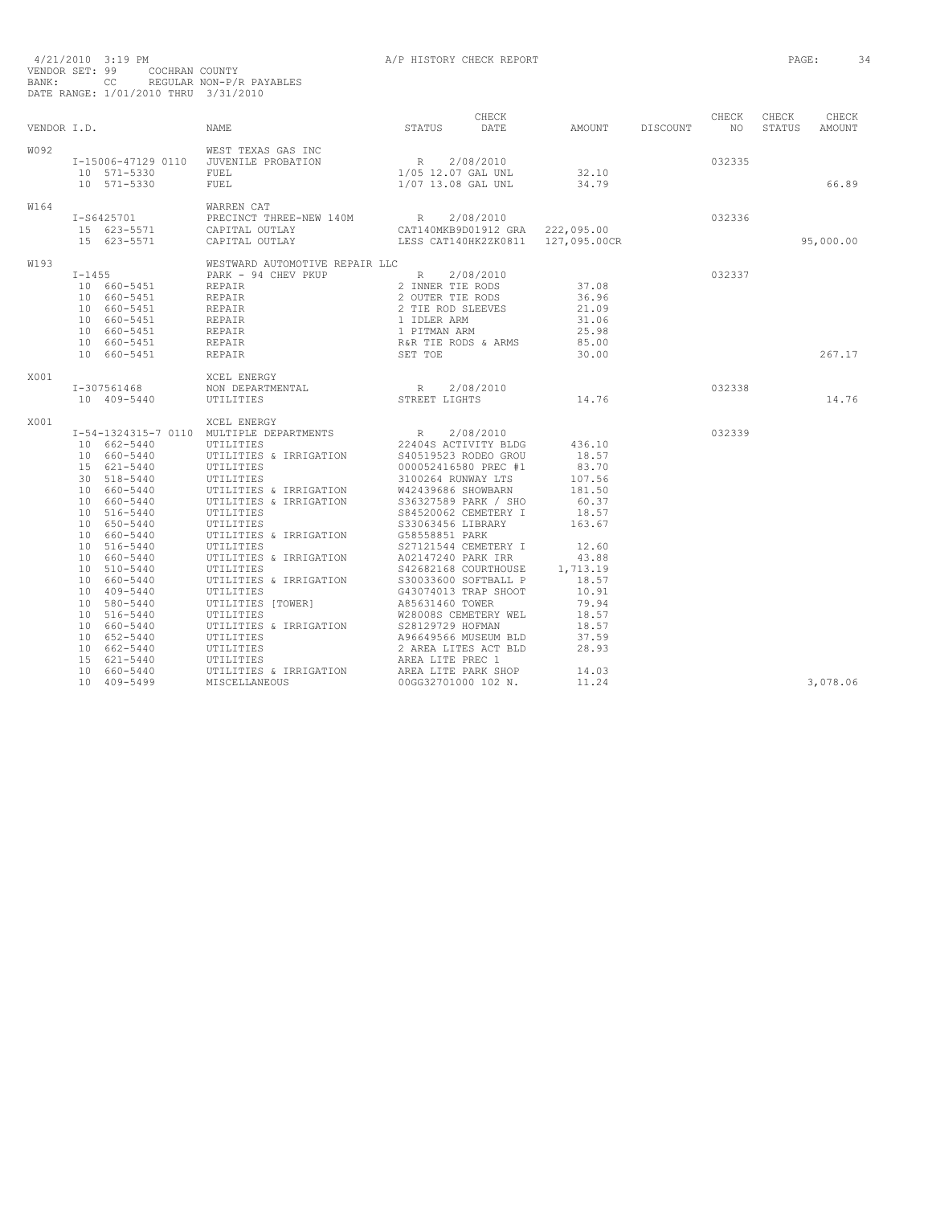| 4/21/2010 3:19 PM<br>VENDOR SET: 99 COCHRAN COUNTY<br>CC REGULAR NON-P/R PAYABLES<br>BANK:<br>DATE RANGE: 1/01/2010 THRU 3/31/2010                                                                                                                                                                                                                                                               |                                    | 34       |
|--------------------------------------------------------------------------------------------------------------------------------------------------------------------------------------------------------------------------------------------------------------------------------------------------------------------------------------------------------------------------------------------------|------------------------------------|----------|
| VENDOR I.D.                                                                                                                                                                                                                                                                                                                                                                                      | CHECK CHECK CHECK<br>STATUS AMOUNT |          |
| W092<br>I-15006-47129 0110 JUVENILE PROBATION<br>10 571-5330 FUEL<br>10 571-5330                                                                                                                                                                                                                                                                                                                 | 66.89                              |          |
| W164                                                                                                                                                                                                                                                                                                                                                                                             | 95,000.00                          |          |
| W193<br>$\begin{tabular}{lcccc} \tt I-1455 & \tt WESTWARD AUTOMOTIVE REPATH LLC & \tt PARK & - 94 CHEV PKUP & R & 2/08/2010 \\ 10 & 660-5451 & \tt REPAR & 2 UUTER THE RODS & 37.08 \\ 10 & 660-5451 & \tt REPAR & 2 UUTER THE RODS & 36.96 \\ 10 & 660-5451 & \tt REPAR & 2 UUTER THE RODS & 36.96 \\ 10 & 660-5451 & \tt REPAR & 1 IDLER ARM & 31.06 \\ 660-5451 & \tt REPAR & 1 IDLER AM & 3$ | 267.17                             |          |
| X001<br>I-307561468<br>10 409-5440                                                                                                                                                                                                                                                                                                                                                               | 14.76                              |          |
| X001                                                                                                                                                                                                                                                                                                                                                                                             |                                    |          |
| $\begin{tabular}{l c c c c} \textbf{I}-54-1324315-7&0110&MULTIPLEB ENERGY &R & 2/08/2010\\10&662-5440&MULTIPLEB EDERATMENTS& 224048 ACTIVITY BLD6 &436.10\\10&660-5440&VITIITIES &8 IRRIGATION &31000052416580 PRC &18.57\\20&518-5440&VITIITIES &8 IRRIGATION &31000052416580 PRC &19.56\\10&660-5440&VITIIT$<br>10 409-5499                                                                    |                                    | 3,078.06 |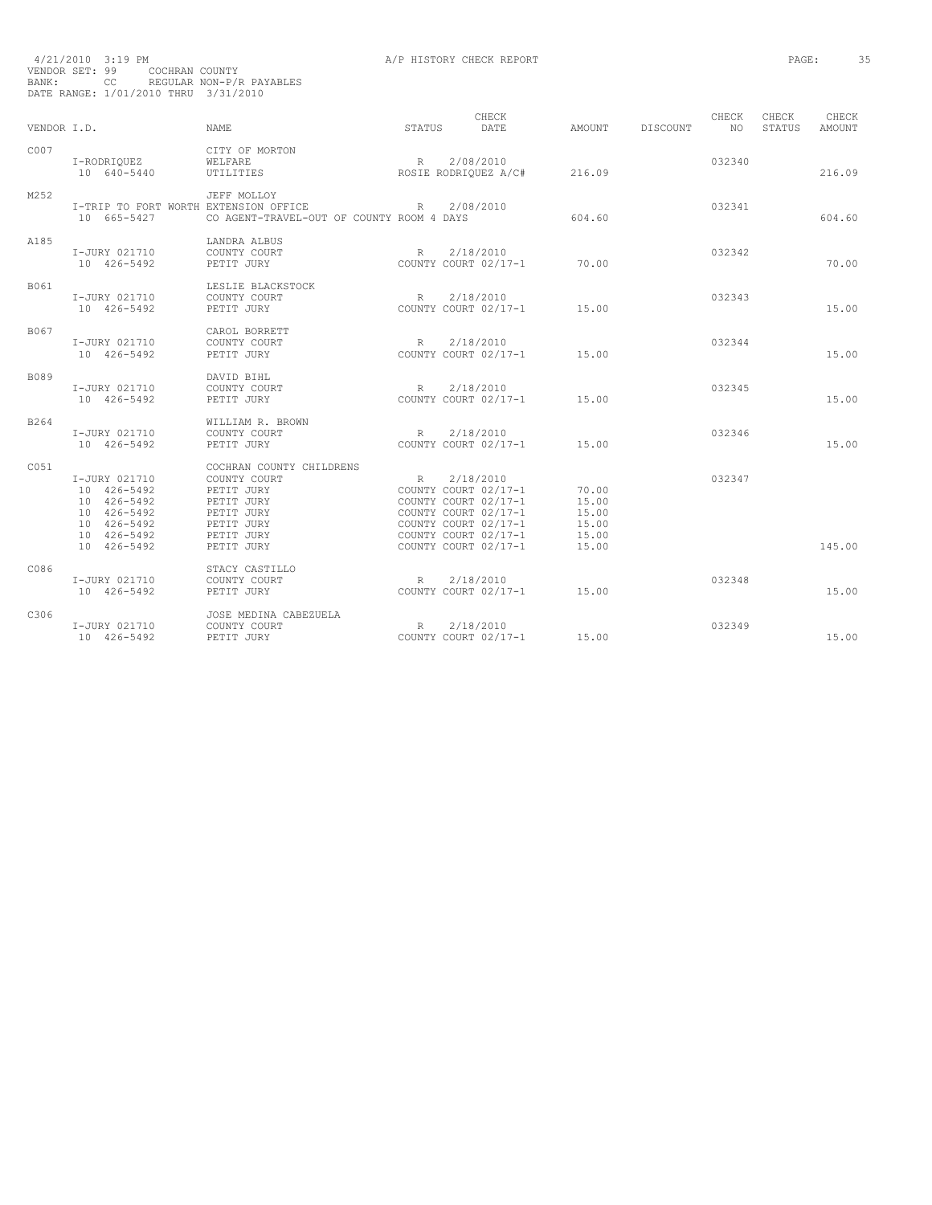| BANK:       | 4/21/2010 3:19 PM<br>VENDOR SET: 99<br>COCHRAN COUNTY<br>CC<br>DATE RANGE: 1/01/2010 THRU 3/31/2010     | REGULAR NON-P/R PAYABLES                                                                                                     |             | A/P HISTORY CHECK REPORT                                                                                                                                  |                                                    |          |              | PAGE:           | 35              |  |
|-------------|---------------------------------------------------------------------------------------------------------|------------------------------------------------------------------------------------------------------------------------------|-------------|-----------------------------------------------------------------------------------------------------------------------------------------------------------|----------------------------------------------------|----------|--------------|-----------------|-----------------|--|
| VENDOR I.D. |                                                                                                         | <b>NAME</b>                                                                                                                  | STATUS      | CHECK<br>DATE                                                                                                                                             | AMOUNT                                             | DISCOUNT | CHECK<br>NO. | CHECK<br>STATUS | CHECK<br>AMOUNT |  |
| C007        | I-RODRIQUEZ<br>10 640-5440                                                                              | CITY OF MORTON<br>WELFARE<br>UTILITIES                                                                                       | R.          | 2/08/2010<br>ROSIE RODRIQUEZ A/C#                                                                                                                         | 216.09                                             |          | 032340       |                 | 216.09          |  |
| M252        | I-TRIP TO FORT WORTH EXTENSION OFFICE<br>10 665-5427                                                    | JEFF MOLLOY<br>CO AGENT-TRAVEL-OUT OF COUNTY ROOM 4 DAYS                                                                     | R           | 2/08/2010                                                                                                                                                 | 604.60                                             |          | 032341       |                 | 604.60          |  |
| A185        | I-JURY 021710<br>10 426-5492                                                                            | LANDRA ALBUS<br>COUNTY COURT<br>PETIT JURY                                                                                   | R           | 2/18/2010<br>COUNTY COURT 02/17-1                                                                                                                         | 70.00                                              |          | 032342       |                 | 70.00           |  |
| B061        | I-JURY 021710<br>10 426-5492                                                                            | LESLIE BLACKSTOCK<br>COUNTY COURT<br>PETIT JURY                                                                              | R           | 2/18/2010<br>COUNTY COURT 02/17-1                                                                                                                         | 15.00                                              |          | 032343       |                 | 15.00           |  |
| B067        | I-JURY 021710<br>10 426-5492                                                                            | CAROL BORRETT<br>COUNTY COURT<br>PETIT JURY                                                                                  | R           | 2/18/2010<br>COUNTY COURT 02/17-1                                                                                                                         | 15.00                                              |          | 032344       |                 | 15.00           |  |
| <b>B089</b> | I-JURY 021710<br>10 426-5492                                                                            | DAVID BIHL<br>COUNTY COURT<br>PETIT JURY                                                                                     | $R_{\odot}$ | 2/18/2010<br>COUNTY COURT 02/17-1                                                                                                                         | 15.00                                              |          | 032345       |                 | 15.00           |  |
| B264        | I-JURY 021710<br>10 426-5492                                                                            | WILLIAM R. BROWN<br>COUNTY COURT<br>PETIT JURY                                                                               | R           | 2/18/2010<br>COUNTY COURT 02/17-1                                                                                                                         | 15.00                                              |          | 032346       |                 | 15.00           |  |
| C051        | I-JURY 021710<br>10 426-5492<br>10 426-5492<br>10 426-5492<br>10 426-5492<br>10 426-5492<br>10 426-5492 | COCHRAN COUNTY CHILDRENS<br>COUNTY COURT<br>PETIT JURY<br>PETIT JURY<br>PETIT JURY<br>PETIT JURY<br>PETIT JURY<br>PETIT JURY | R           | 2/18/2010<br>COUNTY COURT 02/17-1<br>COUNTY COURT 02/17-1<br>COUNTY COURT 02/17-1<br>COUNTY COURT 02/17-1<br>COUNTY COURT 02/17-1<br>COUNTY COURT 02/17-1 | 70.00<br>15.00<br>15.00<br>15.00<br>15.00<br>15.00 |          | 032347       |                 | 145.00          |  |
| C086        | I-JURY 021710<br>10 426-5492                                                                            | STACY CASTILLO<br>COUNTY COURT<br>PETIT JURY                                                                                 | $R_{\perp}$ | 2/18/2010<br>COUNTY COURT 02/17-1                                                                                                                         | 15.00                                              |          | 032348       |                 | 15.00           |  |
| C306        | I-JURY 021710<br>10 426-5492                                                                            | JOSE MEDINA CABEZUELA<br>COUNTY COURT<br>PETIT JURY                                                                          | R           | 2/18/2010<br>COUNTY COURT 02/17-1                                                                                                                         | 15.00                                              |          | 032349       |                 | 15.00           |  |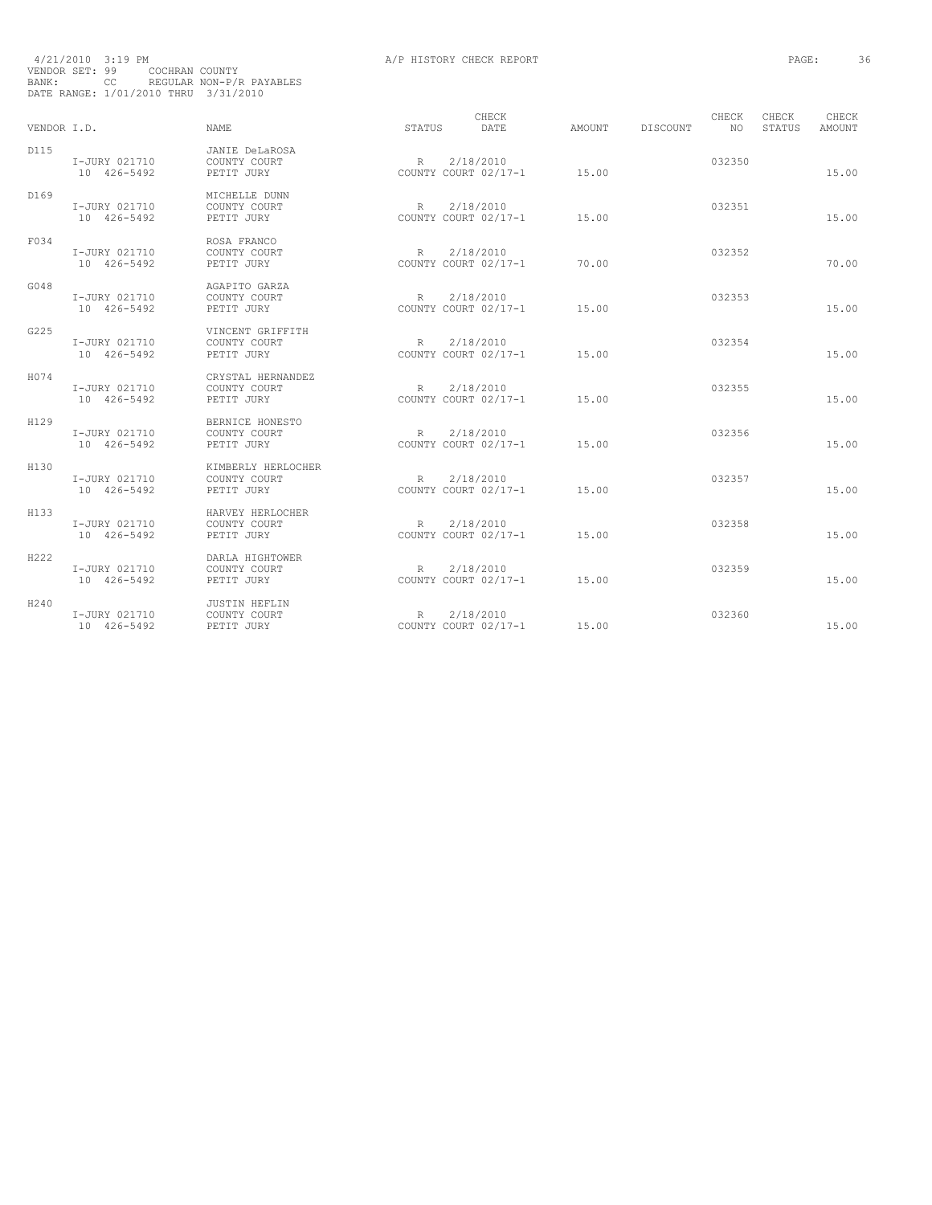| BANK:       | 4/21/2010 3:19 PM<br>VENDOR SET: 99<br>COCHRAN COUNTY<br>cc<br>DATE RANGE: 1/01/2010 THRU 3/31/2010 | REGULAR NON-P/R PAYABLES                         |                 | A/P HISTORY CHECK REPORT          |        |                 |              | PAGE:           |                 | 36 |
|-------------|-----------------------------------------------------------------------------------------------------|--------------------------------------------------|-----------------|-----------------------------------|--------|-----------------|--------------|-----------------|-----------------|----|
| VENDOR I.D. |                                                                                                     | <b>NAME</b>                                      | STATUS          | CHECK<br>DATE                     | AMOUNT | <b>DISCOUNT</b> | CHECK<br>NO. | CHECK<br>STATUS | CHECK<br>AMOUNT |    |
| D115        | I-JURY 021710<br>10 426-5492                                                                        | JANIE DeLaROSA<br>COUNTY COURT<br>PETIT JURY     | R               | 2/18/2010<br>COUNTY COURT 02/17-1 | 15.00  |                 | 032350       |                 | 15.00           |    |
| D169        | I-JURY 021710<br>10 426-5492                                                                        | MICHELLE DUNN<br>COUNTY COURT<br>PETIT JURY      | R               | 2/18/2010<br>COUNTY COURT 02/17-1 | 15.00  |                 | 032351       |                 | 15.00           |    |
| F034        | I-JURY 021710<br>10 426-5492                                                                        | ROSA FRANCO<br>COUNTY COURT<br>PETIT JURY        | R               | 2/18/2010<br>COUNTY COURT 02/17-1 | 70.00  |                 | 032352       |                 | 70.00           |    |
| G048        | I-JURY 021710<br>10 426-5492                                                                        | AGAPITO GARZA<br>COUNTY COURT<br>PETIT JURY      | $R_{\perp}$     | 2/18/2010<br>COUNTY COURT 02/17-1 | 15.00  |                 | 032353       |                 | 15.00           |    |
| G225        | I-JURY 021710<br>10 426-5492                                                                        | VINCENT GRIFFITH<br>COUNTY COURT<br>PETIT JURY   | $R_{\parallel}$ | 2/18/2010<br>COUNTY COURT 02/17-1 | 15.00  |                 | 032354       |                 | 15.00           |    |
| H074        | I-JURY 021710<br>10 426-5492                                                                        | CRYSTAL HERNANDEZ<br>COUNTY COURT<br>PETIT JURY  | R               | 2/18/2010<br>COUNTY COURT 02/17-1 | 15.00  |                 | 032355       |                 | 15.00           |    |
| H129        | I-JURY 021710<br>10 426-5492                                                                        | BERNICE HONESTO<br>COUNTY COURT<br>PETIT JURY    | R               | 2/18/2010<br>COUNTY COURT 02/17-1 | 15.00  |                 | 032356       |                 | 15.00           |    |
| H130        | I-JURY 021710<br>10 426-5492                                                                        | KIMBERLY HERLOCHER<br>COUNTY COURT<br>PETIT JURY | R.              | 2/18/2010<br>COUNTY COURT 02/17-1 | 15.00  |                 | 032357       |                 | 15.00           |    |
| H133        | I-JURY 021710<br>10 426-5492                                                                        | HARVEY HERLOCHER<br>COUNTY COURT<br>PETIT JURY   | $R_{\parallel}$ | 2/18/2010<br>COUNTY COURT 02/17-1 | 15.00  |                 | 032358       |                 | 15.00           |    |
| H222        | I-JURY 021710<br>10 426-5492                                                                        | DARLA HIGHTOWER<br>COUNTY COURT<br>PETIT JURY    | $R_{\parallel}$ | 2/18/2010<br>COUNTY COURT 02/17-1 | 15.00  |                 | 032359       |                 | 15.00           |    |
| H240        | I-JURY 021710<br>10 426-5492                                                                        | JUSTIN HEFLIN<br>COUNTY COURT<br>PETIT JURY      | $R_{\perp}$     | 2/18/2010<br>COUNTY COURT 02/17-1 | 15.00  |                 | 032360       |                 | 15.00           |    |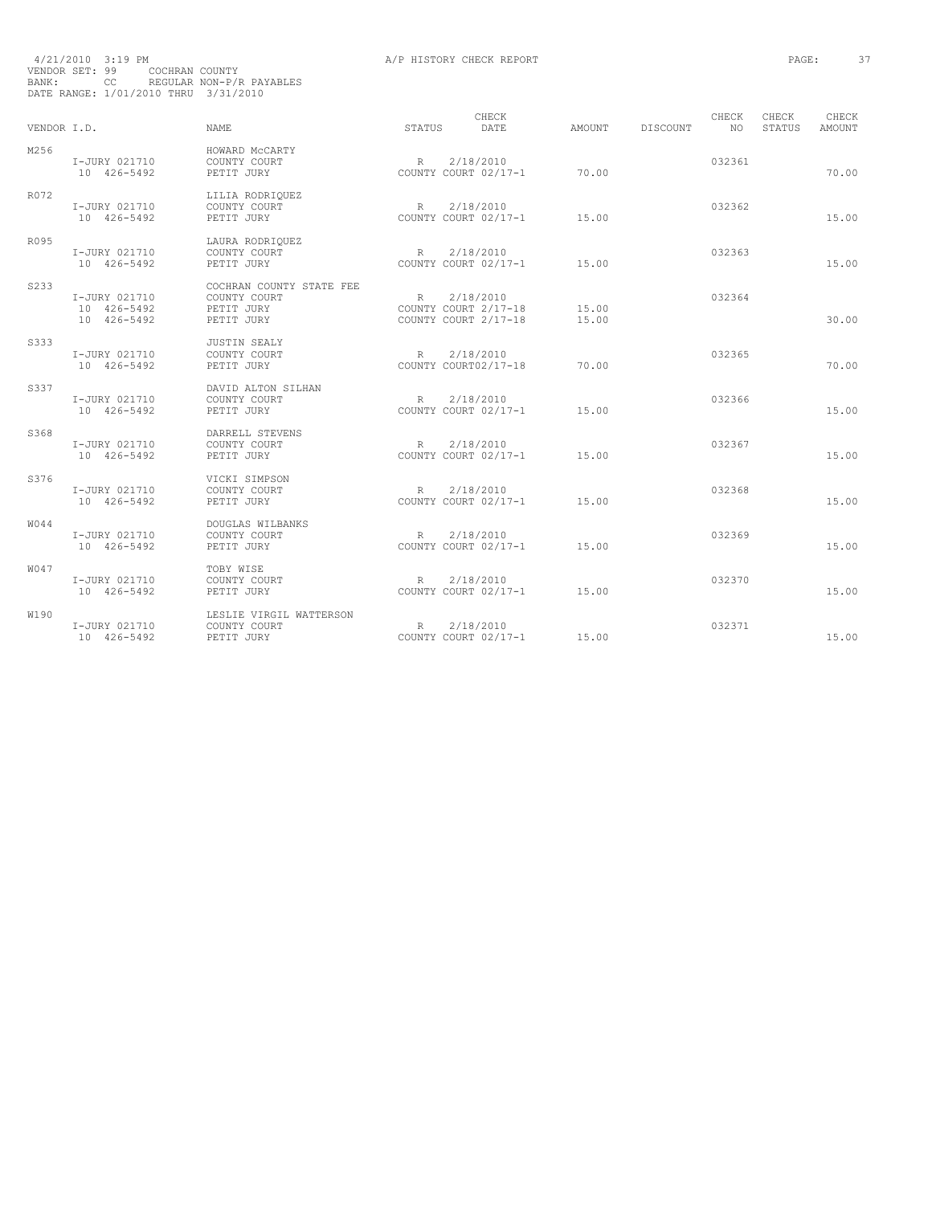| BANK:       | VENDOR SET: 99<br>COCHRAN COUNTY<br>CC<br>DATE RANGE: 1/01/2010 THRU 3/31/2010 | REGULAR NON-P/R PAYABLES                                             |              |                                                           |                |                 |              |                        |                        |
|-------------|--------------------------------------------------------------------------------|----------------------------------------------------------------------|--------------|-----------------------------------------------------------|----------------|-----------------|--------------|------------------------|------------------------|
| VENDOR I.D. |                                                                                | <b>NAME</b>                                                          | STATUS       | CHECK<br>DATE                                             | AMOUNT         | <b>DISCOUNT</b> | CHECK<br>NO. | CHECK<br><b>STATUS</b> | CHECK<br><b>AMOUNT</b> |
| M256        | I-JURY 021710<br>10 426-5492                                                   | HOWARD MCCARTY<br>COUNTY COURT<br>PETIT JURY                         | R            | 2/18/2010<br>COUNTY COURT 02/17-1                         | 70.00          |                 | 032361       |                        | 70.00                  |
| R072        | I-JURY 021710<br>10 426-5492                                                   | LILIA RODRIQUEZ<br>COUNTY COURT<br>PETIT JURY                        | R            | 2/18/2010<br>COUNTY COURT 02/17-1                         | 15.00          |                 | 032362       |                        | 15.00                  |
| R095        | I-JURY 021710<br>10 426-5492                                                   | LAURA RODRIQUEZ<br>COUNTY COURT<br>PETIT JURY                        | R            | 2/18/2010<br>COUNTY COURT 02/17-1                         | 15.00          |                 | 032363       |                        | 15.00                  |
| S233        | I-JURY 021710<br>10 426-5492<br>10 426-5492                                    | COCHRAN COUNTY STATE FEE<br>COUNTY COURT<br>PETIT JURY<br>PETIT JURY | R            | 2/18/2010<br>COUNTY COURT 2/17-18<br>COUNTY COURT 2/17-18 | 15.00<br>15.00 |                 | 032364       |                        | 30.00                  |
| S333        | I-JURY 021710<br>10 426-5492                                                   | <b>JUSTIN SEALY</b><br>COUNTY COURT<br>PETIT JURY                    | $\mathbb R$  | 2/18/2010<br>COUNTY COURT02/17-18                         | 70.00          |                 | 032365       |                        | 70.00                  |
| S337        | I-JURY 021710<br>10 426-5492                                                   | DAVID ALTON SILHAN<br>COUNTY COURT<br>PETIT JURY                     | $\mathbb{R}$ | 2/18/2010<br>COUNTY COURT 02/17-1                         | 15.00          |                 | 032366       |                        | 15.00                  |
| S368        | I-JURY 021710<br>10 426-5492                                                   | DARRELL STEVENS<br>COUNTY COURT<br>PETIT JURY                        | R            | 2/18/2010<br>COUNTY COURT 02/17-1                         | 15.00          |                 | 032367       |                        | 15.00                  |
| S376        | I-JURY 021710<br>10 426-5492                                                   | VICKI SIMPSON<br>COUNTY COURT<br>PETIT JURY                          | R            | 2/18/2010<br>COUNTY COURT 02/17-1                         | 15.00          |                 | 032368       |                        | 15.00                  |
| <b>W044</b> | I-JURY 021710<br>10 426-5492                                                   | DOUGLAS WILBANKS<br>COUNTY COURT<br>PETIT JURY                       | R            | 2/18/2010<br>COUNTY COURT 02/17-1                         | 15.00          |                 | 032369       |                        | 15.00                  |
| <b>W047</b> | I-JURY 021710<br>10 426-5492                                                   | TOBY WISE<br>COUNTY COURT<br>PETIT JURY                              | R            | 2/18/2010<br>COUNTY COURT 02/17-1                         | 15.00          |                 | 032370       |                        | 15.00                  |
| W190        | I-JURY 021710<br>10 426-5492                                                   | LESLIE VIRGIL WATTERSON<br>COUNTY COURT<br>PETIT JURY                | R            | 2/18/2010<br>COUNTY COURT 02/17-1                         | 15.00          |                 | 032371       |                        | 15.00                  |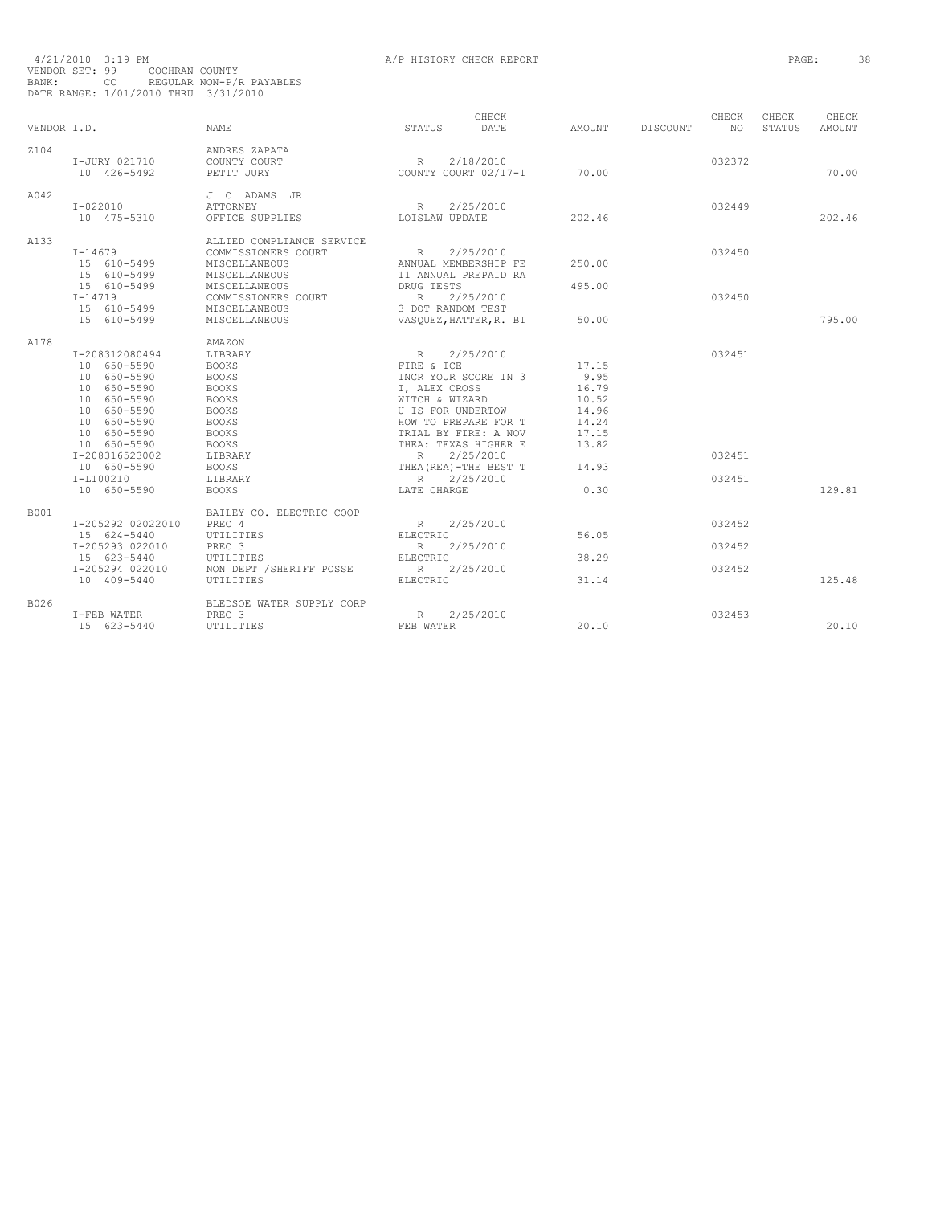| 4/21/2010 3:19 PM |                                      |                          | A/P HISTORY CHECK REPORT | PAGE: | 38 |
|-------------------|--------------------------------------|--------------------------|--------------------------|-------|----|
|                   | VENDOR SET: 99 COCHRAN COUNTY        |                          |                          |       |    |
| BANK: CC          |                                      | REGULAR NON-P/R PAYABLES |                          |       |    |
|                   | DATE RANGE: 1/01/2010 THRU 3/31/2010 |                          |                          |       |    |

|             |                   |                           |                        | CHECK     |        |                 | CHECK  | CHECK  | CHECK         |
|-------------|-------------------|---------------------------|------------------------|-----------|--------|-----------------|--------|--------|---------------|
| VENDOR I.D. |                   | <b>NAME</b>               | STATUS                 | DATE      | AMOUNT | <b>DISCOUNT</b> | NO.    | STATUS | <b>AMOUNT</b> |
| Z104        |                   | ANDRES ZAPATA             |                        |           |        |                 |        |        |               |
|             | I-JURY 021710     | COUNTY COURT              | R                      | 2/18/2010 |        |                 | 032372 |        |               |
|             | 10 426-5492       | PETIT JURY                | COUNTY COURT 02/17-1   |           | 70.00  |                 |        |        | 70.00         |
| A042        |                   | J C ADAMS JR              |                        |           |        |                 |        |        |               |
|             | I-022010          | <b>ATTORNEY</b>           | R                      | 2/25/2010 |        |                 | 032449 |        |               |
|             | 10 475-5310       | OFFICE SUPPLIES           | LOISLAW UPDATE         |           | 202.46 |                 |        |        | 202.46        |
| A133        |                   | ALLIED COMPLIANCE SERVICE |                        |           |        |                 |        |        |               |
|             | I-14679           | COMMISSIONERS COURT       | R 2/25/2010            |           |        |                 | 032450 |        |               |
|             | 15 610-5499       | MISCELLANEOUS             | ANNUAL MEMBERSHIP FE   |           | 250.00 |                 |        |        |               |
|             | 15 610-5499       | MISCELLANEOUS             | 11 ANNUAL PREPAID RA   |           |        |                 |        |        |               |
|             | 15 610-5499       | MISCELLANEOUS             | DRUG TESTS             |           | 495.00 |                 |        |        |               |
|             | $I - 14719$       | COMMISSIONERS COURT       | R 2/25/2010            |           |        |                 | 032450 |        |               |
|             | 15 610-5499       | MISCELLANEOUS             | 3 DOT RANDOM TEST      |           |        |                 |        |        |               |
|             | 15 610-5499       | MISCELLANEOUS             | VASOUEZ, HATTER, R. BI |           | 50.00  |                 |        |        | 795.00        |
| A178        |                   | AMAZON                    |                        |           |        |                 |        |        |               |
|             | I-208312080494    | LIBRARY                   | R 2/25/2010            |           |        |                 | 032451 |        |               |
|             | 10 650-5590       | <b>BOOKS</b>              | FIRE & ICE             |           | 17.15  |                 |        |        |               |
|             | 10 650-5590       | <b>BOOKS</b>              | INCR YOUR SCORE IN 3   |           | 9.95   |                 |        |        |               |
|             | 10 650-5590       | <b>BOOKS</b>              | I, ALEX CROSS          |           | 16.79  |                 |        |        |               |
|             | 10 650-5590       | <b>BOOKS</b>              | WITCH & WIZARD         |           | 10.52  |                 |        |        |               |
|             | 10 650-5590       | <b>BOOKS</b>              | U IS FOR UNDERTOW      |           | 14.96  |                 |        |        |               |
|             | 10 650-5590       | <b>BOOKS</b>              | HOW TO PREPARE FOR T   |           | 14.24  |                 |        |        |               |
|             | 10 650-5590       | <b>BOOKS</b>              | TRIAL BY FIRE: A NOV   |           | 17.15  |                 |        |        |               |
|             | 10 650-5590       | <b>BOOKS</b>              | THEA: TEXAS HIGHER E   |           | 13.82  |                 |        |        |               |
|             | I-208316523002    | LIBRARY                   | R                      | 2/25/2010 |        |                 | 032451 |        |               |
|             | 10 650-5590       | <b>BOOKS</b>              | THEA (REA) -THE BEST T |           | 14.93  |                 |        |        |               |
|             | $I-L100210$       | LIBRARY                   | R                      | 2/25/2010 |        |                 | 032451 |        |               |
|             | 10 650-5590       | <b>BOOKS</b>              | LATE CHARGE            |           | 0.30   |                 |        |        | 129.81        |
| <b>B001</b> |                   | BAILEY CO. ELECTRIC COOP  |                        |           |        |                 |        |        |               |
|             | I-205292 02022010 | PREC 4                    | R                      | 2/25/2010 |        |                 | 032452 |        |               |
|             | 15 624-5440       | UTILITIES                 | ELECTRIC               |           | 56.05  |                 |        |        |               |
|             | I-205293 022010   | PREC <sub>3</sub>         | R                      | 2/25/2010 |        |                 | 032452 |        |               |
|             | 15 623-5440       | UTILITIES                 | ELECTRIC               |           | 38.29  |                 |        |        |               |
|             | I-205294 022010   | NON DEPT / SHERIFF POSSE  | R 2/25/2010            |           |        |                 | 032452 |        |               |
|             | 10 409-5440       | UTILITIES                 | <b>ELECTRIC</b>        |           | 31.14  |                 |        |        | 125.48        |
| B026        |                   | BLEDSOE WATER SUPPLY CORP |                        |           |        |                 |        |        |               |
|             | I-FEB WATER       | PREC <sub>3</sub>         | R                      | 2/25/2010 |        |                 | 032453 |        |               |
|             | 15 623-5440       | UTILITIES                 | FEB WATER              |           | 20.10  |                 |        |        | 20.10         |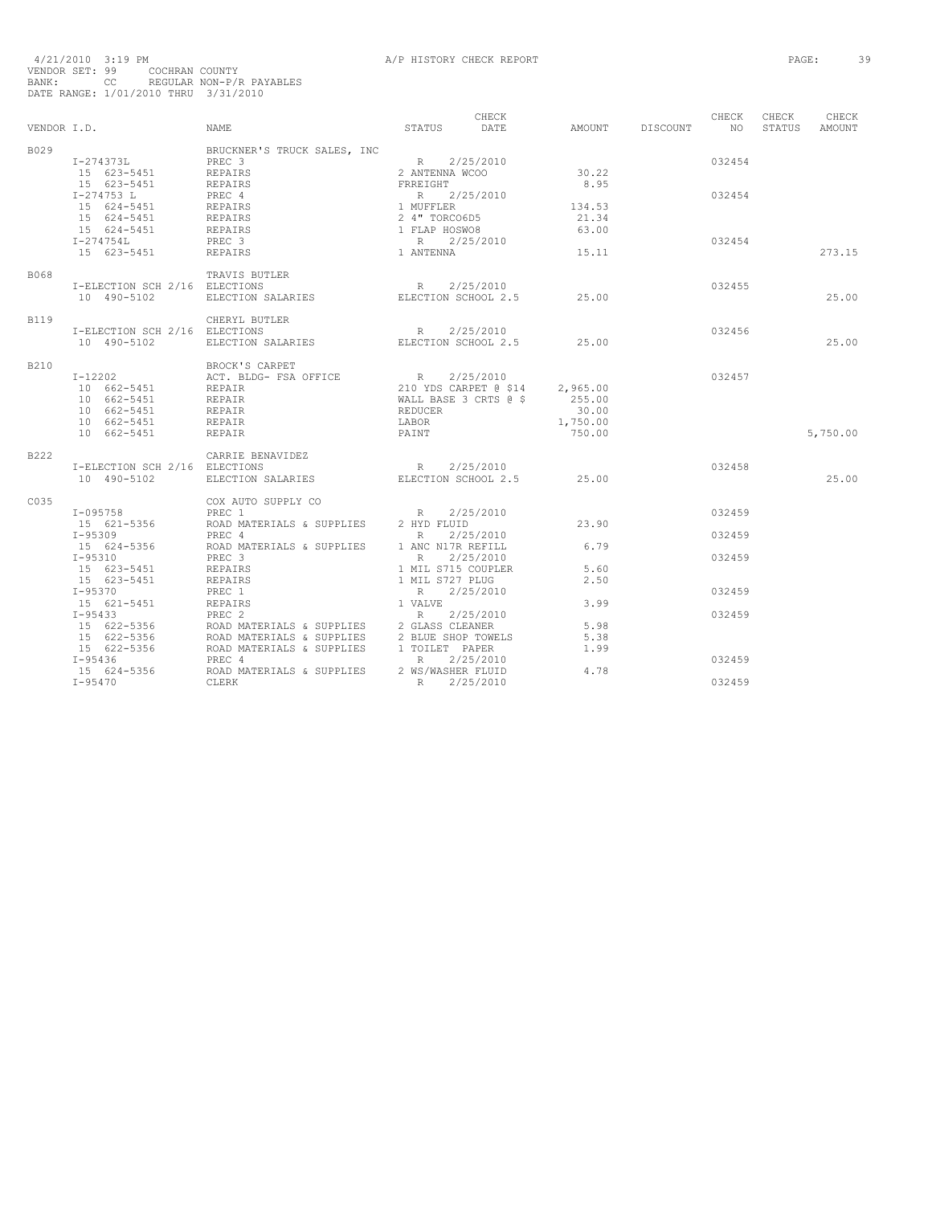|      | VENDOR I.D.                                                                                         | STATUS DATE AMOUNT DISCOUNT NO STATUS<br>NAME                                                                                                                                                                                                                                                                                                                            |                                  | CHECK |                             |                  | CHECK CHECK | CHECK<br>AMOUNT |
|------|-----------------------------------------------------------------------------------------------------|--------------------------------------------------------------------------------------------------------------------------------------------------------------------------------------------------------------------------------------------------------------------------------------------------------------------------------------------------------------------------|----------------------------------|-------|-----------------------------|------------------|-------------|-----------------|
| B029 |                                                                                                     | BRUCKNER'S TRUCK SALES, INC<br>PREC 3<br>$R = 2/25/2010$<br>2 ANTENNA WCOO                                                                                                                                                                                                                                                                                               |                                  |       | 30.22<br>8.95               | 032454           |             |                 |
|      |                                                                                                     |                                                                                                                                                                                                                                                                                                                                                                          |                                  |       | 134.53<br>21.34             | 032454           |             |                 |
|      |                                                                                                     |                                                                                                                                                                                                                                                                                                                                                                          |                                  |       | 63.00<br>15.11              | 032454           |             | 273.15          |
| B068 | I-ELECTION SCH 2/16 ELECTIONS<br>10 490-5102                                                        | TRAVIS BUTLER<br><b>TLER</b><br>ELECTIONS<br>ELECTION SALARIES<br>ELECTION SALARIES<br>ELECTION SCHOOL 2.5 25.00                                                                                                                                                                                                                                                         |                                  |       |                             | 032455           |             | 25.00           |
| B119 |                                                                                                     | $\begin{tabular}{lcccc} \tt CHERYL & & & & & & \\ \tt T-EXECITION & & & & & & & R & 2/25/2010 \\ \tt 10 & 490-5102 & & & & & & & & & \\ \tt 10 & 490-5102 & & & & & & & & \\ \tt 10 & 490-5102 & & & & & & & \\ \tt 10 & 490-5102 & & & & & & & \\ \tt 10 & 490-5102 & & & & & & & \\ \tt 10 & 490-5102 & & & & & & & \\ \tt 11 & 490-5102 & & & & & & & \\ \tt 12 & 49$ |                                  |       |                             | 032456           |             | 25.00           |
| B210 | 10 662-5451 REPAIR<br>10 662-5451 REPAIR<br>10 002-5451<br>10 662-5451 REPAIR<br>10 662-5451 REPAIR | BROCK'S CARPET                                                                                                                                                                                                                                                                                                                                                           | <b>REDUCER</b><br>LABOR<br>PAINT |       | 30.00<br>1,750.00<br>750.00 | 032457           |             | 5,750.00        |
| B222 |                                                                                                     | CARRIE BENAVIDEZ                                                                                                                                                                                                                                                                                                                                                         |                                  |       |                             |                  |             |                 |
|      |                                                                                                     | T-ELECTION SCH 2/16 ELECTIONS<br>10 490-5102 ELECTION SALARIES ELECTION SCHOOL 2.5 25.00                                                                                                                                                                                                                                                                                 |                                  |       |                             | 032458           |             | 25.00           |
| C035 |                                                                                                     | COX AUTO SUPPLY CO<br>$1-095758$<br>$15$ 621-5356 ROAD MATERIALS & SUPPLIES 2 HYD FLUID                                                                                                                                                                                                                                                                                  |                                  |       | 23.90                       | 032459           |             |                 |
|      |                                                                                                     |                                                                                                                                                                                                                                                                                                                                                                          |                                  |       |                             | 032459<br>032459 |             |                 |
|      |                                                                                                     |                                                                                                                                                                                                                                                                                                                                                                          |                                  |       |                             | 032459           |             |                 |
|      |                                                                                                     |                                                                                                                                                                                                                                                                                                                                                                          |                                  |       |                             | 032459           |             |                 |
|      |                                                                                                     |                                                                                                                                                                                                                                                                                                                                                                          |                                  |       |                             | 032459           |             |                 |
|      |                                                                                                     |                                                                                                                                                                                                                                                                                                                                                                          |                                  |       |                             | 032459           |             |                 |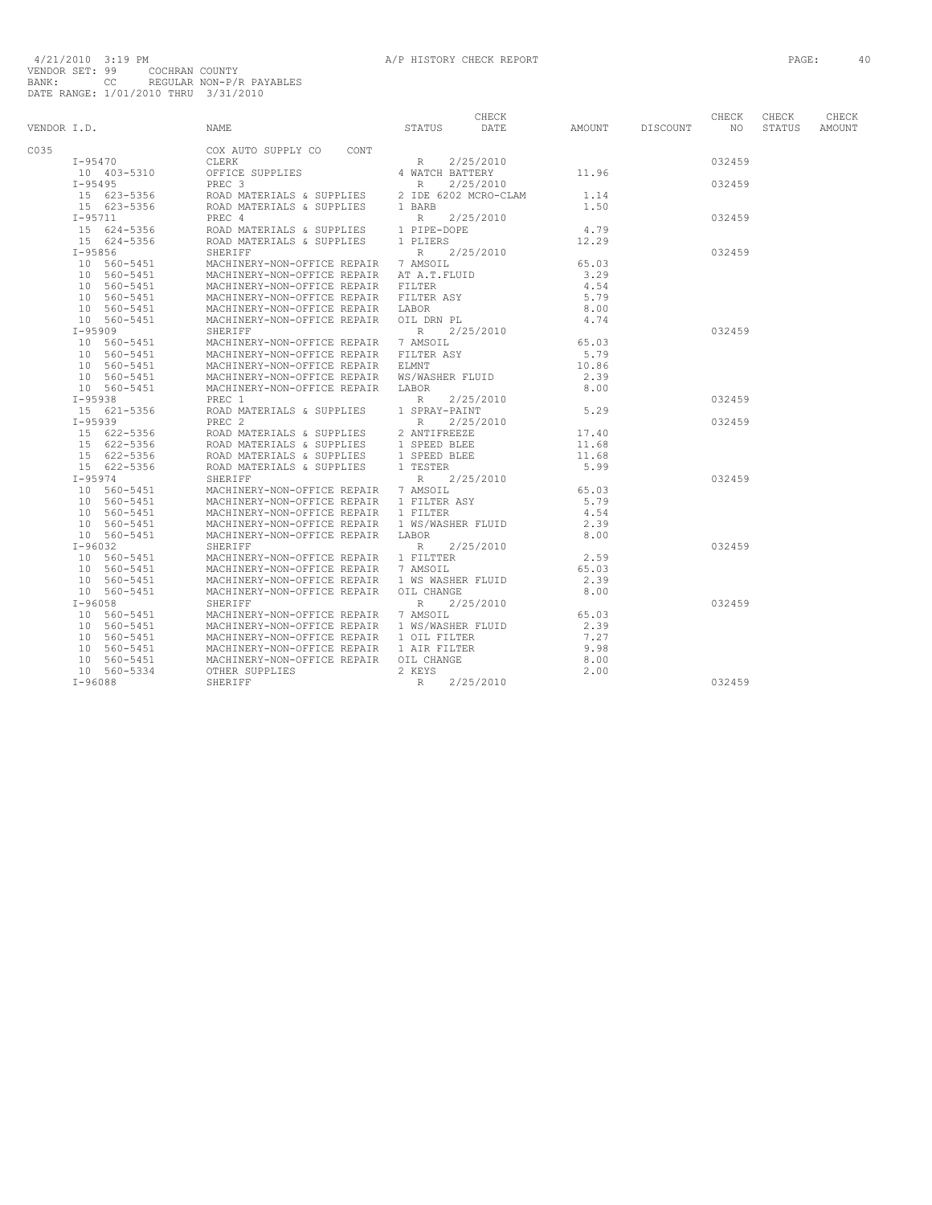|             |                    |                                                                                                                  |                 | CHECK       |                            | CHECK  | CHECK  | CHECK  |
|-------------|--------------------|------------------------------------------------------------------------------------------------------------------|-----------------|-------------|----------------------------|--------|--------|--------|
| VENDOR I.D. |                    | <b>NAME</b>                                                                                                      | STATUS DATE     |             | AMOUNT DISCOUNT NO         |        | STATUS | AMOUNT |
| C035        |                    | COX AUTO SUPPLY CO CONT                                                                                          |                 |             |                            |        |        |        |
|             | $I - 95470$        |                                                                                                                  |                 | 2/25/2010   |                            | 032459 |        |        |
|             | 10 403-5310        |                                                                                                                  |                 |             | 11.96                      |        |        |        |
|             | $I-95495$          |                                                                                                                  |                 | 2/25/2010   |                            | 032459 |        |        |
|             | 15 623-5356        | REC 3<br>ROAD MATERIALS & SUPPLIES 2 IDE 6202 MCRO-CLAM<br>ROAD MATERIALS & SUPPLIES 1 BARB                      |                 |             | 1.14                       |        |        |        |
|             | 15 623-5356        |                                                                                                                  |                 |             | 1.50                       |        |        |        |
|             | $I - 95711$        | PREC 4                                                                                                           | R               | 2/25/2010   |                            | 032459 |        |        |
|             | $15 \t 624 - 5356$ | FOAD MATERIALS & SUPPLIES 1 PIPE-DOPE<br>ROAD MATERIALS & SUPPLIES 1 PLIERS                                      |                 |             |                            |        |        |        |
|             | 15 624-5356        |                                                                                                                  |                 |             | $4.79$<br>$12.29$<br>12.29 |        |        |        |
|             | $I - 95856$        | SHERIFF                                                                                                          |                 | R 2/25/2010 |                            | 032459 |        |        |
|             | 10 560-5451        | MACHINERY-NON-OFFICE REPAIR 7 AMSOIL                                                                             |                 |             | 65.03                      |        |        |        |
|             | 10 560-5451        | MACHINERY-NON-OFFICE REPAIR AT A.T.FLUID                                                                         |                 |             | 3.29                       |        |        |        |
|             | 10 560-5451        | MACHINERY-NON-OFFICE REPAIR FILTER                                                                               |                 |             | 4.54                       |        |        |        |
|             | 10 560-5451        |                                                                                                                  |                 |             | 5.79                       |        |        |        |
|             | 10 560-5451        | MACHINERY-NON-OFFICE REPAIR FILTER ASY<br>MACHINERY-NON-OFFICE REPAIR LABOR<br>MACHINERY-NON-OFFICE REPAIR LABOR |                 |             | 8.00                       |        |        |        |
|             | 10 560-5451        | MACHINERY-NON-OFFICE REPAIR OIL DRN PL                                                                           |                 |             | 4.74                       |        |        |        |
|             | $I-95909$          | SHERIFF                                                                                                          | R               | 2/25/2010   |                            | 032459 |        |        |
|             | 10 560-5451        | MACHINERY-NON-OFFICE REPAIR 7 AMSOIL                                                                             |                 |             | 65.03<br>65.03             |        |        |        |
|             | 10 560-5451        | MACHINERY-NON-OFFICE REPAIR FILTER ASY                                                                           |                 |             | 5.79                       |        |        |        |
|             | 10 560-5451        | MACHINERY-NON-OFFICE REPAIR ELMNT                                                                                |                 |             | 10.86                      |        |        |        |
|             | 10 560-5451        | MACHINERY-NON-OFFICE REPAIR WS/WASHER FLUID                                                                      |                 |             | 2.39                       |        |        |        |
|             | 10 560-5451        | MACHINERY-NON-OFFICE REPAIR LABOR                                                                                |                 |             | 8.00                       |        |        |        |
|             | $I-95938$          | PREC 1                                                                                                           | $R$ and $R$     | 2/25/2010   |                            | 032459 |        |        |
|             | 15 621-5356        | ROAD MATERIALS & SUPPLIES 1 SPRAY-PAINT                                                                          |                 |             | 5.29                       |        |        |        |
|             | $I-95939$          | PREC <sub>2</sub>                                                                                                | $R_{\parallel}$ | 2/25/2010   |                            | 032459 |        |        |
|             | 15 622-5356        | ROAD MATERIALS & SUPPLIES                                                                                        | 2 ANTIFREEZE    |             | 17.40                      |        |        |        |
|             | 15 622-5356        | ROAD MATERIALS & SUPPLIES 1 SPEED BLEE                                                                           |                 |             | 11.68                      |        |        |        |
|             | 15 622-5356        |                                                                                                                  |                 |             | 11.68                      |        |        |        |
|             | 15 622-5356        |                                                                                                                  |                 |             | 5.99                       |        |        |        |
|             | $I - 95974$        | SHERIFF                                                                                                          | $R_{\perp}$     | 2/25/2010   |                            | 032459 |        |        |
|             | 10 560-5451        | MACHINERY-NON-OFFICE REPAIR 7 AMSOIL                                                                             |                 |             | 65.03                      |        |        |        |
|             | 10 560-5451        | MACHINERY-NON-OFFICE REPAIR 1 FILTER ASY                                                                         |                 |             | 5.79                       |        |        |        |
|             | 10 560-5451        | MACHINERY-NON-OFFICE REPAIR 1 FILTER                                                                             |                 |             | 4.54                       |        |        |        |
|             | 10 560-5451        | MACHINERY-NON-OFFICE REPAIR 1 WS/WASHER FLUID                                                                    |                 |             | 2.39                       |        |        |        |
|             | 10 560-5451        | MACHINERY-NON-OFFICE REPAIR LABOR                                                                                |                 |             | 8.00                       |        |        |        |
|             | I-96032            | SHERIFF                                                                                                          |                 | R 2/25/2010 |                            | 032459 |        |        |
|             | 10 560-5451        | MACHINERY-NON-OFFICE REPAIR 1 FILTTER                                                                            |                 |             | 2.59                       |        |        |        |
|             | 10 560-5451        | MACHINERY-NON-OFFICE REPAIR 7 AMSOIL                                                                             |                 |             | 65.03                      |        |        |        |
|             | 10 560-5451        | MACHINERY-NON-OFFICE REPAIR 1 WS WASHER FLUID                                                                    |                 |             | 2.39                       |        |        |        |
|             | 10 560-5451        | MACHINERY-NON-OFFICE REPAIR OIL CHANGE                                                                           |                 |             | 8.00                       |        |        |        |
|             | $I-96058$          | SHERIFF                                                                                                          | $R_{\perp}$     | 2/25/2010   |                            | 032459 |        |        |
|             | 10 560-5451        | MACHINERY-NON-OFFICE REPAIR 7 AMSOIL                                                                             |                 |             | 65.03                      |        |        |        |
|             | 10 560-5451        | MACHINERY-NON-OFFICE REPAIR 1 WS/WASHER FLUID                                                                    |                 |             | 2.39                       |        |        |        |
|             | 10 560-5451        | MACHINERY-NON-OFFICE REPAIR 1 OIL FILTER                                                                         |                 |             | 7.27                       |        |        |        |
|             | 10 560-5451        | MACHINERY-NON-OFFICE REPAIR 1 AIR FILTER                                                                         |                 |             | 9.98                       |        |        |        |
|             | 10 560-5451        | MACHINERY-NON-OFFICE REPAIR OIL CHANGE                                                                           |                 |             | 8.00                       |        |        |        |
|             | 10 560-5334        | OTHER SUPPLIES                                                                                                   | 2 KEYS          |             | 2.00                       |        |        |        |
|             | $I-96088$          | SHERIFF                                                                                                          | R 2/25/2010     |             |                            | 032459 |        |        |
|             |                    |                                                                                                                  |                 |             |                            |        |        |        |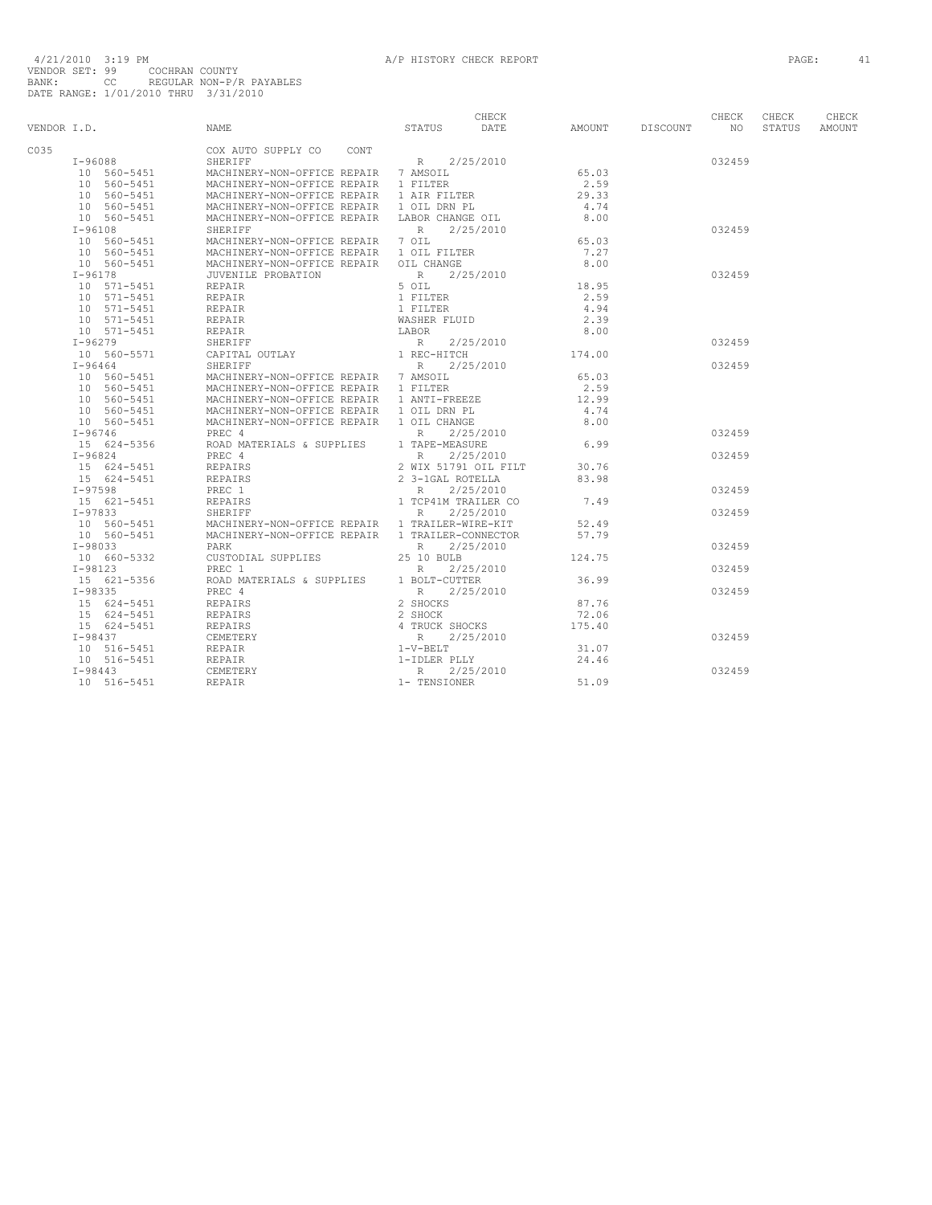|      |                                 |                                                                                                                                                                                                                                                                                                                                                                                                         |             | CHECK     |                    |                    | CHECK  | CHECK  | CHECK  |
|------|---------------------------------|---------------------------------------------------------------------------------------------------------------------------------------------------------------------------------------------------------------------------------------------------------------------------------------------------------------------------------------------------------------------------------------------------------|-------------|-----------|--------------------|--------------------|--------|--------|--------|
|      |                                 | VENDOR I.D. NAME NAME STATUS DATE                                                                                                                                                                                                                                                                                                                                                                       |             |           |                    | AMOUNT DISCOUNT NO |        | STATUS | AMOUNT |
| C035 | COX AUTO<br>COX AUTO<br>SHERIFF | COX AUTO SUPPLY CO CONT                                                                                                                                                                                                                                                                                                                                                                                 |             |           |                    |                    |        |        |        |
|      |                                 | $R$ 2/25/2010<br>-NON-OFFICE REPAIR 7 AMSOIL 65.03                                                                                                                                                                                                                                                                                                                                                      |             |           |                    |                    | 032459 |        |        |
|      |                                 | 199050<br>10 560–5451 MACHINERY-NON-OFFICE REPAIR 7 AMSOLL<br>10 560–5451 MACHINERY-NON-OFFICE REPAIR 1 FILTER<br>10 560–5451 MACHINERY-NON-OFFICE REPAIR 1 AIR FILTER<br>10 560–5451 MACHINERY-NON-OFFICE REPAIR 1 OIL DRN PL<br>10 560                                                                                                                                                                |             |           |                    |                    |        |        |        |
|      |                                 |                                                                                                                                                                                                                                                                                                                                                                                                         |             |           | $2.59$<br>29.33    |                    |        |        |        |
|      |                                 |                                                                                                                                                                                                                                                                                                                                                                                                         |             |           |                    |                    |        |        |        |
|      |                                 |                                                                                                                                                                                                                                                                                                                                                                                                         |             |           | 4.74               |                    |        |        |        |
|      |                                 | MACHINERY-NON-OFFICE REPAIR 1 OIL DRN PL<br>MACHINERY-NON-OFFICE REPAIR 1 OIL DRN PL<br>MACHINERY-NON-OFFICE REPAIR LABOR CHANGE OIL                                                                                                                                                                                                                                                                    |             |           | 8.00               |                    |        |        |        |
|      | I-96108                         | SHERIFF                                                                                                                                                                                                                                                                                                                                                                                                 | $R$ and $R$ | 2/25/2010 |                    |                    | 032459 |        |        |
|      | 10 560-5451                     | MACHINERY-NON-OFFICE REPAIR 7 OIL                                                                                                                                                                                                                                                                                                                                                                       |             |           | 65.03              |                    |        |        |        |
|      | 10 560-5451<br>10 560-5451      | MACHINERY-NON-OFFICE REPAIR 1 OIL FILTER                                                                                                                                                                                                                                                                                                                                                                |             |           | 7.27               |                    |        |        |        |
|      |                                 | MACHINERY-NON-OFFICE REPAIR OIL CHANGE                                                                                                                                                                                                                                                                                                                                                                  |             |           | 8.00               |                    |        |        |        |
|      |                                 |                                                                                                                                                                                                                                                                                                                                                                                                         |             |           |                    |                    | 032459 |        |        |
|      |                                 |                                                                                                                                                                                                                                                                                                                                                                                                         |             |           | 18.95              |                    |        |        |        |
|      |                                 |                                                                                                                                                                                                                                                                                                                                                                                                         |             |           | 2.59               |                    |        |        |        |
|      |                                 |                                                                                                                                                                                                                                                                                                                                                                                                         |             |           | 4.94               |                    |        |        |        |
|      |                                 |                                                                                                                                                                                                                                                                                                                                                                                                         |             |           | 2.39               |                    |        |        |        |
|      |                                 |                                                                                                                                                                                                                                                                                                                                                                                                         |             |           | 8.00               |                    |        |        |        |
|      |                                 |                                                                                                                                                                                                                                                                                                                                                                                                         |             |           | 174.00             |                    | 032459 |        |        |
|      |                                 |                                                                                                                                                                                                                                                                                                                                                                                                         |             |           |                    |                    |        |        |        |
|      |                                 |                                                                                                                                                                                                                                                                                                                                                                                                         |             |           |                    |                    | 032459 |        |        |
|      |                                 |                                                                                                                                                                                                                                                                                                                                                                                                         |             |           |                    |                    |        |        |        |
|      |                                 |                                                                                                                                                                                                                                                                                                                                                                                                         |             |           |                    |                    |        |        |        |
|      |                                 |                                                                                                                                                                                                                                                                                                                                                                                                         |             |           |                    |                    |        |        |        |
|      |                                 |                                                                                                                                                                                                                                                                                                                                                                                                         |             |           |                    |                    |        |        |        |
|      |                                 |                                                                                                                                                                                                                                                                                                                                                                                                         |             |           |                    |                    |        |        |        |
|      |                                 |                                                                                                                                                                                                                                                                                                                                                                                                         |             |           |                    |                    | 032459 |        |        |
|      |                                 |                                                                                                                                                                                                                                                                                                                                                                                                         |             |           |                    |                    |        |        |        |
|      |                                 |                                                                                                                                                                                                                                                                                                                                                                                                         |             |           |                    |                    | 032459 |        |        |
|      |                                 |                                                                                                                                                                                                                                                                                                                                                                                                         |             |           |                    |                    |        |        |        |
|      |                                 |                                                                                                                                                                                                                                                                                                                                                                                                         |             |           |                    |                    |        |        |        |
|      |                                 |                                                                                                                                                                                                                                                                                                                                                                                                         |             |           |                    |                    | 032459 |        |        |
|      |                                 |                                                                                                                                                                                                                                                                                                                                                                                                         |             |           | 7.49               |                    |        |        |        |
|      |                                 |                                                                                                                                                                                                                                                                                                                                                                                                         |             |           |                    |                    | 032459 |        |        |
|      |                                 |                                                                                                                                                                                                                                                                                                                                                                                                         |             |           |                    |                    |        |        |        |
|      |                                 |                                                                                                                                                                                                                                                                                                                                                                                                         |             |           |                    |                    |        |        |        |
|      |                                 | $\begin{tabular}{c c c c} 10 & 560-5571 & \multicolumn{1}{c }{CAPITALI} & \multicolumn{1}{c }{\textbf{CAPITALI}} & \multicolumn{1}{c }{\textbf{REC-HITCH}} & \multicolumn{1}{c }{\textbf{174.00}} \\ 10 & 560-5451 & \multicolumn{1}{c }{\textbf{MACHINERY-NON}-\textbf{OFFICE REPARR}} & \multicolumn{1}{c }{\textbf{7} & \textbf{MMSOIL}} & \multicolumn{1}{c }{\textbf{65.03}} \\ 10 & 560-5451 & \$ |             |           |                    |                    | 032459 |        |        |
|      |                                 |                                                                                                                                                                                                                                                                                                                                                                                                         |             |           | 124.75             |                    |        |        |        |
|      |                                 |                                                                                                                                                                                                                                                                                                                                                                                                         |             |           |                    |                    | 032459 |        |        |
|      |                                 |                                                                                                                                                                                                                                                                                                                                                                                                         |             |           |                    |                    |        |        |        |
|      |                                 |                                                                                                                                                                                                                                                                                                                                                                                                         |             |           | $36.99$<br>$87.76$ |                    | 032459 |        |        |
|      |                                 |                                                                                                                                                                                                                                                                                                                                                                                                         |             |           |                    |                    |        |        |        |
|      |                                 |                                                                                                                                                                                                                                                                                                                                                                                                         |             |           | 72.06              |                    |        |        |        |
|      |                                 |                                                                                                                                                                                                                                                                                                                                                                                                         |             |           | 175.40             |                    |        |        |        |
|      |                                 |                                                                                                                                                                                                                                                                                                                                                                                                         |             |           | 31.07              |                    | 032459 |        |        |
|      |                                 |                                                                                                                                                                                                                                                                                                                                                                                                         |             |           |                    |                    |        |        |        |
|      |                                 |                                                                                                                                                                                                                                                                                                                                                                                                         |             |           | 24.46              |                    |        |        |        |
|      |                                 |                                                                                                                                                                                                                                                                                                                                                                                                         |             |           |                    |                    | 032459 |        |        |
|      |                                 |                                                                                                                                                                                                                                                                                                                                                                                                         |             |           | 51.09              |                    |        |        |        |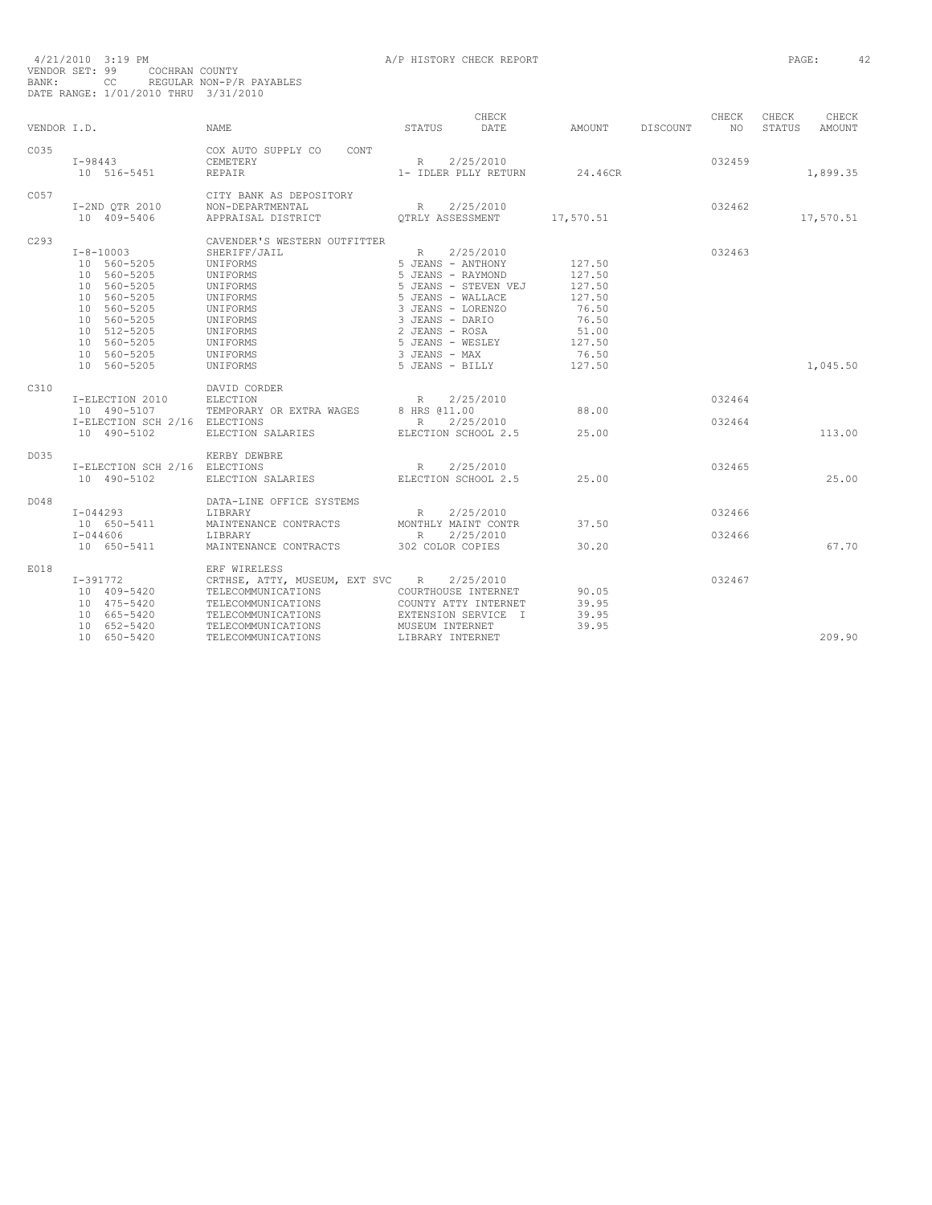| VENDOR I.D. |                                                                                                                                                                       | <b>NAME</b>                                                                                                                                                                                                                                                                                                                                                                                                                                                                                                                 | CHECK<br>STATUS<br>DATE                                                                                                                                                                                                           | AMOUNT                                                                                       | DISCOUNT | CHECK<br>NO.     | CHECK<br>STATUS | CHECK<br>AMOUNT |
|-------------|-----------------------------------------------------------------------------------------------------------------------------------------------------------------------|-----------------------------------------------------------------------------------------------------------------------------------------------------------------------------------------------------------------------------------------------------------------------------------------------------------------------------------------------------------------------------------------------------------------------------------------------------------------------------------------------------------------------------|-----------------------------------------------------------------------------------------------------------------------------------------------------------------------------------------------------------------------------------|----------------------------------------------------------------------------------------------|----------|------------------|-----------------|-----------------|
|             |                                                                                                                                                                       |                                                                                                                                                                                                                                                                                                                                                                                                                                                                                                                             |                                                                                                                                                                                                                                   |                                                                                              |          |                  |                 |                 |
| C035        | $I - 98443$<br>10 516-5451                                                                                                                                            | COX AUTO SUPPLY CO<br>CONT<br>CEMETERY<br><b>REPAIR</b>                                                                                                                                                                                                                                                                                                                                                                                                                                                                     | 2/25/2010<br>R<br>1- IDLER PLLY RETURN                                                                                                                                                                                            | 24.46CR                                                                                      |          | 032459           |                 | 1,899.35        |
| C057        | I-2ND OTR 2010<br>10 409-5406                                                                                                                                         | CITY BANK AS DEPOSITORY<br>NON-DEPARTMENTAL<br>APPRAISAL DISTRICT                                                                                                                                                                                                                                                                                                                                                                                                                                                           | 2/25/2010<br>R<br>OTRLY ASSESSMENT                                                                                                                                                                                                | 17,570.51                                                                                    |          | 032462           |                 | 17,570.51       |
| C293        | $I - 8 - 10003$<br>10 560-5205<br>10 560-5205<br>10 560-5205<br>10 560-5205<br>10 560-5205<br>10 560-5205<br>10 512-5205<br>10 560-5205<br>10 560-5205<br>10 560-5205 | CAVENDER'S WESTERN OUTFITTER<br>SHERIFF/JAIL<br>UNIFORMS<br>UNIFORMS<br>UNIFORMS<br>UNIFORMS<br>UNIFORMS<br>UNIFORMS<br>UNIFORMS<br>UNIFORMS<br>UNIFORMS<br>UNIFORMS                                                                                                                                                                                                                                                                                                                                                        | 2/25/2010<br>$R_{\perp}$<br>5 JEANS - ANTHONY<br>5 JEANS - RAYMOND<br>5 JEANS - STEVEN VEJ<br>5 JEANS - WALLACE<br>3 JEANS - LORENZO<br>3 JEANS - DARIO<br>2 JEANS - ROSA<br>5 JEANS - WESLEY<br>3 JEANS - MAX<br>5 JEANS - BILLY | 127.50<br>127.50<br>127.50<br>127.50<br>76.50<br>76.50<br>51.00<br>127.50<br>76.50<br>127.50 |          | 032463           |                 | 1,045.50        |
| C310        | I-ELECTION 2010<br>10 490-5107<br>I-ELECTION SCH 2/16 ELECTIONS<br>10 490-5102                                                                                        | DAVID CORDER<br>$\begin{tabular}{lllllll} \multicolumn{2}{c}{\textbf{TEMPORARY OR EXTRA WAGES}} & \multicolumn{2}{c}{\textbf{R}}\\ \multicolumn{2}{c}{\textbf{TEMPORARY OR EXTRA WAGES}} & \multicolumn{2}{c}{\textbf{8 HRS}}\\ \multicolumn{2}{c}{\textbf{ELECTIONS}} & \multicolumn{2}{c}{\textbf{B.}} & \multicolumn{2}{c}{\textbf{B.}} & \multicolumn{2}{c}{\textbf{B.}}\\ \multicolumn{2}{c}{\textbf{N.}} & \multicolumn{2}{c}{\textbf{S.}} & \multicolumn{2}{c}{\textbf{S.}} & \multicolumn{2}{$<br>ELECTION SALARIES | 2/25/2010<br>8 HRS 011.00<br>2/25/2010<br>ELECTION SCHOOL 2.5                                                                                                                                                                     | 88.00<br>25.00                                                                               |          | 032464<br>032464 |                 | 113.00          |
| D035        | I-ELECTION SCH 2/16 ELECTIONS<br>10 490-5102                                                                                                                          | KERBY DEWBRE<br>ELECTION SALARIES                                                                                                                                                                                                                                                                                                                                                                                                                                                                                           | R<br>2/25/2010<br>ELECTION SCHOOL 2.5                                                                                                                                                                                             | 25.00                                                                                        |          | 032465           |                 | 25.00           |
| D048        | $I - 044293$<br>10 650-5411<br>$I - 044606$<br>10 650-5411                                                                                                            | DATA-LINE OFFICE SYSTEMS<br>LIBRARY<br>MAINTENANCE CONTRACTS<br>LIBRARY<br>MAINTENANCE CONTRACTS                                                                                                                                                                                                                                                                                                                                                                                                                            | 2/25/2010<br>R<br>MONTHLY MAINT CONTR<br>R<br>2/25/2010<br>302 COLOR COPIES                                                                                                                                                       | 37.50<br>30.20                                                                               |          | 032466<br>032466 |                 | 67.70           |
| E018        | $I-391772$<br>10 409-5420<br>10 475-5420<br>10 665-5420<br>10 652-5420<br>10 650-5420                                                                                 | ERF WIRELESS<br>CRTHSE, ATTY, MUSEUM, EXT SVC R<br>TELECOMMUNICATIONS<br>TELECOMMUNICATIONS<br>TELECOMMUNICATIONS<br>TELECOMMUNICATIONS<br>TELECOMMUNICATIONS                                                                                                                                                                                                                                                                                                                                                               | 2/25/2010<br>COURTHOUSE INTERNET<br>COUNTY ATTY INTERNET<br>EXTENSION SERVICE I<br>MUSEUM INTERNET<br>LIBRARY INTERNET                                                                                                            | 90.05<br>39.95<br>39.95<br>39.95                                                             |          | 032467           |                 | 209.90          |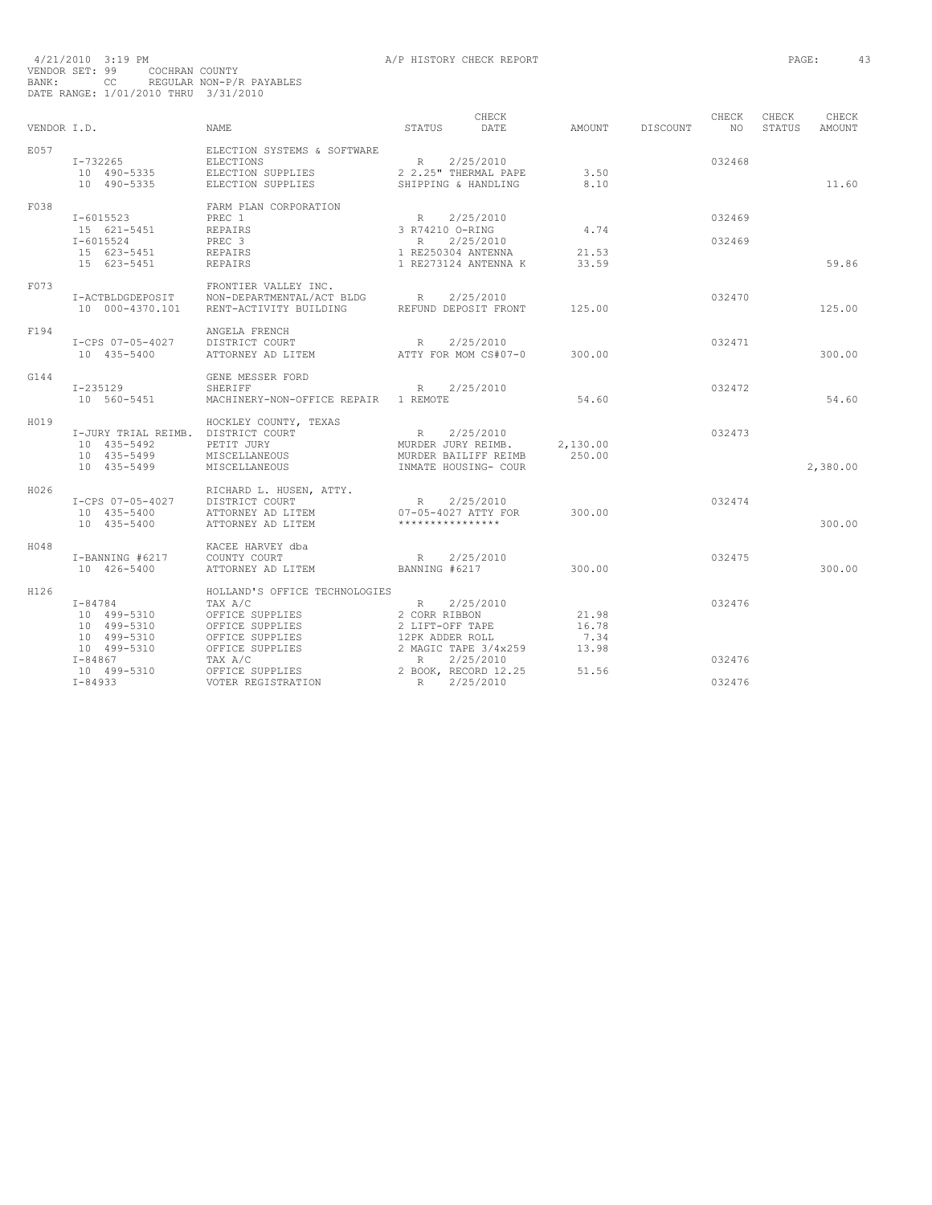| VENDOR I.D. |                                                                                        | NAME                                                                                                                            | STATUS                                                        | CHECK<br>DATE                                                      | AMOUNT                          | DISCOUNT | CHECK<br>NO      | CHECK<br>STATUS | CHECK<br>AMOUNT |
|-------------|----------------------------------------------------------------------------------------|---------------------------------------------------------------------------------------------------------------------------------|---------------------------------------------------------------|--------------------------------------------------------------------|---------------------------------|----------|------------------|-----------------|-----------------|
| E057        | I-732265<br>10 490-5335<br>10 490-5335                                                 | ELECTION SYSTEMS & SOFTWARE<br><b>ELECTIONS</b><br>ELECTION SUPPLIES<br>ELECTION SUPPLIES                                       | R 2/25/2010<br>SHIPPING & HANDLING                            | 2 2.25" THERMAL PAPE                                               | 3.50<br>8.10                    |          | 032468           |                 | 11.60           |
| F038        | I-6015523<br>15 621-5451<br>$I - 6015524$<br>15 623-5451                               | FARM PLAN CORPORATION<br>PREC 1<br><b>REPAIRS</b><br>PREC 3<br>REPAIRS                                                          | R 2/25/2010<br>3 R74210 O-RING<br>R<br>1 RE250304 ANTENNA     | 2/25/2010                                                          | 4.74<br>21.53                   |          | 032469<br>032469 |                 |                 |
|             | 15 623-5451                                                                            | REPAIRS                                                                                                                         |                                                               | 1 RE273124 ANTENNA K                                               | 33.59                           |          |                  |                 | 59.86           |
| F073        | I-ACTBLDGDEPOSIT<br>10 000-4370.101                                                    | FRONTIER VALLEY INC.<br>NON-DEPARTMENTAL/ACT BLDG R 2/25/2010<br>RENT-ACTIVITY BUILDING REFUND DEPOSIT FRONT                    |                                                               |                                                                    | 125.00                          |          | 032470           |                 | 125.00          |
| F194        | I-CPS 07-05-4027<br>10 435-5400                                                        | ANGELA FRENCH<br>DISTRICT COURT<br>ATTORNEY AD LITEM                                                                            | R                                                             | 2/25/2010<br>ATTY FOR MOM CS#07-0                                  | 300.00                          |          | 032471           |                 | 300.00          |
| G144        | I-235129<br>10 560-5451                                                                | GENE MESSER FORD<br><b>SHERIFF</b><br>MACHINERY-NON-OFFICE REPAIR 1 REMOTE                                                      | R 2/25/2010                                                   |                                                                    | 54.60                           |          | 032472           |                 | 54.60           |
| H019        | I-JURY TRIAL REIMB. DISTRICT COURT<br>10 435-5492<br>10 435-5499<br>10 435-5499        | HOCKLEY COUNTY, TEXAS<br>PETIT JURY<br>MISCELLANEOUS<br>MISCELLANEOUS                                                           | R 2/25/2010                                                   | MURDER JURY REIMB.<br>MURDER BAILIFF REIMB<br>INMATE HOUSING- COUR | 2,130.00<br>250.00              |          | 032473           |                 | 2,380.00        |
| H026        | I-CPS 07-05-4027<br>10 435-5400<br>10 435-5400                                         | RICHARD L. HUSEN, ATTY.<br>DISTRICT COURT<br>ATTORNEY AD LITEM<br>ATTORNEY AD LITEM                                             | R 2/25/2010<br>07-05-4027 ATTY FOR<br>****************        |                                                                    | 300.00                          |          | 032474           |                 | 300.00          |
| H048        | I-BANNING #6217<br>10 426-5400                                                         | KACEE HARVEY dba<br>COUNTY COURT<br>ATTORNEY AD LITEM                                                                           | R<br>BANNING #6217                                            | 2/25/2010                                                          | 300.00                          |          | 032475           |                 | 300.00          |
| H126        | $I - 84784$<br>10 499-5310<br>10 499-5310<br>10 499-5310<br>10 499-5310<br>$I - 84867$ | HOLLAND'S OFFICE TECHNOLOGIES<br>TAX A/C<br>OFFICE SUPPLIES<br>OFFICE SUPPLIES<br>OFFICE SUPPLIES<br>OFFICE SUPPLIES<br>TAX A/C | R<br>2 CORR RIBBON<br>2 LIFT-OFF TAPE<br>12PK ADDER ROLL<br>R | 2/25/2010<br>2 MAGIC TAPE 3/4x259<br>2/25/2010                     | 21.98<br>16.78<br>7.34<br>13.98 |          | 032476<br>032476 |                 |                 |
|             | 10 499-5310<br>$I - 84933$                                                             | OFFICE SUPPLIES<br>R<br>VOTER REGISTRATION                                                                                      |                                                               | 2 BOOK, RECORD 12.25<br>2/25/2010                                  | 51.56                           |          | 032476           |                 |                 |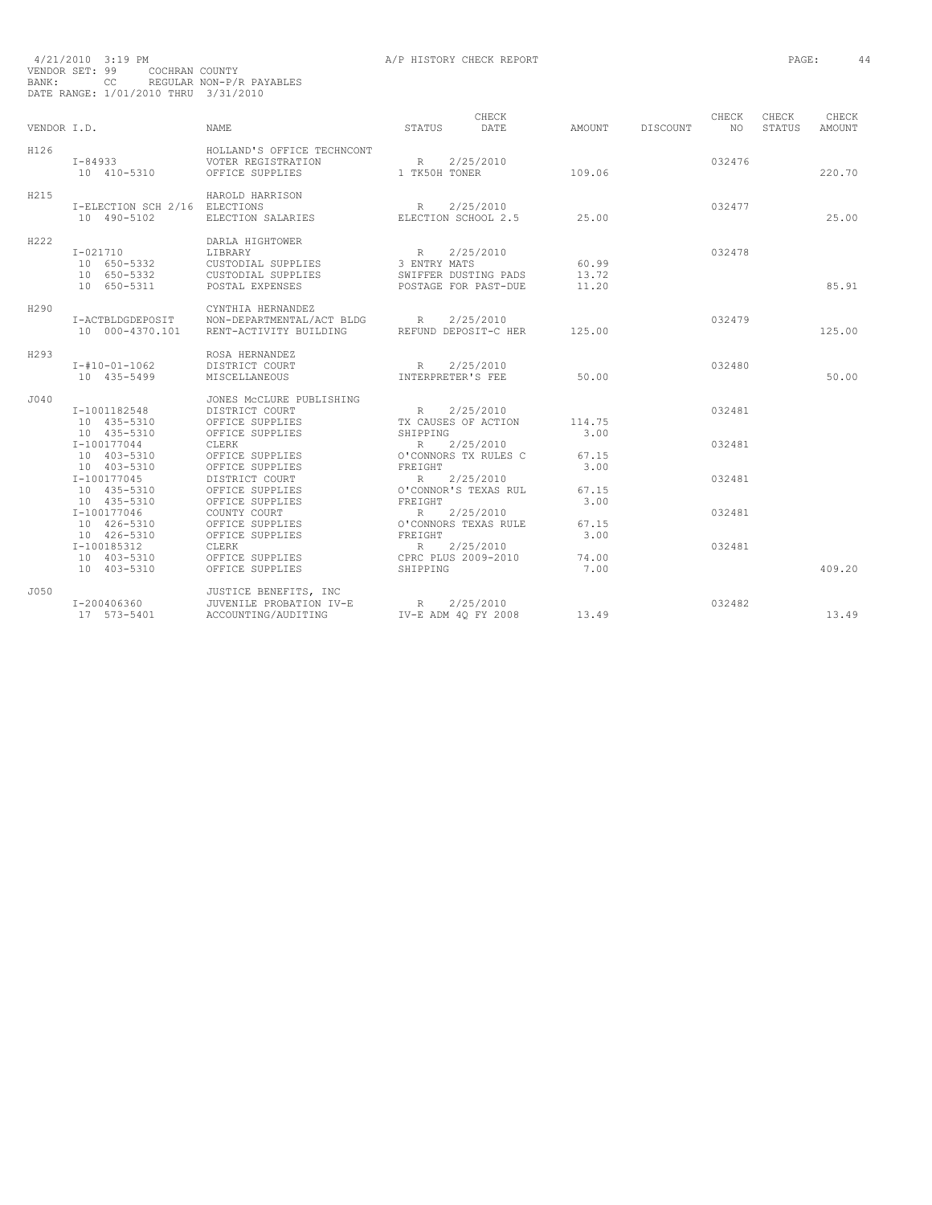| 4/21/2010 3:19 PM                    |                                                                                                                |  |                |                          |
|--------------------------------------|----------------------------------------------------------------------------------------------------------------|--|----------------|--------------------------|
| VENDOR SET: 99                       |                                                                                                                |  | COCHRAN COUNTY |                          |
| BANK:                                | and the contract of the state of the state of the state of the state of the state of the state of the state of |  |                | REGULAR NON-P/R PAYABLES |
| DATE RANGE: 1/01/2010 THRU 3/31/2010 |                                                                                                                |  |                |                          |

| VENDOR I.D. |                                                            | <b>NAME</b>                                                                                      | STATUS                                                  | CHECK<br>DATE                                             | AMOUNT                  | <b>DISCOUNT</b> | CHECK<br>NO.     | CHECK<br>STATUS | CHECK<br><b>AMOUNT</b> |
|-------------|------------------------------------------------------------|--------------------------------------------------------------------------------------------------|---------------------------------------------------------|-----------------------------------------------------------|-------------------------|-----------------|------------------|-----------------|------------------------|
| H126        | $I - 84933$<br>10 410-5310                                 | HOLLAND'S OFFICE TECHNCONT<br>VOTER REGISTRATION<br>OFFICE SUPPLIES                              | R<br>1 TK50H TONER                                      | 2/25/2010                                                 | 109.06                  |                 | 032476           |                 | 220.70                 |
| H215        | I-ELECTION SCH 2/16 ELECTIONS<br>10 490-5102               | HAROLD HARRISON<br>ELECTION SALARIES                                                             | R<br>ELECTION SCHOOL 2.5                                | 2/25/2010                                                 | 25.00                   |                 | 032477           |                 | 25.00                  |
| H222        | $I - 021710$<br>10 650-5332<br>10 650-5332<br>10 650-5311  | DARLA HIGHTOWER<br><b>LIBRARY</b><br>CUSTODIAL SUPPLIES<br>CUSTODIAL SUPPLIES<br>POSTAL EXPENSES | R<br>3 ENTRY MATS                                       | 2/25/2010<br>SWIFFER DUSTING PADS<br>POSTAGE FOR PAST-DUE | 60.99<br>13.72<br>11.20 |                 | 032478           |                 | 85.91                  |
| H290        | I-ACTBLDGDEPOSIT<br>10 000-4370.101                        | CYNTHIA HERNANDEZ<br>NON-DEPARTMENTAL/ACT BLDG<br>RENT-ACTIVITY BUILDING                         | R                                                       | 2/25/2010<br>REFUND DEPOSIT-C HER                         | 125.00                  |                 | 032479           |                 | 125.00                 |
| H293        | $I - #10 - 01 - 1062$<br>10 435-5499                       | ROSA HERNANDEZ<br>DISTRICT COURT<br>MISCELLANEOUS                                                | R<br>INTERPRETER'S FEE                                  | 2/25/2010                                                 | 50.00                   |                 | 032480           |                 | 50.00                  |
| J040        | I-1001182548<br>10 435-5310<br>10 435-5310<br>I-100177044  | JONES MCCLURE PUBLISHING<br>DISTRICT COURT<br>OFFICE SUPPLIES<br>OFFICE SUPPLIES<br>CLERK        | R<br>TX CAUSES OF ACTION<br>SHIPPING<br>$R_{\parallel}$ | 2/25/2010<br>2/25/2010                                    | 114.75<br>3.00          |                 | 032481<br>032481 |                 |                        |
|             | 10 403-5310<br>10 403-5310<br>I-100177045<br>10 435-5310   | OFFICE SUPPLIES<br>OFFICE SUPPLIES<br>DISTRICT COURT<br>OFFICE SUPPLIES                          | FREIGHT<br>R                                            | O'CONNORS TX RULES C<br>2/25/2010<br>O'CONNOR'S TEXAS RUL | 67.15<br>3.00<br>67.15  |                 | 032481           |                 |                        |
|             | 10 435-5310<br>$I-100177046$<br>10 426-5310<br>10 426-5310 | OFFICE SUPPLIES<br>COUNTY COURT<br>OFFICE SUPPLIES<br>OFFICE SUPPLIES                            | FREIGHT<br>R<br>FREIGHT                                 | 2/25/2010<br>O'CONNORS TEXAS RULE                         | 3.00<br>67.15<br>3.00   |                 | 032481           |                 |                        |
|             | I-100185312<br>10 403-5310<br>10 403-5310                  | <b>CLERK</b><br>OFFICE SUPPLIES<br>OFFICE SUPPLIES                                               | R<br>CPRC PLUS 2009-2010<br>SHIPPING                    | 2/25/2010                                                 | 74.00<br>7.00           |                 | 032481           |                 | 409.20                 |
| J050        | I-200406360<br>17 573-5401                                 | JUSTICE BENEFITS, INC<br>JUVENILE PROBATION IV-E<br>ACCOUNTING/AUDITING                          | R<br>IV-E ADM 40 FY 2008                                | 2/25/2010                                                 | 13.49                   |                 | 032482           |                 | 13.49                  |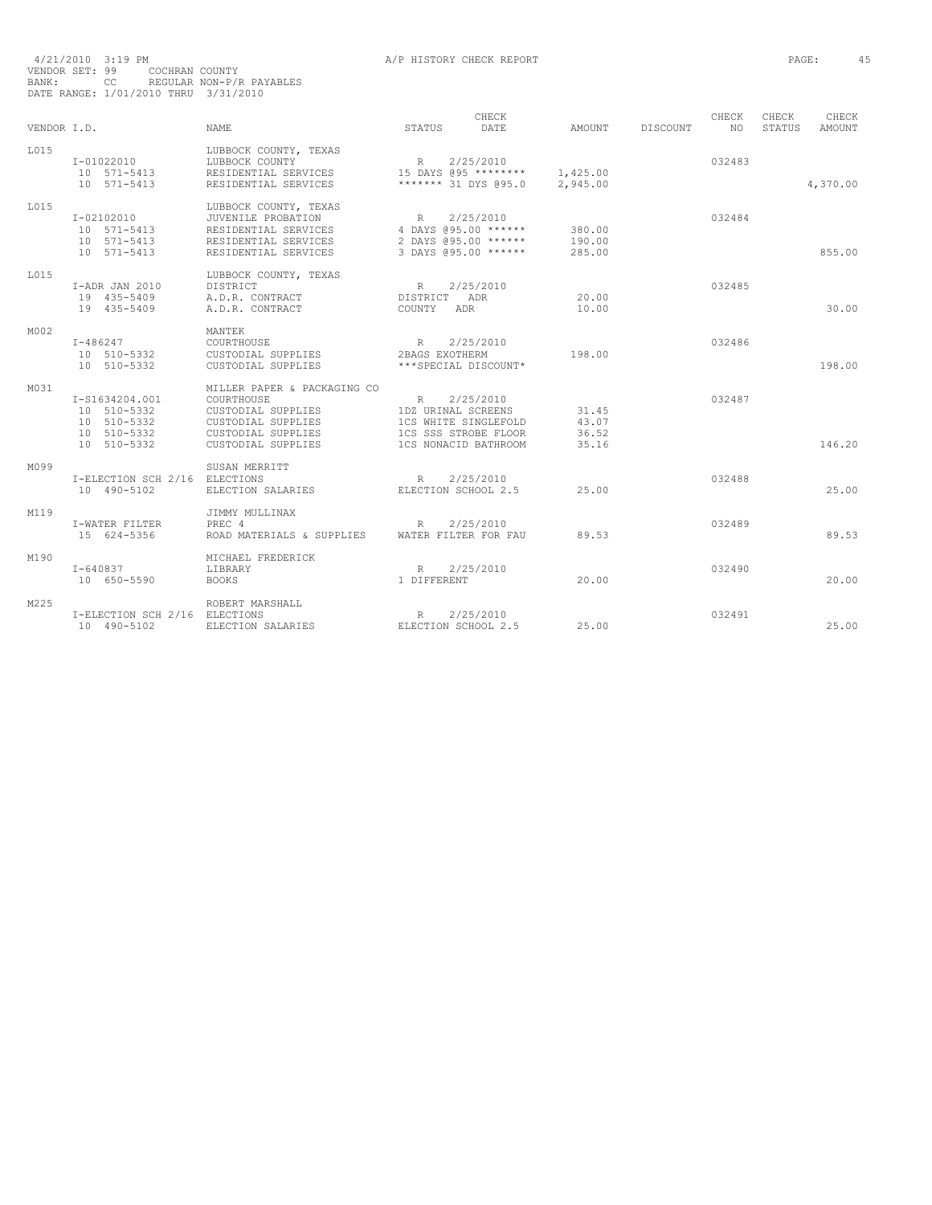| VENDOR T.D. |                                                                            | NAME.                                                                                                                             | STATUS                                                                                                 | CHECK<br>DATE    | AMOUNT                           | DISCOUNT | CHECK<br>NO. | CHECK<br><b>STATUS</b> | CHECK<br><b>AMOUNT</b> |
|-------------|----------------------------------------------------------------------------|-----------------------------------------------------------------------------------------------------------------------------------|--------------------------------------------------------------------------------------------------------|------------------|----------------------------------|----------|--------------|------------------------|------------------------|
| T.015       | $I - 01022010$<br>10 571-5413<br>$10 571 - 5413$                           | LUBBOCK COUNTY, TEXAS<br>LUBBOCK COUNTY<br>RESIDENTIAL SERVICES<br>RESIDENTIAL SERVICES                                           | R<br>15 DAYS @95 ********<br>******* 31 DYS @95.0                                                      | 2/25/2010        | 1,425.00<br>2,945.00             |          | 032483       |                        | 4,370.00               |
| L015        | $I - 02102010$<br>10 571-5413<br>10 571-5413<br>10 571-5413                | LUBBOCK COUNTY, TEXAS<br>JUVENILE PROBATION<br>RESIDENTIAL SERVICES<br>RESIDENTIAL SERVICES<br>RESIDENTIAL SERVICES               | R<br>4 DAYS @95.00 ******<br>2 DAYS @95.00 ******<br>3 DAYS @95.00 ******                              | 2/25/2010        | 380.00<br>190.00<br>285.00       |          | 032484       |                        | 855.00                 |
| T.015       | I-ADR JAN 2010<br>19 435-5409<br>19 435-5409                               | LUBBOCK COUNTY, TEXAS<br>DISTRICT<br>A.D.R. CONTRACT<br>A.D.R. CONTRACT                                                           | R<br>DISTRICT<br>COUNTY<br>ADR                                                                         | 2/25/2010<br>ADR | 20.00<br>10.00                   |          | 032485       |                        | 30.00                  |
| M002        | $I - 486247$<br>10 510-5332<br>10 510-5332                                 | MANTEK<br>COURTHOUSE<br>CUSTODIAL SUPPLIES<br>CUSTODIAL SUPPLIES                                                                  | R<br>2BAGS EXOTHERM<br>***SPECIAL DISCOUNT*                                                            | 2/25/2010        | 198.00                           |          | 032486       |                        | 198.00                 |
| M031        | I-S1634204.001<br>10 510-5332<br>10 510-5332<br>10 510-5332<br>10 510-5332 | MILLER PAPER & PACKAGING CO<br>COURTHOUSE<br>CUSTODIAL SUPPLIES<br>CUSTODIAL SUPPLIES<br>CUSTODIAL SUPPLIES<br>CUSTODIAL SUPPLIES | R<br>1DZ URINAL SCREENS<br>1CS WHITE SINGLEFOLD<br><b>1CS SSS STROBE FLOOR</b><br>1CS NONACID BATHROOM | 2/25/2010        | 31.45<br>43.07<br>36.52<br>35.16 |          | 032487       |                        | 146.20                 |
| M099        | I-ELECTION SCH 2/16 ELECTIONS<br>10 490-5102                               | SUSAN MERRITT<br>ELECTION SALARIES                                                                                                | R<br>ELECTION SCHOOL 2.5                                                                               | 2/25/2010        | 25.00                            |          | 032488       |                        | 25.00                  |
| M119        | I-WATER FILTER<br>15 624-5356                                              | JIMMY MULLINAX<br>PREC 4<br>ROAD MATERIALS & SUPPLIES                                                                             | R<br>WATER FILTER FOR FAU                                                                              | 2/25/2010        | 89.53                            |          | 032489       |                        | 89.53                  |
| M190        | $I - 640837$<br>10 650-5590                                                | MICHAEL FREDERICK<br>LIBRARY<br><b>BOOKS</b>                                                                                      | R<br>1 DIFFERENT                                                                                       | 2/25/2010        | 20.00                            |          | 032490       |                        | 20.00                  |
| M225        | I-ELECTION SCH 2/16 ELECTIONS<br>10 490-5102                               | ROBERT MARSHALL<br>ELECTION SALARIES                                                                                              | R<br>ELECTION SCHOOL 2.5                                                                               | 2/25/2010        | 25.00                            |          | 032491       |                        | 25.00                  |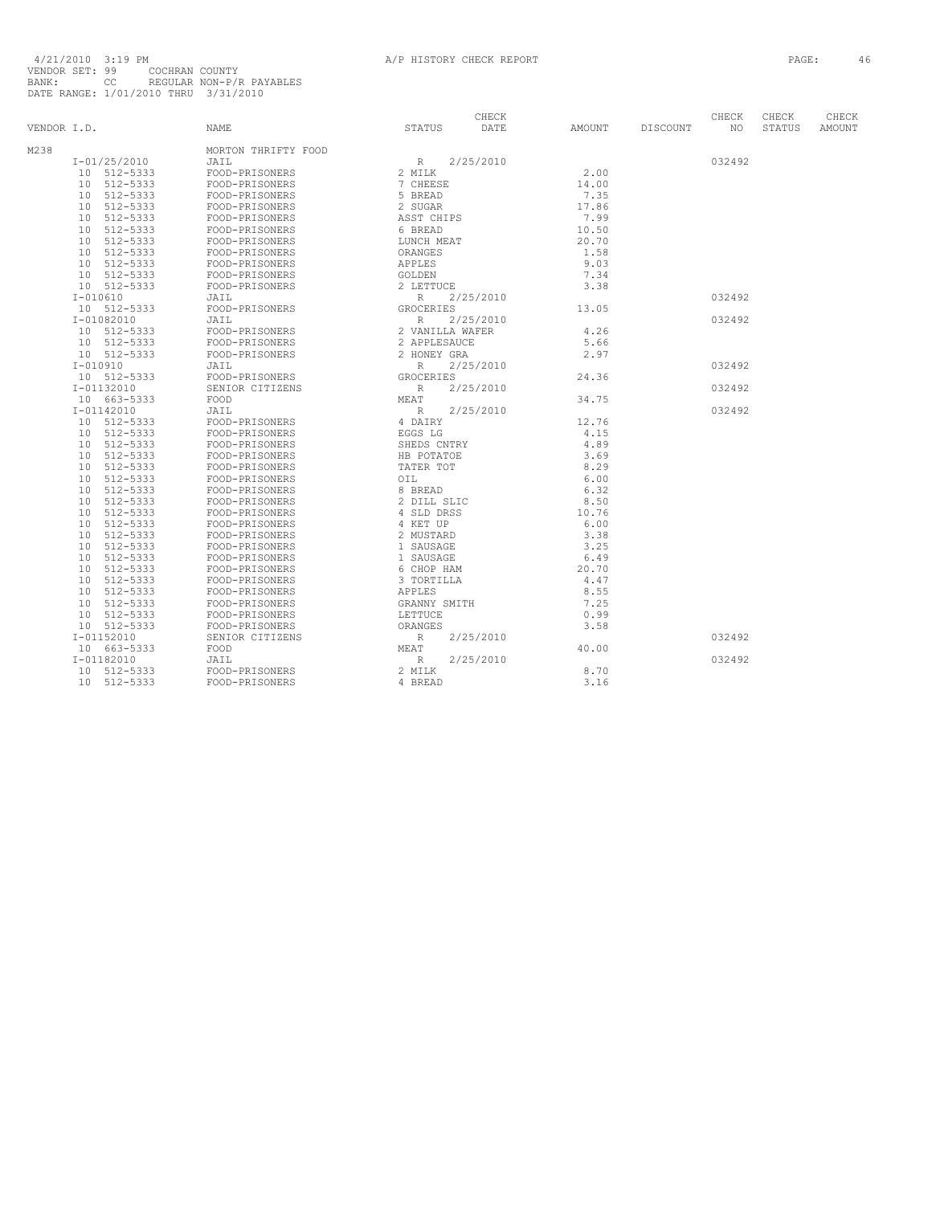| VENDOR I.D. |                             | <b>NAME</b>         | <b>STATUS</b>    | CHECK<br>DATE | AMOUNT | DISCOUNT | CHECK<br>NO. | CHECK<br><b>STATUS</b> | CHECK<br>AMOUNT |
|-------------|-----------------------------|---------------------|------------------|---------------|--------|----------|--------------|------------------------|-----------------|
| M238        |                             | MORTON THRIFTY FOOD |                  |               |        |          |              |                        |                 |
|             | I-01/25/2010                | JAIL                | R                | 2/25/2010     |        |          | 032492       |                        |                 |
|             | 10 512-5333                 | FOOD-PRISONERS      | 2 MILK           |               | 2.00   |          |              |                        |                 |
|             | 10 512-5333                 | FOOD-PRISONERS      | 7 CHEESE         |               | 14.00  |          |              |                        |                 |
|             | 512-5333<br>10              | FOOD-PRISONERS      | 5 BREAD          |               | 7.35   |          |              |                        |                 |
|             | 10 512-5333                 | FOOD-PRISONERS      | 2 SUGAR          |               | 17.86  |          |              |                        |                 |
|             | 10 512-5333                 | FOOD-PRISONERS      | ASST CHIPS       |               | 7.99   |          |              |                        |                 |
|             | 512-5333<br>10              | FOOD-PRISONERS      | 6 BREAD          |               | 10.50  |          |              |                        |                 |
|             | 512-5333<br>10              | FOOD-PRISONERS      | LUNCH MEAT       |               | 20.70  |          |              |                        |                 |
|             | 10 512-5333                 | FOOD-PRISONERS      | ORANGES          |               | 1.58   |          |              |                        |                 |
|             | 10 512-5333                 | FOOD-PRISONERS      | APPLES           |               | 9.03   |          |              |                        |                 |
|             | 10 512-5333                 | FOOD-PRISONERS      | GOLDEN           |               | 7.34   |          |              |                        |                 |
|             | 10 512-5333                 | FOOD-PRISONERS      | 2 LETTUCE        |               | 3.38   |          |              |                        |                 |
|             | $I - 010610$                | JAIL                | $\mathbb R$      | 2/25/2010     |        |          | 032492       |                        |                 |
|             | 10 512-5333                 | FOOD-PRISONERS      | <b>GROCERIES</b> |               | 13.05  |          |              |                        |                 |
|             | $I - 01082010$              | JAIL                | $\mathbb{R}$     | 2/25/2010     |        |          | 032492       |                        |                 |
|             | 10 512-5333                 | FOOD-PRISONERS      | 2 VANILLA WAFER  |               | 4.26   |          |              |                        |                 |
|             | 10 512-5333                 | FOOD-PRISONERS      | 2 APPLESAUCE     |               | 5.66   |          |              |                        |                 |
|             | 10 512-5333                 | FOOD-PRISONERS      | 2 HONEY GRA      |               | 2.97   |          |              |                        |                 |
|             | $I - 010910$                | JAIL                | R                | 2/25/2010     |        |          | 032492       |                        |                 |
|             | 10 512-5333                 | FOOD-PRISONERS      | GROCERIES        |               | 24.36  |          |              |                        |                 |
|             | I-01132010                  | SENIOR CITIZENS     | $\mathbb R$      | 2/25/2010     |        |          | 032492       |                        |                 |
|             | 10 663-5333                 | FOOD                | MEAT             |               | 34.75  |          |              |                        |                 |
|             | $I - 01142010$              | JAIL                | R                | 2/25/2010     |        |          | 032492       |                        |                 |
|             | 10 512-5333                 | FOOD-PRISONERS      | 4 DAIRY          |               | 12.76  |          |              |                        |                 |
|             | 10 512-5333                 | FOOD-PRISONERS      | EGGS LG          |               | 4.15   |          |              |                        |                 |
|             | 512-5333<br>10              | FOOD-PRISONERS      | SHEDS CNTRY      |               | 4.89   |          |              |                        |                 |
|             | 512-5333<br>10              | FOOD-PRISONERS      | HB POTATOE       |               | 3.69   |          |              |                        |                 |
|             | 512-5333<br>10              | FOOD-PRISONERS      | TATER TOT        |               | 8.29   |          |              |                        |                 |
|             | 512-5333<br>10 <sup>°</sup> | FOOD-PRISONERS      | OIL              |               | 6.00   |          |              |                        |                 |
|             | 512-5333<br>10 <sup>1</sup> | FOOD-PRISONERS      | 8 BREAD          |               | 6.32   |          |              |                        |                 |
|             | 10 512-5333                 | FOOD-PRISONERS      | 2 DILL SLIC      |               | 8.50   |          |              |                        |                 |
|             | 10<br>512-5333              | FOOD-PRISONERS      | 4 SLD DRSS       |               | 10.76  |          |              |                        |                 |
|             | 512-5333<br>10              | FOOD-PRISONERS      | 4 KET UP         |               | 6.00   |          |              |                        |                 |
|             | 512-5333<br>10              | FOOD-PRISONERS      | 2 MUSTARD        |               | 3.38   |          |              |                        |                 |
|             | 512-5333<br>10              | FOOD-PRISONERS      | 1 SAUSAGE        |               | 3.25   |          |              |                        |                 |
|             | 512-5333<br>10 <sup>°</sup> | FOOD-PRISONERS      | 1 SAUSAGE        |               | 6.49   |          |              |                        |                 |
|             | 10 512-5333                 | FOOD-PRISONERS      | 6 CHOP HAM       |               | 20.70  |          |              |                        |                 |
|             | 512-5333<br>10              | FOOD-PRISONERS      | 3 TORTILLA       |               | 4.47   |          |              |                        |                 |
|             | 10 512-5333                 | FOOD-PRISONERS      | APPLES           |               | 8.55   |          |              |                        |                 |
|             | 512-5333<br>10              | FOOD-PRISONERS      | GRANNY SMITH     |               | 7.25   |          |              |                        |                 |
|             | 10 512-5333                 | FOOD-PRISONERS      | LETTUCE          |               | 0.99   |          |              |                        |                 |
|             | 10 512-5333                 | FOOD-PRISONERS      | ORANGES          |               | 3.58   |          |              |                        |                 |
|             | $I - 01152010$              | SENIOR CITIZENS     | $\mathbb R$      | 2/25/2010     |        |          | 032492       |                        |                 |
|             | 10 663-5333                 | FOOD                | MEAT             |               | 40.00  |          |              |                        |                 |
|             | I-01182010                  | JAIL                | R                | 2/25/2010     |        |          | 032492       |                        |                 |
|             | 10 512-5333                 | FOOD-PRISONERS      | 2 MILK           |               | 8.70   |          |              |                        |                 |
|             | 10 512-5333                 | FOOD-PRISONERS      | 4 BREAD          |               | 3.16   |          |              |                        |                 |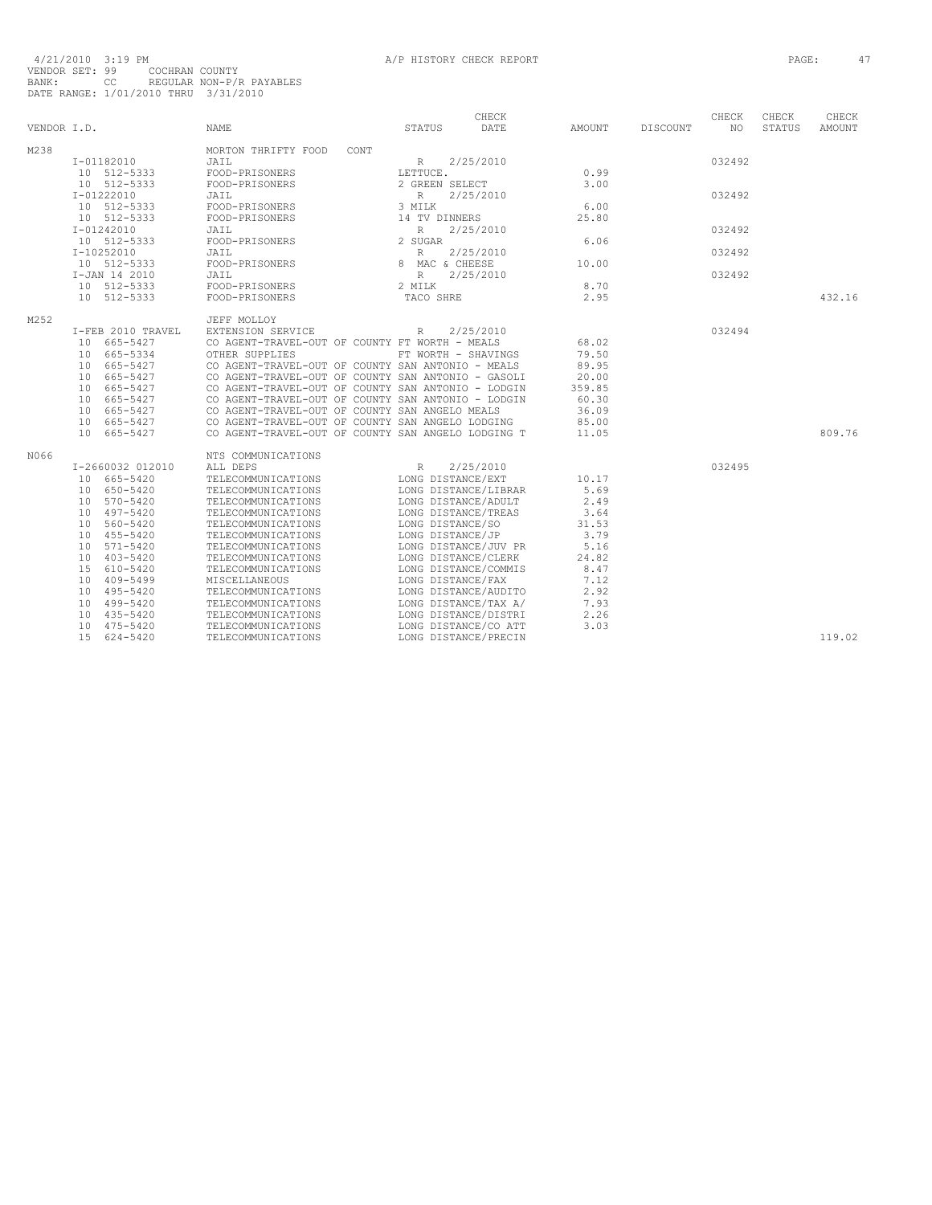| VENDOR I.D. |                                 | <b>NAME</b>                                        | STATUS            | CHECK<br>DATE        | AMOUNT | DISCOUNT | CHECK<br>NO. | CHECK<br>STATUS | CHECK<br>AMOUNT |
|-------------|---------------------------------|----------------------------------------------------|-------------------|----------------------|--------|----------|--------------|-----------------|-----------------|
| M238        |                                 | MORTON THRIFTY FOOD<br>CONT                        |                   |                      |        |          |              |                 |                 |
|             | $I-01182010$                    | JAIL                                               | $R_{\parallel}$   | 2/25/2010            |        |          | 032492       |                 |                 |
|             | 10 512-5333                     | FOOD-PRISONERS                                     | LETTUCE.          |                      | 0.99   |          |              |                 |                 |
|             | 10 512-5333                     | FOOD-PRISONERS                                     | 2 GREEN SELECT    |                      | 3.00   |          |              |                 |                 |
|             | $I - 01222010$                  | JAIL                                               | $\mathbb{R}$      | 2/25/2010            |        |          | 032492       |                 |                 |
|             | 10 512-5333                     | FOOD-PRISONERS                                     | 3 MILK            |                      | 6.00   |          |              |                 |                 |
|             | 10 512-5333                     | FOOD-PRISONERS                                     | 14 TV DINNERS     |                      | 25.80  |          |              |                 |                 |
|             | I-01242010                      | JAIL                                               | $\mathbb{R}$      | 2/25/2010            |        |          | 032492       |                 |                 |
|             | 10 512-5333                     | FOOD-PRISONERS                                     | 2 SUGAR           |                      | 6.06   |          |              |                 |                 |
|             | $I-10252010$                    | JAIL                                               | $R_{\rm}$         | 2/25/2010            |        |          | 032492       |                 |                 |
|             | 10 512-5333                     | FOOD-PRISONERS                                     | 8 MAC & CHEESE    |                      | 10.00  |          |              |                 |                 |
|             | I-JAN 14 2010                   | JAIL                                               | R                 | 2/25/2010            |        |          | 032492       |                 |                 |
|             | 10 512-5333                     | FOOD-PRISONERS                                     | 2 MILK            |                      | 8.70   |          |              |                 |                 |
|             | 10 512-5333                     | FOOD-PRISONERS                                     | TACO SHRE         |                      | 2.95   |          |              |                 | 432.16          |
|             |                                 |                                                    |                   |                      |        |          |              |                 |                 |
| M252        |                                 | JEFF MOLLOY                                        |                   |                      |        |          |              |                 |                 |
|             | I-FEB 2010 TRAVEL               | EXTENSION SERVICE                                  | $\mathbb{R}$      | 2/25/2010            |        |          | 032494       |                 |                 |
|             | 10 665-5427                     | CO AGENT-TRAVEL-OUT OF COUNTY FT WORTH - MEALS     |                   |                      | 68.02  |          |              |                 |                 |
|             | 10 665-5334                     | OTHER SUPPLIES                                     |                   | FT WORTH - SHAVINGS  | 79.50  |          |              |                 |                 |
|             | 10 665-5427                     | CO AGENT-TRAVEL-OUT OF COUNTY SAN ANTONIO - MEALS  |                   |                      | 89.95  |          |              |                 |                 |
|             | 10 665-5427                     | CO AGENT-TRAVEL-OUT OF COUNTY SAN ANTONIO - GASOLI |                   |                      | 20.00  |          |              |                 |                 |
|             | 10 665-5427                     | CO AGENT-TRAVEL-OUT OF COUNTY SAN ANTONIO - LODGIN |                   |                      | 359.85 |          |              |                 |                 |
|             | 10 665-5427                     | CO AGENT-TRAVEL-OUT OF COUNTY SAN ANTONIO - LODGIN |                   |                      | 60.30  |          |              |                 |                 |
|             | 10 665-5427                     | CO AGENT-TRAVEL-OUT OF COUNTY SAN ANGELO MEALS     |                   |                      | 36.09  |          |              |                 |                 |
|             | 10 665-5427                     | CO AGENT-TRAVEL-OUT OF COUNTY SAN ANGELO LODGING   |                   |                      | 85.00  |          |              |                 |                 |
|             | 10 665-5427                     | CO AGENT-TRAVEL-OUT OF COUNTY SAN ANGELO LODGING T |                   |                      | 11.05  |          |              |                 | 809.76          |
| N066        |                                 | NTS COMMUNICATIONS                                 |                   |                      |        |          |              |                 |                 |
|             | I-2660032 012010                | ALL DEPS                                           | $\mathbb{R}$      | 2/25/2010            |        |          | 032495       |                 |                 |
|             | 10 665-5420                     | TELECOMMUNICATIONS                                 | LONG DISTANCE/EXT |                      | 10.17  |          |              |                 |                 |
|             | 10 650-5420                     | TELECOMMUNICATIONS                                 |                   | LONG DISTANCE/LIBRAR | 5.69   |          |              |                 |                 |
|             | 10 570-5420                     | TELECOMMUNICATIONS                                 |                   | LONG DISTANCE/ADULT  | 2.49   |          |              |                 |                 |
|             | 10 497-5420                     | TELECOMMUNICATIONS                                 |                   | LONG DISTANCE/TREAS  | 3.64   |          |              |                 |                 |
|             | 10 560-5420                     | TELECOMMUNICATIONS                                 | LONG DISTANCE/SO  |                      | 31.53  |          |              |                 |                 |
|             | 10 455-5420                     | TELECOMMUNICATIONS                                 | LONG DISTANCE/JP  |                      | 3.79   |          |              |                 |                 |
|             | 571-5420<br>10 <sup>1</sup>     | TELECOMMUNICATIONS                                 |                   | LONG DISTANCE/JUV PR | 5.16   |          |              |                 |                 |
|             | 403-5420<br>10                  | TELECOMMUNICATIONS                                 |                   | LONG DISTANCE/CLERK  | 24.82  |          |              |                 |                 |
|             | 610-5420<br>1.5                 | TELECOMMUNICATIONS                                 |                   | LONG DISTANCE/COMMIS | 8.47   |          |              |                 |                 |
|             | 10<br>409-5499                  | MISCELLANEOUS                                      | LONG DISTANCE/FAX |                      | 7.12   |          |              |                 |                 |
|             | 10 495-5420                     | TELECOMMUNICATIONS                                 |                   | LONG DISTANCE/AUDITO | 2.92   |          |              |                 |                 |
|             | 499-5420<br>10 <sup>1</sup>     | TELECOMMUNICATIONS                                 |                   | LONG DISTANCE/TAX A/ | 7.93   |          |              |                 |                 |
|             | 435-5420<br>10                  | TELECOMMUNICATIONS                                 |                   | LONG DISTANCE/DISTRI | 2.26   |          |              |                 |                 |
|             | 10 475-5420                     | TELECOMMUNICATIONS                                 |                   | LONG DISTANCE/CO ATT | 3.03   |          |              |                 |                 |
|             | 15 <sub>1</sub><br>$624 - 5420$ | TELECOMMUNICATIONS                                 |                   | LONG DISTANCE/PRECIN |        |          |              |                 | 119.02          |
|             |                                 |                                                    |                   |                      |        |          |              |                 |                 |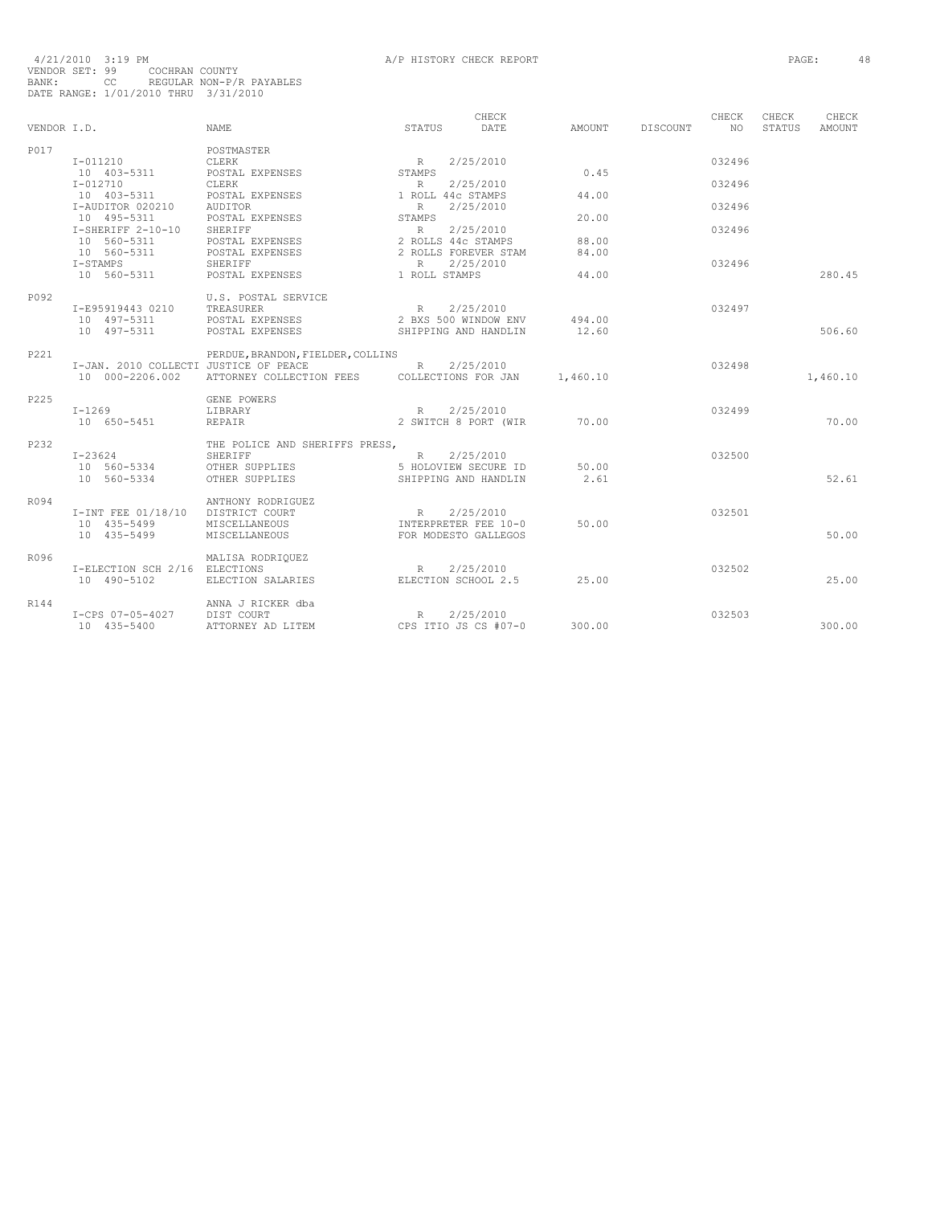|             |                                       |                                   |               | CHECK                |          |                 | CHECK  | CHECK  | CHECK         |
|-------------|---------------------------------------|-----------------------------------|---------------|----------------------|----------|-----------------|--------|--------|---------------|
| VENDOR I.D. |                                       | <b>NAME</b>                       | <b>STATUS</b> | DATE                 | AMOUNT   | <b>DISCOUNT</b> | NO.    | STATUS | <b>AMOUNT</b> |
| P017        |                                       | POSTMASTER                        |               |                      |          |                 |        |        |               |
|             | $I - 011210$                          | <b>CLERK</b>                      |               | 2/25/2010            |          |                 | 032496 |        |               |
|             | 10 403-5311                           | POSTAL EXPENSES                   | R<br>STAMPS   |                      | 0.45     |                 |        |        |               |
|             | $I - 012710$                          | <b>CLERK</b>                      | R             | 2/25/2010            |          |                 | 032496 |        |               |
|             | 10 403-5311                           | POSTAL EXPENSES                   |               | 1 ROLL 44c STAMPS    | 44.00    |                 |        |        |               |
|             | I-AUDITOR 020210                      | <b>AUDITOR</b>                    | R             | 2/25/2010            |          |                 | 032496 |        |               |
|             | 10 495-5311                           | POSTAL EXPENSES                   | STAMPS        |                      | 20.00    |                 |        |        |               |
|             | $I-SHERIFF 2-10-10$                   | SHERIFF                           | R             | 2/25/2010            |          |                 | 032496 |        |               |
|             | 10 560-5311                           | POSTAL EXPENSES                   |               | 2 ROLLS 44c STAMPS   | 88.00    |                 |        |        |               |
|             | 10 560-5311                           | POSTAL EXPENSES                   |               | 2 ROLLS FOREVER STAM | 84.00    |                 |        |        |               |
|             | I-STAMPS                              | SHERIFF                           | R             | 2/25/2010            |          |                 | 032496 |        |               |
|             | 10 560-5311                           | POSTAL EXPENSES                   | 1 ROLL STAMPS |                      | 44.00    |                 |        |        | 280.45        |
|             |                                       |                                   |               |                      |          |                 |        |        |               |
| P092        |                                       | U.S. POSTAL SERVICE               |               |                      |          |                 |        |        |               |
|             | I-E95919443 0210                      | TREASURER                         | $R_{\odot}$   | 2/25/2010            |          |                 | 032497 |        |               |
|             | 10 497-5311                           | POSTAL EXPENSES                   |               | 2 BXS 500 WINDOW ENV | 494.00   |                 |        |        |               |
|             | 10 497-5311                           | POSTAL EXPENSES                   |               | SHIPPING AND HANDLIN | 12.60    |                 |        |        | 506.60        |
|             |                                       |                                   |               |                      |          |                 |        |        |               |
| P221        |                                       | PERDUE, BRANDON, FIELDER, COLLINS |               |                      |          |                 |        |        |               |
|             | I-JAN. 2010 COLLECTI JUSTICE OF PEACE |                                   | R             | 2/25/2010            |          |                 | 032498 |        |               |
|             | 10 000-2206.002                       | ATTORNEY COLLECTION FEES          |               | COLLECTIONS FOR JAN  | 1,460.10 |                 |        |        | 1,460.10      |
|             |                                       |                                   |               |                      |          |                 |        |        |               |
| P225        |                                       | GENE POWERS                       |               |                      |          |                 |        |        |               |
|             | $I-1269$                              | LIBRARY                           | R             | 2/25/2010            |          |                 | 032499 |        |               |
|             | 10 650-5451                           | REPAIR                            |               | 2 SWITCH 8 PORT (WIR | 70.00    |                 |        |        | 70.00         |
|             |                                       |                                   |               |                      |          |                 |        |        |               |
| P232        |                                       | THE POLICE AND SHERIFFS PRESS,    |               |                      |          |                 |        |        |               |
|             | $I - 23624$                           | SHERIFF                           | R             | 2/25/2010            |          |                 | 032500 |        |               |
|             | 10 560-5334                           | OTHER SUPPLIES                    |               | 5 HOLOVIEW SECURE ID | 50.00    |                 |        |        |               |
|             | 10 560-5334                           | OTHER SUPPLIES                    |               | SHIPPING AND HANDLIN | 2.61     |                 |        |        | 52.61         |
|             |                                       |                                   |               |                      |          |                 |        |        |               |
| R094        |                                       | ANTHONY RODRIGUEZ                 |               |                      |          |                 |        |        |               |
|             | I-INT FEE 01/18/10                    | DISTRICT COURT                    | R             | 2/25/2010            |          |                 | 032501 |        |               |
|             | 10 435-5499                           | MISCELLANEOUS                     |               | INTERPRETER FEE 10-0 | 50.00    |                 |        |        |               |
|             | 10 435-5499                           | MISCELLANEOUS                     |               | FOR MODESTO GALLEGOS |          |                 |        |        | 50.00         |
|             |                                       |                                   |               |                      |          |                 |        |        |               |
| R096        |                                       | MALISA RODRIQUEZ                  |               |                      |          |                 |        |        |               |
|             | I-ELECTION SCH 2/16 ELECTIONS         |                                   | R             | 2/25/2010            |          |                 | 032502 |        |               |
|             | 10 490-5102                           | ELECTION SALARIES                 |               | ELECTION SCHOOL 2.5  | 25.00    |                 |        |        | 25.00         |
|             |                                       |                                   |               |                      |          |                 |        |        |               |
| R144        |                                       | ANNA J RICKER dba                 |               |                      |          |                 |        |        |               |
|             | I-CPS 07-05-4027                      | DIST COURT                        | R             | 2/25/2010            |          |                 | 032503 |        |               |
|             | 10 435-5400                           | ATTORNEY AD LITEM                 |               | CPS ITIO JS CS #07-0 | 300.00   |                 |        |        | 300.00        |
|             |                                       |                                   |               |                      |          |                 |        |        |               |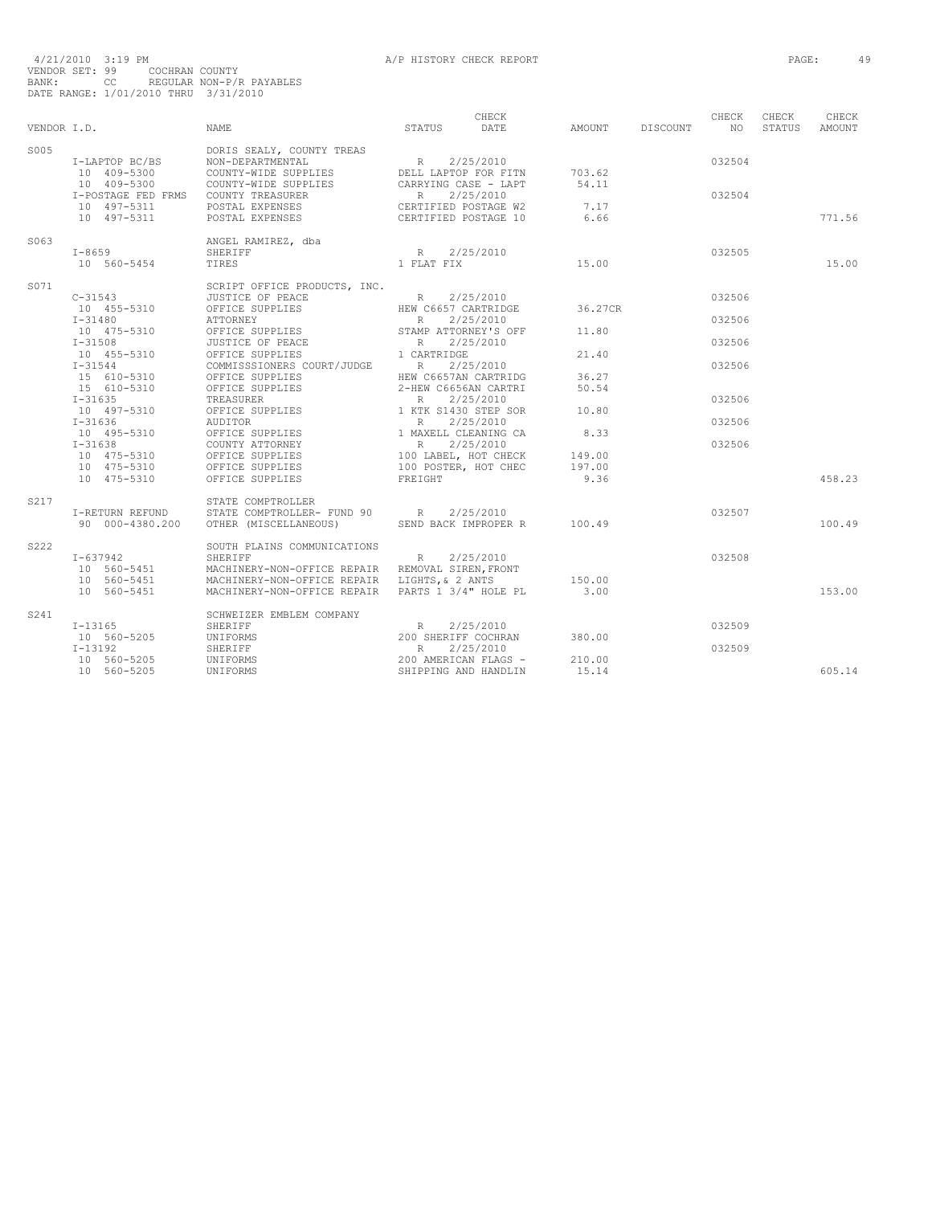|             |                            |                                                                                                                                                                                                                                                          |                                                             | CHECK     |                 | CHECK       | CHECK  | CHECK  |
|-------------|----------------------------|----------------------------------------------------------------------------------------------------------------------------------------------------------------------------------------------------------------------------------------------------------|-------------------------------------------------------------|-----------|-----------------|-------------|--------|--------|
| VENDOR I.D. |                            | NAME                                                                                                                                                                                                                                                     | STATUS                                                      | DATE      | AMOUNT DISCOUNT | $N$ $\circ$ | STATUS | AMOUNT |
| S005        |                            |                                                                                                                                                                                                                                                          |                                                             |           |                 |             |        |        |
|             | I-LAPTOP BC/BS             |                                                                                                                                                                                                                                                          |                                                             |           |                 | 032504      |        |        |
|             | 10 409-5300<br>10 409-5300 |                                                                                                                                                                                                                                                          |                                                             |           | 703.62          |             |        |        |
|             |                            |                                                                                                                                                                                                                                                          |                                                             |           | 54.11           |             |        |        |
|             |                            | I-POSTAGE FED FRMS COUNTY TREASURER<br>10 497-5311 POSTAL EXPENSES                                                                                                                                                                                       | R 2/25/2010<br>CERTIFIED POSTAGE W2<br>CERTIFIED POSTAGE 10 |           |                 | 032504      |        |        |
|             |                            |                                                                                                                                                                                                                                                          |                                                             |           | 7.17            |             |        |        |
|             | 10 497-5311                | POSTAL EXPENSES                                                                                                                                                                                                                                          |                                                             |           | 6.66            |             |        | 771.56 |
| S063        |                            | ANGEL RAMIREZ, dba                                                                                                                                                                                                                                       |                                                             |           |                 |             |        |        |
|             | $I - 8659$                 | SHERIFF                                                                                                                                                                                                                                                  | R 2/25/2010<br>1 FLAT FIX                                   |           | 15.00           | 032505      |        |        |
|             | 10 560-5454                | TIRES                                                                                                                                                                                                                                                    |                                                             |           |                 |             |        | 15.00  |
| S071        |                            | SCRIPT OFFICE PRODUCTS, INC.                                                                                                                                                                                                                             |                                                             |           |                 |             |        |        |
|             | $C-31543$                  |                                                                                                                                                                                                                                                          |                                                             | 2/25/2010 |                 | 032506      |        |        |
|             | 10 455-5310                |                                                                                                                                                                                                                                                          |                                                             |           | 36.27CR         |             |        |        |
|             | $I - 31480$                |                                                                                                                                                                                                                                                          |                                                             |           |                 | 032506      |        |        |
|             | 10 475-5310                |                                                                                                                                                                                                                                                          |                                                             |           | 11.80           |             |        |        |
|             | $I - 31508$                |                                                                                                                                                                                                                                                          |                                                             |           |                 | 032506      |        |        |
|             | 10 455-5310<br>I-31544     | ATTORNEY<br>OFFICE SUPPLIES<br>OFFICE OF PEACE<br>OFFICE OF PEACE<br>OFFICE OF PEACE<br>OFFICE SUPPLIES<br>COMMISSSIONERS COURT/JUDGE<br>Recommissioners<br>COMMISSSIONERS<br>COURT/JUDGE<br>Recommissioners<br>COURT/JUDGE<br>Recommissioners<br>COURT/ |                                                             |           | 21.40           |             |        |        |
|             |                            |                                                                                                                                                                                                                                                          |                                                             |           |                 | 032506      |        |        |
|             |                            | 15 610-5310 OFFICE SUPPLIES HEW C6657AN CARTRIDG<br>15 610-5310 OFFICE SUPPLIES 2-HEW C6656AN CARTRI                                                                                                                                                     |                                                             |           | 36.27<br>50.54  |             |        |        |
|             |                            |                                                                                                                                                                                                                                                          |                                                             |           |                 | 032506      |        |        |
|             |                            |                                                                                                                                                                                                                                                          |                                                             |           |                 |             |        |        |
|             |                            |                                                                                                                                                                                                                                                          |                                                             |           |                 | 032506      |        |        |
|             |                            |                                                                                                                                                                                                                                                          |                                                             |           |                 |             |        |        |
|             |                            |                                                                                                                                                                                                                                                          |                                                             |           |                 | 032506      |        |        |
|             |                            |                                                                                                                                                                                                                                                          |                                                             |           |                 |             |        |        |
|             |                            |                                                                                                                                                                                                                                                          |                                                             |           |                 |             |        |        |
|             | 10 475-5310                | OFFICE SUPPLIES                                                                                                                                                                                                                                          | FREIGHT                                                     |           | 9.36            |             |        | 458.23 |
| S217        |                            | STATE COMPTROLLER                                                                                                                                                                                                                                        |                                                             |           |                 |             |        |        |
|             | I-RETURN REFUND            | STATE COMPTROLLER- FUND 90 R 2/25/2010                                                                                                                                                                                                                   |                                                             |           |                 | 032507      |        |        |
|             | 90 000-4380.200            | OTHER (MISCELLANEOUS) SEND BACK IMPROPER R                                                                                                                                                                                                               |                                                             |           | 100.49          |             |        | 100.49 |
| S222        |                            | SOUTH PLAINS COMMUNICATIONS                                                                                                                                                                                                                              |                                                             |           |                 |             |        |        |
|             | $I - 637942$               | SHERIFF                                                                                                                                                                                                                                                  | R                                                           | 2/25/2010 |                 | 032508      |        |        |
|             |                            | 10 560-5451 MACHINERY-NON-OFFICE REPAIR REMOVAL SIREN, FRONT                                                                                                                                                                                             |                                                             |           |                 |             |        |        |
|             | 10 560-5451<br>10 560-5451 | MACHINERY-NON-OFFICE REPAIR LIGHTS, & 2 ANTS                                                                                                                                                                                                             |                                                             |           | 150.00          |             |        |        |
|             |                            | MACHINERY-NON-OFFICE REPAIR PARTS 1 3/4" HOLE PL                                                                                                                                                                                                         |                                                             |           | 3.00            |             |        | 153.00 |
| S241        |                            | SCHWEIZER EMBLEM COMPANY                                                                                                                                                                                                                                 |                                                             |           |                 |             |        |        |
|             | $I - 13165$                | SHERIFF                                                                                                                                                                                                                                                  | R                                                           | 2/25/2010 |                 | 032509      |        |        |
|             | 10 560-5205                | UNIFORMS                                                                                                                                                                                                                                                 | 200 SHERIFF COCHRAN                                         |           | 380.00          |             |        |        |
|             | $I-13192$                  | SHERIFF                                                                                                                                                                                                                                                  | R                                                           | 2/25/2010 |                 | 032509      |        |        |
|             | 10 560-5205                | UNIFORMS                                                                                                                                                                                                                                                 | 200 AMERICAN FLAGS -                                        |           | 210.00          |             |        |        |
|             | 10 560-5205                | UNIFORMS                                                                                                                                                                                                                                                 | SHIPPING AND HANDLIN                                        |           | 15.14           |             |        | 605.14 |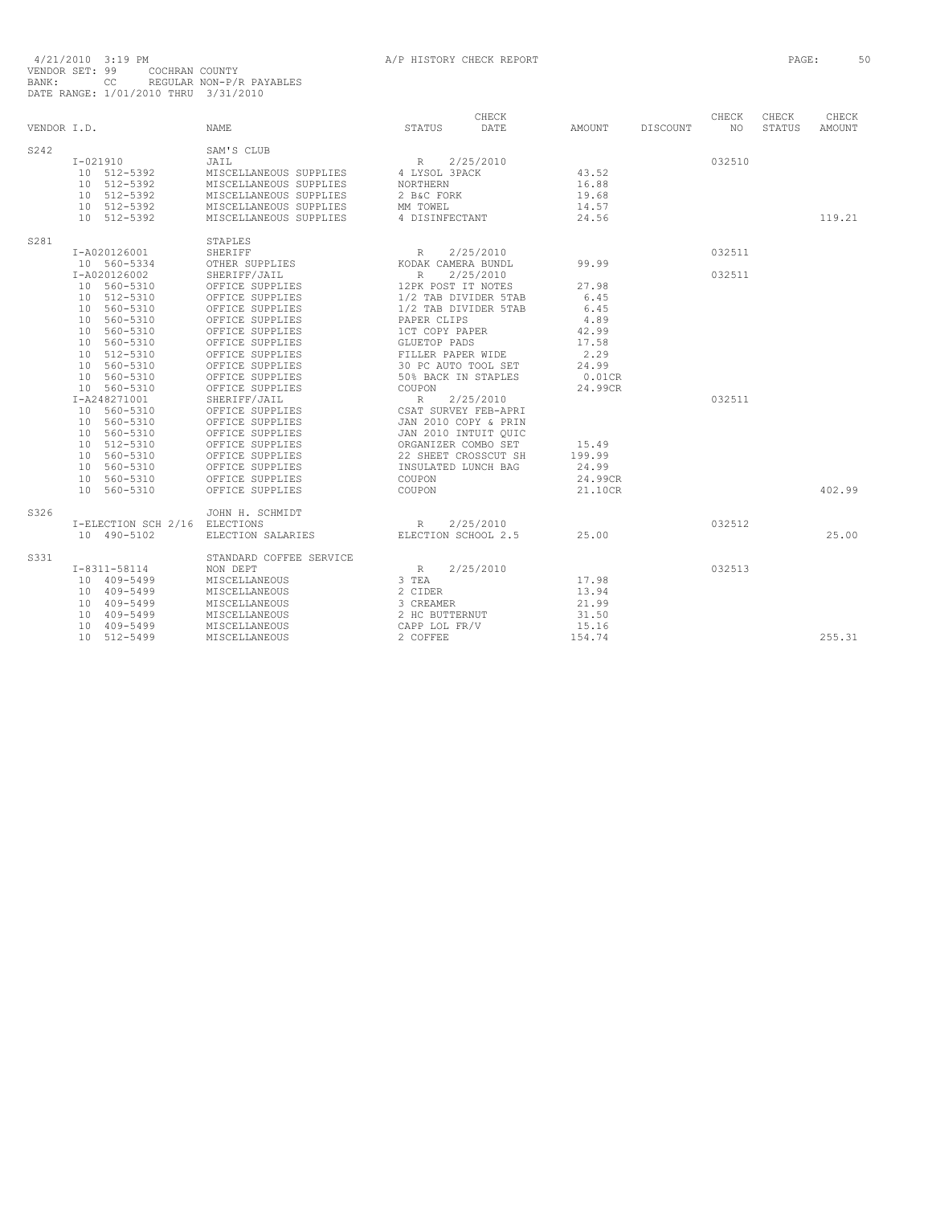| VENDOR I.D. |                     | <b>NAME</b>             | STATUS               | CHECK<br>DATE        | AMOUNT    | DISCOUNT | CHECK<br>NO. | CHECK<br>STATUS | CHECK<br>AMOUNT |
|-------------|---------------------|-------------------------|----------------------|----------------------|-----------|----------|--------------|-----------------|-----------------|
| S242        |                     | SAM'S CLUB              |                      |                      |           |          |              |                 |                 |
|             | $I - 021910$        | JAIL                    | R                    | 2/25/2010            |           |          | 032510       |                 |                 |
|             | 10 512-5392         | MISCELLANEOUS SUPPLIES  | 4 LYSOL 3PACK        |                      | 43.52     |          |              |                 |                 |
|             | 10 512-5392         | MISCELLANEOUS SUPPLIES  | <b>NORTHERN</b>      |                      | 16.88     |          |              |                 |                 |
|             | 10 512-5392         | MISCELLANEOUS SUPPLIES  | 2 B&C FORK           |                      | 19.68     |          |              |                 |                 |
|             | 10 512-5392         | MISCELLANEOUS SUPPLIES  | MM TOWEL             |                      | 14.57     |          |              |                 |                 |
|             | 10 512-5392         | MISCELLANEOUS SUPPLIES  | 4 DISINFECTANT       |                      | 24.56     |          |              |                 | 119.21          |
| S281        |                     | STAPLES                 |                      |                      |           |          |              |                 |                 |
|             | I-A020126001        | <b>SHERIFF</b>          | R                    | 2/25/2010            |           |          | 032511       |                 |                 |
|             | 10 560-5334         | OTHER SUPPLIES          | KODAK CAMERA BUNDL   |                      | 99.99     |          |              |                 |                 |
|             | I-A020126002        | SHERIFF/JAIL            | $R_{\parallel}$      | 2/25/2010            |           |          | 032511       |                 |                 |
|             | 10 560-5310         | OFFICE SUPPLIES         | 12PK POST IT NOTES   |                      | 27.98     |          |              |                 |                 |
|             | 10 512-5310         | OFFICE SUPPLIES         | 1/2 TAB DIVIDER 5TAB |                      | 6.45      |          |              |                 |                 |
|             | 10 560-5310         | OFFICE SUPPLIES         | 1/2 TAB DIVIDER 5TAB |                      | 6.45      |          |              |                 |                 |
|             | 10 560-5310         | OFFICE SUPPLIES         | PAPER CLIPS          |                      | 4.89      |          |              |                 |                 |
|             | 10 560-5310         | OFFICE SUPPLIES         | 1CT COPY PAPER       |                      | 42.99     |          |              |                 |                 |
|             | 10 560-5310         | OFFICE SUPPLIES         | GLUETOP PADS         |                      | 17.58     |          |              |                 |                 |
|             | 10 512-5310         | OFFICE SUPPLIES         | FILLER PAPER WIDE    |                      | 2.29      |          |              |                 |                 |
|             | 10 560-5310         | OFFICE SUPPLIES         | 30 PC AUTO TOOL SET  |                      | 24.99     |          |              |                 |                 |
|             | 10 560-5310         | OFFICE SUPPLIES         | 50% BACK IN STAPLES  |                      | $0.01$ CR |          |              |                 |                 |
|             | 10 560-5310         | OFFICE SUPPLIES         | COUPON               |                      | 24.99CR   |          |              |                 |                 |
|             | I-A248271001        | SHERIFF/JAIL            | R                    | 2/25/2010            |           |          | 032511       |                 |                 |
|             | 10 560-5310         | OFFICE SUPPLIES         | CSAT SURVEY FEB-APRI |                      |           |          |              |                 |                 |
|             | 10 560-5310         | OFFICE SUPPLIES         | JAN 2010 COPY & PRIN |                      |           |          |              |                 |                 |
|             | 10 560-5310         | OFFICE SUPPLIES         | JAN 2010 INTUIT QUIC |                      |           |          |              |                 |                 |
|             | 10 512-5310         | OFFICE SUPPLIES         | ORGANIZER COMBO SET  |                      | 15.49     |          |              |                 |                 |
|             | 10 560-5310         | OFFICE SUPPLIES         |                      | 22 SHEET CROSSCUT SH | 199.99    |          |              |                 |                 |
|             | 10 560-5310         | OFFICE SUPPLIES         | INSULATED LUNCH BAG  |                      | 24.99     |          |              |                 |                 |
|             | 10 560-5310         | OFFICE SUPPLIES         | COUPON               |                      | 24.99CR   |          |              |                 |                 |
|             | 10 560-5310         | OFFICE SUPPLIES         | COUPON               |                      | 21.10CR   |          |              |                 | 402.99          |
| S326        |                     | JOHN H. SCHMIDT         |                      |                      |           |          |              |                 |                 |
|             | I-ELECTION SCH 2/16 | ELECTIONS               | $R_{\parallel}$      | 2/25/2010            |           |          | 032512       |                 |                 |
|             | 10 490-5102         | ELECTION SALARIES       | ELECTION SCHOOL 2.5  |                      | 25.00     |          |              |                 | 25.00           |
| S331        |                     | STANDARD COFFEE SERVICE |                      |                      |           |          |              |                 |                 |
|             | $I-8311-58114$      | NON DEPT                | $R_{\perp}$          | 2/25/2010            |           |          | 032513       |                 |                 |
|             | 10 409-5499         | MISCELLANEOUS           | 3 TEA                |                      | 17.98     |          |              |                 |                 |
|             | 10 409-5499         | MISCELLANEOUS           | 2 CIDER              |                      | 13.94     |          |              |                 |                 |
|             | 10 409-5499         | MISCELLANEOUS           | 3 CREAMER            |                      | 21.99     |          |              |                 |                 |
|             | 10 409-5499         | MISCELLANEOUS           | 2 HC BUTTERNUT       |                      | 31.50     |          |              |                 |                 |
|             | 10 409-5499         | MISCELLANEOUS           | CAPP LOL FR/V        |                      | 15.16     |          |              |                 |                 |
|             | 10 512-5499         | MISCELLANEOUS           | 2 COFFEE             |                      | 154.74    |          |              |                 | 255.31          |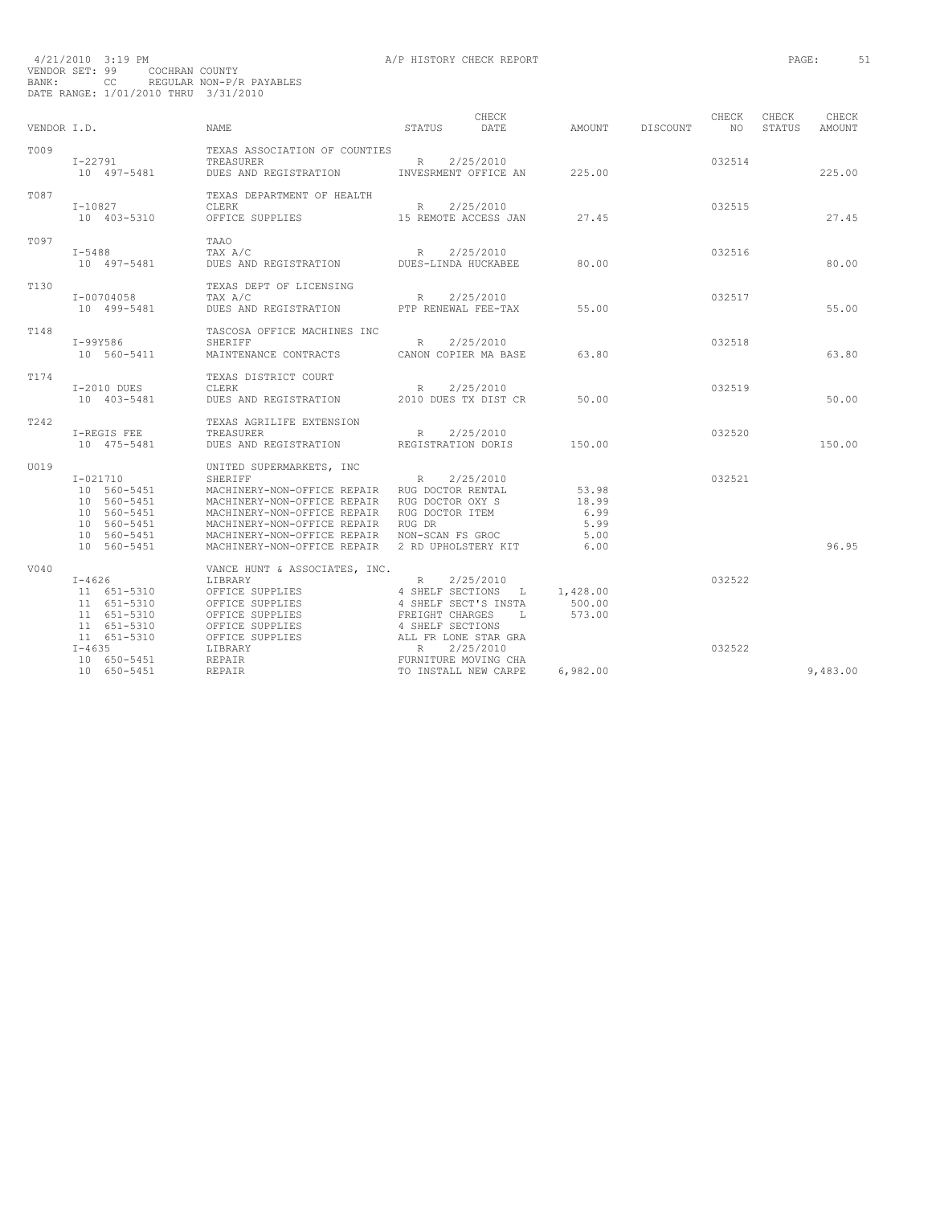| VENDOR I.D.      |                                                                                                        | <b>NAME</b>                                                                                                                                                                                                                                                                                                 | STATUS                                                                | CHECK<br>DATE                                                              | AMOUNT                                         | DISCOUNT | CHECK<br>N()     | CHECK<br>STATUS | CHECK<br><b>AMOUNT</b> |
|------------------|--------------------------------------------------------------------------------------------------------|-------------------------------------------------------------------------------------------------------------------------------------------------------------------------------------------------------------------------------------------------------------------------------------------------------------|-----------------------------------------------------------------------|----------------------------------------------------------------------------|------------------------------------------------|----------|------------------|-----------------|------------------------|
| T009             | $I - 22791$<br>10 497-5481                                                                             | TEXAS ASSOCIATION OF COUNTIES<br>TREASURER<br>DUES AND REGISTRATION INVESRMENT OFFICE AN                                                                                                                                                                                                                    | R 2/25/2010                                                           |                                                                            | 225.00                                         |          | 032514           |                 | 225.00                 |
| T087             | $I - 10827$<br>10 403-5310                                                                             | TEXAS DEPARTMENT OF HEALTH<br>CLERK<br>OFFICE SUPPLIES 15 REMOTE ACCESS JAN                                                                                                                                                                                                                                 |                                                                       | R 2/25/2010                                                                | 27.45                                          |          | 032515           |                 | 27.45                  |
| T097             | $I - 5488$<br>10 497-5481                                                                              | TAAO<br>TAX A/C<br>DUES AND REGISTRATION DUES-LINDA HUCKABEE                                                                                                                                                                                                                                                | R                                                                     | 2/25/2010                                                                  | 80.00                                          |          | 032516           |                 | 80.00                  |
| T <sub>130</sub> | I-00704058<br>10 499-5481                                                                              | TEXAS DEPT OF LICENSING<br>TAX A/C<br>DUES AND REGISTRATION                                                                                                                                                                                                                                                 | PTP RENEWAL FEE-TAX                                                   | R 2/25/2010                                                                | 55.00                                          |          | 032517           |                 | 55.00                  |
| T148             | I-99Y586<br>10 560-5411                                                                                | TASCOSA OFFICE MACHINES INC<br>SHERIFF<br>MAINTENANCE CONTRACTS                                                                                                                                                                                                                                             |                                                                       | R 2/25/2010<br>CANON COPIER MA BASE                                        | 63.80                                          |          | 032518           |                 | 63.80                  |
| T174             | $I-2010$ DUES<br>10 403-5481                                                                           | TEXAS DISTRICT COURT<br>CLERK<br>DUES AND REGISTRATION                                                                                                                                                                                                                                                      | R                                                                     | 2/25/2010<br>2010 DUES TX DIST CR                                          | 50.00                                          |          | 032519           |                 | 50.00                  |
| T242             | I-REGIS FEE<br>10 475-5481                                                                             | TEXAS AGRILIFE EXTENSION<br>TREASURER<br>DUES AND REGISTRATION                                                                                                                                                                                                                                              | R<br>REGISTRATION DORIS                                               | 2/25/2010                                                                  | 150.00                                         |          | 032520           |                 | 150.00                 |
| U019             | $I - 021710$<br>10 560-5451<br>10 560-5451<br>10 560-5451<br>10 560-5451<br>10 560-5451<br>10 560-5451 | UNITED SUPERMARKETS, INC<br>SHERIFF<br>MACHINERY-NON-OFFICE REPAIR RUG DOCTOR RENTAL<br>MACHINERY-NON-OFFICE REPAIR RUG DOCTOR OXY S<br>MACHINERY-NON-OFFICE REPAIR RUG DOCTOR ITEM<br>MACHINERY-NON-OFFICE REPAIR RUG DR<br>MACHINERY-NON-OFFICE REPAIR<br>MACHINERY-NON-OFFICE REPAIR 2 RD UPHOLSTERY KIT | R<br>NON-SCAN FS GROC                                                 | 2/25/2010                                                                  | 53.98<br>18.99<br>6.99<br>5.99<br>5.00<br>6.00 |          | 032521           |                 | 96.95                  |
| V040             | $I - 4626$<br>11 651-5310<br>11 651-5310<br>11 651-5310<br>11 651-5310<br>11 651-5310<br>$I - 4635$    | VANCE HUNT & ASSOCIATES, INC.<br>LIBRARY<br>OFFICE SUPPLIES<br>OFFICE SUPPLIES<br>OFFICE SUPPLIES<br>OFFICE SUPPLIES<br>OFFICE SUPPLIES<br>LIBRARY                                                                                                                                                          | R<br>FREIGHT CHARGES<br>4 SHELF SECTIONS<br>ALL FR LONE STAR GRA<br>R | 2/25/2010<br>4 SHELF SECTIONS L<br>4 SHELF SECT'S INSTA<br>т.<br>2/25/2010 | 1,428.00<br>500.00<br>573.00                   |          | 032522<br>032522 |                 |                        |
|                  | 10 650-5451<br>10 650-5451                                                                             | REPAIR<br>REPAIR                                                                                                                                                                                                                                                                                            |                                                                       | FURNITURE MOVING CHA<br>TO INSTALL NEW CARPE                               | 6,982.00                                       |          |                  |                 | 9,483.00               |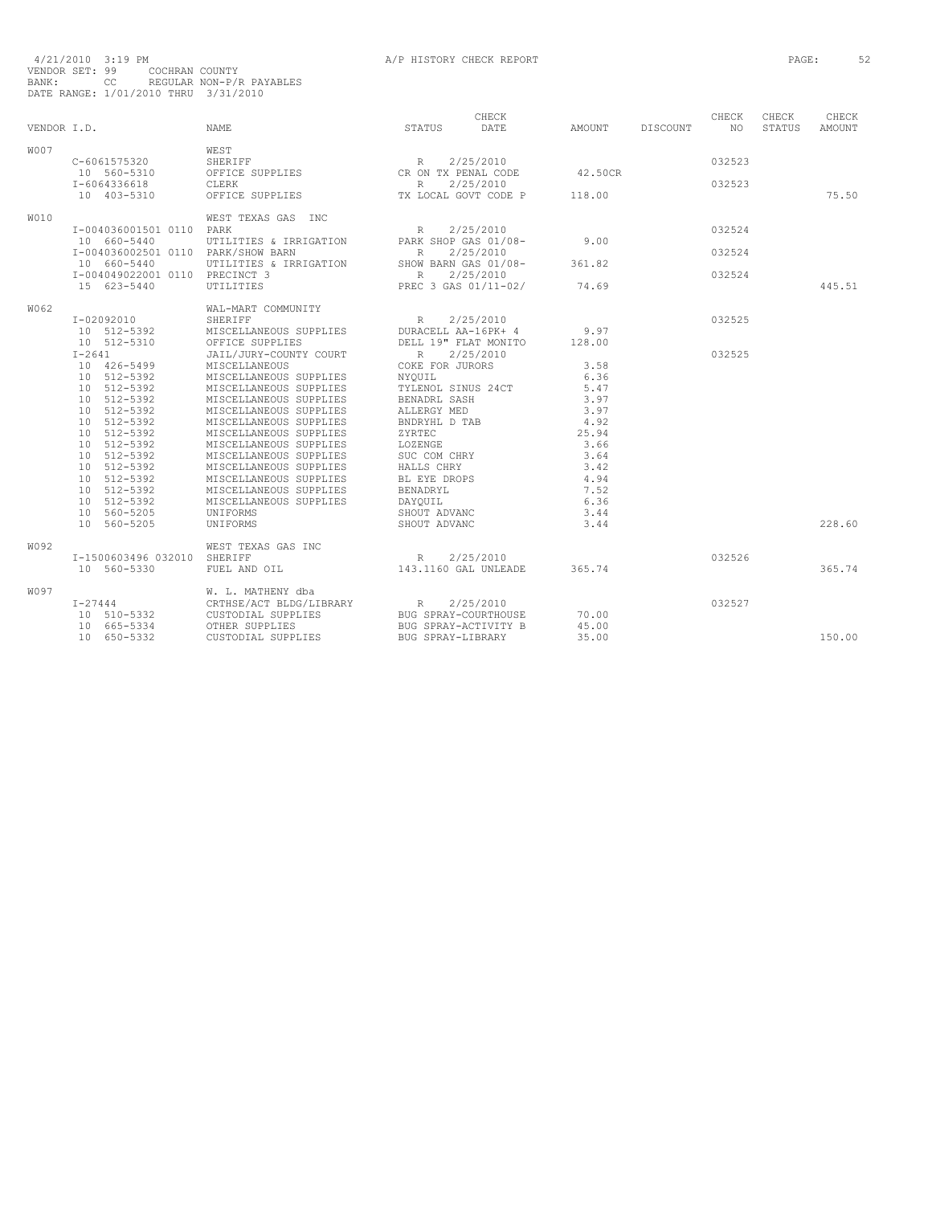| VENDOR I.D. |                                                                                                                                                                                                                            | <b>NAME</b>                                                                                                                                                                                                                                                                                                                                                                 | STATUS                                                                                                                                                                                                                   | CHECK<br>DATE | AMOUNT                                                                                                        | DISCOUNT | CHECK<br>NO.     | CHECK<br>STATUS | CHECK<br>AMOUNT |
|-------------|----------------------------------------------------------------------------------------------------------------------------------------------------------------------------------------------------------------------------|-----------------------------------------------------------------------------------------------------------------------------------------------------------------------------------------------------------------------------------------------------------------------------------------------------------------------------------------------------------------------------|--------------------------------------------------------------------------------------------------------------------------------------------------------------------------------------------------------------------------|---------------|---------------------------------------------------------------------------------------------------------------|----------|------------------|-----------------|-----------------|
| <b>W007</b> | C-6061575320<br>10 560-5310<br>I-6064336618                                                                                                                                                                                | WEST<br>SHERIFF<br>OFFICE SUPPLIES<br>CLERK                                                                                                                                                                                                                                                                                                                                 | R 2/25/2010<br>CR ON TX PENAL CODE<br>R                                                                                                                                                                                  | 2/25/2010     | 42.50CR                                                                                                       |          | 032523<br>032523 |                 |                 |
|             | 10 403-5310                                                                                                                                                                                                                | OFFICE SUPPLIES                                                                                                                                                                                                                                                                                                                                                             | TX LOCAL GOVT CODE P                                                                                                                                                                                                     |               | 118.00                                                                                                        |          |                  |                 | 75.50           |
| <b>W010</b> | I-004036001501 0110 PARK<br>10 660-5440                                                                                                                                                                                    | WEST TEXAS GAS INC<br>UTILITIES & IRRIGATION                                                                                                                                                                                                                                                                                                                                | R<br>PARK SHOP GAS 01/08-                                                                                                                                                                                                | 2/25/2010     | 9.00                                                                                                          |          | 032524           |                 |                 |
|             | I-004036002501 0110 PARK/SHOW BARN<br>10 660-5440                                                                                                                                                                          | UTILITIES & IRRIGATION                                                                                                                                                                                                                                                                                                                                                      | R<br>SHOW BARN GAS 01/08-                                                                                                                                                                                                | 2/25/2010     | 361.82                                                                                                        |          | 032524           |                 |                 |
|             | I-004049022001 0110 PRECINCT 3<br>15 623-5440                                                                                                                                                                              | <b>UTILITIES</b>                                                                                                                                                                                                                                                                                                                                                            | $R_{\rm c}$<br>PREC 3 GAS 01/11-02/                                                                                                                                                                                      | 2/25/2010     | 74.69                                                                                                         |          | 032524           |                 | 445.51          |
| W062        | I-02092010<br>10 512-5392<br>10 512-5310                                                                                                                                                                                   | WAL-MART COMMUNITY<br>SHERIFF<br>MISCELLANEOUS SUPPLIES<br>OFFICE SUPPLIES                                                                                                                                                                                                                                                                                                  | R<br>DURACELL AA-16PK+ 4<br>DELL 19" FLAT MONITO                                                                                                                                                                         | 2/25/2010     | 9.97<br>128.00                                                                                                |          | 032525           |                 |                 |
|             | $I-2641$<br>10 426-5499<br>10 512-5392<br>10 512-5392<br>10 512-5392<br>10 512-5392<br>10 512-5392<br>10 512-5392<br>10 512-5392<br>10 512-5392<br>10 512-5392<br>10 512-5392<br>10 512-5392<br>10 512-5392<br>10 560-5205 | JAIL/JURY-COUNTY COURT<br>MISCELLANEOUS<br>MISCELLANEOUS SUPPLIES<br>MISCELLANEOUS SUPPLIES<br>MISCELLANEOUS SUPPLIES<br>MISCELLANEOUS SUPPLIES<br>MISCELLANEOUS SUPPLIES<br>MISCELLANEOUS SUPPLIES<br>MISCELLANEOUS SUPPLIES<br>MISCELLANEOUS SUPPLIES<br>MISCELLANEOUS SUPPLIES<br>MISCELLANEOUS SUPPLIES<br>MISCELLANEOUS SUPPLIES<br>MISCELLANEOUS SUPPLIES<br>UNIFORMS | R 2/25/2010<br>COKE FOR JURORS<br>NYOUIL<br>TYLENOL SINUS 24CT<br>BENADRL SASH<br>ALLERGY MED<br>BNDRYHL D TAB<br>ZYRTEC<br>LOZENGE<br>SUC COM CHRY<br>HALLS CHRY<br>BL EYE DROPS<br>BENADRYL<br>DAYQUIL<br>SHOUT ADVANC |               | 3.58<br>6.36<br>5.47<br>3.97<br>3.97<br>4.92<br>25.94<br>3.66<br>3.64<br>3.42<br>4.94<br>7.52<br>6.36<br>3.44 |          | 032525           |                 |                 |
|             | 10 560-5205                                                                                                                                                                                                                | UNIFORMS                                                                                                                                                                                                                                                                                                                                                                    | SHOUT ADVANC                                                                                                                                                                                                             |               | 3.44                                                                                                          |          |                  |                 | 228.60          |
| W092        | I-1500603496 032010 SHERIFF<br>10 560-5330                                                                                                                                                                                 | WEST TEXAS GAS INC<br>FUEL AND OIL                                                                                                                                                                                                                                                                                                                                          | R<br>143.1160 GAL UNLEADE                                                                                                                                                                                                | 2/25/2010     | 365.74                                                                                                        |          | 032526           |                 | 365.74          |
| W097        | $I - 27444$<br>10 510-5332                                                                                                                                                                                                 | W. L. MATHENY dba<br>CRTHSE/ACT BLDG/LIBRARY<br>CUSTODIAL SUPPLIES                                                                                                                                                                                                                                                                                                          | R<br>BUG SPRAY-COURTHOUSE                                                                                                                                                                                                | 2/25/2010     | 70.00                                                                                                         |          | 032527           |                 |                 |
|             | 10 665-5334<br>10 650-5332                                                                                                                                                                                                 | OTHER SUPPLIES<br>CUSTODIAL SUPPLIES                                                                                                                                                                                                                                                                                                                                        | BUG SPRAY-ACTIVITY B<br>BUG SPRAY-LIBRARY                                                                                                                                                                                |               | 45.00<br>35.00                                                                                                |          |                  |                 | 150.00          |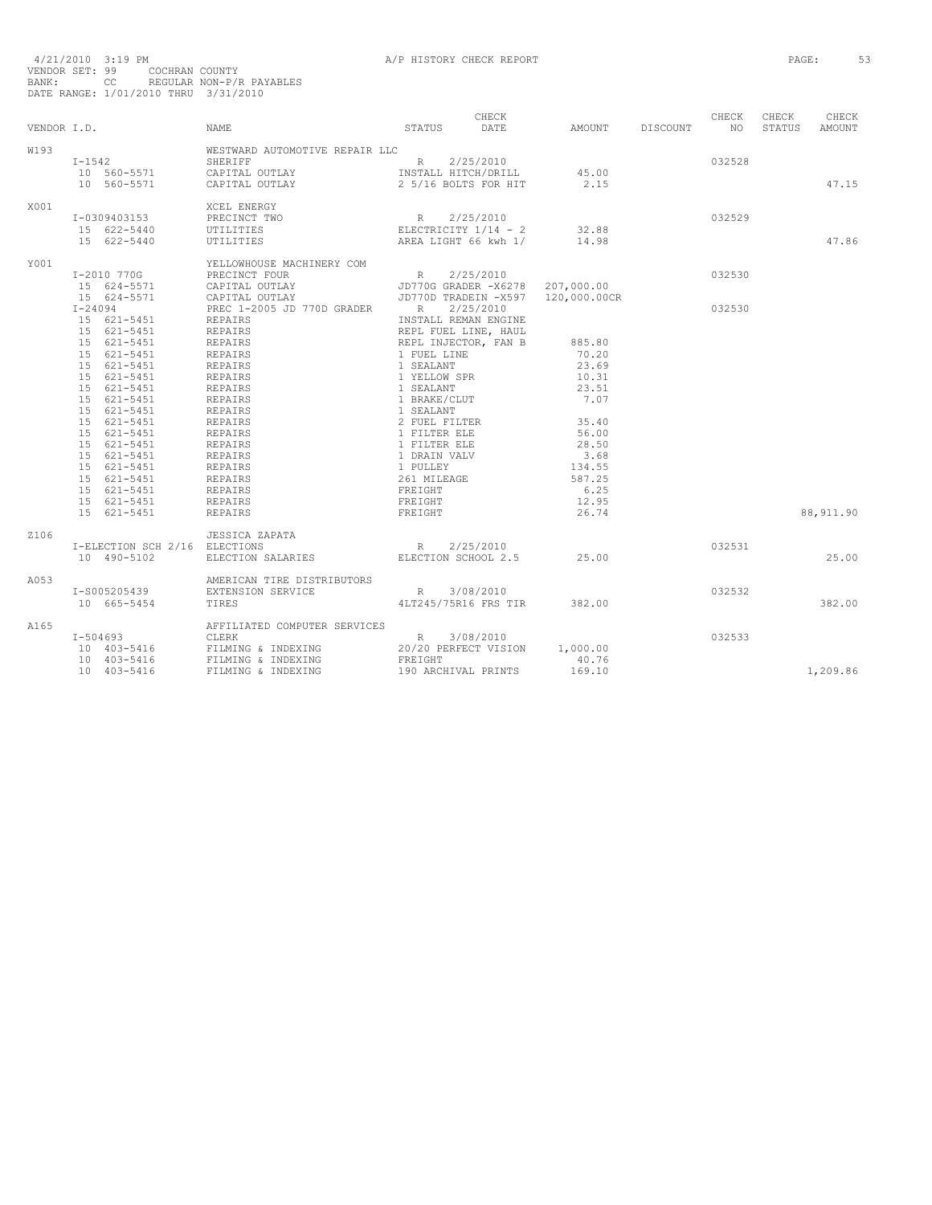| VENDOR I.D. |                               | NAME                                   | STATUS                                                                                                                                                                                      | CHECK<br>DATE | AMOUNT DISCOUNT             | CHECK<br>NO <sub>1</sub> | CHECK | CHECK<br>STATUS AMOUNT |
|-------------|-------------------------------|----------------------------------------|---------------------------------------------------------------------------------------------------------------------------------------------------------------------------------------------|---------------|-----------------------------|--------------------------|-------|------------------------|
| W193        |                               | WESTWARD AUTOMOTIVE REPAIR LLC         |                                                                                                                                                                                             |               |                             |                          |       |                        |
|             |                               |                                        |                                                                                                                                                                                             |               |                             | 032528                   |       |                        |
|             |                               | R 2/25/2010<br>LAY INSTALL HITCH/DRILL |                                                                                                                                                                                             |               |                             |                          |       |                        |
|             | 10 560-5571                   | CAPITAL OUTLAY                         | 2 5/16 BOLTS FOR HIT                                                                                                                                                                        |               | $45.00$<br>$2.15$<br>2.15   |                          |       | 47.15                  |
|             |                               |                                        |                                                                                                                                                                                             |               |                             |                          |       |                        |
| X001        |                               | XCEL ENERGY                            |                                                                                                                                                                                             |               |                             |                          |       |                        |
|             | I-0309403153                  | PRECINCT TWO                           |                                                                                                                                                                                             |               |                             | 032529                   |       |                        |
|             | 15 622-5440                   | UTILITIES                              |                                                                                                                                                                                             |               |                             |                          |       |                        |
|             | 15 622-5440                   | UTILITIES                              |                                                                                                                                                                                             |               |                             |                          |       | 47.86                  |
| Y001        |                               | YELLOWHOUSE MACHINERY COM              |                                                                                                                                                                                             |               |                             |                          |       |                        |
|             | I-2010 770G                   |                                        |                                                                                                                                                                                             |               |                             | 032530                   |       |                        |
|             | 15 624-5571                   |                                        |                                                                                                                                                                                             |               |                             |                          |       |                        |
|             | 15 624-5571                   |                                        |                                                                                                                                                                                             |               | 120,000.00CR                |                          |       |                        |
|             | $I - 24094$                   | PREC 1-2005 JD 770D GRADER R 2/25/2010 |                                                                                                                                                                                             |               |                             | 032530                   |       |                        |
|             |                               | REPAIRS                                | INSTALL REMAN ENGINE                                                                                                                                                                        |               |                             |                          |       |                        |
|             | 15 621-5451<br>15 621-5451    | REPAIRS                                | INSTALL REMAN ENGINE<br>REPL FUEL LINE, HAUL<br>REPL INJECTOR, FAN B<br>1 FUEL LINE<br>1 SEALANT<br>1 YELLOW SPR<br>1 SEALANT<br>1 SEALANT<br>2 FUEL FILTER<br>1 FILTER ELE<br>1 FILTER ELE |               |                             |                          |       |                        |
|             | 15 621-5451                   |                                        |                                                                                                                                                                                             |               | 885.80                      |                          |       |                        |
|             |                               | REPAIRS                                |                                                                                                                                                                                             |               | 70.20                       |                          |       |                        |
|             | 15 621-5451                   | REPAIRS                                |                                                                                                                                                                                             |               | 23.69                       |                          |       |                        |
|             | 15 621-5451                   | REPAIRS                                |                                                                                                                                                                                             |               |                             |                          |       |                        |
|             | 15 621-5451                   | REPAIRS                                |                                                                                                                                                                                             |               | 10.31                       |                          |       |                        |
|             | 15 621-5451                   | REPAIRS<br>REPAIRS                     |                                                                                                                                                                                             |               | 23.51                       |                          |       |                        |
|             | 15 621-5451                   |                                        |                                                                                                                                                                                             |               | 7.07                        |                          |       |                        |
|             | 15 621-5451                   | REPAIRS                                |                                                                                                                                                                                             |               |                             |                          |       |                        |
|             | 15 621-5451                   | REPAIRS                                |                                                                                                                                                                                             |               | 35.40                       |                          |       |                        |
|             | 15 621-5451                   | REPAIRS                                | 1 FILTER ELE<br>1 FILTER ELE                                                                                                                                                                |               | 56.00                       |                          |       |                        |
|             | 15 621-5451                   | REPAIRS                                |                                                                                                                                                                                             |               | 28.50                       |                          |       |                        |
|             | 15 621-5451                   | REPAIRS                                | 1 DRAIN VALV                                                                                                                                                                                |               | 3.68                        |                          |       |                        |
|             | 15 621-5451                   | REPAIRS                                |                                                                                                                                                                                             |               | 134.55                      |                          |       |                        |
|             | 15 621-5451                   | REPAIRS                                | 1 PULLEY<br>261 MILEAGE<br>FREIGHT                                                                                                                                                          |               | 587.25                      |                          |       |                        |
|             | 15 621-5451                   | REPAIRS                                |                                                                                                                                                                                             |               | 6.25                        |                          |       |                        |
|             | 15 621-5451                   | REPAIRS                                | FREIGHT                                                                                                                                                                                     |               | 12.95                       |                          |       |                        |
|             | 15 621-5451                   | <b>REPAIRS</b>                         | FREIGHT                                                                                                                                                                                     |               | 26.74                       |                          |       | 88, 911.90             |
| Z106        |                               | JESSICA ZAPATA                         |                                                                                                                                                                                             |               |                             |                          |       |                        |
|             | I-ELECTION SCH 2/16 ELECTIONS |                                        | R 2/25/2010                                                                                                                                                                                 |               |                             | 032531                   |       |                        |
|             | 10 490-5102                   | ELECTION SALARIES ELECTION SCHOOL 2.5  |                                                                                                                                                                                             |               | 25.00                       |                          |       | 25.00                  |
|             |                               |                                        |                                                                                                                                                                                             |               |                             |                          |       |                        |
| A053        |                               | AMERICAN TIRE DISTRIBUTORS             |                                                                                                                                                                                             |               |                             |                          |       |                        |
|             | I-S005205439                  | EXTENSION SERVICE                      | R 3/08/2010                                                                                                                                                                                 |               |                             | 032532                   |       |                        |
|             | 10 665-5454                   | TIRES                                  |                                                                                                                                                                                             |               | 4LT245/75R16 FRS TIR 382.00 |                          |       | 382.00                 |
| A165        |                               | AFFILIATED COMPUTER SERVICES           |                                                                                                                                                                                             |               |                             |                          |       |                        |
|             | $I - 504693$                  |                                        |                                                                                                                                                                                             |               |                             | 032533                   |       |                        |
|             | 10 403-5416                   | CLERK<br>FILMING & INDEXING            | R                                                                                                                                                                                           | 3/08/2010     | 1,000.00                    |                          |       |                        |
|             | 10 403-5416                   | FILMING & INDEXING                     | 20/20 PERFECT VISION<br>FREIGHT                                                                                                                                                             |               | 40.76                       |                          |       |                        |
|             | 10 403-5416                   |                                        | 190 ARCHIVAL PRINTS                                                                                                                                                                         |               | 169.10                      |                          |       | 1,209.86               |
|             |                               | FILMING & INDEXING                     |                                                                                                                                                                                             |               |                             |                          |       |                        |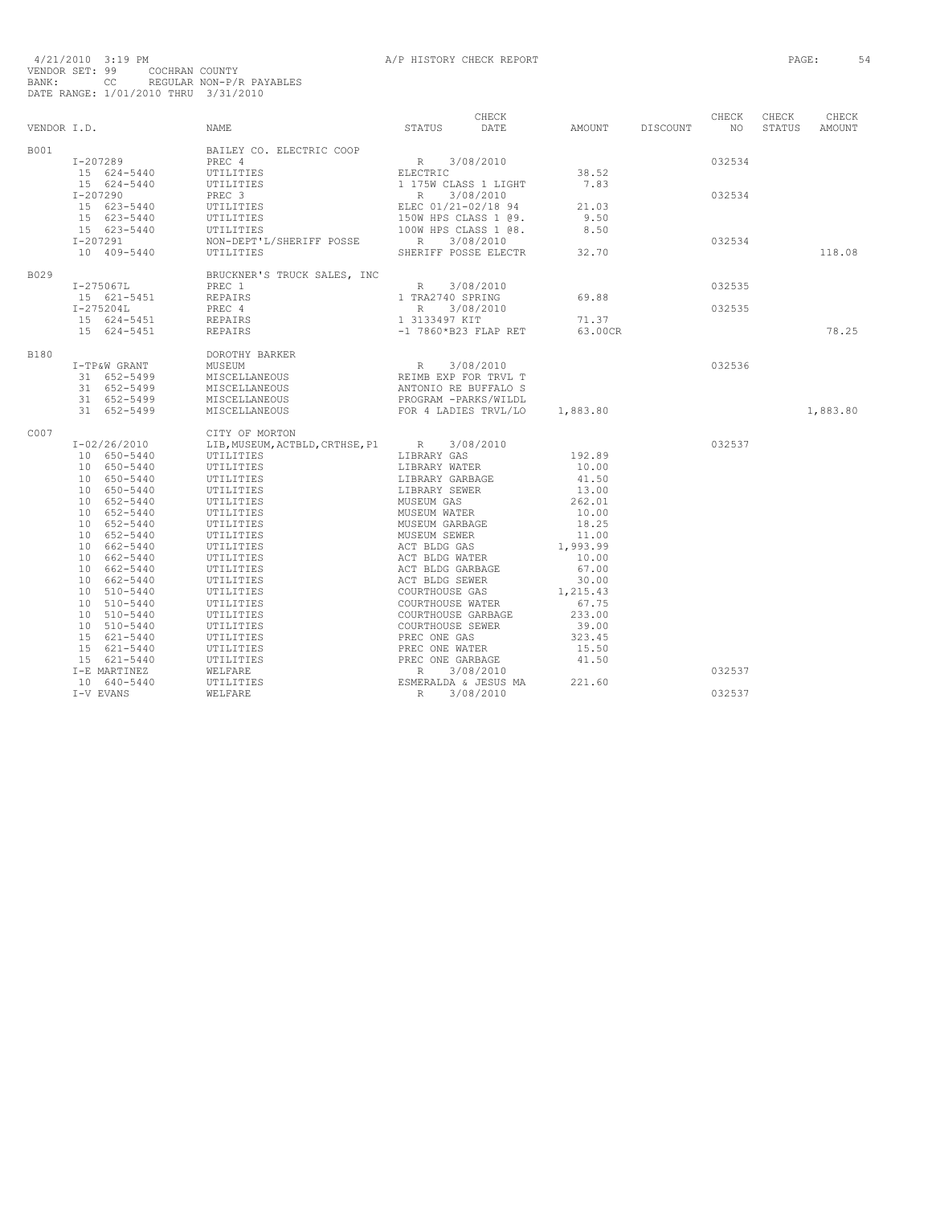|      | VENDOR I.D. NAME | CHECK CHECK CHECK CHECK CHECK<br>STATUS DATE AMOUNT DISCOUNT NO STATUS AMOUNT                                                                                                                                                                                                                                                                                                                                                                |  |        |        |          |
|------|------------------|----------------------------------------------------------------------------------------------------------------------------------------------------------------------------------------------------------------------------------------------------------------------------------------------------------------------------------------------------------------------------------------------------------------------------------------------|--|--------|--------|----------|
| B001 |                  | $\begin{tabular}{l c c c c c} \multicolumn{4}{c}{\textbf{BAILEY CO. ELECTRIC COOP}} & \multicolumn{4}{c}{\textbf{BAILEY CO. ELECTRIC COOP}} & \multicolumn{4}{c}{\textbf{PREC 4}} & \multicolumn{4}{c}{\textbf{R 3/08/2010}} & \multicolumn{4}{c}{\textbf{B.52}} & \multicolumn{4}{c}{\textbf{PREC 4}} & \multicolumn{4}{c}{\textbf{R 5/2010}} & \multicolumn{4}{c}{\textbf{38.52}} & \multicolumn{4}{c}{\textbf{24-5440}} & \multicolumn{4$ |  |        |        |          |
|      |                  |                                                                                                                                                                                                                                                                                                                                                                                                                                              |  |        | 032534 |          |
|      |                  |                                                                                                                                                                                                                                                                                                                                                                                                                                              |  |        |        |          |
|      |                  |                                                                                                                                                                                                                                                                                                                                                                                                                                              |  |        |        |          |
|      |                  |                                                                                                                                                                                                                                                                                                                                                                                                                                              |  |        | 032534 |          |
|      |                  |                                                                                                                                                                                                                                                                                                                                                                                                                                              |  |        |        |          |
|      |                  |                                                                                                                                                                                                                                                                                                                                                                                                                                              |  |        |        |          |
|      |                  |                                                                                                                                                                                                                                                                                                                                                                                                                                              |  |        |        |          |
|      |                  |                                                                                                                                                                                                                                                                                                                                                                                                                                              |  |        | 032534 |          |
|      |                  |                                                                                                                                                                                                                                                                                                                                                                                                                                              |  |        |        |          |
|      |                  |                                                                                                                                                                                                                                                                                                                                                                                                                                              |  |        |        | 118.08   |
| B029 |                  | $\begin{tabular}{lcccc} \tt I-275067L & BRUCKNER'S TRUES, INC & & & & & 3/08/2010 \\ & PREC & 1 & & R & 3/08/2010 \\ \tt I-275204L & PREC & & & & 1 TRA2740 SPRING & & 69.88 \\ \tt I-275204L & PREC & & & & R & 3/08/2010 \\ & PREC & & & & R & 3/08/2010 \\ \tt 15 & 624-5451 & REPAIRS & & & 13133497 KIT & & 71.37 \\ \tt I5 & 624-5451 & REPAIRS & & & -$                                                                               |  |        |        |          |
|      |                  |                                                                                                                                                                                                                                                                                                                                                                                                                                              |  |        | 032535 |          |
|      |                  |                                                                                                                                                                                                                                                                                                                                                                                                                                              |  |        |        |          |
|      |                  |                                                                                                                                                                                                                                                                                                                                                                                                                                              |  |        | 032535 |          |
|      |                  |                                                                                                                                                                                                                                                                                                                                                                                                                                              |  |        |        |          |
|      |                  |                                                                                                                                                                                                                                                                                                                                                                                                                                              |  |        |        | 78.25    |
|      |                  |                                                                                                                                                                                                                                                                                                                                                                                                                                              |  |        |        |          |
| B180 |                  | DOROTHY BARKER                                                                                                                                                                                                                                                                                                                                                                                                                               |  |        |        |          |
|      |                  |                                                                                                                                                                                                                                                                                                                                                                                                                                              |  | 032536 |        |          |
|      |                  |                                                                                                                                                                                                                                                                                                                                                                                                                                              |  |        |        |          |
|      |                  |                                                                                                                                                                                                                                                                                                                                                                                                                                              |  |        |        |          |
|      |                  |                                                                                                                                                                                                                                                                                                                                                                                                                                              |  |        |        |          |
|      |                  | 1-TP&W GRANT MUSEUM BARKER<br>1 652-5499 MISCELLANEOUS REIMBEXP FOR TRVL T<br>31 652-5499 MISCELLANEOUS REIMBEXP FOR TRVL T<br>31 652-5499 MISCELLANEOUS PROGRAM -PARKS/WILDL<br>31 652-5499 MISCELLANEOUS FOR 4 LADIES TRVL/LO 1,883.                                                                                                                                                                                                       |  |        |        | 1,883.80 |
| C007 |                  | CITY OF MORTON<br>$\begin{tabular}{cccc} I-02/26/2010 & CITY OF MORTON & LTBRRRY GAS & D106/2010 & LIBRARY GAS & D10650-5440 & UTILITIES & LIBRARY WATER & L020010 \\ 10650-5440 & UTILITIES & LIBRARY WATER & L020010 \\ 10650-5440 & UTILITIES & LIBRARY WARE & L0300 \\ 10650-5440 & UTILITIES & LIBRARY GAS & L13000 \\ 10652-5440 & UTILITIES & MUSEWS & RAS & L13000 \\ 10652-$                                                        |  |        |        |          |
|      |                  |                                                                                                                                                                                                                                                                                                                                                                                                                                              |  | 032537 |        |          |
|      |                  |                                                                                                                                                                                                                                                                                                                                                                                                                                              |  |        |        |          |
|      |                  |                                                                                                                                                                                                                                                                                                                                                                                                                                              |  |        |        |          |
|      |                  |                                                                                                                                                                                                                                                                                                                                                                                                                                              |  |        |        |          |
|      |                  |                                                                                                                                                                                                                                                                                                                                                                                                                                              |  |        |        |          |
|      |                  |                                                                                                                                                                                                                                                                                                                                                                                                                                              |  |        |        |          |
|      |                  |                                                                                                                                                                                                                                                                                                                                                                                                                                              |  |        |        |          |
|      |                  |                                                                                                                                                                                                                                                                                                                                                                                                                                              |  |        |        |          |
|      |                  |                                                                                                                                                                                                                                                                                                                                                                                                                                              |  |        |        |          |
|      |                  |                                                                                                                                                                                                                                                                                                                                                                                                                                              |  |        |        |          |
|      |                  |                                                                                                                                                                                                                                                                                                                                                                                                                                              |  |        |        |          |
|      |                  |                                                                                                                                                                                                                                                                                                                                                                                                                                              |  |        |        |          |
|      |                  |                                                                                                                                                                                                                                                                                                                                                                                                                                              |  |        |        |          |
|      |                  |                                                                                                                                                                                                                                                                                                                                                                                                                                              |  |        |        |          |
|      |                  |                                                                                                                                                                                                                                                                                                                                                                                                                                              |  |        |        |          |
|      |                  |                                                                                                                                                                                                                                                                                                                                                                                                                                              |  |        |        |          |
|      |                  |                                                                                                                                                                                                                                                                                                                                                                                                                                              |  |        |        |          |
|      |                  |                                                                                                                                                                                                                                                                                                                                                                                                                                              |  |        |        |          |
|      |                  |                                                                                                                                                                                                                                                                                                                                                                                                                                              |  |        |        |          |
|      |                  |                                                                                                                                                                                                                                                                                                                                                                                                                                              |  |        |        |          |
|      |                  |                                                                                                                                                                                                                                                                                                                                                                                                                                              |  |        |        |          |
|      |                  |                                                                                                                                                                                                                                                                                                                                                                                                                                              |  |        | 032537 |          |
|      |                  |                                                                                                                                                                                                                                                                                                                                                                                                                                              |  |        |        |          |
|      |                  |                                                                                                                                                                                                                                                                                                                                                                                                                                              |  |        | 032537 |          |
|      |                  |                                                                                                                                                                                                                                                                                                                                                                                                                                              |  |        |        |          |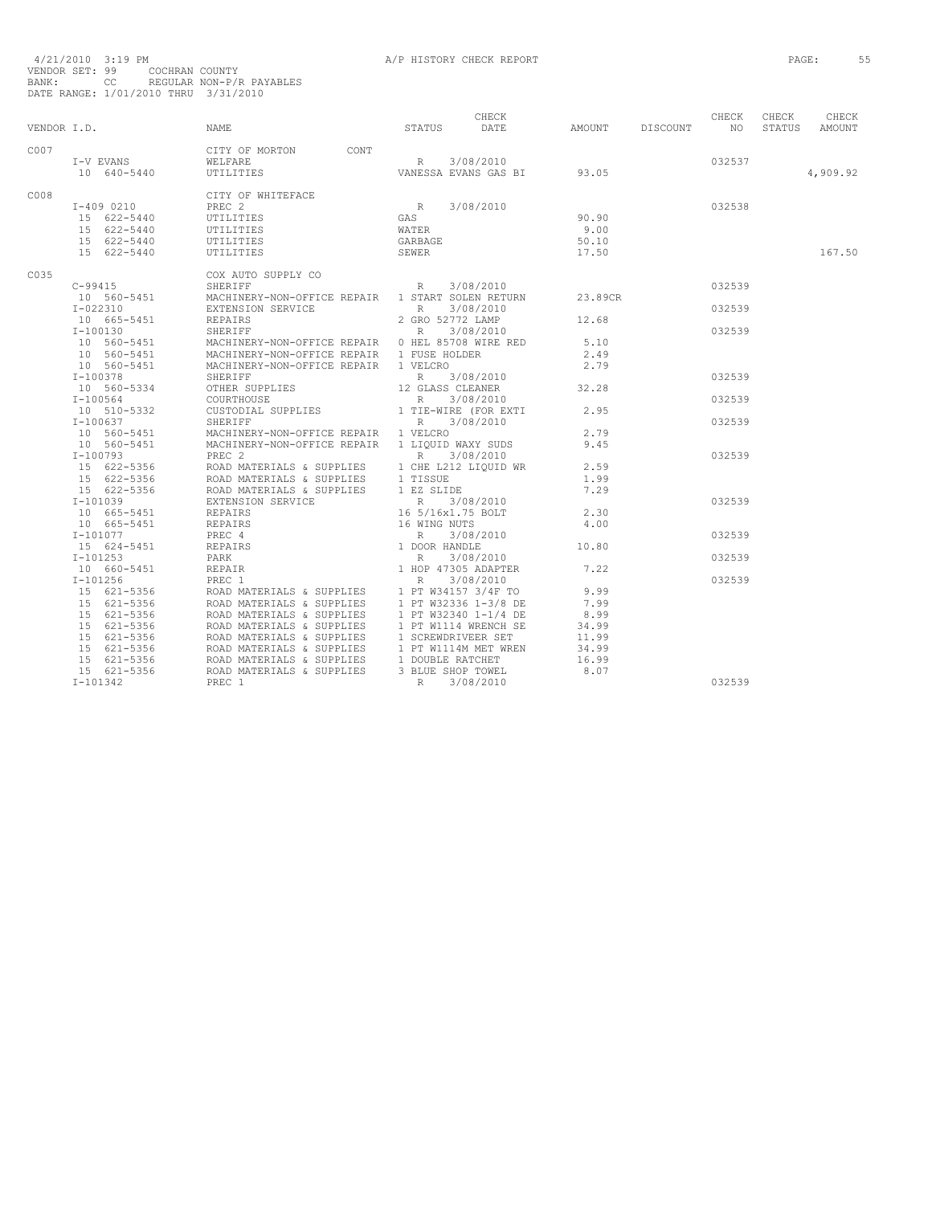|             |                           |                                                                                                                                                                                                                                                                        |                                                                                                                | CHECK |                    |        | CHECK  | CHECK  | CHECK    |
|-------------|---------------------------|------------------------------------------------------------------------------------------------------------------------------------------------------------------------------------------------------------------------------------------------------------------------|----------------------------------------------------------------------------------------------------------------|-------|--------------------|--------|--------|--------|----------|
| VENDOR I.D. |                           | NAME                                                                                                                                                                                                                                                                   | STATUS DATE                                                                                                    |       | AMOUNT DISCOUNT NO |        |        | STATUS | AMOUNT   |
| C007        |                           | CITY OF MORTON CONT                                                                                                                                                                                                                                                    |                                                                                                                |       |                    |        |        |        |          |
|             | I-V EVANS WELFARE         |                                                                                                                                                                                                                                                                        |                                                                                                                |       |                    |        | 032537 |        |          |
|             | 10 640-5440               | UTILITIES                                                                                                                                                                                                                                                              | R 3/08/2010<br>VANESSA EVANS GAS BI 93.05                                                                      |       |                    |        |        |        | 4,909.92 |
| C008        |                           | CITY OF WHITEFACE                                                                                                                                                                                                                                                      |                                                                                                                |       |                    |        |        |        |          |
|             | I-409 0210                | PREC <sub>2</sub>                                                                                                                                                                                                                                                      |                                                                                                                |       |                    | 032538 |        |        |          |
|             | 15 622-5440               | UTILITIES                                                                                                                                                                                                                                                              |                                                                                                                |       | 90.90              |        |        |        |          |
|             | 15 622-5440               | UTILITIES                                                                                                                                                                                                                                                              |                                                                                                                |       | 9.00               |        |        |        |          |
|             | 15 622-5440               | UTILITIES                                                                                                                                                                                                                                                              | $\begin{tabular}{ll} & R & 3/08/2010 \\ \hline GAS \\ \hline \texttt{WATER} \\ \texttt{GARBAGE} \end{tabular}$ |       | 50.10              |        |        |        |          |
|             | 15 622-5440               | UTILITIES                                                                                                                                                                                                                                                              | SEWER                                                                                                          |       | 17.50              |        |        |        | 167.50   |
| C035        |                           | COX AUTO SUPPLY CO                                                                                                                                                                                                                                                     |                                                                                                                |       |                    |        |        |        |          |
|             | $C - 99415$               | $2P\ln r$ CO<br>SHERIFF SOLIDI CONTROL REPAIR RESIDENT RESIDENCE REPAIR RESIDENCE REPAIR 1 START SOLEN RETURN 23.89CR                                                                                                                                                  |                                                                                                                |       |                    |        | 032539 |        |          |
|             |                           | 10 560-5451 MACHINERY-NON-OFFICE REPAIR 1 START SOLEN RETURN<br>10 560-5451 EXTENSION SERVICE REPAIRS 2 GRO 52772 LAMP<br>10 665-5451 REPAIRS 2 GRO 52772 LAMP<br>10 665-5451 REPAIRS 2 GRO 52772 LAMP<br>10 8 SHERIFF 2 2 CRO 52772 L                                 |                                                                                                                |       |                    |        |        |        |          |
|             |                           |                                                                                                                                                                                                                                                                        |                                                                                                                |       |                    |        | 032539 |        |          |
|             |                           |                                                                                                                                                                                                                                                                        |                                                                                                                |       | 12.68              |        |        |        |          |
|             |                           |                                                                                                                                                                                                                                                                        |                                                                                                                |       |                    |        | 032539 |        |          |
|             |                           |                                                                                                                                                                                                                                                                        |                                                                                                                |       | 5.10               |        |        |        |          |
|             |                           |                                                                                                                                                                                                                                                                        |                                                                                                                |       | 2.49               |        |        |        |          |
|             |                           | 10 560–5451 MACHINERY-NON-OFFICE REPAIR 0 HEL 85708 WIRE RED<br>10 560–5451 MACHINERY-NON-OFFICE REPAIR 1 FUSE HOLDER<br>10 560–5451 MACHINERY-NON-OFFICE REPAIR 1 VELCRO<br>1-100378 SHERIFF REPAIR R 3/08/2010                                                       |                                                                                                                |       | 2.79               |        |        |        |          |
|             | I-100378                  |                                                                                                                                                                                                                                                                        |                                                                                                                |       |                    |        | 032539 |        |          |
|             | 10 560-5334               |                                                                                                                                                                                                                                                                        |                                                                                                                |       | 32.28              |        |        |        |          |
|             | $I-100564$                |                                                                                                                                                                                                                                                                        |                                                                                                                |       |                    |        | 032539 |        |          |
|             | 10 510-5332<br>$I-100637$ | SHERIFF<br>OTHER SUPPLIES<br>COURTHOUSE<br>COURTHOUSE<br>CUSTODIAL SUPPLIES<br>SHERIFF<br>COURTHOUSE<br>CUSTODIAL SUPPLIES<br>2 R = 3/08/2010<br>CUSTODIAL SUPPLIES<br>2 R = 3/08/2010<br>CLEANER FOR EXTI<br>R = 3/08/2010                                            |                                                                                                                |       | 2.95               |        |        |        |          |
|             |                           |                                                                                                                                                                                                                                                                        |                                                                                                                |       |                    |        | 032539 |        |          |
|             |                           | 1-100057<br>10 560-5451 MACHINERY-NON-OFFICE REPAIR 1 LIQUID WAXY SUDS<br>10 560-5451 MACHINERY-NON-OFFICE REPAIR 1 LIQUID WAXY SUDS<br>T-100793 PREC 2 R 3/08/2010                                                                                                    |                                                                                                                |       | 2.79               |        |        |        |          |
|             |                           |                                                                                                                                                                                                                                                                        |                                                                                                                |       | 9.45               |        |        |        |          |
|             |                           |                                                                                                                                                                                                                                                                        |                                                                                                                |       |                    |        | 032539 |        |          |
|             |                           |                                                                                                                                                                                                                                                                        |                                                                                                                |       |                    |        |        |        |          |
|             |                           |                                                                                                                                                                                                                                                                        |                                                                                                                |       |                    |        |        |        |          |
|             |                           |                                                                                                                                                                                                                                                                        |                                                                                                                |       |                    |        |        |        |          |
|             |                           |                                                                                                                                                                                                                                                                        |                                                                                                                |       |                    |        | 032539 |        |          |
|             |                           | 10 50-5451<br>16 22-5356<br>16 22-5356<br>16 22-5356<br>16 22-5356<br>16 22-5356<br>16 22-5356<br>16 22-5356<br>16 22-5356<br>16 22-5356<br>16 22-5356<br>16 22-5356<br>16 22-5356<br>16 22-5356<br>2.9<br>16 22-5356<br>2.9<br>16 22-5356<br>2.9<br>16 21010<br>16 26 |                                                                                                                |       |                    |        |        |        |          |
|             |                           |                                                                                                                                                                                                                                                                        |                                                                                                                |       |                    |        |        |        |          |
|             |                           |                                                                                                                                                                                                                                                                        |                                                                                                                |       |                    |        | 032539 |        |          |
|             |                           |                                                                                                                                                                                                                                                                        |                                                                                                                |       |                    |        |        |        |          |
|             |                           |                                                                                                                                                                                                                                                                        |                                                                                                                |       |                    |        | 032539 |        |          |
|             |                           |                                                                                                                                                                                                                                                                        |                                                                                                                |       |                    |        |        |        |          |
|             |                           |                                                                                                                                                                                                                                                                        |                                                                                                                |       |                    |        | 032539 |        |          |
|             |                           |                                                                                                                                                                                                                                                                        |                                                                                                                |       |                    |        |        |        |          |
|             |                           |                                                                                                                                                                                                                                                                        |                                                                                                                |       |                    |        |        |        |          |
|             |                           |                                                                                                                                                                                                                                                                        |                                                                                                                |       |                    |        |        |        |          |
|             |                           |                                                                                                                                                                                                                                                                        |                                                                                                                |       |                    |        |        |        |          |
|             |                           |                                                                                                                                                                                                                                                                        |                                                                                                                |       |                    |        |        |        |          |
|             |                           |                                                                                                                                                                                                                                                                        |                                                                                                                |       |                    |        |        |        |          |
|             |                           |                                                                                                                                                                                                                                                                        |                                                                                                                |       |                    |        |        |        |          |
|             |                           |                                                                                                                                                                                                                                                                        |                                                                                                                |       |                    |        |        |        |          |
|             |                           |                                                                                                                                                                                                                                                                        |                                                                                                                |       |                    |        | 032539 |        |          |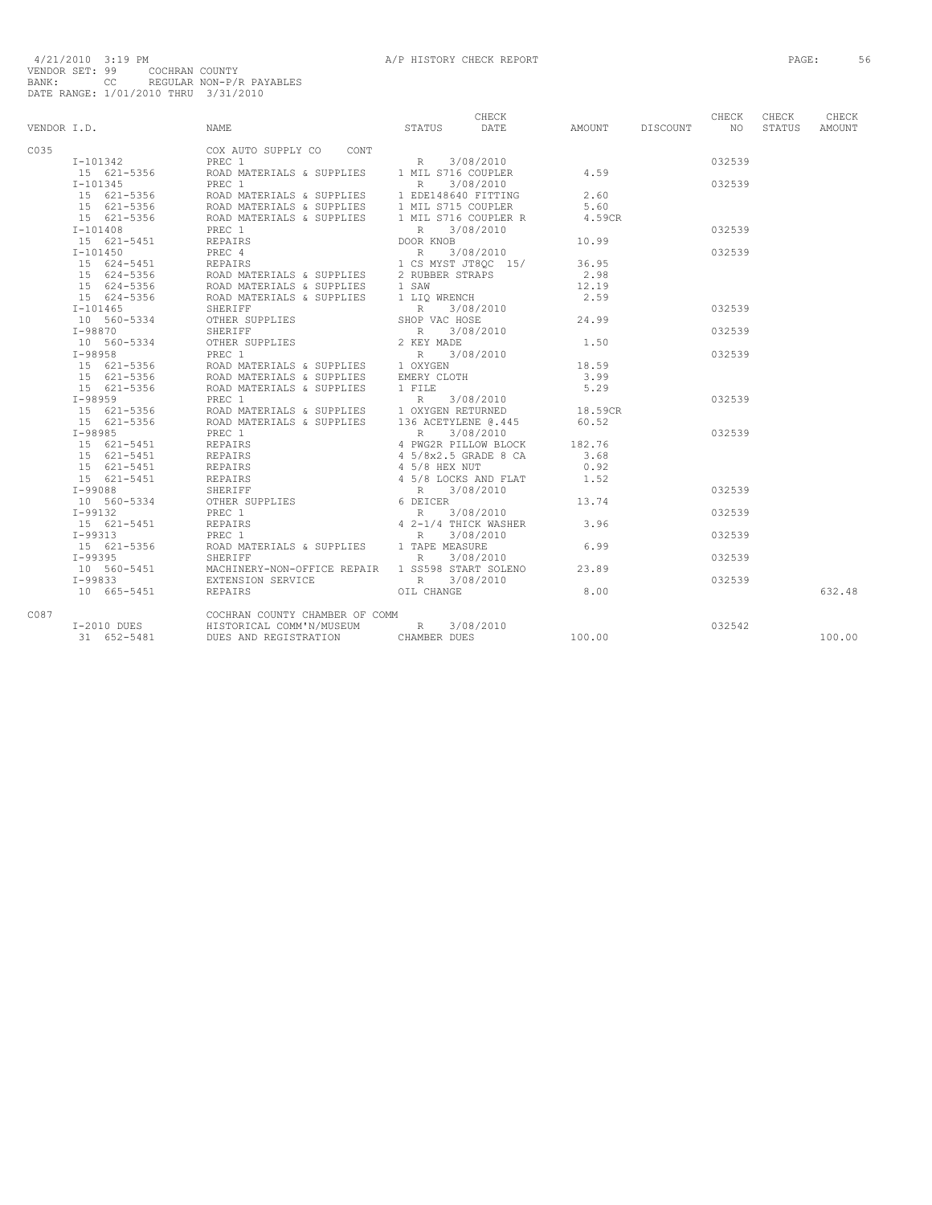|             |                              |                                                                                                                                                                                                                                                            |               | CHECK     |         |          | CHECK  | CHECK  | CHECK  |
|-------------|------------------------------|------------------------------------------------------------------------------------------------------------------------------------------------------------------------------------------------------------------------------------------------------------|---------------|-----------|---------|----------|--------|--------|--------|
| VENDOR I.D. |                              | <b>NAME</b>                                                                                                                                                                                                                                                | STATUS        | DATE      | AMOUNT  | DISCOUNT | N()    | STATUS | AMOUNT |
| C035        |                              | COX AUTO SUPPLY CO CONT                                                                                                                                                                                                                                    |               |           |         |          |        |        |        |
|             | I-101342                     |                                                                                                                                                                                                                                                            |               |           |         |          | 032539 |        |        |
|             |                              |                                                                                                                                                                                                                                                            |               |           | 4.59    |          |        |        |        |
|             | $I-101345$                   |                                                                                                                                                                                                                                                            |               |           |         |          | 032539 |        |        |
|             |                              |                                                                                                                                                                                                                                                            |               |           | 2.60    |          |        |        |        |
|             |                              |                                                                                                                                                                                                                                                            |               |           | 5.60    |          |        |        |        |
|             |                              |                                                                                                                                                                                                                                                            |               |           | 4.59CR  |          |        |        |        |
|             | $I - 101408$                 |                                                                                                                                                                                                                                                            |               |           |         |          | 032539 |        |        |
|             | 15 621-5451                  | REPAIRS                                                                                                                                                                                                                                                    | DOOR KNOB     |           | 10.99   |          |        |        |        |
|             | $I - 101450$                 | T-101450<br>15 624-5356<br>15 624-5356<br>15 624-5356<br>15 624-5356<br>15 624-5356<br>15 624-5356<br>15 624-5356<br>15 624-5356<br>2000 MATERIALS & SUPPLIES<br>15 624-5356<br>2000 MATERIALS & SUPPLIES<br>15 624-5356<br>2000 MATERIALS & SUPPLIES<br>2 |               |           |         |          | 032539 |        |        |
|             |                              |                                                                                                                                                                                                                                                            |               |           | 36.95   |          |        |        |        |
|             |                              |                                                                                                                                                                                                                                                            |               |           | 2.98    |          |        |        |        |
|             |                              |                                                                                                                                                                                                                                                            |               |           | 12.19   |          |        |        |        |
|             |                              |                                                                                                                                                                                                                                                            |               |           | 2.59    |          |        |        |        |
|             | $I-101465$                   | SHERIFF                                                                                                                                                                                                                                                    | R 3/08/2010   |           |         |          | 032539 |        |        |
|             | 10 560-5334                  | OTHER SUPPLIES                                                                                                                                                                                                                                             | SHOP VAC HOSE |           | 24.99   |          |        |        |        |
|             | $I-98870$                    | SHERIFF                                                                                                                                                                                                                                                    | R 3/08/2010   |           |         |          | 032539 |        |        |
|             |                              | 10 560-5334 OTHER SUPPLIES                                                                                                                                                                                                                                 | 2 KEY MADE    |           | 1.50    |          |        |        |        |
|             |                              |                                                                                                                                                                                                                                                            |               | 3/08/2010 |         |          | 032539 |        |        |
|             |                              |                                                                                                                                                                                                                                                            |               |           | 18.59   |          |        |        |        |
|             |                              |                                                                                                                                                                                                                                                            |               |           | 3.99    |          |        |        |        |
|             | 15 621-5356                  | ROAD MATERIALS & SUPPLIES<br>PREC 1 R 3/08/2010<br>ROAD MATERIALS & SUPPLIES 1 OXYGEN RETURNED<br>ROAD MATERIALS & SUPPLIES 136 ACETYLENE @.445                                                                                                            |               |           | 5.29    |          |        |        |        |
|             | $I-98959$                    |                                                                                                                                                                                                                                                            |               |           |         |          | 032539 |        |        |
|             | $15$ 621-5356<br>15 621-5356 |                                                                                                                                                                                                                                                            |               |           | 18.59CR |          |        |        |        |
|             |                              |                                                                                                                                                                                                                                                            |               |           | 60.52   |          |        |        |        |
|             | $I-98985$                    |                                                                                                                                                                                                                                                            |               |           |         |          | 032539 |        |        |
|             | 15 621-5451                  |                                                                                                                                                                                                                                                            |               |           | 182.76  |          |        |        |        |
|             | 15 621-5451 REPAIRS          |                                                                                                                                                                                                                                                            |               |           | 3.68    |          |        |        |        |
|             | 15 621-5451                  |                                                                                                                                                                                                                                                            |               |           | 0.92    |          |        |        |        |
|             | 15 621-5451                  |                                                                                                                                                                                                                                                            |               |           | 1.52    |          |        |        |        |
|             | $I-99088$                    |                                                                                                                                                                                                                                                            |               |           |         |          | 032539 |        |        |
|             | 10 560-5334                  |                                                                                                                                                                                                                                                            |               |           | 13.74   |          |        |        |        |
|             | $I-99132$                    |                                                                                                                                                                                                                                                            |               |           |         |          | 032539 |        |        |
|             | 15 621-5451                  |                                                                                                                                                                                                                                                            |               |           | 3.96    |          |        |        |        |
|             | I-99313                      | PREC 1                                                                                                                                                                                                                                                     | R             | 3/08/2010 |         |          | 032539 |        |        |
|             | 15 621-5356                  | ROAD MATERIALS & SUPPLIES 1 TAPE MEASURE                                                                                                                                                                                                                   |               |           | 6.99    |          |        |        |        |
|             | $I-99395$                    | SHERIFF                                                                                                                                                                                                                                                    | $R_{\perp}$   | 3/08/2010 |         |          | 032539 |        |        |
|             |                              | 10 560-5451 MACHINERY-NON-OFFICE REPAIR 1 SS598 START SOLENO                                                                                                                                                                                               |               |           | 23.89   |          |        |        |        |
|             | $I - 99833$                  | EXTENSION SERVICE                                                                                                                                                                                                                                          | R 3/08/2010   |           |         |          | 032539 |        |        |
|             | 10 665-5451                  | REPAIRS                                                                                                                                                                                                                                                    | OIL CHANGE    |           | 8.00    |          |        |        | 632.48 |
| C087        |                              | COCHRAN COUNTY CHAMBER OF COMM                                                                                                                                                                                                                             |               |           |         |          |        |        |        |
|             | $I-2010$ DUES                | HISTORICAL COMM'N/MUSEUM                                                                                                                                                                                                                                   | $R$ and $R$   | 3/08/2010 |         |          | 032542 |        |        |
|             | 31 652-5481                  | DUES AND REGISTRATION                                                                                                                                                                                                                                      | CHAMBER DUES  |           | 100.00  |          |        |        | 100.00 |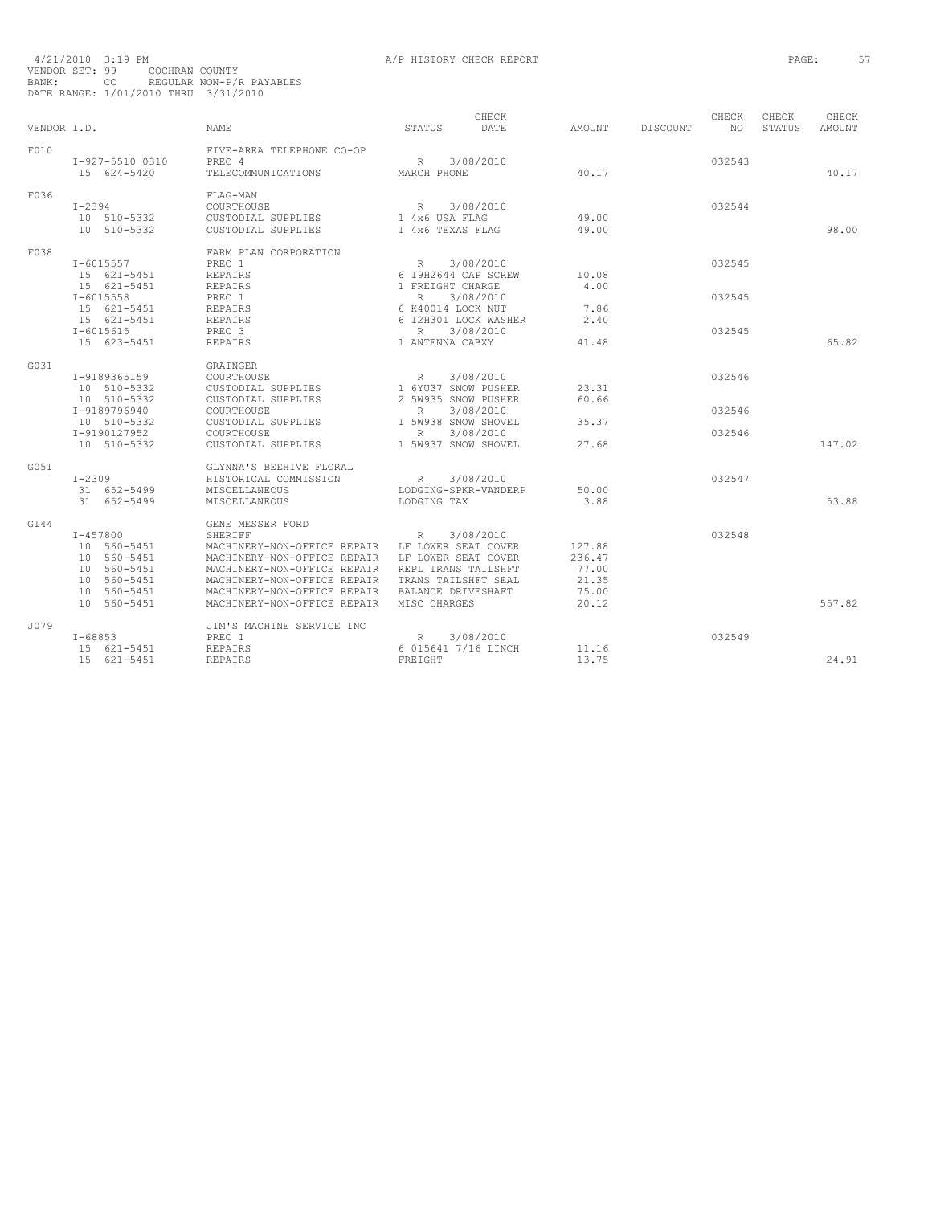| VENDOR I.D. |                                                                                                                            | <b>NAME</b>                                                                                                                                                                                                                                                                       | STATUS                                                                                                                 | CHECK<br>DATE                       | AMOUNT                                               | DISCOUNT | CHECK<br>NO.               | CHECK<br>STATUS | CHECK<br>AMOUNT |
|-------------|----------------------------------------------------------------------------------------------------------------------------|-----------------------------------------------------------------------------------------------------------------------------------------------------------------------------------------------------------------------------------------------------------------------------------|------------------------------------------------------------------------------------------------------------------------|-------------------------------------|------------------------------------------------------|----------|----------------------------|-----------------|-----------------|
| F010        | I-927-5510 0310<br>15 624-5420                                                                                             | FIVE-AREA TELEPHONE CO-OP<br>PREC 4<br>TELECOMMUNICATIONS                                                                                                                                                                                                                         | R<br>MARCH PHONE                                                                                                       | 3/08/2010                           | 40.17                                                |          | 032543                     |                 | 40.17           |
| F036        | $I - 2394$<br>10 510-5332<br>10 510-5332                                                                                   | FLAG-MAN<br>COURTHOUSE<br>CUSTODIAL SUPPLIES<br>CUSTODIAL SUPPLIES                                                                                                                                                                                                                | R<br>1 4x6 USA FLAG<br>1 4x6 TEXAS FLAG                                                                                | 3/08/2010                           | 49.00<br>49.00                                       |          | 032544                     |                 | 98.00           |
| F038        | $I - 6015557$<br>15 621-5451<br>15 621-5451<br>$I - 6015558$<br>15 621-5451<br>15 621-5451<br>$I - 6015615$<br>15 623-5451 | FARM PLAN CORPORATION<br>PREC 1<br><b>REPAIRS</b><br>REPAIRS<br>PREC 1<br>REPAIRS<br>REPAIRS<br>PREC <sub>3</sub><br><b>REPAIRS</b>                                                                                                                                               | R<br>6 19H2644 CAP SCREW<br>1 FREIGHT CHARGE<br>R<br>6 K40014 LOCK NUT<br>6 12H301 LOCK WASHER<br>R<br>1 ANTENNA CABXY | 3/08/2010<br>3/08/2010<br>3/08/2010 | 10.08<br>4.00<br>7.86<br>2.40<br>41.48               |          | 032545<br>032545<br>032545 |                 | 65.82           |
| G031        | I-9189365159<br>10 510-5332<br>10 510-5332<br>I-9189796940<br>10 510-5332<br>I-9190127952<br>10 510-5332                   | GRAINGER<br>COURTHOUSE<br>CUSTODIAL SUPPLIES<br>CUSTODIAL SUPPLIES<br>COURTHOUSE<br>CUSTODIAL SUPPLIES<br>COURTHOUSE<br>CUSTODIAL SUPPLIES                                                                                                                                        | R 3/08/2010<br>1 6YU37 SNOW PUSHER<br>2 5W935 SNOW PUSHER<br>R<br>1 5W938 SNOW SHOVEL<br>R<br>1 5W937 SNOW SHOVEL      | 3/08/2010<br>3/08/2010              | 23.31<br>60.66<br>35.37<br>27.68                     |          | 032546<br>032546<br>032546 |                 | 147.02          |
| G0.51       | $I-2309$<br>31 652-5499<br>31 652-5499                                                                                     | GLYNNA'S BEEHIVE FLORAL<br>HISTORICAL COMMISSION<br>MISCELLANEOUS<br>MISCELLANEOUS                                                                                                                                                                                                | R<br>LODGING-SPKR-VANDERP<br>LODGING TAX                                                                               | 3/08/2010                           | 50.00<br>3.88                                        |          | 032547                     |                 | 53.88           |
| G144        | $I - 457800$<br>10 560-5451<br>10 560-5451<br>10 560-5451<br>10 560-5451<br>10 560-5451<br>10 560-5451                     | GENE MESSER FORD<br>SHERIFF<br>MACHINERY-NON-OFFICE REPAIR LF LOWER SEAT COVER<br>MACHINERY-NON-OFFICE REPAIR LF LOWER SEAT COVER<br>MACHINERY-NON-OFFICE REPAIR<br>MACHINERY-NON-OFFICE REPAIR TRANS TAILSHFT SEAL<br>MACHINERY-NON-OFFICE REPAIR<br>MACHINERY-NON-OFFICE REPAIR | R<br>REPL TRANS TAILSHFT<br>BALANCE DRIVESHAFT<br>MISC CHARGES                                                         | 3/08/2010                           | 127.88<br>236.47<br>77.00<br>21.35<br>75.00<br>20.12 |          | 032548                     |                 | 557.82          |
| J079        | $T - 68853$<br>15 621-5451<br>15 621-5451                                                                                  | JIM'S MACHINE SERVICE INC<br>PREC 1<br><b>REPAIRS</b><br><b>REPAIRS</b>                                                                                                                                                                                                           | R<br>6 015641 7/16 LINCH<br>FREIGHT                                                                                    | 3/08/2010                           | 11.16<br>13.75                                       |          | 032549                     |                 | 24.91           |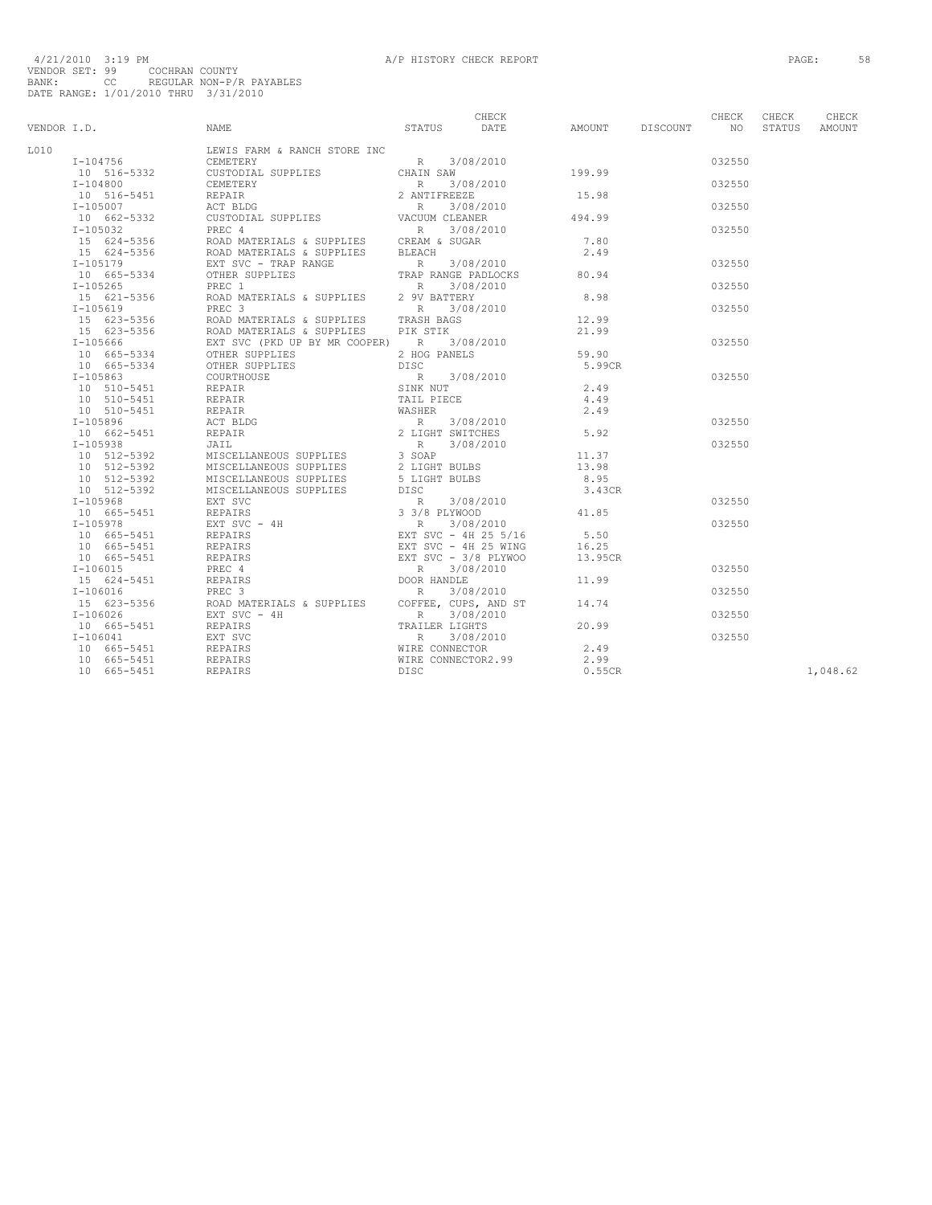|         |                                                                                                                                                                                                                                                                   | CHECK |  | CHECK  | CHECK | CHECK    |
|---------|-------------------------------------------------------------------------------------------------------------------------------------------------------------------------------------------------------------------------------------------------------------------|-------|--|--------|-------|----------|
|         | 1.0.<br>1.0.19996<br>1.0.201966<br>1.021966<br>1.021966<br>1.021966<br>1.021966<br>1.0221010<br>1.021966<br>1.02219996<br>1.1042010-5-51<br>1.02221-3356<br>1.02221-3356<br>1.02221-3356<br>1.02221-3356<br>1.02221-3356<br>1.02221-3356<br>1.02221-3356<br>1.022 |       |  |        |       |          |
| T.O.1 O | LEWIS FARM & RANCH STORE INC<br>CEMETERY CEMETERY                                                                                                                                                                                                                 |       |  |        |       |          |
|         |                                                                                                                                                                                                                                                                   |       |  | 032550 |       |          |
|         |                                                                                                                                                                                                                                                                   |       |  |        |       |          |
|         |                                                                                                                                                                                                                                                                   |       |  | 032550 |       |          |
|         |                                                                                                                                                                                                                                                                   |       |  |        |       |          |
|         |                                                                                                                                                                                                                                                                   |       |  | 032550 |       |          |
|         |                                                                                                                                                                                                                                                                   |       |  |        |       |          |
|         |                                                                                                                                                                                                                                                                   |       |  | 032550 |       |          |
|         |                                                                                                                                                                                                                                                                   |       |  |        |       |          |
|         |                                                                                                                                                                                                                                                                   |       |  |        |       |          |
|         |                                                                                                                                                                                                                                                                   |       |  | 032550 |       |          |
|         |                                                                                                                                                                                                                                                                   |       |  |        |       |          |
|         |                                                                                                                                                                                                                                                                   |       |  | 032550 |       |          |
|         |                                                                                                                                                                                                                                                                   |       |  |        |       |          |
|         |                                                                                                                                                                                                                                                                   |       |  | 032550 |       |          |
|         |                                                                                                                                                                                                                                                                   |       |  |        |       |          |
|         |                                                                                                                                                                                                                                                                   |       |  |        |       |          |
|         |                                                                                                                                                                                                                                                                   |       |  | 032550 |       |          |
|         |                                                                                                                                                                                                                                                                   |       |  |        |       |          |
|         |                                                                                                                                                                                                                                                                   |       |  |        |       |          |
|         |                                                                                                                                                                                                                                                                   |       |  | 032550 |       |          |
|         |                                                                                                                                                                                                                                                                   |       |  |        |       |          |
|         |                                                                                                                                                                                                                                                                   |       |  |        |       |          |
|         |                                                                                                                                                                                                                                                                   |       |  |        |       |          |
|         |                                                                                                                                                                                                                                                                   |       |  | 032550 |       |          |
|         |                                                                                                                                                                                                                                                                   |       |  |        |       |          |
|         |                                                                                                                                                                                                                                                                   |       |  | 032550 |       |          |
|         |                                                                                                                                                                                                                                                                   |       |  |        |       |          |
|         |                                                                                                                                                                                                                                                                   |       |  |        |       |          |
|         |                                                                                                                                                                                                                                                                   |       |  |        |       |          |
|         |                                                                                                                                                                                                                                                                   |       |  |        |       |          |
|         |                                                                                                                                                                                                                                                                   |       |  | 032550 |       |          |
|         |                                                                                                                                                                                                                                                                   |       |  |        |       |          |
|         |                                                                                                                                                                                                                                                                   |       |  | 032550 |       |          |
|         |                                                                                                                                                                                                                                                                   |       |  |        |       |          |
|         |                                                                                                                                                                                                                                                                   |       |  |        |       |          |
|         |                                                                                                                                                                                                                                                                   |       |  |        |       |          |
|         |                                                                                                                                                                                                                                                                   |       |  | 032550 |       |          |
|         |                                                                                                                                                                                                                                                                   |       |  |        |       |          |
|         |                                                                                                                                                                                                                                                                   |       |  | 032550 |       |          |
|         |                                                                                                                                                                                                                                                                   |       |  |        |       |          |
|         |                                                                                                                                                                                                                                                                   |       |  | 032550 |       |          |
|         |                                                                                                                                                                                                                                                                   |       |  |        |       |          |
|         |                                                                                                                                                                                                                                                                   |       |  |        |       |          |
|         |                                                                                                                                                                                                                                                                   |       |  | 032550 |       |          |
|         |                                                                                                                                                                                                                                                                   |       |  |        |       |          |
|         |                                                                                                                                                                                                                                                                   |       |  |        |       |          |
|         |                                                                                                                                                                                                                                                                   |       |  |        |       | 1,048.62 |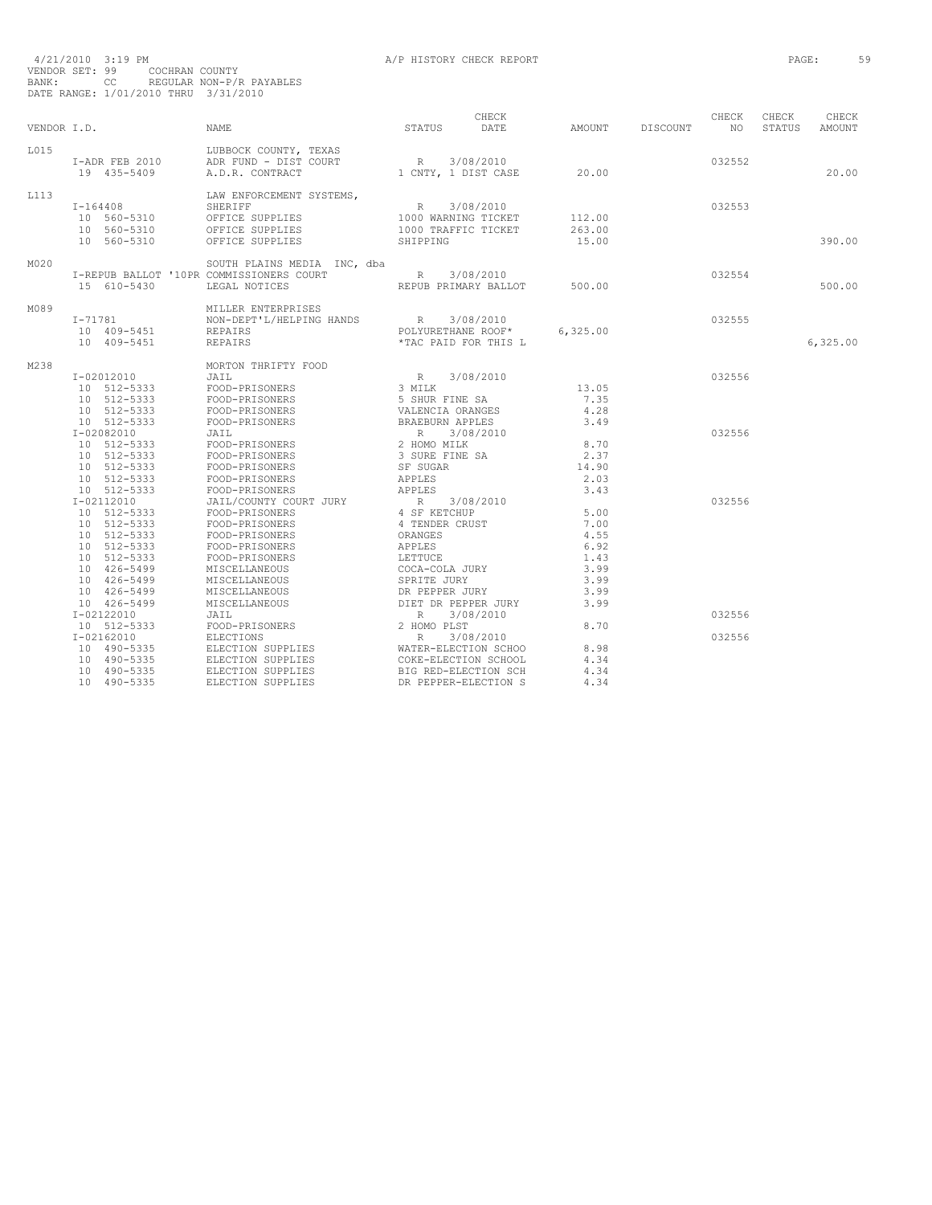4/21/2010 3:19 PM A/P HISTORY CHECK REPORT PAGE: 59 VENDOR SET: 99 COCHRAN COUNTY BANK: CC REGULAR NON-P/R PAYABLES DATE RANGE: 1/01/2010 THRU 3/31/2010

|      | VENDOR I.D.                                                                                                                                       | <b>NAME</b>                                                                                                                                                                          | STATUS                                                                                                                                                  | CHECK<br>DATE                              | AMOUNT                                                               | DISCOUNT | CHECK<br>NO.     | CHECK<br>STATUS | CHECK<br><b>AMOUNT</b> |
|------|---------------------------------------------------------------------------------------------------------------------------------------------------|--------------------------------------------------------------------------------------------------------------------------------------------------------------------------------------|---------------------------------------------------------------------------------------------------------------------------------------------------------|--------------------------------------------|----------------------------------------------------------------------|----------|------------------|-----------------|------------------------|
| L015 | $I-ADR$ FEB 2010<br>19 435-5409                                                                                                                   | LUBBOCK COUNTY, TEXAS<br>ADR FUND - DIST COURT<br>1 CNTY, 1 DIST CASE<br>A.D.R. CONTRACT                                                                                             | R 3/08/2010                                                                                                                                             |                                            | 20.00                                                                |          | 032552           |                 | 20.00                  |
| L113 | $I - 164408$<br>10 560-5310<br>10 560-5310<br>10 560-5310                                                                                         | LAW ENFORCEMENT SYSTEMS,<br>SHERIFF<br>OFFICE SUPPLIES<br>OFFICE SUPPLIES<br>OFFICE SUPPLIES                                                                                         | R 3/08/2010<br>SHIPPING                                                                                                                                 | 1000 WARNING TICKET<br>1000 TRAFFIC TICKET | 112.00<br>263.00<br>15.00                                            |          | 032553           |                 | 390.00                 |
| M020 | 15 610-5430                                                                                                                                       | SOUTH PLAINS MEDIA INC, dba<br>I-REPUB BALLOT '10PR COMMISSIONERS COURT R<br>LEGAL NOTICES                                                                                           |                                                                                                                                                         | 3/08/2010<br>REPUB PRIMARY BALLOT 500.00   |                                                                      |          | 032554           |                 | 500.00                 |
| M089 | $I - 71781$<br>10 409-5451<br>10 409-5451                                                                                                         | MILLER ENTERPRISES<br>REPAIRS<br>REPAIRS                                                                                                                                             | *TAC PAID FOR THIS L                                                                                                                                    | POLYURETHANE ROOF*                         | 6,325.00                                                             |          | 032555           |                 | 6,325.00               |
| M238 | I-02012010<br>10 512-5333<br>10 512-5333<br>10 512-5333<br>10 512-5333                                                                            | MORTON THRIFTY FOOD<br>JAIL<br>FOOD-PRISONERS<br>FOOD-PRISONERS<br>FOOD-PRISONERS<br>FOOD-PRISONERS                                                                                  | R 3/08/20<br>3 MILK<br>5 SHUR FINE SA<br>VALENCIA ORANGES<br>BRAEBURN APPLES                                                                            | 3/08/2010                                  | 13.05<br>7.35<br>4.28<br>3.49                                        |          | 032556           |                 |                        |
|      | I-02082010<br>10 512-5333<br>10 512-5333<br>10 512-5333<br>10 512-5333<br>10 512-5333                                                             | JAIL<br>FOOD-PRISONERS<br>FOOD-PRISONERS<br>FOOD-PRISONERS<br>FOOD-PRISONERS<br>FOOD-PRISONERS                                                                                       | R 3/08/2010<br>2 HOMO MILK<br>3 SURE FINE SA<br>SF SUGAR<br><b>APPLES</b><br>APPLES                                                                     |                                            | 8.70<br>2.37<br>14.90<br>2.03<br>3.43                                |          | 032556           |                 |                        |
|      | I-02112010<br>10 512-5333<br>10 512-5333<br>10 512-5333<br>10 512-5333<br>10 512-5333<br>10 426-5499<br>10 426-5499<br>10 426-5499<br>10 426-5499 | JAIL/COUNTY COURT JURY<br>FOOD-PRISONERS<br>FOOD-PRISONERS<br>FOOD-PRISONERS<br>FOOD-PRISONERS<br>FOOD-PRISONERS<br>MISCELLANEOUS<br>MISCELLANEOUS<br>MISCELLANEOUS<br>MISCELLANEOUS | R 3/08/2010<br>4 SF KETCHUP<br>4 TENDER CRUST<br>ORANGES<br>APPLES<br>LETTUCE<br>COCA-COLA JURY<br>SPRITE JURY<br>DR PEPPER JURY<br>DIET DR PEPPER JURY |                                            | 5.00<br>7.00<br>4.55<br>6.92<br>1.43<br>3.99<br>3.99<br>3.99<br>3.99 |          | 032556           |                 |                        |
|      | I-02122010<br>10 512-5333<br>I-02162010<br>10 490-5335<br>10 490-5335<br>10 490-5335<br>10 490-5335                                               | JAIL<br>FOOD-PRISONERS<br>ELECTIONS<br>ELECTION SUPPLIES WATER-ELECTION SCHOOL ELECTION SUPPLIES COKE-ELECTION SCHOOL<br>ELECTION SUPPLIES<br>ELECTION SUPPLIES                      | R<br>2 HOMO PLST<br>R<br>BIG RED-ELECTION SCH<br>DR PEPPER-ELECTION S                                                                                   | 3/08/2010<br>3/08/2010                     | 8.70<br>8.98<br>4.34<br>4.34<br>4.34                                 |          | 032556<br>032556 |                 |                        |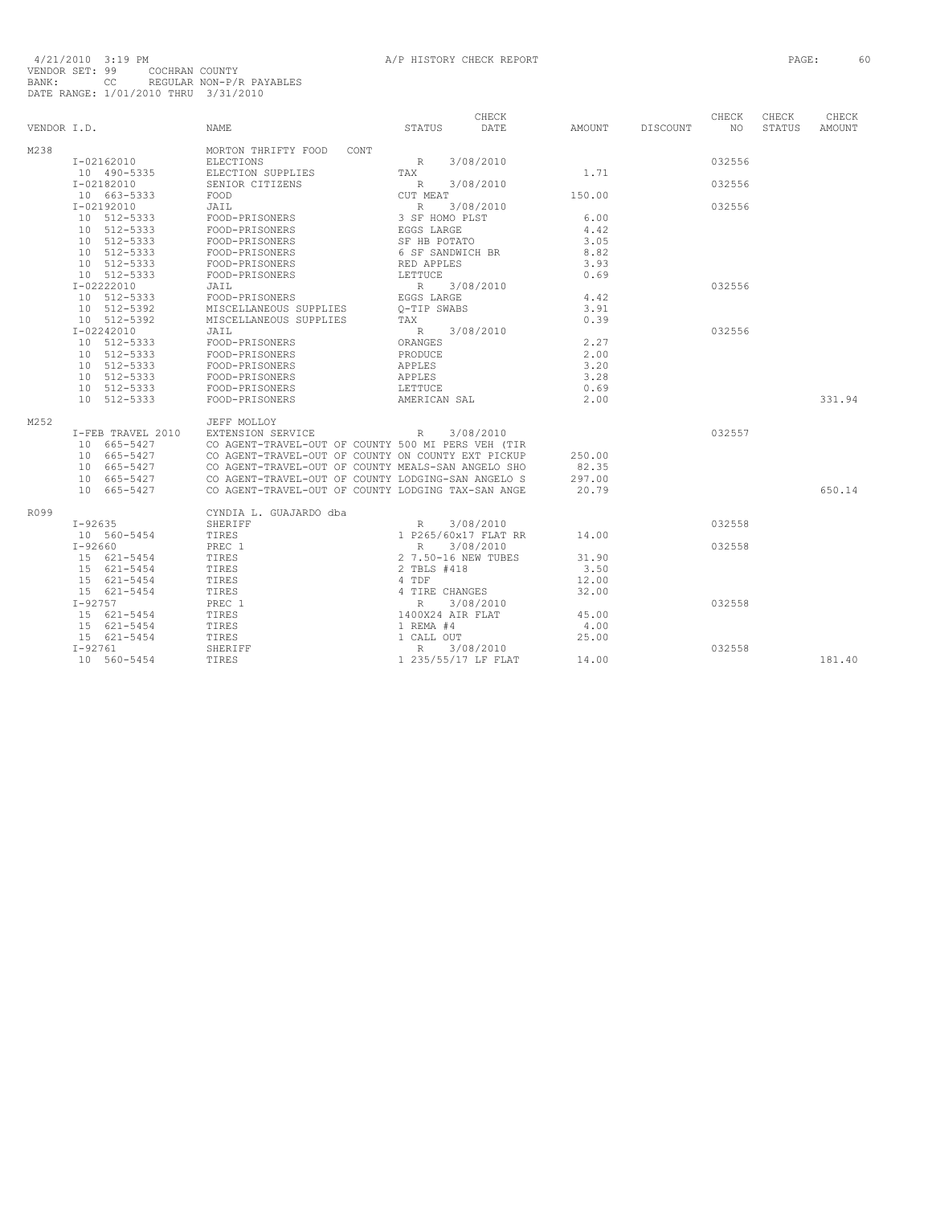|             |                   |                                                    |                      | CHECK     |        |          | CHECK  | CHECK  | CHECK  |
|-------------|-------------------|----------------------------------------------------|----------------------|-----------|--------|----------|--------|--------|--------|
| VENDOR I.D. |                   | <b>NAME</b>                                        | STATUS               | DATE      | AMOUNT | DISCOUNT | NO.    | STATUS | AMOUNT |
| M238        |                   | MORTON THRIFTY FOOD<br>CONT                        |                      |           |        |          |        |        |        |
|             | I-02162010        | ELECTIONS                                          | R                    | 3/08/2010 |        |          | 032556 |        |        |
|             | 10 490-5335       | ELECTION SUPPLIES                                  | TAX                  |           | 1.71   |          |        |        |        |
|             | I-02182010        | SENIOR CITIZENS                                    | R                    | 3/08/2010 |        |          | 032556 |        |        |
|             | 10 663-5333       | FOOD                                               | CUT MEAT             |           | 150.00 |          |        |        |        |
|             | $I - 02192010$    | JAIL                                               | R 3/08/2010          |           |        |          | 032556 |        |        |
|             | 10 512-5333       | FOOD-PRISONERS                                     | 3 SF HOMO PLST       |           | 6.00   |          |        |        |        |
|             | 10 512-5333       | FOOD-PRISONERS                                     | EGGS LARGE           |           | 4.42   |          |        |        |        |
|             | 10 512-5333       | FOOD-PRISONERS                                     | SF HB POTATO         |           | 3.05   |          |        |        |        |
|             | 10 512-5333       | FOOD-PRISONERS                                     | 6 SF SANDWICH BR     |           | 8.82   |          |        |        |        |
|             | 10 512-5333       | FOOD-PRISONERS                                     | RED APPLES           |           | 3.93   |          |        |        |        |
|             | 10 512-5333       | FOOD-PRISONERS                                     | LETTUCE              |           | 0.69   |          |        |        |        |
|             | $I - 02222010$    | JAIL                                               | R 3/08/2010          |           |        |          | 032556 |        |        |
|             | 10 512-5333       | FOOD-PRISONERS                                     | EGGS LARGE           |           | 4.42   |          |        |        |        |
|             | 10 512-5392       | MISCELLANEOUS SUPPLIES                             | O-TIP SWABS          |           | 3.91   |          |        |        |        |
|             | 10 512-5392       | MISCELLANEOUS SUPPLIES                             | TAX                  |           | 0.39   |          |        |        |        |
|             | I-02242010        | JAIL                                               | R                    | 3/08/2010 |        |          | 032556 |        |        |
|             | 10 512-5333       | FOOD-PRISONERS                                     | ORANGES              |           | 2.27   |          |        |        |        |
|             | 10 512-5333       | FOOD-PRISONERS                                     | PRODUCE              |           | 2.00   |          |        |        |        |
|             | 10 512-5333       | FOOD-PRISONERS                                     | APPLES               |           | 3.20   |          |        |        |        |
|             | 10 512-5333       | FOOD-PRISONERS                                     | APPLES               |           | 3.28   |          |        |        |        |
|             | 10 512-5333       | FOOD-PRISONERS                                     | LETTUCE              |           | 0.69   |          |        |        |        |
|             | 10 512-5333       | FOOD-PRISONERS                                     | AMERICAN SAL         |           | 2.00   |          |        |        | 331.94 |
| M252        |                   | JEFF MOLLOY                                        |                      |           |        |          |        |        |        |
|             | I-FEB TRAVEL 2010 | EXTENSION SERVICE                                  | R                    | 3/08/2010 |        |          | 032557 |        |        |
|             | 10 665-5427       | CO AGENT-TRAVEL-OUT OF COUNTY 500 MI PERS VEH (TIR |                      |           |        |          |        |        |        |
|             | 10 665-5427       | CO AGENT-TRAVEL-OUT OF COUNTY ON COUNTY EXT PICKUP |                      |           | 250.00 |          |        |        |        |
|             | 10 665-5427       | CO AGENT-TRAVEL-OUT OF COUNTY MEALS-SAN ANGELO SHO |                      |           | 82.35  |          |        |        |        |
|             | 10 665-5427       | CO AGENT-TRAVEL-OUT OF COUNTY LODGING-SAN ANGELO S |                      |           | 297.00 |          |        |        |        |
|             | 10 665-5427       | CO AGENT-TRAVEL-OUT OF COUNTY LODGING TAX-SAN ANGE |                      |           | 20.79  |          |        |        | 650.14 |
| R099        |                   | CYNDIA L. GUAJARDO dba                             |                      |           |        |          |        |        |        |
|             | $I - 92635$       | SHERIFF                                            | R                    | 3/08/2010 |        |          | 032558 |        |        |
|             | 10 560-5454       | TIRES                                              | 1 P265/60x17 FLAT RR |           | 14.00  |          |        |        |        |
|             | $I - 92660$       | PREC 1                                             | R                    | 3/08/2010 |        |          | 032558 |        |        |
|             | 15 621-5454       | TIRES                                              | 2 7.50-16 NEW TUBES  |           | 31.90  |          |        |        |        |
|             | 15 621-5454       | TIRES                                              | 2 TBLS #418          |           | 3.50   |          |        |        |        |
|             | 15 621-5454       | TIRES                                              | 4 TDF                |           | 12.00  |          |        |        |        |
|             | 15 621-5454       | TIRES                                              | 4 TIRE CHANGES       |           | 32.00  |          |        |        |        |
|             | $I - 92757$       | PREC 1                                             | $R_{\perp}$          | 3/08/2010 |        |          | 032558 |        |        |
|             | 15 621-5454       | TIRES                                              | 1400X24 AIR FLAT     |           | 45.00  |          |        |        |        |
|             | 15 621-5454       | TIRES                                              | 1 REMA #4            |           | 4.00   |          |        |        |        |
|             | 15 621-5454       | TIRES                                              | 1 CALL OUT           |           | 25.00  |          |        |        |        |
|             | $I - 92761$       | SHERIFF                                            | $R_{\perp}$          | 3/08/2010 |        |          | 032558 |        |        |
|             | 10 560-5454       | TIRES                                              | 1 235/55/17 LF FLAT  |           | 14.00  |          |        |        | 181.40 |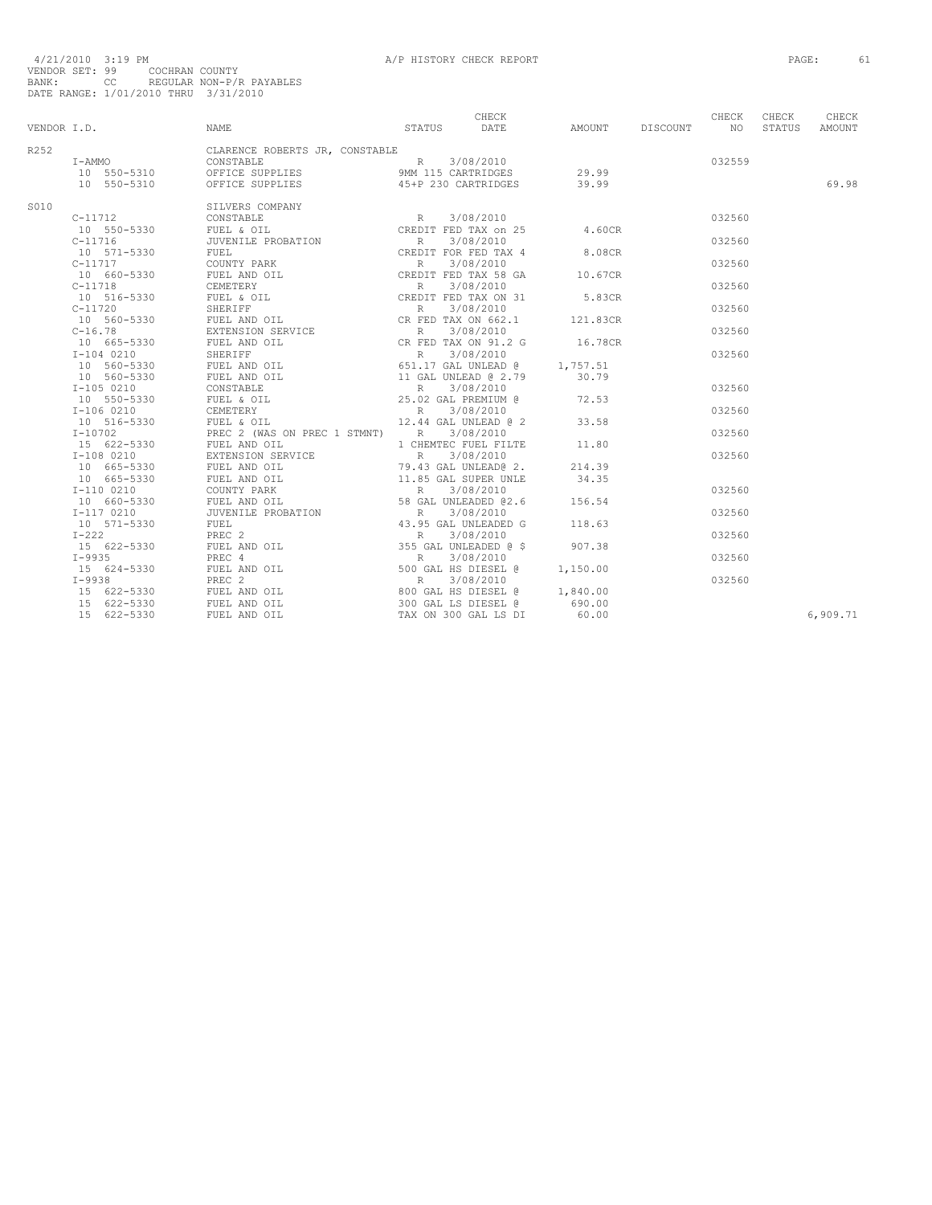|      |             | CHECK CHECK CHECK CHECK CHECK CHECK STATUS DATE AMOUNT DISCOUNT NO                                                                                                                                                                                                                                                        |  |  |        | CHECK  | CHECK    |
|------|-------------|---------------------------------------------------------------------------------------------------------------------------------------------------------------------------------------------------------------------------------------------------------------------------------------------------------------------------|--|--|--------|--------|----------|
|      | VENDOR I.D. | NAME                                                                                                                                                                                                                                                                                                                      |  |  |        | STATUS | AMOUNT   |
| R252 |             | CLARENCE ROBERTS JR, CONSTABLE                                                                                                                                                                                                                                                                                            |  |  |        |        |          |
|      |             |                                                                                                                                                                                                                                                                                                                           |  |  | 032559 |        |          |
|      |             |                                                                                                                                                                                                                                                                                                                           |  |  |        |        |          |
|      |             |                                                                                                                                                                                                                                                                                                                           |  |  |        |        | 69.98    |
|      |             | $\begin{tabular}{@{}c@{}}\hline & $10$ & $509$ & $5019$ & $5019$ & $5019$ & $5019$ & $5019$ & $5019$ \\ \hline 10$ & $509$ & $5330$ & $508$ & $508$ & $508$ & $509$ & $5010$ & $509$ \\ \hline 0$ & $109$ & $509$ & $509$ & $509$ & $509$ & $509$ & $509$ & $509$ & $509$ & $509$ \\ \hline 10$ & $519$ & $5300$ & $509$$ |  |  |        |        |          |
| S010 |             |                                                                                                                                                                                                                                                                                                                           |  |  | 032560 |        |          |
|      |             |                                                                                                                                                                                                                                                                                                                           |  |  |        |        |          |
|      |             |                                                                                                                                                                                                                                                                                                                           |  |  |        |        |          |
|      |             |                                                                                                                                                                                                                                                                                                                           |  |  | 032560 |        |          |
|      |             |                                                                                                                                                                                                                                                                                                                           |  |  |        |        |          |
|      |             |                                                                                                                                                                                                                                                                                                                           |  |  | 032560 |        |          |
|      |             |                                                                                                                                                                                                                                                                                                                           |  |  |        |        |          |
|      |             |                                                                                                                                                                                                                                                                                                                           |  |  | 032560 |        |          |
|      |             |                                                                                                                                                                                                                                                                                                                           |  |  |        |        |          |
|      |             |                                                                                                                                                                                                                                                                                                                           |  |  | 032560 |        |          |
|      |             |                                                                                                                                                                                                                                                                                                                           |  |  |        |        |          |
|      |             |                                                                                                                                                                                                                                                                                                                           |  |  | 032560 |        |          |
|      |             |                                                                                                                                                                                                                                                                                                                           |  |  |        |        |          |
|      |             |                                                                                                                                                                                                                                                                                                                           |  |  | 032560 |        |          |
|      |             |                                                                                                                                                                                                                                                                                                                           |  |  |        |        |          |
|      |             |                                                                                                                                                                                                                                                                                                                           |  |  |        |        |          |
|      |             |                                                                                                                                                                                                                                                                                                                           |  |  | 032560 |        |          |
|      |             |                                                                                                                                                                                                                                                                                                                           |  |  |        |        |          |
|      |             |                                                                                                                                                                                                                                                                                                                           |  |  | 032560 |        |          |
|      |             |                                                                                                                                                                                                                                                                                                                           |  |  |        |        |          |
|      |             |                                                                                                                                                                                                                                                                                                                           |  |  | 032560 |        |          |
|      |             |                                                                                                                                                                                                                                                                                                                           |  |  |        |        |          |
|      |             |                                                                                                                                                                                                                                                                                                                           |  |  | 032560 |        |          |
|      |             |                                                                                                                                                                                                                                                                                                                           |  |  |        |        |          |
|      |             |                                                                                                                                                                                                                                                                                                                           |  |  |        |        |          |
|      |             |                                                                                                                                                                                                                                                                                                                           |  |  | 032560 |        |          |
|      |             |                                                                                                                                                                                                                                                                                                                           |  |  |        |        |          |
|      |             |                                                                                                                                                                                                                                                                                                                           |  |  | 032560 |        |          |
|      |             |                                                                                                                                                                                                                                                                                                                           |  |  |        |        |          |
|      |             |                                                                                                                                                                                                                                                                                                                           |  |  | 032560 |        |          |
|      |             |                                                                                                                                                                                                                                                                                                                           |  |  |        |        |          |
|      |             |                                                                                                                                                                                                                                                                                                                           |  |  | 032560 |        |          |
|      |             |                                                                                                                                                                                                                                                                                                                           |  |  |        |        |          |
|      |             |                                                                                                                                                                                                                                                                                                                           |  |  | 032560 |        |          |
|      |             |                                                                                                                                                                                                                                                                                                                           |  |  |        |        |          |
|      |             |                                                                                                                                                                                                                                                                                                                           |  |  |        |        |          |
|      |             |                                                                                                                                                                                                                                                                                                                           |  |  |        |        | 6,909.71 |
|      |             |                                                                                                                                                                                                                                                                                                                           |  |  |        |        |          |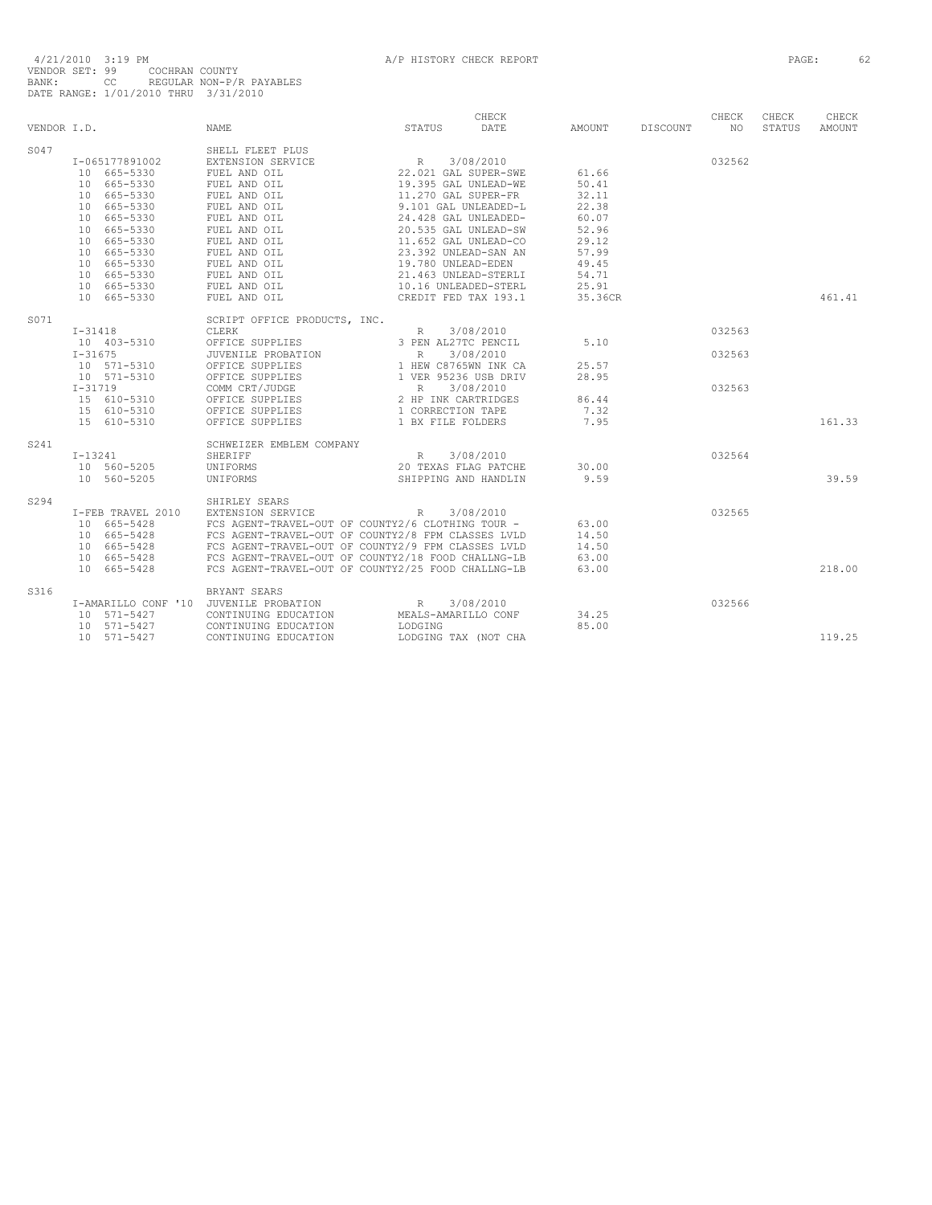|             |                     |                                                    |                      | CHECK                |         |          | CHECK  | CHECK  | CHECK         |
|-------------|---------------------|----------------------------------------------------|----------------------|----------------------|---------|----------|--------|--------|---------------|
| VENDOR I.D. |                     | <b>NAME</b>                                        | STATUS               | DATE                 | AMOUNT  | DISCOUNT | NO.    | STATUS | <b>AMOUNT</b> |
| S047        |                     | SHELL FLEET PLUS                                   |                      |                      |         |          |        |        |               |
|             | I-065177891002      | EXTENSION SERVICE                                  | $\mathbb R$          | 3/08/2010            |         |          | 032562 |        |               |
|             | 10 665-5330         | FUEL AND OIL                                       |                      | 22.021 GAL SUPER-SWE | 61.66   |          |        |        |               |
|             | 10 665-5330         | FUEL AND OIL                                       | 19.395 GAL UNLEAD-WE |                      | 50.41   |          |        |        |               |
|             | 10 665-5330         | FUEL AND OIL                                       | 11.270 GAL SUPER-FR  |                      | 32.11   |          |        |        |               |
|             | 10 665-5330         | FUEL AND OIL                                       |                      | 9.101 GAL UNLEADED-L | 22.38   |          |        |        |               |
|             | 10 665-5330         | FUEL AND OIL                                       |                      | 24.428 GAL UNLEADED- | 60.07   |          |        |        |               |
|             | 10 665-5330         | FUEL AND OIL                                       |                      | 20.535 GAL UNLEAD-SW | 52.96   |          |        |        |               |
|             | 10 665-5330         | FUEL AND OIL                                       | 11.652 GAL UNLEAD-CO |                      | 29.12   |          |        |        |               |
|             | 10 665-5330         | FUEL AND OIL                                       | 23.392 UNLEAD-SAN AN |                      | 57.99   |          |        |        |               |
|             | 10 665-5330         | FUEL AND OIL                                       | 19.780 UNLEAD-EDEN   |                      | 49.45   |          |        |        |               |
|             | 10 665-5330         | FUEL AND OIL                                       |                      | 21.463 UNLEAD-STERLI | 54.71   |          |        |        |               |
|             | 10 665-5330         | FUEL AND OIL                                       | 10.16 UNLEADED-STERL |                      | 25.91   |          |        |        |               |
|             | 10 665-5330         | FUEL AND OIL                                       |                      | CREDIT FED TAX 193.1 | 35.36CR |          |        |        | 461.41        |
| S071        |                     | SCRIPT OFFICE PRODUCTS, INC.                       |                      |                      |         |          |        |        |               |
|             | $I-31418$           | CLERK                                              | R                    | 3/08/2010            |         |          | 032563 |        |               |
|             | 10 403-5310         | OFFICE SUPPLIES                                    | 3 PEN AL27TC PENCIL  |                      | 5.10    |          |        |        |               |
|             | $I - 31675$         | JUVENILE PROBATION                                 | R                    | 3/08/2010            |         |          | 032563 |        |               |
|             | 10 571-5310         | OFFICE SUPPLIES                                    | 1 HEW C8765WN INK CA |                      | 25.57   |          |        |        |               |
|             | 10 571-5310         | OFFICE SUPPLIES                                    | 1 VER 95236 USB DRIV |                      | 28.95   |          |        |        |               |
|             | $I - 31719$         | COMM CRT/JUDGE                                     | R                    | 3/08/2010            |         |          | 032563 |        |               |
|             | 15 610-5310         | OFFICE SUPPLIES                                    | 2 HP INK CARTRIDGES  |                      | 86.44   |          |        |        |               |
|             | 15 610-5310         | OFFICE SUPPLIES                                    | 1 CORRECTION TAPE    |                      | 7.32    |          |        |        |               |
|             | 15 610-5310         | OFFICE SUPPLIES                                    | 1 BX FILE FOLDERS    |                      | 7.95    |          |        |        | 161.33        |
| S241        |                     | SCHWEIZER EMBLEM COMPANY                           |                      |                      |         |          |        |        |               |
|             | $I-13241$           | SHERIFF                                            | R                    | 3/08/2010            |         |          | 032564 |        |               |
|             | 10 560-5205         | UNIFORMS                                           |                      | 20 TEXAS FLAG PATCHE | 30.00   |          |        |        |               |
|             | 10 560-5205         | UNIFORMS                                           |                      | SHIPPING AND HANDLIN | 9.59    |          |        |        | 39.59         |
| S294        |                     | SHIRLEY SEARS                                      |                      |                      |         |          |        |        |               |
|             | I-FEB TRAVEL 2010   | EXTENSION SERVICE                                  | R                    | 3/08/2010            |         |          | 032565 |        |               |
|             | 10 665-5428         | FCS AGENT-TRAVEL-OUT OF COUNTY2/6 CLOTHING TOUR -  |                      |                      | 63.00   |          |        |        |               |
|             | 10 665-5428         | FCS AGENT-TRAVEL-OUT OF COUNTY2/8 FPM CLASSES LVLD |                      |                      | 14.50   |          |        |        |               |
|             | 10 665-5428         | FCS AGENT-TRAVEL-OUT OF COUNTY2/9 FPM CLASSES LVLD |                      |                      | 14.50   |          |        |        |               |
|             | 10 665-5428         | FCS AGENT-TRAVEL-OUT OF COUNTY2/18 FOOD CHALLNG-LB |                      |                      | 63.00   |          |        |        |               |
|             | 10 665-5428         | FCS AGENT-TRAVEL-OUT OF COUNTY2/25 FOOD CHALLNG-LB |                      |                      | 63.00   |          |        |        | 218.00        |
| S316        |                     | BRYANT SEARS                                       |                      |                      |         |          |        |        |               |
|             | I-AMARILLO CONF '10 | JUVENILE PROBATION                                 | R                    | 3/08/2010            |         |          | 032566 |        |               |
|             | 10 571-5427         | CONTINUING EDUCATION                               | MEALS-AMARILLO CONF  |                      | 34.25   |          |        |        |               |
|             | 10 571-5427         | CONTINUING EDUCATION                               | LODGING              |                      | 85.00   |          |        |        |               |
|             | 10 571-5427         | CONTINUING EDUCATION                               |                      | LODGING TAX (NOT CHA |         |          |        |        | 119.25        |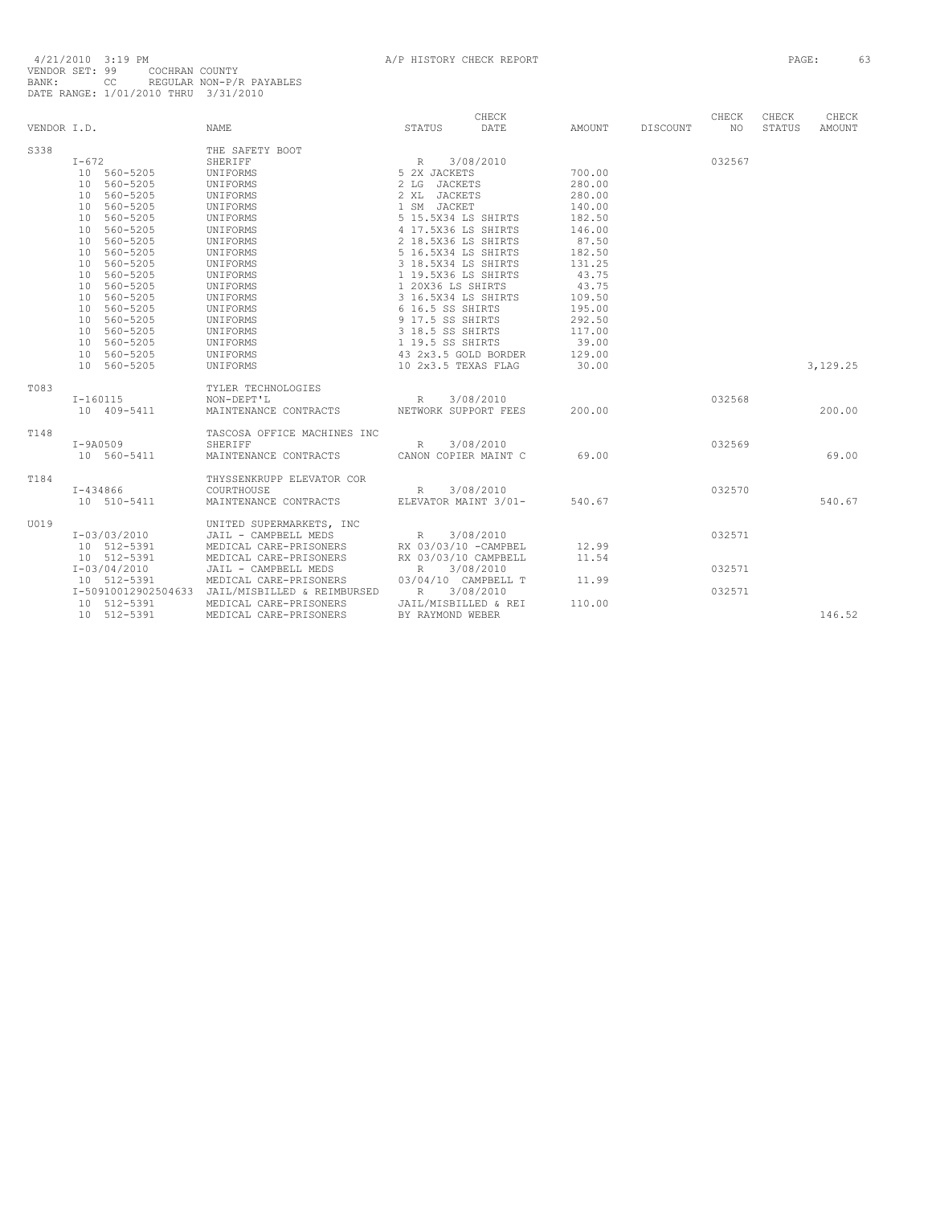| VENDOR I.D. |                             | NAME.                                           | STATUS                            | CHECK<br>DATE | AMOUNT | DISCOUNT | CHECK<br>NO | CHECK<br>STATUS | CHECK<br>AMOUNT |
|-------------|-----------------------------|-------------------------------------------------|-----------------------------------|---------------|--------|----------|-------------|-----------------|-----------------|
| S338        |                             | THE SAFETY BOOT                                 |                                   |               |        |          |             |                 |                 |
|             | $I-672$                     | SHERIFF                                         | R                                 | 3/08/2010     |        |          | 032567      |                 |                 |
|             | 10 560-5205                 | UNIFORMS                                        | 5 2X JACKETS                      |               | 700.00 |          |             |                 |                 |
|             | 10 560-5205                 | UNIFORMS                                        | <b>JACKETS</b><br>2 <sub>LG</sub> |               | 280.00 |          |             |                 |                 |
|             | 560-5205<br>10              | UNIFORMS                                        | 2 XL JACKETS                      |               | 280.00 |          |             |                 |                 |
|             | 560-5205<br>10              | UNIFORMS                                        | 1 SM JACKET                       |               | 140.00 |          |             |                 |                 |
|             | 560-5205<br>10              | UNIFORMS                                        | 5 15.5X34 LS SHIRTS               |               | 182.50 |          |             |                 |                 |
|             | 560-5205<br>10              | UNIFORMS                                        | 4 17.5X36 LS SHIRTS               |               | 146.00 |          |             |                 |                 |
|             | 560-5205<br>10              | UNIFORMS                                        | 2 18.5X36 LS SHIRTS               |               | 87.50  |          |             |                 |                 |
|             | 560-5205<br>10              | UNIFORMS                                        | 5 16.5X34 LS SHIRTS               |               | 182.50 |          |             |                 |                 |
|             | 560-5205<br>10              | UNIFORMS                                        | 3 18.5X34 LS SHIRTS               |               | 131.25 |          |             |                 |                 |
|             | 560-5205<br>10 <sup>1</sup> | UNIFORMS                                        | 1 19.5X36 LS SHIRTS               |               | 43.75  |          |             |                 |                 |
|             | 560-5205<br>10              | UNIFORMS                                        | 1 20X36 LS SHIRTS                 |               | 43.75  |          |             |                 |                 |
|             | 10 560-5205                 | UNIFORMS                                        | 3 16.5X34 LS SHIRTS               |               | 109.50 |          |             |                 |                 |
|             | 560-5205<br>10              | UNIFORMS                                        | 6 16.5 SS SHIRTS                  |               | 195.00 |          |             |                 |                 |
|             | 560-5205<br>10              | UNIFORMS                                        | 9 17.5 SS SHIRTS                  |               | 292.50 |          |             |                 |                 |
|             | 10 560-5205                 | UNIFORMS                                        | 3 18.5 SS SHIRTS                  |               | 117.00 |          |             |                 |                 |
|             | 10 560-5205                 | UNIFORMS                                        | 1 19.5 SS SHIRTS                  |               | 39.00  |          |             |                 |                 |
|             | 10 560-5205                 | UNIFORMS                                        | 43 2x3.5 GOLD BORDER              |               | 129.00 |          |             |                 |                 |
|             | 10 560-5205                 | UNIFORMS                                        | 10 2x3.5 TEXAS FLAG               |               | 30.00  |          |             |                 | 3,129.25        |
|             |                             |                                                 |                                   |               |        |          |             |                 |                 |
| T083        |                             | TYLER TECHNOLOGIES                              |                                   |               |        |          |             |                 |                 |
|             | $I-160115$                  | NON-DEPT'L                                      | R                                 | 3/08/2010     |        |          | 032568      |                 |                 |
|             | 10 409-5411                 | MAINTENANCE CONTRACTS                           | NETWORK SUPPORT FEES              |               | 200.00 |          |             |                 | 200.00          |
|             |                             |                                                 |                                   |               |        |          |             |                 |                 |
| T148        |                             | TASCOSA OFFICE MACHINES INC                     |                                   |               |        |          |             |                 |                 |
|             | $I-9A0509$                  | SHERIFF                                         | $\mathbb{R}$                      | 3/08/2010     |        |          | 032569      |                 |                 |
|             | 10 560-5411                 | MAINTENANCE CONTRACTS                           | CANON COPIER MAINT C              |               | 69.00  |          |             |                 | 69.00           |
|             |                             |                                                 |                                   |               |        |          |             |                 |                 |
| T184        |                             | THYSSENKRUPP ELEVATOR COR                       |                                   |               |        |          |             |                 |                 |
|             | $I - 434866$                | COURTHOUSE                                      | R                                 | 3/08/2010     |        |          | 032570      |                 |                 |
|             | 10 510-5411                 | MAINTENANCE CONTRACTS                           | ELEVATOR MAINT 3/01-              |               | 540.67 |          |             |                 | 540.67          |
|             |                             |                                                 |                                   |               |        |          |             |                 |                 |
| U019        |                             | UNITED SUPERMARKETS, INC                        |                                   |               |        |          |             |                 |                 |
|             | I-03/03/2010                | JAIL - CAMPBELL MEDS                            | R                                 | 3/08/2010     |        |          | 032571      |                 |                 |
|             | 10 512-5391                 | MEDICAL CARE-PRISONERS                          | RX 03/03/10 - CAMPBEL             |               | 12.99  |          |             |                 |                 |
|             | 10 512-5391                 | MEDICAL CARE-PRISONERS                          | RX 03/03/10 CAMPBELL              |               | 11.54  |          |             |                 |                 |
|             | $I-03/04/2010$              | JAIL - CAMPBELL MEDS                            | $\mathbb R$                       | 3/08/2010     |        |          | 032571      |                 |                 |
|             | 10 512-5391                 | MEDICAL CARE-PRISONERS                          | 03/04/10 CAMPBELL T               |               | 11.99  |          |             |                 |                 |
|             |                             | I-50910012902504633 JAIL/MISBILLED & REIMBURSED | R                                 | 3/08/2010     |        |          | 032571      |                 |                 |
|             | 10 512-5391                 | MEDICAL CARE-PRISONERS                          | JAIL/MISBILLED & REI              |               | 110.00 |          |             |                 |                 |
|             | 10 512-5391                 | MEDICAL CARE-PRISONERS                          | BY RAYMOND WEBER                  |               |        |          |             |                 | 146.52          |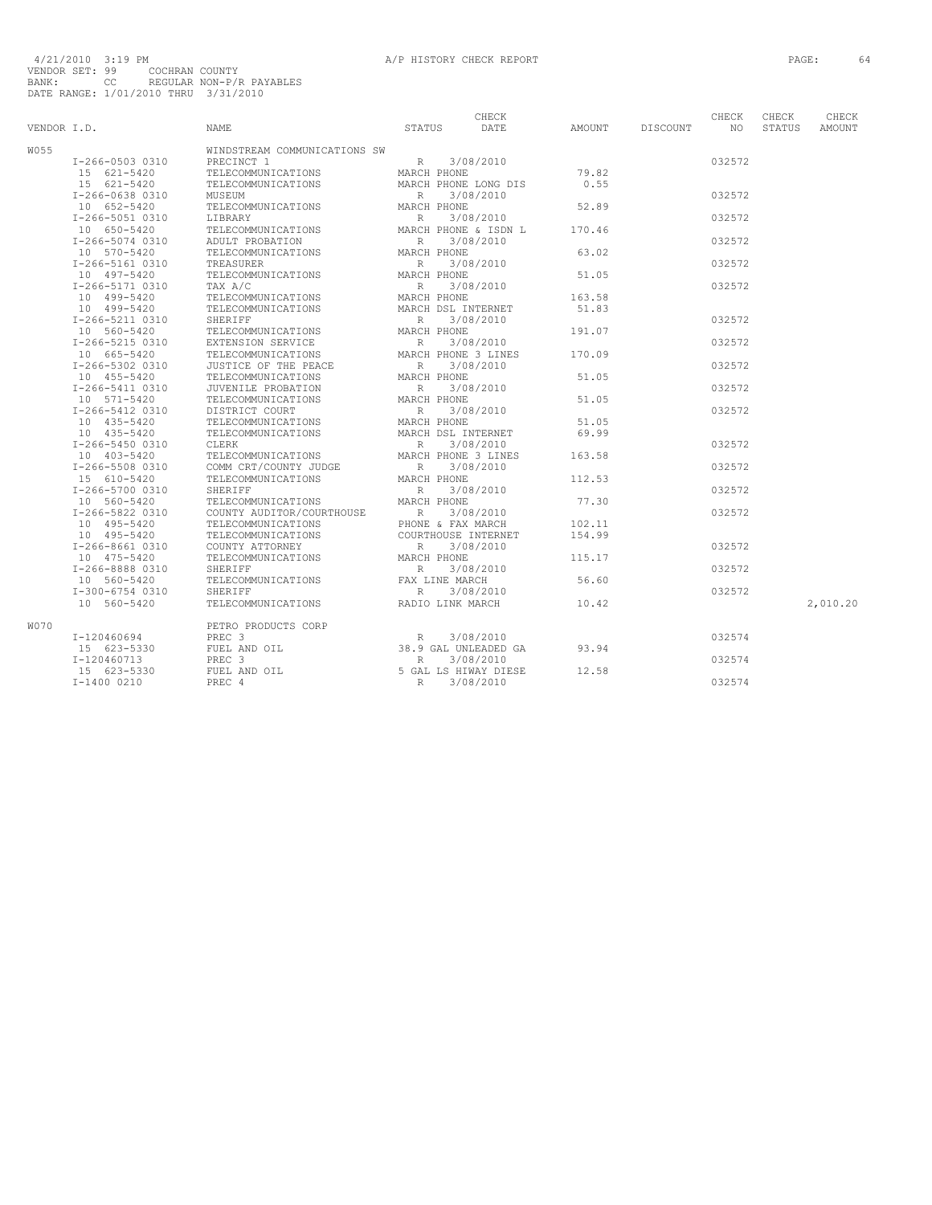| VENDOR I.D. |                 | <b>NAME</b>                  | <b>STATUS</b>  | CHECK<br>DATE        | AMOUNT | <b>DISCOUNT</b> | CHECK<br>NO. | CHECK<br><b>STATUS</b> | CHECK<br><b>AMOUNT</b> |
|-------------|-----------------|------------------------------|----------------|----------------------|--------|-----------------|--------------|------------------------|------------------------|
|             |                 |                              |                |                      |        |                 |              |                        |                        |
| W055        |                 | WINDSTREAM COMMUNICATIONS SW |                |                      |        |                 |              |                        |                        |
|             | I-266-0503 0310 | PRECINCT 1                   | R              | 3/08/2010            |        |                 | 032572       |                        |                        |
|             | 15 621-5420     | TELECOMMUNICATIONS           | MARCH PHONE    |                      | 79.82  |                 |              |                        |                        |
|             | 15 621-5420     | TELECOMMUNICATIONS           |                | MARCH PHONE LONG DIS | 0.55   |                 |              |                        |                        |
|             | I-266-0638 0310 | MUSEUM                       | R              | 3/08/2010            |        |                 | 032572       |                        |                        |
|             | 10 652-5420     | TELECOMMUNICATIONS           | MARCH PHONE    |                      | 52.89  |                 |              |                        |                        |
|             | I-266-5051 0310 | LIBRARY                      | R              | 3/08/2010            |        |                 | 032572       |                        |                        |
|             | 10 650-5420     | TELECOMMUNICATIONS           |                | MARCH PHONE & ISDN L | 170.46 |                 | 032572       |                        |                        |
|             | I-266-5074 0310 | ADULT PROBATION              | $\mathbb R$    | 3/08/2010            |        |                 |              |                        |                        |
|             | 10 570-5420     | TELECOMMUNICATIONS           | MARCH PHONE    |                      | 63.02  |                 |              |                        |                        |
|             | I-266-5161 0310 | TREASURER                    | R              | 3/08/2010            |        |                 | 032572       |                        |                        |
|             | 10 497-5420     | TELECOMMUNICATIONS           | MARCH PHONE    |                      | 51.05  |                 |              |                        |                        |
|             | I-266-5171 0310 | TAX A/C                      | $\mathbb{R}$   | 3/08/2010            |        |                 | 032572       |                        |                        |
|             | 10 499-5420     | TELECOMMUNICATIONS           | MARCH PHONE    |                      | 163.58 |                 |              |                        |                        |
|             | 10 499-5420     | TELECOMMUNICATIONS           |                | MARCH DSL INTERNET   | 51.83  |                 |              |                        |                        |
|             | I-266-5211 0310 | SHERIFF                      | $\mathbb{R}$   | 3/08/2010            |        |                 | 032572       |                        |                        |
|             | 10 560-5420     | TELECOMMUNICATIONS           | MARCH PHONE    |                      | 191.07 |                 |              |                        |                        |
|             | I-266-5215 0310 | EXTENSION SERVICE            | $\mathbb{R}$   | 3/08/2010            |        |                 | 032572       |                        |                        |
|             | 10 665-5420     | TELECOMMUNICATIONS           |                | MARCH PHONE 3 LINES  | 170.09 |                 |              |                        |                        |
|             | I-266-5302 0310 | JUSTICE OF THE PEACE         | R              | 3/08/2010            |        |                 | 032572       |                        |                        |
|             | 10 455-5420     | TELECOMMUNICATIONS           | MARCH PHONE    |                      | 51.05  |                 |              |                        |                        |
|             | I-266-5411 0310 | JUVENILE PROBATION           | R              | 3/08/2010            |        |                 | 032572       |                        |                        |
|             | 10 571-5420     | TELECOMMUNICATIONS           | MARCH PHONE    |                      | 51.05  |                 |              |                        |                        |
|             | I-266-5412 0310 | DISTRICT COURT               | $\mathbb{R}$   | 3/08/2010            |        |                 | 032572       |                        |                        |
|             | 10 435-5420     | TELECOMMUNICATIONS           | MARCH PHONE    |                      | 51.05  |                 |              |                        |                        |
|             | 10 435-5420     | TELECOMMUNICATIONS           |                | MARCH DSL INTERNET   | 69.99  |                 |              |                        |                        |
|             | I-266-5450 0310 | CLERK                        | R              | 3/08/2010            |        |                 | 032572       |                        |                        |
|             | 10 403-5420     | TELECOMMUNICATIONS           |                | MARCH PHONE 3 LINES  | 163.58 |                 |              |                        |                        |
|             | I-266-5508 0310 | COMM CRT/COUNTY JUDGE        | $\mathbb{R}$   | 3/08/2010            |        |                 | 032572       |                        |                        |
|             | 15 610-5420     | TELECOMMUNICATIONS           | MARCH PHONE    |                      | 112.53 |                 |              |                        |                        |
|             | I-266-5700 0310 | SHERIFF                      | $\mathbb R$    | 3/08/2010            |        |                 | 032572       |                        |                        |
|             | 10 560-5420     | TELECOMMUNICATIONS           | MARCH PHONE    |                      | 77.30  |                 |              |                        |                        |
|             | I-266-5822 0310 | COUNTY AUDITOR/COURTHOUSE    | $\mathbb{R}$   | 3/08/2010            |        |                 | 032572       |                        |                        |
|             | 10 495-5420     | TELECOMMUNICATIONS           |                | PHONE & FAX MARCH    | 102.11 |                 |              |                        |                        |
|             | 10 495-5420     | TELECOMMUNICATIONS           |                | COURTHOUSE INTERNET  | 154.99 |                 |              |                        |                        |
|             | I-266-8661 0310 | COUNTY ATTORNEY              | $\mathbb{R}$   | 3/08/2010            |        |                 | 032572       |                        |                        |
|             | 10 475-5420     | TELECOMMUNICATIONS           | MARCH PHONE    |                      | 115.17 |                 |              |                        |                        |
|             | I-266-8888 0310 | SHERIFF                      | $\mathbb{R}$   | 3/08/2010            |        |                 | 032572       |                        |                        |
|             | 10 560-5420     | TELECOMMUNICATIONS           | FAX LINE MARCH |                      | 56.60  |                 |              |                        |                        |
|             | I-300-6754 0310 | SHERIFF                      | R              | 3/08/2010            |        |                 | 032572       |                        |                        |
|             | 10 560-5420     | TELECOMMUNICATIONS           |                | RADIO LINK MARCH     | 10.42  |                 |              |                        | 2,010.20               |
| <b>W070</b> |                 | PETRO PRODUCTS CORP          |                |                      |        |                 |              |                        |                        |
|             | I-120460694     | PREC <sub>3</sub>            | $\mathbb{R}$   | 3/08/2010            |        |                 | 032574       |                        |                        |
|             | 15 623-5330     | FUEL AND OIL                 |                | 38.9 GAL UNLEADED GA | 93.94  |                 |              |                        |                        |
|             | I-120460713     | PREC <sub>3</sub>            | R              | 3/08/2010            |        |                 | 032574       |                        |                        |
|             | 15 623-5330     | FUEL AND OIL                 |                | 5 GAL LS HIWAY DIESE | 12.58  |                 |              |                        |                        |
|             | $I-140000210$   | PREC 4                       | $\mathbb R$    | 3/08/2010            |        |                 | 032574       |                        |                        |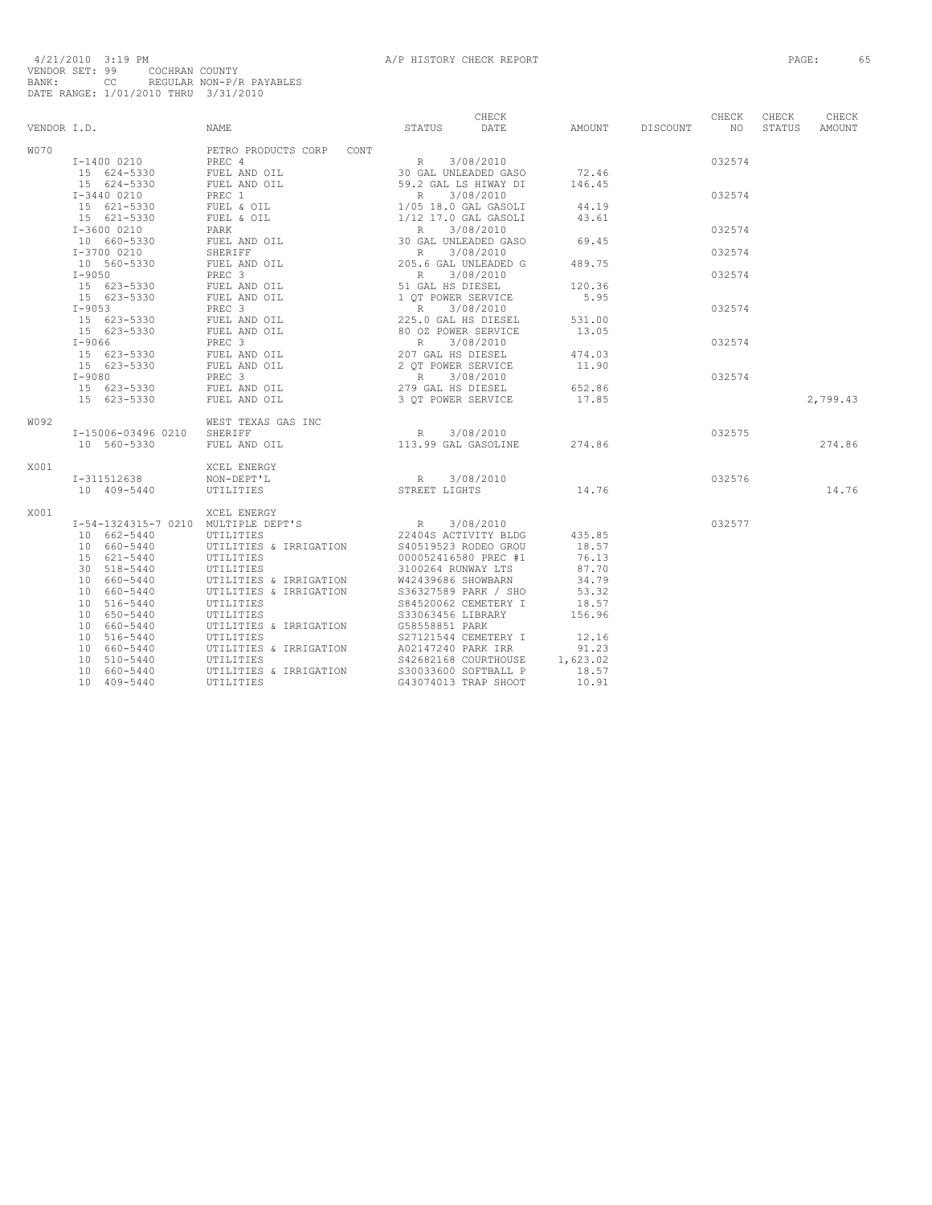|             |                            |                                                                                                                                                                 | CHECK                                            |                 | CHECK           | CHECK  | CHECK    |
|-------------|----------------------------|-----------------------------------------------------------------------------------------------------------------------------------------------------------------|--------------------------------------------------|-----------------|-----------------|--------|----------|
| VENDOR I.D. |                            | NAME                                                                                                                                                            | STATUS<br>DATE                                   | AMOUNT DISCOUNT | NO <sub>1</sub> | STATUS | AMOUNT   |
| <b>W070</b> |                            | PETRO PRODUCTS CORP CONT                                                                                                                                        |                                                  |                 |                 |        |          |
|             | I-1400 0210 PREC 4         |                                                                                                                                                                 |                                                  |                 | 032574          |        |          |
|             |                            |                                                                                                                                                                 |                                                  | 72.46           |                 |        |          |
|             |                            |                                                                                                                                                                 |                                                  | 146.45          |                 |        |          |
|             |                            |                                                                                                                                                                 |                                                  |                 | 032574          |        |          |
|             |                            |                                                                                                                                                                 |                                                  | 44.19           |                 |        |          |
|             |                            |                                                                                                                                                                 |                                                  | 43.61           |                 |        |          |
|             |                            |                                                                                                                                                                 |                                                  |                 | 032574          |        |          |
|             |                            |                                                                                                                                                                 |                                                  | 69.45           |                 |        |          |
|             |                            |                                                                                                                                                                 |                                                  |                 | 032574          |        |          |
|             |                            |                                                                                                                                                                 |                                                  | 489.75          |                 |        |          |
|             |                            |                                                                                                                                                                 |                                                  |                 | 032574          |        |          |
|             |                            |                                                                                                                                                                 |                                                  | 120.36          |                 |        |          |
|             |                            |                                                                                                                                                                 |                                                  | 5.95            |                 |        |          |
|             |                            |                                                                                                                                                                 |                                                  |                 | 032574          |        |          |
|             |                            |                                                                                                                                                                 |                                                  | 531.00          |                 |        |          |
|             |                            |                                                                                                                                                                 |                                                  | 13.05           |                 |        |          |
|             |                            |                                                                                                                                                                 |                                                  |                 | 032574          |        |          |
|             |                            |                                                                                                                                                                 |                                                  | 474.03          |                 |        |          |
|             |                            |                                                                                                                                                                 |                                                  | 11.90           |                 |        |          |
|             |                            |                                                                                                                                                                 |                                                  |                 | 032574          |        |          |
|             |                            |                                                                                                                                                                 |                                                  | 652.86          |                 |        |          |
|             |                            |                                                                                                                                                                 |                                                  | 17.85           |                 |        | 2,799.43 |
| W092        |                            | WEST TEXAS GAS INC                                                                                                                                              |                                                  |                 |                 |        |          |
|             | I-15006-03496 0210 SHERIFF |                                                                                                                                                                 |                                                  |                 | 032575          |        |          |
|             | 10 560-5330                | NERIFF R 3/08/2010<br>FUEL AND OIL 113.99 GAL GASOLINE                                                                                                          |                                                  | 274.86          |                 |        | 274.86   |
| X001        |                            | XCEL ENERGY                                                                                                                                                     |                                                  |                 |                 |        |          |
|             | I-311512638                |                                                                                                                                                                 | 3/08/2010                                        | 14.76           | 032576          |        |          |
|             | 10 409-5440                | NON-DEPT'L<br>NON-DEPT'L<br>UTILITIES STREET LIGHTS                                                                                                             |                                                  |                 |                 |        | 14.76    |
| X001        |                            | XCEL ENERGY                                                                                                                                                     |                                                  |                 |                 |        |          |
|             |                            | T-54-1324315-7 0210 MULTIPLE DEPT'S R 3/08/2010<br>10 662-5440 UTILITIES BEPT'S 22404S ACTIVITY BLDG<br>10 660-5440 UTILITIES & IRRIGATION S40519523 RODEO GROU |                                                  |                 | 032577          |        |          |
|             |                            |                                                                                                                                                                 |                                                  | 435.85          |                 |        |          |
|             |                            |                                                                                                                                                                 |                                                  | 18.57           |                 |        |          |
|             | 15 621-5440                | UTILITIES                                                                                                                                                       | 000052416580 PREC #1                             | 76.13           |                 |        |          |
|             | 30 518-5440                | UTILITIES                                                                                                                                                       | 3100264 RUNWAY LTS<br>W42439686 SHOWBARN         | 87.70           |                 |        |          |
|             | 10 660-5440                | UTILITIES & IRRIGATION                                                                                                                                          |                                                  | 34.79           |                 |        |          |
|             | 10 660-5440                | UTILITIES & IRRIGATION                                                                                                                                          | <br>536327589 PARK / SHO<br>584520062 CEMETERY I | 53.32           |                 |        |          |
|             | 10 516-5440                | UTILITIES                                                                                                                                                       |                                                  | 18.57           |                 |        |          |
|             | 10 650-5440                | UTILITIES                                                                                                                                                       | S33063456 LIBRARY                                | 156.96          |                 |        |          |
|             | 10 660-5440                | UTILITIES & IRRIGATION                                                                                                                                          | G58558851 PARK                                   |                 |                 |        |          |
|             | 10 516-5440                | UTILITIES                                                                                                                                                       | S27121544 CEMETERY I                             | 12.16           |                 |        |          |
|             | 10 660-5440                | UTILITIES & IRRIGATION                                                                                                                                          | A02147240 PARK IRR                               | 91.23           |                 |        |          |
|             | 10 510-5440                | UTILITIES                                                                                                                                                       | S42682168 COURTHOUSE                             | 1,623.02        |                 |        |          |
|             | 10 660-5440                | UTILITIES & IRRIGATION                                                                                                                                          | S30033600 SOFTBALL P                             | 18.57           |                 |        |          |
|             | 10 409-5440                | UTILITIES                                                                                                                                                       | G43074013 TRAP SHOOT                             | 10.91           |                 |        |          |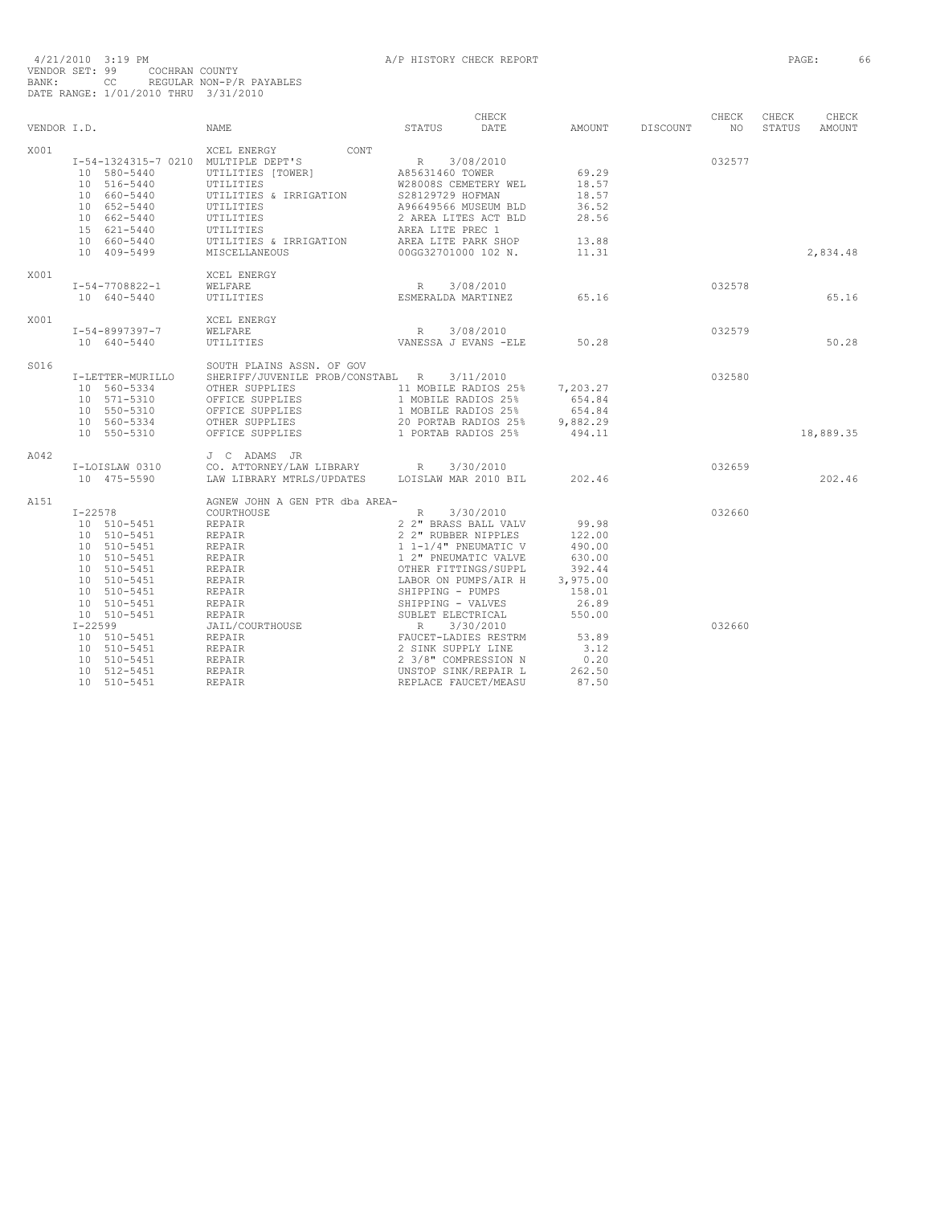|             |                                     |                                                                                        |                                            | CHECK     |          |          | CHECK     | CHECK  | CHECK         |
|-------------|-------------------------------------|----------------------------------------------------------------------------------------|--------------------------------------------|-----------|----------|----------|-----------|--------|---------------|
| VENDOR I.D. |                                     | <b>NAME</b>                                                                            | STATUS                                     | DATE      | AMOUNT   | DISCOUNT | <b>NO</b> | STATUS | <b>AMOUNT</b> |
| X001        |                                     | XCEL ENERGY<br>CONT                                                                    |                                            |           |          |          |           |        |               |
|             | I-54-1324315-7 0210 MULTIPLE DEPT'S |                                                                                        | R                                          | 3/08/2010 |          |          | 032577    |        |               |
|             | 10 580-5440                         | UTILITIES [TOWER]                                                                      | A85631460 TOWER                            |           | 69.29    |          |           |        |               |
|             | 10 516-5440                         | UTILITIES                                                                              | W28008S CEMETERY WEL                       |           | 18.57    |          |           |        |               |
|             | 10 660-5440                         | UTILITIES & IRRIGATION                                                                 | S28129729 HOFMAN                           |           | 18.57    |          |           |        |               |
|             | 10 652-5440                         | UTILITIES                                                                              | A96649566 MUSEUM BLD                       |           | 36.52    |          |           |        |               |
|             | 10 662-5440                         | UTILITIES                                                                              | 2 AREA LITES ACT BLD                       |           | 28.56    |          |           |        |               |
|             | 15 621-5440                         | UTILITIES                                                                              | AREA LITE PREC 1                           |           |          |          |           |        |               |
|             | 10 660-5440                         | UTILITIES & IRRIGATION                                                                 | AREA LITE PARK SHOP                        |           | 13.88    |          |           |        |               |
|             | 10 409-5499                         | MISCELLANEOUS                                                                          | 00GG32701000 102 N.                        |           | 11.31    |          |           |        | 2,834.48      |
| X001        |                                     | XCEL ENERGY                                                                            |                                            |           |          |          |           |        |               |
|             | $I-54-7708822-1$                    | WELFARE                                                                                | R 3/08/2010                                |           |          |          | 032578    |        |               |
|             | 10 640-5440                         | <b>UTILITIES</b>                                                                       | ESMERALDA MARTINEZ                         |           | 65.16    |          |           |        | 65.16         |
| X001        |                                     | XCEL ENERGY                                                                            |                                            |           |          |          |           |        |               |
|             | I-54-8997397-7                      | WELFARE                                                                                | R<br>3/08/2010                             |           |          |          | 032579    |        |               |
|             | 10 640-5440                         | UTILITIES                                                                              | VANESSA J EVANS -ELE                       |           | 50.28    |          |           |        | 50.28         |
| S016        |                                     | SOUTH PLAINS ASSN. OF GOV                                                              |                                            |           |          |          |           |        |               |
|             | I-LETTER-MURILLO                    | SHERIFF/JUVENILE PROB/CONSTABL R 3/11/2010                                             |                                            |           |          |          | 032580    |        |               |
|             | 10 560-5334                         | OTHER SUPPLIES                                                                         | 11 MOBILE RADIOS 25%                       |           | 7,203.27 |          |           |        |               |
|             | 10 571-5310                         | OFFICE SUPPLIES                                                                        | 1 MOBILE RADIOS 25%                        |           | 654.84   |          |           |        |               |
|             | 10 550-5310                         | OFFICE SUPPLIES                                                                        | 1 MOBILE RADIOS 25%                        |           | 654.84   |          |           |        |               |
|             | 10 560-5334                         | OTHER SUPPLIES                                                                         | 20 PORTAB RADIOS 25%                       |           | 9,882.29 |          |           |        |               |
|             | 10 550-5310                         | OFFICE SUPPLIES                                                                        | 1 PORTAB RADIOS 25%                        |           | 494.11   |          |           |        | 18,889.35     |
| A042        |                                     | J C ADAMS JR                                                                           |                                            |           |          |          |           |        |               |
|             | I-LOISLAW 0310                      |                                                                                        |                                            |           |          |          | 032659    |        |               |
|             | 10 475-5590                         | CO. ATTORNEY/LAW LIBRARY R 3/30/2010<br>LAW LIBRARY MTRLS/UPDATES LOISLAW MAR 2010 BIL |                                            |           | 202.46   |          |           |        | 202.46        |
| A151        |                                     | AGNEW JOHN A GEN PTR dba AREA-                                                         |                                            |           |          |          |           |        |               |
|             | $I - 22578$                         | COURTHOUSE                                                                             | R                                          | 3/30/2010 |          |          | 032660    |        |               |
|             | 10 510-5451                         | REPAIR                                                                                 | 2 2" BRASS BALL VALV                       |           | 99.98    |          |           |        |               |
|             | 10 510-5451                         | REPAIR                                                                                 | 2 2" RUBBER NIPPLES                        |           | 122.00   |          |           |        |               |
|             | 10 510-5451                         | REPAIR                                                                                 | 1 1-1/4" PNEUMATIC V                       |           | 490.00   |          |           |        |               |
|             | 10 510-5451                         | REPAIR                                                                                 | 1 2" PNEUMATIC VALVE                       |           | 630.00   |          |           |        |               |
|             | 10 510-5451                         | REPAIR                                                                                 | OTHER FITTINGS/SUPPL                       |           | 392.44   |          |           |        |               |
|             | 10 510-5451                         | REPAIR                                                                                 | LABOR ON PUMPS/AIR H                       |           | 3,975.00 |          |           |        |               |
|             | 10 510-5451                         | REPAIR                                                                                 | SHIPPING - PUMPS                           |           | 158.01   |          |           |        |               |
|             | 10 510-5451                         | REPAIR                                                                                 | SHIPPING - VALVES                          |           | 26.89    |          |           |        |               |
|             | 10 510-5451                         | REPAIR                                                                                 |                                            |           | 550.00   |          |           |        |               |
|             | $I - 22599$                         | JAIL/COURTHOUSE                                                                        | SUBLET ELECTRICAL<br>R 3/30/2010           |           |          |          | 032660    |        |               |
|             | 10 510-5451                         | REPAIR                                                                                 | FAUCET-LADIES RESTRM<br>2 SINK SUPPLY LINE |           | 53.89    |          |           |        |               |
|             | 10 510-5451                         | REPAIR                                                                                 |                                            |           | 3.12     |          |           |        |               |
|             | 10 510-5451                         | REPAIR                                                                                 | 2 3/8" COMPRESSION N                       |           | 0.20     |          |           |        |               |
|             | 10 512-5451                         | REPAIR                                                                                 | UNSTOP SINK/REPAIR L                       |           | 262.50   |          |           |        |               |
|             | 10 510-5451                         | <b>REPAIR</b>                                                                          | REPLACE FAUCET/MEASU                       |           | 87.50    |          |           |        |               |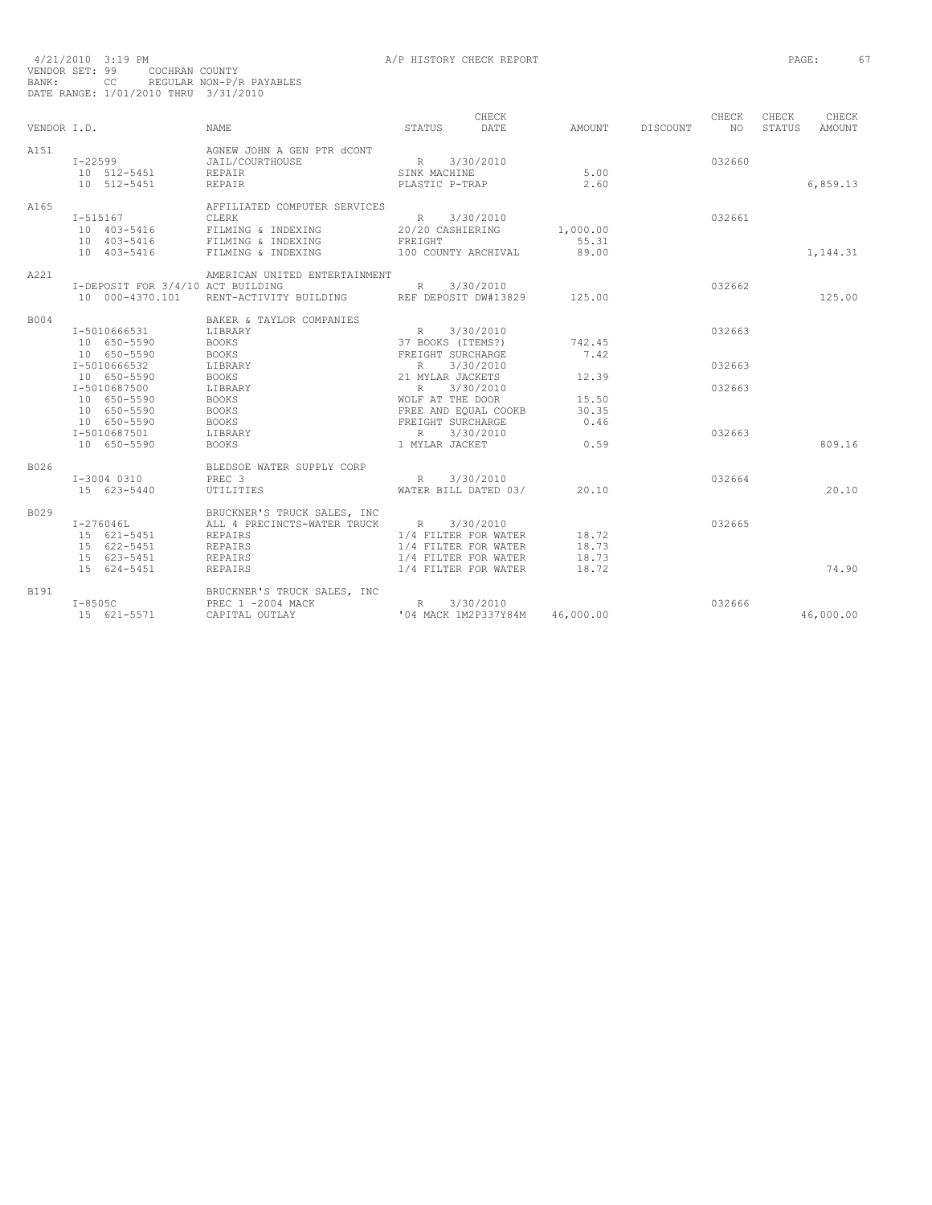|             |                                   |                                                                      |                                                                                                                                                                                                                                    | CHECK                                                    |           |          | CHECK  | CHECK  | CHECK         |
|-------------|-----------------------------------|----------------------------------------------------------------------|------------------------------------------------------------------------------------------------------------------------------------------------------------------------------------------------------------------------------------|----------------------------------------------------------|-----------|----------|--------|--------|---------------|
| VENDOR T.D. |                                   | <b>NAME</b>                                                          | STATUS                                                                                                                                                                                                                             | DATE                                                     | AMOUNT    | DISCOUNT | NO.    | STATUS | <b>AMOUNT</b> |
| A151        |                                   | AGNEW JOHN A GEN PTR dCONT                                           |                                                                                                                                                                                                                                    |                                                          |           |          |        |        |               |
|             | $I - 22599$                       | R 3/30/2010<br>SINK MACHINE<br>JAIL/COURTHOUSE                       |                                                                                                                                                                                                                                    |                                                          |           |          | 032660 |        |               |
|             | 10 512-5451                       | REPAIR                                                               |                                                                                                                                                                                                                                    |                                                          | 5.00      |          |        |        |               |
|             | 10 512-5451                       | <b>REPAIR</b>                                                        | PLASTIC P-TRAP                                                                                                                                                                                                                     |                                                          | 2.60      |          |        |        | 6,859.13      |
| A165        |                                   | AFFILIATED COMPUTER SERVICES                                         |                                                                                                                                                                                                                                    |                                                          |           |          |        |        |               |
|             | $I - 515167$                      | CLERK                                                                | R 3/30/2010                                                                                                                                                                                                                        |                                                          |           |          | 032661 |        |               |
|             |                                   | 10 403-5416 FILMING & INDEXING 20/20 CASHIERING                      |                                                                                                                                                                                                                                    |                                                          | 1,000.00  |          |        |        |               |
|             | 10 403-5416 FILMING & INDEXING    |                                                                      | FREIGHT                                                                                                                                                                                                                            |                                                          | 55.31     |          |        |        |               |
|             | 10 403-5416                       | FILMING & INDEXING                                                   |                                                                                                                                                                                                                                    | 100 COUNTY ARCHIVAL                                      | 89.00     |          |        |        | 1,144.31      |
| A221        |                                   | AMERICAN UNITED ENTERTAINMENT                                        |                                                                                                                                                                                                                                    |                                                          |           |          |        |        |               |
|             | I-DEPOSIT FOR 3/4/10 ACT BUILDING |                                                                      | R 3/30/2010                                                                                                                                                                                                                        |                                                          |           |          | 032662 |        |               |
|             | 10 000-4370.101                   | RENT-ACTIVITY BUILDING REF DEPOSIT DW#13829 125.00                   |                                                                                                                                                                                                                                    |                                                          |           |          |        |        | 125.00        |
| <b>B004</b> |                                   | BAKER & TAYLOR COMPANIES                                             |                                                                                                                                                                                                                                    |                                                          |           |          |        |        |               |
|             | I-5010666531                      | LIBRARY                                                              |                                                                                                                                                                                                                                    |                                                          |           |          | 032663 |        |               |
|             | 10 650-5590                       | <b>BOOKS</b>                                                         |                                                                                                                                                                                                                                    |                                                          | 742.45    |          |        |        |               |
|             | 10 650-5590                       | <b>BOOKS</b>                                                         |                                                                                                                                                                                                                                    |                                                          | 7.42      |          |        |        |               |
|             | I-5010666532                      | LIBRARY                                                              |                                                                                                                                                                                                                                    |                                                          |           |          | 032663 |        |               |
|             | 10 650-5590                       | <b>BOOKS</b>                                                         |                                                                                                                                                                                                                                    |                                                          | 12.39     |          |        |        |               |
|             | I-5010687500                      | LIBRARY                                                              | FANILS<br>R 3/30/2010<br>37 BOOKS (ITEMS?)<br>FREIGHT SURCHARGE<br>R 3/30/2010<br>21 MYLAR JACKETS<br>R 3/30/2010<br>WOLF AT THE DOOR<br>FREE AND EQUAL COOKB<br>FREE AND EQUAL COOKB<br>FREE AND EQUAL COOKB<br>FREEGHT SURCHARGE |                                                          |           |          | 032663 |        |               |
|             | 10 650-5590                       | <b>BOOKS</b>                                                         |                                                                                                                                                                                                                                    |                                                          | 15.50     |          |        |        |               |
|             | 10 650-5590                       | <b>BOOKS</b>                                                         |                                                                                                                                                                                                                                    |                                                          | 30.35     |          |        |        |               |
|             | 10 650-5590                       | <b>BOOKS</b>                                                         |                                                                                                                                                                                                                                    |                                                          | 0.46      |          |        |        |               |
|             | I-5010687501                      | LIBRARY                                                              | $R_{\rm{1}}$                                                                                                                                                                                                                       | 3/30/2010                                                |           |          | 032663 |        |               |
|             | 10 650-5590                       | <b>BOOKS</b>                                                         | 1 MYLAR JACKET                                                                                                                                                                                                                     |                                                          | 0.59      |          |        |        | 809.16        |
| B026        |                                   | BLEDSOE WATER SUPPLY CORP                                            |                                                                                                                                                                                                                                    |                                                          |           |          |        |        |               |
|             | I-3004 0310                       | PREC <sub>3</sub>                                                    |                                                                                                                                                                                                                                    | R 3/30/2010<br>WATER BILL DATED 03/ 20.10<br>R 3/30/2010 |           |          | 032664 |        |               |
|             | 15 623-5440                       | UTILITIES                                                            |                                                                                                                                                                                                                                    |                                                          |           |          |        |        | 20.10         |
| B029        |                                   | BRUCKNER'S TRUCK SALES, INC                                          |                                                                                                                                                                                                                                    |                                                          |           |          |        |        |               |
|             | $I-276046L$                       | ALL 4 PRECINCTS-WATER TRUCK R 3/30/2010                              |                                                                                                                                                                                                                                    |                                                          |           |          | 032665 |        |               |
|             | 15 621-5451                       | REPAIRS                                                              | 1/4 FILTER FOR WATER                                                                                                                                                                                                               |                                                          | 18.72     |          |        |        |               |
|             | 15 622-5451<br>15 623-5451        | REPAIRS                                                              | 1/4 FILTER FOR WATER                                                                                                                                                                                                               |                                                          | 18.73     |          |        |        |               |
|             | 15 623-5451                       | REPAIRS                                                              | 1/4 FILTER FOR WATER                                                                                                                                                                                                               |                                                          | 18.73     |          |        |        |               |
|             | 15 624-5451                       | <b>REPAIRS</b>                                                       | 1/4 FILTER FOR WATER                                                                                                                                                                                                               |                                                          | 18.72     |          |        |        | 74.90         |
| B191        |                                   | BRUCKNER'S TRUCK SALES, INC                                          |                                                                                                                                                                                                                                    |                                                          |           |          |        |        |               |
|             | $I-8505C$                         | PREC 1 -2004 MACK<br>CAPITAL OUTLAY 104 MACK<br>104 MACK 1M2P337Y84M |                                                                                                                                                                                                                                    |                                                          |           |          | 032666 |        |               |
|             | 15 621-5571                       |                                                                      |                                                                                                                                                                                                                                    |                                                          | 46,000.00 |          |        |        | 46,000.00     |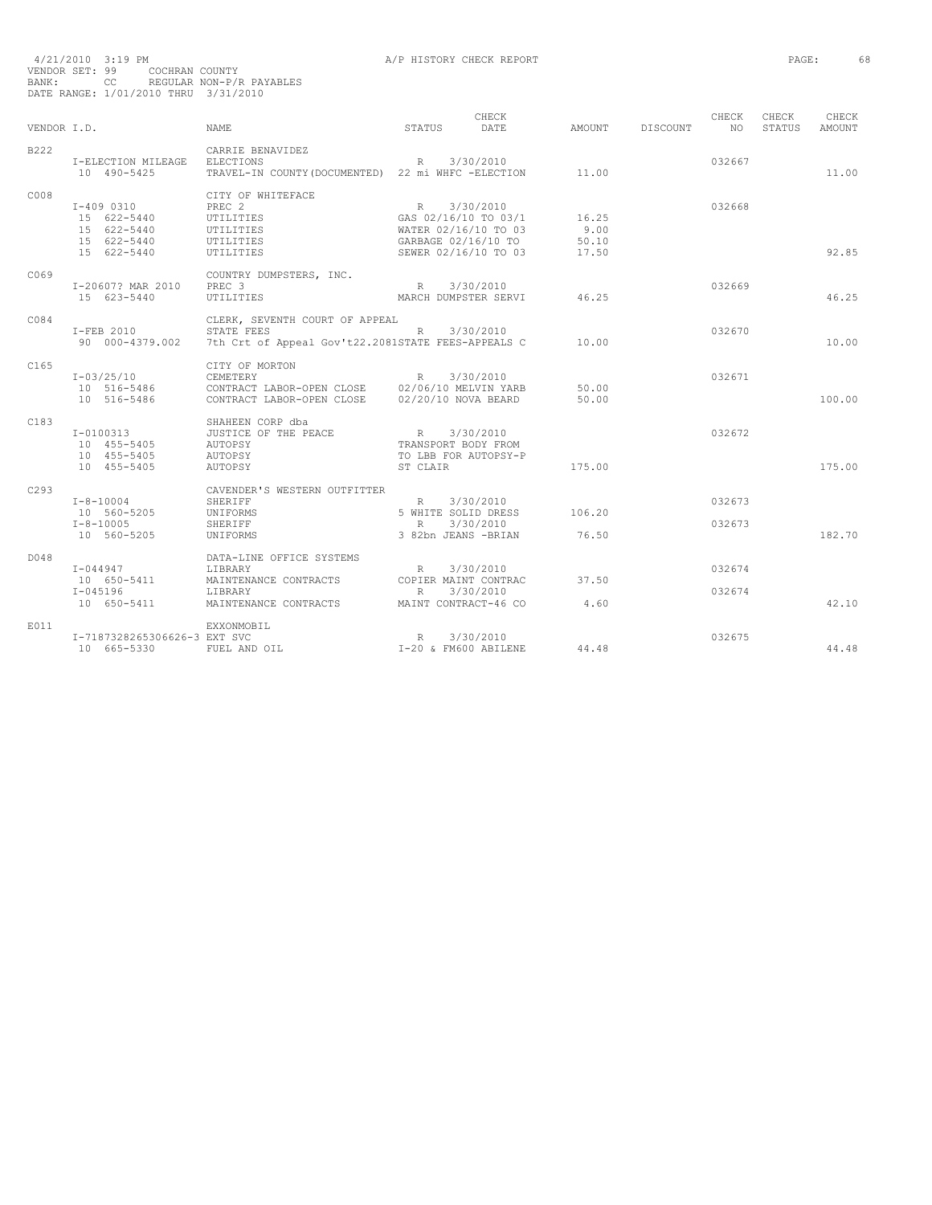| 4/21/2010 3:19 PM |     |                                      |
|-------------------|-----|--------------------------------------|
| VENDOR SET: 99    |     | COCHRAN COUNTY                       |
| BANK:             | CC. | REGULAR NON-P/R PAYABLES             |
|                   |     | DATE RANGE: 1/01/2010 THRU 3/31/2010 |

A/P HISTORY CHECK REPORT **PAGE:** 68

|             |                                                                                        |                                                                                                                                                                                                                                                                                                                                                                                                                         |                                                                        | CHECK                                                                              |                                   |          | CHECK            | CHECK  | CHECK         |
|-------------|----------------------------------------------------------------------------------------|-------------------------------------------------------------------------------------------------------------------------------------------------------------------------------------------------------------------------------------------------------------------------------------------------------------------------------------------------------------------------------------------------------------------------|------------------------------------------------------------------------|------------------------------------------------------------------------------------|-----------------------------------|----------|------------------|--------|---------------|
| VENDOR I.D. |                                                                                        | <b>NAME</b>                                                                                                                                                                                                                                                                                                                                                                                                             | STATUS                                                                 | <b>DATE</b>                                                                        | AMOUNT                            | DISCOUNT | N()              | STATUS | <b>AMOUNT</b> |
| B222        | I-ELECTION MILEAGE ELECTIONS<br>10 490-5425                                            | CARRIE BENAVIDEZ<br>$R = 3/30/2010$<br>TRAVEL-IN COUNTY (DOCUMENTED) 22 mi WHFC -ELECTION                                                                                                                                                                                                                                                                                                                               |                                                                        |                                                                                    | 11.00                             |          | 032667           |        | 11.00         |
| C008        | $I-4090310$<br>15 622-5440<br>15 622-5440<br>15 622-5440<br>15 622-5440<br>15 622-5440 | CITY OF WHITEFACE<br>PREC <sub>2</sub><br>TREU L<br>UTILITIES<br>UTILITIES<br>UTILITIES<br><b>UTILITIES</b>                                                                                                                                                                                                                                                                                                             | SEWER 02/16/10 TO 03                                                   | R 3/30/2010<br>GAS 02/16/10 TO 03/1<br>WATER 02/16/10 TO 03<br>GARBAGE 02/16/10 TO | 16.25<br>$9.00$<br>50.10<br>17.50 |          | 032668           |        | 92.85         |
| C069        | I-20607? MAR 2010<br>15 623-5440                                                       | COUNTRY DUMPSTERS, INC.<br>PREC <sub>3</sub><br><b>UTILITIES</b>                                                                                                                                                                                                                                                                                                                                                        |                                                                        | R 3/30/2010<br>MARCH DUMPSTER SERVI 46.25                                          |                                   |          | 032669           |        | 46.25         |
| C084        | I-FEB 2010                                                                             | CLERK, SEVENTH COURT OF APPEAL<br>STATE FEES                                                                                                                                                                                                                                                                                                                                                                            |                                                                        | R 3/30/2010                                                                        |                                   |          | 032670           |        | 10.00         |
| C165        |                                                                                        | CITY OF MORTON<br>$\begin{tabular}{lllllllll} \texttt{I}-03/25/10 & & & & & & & & & & \\ \texttt{I}-03/25/10 & & & & & & & & & & & \\ \texttt{I}-03/25/10 & & & & & & & & & & \\ \texttt{II}-0516-5486 & & & & & & & & & & \\ \texttt{II}-0516-5486 & & & & & & & & & & \\ \texttt{II}-0516-5486 & & & & & & & & & \\ \texttt{II}-0516-5486 & & & & & & & & & \\ \texttt{II}-0516-5486 & & & & & & & & & \\ \texttt{II$ |                                                                        |                                                                                    | 50.00<br>50.00                    |          | 032671           |        | 100.00        |
| C183        | $I - 0100313$<br>10 455-5405 AUTOPSY<br>10 455-5405 AUTOPSY<br>10 455-5405             | SHAHEEN CORP dba<br>JUSTICE OF THE PEACE<br>AUTOPSY<br>AUTOPSY                                                                                                                                                                                                                                                                                                                                                          | R 3/30/2010<br>TRANSPORT BODY FROM<br>TO LBB FOR AUTOPSY-P<br>ST CLAIR |                                                                                    | 175.00                            |          | 032672           |        | 175.00        |
| C293        | $I - 8 - 10004$<br>10 560-5205<br>$I - 8 - 10005$<br>10 560-5205                       | CAVENDER'S WESTERN OUTFITTER<br>SHERIFF<br>UNIFORMS<br>SHERIFF<br>UNIFORMS                                                                                                                                                                                                                                                                                                                                              | R 3/30/2010<br>5 WHITE SOLID DRESS<br>R<br>3 82bn JEANS -BRIAN         | 3/30/2010                                                                          | 106.20<br>76.50                   |          | 032673<br>032673 |        | 182.70        |
| D048        | $I - 045196$<br>10 650-5411                                                            | DATA-LINE OFFICE SYSTEMS<br>T-044947 LIBRARY R 3/30/2010<br>10 650-5411 MAINTENANCE CONTRACTS COPIER MAINT CONTRAC                                                                                                                                                                                                                                                                                                      |                                                                        |                                                                                    | 37.50<br>4.60                     |          | 032674<br>032674 |        | 42.10         |
| E011        | I-7187328265306626-3 EXT SVC<br>10 665-5330                                            | EXXONMOBIL<br>FUEL AND OIL                                                                                                                                                                                                                                                                                                                                                                                              | R<br>I-20 & FM600 ABILENE                                              | 3/30/2010                                                                          | 44.48                             |          | 032675           |        | 44.48         |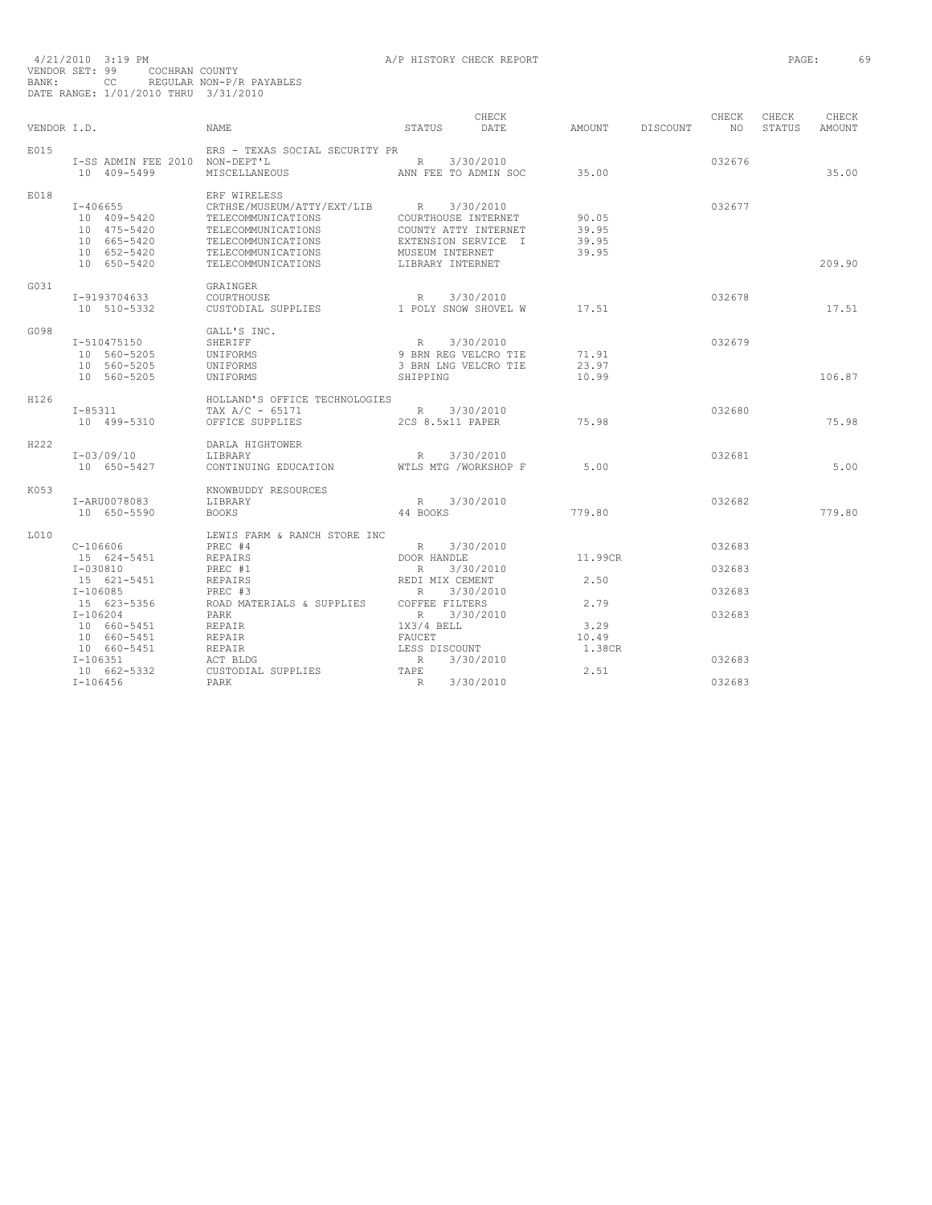| VENDOR I.D. |                                                                                         | NAME.                                                                                                                                    | STATUS                                                                                                         | CHECK<br>DATE | AMOUNT                           | DISCOUNT | CHECK<br>NO. | CHECK<br>STATUS | CHECK<br><b>AMOUNT</b> |
|-------------|-----------------------------------------------------------------------------------------|------------------------------------------------------------------------------------------------------------------------------------------|----------------------------------------------------------------------------------------------------------------|---------------|----------------------------------|----------|--------------|-----------------|------------------------|
| E015        | I-SS ADMIN FEE 2010 NON-DEPT'L<br>10 409-5499                                           | ERS - TEXAS SOCIAL SECURITY PR<br>MISCELLANEOUS                                                                                          | R<br>ANN FEE TO ADMIN SOC                                                                                      | 3/30/2010     | 35.00                            |          | 032676       |                 | 35.00                  |
| E018        |                                                                                         | ERF WIRELESS                                                                                                                             |                                                                                                                |               |                                  |          |              |                 |                        |
|             | $I - 406655$<br>10 409-5420<br>10 475-5420<br>10 665-5420<br>10 652-5420<br>10 650-5420 | CRTHSE/MUSEUM/ATTY/EXT/LIB<br>TELECOMMUNICATIONS<br>TELECOMMUNICATIONS<br>TELECOMMUNICATIONS<br>TELECOMMUNICATIONS<br>TELECOMMUNICATIONS | R<br>COURTHOUSE INTERNET<br>COUNTY ATTY INTERNET<br>EXTENSION SERVICE I<br>MUSEUM INTERNET<br>LIBRARY INTERNET | 3/30/2010     | 90.05<br>39.95<br>39.95<br>39.95 |          | 032677       |                 | 209.90                 |
|             |                                                                                         |                                                                                                                                          |                                                                                                                |               |                                  |          |              |                 |                        |
| G031        | I-9193704633<br>10 510-5332                                                             | GRAINGER<br>COURTHOUSE<br>CUSTODIAL SUPPLIES                                                                                             | $R_{\odot}$<br>1 POLY SNOW SHOVEL W                                                                            | 3/30/2010     | 17.51                            |          | 032678       |                 | 17.51                  |
| G098        | I-510475150<br>10 560-5205<br>10 560-5205<br>10 560-5205                                | GALL'S INC.<br>SHERIFF<br>UNIFORMS<br>UNIFORMS<br>UNIFORMS                                                                               | R<br>9 BRN REG VELCRO TIE<br>3 BRN LNG VELCRO TIE<br>SHIPPING                                                  | 3/30/2010     | 71.91<br>23.97<br>10.99          |          | 032679       |                 | 106.87                 |
| H126        |                                                                                         | HOLLAND'S OFFICE TECHNOLOGIES                                                                                                            |                                                                                                                |               |                                  |          |              |                 |                        |
|             | I-85311<br>10 499-5310                                                                  | TAX $A/C - 65171$<br>OFFICE SUPPLIES                                                                                                     | R 3/30/2010<br>2CS 8.5x11 PAPER                                                                                |               | 75.98                            |          | 032680       |                 | 75.98                  |
| H222        | I-03/09/10<br>10 650-5427                                                               | DARLA HIGHTOWER<br>LIBRARY<br>CONTINUING EDUCATION                                                                                       | R<br>WTLS MTG /WORKSHOP F                                                                                      | 3/30/2010     | 5.00                             |          | 032681       |                 | 5.00                   |
| K053        | I-ARU0078083<br>10 650-5590                                                             | KNOWBUDDY RESOURCES<br>LIBRARY<br><b>BOOKS</b>                                                                                           | R 3/30/2010<br>44 BOOKS                                                                                        |               | 779.80                           |          | 032682       |                 | 779.80                 |
| L010        | C-106606                                                                                | LEWIS FARM & RANCH STORE INC<br>PREC #4                                                                                                  | $R \sim$                                                                                                       | 3/30/2010     |                                  |          | 032683       |                 |                        |
|             | 15 624-5451<br>$I - 030810$<br>15 621-5451                                              | <b>REPAIRS</b><br>PREC #1<br><b>REPAIRS</b>                                                                                              | DOOR HANDLE<br>R<br>REDI MIX CEMENT                                                                            | 3/30/2010     | 11.99CR<br>2.50                  |          | 032683       |                 |                        |
|             | $I-106085$<br>15 623-5356                                                               | PREC #3<br>ROAD MATERIALS & SUPPLIES                                                                                                     | R<br>COFFEE FILTERS                                                                                            | 3/30/2010     | 2.79                             |          | 032683       |                 |                        |
|             | $I - 106204$<br>10 660-5451<br>10 660-5451                                              | PARK<br><b>REPAIR</b><br>REPAIR                                                                                                          | R<br>$1X3/4$ BELL<br>FAUCET                                                                                    | 3/30/2010     | 3.29<br>10.49                    |          | 032683       |                 |                        |
|             | 10 660-5451<br>$I-106351$<br>10 662-5332                                                | REPAIR<br>ACT BLDG<br>CUSTODIAL SUPPLIES                                                                                                 | LESS DISCOUNT<br>R<br>TAPE                                                                                     | 3/30/2010     | 1.38CR<br>2.51                   |          | 032683       |                 |                        |
|             | $I-106456$                                                                              | PARK                                                                                                                                     | R                                                                                                              | 3/30/2010     |                                  |          | 032683       |                 |                        |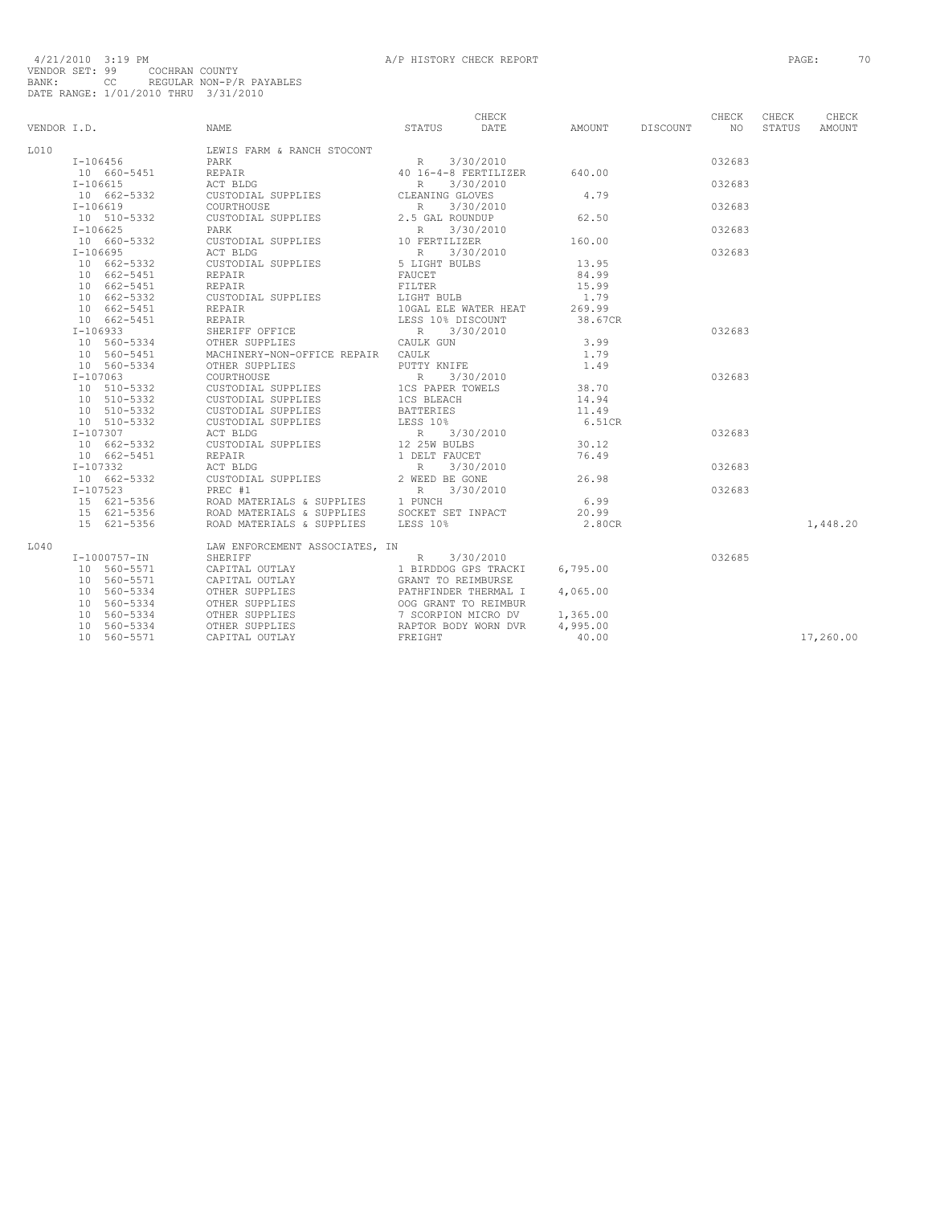| VENDOR I.D. |                                             | <b>NAME</b>                                                                                                                       | STATUS                                   | CHECK<br>DATE        | AMOUNT   | DISCOUNT | CHECK<br>NO <sub>N</sub> | CHECK<br>STATUS | CHECK<br>AMOUNT |
|-------------|---------------------------------------------|-----------------------------------------------------------------------------------------------------------------------------------|------------------------------------------|----------------------|----------|----------|--------------------------|-----------------|-----------------|
| L010        |                                             | LEWIS FARM & RANCH STOCONT                                                                                                        |                                          |                      |          |          |                          |                 |                 |
|             | I-106456                                    | PARK                                                                                                                              | R                                        | 3/30/2010            |          |          | 032683                   |                 |                 |
|             | 10 660-5451                                 | REPAIR                                                                                                                            | 40 16-4-8 FERTILIZER                     |                      | 640.00   |          |                          |                 |                 |
| $I-106615$  |                                             | ACT BLDG                                                                                                                          | R                                        | 3/30/2010            |          |          | 032683                   |                 |                 |
|             |                                             |                                                                                                                                   |                                          |                      | 4.79     |          |                          |                 |                 |
|             | 10 662-5332                                 | CUSTODIAL SUPPLIES                                                                                                                | CLEANING GLOVES                          |                      |          |          |                          |                 |                 |
| $I-106619$  |                                             | COURTHOUSE<br>CUSTODIAL SUPPLIES                                                                                                  | R<br>2.5 GAL ROUNDUP                     | 3/30/2010            | 62.50    |          | 032683                   |                 |                 |
|             | 10 510-5332                                 |                                                                                                                                   |                                          |                      |          |          |                          |                 |                 |
| $I-106625$  |                                             | PARK                                                                                                                              | R<br>10 FERTILIZER                       | 3/30/2010            |          |          | 032683                   |                 |                 |
|             | 10 660-5332                                 | CUSTODIAL SUPPLIES                                                                                                                |                                          |                      | 160.00   |          |                          |                 |                 |
| I-106695    |                                             | ACT BLDG                                                                                                                          | R 3/30/2<br>5 LIGHT BULBS                | 3/30/2010            |          |          | 032683                   |                 |                 |
|             | 10 662-5332                                 | CUSTODIAL SUPPLIES                                                                                                                |                                          |                      | 13.95    |          |                          |                 |                 |
|             | 10 662-5451                                 | REPAIR                                                                                                                            | FAUCET                                   |                      | 84.99    |          |                          |                 |                 |
|             | 10 662-5451                                 | REPAIR                                                                                                                            | FILTER                                   |                      | 15.99    |          |                          |                 |                 |
|             | $10 662 - 5332$                             | CUSTODIAL SUPPLIES                                                                                                                | LIGHT BULB                               |                      | 1.79     |          |                          |                 |                 |
|             | 10 662-5451                                 | REPAIR                                                                                                                            |                                          | 10GAL ELE WATER HEAT | 269.99   |          |                          |                 |                 |
|             | 10 662-5451                                 | REPAIR                                                                                                                            | LUGAL LIL<br>LESS 10% DISCOUNT           |                      | 38.67CR  |          |                          |                 |                 |
| $I-106933$  |                                             | SHERIFF OFFICE                                                                                                                    | R 3/30/2010                              |                      |          |          | 032683                   |                 |                 |
|             | 10 560-5334                                 | OTHER SUPPLIES                                                                                                                    | CAULK GUN                                |                      | 3.99     |          |                          |                 |                 |
|             | 10 560-5451                                 | MACHINERY-NON-OFFICE REPAIR CAULK                                                                                                 |                                          |                      | 1.79     |          |                          |                 |                 |
|             | 10 560-5334                                 | OTHER SUPPLIES                                                                                                                    | PUTTY KNIFE                              |                      | 1.49     |          |                          |                 |                 |
| $I-107063$  |                                             | COURTHOUSE                                                                                                                        | R 3/30/2010                              |                      |          |          | 032683                   |                 |                 |
|             | $1 - 10$ / $00 - 5332$<br>$10 - 510 - 5332$ | CUSTODIAL SUPPLIES                                                                                                                |                                          |                      | 38.70    |          |                          |                 |                 |
|             | 10 510-5332                                 | CUSTODIAL SUPPLIES                                                                                                                | 1CS PAPER TOWELS<br>1CS BLEACH           |                      | 14.94    |          |                          |                 |                 |
|             | 10 510-5332                                 | CUSTODIAL SUPPLIES                                                                                                                | <b>BATTERIES</b>                         |                      | 11.49    |          |                          |                 |                 |
|             | 10 510-5332                                 | CUSTODIAL SUPPLIES                                                                                                                |                                          |                      | 6.51CR   |          |                          |                 |                 |
| $I-107307$  |                                             | ACT BLDG                                                                                                                          | LESS $10\%$<br>R 3/30/2010               |                      |          |          | 032683                   |                 |                 |
|             | 10 662-5332                                 | CUSTODIAL SUPPLIES                                                                                                                |                                          |                      | 30.12    |          |                          |                 |                 |
|             | 10 662-5451                                 | REPAIR                                                                                                                            | 12 25W BULBS<br>1 DELT FAUCET            |                      | 76.49    |          |                          |                 |                 |
| I-107332    |                                             | ACT BLDG                                                                                                                          |                                          | 3/30/2010            |          |          | 032683                   |                 |                 |
|             | 10 662-5332                                 | CUSTODIAL SUPPLIES                                                                                                                | R 3/30/20<br>2 WEED BE GONE<br>R 3/30/20 |                      | 26.98    |          |                          |                 |                 |
| $I-107523$  |                                             | PREC #1                                                                                                                           |                                          | 3/30/2010            |          |          | 032683                   |                 |                 |
|             |                                             | $P_{\text{ROD}}$ MATERIALS & SUPPLIES 1 PUNCH<br>ROAD MATERIALS & SUPPLIES 1 PUNCH<br>ROAD MATERIALS & SUPPLIES 50CKET SET INPACT |                                          |                      | 6.99     |          |                          |                 |                 |
|             | 15 621-5356<br>15 621-5356                  |                                                                                                                                   |                                          |                      | 20.99    |          |                          |                 |                 |
|             | 15 621-5356                                 | ROAD MATERIALS & SUPPLIES LESS 10%                                                                                                |                                          |                      | 2.80CR   |          |                          |                 | 1,448.20        |
|             |                                             |                                                                                                                                   |                                          |                      |          |          |                          |                 |                 |
| L040        |                                             | LAW ENFORCEMENT ASSOCIATES, IN                                                                                                    |                                          |                      |          |          |                          |                 |                 |
|             | I-1000757-IN                                | SHERIFF                                                                                                                           | R                                        | 3/30/2010            |          |          | 032685                   |                 |                 |
|             | 10 560-5571                                 | CAPITAL OUTLAY                                                                                                                    | 1 BIRDDOG GPS TRACKI                     |                      | 6,795.00 |          |                          |                 |                 |
|             | 10 560-5571                                 | CAPITAL OUTLAY                                                                                                                    | GRANT TO REIMBURSE                       |                      |          |          |                          |                 |                 |
|             | 10 560-5334                                 | OTHER SUPPLIES                                                                                                                    | PATHFINDER THERMAL I                     |                      | 4,065.00 |          |                          |                 |                 |
|             | 10 560-5334                                 | OTHER SUPPLIES                                                                                                                    | OOG GRANT TO REIMBUR                     |                      |          |          |                          |                 |                 |
|             | 10 560-5334                                 | OTHER SUPPLIES                                                                                                                    | 7 SCORPION MICRO DV                      |                      | 1,365.00 |          |                          |                 |                 |
|             | 10 560-5334                                 | OTHER SUPPLIES                                                                                                                    | RAPTOR BODY WORN DVR                     |                      | 4,995.00 |          |                          |                 |                 |
|             | 10 560-5571                                 | CAPITAL OUTLAY                                                                                                                    | FREIGHT                                  |                      | 40.00    |          |                          |                 | 17,260.00       |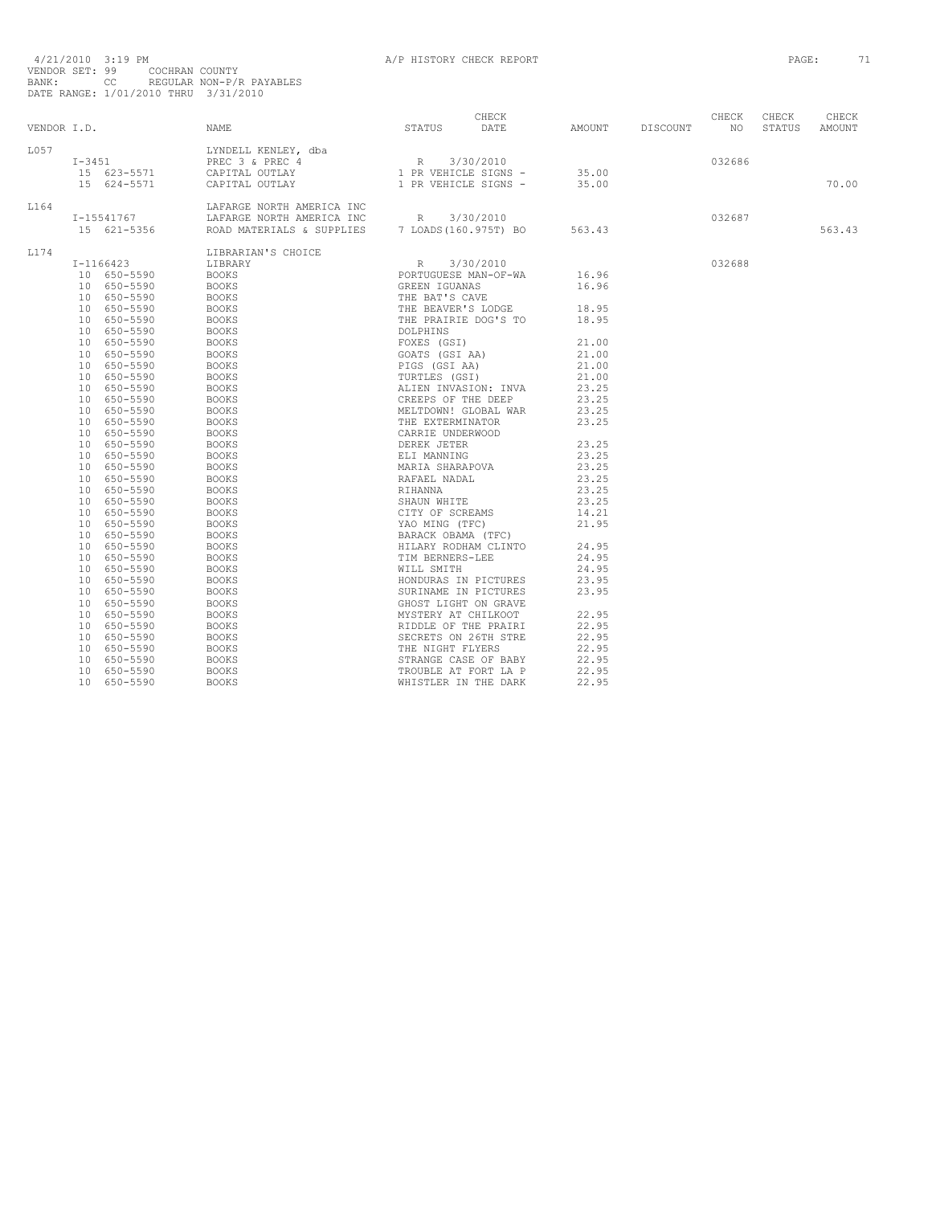| VENDOR I.D. |                 |             | CHECK<br>STATUS DATE<br>NAME                                                                                                                                                                                                                                            |             | AMOUNT DISCOUNT | CHECK<br>NO <sub>1</sub> | CHECK<br>STATUS | CHECK<br>AMOUNT |
|-------------|-----------------|-------------|-------------------------------------------------------------------------------------------------------------------------------------------------------------------------------------------------------------------------------------------------------------------------|-------------|-----------------|--------------------------|-----------------|-----------------|
|             |                 |             |                                                                                                                                                                                                                                                                         |             |                 |                          |                 |                 |
| L057        |                 |             |                                                                                                                                                                                                                                                                         |             |                 |                          |                 |                 |
|             |                 |             |                                                                                                                                                                                                                                                                         |             |                 | 032686                   |                 |                 |
|             |                 |             |                                                                                                                                                                                                                                                                         |             |                 |                          |                 |                 |
|             |                 |             | 1931 - 1945<br>1988 - 1972 - 1988 - 1989 - 1989 - 1989 - 1989 - 1989 - 1989 - 1989 - 1989 - 1989 - 1989 - 1989 - 1989 - 1989 - 1989 - 1989 - 1989 - 1989 - 1989 - 1989 - 1989 - 1989 - 1989 - 1989 - 1989 - 1989 - 1989 - 1989 -                                        |             |                 |                          |                 | 70.00           |
| L164        |                 |             |                                                                                                                                                                                                                                                                         |             |                 |                          |                 |                 |
|             |                 | I-15541767  |                                                                                                                                                                                                                                                                         |             |                 | 032687                   |                 |                 |
|             |                 | 15 621-5356 |                                                                                                                                                                                                                                                                         |             |                 |                          |                 | 563.43          |
| L174        |                 |             | LIBRARIAN'S CHOICE                                                                                                                                                                                                                                                      |             |                 |                          |                 |                 |
|             |                 | I-1166423   | LIBRARY                                                                                                                                                                                                                                                                 | R 3/30/2010 |                 | 032688                   |                 |                 |
|             |                 | 10 650-5590 | <b>BOOKS</b>                                                                                                                                                                                                                                                            |             |                 |                          |                 |                 |
|             |                 | 10 650-5590 | <b>BOOKS</b>                                                                                                                                                                                                                                                            |             |                 |                          |                 |                 |
|             |                 | 10 650-5590 | BOOKS                                                                                                                                                                                                                                                                   |             |                 |                          |                 |                 |
|             |                 | 10 650-5590 | <b>BOOKS</b>                                                                                                                                                                                                                                                            |             |                 |                          |                 |                 |
|             |                 | 10 650-5590 | <b>BOOKS</b>                                                                                                                                                                                                                                                            |             |                 |                          |                 |                 |
|             |                 | 10 650-5590 | <b>BOOKS</b>                                                                                                                                                                                                                                                            |             |                 |                          |                 |                 |
|             |                 | 10 650-5590 | <b>BOOKS</b>                                                                                                                                                                                                                                                            |             |                 |                          |                 |                 |
|             |                 | 10 650-5590 | <b>BOOKS</b>                                                                                                                                                                                                                                                            |             |                 |                          |                 |                 |
|             |                 | 10 650-5590 | <b>BOOKS</b>                                                                                                                                                                                                                                                            |             |                 |                          |                 |                 |
|             |                 | 10 650-5590 | BOOKS                                                                                                                                                                                                                                                                   |             |                 |                          |                 |                 |
|             |                 | 10 650-5590 | <b>BOOKS</b>                                                                                                                                                                                                                                                            |             |                 |                          |                 |                 |
|             |                 | 10 650-5590 | <b>BOOKS</b>                                                                                                                                                                                                                                                            |             |                 |                          |                 |                 |
|             |                 | 10 650-5590 | <b>BOOKS</b>                                                                                                                                                                                                                                                            |             |                 |                          |                 |                 |
|             |                 | 10 650-5590 | <b>BOOKS</b>                                                                                                                                                                                                                                                            |             |                 |                          |                 |                 |
|             |                 | 10 650-5590 | BOOKS                                                                                                                                                                                                                                                                   |             |                 |                          |                 |                 |
|             |                 | 10 650-5590 | <b>BOOKS</b>                                                                                                                                                                                                                                                            |             |                 |                          |                 |                 |
|             |                 | 10 650-5590 | BOOKS                                                                                                                                                                                                                                                                   |             |                 |                          |                 |                 |
|             |                 | 10 650-5590 | BOOKS                                                                                                                                                                                                                                                                   |             |                 |                          |                 |                 |
|             |                 | 10 650-5590 | <b>BOOKS</b>                                                                                                                                                                                                                                                            |             |                 |                          |                 |                 |
|             |                 | 10 650-5590 | <b>BOOKS</b>                                                                                                                                                                                                                                                            |             |                 |                          |                 |                 |
|             |                 | 10 650-5590 | <b>BOOKS</b>                                                                                                                                                                                                                                                            |             |                 |                          |                 |                 |
|             |                 | 10 650-5590 | <b>BOOKS</b>                                                                                                                                                                                                                                                            |             |                 |                          |                 |                 |
|             |                 | 10 650-5590 | <b>BOOKS</b>                                                                                                                                                                                                                                                            |             |                 |                          |                 |                 |
|             |                 | 10 650-5590 | <b>BOOKS</b>                                                                                                                                                                                                                                                            |             |                 |                          |                 |                 |
|             |                 | 10 650-5590 | <b>BOOKS</b>                                                                                                                                                                                                                                                            |             |                 |                          |                 |                 |
|             |                 | 10 650-5590 | <b>BOOKS</b>                                                                                                                                                                                                                                                            |             |                 |                          |                 |                 |
|             |                 | 10 650-5590 | <b>BOOKS</b>                                                                                                                                                                                                                                                            |             |                 |                          |                 |                 |
|             |                 | 10 650-5590 | <b>BOOKS</b>                                                                                                                                                                                                                                                            |             |                 |                          |                 |                 |
|             |                 | 10 650-5590 | <b>BOOKS</b>                                                                                                                                                                                                                                                            |             |                 |                          |                 |                 |
|             | 10              | 650-5590    | <b>BOOKS</b>                                                                                                                                                                                                                                                            |             |                 |                          |                 |                 |
|             | 10 <sup>1</sup> | 650-5590    | RY R 3/30/2010<br>REBER IGUANAS<br>PORTUGUESE MAN-OF-WA<br>THE BART'S CAVE<br>THE BART'S CAVE<br>THE BARTENE LODGE<br>THE BARTER DOCS<br>THE BARTER DOCS<br>THE PRAIRIE DOCS TO<br>18.95<br>DOLPHINE<br>THE PRAIRIE DOCS TO<br>TOLPHINE (STI AA)<br>PIO<br><b>BOOKS</b> |             |                 |                          |                 |                 |
|             |                 | 10 650-5590 | <b>BOOKS</b>                                                                                                                                                                                                                                                            |             |                 |                          |                 |                 |
|             | 10              | 650-5590    | <b>BOOKS</b>                                                                                                                                                                                                                                                            |             |                 |                          |                 |                 |
|             |                 | 10 650-5590 | <b>BOOKS</b>                                                                                                                                                                                                                                                            |             |                 |                          |                 |                 |
|             | 10              | 650-5590    | <b>BOOKS</b>                                                                                                                                                                                                                                                            |             |                 |                          |                 |                 |
|             | 10              | 650-5590    | <b>BOOKS</b>                                                                                                                                                                                                                                                            |             |                 |                          |                 |                 |
|             |                 | 10 650-5590 | <b>BOOKS</b>                                                                                                                                                                                                                                                            |             |                 |                          |                 |                 |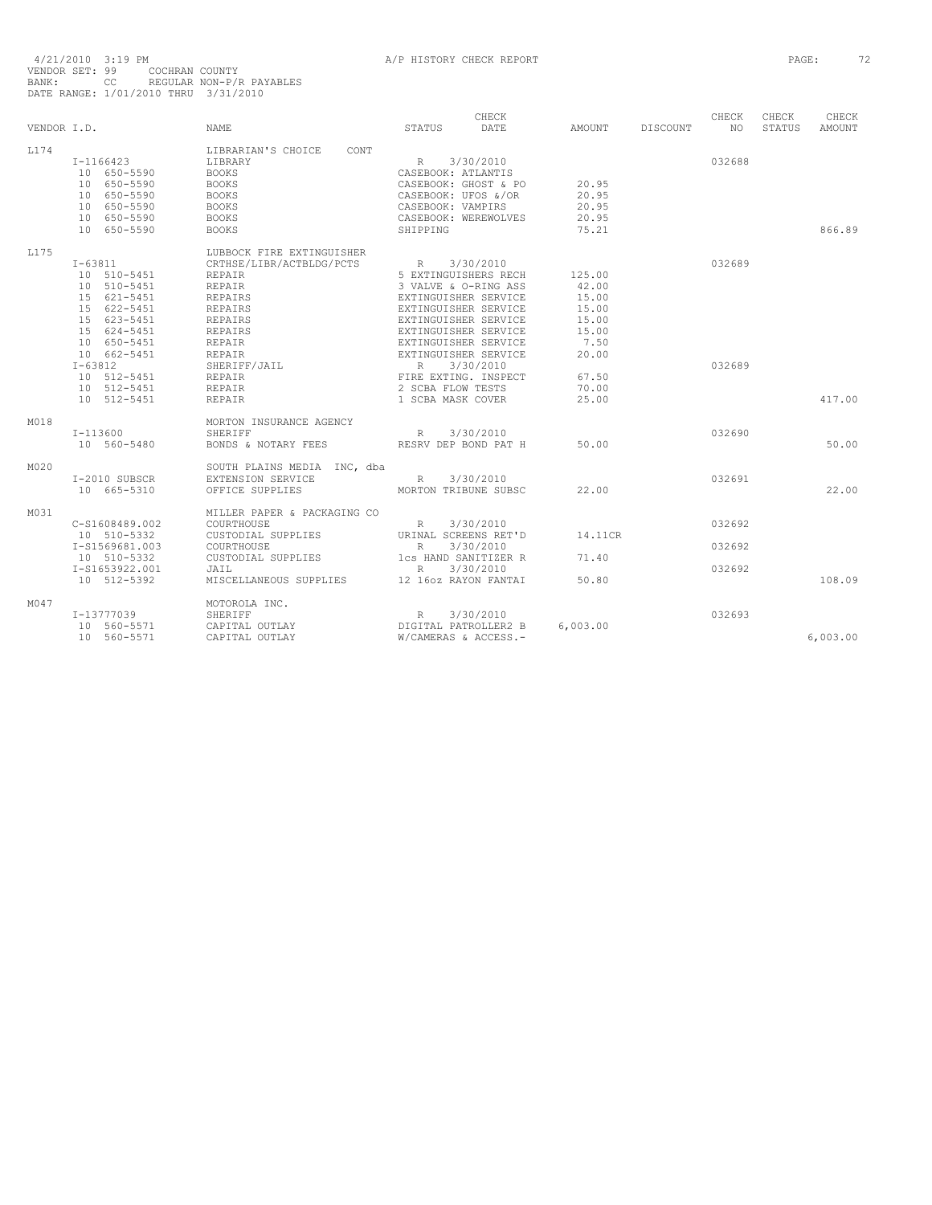| VENDOR I.D. |                            | <b>NAME</b>                      | CHECK<br>DATE<br>STATUS                      | AMOUNT   | DISCOUNT | CHECK<br>NO | CHECK<br>STATUS | CHECK<br>AMOUNT |
|-------------|----------------------------|----------------------------------|----------------------------------------------|----------|----------|-------------|-----------------|-----------------|
| L174        |                            | LIBRARIAN'S CHOICE<br>CONT       |                                              |          |          |             |                 |                 |
|             | I-1166423                  | LIBRARY                          | 3/30/2010<br>R                               |          |          | 032688      |                 |                 |
|             | 10 650-5590                | <b>BOOKS</b>                     | CASEBOOK: ATLANTIS                           |          |          |             |                 |                 |
|             | 10 650-5590                | <b>BOOKS</b>                     | CASEBOOK: GHOST & PO                         | 20.95    |          |             |                 |                 |
|             | 10 650-5590                | <b>BOOKS</b>                     | CASEBOOK: UFOS &/OR                          | 20.95    |          |             |                 |                 |
|             | 10 650-5590                | <b>BOOKS</b>                     | CASEBOOK: VAMPIRS                            | 20.95    |          |             |                 |                 |
|             | 10 650-5590                | <b>BOOKS</b>                     | CASEBOOK: WEREWOLVES                         | 20.95    |          |             |                 |                 |
|             | 10 650-5590                | <b>BOOKS</b>                     | SHIPPING                                     | 75.21    |          |             |                 | 866.89          |
| L175        |                            | LUBBOCK FIRE EXTINGUISHER        |                                              |          |          |             |                 |                 |
|             | $I - 63811$                | CRTHSE/LIBR/ACTBLDG/PCTS         | 3/30/2010<br>R                               |          |          | 032689      |                 |                 |
|             | 10 510-5451                | <b>REPAIR</b>                    | 5 EXTINGUISHERS RECH                         | 125.00   |          |             |                 |                 |
|             | 10 510-5451                | REPAIR                           | 3 VALVE & O-RING ASS                         | 42.00    |          |             |                 |                 |
|             | 15 621-5451                | REPAIRS                          | EXTINGUISHER SERVICE                         | 15.00    |          |             |                 |                 |
|             | 15 622-5451                | REPAIRS                          | EXTINGUISHER SERVICE                         | 15.00    |          |             |                 |                 |
|             | 15 623-5451                | REPAIRS                          | EXTINGUISHER SERVICE                         | 15.00    |          |             |                 |                 |
|             | 15 624-5451                | <b>REPAIRS</b>                   | EXTINGUISHER SERVICE                         | 15.00    |          |             |                 |                 |
|             | 10 650-5451                | REPAIR                           | EXTINGUISHER SERVICE                         | 7.50     |          |             |                 |                 |
|             | 10 662-5451                | REPAIR                           | EXTINGUISHER SERVICE                         | 20.00    |          |             |                 |                 |
|             | $I - 63812$                | SHERIFF/JAIL                     | 3/30/2010<br>R                               |          |          | 032689      |                 |                 |
|             | 10 512-5451                | <b>REPAIR</b>                    | FIRE EXTING. INSPECT                         | 67.50    |          |             |                 |                 |
|             | 10 512-5451                | REPAIR                           | 2 SCBA FLOW TESTS                            | 70.00    |          |             |                 |                 |
|             | 10 512-5451                | <b>REPAIR</b>                    | 1 SCBA MASK COVER                            | 25.00    |          |             |                 | 417.00          |
| M018        |                            | MORTON INSURANCE AGENCY          |                                              |          |          |             |                 |                 |
|             | $I-113600$                 | <b>SHERIFF</b>                   | R<br>3/30/2010                               |          |          | 032690      |                 |                 |
|             | 10 560-5480                | BONDS & NOTARY FEES              | RESRV DEP BOND PAT H                         | 50.00    |          |             |                 | 50.00           |
| M020        |                            | SOUTH PLAINS MEDIA INC, dba      |                                              |          |          |             |                 |                 |
|             | I-2010 SUBSCR              | EXTENSION SERVICE                | R 3/30/2010                                  |          |          | 032691      |                 |                 |
|             | 10 665-5310                | OFFICE SUPPLIES                  | MORTON TRIBUNE SUBSC                         | 22.00    |          |             |                 | 22.00           |
| MO31        |                            | MILLER PAPER & PACKAGING CO      |                                              |          |          |             |                 |                 |
|             | C-S1608489.002             | COURTHOUSE                       | 3/30/2010<br>R                               |          |          | 032692      |                 |                 |
|             | 10 510-5332                | CUSTODIAL SUPPLIES               | URINAL SCREENS RET'D                         | 14.11CR  |          |             |                 |                 |
|             | I-S1569681.003             | COURTHOUSE                       | 3/30/2010<br>R                               |          |          | 032692      |                 |                 |
|             | 10 510-5332                | CUSTODIAL SUPPLIES               | 1cs HAND SANITIZER R                         | 71.40    |          |             |                 |                 |
|             | I-S1653922.001             | JAIL                             | 3/30/2010<br>R                               |          |          | 032692      |                 |                 |
|             | 10 512-5392                | MISCELLANEOUS SUPPLIES           | 12 160z RAYON FANTAI                         | 50.80    |          |             |                 | 108.09          |
| M047        |                            | MOTOROLA INC.                    |                                              |          |          | 032693      |                 |                 |
|             | I-13777039                 | <b>SHERIFF</b>                   | 3/30/2010<br>$R_{\odot}$                     |          |          |             |                 |                 |
|             | 10 560-5571<br>10 560-5571 | CAPITAL OUTLAY<br>CAPITAL OUTLAY | DIGITAL PATROLLER2 B<br>W/CAMERAS & ACCESS.- | 6,003.00 |          |             |                 | 6.003.00        |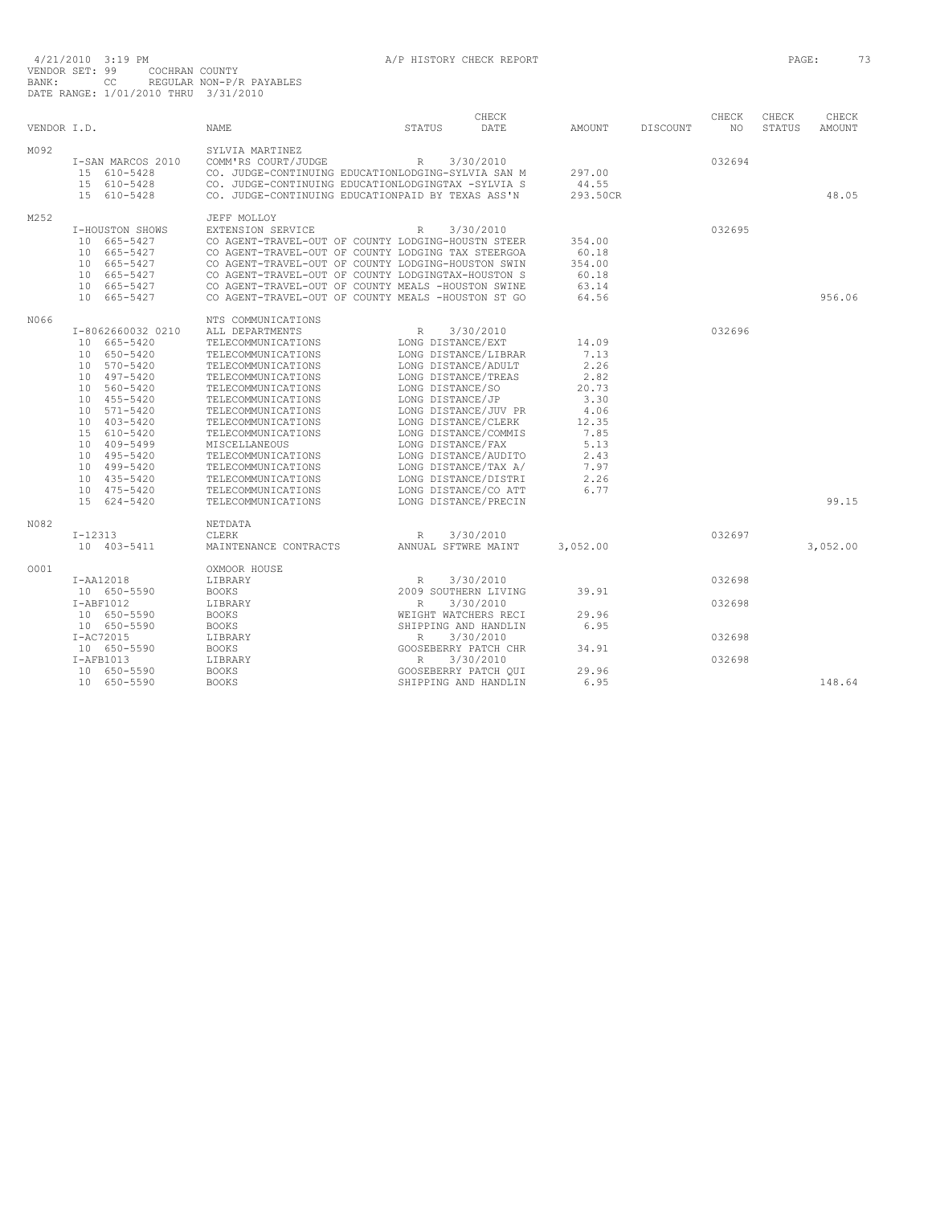|             |                   |                                                    |                      | CHECK     |               |                 | CHECK  | CHECK         | CHECK         |
|-------------|-------------------|----------------------------------------------------|----------------------|-----------|---------------|-----------------|--------|---------------|---------------|
| VENDOR I.D. |                   | <b>NAME</b>                                        | <b>STATUS</b>        | DATE      | <b>AMOUNT</b> | <b>DISCOUNT</b> | NO.    | <b>STATUS</b> | <b>AMOUNT</b> |
| M092        |                   | SYLVIA MARTINEZ                                    |                      |           |               |                 |        |               |               |
|             | I-SAN MARCOS 2010 | COMM'RS COURT/JUDGE                                | R                    | 3/30/2010 |               |                 | 032694 |               |               |
|             | 15 610-5428       | CO. JUDGE-CONTINUING EDUCATIONLODGING-SYLVIA SAN M |                      |           | 297.00        |                 |        |               |               |
|             | 15 610-5428       | CO. JUDGE-CONTINUING EDUCATIONLODGINGTAX -SYLVIA S |                      |           | 44.55         |                 |        |               |               |
|             | 15 610-5428       | CO. JUDGE-CONTINUING EDUCATIONPAID BY TEXAS ASS'N  |                      |           | 293.50CR      |                 |        |               | 48.05         |
|             |                   |                                                    |                      |           |               |                 |        |               |               |
| M252        |                   | JEFF MOLLOY                                        |                      |           |               |                 |        |               |               |
|             | I-HOUSTON SHOWS   | EXTENSION SERVICE                                  | R                    | 3/30/2010 |               |                 | 032695 |               |               |
|             | 10 665-5427       | CO AGENT-TRAVEL-OUT OF COUNTY LODGING-HOUSTN STEER |                      |           | 354.00        |                 |        |               |               |
|             | 10 665-5427       | CO AGENT-TRAVEL-OUT OF COUNTY LODGING TAX STEERGOA |                      |           | 60.18         |                 |        |               |               |
|             | 10 665-5427       | CO AGENT-TRAVEL-OUT OF COUNTY LODGING-HOUSTON SWIN |                      |           | 354.00        |                 |        |               |               |
|             | 10 665-5427       | CO AGENT-TRAVEL-OUT OF COUNTY LODGINGTAX-HOUSTON S |                      |           | 60.18         |                 |        |               |               |
|             | 10 665-5427       | CO AGENT-TRAVEL-OUT OF COUNTY MEALS -HOUSTON SWINE |                      |           | 63.14         |                 |        |               |               |
|             | 10 665-5427       | CO AGENT-TRAVEL-OUT OF COUNTY MEALS -HOUSTON ST GO |                      |           | 64.56         |                 |        |               | 956.06        |
| N066        |                   | NTS COMMUNICATIONS                                 |                      |           |               |                 |        |               |               |
|             | I-8062660032 0210 | ALL DEPARTMENTS                                    | $\mathbb{R}$         | 3/30/2010 |               |                 | 032696 |               |               |
|             | 10 665-5420       | TELECOMMUNICATIONS                                 | LONG DISTANCE/EXT    |           | 14.09         |                 |        |               |               |
|             | 10 650-5420       | TELECOMMUNICATIONS                                 | LONG DISTANCE/LIBRAR |           | 7.13          |                 |        |               |               |
|             | 10 570-5420       | TELECOMMUNICATIONS                                 | LONG DISTANCE/ADULT  |           | 2.26          |                 |        |               |               |
|             | 10 497-5420       | TELECOMMUNICATIONS                                 | LONG DISTANCE/TREAS  |           | 2.82          |                 |        |               |               |
|             | 10 560-5420       | TELECOMMUNICATIONS                                 | LONG DISTANCE/SO     |           | 20.73         |                 |        |               |               |
|             | 10 455-5420       | TELECOMMUNICATIONS                                 | LONG DISTANCE/JP     |           | 3.30          |                 |        |               |               |
|             | 10 571-5420       | TELECOMMUNICATIONS                                 | LONG DISTANCE/JUV PR |           | 4.06          |                 |        |               |               |
|             | 10 403-5420       | TELECOMMUNICATIONS                                 | LONG DISTANCE/CLERK  |           | 12.35         |                 |        |               |               |
|             | 15 610-5420       | TELECOMMUNICATIONS                                 | LONG DISTANCE/COMMIS |           | 7.85          |                 |        |               |               |
|             | 10 409-5499       | MISCELLANEOUS                                      | LONG DISTANCE/FAX    |           | 5.13          |                 |        |               |               |
|             | 10 495-5420       | TELECOMMUNICATIONS                                 | LONG DISTANCE/AUDITO |           | 2.43          |                 |        |               |               |
|             | 10 499-5420       | TELECOMMUNICATIONS                                 | LONG DISTANCE/TAX A/ |           | 7.97          |                 |        |               |               |
|             | 10 435-5420       | TELECOMMUNICATIONS                                 | LONG DISTANCE/DISTRI |           | 2.26          |                 |        |               |               |
|             | 10 475-5420       | TELECOMMUNICATIONS                                 | LONG DISTANCE/CO ATT |           | 6.77          |                 |        |               |               |
|             | 15 624-5420       | TELECOMMUNICATIONS                                 | LONG DISTANCE/PRECIN |           |               |                 |        |               | 99.15         |
| N082        |                   | NETDATA                                            |                      |           |               |                 |        |               |               |
|             | $I-12313$         | CLERK                                              | R                    | 3/30/2010 |               |                 | 032697 |               |               |
|             | 10 403-5411       | MAINTENANCE CONTRACTS                              | ANNUAL SFTWRE MAINT  |           | 3,052.00      |                 |        |               | 3,052.00      |
|             |                   |                                                    |                      |           |               |                 |        |               |               |
| 0001        |                   | OXMOOR HOUSE                                       |                      |           |               |                 |        |               |               |
|             | I-AA12018         | LIBRARY                                            | $\mathbb{R}$         | 3/30/2010 |               |                 | 032698 |               |               |
|             | 10 650-5590       | <b>BOOKS</b>                                       | 2009 SOUTHERN LIVING |           | 39.91         |                 |        |               |               |
|             | $I-ABF1012$       | LIBRARY                                            | $\mathbb{R}$         | 3/30/2010 |               |                 | 032698 |               |               |
|             | 10 650-5590       | <b>BOOKS</b>                                       | WEIGHT WATCHERS RECI |           | 29.96         |                 |        |               |               |
|             | 10 650-5590       | <b>BOOKS</b>                                       | SHIPPING AND HANDLIN |           | 6.95          |                 |        |               |               |
|             | I-AC72015         | LIBRARY                                            | $\mathbb{R}$         | 3/30/2010 | 34.91         |                 | 032698 |               |               |
|             | 10 650-5590       | <b>BOOKS</b>                                       | GOOSEBERRY PATCH CHR |           |               |                 |        |               |               |
|             | $I-AFB1013$       | LIBRARY                                            | $\mathbb{R}$         | 3/30/2010 |               |                 | 032698 |               |               |
|             | 10 650-5590       | <b>BOOKS</b>                                       | GOOSEBERRY PATCH OUI |           | 29.96         |                 |        |               |               |
|             | 10 650-5590       | <b>BOOKS</b>                                       | SHIPPING AND HANDLIN |           | 6.95          |                 |        |               | 148.64        |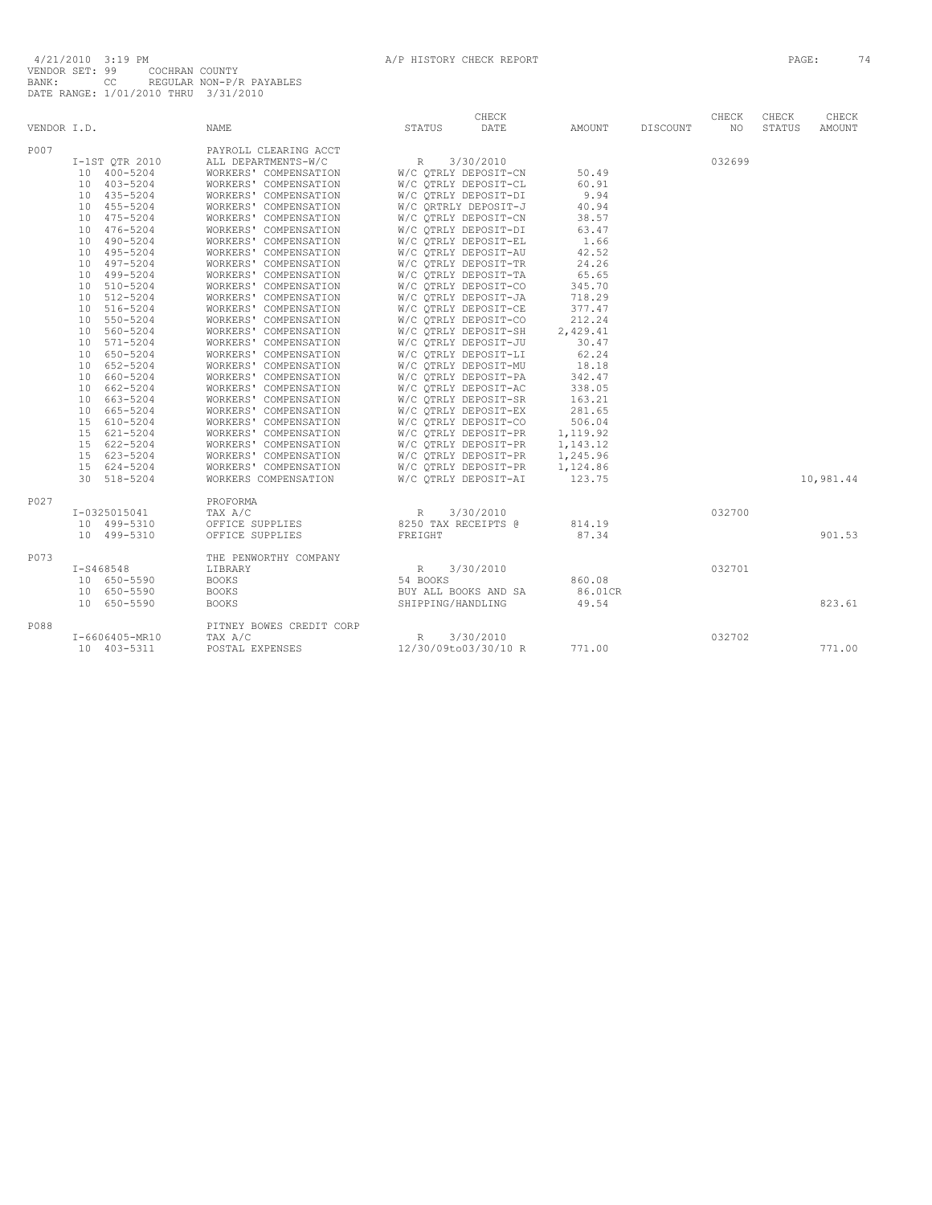|             |                                                 |                                                                                                                                                                                | CHECK                                                              |          |          | CHECK  | CHECK  | CHECK     |
|-------------|-------------------------------------------------|--------------------------------------------------------------------------------------------------------------------------------------------------------------------------------|--------------------------------------------------------------------|----------|----------|--------|--------|-----------|
| VENDOR I.D. |                                                 | NAME                                                                                                                                                                           | STATUS<br>DATE                                                     | AMOUNT   | DISCOUNT | NO.    | STATUS | AMOUNT    |
| P007        |                                                 | PAYROLL CLEARING ACCT                                                                                                                                                          |                                                                    |          |          |        |        |           |
|             | $I-1STQTR2010$                                  | ALL DEPARTMENTS-W/C                                                                                                                                                            |                                                                    |          |          | 032699 |        |           |
|             |                                                 |                                                                                                                                                                                |                                                                    | 50.49    |          |        |        |           |
|             |                                                 |                                                                                                                                                                                |                                                                    | 60.91    |          |        |        |           |
|             | $10 400 - 5204$ $10 403 - 5204$ $10 435 - 5204$ | ALL DEPARTMENTS-W/C<br>MORKERS' COMPENSATION W/C QTRLY DEPOSIT-CN 50.49<br>WORKERS' COMPENSATION W/C QTRLY DEPOSIT-CL 60.91<br>WORKERS' COMPENSATION W/C QTRLY DEPOSIT-DI 9.94 |                                                                    | 9.94     |          |        |        |           |
|             | 10 455-5204                                     | WORKERS' COMPENSATION                                                                                                                                                          |                                                                    | 40.94    |          |        |        |           |
|             | 10 475-5204                                     | WORKERS' COMPENSATION                                                                                                                                                          | W/C QRTRLY DEPOSIT-J<br>W/C QTRLY DEPOSIT-CN                       | 38.57    |          |        |        |           |
|             | 10 476-5204                                     | WORKERS' COMPENSATION                                                                                                                                                          |                                                                    |          |          |        |        |           |
|             | 10 490-5204                                     | WORKERS' COMPENSATION                                                                                                                                                          | W/C QTRLY DEPOSIT-DI 63.47<br>W/C QTRLY DEPOSIT-EL 1.66            |          |          |        |        |           |
|             | 10 495-5204                                     | WORKERS' COMPENSATION                                                                                                                                                          | W/C QTRLY DEPOSIT-AU<br>W/C QTRLY DEPOSIT-TR                       | 42.52    |          |        |        |           |
|             | 10 497-5204                                     | WORKERS' COMPENSATION                                                                                                                                                          |                                                                    | 24.26    |          |        |        |           |
|             | 10 499-5204                                     | WORKERS' COMPENSATION                                                                                                                                                          | W/C QTRLY DEPOSIT-TA 65.65                                         |          |          |        |        |           |
|             | 10 510-5204                                     | WORKERS' COMPENSATION                                                                                                                                                          |                                                                    |          |          |        |        |           |
|             | 10 512-5204                                     | WORKERS' COMPENSATION                                                                                                                                                          | W/C QTRLY DEPOSIT-CO     345.70<br>W/C QTRLY DEPOSIT-JA     718.29 |          |          |        |        |           |
|             | 10 516-5204                                     | WORKERS' COMPENSATION                                                                                                                                                          |                                                                    |          |          |        |        |           |
|             | 10 550-5204                                     | WORKERS' COMPENSATION                                                                                                                                                          | W/C QTRLY DEPOSIT-CE 377.47<br>W/C QTRLY DEPOSIT-CO 212.24         |          |          |        |        |           |
|             | 10 560-5204                                     | WORKERS' COMPENSATION                                                                                                                                                          |                                                                    | 2,429.41 |          |        |        |           |
|             | 10 571-5204                                     | WORKERS' COMPENSATION                                                                                                                                                          | W/C QTRLY DEPOSIT-SH<br>W/C QTRLY DEPOSIT-JU                       | 30.47    |          |        |        |           |
|             | 10 650-5204                                     | WORKERS' COMPENSATION                                                                                                                                                          | W/C QTRLY DEPOSIT-LI                                               | 62.24    |          |        |        |           |
|             | 10 652-5204                                     | WORKERS' COMPENSATION                                                                                                                                                          | W/C QTRLY DEPOSIT-MU                                               | 18.18    |          |        |        |           |
|             | 10 660-5204                                     | WORKERS' COMPENSATION W/C QTRLY DEPOSIT-PA                                                                                                                                     |                                                                    | 342.47   |          |        |        |           |
|             | 10 662-5204                                     | WORKERS' COMPENSATION W/C QTRLY DEPOSIT-AC 338.05<br>WORKERS' COMPENSATION W/C QTRLY DEPOSIT-SR 163.21                                                                         |                                                                    |          |          |        |        |           |
|             | 10 663-5204                                     |                                                                                                                                                                                |                                                                    |          |          |        |        |           |
|             | 10 665-5204                                     |                                                                                                                                                                                |                                                                    |          |          |        |        |           |
|             | 15 610-5204                                     |                                                                                                                                                                                |                                                                    |          |          |        |        |           |
|             | 15 621-5204                                     |                                                                                                                                                                                |                                                                    |          |          |        |        |           |
|             | 15 622-5204                                     |                                                                                                                                                                                |                                                                    |          |          |        |        |           |
|             | 15 623-5204                                     | WORKERS' COMPENSATION W/C QTRLY DEPOSIT-PR 1,245.96                                                                                                                            |                                                                    |          |          |        |        |           |
|             | 15 624-5204                                     | WORKERS' COMPENSATION                                                                                                                                                          | W/C QTRLY DEPOSIT-PR                                               | 1,124.86 |          |        |        |           |
|             | 30 518-5204                                     | WORKERS COMPENSATION                                                                                                                                                           | W/C OTRLY DEPOSIT-AI                                               | 123.75   |          |        |        | 10,981.44 |
|             |                                                 |                                                                                                                                                                                |                                                                    |          |          |        |        |           |
| P027        |                                                 | PROFORMA                                                                                                                                                                       |                                                                    |          |          |        |        |           |
|             |                                                 | TAX A/C                                                                                                                                                                        |                                                                    |          |          | 032700 |        |           |
|             | I-0325015041<br>10 499-5310                     | OFFICE SUPPLIES                                                                                                                                                                | R 3/30/2010<br>8250 TAX RECEIPTS @                                 | 814.19   |          |        |        |           |
|             | 10 499-5310                                     | OFFICE SUPPLIES                                                                                                                                                                | FREIGHT                                                            | 87.34    |          |        |        | 901.53    |
| P073        |                                                 | THE PENWORTHY COMPANY                                                                                                                                                          |                                                                    |          |          |        |        |           |
|             | $I-S468548$                                     | LIBRARY                                                                                                                                                                        | R 3/30/2010                                                        |          |          | 032701 |        |           |
|             | 10 650-5590                                     | <b>BOOKS</b>                                                                                                                                                                   | 54 BOOKS                                                           | 860.08   |          |        |        |           |
|             | 10 650-5590                                     | <b>BOOKS</b>                                                                                                                                                                   | BUY ALL BOOKS AND SA                                               | 86.01CR  |          |        |        |           |
|             | 10 650-5590                                     | <b>BOOKS</b>                                                                                                                                                                   | SHIPPING/HANDLING                                                  | 49.54    |          |        |        | 823.61    |
| P088        |                                                 | PITNEY BOWES CREDIT CORP                                                                                                                                                       |                                                                    |          |          |        |        |           |
|             | I-6606405-MR10                                  | TAX A/C                                                                                                                                                                        | R<br>3/30/2010                                                     |          |          | 032702 |        |           |
|             | 10 403-5311                                     | POSTAL EXPENSES                                                                                                                                                                | 12/30/09to03/30/10 R                                               | 771.00   |          |        |        | 771.00    |
|             |                                                 |                                                                                                                                                                                |                                                                    |          |          |        |        |           |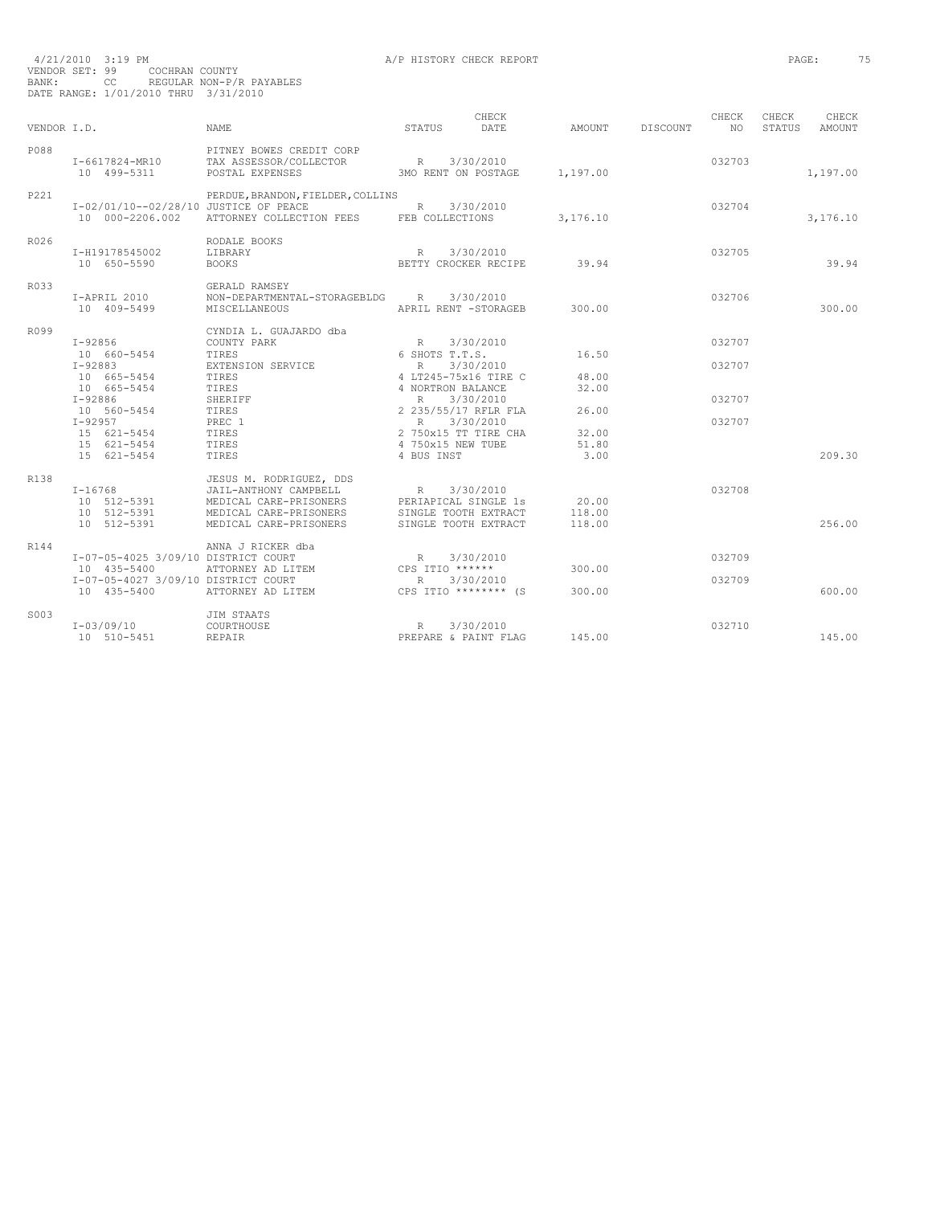|             |                                                          |                                                                                                                                |                                    | CHECK                                                                             |                           |                 | CHECK            | CHECK  | CHECK         |
|-------------|----------------------------------------------------------|--------------------------------------------------------------------------------------------------------------------------------|------------------------------------|-----------------------------------------------------------------------------------|---------------------------|-----------------|------------------|--------|---------------|
| VENDOR I.D. |                                                          | <b>NAME</b>                                                                                                                    | STATUS                             | <b>DATE</b>                                                                       | AMOUNT                    | <b>DISCOUNT</b> | NO.              | STATUS | <b>AMOUNT</b> |
| P088        | I-6617824-MR10<br>10 499-5311                            | PITNEY BOWES CREDIT CORP<br>TAX ASSESSOR/COLLECTOR<br>POSTAL EXPENSES                                                          | R 3/30/2010<br>3MO RENT ON POSTAGE |                                                                                   | 1,197.00                  |                 | 032703           |        | 1,197.00      |
| P221        | I-02/01/10--02/28/10 JUSTICE OF PEACE<br>10 000-2206.002 | PERDUE, BRANDON, FIELDER, COLLINS<br>ATTORNEY COLLECTION FEES FEB COLLECTIONS                                                  | R                                  | 3/30/2010                                                                         | 3,176.10                  |                 | 032704           |        | 3,176.10      |
| R026        | I-H19178545002<br>10 650-5590                            | RODALE BOOKS<br>LIBRARY<br><b>BOOKS</b>                                                                                        | R                                  | 3/30/2010<br>BETTY CROCKER RECIPE                                                 | 39.94                     |                 | 032705           |        | 39.94         |
| R033        | I-APRIL 2010<br>10 409-5499                              | GERALD RAMSEY<br>NON-DEPARTMENTAL-STORAGEBLDG R 3/30/2010<br>MISCELLANEOUS                                                     |                                    | APRIL RENT -STORAGEB                                                              | 300.00                    |                 | 032706           |        | 300.00        |
| R099        | I-92856<br>10 660-5454                                   | CYNDIA L. GUAJARDO dba<br>COUNTY PARK<br>TIRES                                                                                 | R<br>6 SHOTS T.T.S.                | 3/30/2010                                                                         | 16.50                     |                 | 032707           |        |               |
|             | I-92883<br>10 665-5454<br>10 665-5454<br>$I-92886$       | EXTENSION SERVICE<br>TIRES<br>TIRES<br>SHERIFF                                                                                 | R<br>4 NORTRON BALANCE             | 3/30/2010<br>4 LT245-75x16 TIRE C                                                 | 48.00<br>32.00            |                 | 032707<br>032707 |        |               |
|             | 10 560-5454<br>$I - 92957$<br>15 621-5454<br>15 621-5454 | TIRES<br>PREC 1<br>TIRES<br>TIRES                                                                                              | 4 750x15 NEW TUBE                  | R 3/30/2010<br>2 235/55/17 RFLR FLA<br>R 3/30/2010<br>2 750x15 TT TIRE CHA        | 26.00<br>32.00<br>51.80   |                 | 032707           |        |               |
|             | 15 621-5454                                              | TIRES                                                                                                                          | 4 BUS INST                         |                                                                                   | 3.00                      |                 |                  |        | 209.30        |
| R138        | $I-16768$<br>10 512-5391<br>10 512-5391<br>10 512-5391   | JESUS M. RODRIGUEZ, DDS<br>JAIL-ANTHONY CAMPBELL<br>MEDICAL CARE-PRISONERS<br>MEDICAL CARE-PRISONERS<br>MEDICAL CARE-PRISONERS | R                                  | 3/30/2010<br>PERIAPICAL SINGLE 1s<br>SINGLE TOOTH EXTRACT<br>SINGLE TOOTH EXTRACT | 20.00<br>118.00<br>118.00 |                 | 032708           |        | 256.00        |
| R144        | I-07-05-4025 3/09/10 DISTRICT COURT<br>10 435-5400       | ANNA J RICKER dba<br>ATTORNEY AD LITEM                                                                                         | R<br>CPS ITIO ******               | 3/30/2010                                                                         | 300.00                    |                 | 032709           |        |               |
|             | I-07-05-4027 3/09/10 DISTRICT COURT<br>10 435-5400       | ATTORNEY AD LITEM                                                                                                              | R                                  | 3/30/2010<br>CPS ITIO ******** (S                                                 | 300.00                    |                 | 032709           |        | 600.00        |
| S003        | I-03/09/10<br>10 510-5451                                | JIM STAATS<br>COURTHOUSE<br>REPAIR                                                                                             | R                                  | 3/30/2010<br>PREPARE & PAINT FLAG                                                 | 145.00                    |                 | 032710           |        | 145.00        |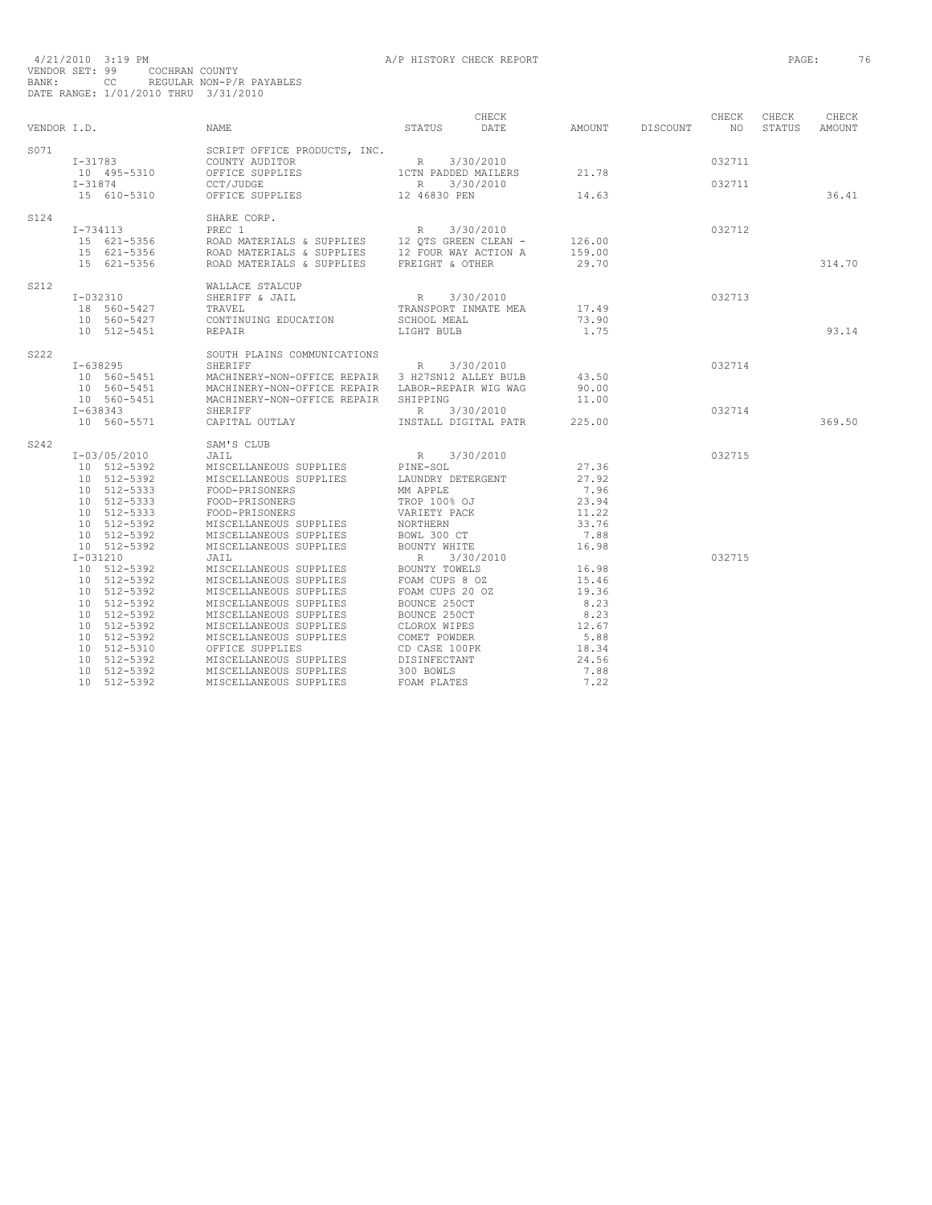| VENDOR I.D. |                                | NAME                                                                                              | STATUS                   | CHECK<br>DATE        | AMOUNT DISCOUNT | CHECK<br>NO <sub>1</sub> | CHECK<br>STATUS | CHECK<br>AMOUNT |
|-------------|--------------------------------|---------------------------------------------------------------------------------------------------|--------------------------|----------------------|-----------------|--------------------------|-----------------|-----------------|
| S071        | $I - 31783$                    | SCRIPT OFFICE PRODUCTS, INC.<br>COUNTY AUDITOR                                                    | $R = 3/30/2010$          |                      |                 | 032711                   |                 |                 |
|             | 10 495-5310<br>$I - 31874$     | OFFICE SUPPLIES<br>CCT/JUDGE                                                                      | 1CTN PADDED MAILERS<br>R | 3/30/2010            | 21.78           | 032711                   |                 |                 |
|             | 15 610-5310                    | OFFICE SUPPLIES                                                                                   | 12 46830 PEN             |                      | 14.63           |                          |                 | 36.41           |
| S124        | I-734113                       | SHARE CORP.<br>PREC 1                                                                             | R                        | 3/30/2010            |                 | 032712                   |                 |                 |
|             | 15 621-5356                    |                                                                                                   |                          |                      | 126.00          |                          |                 |                 |
|             | 15 621-5356                    | TABLE NATERIALS & SUPPLIES 12 QTS GREEN CLEAN -<br>ROAD MATERIALS & SUPPLIES 12 FOUR WAY ACTION A |                          |                      | 159.00          |                          |                 |                 |
|             | 15 621-5356                    | ROAD MATERIALS & SUPPLIES FREIGHT & OTHER                                                         |                          |                      | 29.70           |                          |                 | 314.70          |
| S212        | $I - 032310$                   | WALLACE STALCUP                                                                                   |                          |                      |                 |                          |                 |                 |
|             |                                | SHERIFF & JAIL                                                                                    | R 3/30/2010              | TRANSPORT INMATE MEA | 17.49           | 032713                   |                 |                 |
|             | 18 560-5427<br>10 560-5427     | TRAVEL<br>CONTINUING EDUCATION                                                                    | SCHOOL MEAL              |                      | 73.90           |                          |                 |                 |
|             | 10 512-5451                    | REPAIR                                                                                            | LIGHT BULB               |                      | 1.75            |                          |                 | 93.14           |
|             |                                |                                                                                                   |                          |                      |                 |                          |                 |                 |
| S222        |                                | SOUTH PLAINS COMMUNICATIONS                                                                       |                          |                      |                 |                          |                 |                 |
|             | I-638295                       | R<br>SHERIFF<br>MACHINERY-NON-OFFICE REPAIR 3 H27SN12 ALLEY BULB                                  |                          | 3/30/2010            |                 | 032714                   |                 |                 |
|             | 10 560-5451<br>$10 560 - 5451$ |                                                                                                   |                          |                      | 43.50<br>90.00  |                          |                 |                 |
|             | 10 560-5451                    | MACHINERY-NON-OFFICE REPAIR LABOR-REPAIR WIG WAG<br>MACHINERY-NON-OFFICE REPAIR SHIPPING          |                          |                      | 11.00           |                          |                 |                 |
|             | $I-638343$                     |                                                                                                   |                          |                      |                 | 032714                   |                 |                 |
|             | 10 560-5571                    |                                                                                                   |                          |                      | 225.00          |                          |                 | 369.50          |
|             |                                |                                                                                                   |                          |                      |                 |                          |                 |                 |
| S242        | I-03/05/2010                   | SAM'S CLUB<br>JAIL                                                                                | R 3/30/2010              |                      |                 | 032715                   |                 |                 |
|             | 10 512-5392                    | MISCELLANEOUS SUPPLIES PINE-SOL                                                                   |                          |                      | 27.36           |                          |                 |                 |
|             | 10 512-5392                    | MISCELLANEOUS SUPPLIES                                                                            | LAUNDRY DETERGENT        |                      | 27.92           |                          |                 |                 |
|             | 10 512-5333                    | FOOD-PRISONERS                                                                                    | MM APPLE                 |                      | 7.96            |                          |                 |                 |
|             | 10 512-5333                    | FOOD-PRISONERS                                                                                    | <b>TROP 100% OJ</b>      |                      | 23.94           |                          |                 |                 |
|             | 10 512-5333                    | FOOD-PRISONERS                                                                                    | VARIETY PACK             |                      | 11.22           |                          |                 |                 |
|             | 10 512-5392                    | MISCELLANEOUS SUPPLIES                                                                            | NORTHERN                 |                      | 33.76           |                          |                 |                 |
|             | 10 512-5392                    | MISCELLANEOUS SUPPLIES                                                                            | BOWL 300 CT              |                      | 7.88            |                          |                 |                 |
|             | 10 512-5392                    | MISCELLANEOUS SUPPLIES                                                                            | BOUNTY WHITE             |                      | 16.98           |                          |                 |                 |
|             | $I-031210$                     | JAIL                                                                                              | R 3/30/2010              |                      |                 | 032715                   |                 |                 |
|             | 10 512-5392                    | MISCELLANEOUS SUPPLIES                                                                            | BOUNTY TOWELS            |                      | 16.98           |                          |                 |                 |
|             | 10 512-5392                    | MISCELLANEOUS SUPPLIES                                                                            | FOAM CUPS 8 OZ           |                      | 15.46           |                          |                 |                 |
|             | 10 512-5392                    | MISCELLANEOUS SUPPLIES                                                                            | FOAM CUPS 20 OZ          |                      | 19.36           |                          |                 |                 |
|             | 10 512-5392                    | MISCELLANEOUS SUPPLIES                                                                            | BOUNCE 250CT             |                      | 8.23            |                          |                 |                 |
|             | 10 512-5392                    | MISCELLANEOUS SUPPLIES                                                                            | BOUNCE 250CT             |                      | 8.23            |                          |                 |                 |
|             | 10 512-5392                    | MISCELLANEOUS SUPPLIES                                                                            | CLOROX WIPES             |                      | 12.67           |                          |                 |                 |
|             | 10 512-5392                    | MISCELLANEOUS SUPPLIES                                                                            | COMET POWDER             |                      | 5.88            |                          |                 |                 |
|             | 10 512-5310                    | OFFICE SUPPLIES                                                                                   | CD CASE 100PK            |                      | 18.34           |                          |                 |                 |
|             | 10 512-5392                    | MISCELLANEOUS SUPPLIES                                                                            | DISINFECTANT             |                      | 24.56           |                          |                 |                 |
|             | 10 512-5392<br>10 512-5392     | MISCELLANEOUS SUPPLIES<br>MISCELLANEOUS SUPPLIES                                                  | 300 BOWLS<br>FOAM PLATES |                      | 7.88<br>7.22    |                          |                 |                 |
|             |                                |                                                                                                   |                          |                      |                 |                          |                 |                 |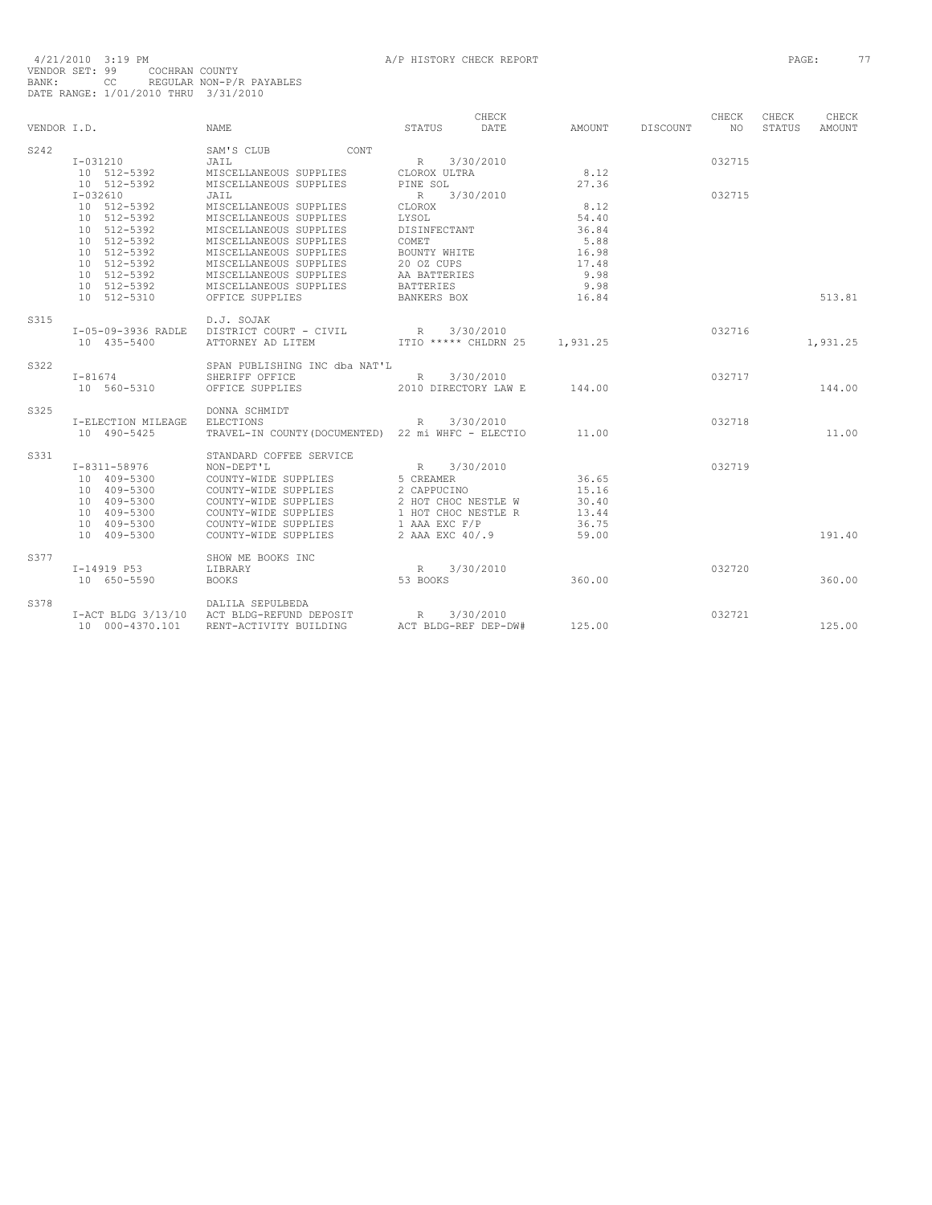|             |                            |                                                    |                                      | CHECK     |                |                 | CHECK  | CHECK  | CHECK         |
|-------------|----------------------------|----------------------------------------------------|--------------------------------------|-----------|----------------|-----------------|--------|--------|---------------|
| VENDOR I.D. |                            | <b>NAME</b>                                        | <b>STATUS</b>                        | DATE.     | AMOUNT         | <b>DISCOUNT</b> | NO.    | STATUS | <b>AMOUNT</b> |
| S242        |                            | SAM'S CLUB<br><b>CONT</b>                          |                                      |           |                |                 |        |        |               |
|             | I-031210                   | JAIL                                               | R                                    | 3/30/2010 |                |                 | 032715 |        |               |
|             | 10 512-5392                | MISCELLANEOUS SUPPLIES                             | CLOROX ULTRA                         |           | 8.12           |                 |        |        |               |
|             | 10 512-5392                | MISCELLANEOUS SUPPLIES                             | PINE SOL                             |           | 27.36          |                 |        |        |               |
|             | $I-032610$                 | JAIL                                               | R 3/30/2010                          |           |                |                 | 032715 |        |               |
|             | 10 512-5392<br>10 512-5392 | MISCELLANEOUS SUPPLIES<br>MISCELLANEOUS SUPPLIES   | CLOROX<br>LYSOL                      |           | 8.12<br>54.40  |                 |        |        |               |
|             | 10 512-5392                | MISCELLANEOUS SUPPLIES                             | DISINFECTANT                         |           | 36.84          |                 |        |        |               |
|             | 10 512-5392                | MISCELLANEOUS SUPPLIES                             | COMET                                |           | 5.88           |                 |        |        |               |
|             | 10 512-5392                | MISCELLANEOUS SUPPLIES                             | BOUNTY WHITE                         |           | 16.98          |                 |        |        |               |
|             | 10 512-5392                | MISCELLANEOUS SUPPLIES                             | 20 OZ CUPS                           |           | 17.48          |                 |        |        |               |
|             | 10 512-5392                | MISCELLANEOUS SUPPLIES                             | AA BATTERIES                         |           | 9.98           |                 |        |        |               |
|             | 10 512-5392                | MISCELLANEOUS SUPPLIES                             | <b>BATTERIES</b>                     |           | 9.98           |                 |        |        |               |
|             | 10 512-5310                | OFFICE SUPPLIES                                    | BANKERS BOX                          |           | 16.84          |                 |        |        | 513.81        |
|             |                            |                                                    |                                      |           |                |                 |        |        |               |
| S315        |                            | D.J. SOJAK                                         |                                      |           |                |                 |        |        |               |
|             | I-05-09-3936 RADLE         | DISTRICT COURT - CIVIL                             | R                                    | 3/30/2010 |                |                 | 032716 |        |               |
|             | 10 435-5400                | ATTORNEY AD LITEM                                  | ITIO ***** CHLDRN 25                 |           | 1,931.25       |                 |        |        | 1,931.25      |
| S322        |                            | SPAN PUBLISHING INC dba NAT'L                      |                                      |           |                |                 |        |        |               |
|             | $I - 81674$                | SHERIFF OFFICE                                     | R 3/30/2010                          |           |                |                 | 032717 |        |               |
|             | 10 560-5310                | OFFICE SUPPLIES                                    | 2010 DIRECTORY LAW E                 |           | 144.00         |                 |        |        | 144.00        |
| S325        |                            | DONNA SCHMIDT                                      |                                      |           |                |                 |        |        |               |
|             | I-ELECTION MILEAGE         | <b>ELECTIONS</b>                                   | R                                    | 3/30/2010 |                |                 | 032718 |        |               |
|             | 10 490-5425                | TRAVEL-IN COUNTY (DOCUMENTED) 22 mi WHFC - ELECTIO |                                      |           | 11.00          |                 |        |        | 11.00         |
|             |                            |                                                    |                                      |           |                |                 |        |        |               |
| S331        |                            | STANDARD COFFEE SERVICE                            |                                      |           |                |                 |        |        |               |
|             | I-8311-58976               | NON-DEPT'L                                         | R                                    | 3/30/2010 |                |                 | 032719 |        |               |
|             | 10 409-5300                | COUNTY-WIDE SUPPLIES                               | 5 CREAMER                            |           | 36.65          |                 |        |        |               |
|             | 10 409-5300                | COUNTY-WIDE SUPPLIES                               | 2 CAPPUCINO                          |           | 15.16          |                 |        |        |               |
|             | 10 409-5300                | COUNTY-WIDE SUPPLIES                               | 2 HOT CHOC NESTLE W                  |           | 30.40          |                 |        |        |               |
|             | 10 409-5300<br>10 409-5300 | COUNTY-WIDE SUPPLIES<br>COUNTY-WIDE SUPPLIES       | 1 HOT CHOC NESTLE R<br>1 AAA EXC F/P |           | 13.44<br>36.75 |                 |        |        |               |
|             | 10 409-5300                | COUNTY-WIDE SUPPLIES                               | 2 AAA EXC 40/.9                      |           | 59.00          |                 |        |        | 191.40        |
|             |                            |                                                    |                                      |           |                |                 |        |        |               |
| S377        |                            | SHOW ME BOOKS INC                                  |                                      |           |                |                 |        |        |               |
|             | I-14919 P53                | LIBRARY                                            | R                                    | 3/30/2010 |                |                 | 032720 |        |               |
|             | 10 650-5590                | <b>BOOKS</b>                                       | 53 BOOKS                             |           | 360.00         |                 |        |        | 360.00        |
| S378        |                            | DALILA SEPULBEDA                                   |                                      |           |                |                 |        |        |               |
|             | $I-ACT$ BLDG $3/13/10$     | ACT BLDG-REFUND DEPOSIT                            | R                                    | 3/30/2010 |                |                 | 032721 |        |               |
|             | 10 000-4370.101            | RENT-ACTIVITY BUILDING                             | ACT BLDG-REF DEP-DW#                 |           | 125.00         |                 |        |        | 125.00        |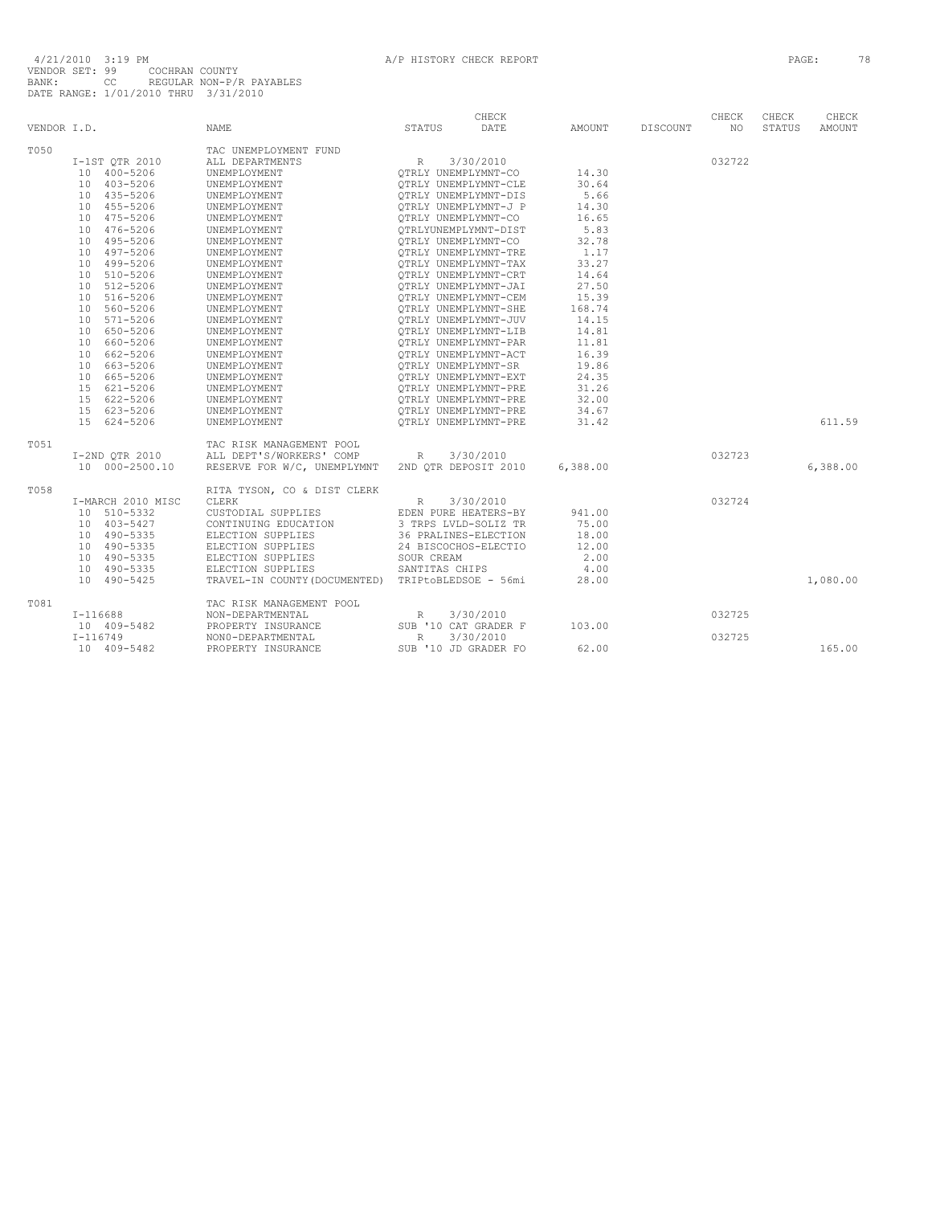| VENDOR I.D. |                   | <b>NAME</b>                                        | STATUS               | CHECK<br>DATE        | AMOUNT   | DISCOUNT | CHECK<br>NO | CHECK<br>STATUS | CHECK<br>AMOUNT |
|-------------|-------------------|----------------------------------------------------|----------------------|----------------------|----------|----------|-------------|-----------------|-----------------|
| T050        |                   | TAC UNEMPLOYMENT FUND                              |                      |                      |          |          |             |                 |                 |
|             | I-1ST QTR 2010    | ALL DEPARTMENTS                                    | $\mathbb R$          | 3/30/2010            |          |          | 032722      |                 |                 |
|             | 10 400-5206       | UNEMPLOYMENT                                       | OTRLY UNEMPLYMNT-CO  |                      | 14.30    |          |             |                 |                 |
|             | 10 403-5206       | UNEMPLOYMENT                                       |                      | OTRLY UNEMPLYMNT-CLE | 30.64    |          |             |                 |                 |
|             | 10 435-5206       | UNEMPLOYMENT                                       |                      | OTRLY UNEMPLYMNT-DIS | 5.66     |          |             |                 |                 |
|             | 10 455-5206       | UNEMPLOYMENT                                       |                      | OTRLY UNEMPLYMNT-J P | 14.30    |          |             |                 |                 |
|             | 10 475-5206       | UNEMPLOYMENT                                       | OTRLY UNEMPLYMNT-CO  |                      | 16.65    |          |             |                 |                 |
|             | 10 476-5206       | UNEMPLOYMENT                                       |                      | OTRLYUNEMPLYMNT-DIST | 5.83     |          |             |                 |                 |
|             | 10 495-5206       | UNEMPLOYMENT                                       | OTRLY UNEMPLYMNT-CO  |                      | 32.78    |          |             |                 |                 |
|             | 10 497-5206       | UNEMPLOYMENT                                       |                      | OTRLY UNEMPLYMNT-TRE | 1.17     |          |             |                 |                 |
|             | 10 499-5206       | UNEMPLOYMENT                                       |                      | OTRLY UNEMPLYMNT-TAX | 33.27    |          |             |                 |                 |
|             | 10 510-5206       | UNEMPLOYMENT                                       | OTRLY UNEMPLYMNT-CRT |                      | 14.64    |          |             |                 |                 |
|             | 10 512-5206       | UNEMPLOYMENT                                       |                      | OTRLY UNEMPLYMNT-JAI | 27.50    |          |             |                 |                 |
|             | 10 516-5206       | UNEMPLOYMENT                                       |                      | OTRLY UNEMPLYMNT-CEM | 15.39    |          |             |                 |                 |
|             | 10 560-5206       | UNEMPLOYMENT                                       |                      | OTRLY UNEMPLYMNT-SHE | 168.74   |          |             |                 |                 |
|             | 571-5206<br>10    | UNEMPLOYMENT                                       |                      | OTRLY UNEMPLYMNT-JUV | 14.15    |          |             |                 |                 |
|             | 10 650-5206       | UNEMPLOYMENT                                       |                      | OTRLY UNEMPLYMNT-LIB | 14.81    |          |             |                 |                 |
|             | 660-5206<br>10    | UNEMPLOYMENT                                       |                      | OTRLY UNEMPLYMNT-PAR | 11.81    |          |             |                 |                 |
|             | 10 662-5206       | UNEMPLOYMENT                                       |                      | OTRLY UNEMPLYMNT-ACT | 16.39    |          |             |                 |                 |
|             | 10 663-5206       | UNEMPLOYMENT                                       | QTRLY UNEMPLYMNT-SR  |                      | 19.86    |          |             |                 |                 |
|             | 10 665-5206       | UNEMPLOYMENT                                       |                      | QTRLY UNEMPLYMNT-EXT | 24.35    |          |             |                 |                 |
|             | 15 621-5206       | UNEMPLOYMENT                                       | QTRLY UNEMPLYMNT-PRE |                      | 31.26    |          |             |                 |                 |
|             | 15 622-5206       | UNEMPLOYMENT                                       |                      | QTRLY UNEMPLYMNT-PRE | 32.00    |          |             |                 |                 |
|             | 15 623-5206       | UNEMPLOYMENT                                       |                      | OTRLY UNEMPLYMNT-PRE | 34.67    |          |             |                 |                 |
|             | 15 624-5206       | UNEMPLOYMENT                                       |                      | OTRLY UNEMPLYMNT-PRE | 31.42    |          |             |                 | 611.59          |
| T051        |                   | TAC RISK MANAGEMENT POOL                           |                      |                      |          |          |             |                 |                 |
|             | I-2ND QTR 2010    | ALL DEPT'S/WORKERS' COMP                           | R                    | 3/30/2010            |          |          | 032723      |                 |                 |
|             | 10 000-2500.10    | RESERVE FOR W/C, UNEMPLYMNT                        |                      | 2ND OTR DEPOSIT 2010 | 6,388.00 |          |             |                 | 6,388.00        |
| T058        |                   | RITA TYSON, CO & DIST CLERK                        |                      |                      |          |          |             |                 |                 |
|             | I-MARCH 2010 MISC | CLERK                                              | R                    | 3/30/2010            |          |          | 032724      |                 |                 |
|             | 10 510-5332       | CUSTODIAL SUPPLIES                                 | EDEN PURE HEATERS-BY |                      | 941.00   |          |             |                 |                 |
|             | 10 403-5427       | CONTINUING EDUCATION                               | 3 TRPS LVLD-SOLIZ TR |                      | 75.00    |          |             |                 |                 |
|             | 10 490-5335       | ELECTION SUPPLIES                                  |                      | 36 PRALINES-ELECTION | 18.00    |          |             |                 |                 |
|             | 10 490-5335       | ELECTION SUPPLIES                                  |                      | 24 BISCOCHOS-ELECTIO | 12.00    |          |             |                 |                 |
|             | 10 490-5335       | ELECTION SUPPLIES                                  | SOUR CREAM           |                      | 2.00     |          |             |                 |                 |
|             | 10 490-5335       | ELECTION SUPPLIES                                  | SANTITAS CHIPS       |                      | 4.00     |          |             |                 |                 |
|             | 10 490-5425       | TRAVEL-IN COUNTY (DOCUMENTED) TRIPtoBLEDSOE - 56mi |                      |                      | 28.00    |          |             |                 | 1,080.00        |
| T081        |                   | TAC RISK MANAGEMENT POOL                           |                      |                      |          |          |             |                 |                 |
|             | $I-116688$        | NON-DEPARTMENTAL                                   | R                    | 3/30/2010            |          |          | 032725      |                 |                 |
|             | 10 409-5482       | PROPERTY INSURANCE                                 |                      | SUB '10 CAT GRADER F | 103.00   |          |             |                 |                 |
|             | $I - 116749$      | NON0-DEPARTMENTAL                                  | R                    | 3/30/2010            |          |          | 032725      |                 |                 |
|             | 10 409-5482       | PROPERTY INSURANCE                                 |                      | SUB '10 JD GRADER FO | 62.00    |          |             |                 | 165.00          |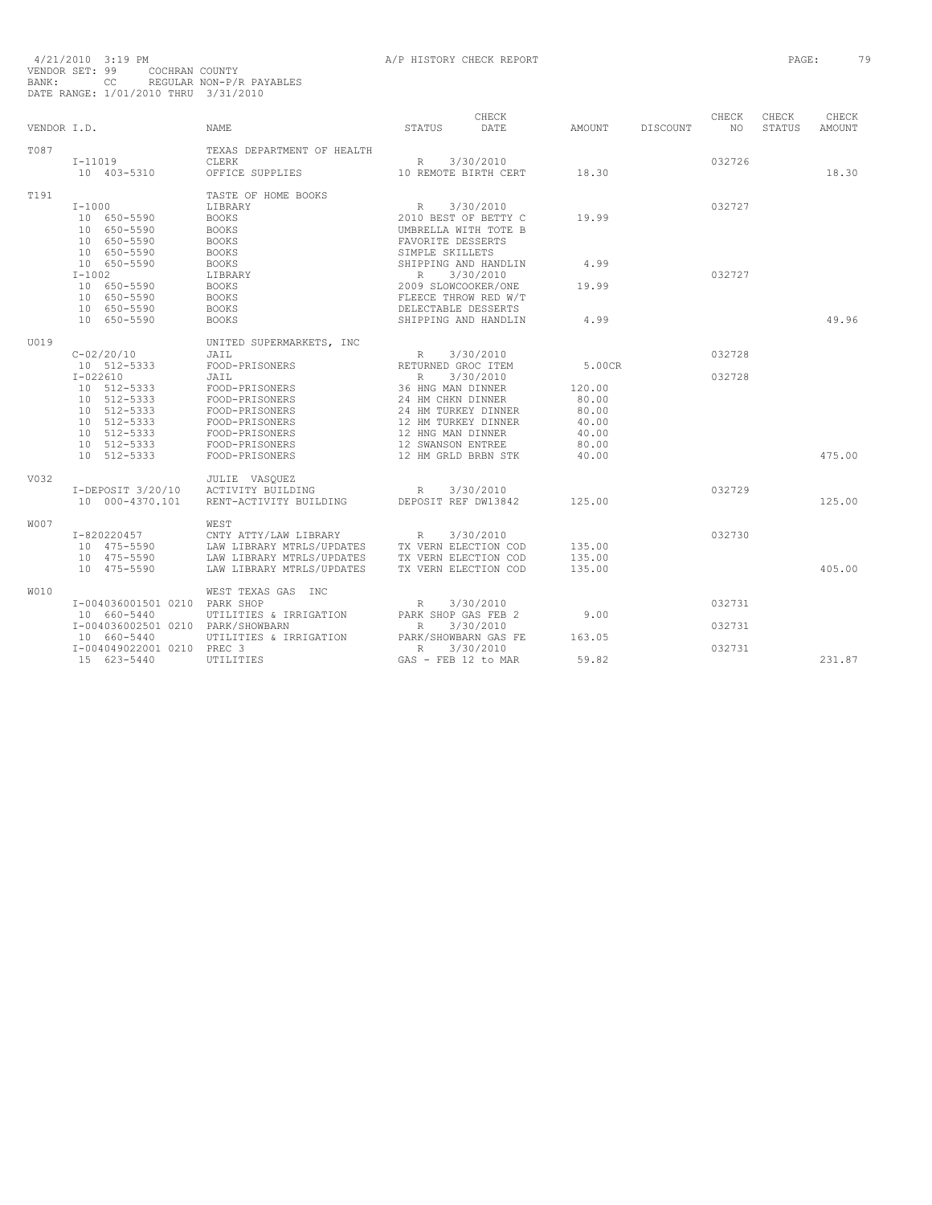| VENDOR I.D. |                                           | <b>NAME</b>                                            | CHECK<br>STATUS<br>DATE                          | AMOUNT           | DISCOUNT | CHECK<br>NO. | CHECK<br><b>STATUS</b> | CHECK<br>AMOUNT |
|-------------|-------------------------------------------|--------------------------------------------------------|--------------------------------------------------|------------------|----------|--------------|------------------------|-----------------|
| T087        | $I-11019$                                 | TEXAS DEPARTMENT OF HEALTH<br>CLERK                    | 3/30/2010<br>$\mathbb{R}$                        |                  |          | 032726       |                        |                 |
|             | 10 403-5310                               | OFFICE SUPPLIES                                        | 10 REMOTE BIRTH CERT                             | 18.30            |          |              |                        | 18.30           |
| T191        |                                           | TASTE OF HOME BOOKS                                    |                                                  |                  |          |              |                        |                 |
|             | $T - 1000$<br>10 650-5590                 | LIBRARY<br><b>BOOKS</b>                                | R<br>3/30/2010<br>2010 BEST OF BETTY C           | 19.99            |          | 032727       |                        |                 |
|             | 10 650-5590                               | <b>BOOKS</b>                                           | UMBRELLA WITH TOTE B                             |                  |          |              |                        |                 |
|             | 10 650-5590<br>10 650-5590                | <b>BOOKS</b><br><b>BOOKS</b>                           | FAVORITE DESSERTS<br>SIMPLE SKILLETS             |                  |          |              |                        |                 |
|             | 10 650-5590                               | <b>BOOKS</b>                                           | SHIPPING AND HANDLIN                             | 4.99             |          |              |                        |                 |
|             | $I-1002$<br>10 650-5590                   | LIBRARY<br><b>BOOKS</b>                                | 3/30/2010<br>$R_{\perp}$<br>2009 SLOWCOOKER/ONE  | 19.99            |          | 032727       |                        |                 |
|             | 10 650-5590                               | <b>BOOKS</b>                                           | FLEECE THROW RED W/T                             |                  |          |              |                        |                 |
|             | 10 650-5590<br>10 650-5590                | <b>BOOKS</b>                                           | DELECTABLE DESSERTS                              | 4.99             |          |              |                        | 49.96           |
|             |                                           | <b>BOOKS</b>                                           | SHIPPING AND HANDLIN                             |                  |          |              |                        |                 |
| U019        | $C - 02/20/10$                            | UNITED SUPERMARKETS, INC                               | 3/30/2010                                        |                  |          | 032728       |                        |                 |
|             | 10 512-5333                               | JAIL<br>FOOD-PRISONERS                                 | $\mathbb{R}$<br>RETURNED GROC ITEM               | 5.00CR           |          |              |                        |                 |
|             | $I - 022610$                              | JAIL                                                   | 3/30/2010<br>R                                   |                  |          | 032728       |                        |                 |
|             | 10 512-5333<br>10 512-5333                | FOOD-PRISONERS<br>FOOD-PRISONERS                       | 36 HNG MAN DINNER<br>24 HM CHKN DINNER           | 120.00<br>80.00  |          |              |                        |                 |
|             | 10 512-5333                               | FOOD-PRISONERS                                         | 24 HM TURKEY DINNER                              | 80.00            |          |              |                        |                 |
|             | 10 512-5333<br>10 512-5333                | FOOD-PRISONERS<br>FOOD-PRISONERS                       | 12 HM TURKEY DINNER<br>12 HNG MAN DINNER         | 40.00<br>40.00   |          |              |                        |                 |
|             | 512-5333<br>10                            | FOOD-PRISONERS                                         | 12 SWANSON ENTREE                                | 80.00            |          |              |                        |                 |
|             | 10 512-5333                               | FOOD-PRISONERS                                         | 12 HM GRLD BRBN STK                              | 40.00            |          |              |                        | 475.00          |
| V032        |                                           | JULIE VASOUEZ                                          |                                                  |                  |          |              |                        |                 |
|             | $I-DEPOSTT 3/20/10$<br>10 000-4370.101    | ACTIVITY BUILDING<br>RENT-ACTIVITY BUILDING            | 3/30/2010<br>R<br>DEPOSIT REF DW13842            | 125.00           |          | 032729       |                        | 125.00          |
|             |                                           |                                                        |                                                  |                  |          |              |                        |                 |
| <b>W007</b> | $I-820220457$                             | WEST<br>CNTY ATTY/LAW LIBRARY                          | $\mathbb R$<br>3/30/2010                         |                  |          | 032730       |                        |                 |
|             | 10 475-5590                               | LAW LIBRARY MTRLS/UPDATES                              | TX VERN ELECTION COD                             | 135.00           |          |              |                        |                 |
|             | 10 475-5590<br>10 475-5590                | LAW LIBRARY MTRLS/UPDATES<br>LAW LIBRARY MTRLS/UPDATES | TX VERN ELECTION COD<br>TX VERN ELECTION COD     | 135.00<br>135.00 |          |              |                        | 405.00          |
|             |                                           |                                                        |                                                  |                  |          |              |                        |                 |
| <b>W010</b> | I-004036001501 0210 PARK SHOP             | WEST TEXAS GAS INC                                     | $\mathbb R$<br>3/30/2010                         |                  |          | 032731       |                        |                 |
|             | 10 660-5440                               | UTILITIES & IRRIGATION                                 | PARK SHOP GAS FEB 2                              | 9.00             |          |              |                        |                 |
|             | I-004036002501 0210 PARK/SHOWBARN         |                                                        | R<br>3/30/2010                                   |                  |          | 032731       |                        |                 |
|             | 10 660-5440<br>I-004049022001 0210 PREC 3 | UTILITIES & IRRIGATION                                 | PARK/SHOWBARN GAS FE<br>3/30/2010<br>$\mathbb R$ | 163.05           |          | 032731       |                        |                 |
|             | 15 623-5440                               | UTILITIES                                              | GAS - FEB 12 to MAR                              | 59.82            |          |              |                        | 231.87          |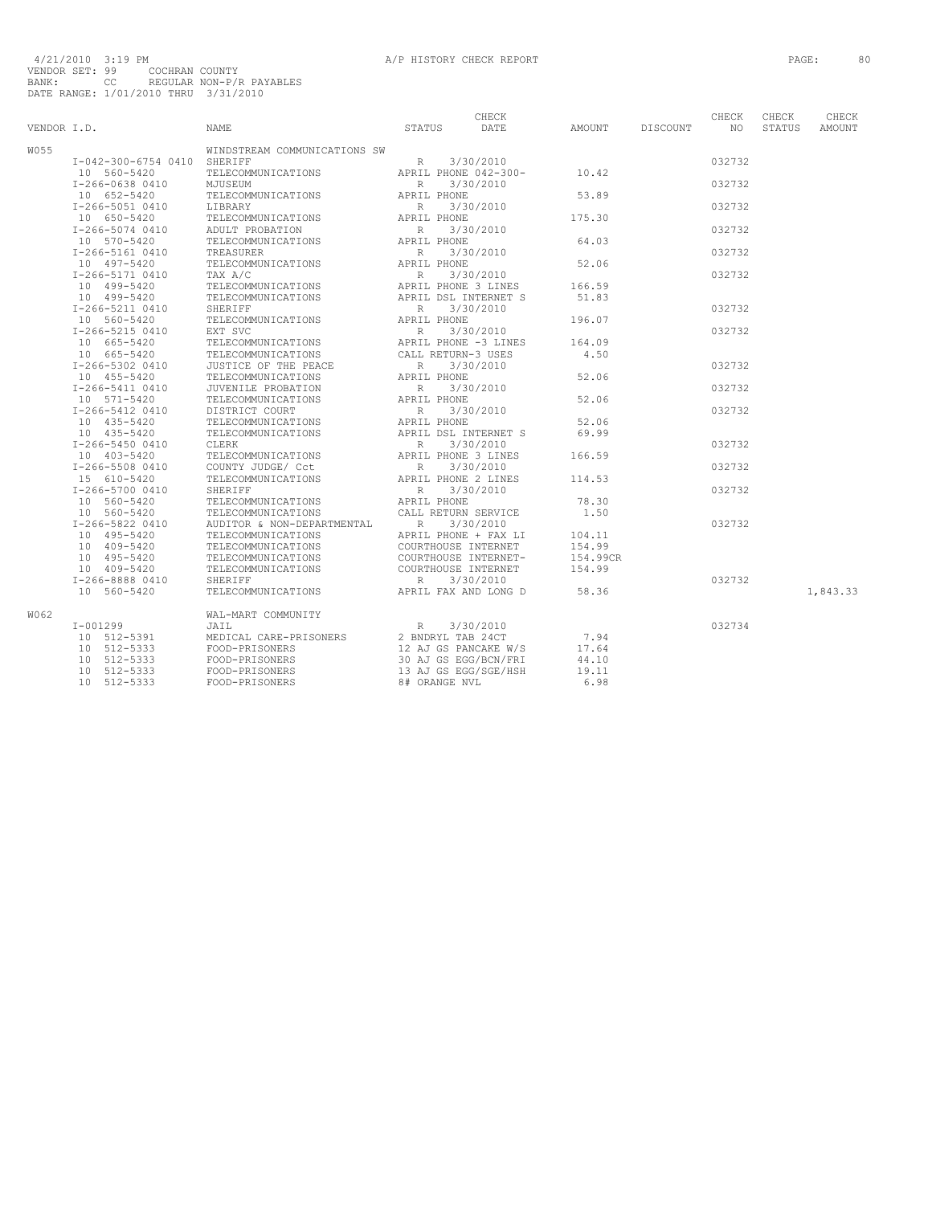| VENDOR I.D. |                                | <b>NAME</b>                              | STATUS             | CHECK<br>DATE                               | AMOUNT             | DISCOUNT | CHECK<br>NO. | CHECK<br>STATUS | CHECK<br>AMOUNT |
|-------------|--------------------------------|------------------------------------------|--------------------|---------------------------------------------|--------------------|----------|--------------|-----------------|-----------------|
| W055        |                                | WINDSTREAM COMMUNICATIONS SW             |                    |                                             |                    |          |              |                 |                 |
|             | I-042-300-6754 0410 SHERIFF    |                                          | R                  | 3/30/2010                                   |                    |          | 032732       |                 |                 |
|             | 10 560-5420                    | TELECOMMUNICATIONS                       |                    | APRIL PHONE 042-300-                        | 10.42              |          |              |                 |                 |
|             | I-266-0638 0410                | MJUSEUM                                  | R                  | 3/30/2010                                   |                    |          | 032732       |                 |                 |
|             | 10 652-5420                    | TELECOMMUNICATIONS                       | APRIL PHONE        |                                             | 53.89              |          |              |                 |                 |
|             | I-266-5051 0410                | LIBRARY                                  | $\mathbb{R}$       | 3/30/2010                                   |                    |          | 032732       |                 |                 |
|             | 10 650-5420                    | TELECOMMUNICATIONS                       | APRIL PHONE        |                                             | 175.30             |          |              |                 |                 |
|             | I-266-5074 0410                | ADULT PROBATION                          | R                  | 3/30/2010                                   |                    |          | 032732       |                 |                 |
|             | 10 570-5420                    | TELECOMMUNICATIONS                       | APRIL PHONE        |                                             | 64.03              |          |              |                 |                 |
|             | I-266-5161 0410                | TREASURER                                | R                  | 3/30/2010                                   |                    |          | 032732       |                 |                 |
|             | 10 497-5420                    | TELECOMMUNICATIONS                       | APRIL PHONE        |                                             | 52.06              |          |              |                 |                 |
|             | I-266-5171 0410                | TAX A/C                                  | R                  | 3/30/2010                                   |                    |          | 032732       |                 |                 |
|             | 10 499-5420                    | TELECOMMUNICATIONS                       |                    | APRIL PHONE 3 LINES                         | 166.59             |          |              |                 |                 |
|             | 10 499-5420<br>I-266-5211 0410 | TELECOMMUNICATIONS<br>SHERIFF            | $\mathbb{R}$       | APRIL DSL INTERNET S<br>3/30/2010           | 51.83              |          | 032732       |                 |                 |
|             | 10 560-5420                    | TELECOMMUNICATIONS                       | APRIL PHONE        |                                             | 196.07             |          |              |                 |                 |
|             | I-266-5215 0410                | EXT SVC                                  | $\mathbb{R}$       | 3/30/2010                                   |                    |          | 032732       |                 |                 |
|             | 10 665-5420                    | TELECOMMUNICATIONS                       |                    | APRIL PHONE -3 LINES                        | 164.09             |          |              |                 |                 |
|             | 10 665-5420                    | TELECOMMUNICATIONS                       | CALL RETURN-3 USES |                                             | 4.50               |          |              |                 |                 |
|             | I-266-5302 0410                | JUSTICE OF THE PEACE                     | $\mathbb R$        | 3/30/2010                                   |                    |          | 032732       |                 |                 |
|             | 10 455-5420                    | TELECOMMUNICATIONS                       | APRIL PHONE        |                                             | 52.06              |          |              |                 |                 |
|             | I-266-5411 0410                | JUVENILE PROBATION                       | R                  | 3/30/2010                                   |                    |          | 032732       |                 |                 |
|             | 10 571-5420                    | TELECOMMUNICATIONS                       | APRIL PHONE        |                                             | 52.06              |          |              |                 |                 |
|             | I-266-5412 0410                | DISTRICT COURT                           | $\mathbb R$        | 3/30/2010                                   |                    |          | 032732       |                 |                 |
|             | 10 435-5420                    | TELECOMMUNICATIONS                       | APRIL PHONE        |                                             | 52.06              |          |              |                 |                 |
|             | 10 435-5420                    | TELECOMMUNICATIONS                       |                    | APRIL DSL INTERNET S                        | 69.99              |          |              |                 |                 |
|             | I-266-5450 0410                | CLERK                                    | $\mathbb{R}$       | 3/30/2010                                   |                    |          | 032732       |                 |                 |
|             | 10 403-5420                    | TELECOMMUNICATIONS                       |                    | APRIL PHONE 3 LINES                         | 166.59             |          |              |                 |                 |
|             | I-266-5508 0410                | COUNTY JUDGE/ Cct                        | $\mathbb R$        | 3/30/2010                                   |                    |          | 032732       |                 |                 |
|             | 15 610-5420                    | TELECOMMUNICATIONS                       |                    | APRIL PHONE 2 LINES                         | 114.53             |          |              |                 |                 |
|             | I-266-5700 0410                | SHERIFF                                  | $\mathbb R$        | 3/30/2010                                   |                    |          | 032732       |                 |                 |
|             | 10 560-5420                    | TELECOMMUNICATIONS                       | APRIL PHONE        |                                             | 78.30              |          |              |                 |                 |
|             | 10 560-5420                    | TELECOMMUNICATIONS                       |                    | CALL RETURN SERVICE                         | 1.50               |          |              |                 |                 |
|             | I-266-5822 0410                | AUDITOR & NON-DEPARTMENTAL               | R                  | 3/30/2010                                   |                    |          | 032732       |                 |                 |
|             | 10 495-5420                    | TELECOMMUNICATIONS                       |                    | APRIL PHONE + FAX LI                        | 104.11             |          |              |                 |                 |
|             | 10 409-5420<br>10 495-5420     | TELECOMMUNICATIONS                       |                    | COURTHOUSE INTERNET<br>COURTHOUSE INTERNET- | 154.99<br>154.99CR |          |              |                 |                 |
|             | 10 409-5420                    | TELECOMMUNICATIONS<br>TELECOMMUNICATIONS |                    | COURTHOUSE INTERNET                         | 154.99             |          |              |                 |                 |
|             | I-266-8888 0410                | SHERIFF                                  | $\mathbb{R}$       | 3/30/2010                                   |                    |          | 032732       |                 |                 |
|             | 10 560-5420                    | TELECOMMUNICATIONS                       |                    | APRIL FAX AND LONG D                        | 58.36              |          |              |                 | 1,843.33        |
|             |                                |                                          |                    |                                             |                    |          |              |                 |                 |
| W062        |                                | WAL-MART COMMUNITY                       |                    |                                             |                    |          |              |                 |                 |
|             | $I - 001299$                   | JAIL                                     | R                  | 3/30/2010                                   |                    |          | 032734       |                 |                 |
|             | 10 512-5391                    | MEDICAL CARE-PRISONERS                   | 2 BNDRYL TAB 24CT  |                                             | 7.94               |          |              |                 |                 |
|             | 10 512-5333                    | FOOD-PRISONERS                           |                    | 12 AJ GS PANCAKE W/S                        | 17.64              |          |              |                 |                 |
|             | 10 512-5333                    | FOOD-PRISONERS                           |                    | 30 AJ GS EGG/BCN/FRI                        | 44.10              |          |              |                 |                 |
|             | 10 512-5333                    | FOOD-PRISONERS                           |                    | 13 AJ GS EGG/SGE/HSH                        | 19.11              |          |              |                 |                 |
|             | 10 512-5333                    | FOOD-PRISONERS                           | 8# ORANGE NVL      |                                             | 6.98               |          |              |                 |                 |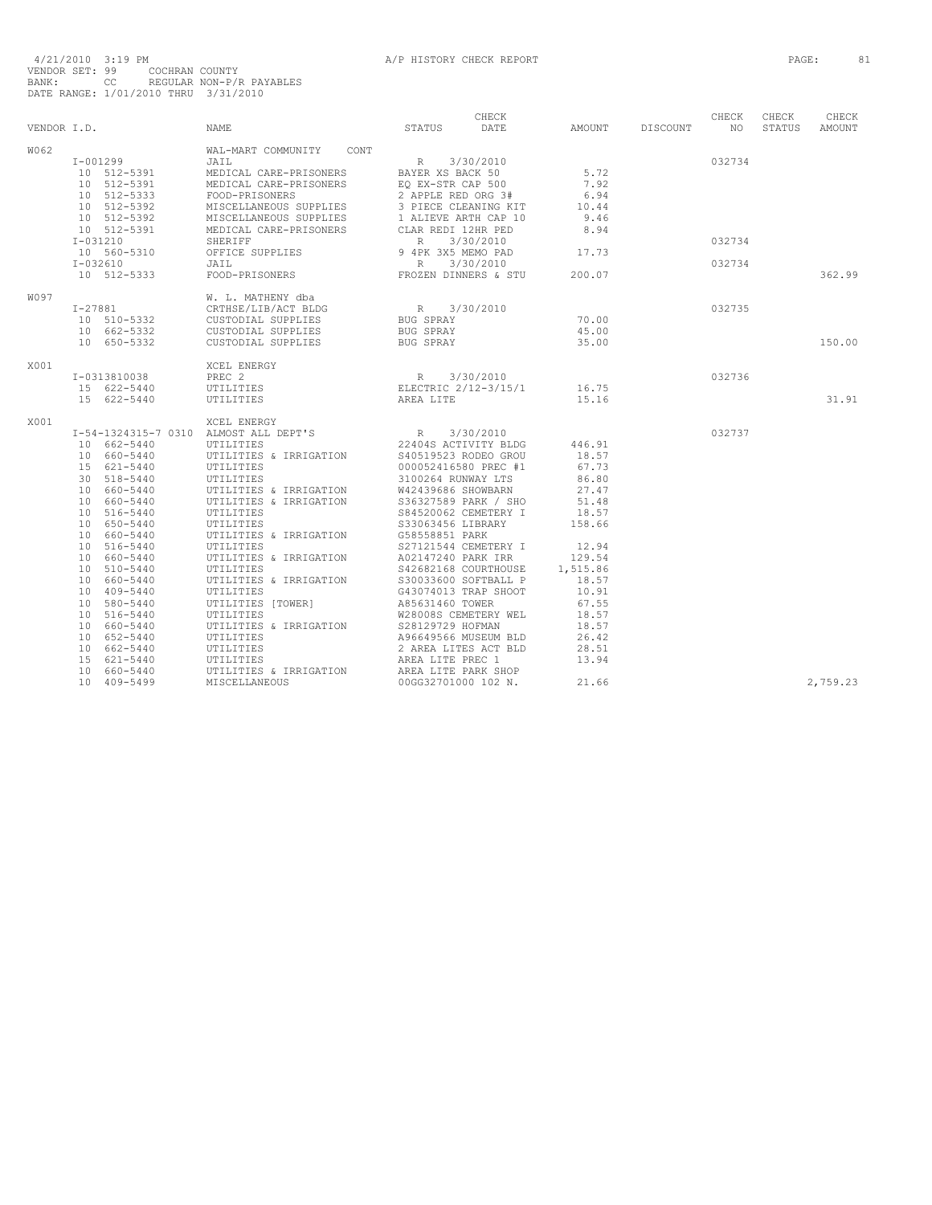| VENDOR I.D. |                                                                                                                                                                                                                                                                                                                         | <b>NAME</b>                                                                                                                                                                                                                                                                                                                                                                                                                                           | STATUS                                                                                                                                                                                                                                                                                                                                                                                                                                                                         | CHECK<br>DATE                     | AMOUNT                                                                                                                                                                        | <b>DISCOUNT</b> | CHECK<br>NO.               | CHECK<br>STATUS | CHECK<br><b>AMOUNT</b> |
|-------------|-------------------------------------------------------------------------------------------------------------------------------------------------------------------------------------------------------------------------------------------------------------------------------------------------------------------------|-------------------------------------------------------------------------------------------------------------------------------------------------------------------------------------------------------------------------------------------------------------------------------------------------------------------------------------------------------------------------------------------------------------------------------------------------------|--------------------------------------------------------------------------------------------------------------------------------------------------------------------------------------------------------------------------------------------------------------------------------------------------------------------------------------------------------------------------------------------------------------------------------------------------------------------------------|-----------------------------------|-------------------------------------------------------------------------------------------------------------------------------------------------------------------------------|-----------------|----------------------------|-----------------|------------------------|
| W062        | $I - 001299$<br>10 512-5391<br>10 512-5391<br>10 512-5333<br>10 512-5392<br>10 512-5392<br>10 512-5391<br>$I - 031210$<br>10 560-5310<br>$I - 032610$<br>10 512-5333                                                                                                                                                    | WAL-MART COMMUNITY CONT<br>JAIL<br>MEDICAL CARE-PRISONERS<br>MEDICAL CARE-PRISONERS<br>FOOD-PRISONERS<br>MISCELLANEOUS SUPPLIES<br>MISCELLANEOUS SUPPLIES<br>MEDICAL CARE-PRISONERS<br>SHERIFF<br>OFFICE SUPPLIES<br>JAIL<br>FOOD-PRISONERS                                                                                                                                                                                                           | R 3/30/2010<br>BAYER XS BACK 50<br>EO EX-STR CAP 500<br>2 APPLE RED ORG 3#<br>3 PIECE CLEANING KIT<br>1 ALIEVE ARTH CAP 10<br>CLAR REDI 12HR PED<br>R<br>9 4PK 3X5 MEMO PAD<br>$R_{\rm c}$<br>FROZEN DINNERS & STU                                                                                                                                                                                                                                                             | 3/30/2010<br>3/30/2010            | 5.72<br>7.92<br>6.94<br>10.44<br>9.46<br>8.94<br>17.73<br>200.07                                                                                                              |                 | 032734<br>032734<br>032734 |                 | 362.99                 |
| WO 97       | $I-27881$<br>10 510-5332<br>10 662-5332<br>10 650-5332                                                                                                                                                                                                                                                                  | W. L. MATHENY dba<br>CRTHSE/LIB/ACT BLDG<br>CUSTODIAL SUPPLIES<br>CUSTODIAL SUPPLIES<br>CUSTODIAL SUPPLIES                                                                                                                                                                                                                                                                                                                                            | R 3/30/2010<br>BUG SPRAY<br>BUG SPRAY<br>BUG SPRAY                                                                                                                                                                                                                                                                                                                                                                                                                             |                                   | 70.00<br>45.00<br>35.00                                                                                                                                                       |                 | 032735                     |                 | 150.00                 |
| X001        | I-0313810038<br>15 622-5440<br>15 622-5440                                                                                                                                                                                                                                                                              | XCEL ENERGY<br>PREC <sub>2</sub><br>UTILITIES<br>UTILITIES                                                                                                                                                                                                                                                                                                                                                                                            | R<br>ELECTRIC 2/12-3/15/1<br>AREA LITE                                                                                                                                                                                                                                                                                                                                                                                                                                         | 3/30/2010                         | 16.75<br>15.16                                                                                                                                                                |                 | 032736                     |                 | 31.91                  |
| X001        | 10 662-5440<br>10 660-5440<br>15 621-5440<br>30 518-5440<br>10 660-5440<br>10 660-5440<br>10 516-5440<br>10 650-5440<br>10 660-5440<br>10 516-5440<br>10 660-5440<br>10 510-5440<br>10 660-5440<br>10 409-5440<br>10 580-5440<br>10 516-5440<br>10 660-5440<br>10 652-5440<br>10 662-5440<br>15 621-5440<br>10 660-5440 | XCEL ENERGY<br>I-54-1324315-7 0310 ALMOST ALL DEPT'S<br>UTILITIES<br>UTILITIES & IRRIGATION<br>UTILITIES<br>UTILITIES<br>UTILITIES & IRRIGATION<br>UTILITIES & IRRIGATION<br>UTILITIES<br>UTILITIES<br>UTILITIES & IRRIGATION<br>UTILITIES<br>UTILITIES & IRRIGATION<br>UTILITIES<br>UTILITIES & IRRIGATION<br>UTILITIES<br>UTILITIES [TOWER]<br>UTILITIES<br>UTILITIES & IRRIGATION<br>UTILITIES<br>UTILITIES<br>UTILITIES<br>UTILITIES & IRRIGATION | $\mathbb R$<br>S40519523 RODEO GROU<br>000052416580 PREC #1<br>3100264 RUNWAY LTS<br>W42439686 SHOWBARN<br>S36327589 PARK / SHO<br>S84520062 CEMETERY I<br>S33063456 LIBRARY<br>G58558851 PARK<br>S27121544 CEMETERY I<br>A02147240 PARK IRR<br>S42682168 COURTHOUSE<br>S30033600 SOFTBALL P<br>G43074013 TRAP SHOOT<br>A85631460 TOWER<br>W28008S CEMETERY WEL<br>S28129729 HOFMAN<br>A96649566 MUSEUM BLD<br>2 AREA LITES ACT BLD<br>AREA LITE PREC 1<br>AREA LITE PARK SHOP | 3/30/2010<br>22404S ACTIVITY BLDG | 446.91<br>18.57<br>67.73<br>86.80<br>27.47<br>51.48<br>18.57<br>158.66<br>12.94<br>129.54<br>1,515.86<br>18.57<br>10.91<br>67.55<br>18.57<br>18.57<br>26.42<br>28.51<br>13.94 |                 | 032737                     |                 |                        |
|             | 10 409-5499                                                                                                                                                                                                                                                                                                             | MISCELLANEOUS                                                                                                                                                                                                                                                                                                                                                                                                                                         | 00GG32701000 102 N.                                                                                                                                                                                                                                                                                                                                                                                                                                                            |                                   | 21.66                                                                                                                                                                         |                 |                            |                 | 2,759.23               |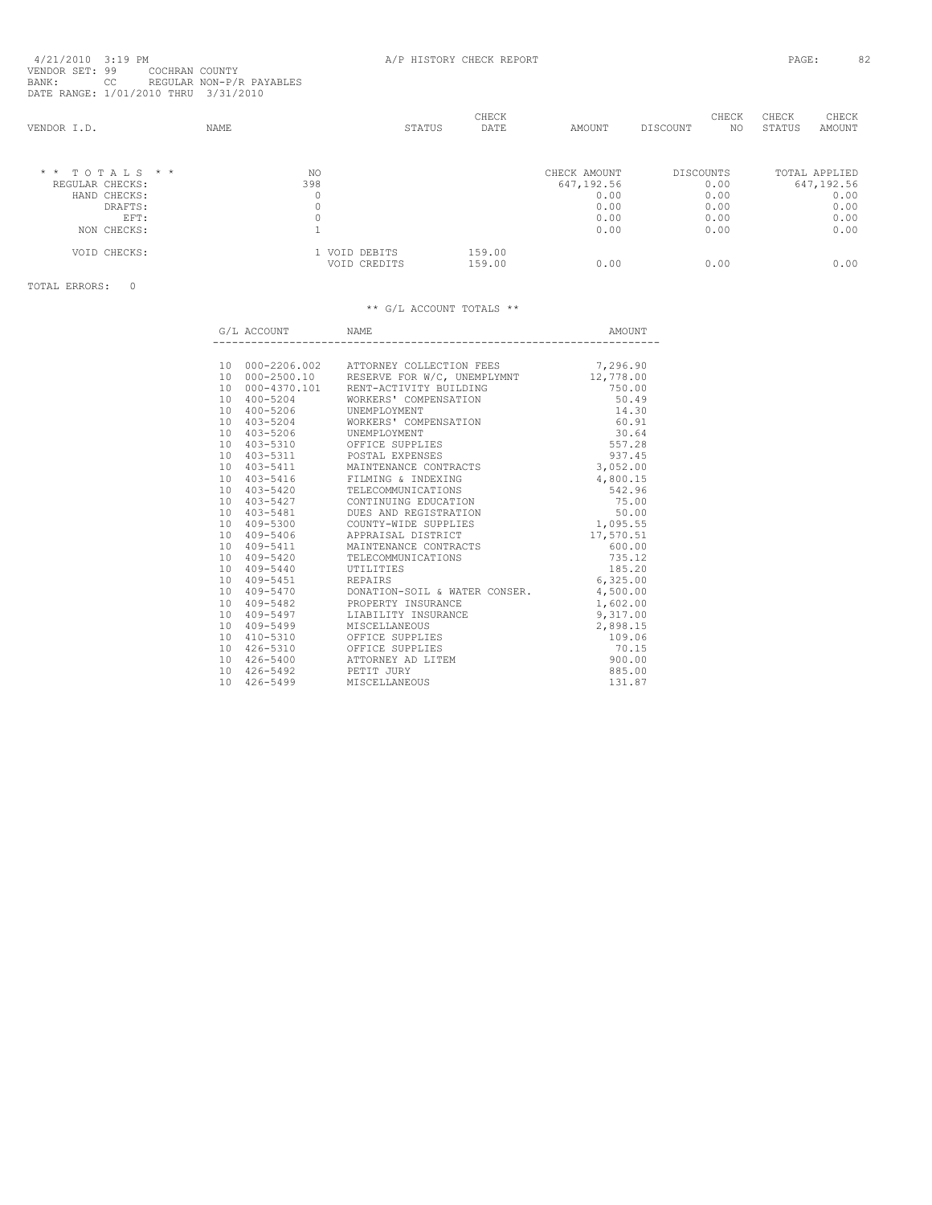| VENDOR I.D. |                  | <b>NAME</b> | STATUS                        | CHECK<br>DATE    | AMOUNT       | CHECK<br>DISCOUNT | CHECK<br>STATUS<br>NO. | CHECK<br>AMOUNT |
|-------------|------------------|-------------|-------------------------------|------------------|--------------|-------------------|------------------------|-----------------|
|             | $*$ * TOTALS * * | NO.         |                               |                  | CHECK AMOUNT | DISCOUNTS         |                        | TOTAL APPLIED   |
|             | REGULAR CHECKS:  | 398         |                               |                  | 647,192.56   | 0.00              |                        | 647,192.56      |
|             | HAND CHECKS:     |             |                               |                  | 0.00         | 0.00              |                        | 0.00            |
|             | DRAFTS:          |             |                               |                  | 0.00         | 0.00              |                        | 0.00            |
|             | EFT:             |             |                               |                  | 0.00         | 0.00              |                        | 0.00            |
|             | NON CHECKS:      |             |                               |                  | 0.00         | 0.00              |                        | 0.00            |
|             | VOID CHECKS:     |             | 1 VOID DEBITS<br>VOID CREDITS | 159.00<br>159.00 | 0.00         | 0.00              |                        | 0.00            |
|             |                  |             |                               |                  |              |                   |                        |                 |

TOTAL ERRORS: 0

|                 | G/L ACCOUNT              | <b>NAME</b>                                           | AMOUNT    |
|-----------------|--------------------------|-------------------------------------------------------|-----------|
|                 |                          |                                                       |           |
|                 |                          | 10 000-2206.002 ATTORNEY COLLECTION FEES              | 7,296.90  |
|                 |                          | 10 000-2500.10 RESERVE FOR W/C, UNEMPLYMNT            | 12,778.00 |
|                 |                          | 10 000-4370.101 RENT-ACTIVITY BUILDING                | 750.00    |
| 10              | 400-5204                 | WORKERS' COMPENSATION                                 | 50.49     |
| 10              | 400-5206 UNEMPLOYMENT    |                                                       | 14.30     |
|                 |                          | 10 403-5204 WORKERS' COMPENSATION                     | 60.91     |
|                 | 10 403-5206 UNEMPLOYMENT |                                                       | 30.64     |
|                 |                          | 10 403-5310 OFFICE SUPPLIES                           | 557.28    |
|                 |                          | 10 403-5311 POSTAL EXPENSES                           | 937.45    |
|                 |                          | 10 403-5411 MAINTENANCE CONTRACTS                     | 3,052.00  |
|                 |                          | 10 403-5416 FILMING & INDEXING                        | 4,800.15  |
|                 |                          | 10 403-5420 TELECOMMUNICATIONS                        | 542.96    |
|                 |                          | 10 403-5427 CONTINUING EDUCATION                      | 75.00     |
|                 |                          | 10 403-5481 DUES AND REGISTRATION                     | 50.00     |
|                 |                          | 10 409-5300 COUNTY-WIDE SUPPLIES                      | 1,095.55  |
|                 |                          | 10 409-5406 APPRAISAL DISTRICT                        | 17,570.51 |
|                 |                          | 10 409-5411 MAINTENANCE CONTRACTS                     | 600.00    |
|                 |                          | 10 409-5420 TELECOMMUNICATIONS                        | 735.12    |
|                 | 10 409-5440              | UTILITIES                                             | 185.20    |
|                 | 10 409-5451 REPAIRS      |                                                       | 6,325.00  |
|                 |                          | 10  409-5470  DONATION-SOIL & WATER CONSER.  4,500.00 |           |
|                 |                          | 10 409-5482 PROPERTY INSURANCE                        | 1,602.00  |
|                 |                          | 10 409-5497 LIABILITY INSURANCE                       | 9,317.00  |
| 10              | 409-5499                 | MISCELLANEOUS                                         | 2,898.15  |
| 10              |                          | 410-5310 OFFICE SUPPLIES                              | 109.06    |
| 10              | 426-5310                 | OFFICE SUPPLIES                                       | 70.15     |
|                 | 10 426-5400              | ATTORNEY AD LITEM                                     | 900.00    |
|                 | 10 426-5492 PETIT JURY   |                                                       | 885.00    |
| 10 <sup>1</sup> | $426 - 5499$             | MISCELLANEOUS                                         | 131.87    |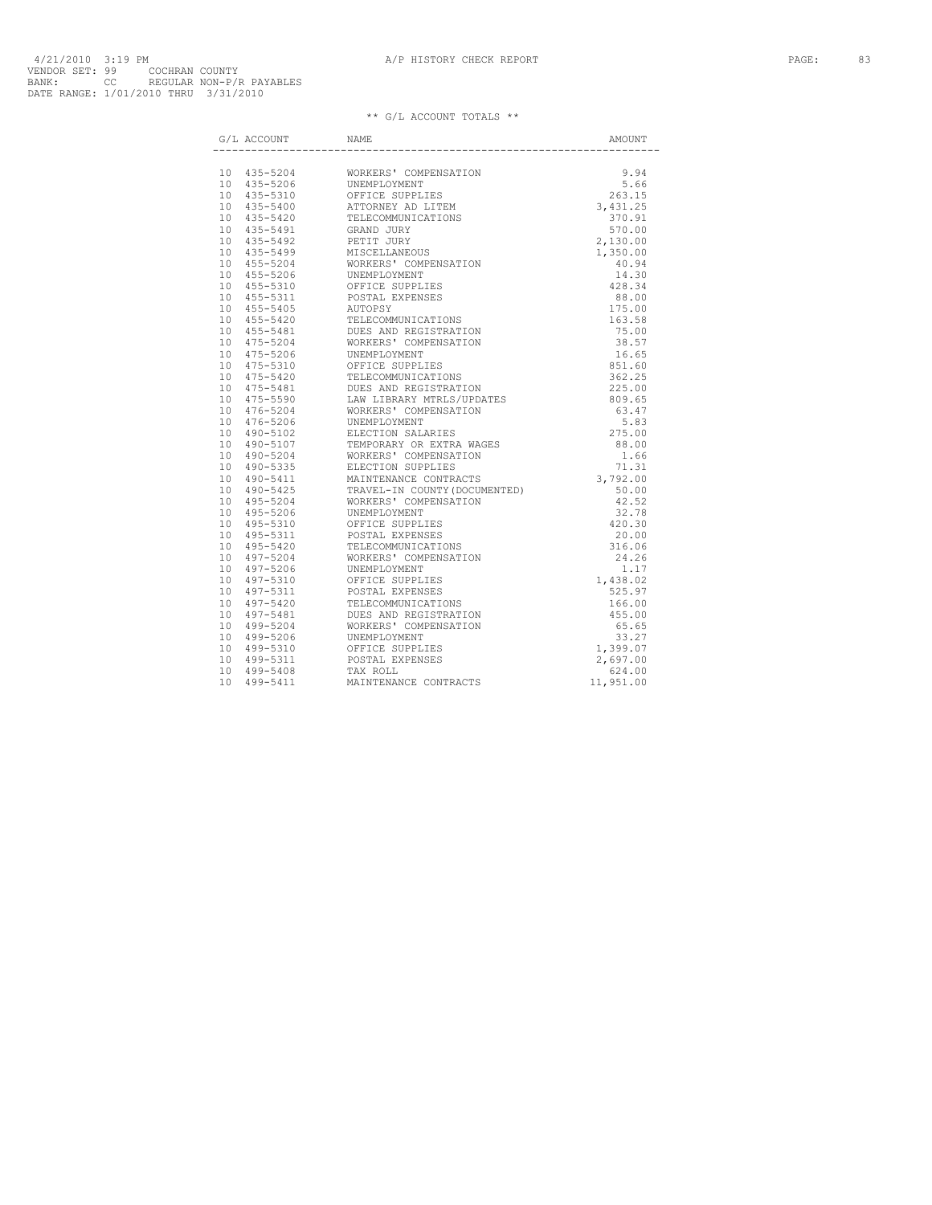|  | $\operatorname{G}/\operatorname{L}$ ACCOUNT NAME                                                                                                                                                                                                                                                                                           | AMOUNT |
|--|--------------------------------------------------------------------------------------------------------------------------------------------------------------------------------------------------------------------------------------------------------------------------------------------------------------------------------------------|--------|
|  | $\begin{tabular}{ c c c c c c c c} \hline & $6711$ & $235-5246$ & $8000 \text{N} & $8000 \text{N} & $101$ & $135-5206$ & $1084 \text{N} & $1084 \text{N} & $1084 \text{N} & $1084 \text{N} & $1084 \text{N} & $1084 \text{N} & $1084 \text{N} & $1084 \text{N} & $1084 \text{N} & $1084 \text{N} & $1084 \text{N} & $1084 \text{N} & $108$ |        |
|  |                                                                                                                                                                                                                                                                                                                                            |        |
|  |                                                                                                                                                                                                                                                                                                                                            |        |
|  |                                                                                                                                                                                                                                                                                                                                            |        |
|  |                                                                                                                                                                                                                                                                                                                                            |        |
|  |                                                                                                                                                                                                                                                                                                                                            |        |
|  |                                                                                                                                                                                                                                                                                                                                            |        |
|  |                                                                                                                                                                                                                                                                                                                                            |        |
|  |                                                                                                                                                                                                                                                                                                                                            |        |
|  |                                                                                                                                                                                                                                                                                                                                            |        |
|  |                                                                                                                                                                                                                                                                                                                                            |        |
|  |                                                                                                                                                                                                                                                                                                                                            |        |
|  |                                                                                                                                                                                                                                                                                                                                            |        |
|  |                                                                                                                                                                                                                                                                                                                                            |        |
|  |                                                                                                                                                                                                                                                                                                                                            |        |
|  |                                                                                                                                                                                                                                                                                                                                            |        |
|  |                                                                                                                                                                                                                                                                                                                                            |        |
|  |                                                                                                                                                                                                                                                                                                                                            |        |
|  |                                                                                                                                                                                                                                                                                                                                            |        |
|  |                                                                                                                                                                                                                                                                                                                                            |        |
|  |                                                                                                                                                                                                                                                                                                                                            |        |
|  |                                                                                                                                                                                                                                                                                                                                            |        |
|  |                                                                                                                                                                                                                                                                                                                                            |        |
|  |                                                                                                                                                                                                                                                                                                                                            |        |
|  |                                                                                                                                                                                                                                                                                                                                            |        |
|  |                                                                                                                                                                                                                                                                                                                                            |        |
|  |                                                                                                                                                                                                                                                                                                                                            |        |
|  |                                                                                                                                                                                                                                                                                                                                            |        |
|  |                                                                                                                                                                                                                                                                                                                                            |        |
|  |                                                                                                                                                                                                                                                                                                                                            |        |
|  |                                                                                                                                                                                                                                                                                                                                            |        |
|  |                                                                                                                                                                                                                                                                                                                                            |        |
|  |                                                                                                                                                                                                                                                                                                                                            |        |
|  |                                                                                                                                                                                                                                                                                                                                            |        |
|  |                                                                                                                                                                                                                                                                                                                                            |        |
|  |                                                                                                                                                                                                                                                                                                                                            |        |
|  |                                                                                                                                                                                                                                                                                                                                            |        |
|  |                                                                                                                                                                                                                                                                                                                                            |        |
|  |                                                                                                                                                                                                                                                                                                                                            |        |
|  |                                                                                                                                                                                                                                                                                                                                            |        |
|  |                                                                                                                                                                                                                                                                                                                                            |        |
|  |                                                                                                                                                                                                                                                                                                                                            |        |
|  |                                                                                                                                                                                                                                                                                                                                            |        |
|  |                                                                                                                                                                                                                                                                                                                                            |        |
|  |                                                                                                                                                                                                                                                                                                                                            |        |
|  |                                                                                                                                                                                                                                                                                                                                            |        |
|  |                                                                                                                                                                                                                                                                                                                                            |        |
|  |                                                                                                                                                                                                                                                                                                                                            |        |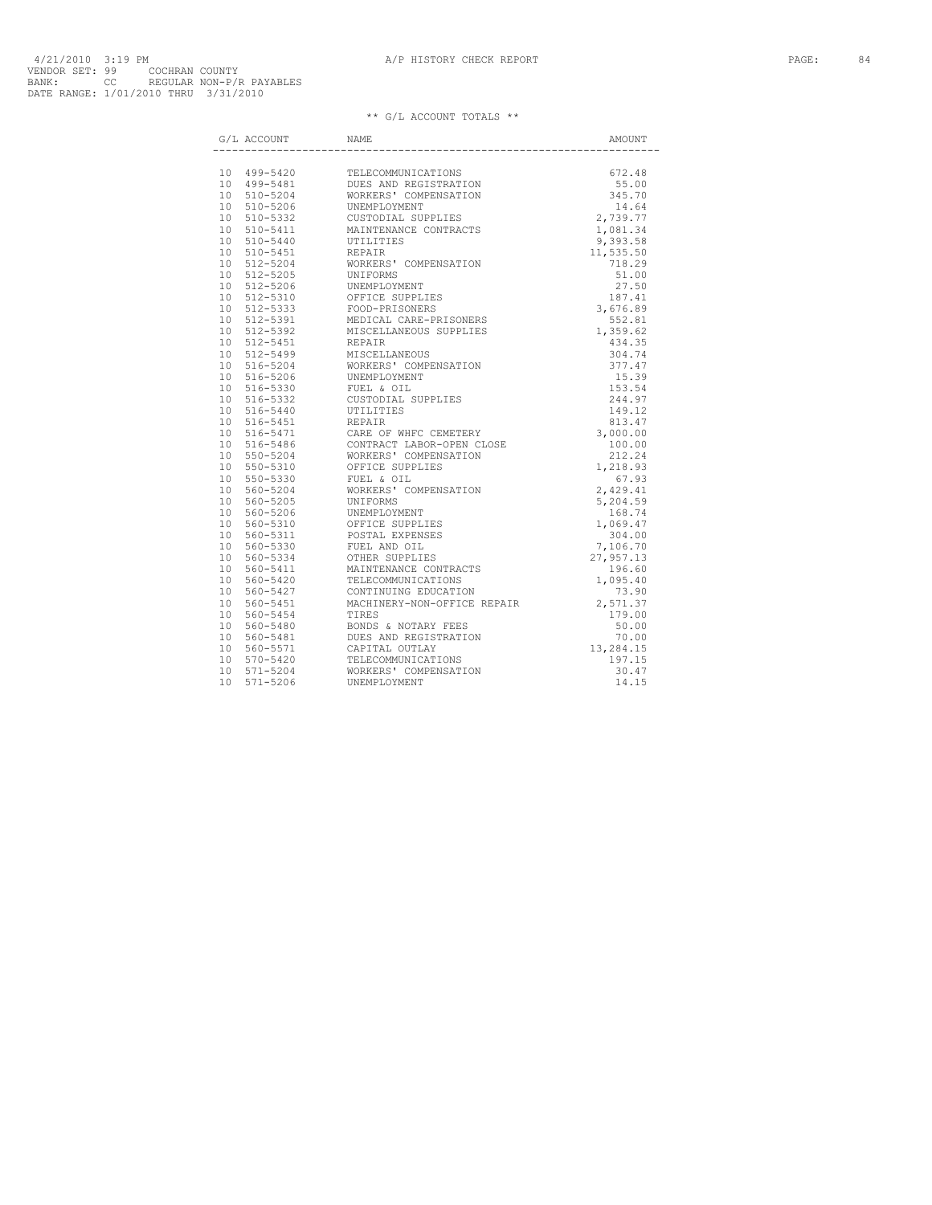| G/L ACCOUNT | $\ensuremath{\mathsf{NAME}}$ | AMOUNT |
|-------------|------------------------------|--------|
|             |                              |        |
|             |                              |        |
|             |                              |        |
|             |                              |        |
|             |                              |        |
|             |                              |        |
|             |                              |        |
|             |                              |        |
|             |                              |        |
|             |                              |        |
|             |                              |        |
|             |                              |        |
|             |                              |        |
|             |                              |        |
|             |                              |        |
|             |                              |        |
|             |                              |        |
|             |                              |        |
|             |                              |        |
|             |                              |        |
|             |                              |        |
|             |                              |        |
|             |                              |        |
|             |                              |        |
|             |                              |        |
|             |                              |        |
|             |                              |        |
|             |                              |        |
|             |                              |        |
|             |                              |        |
|             |                              |        |
|             |                              |        |
|             |                              |        |
|             |                              |        |
|             |                              |        |
|             |                              |        |
|             |                              |        |
|             |                              |        |
|             |                              |        |
|             |                              |        |
|             |                              |        |
|             |                              |        |
|             |                              |        |
|             |                              |        |
|             |                              |        |
|             |                              |        |
|             |                              |        |
|             |                              |        |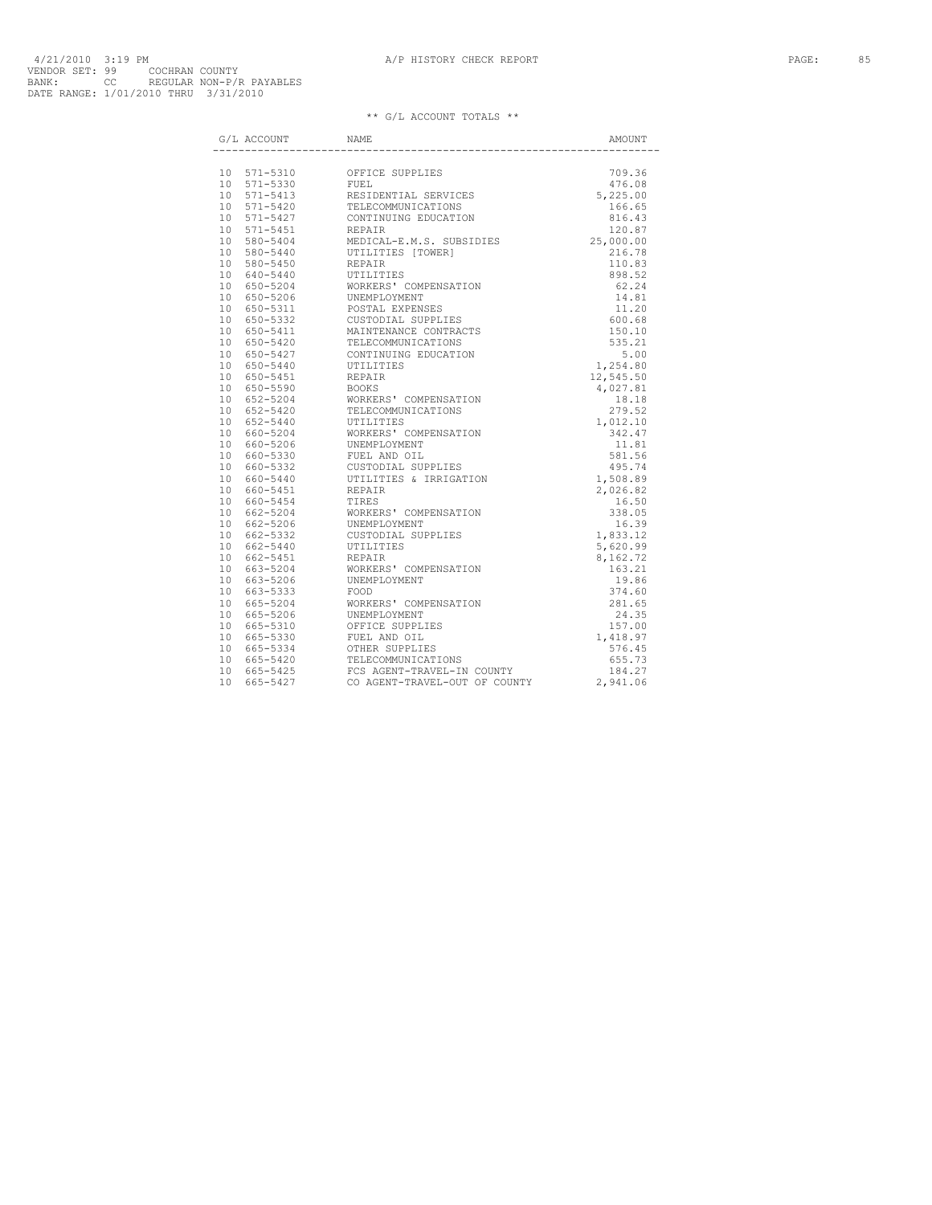| G/L ACCOUNT | NAME |  |
|-------------|------|--|
|             |      |  |
|             |      |  |
|             |      |  |
|             |      |  |
|             |      |  |
|             |      |  |
|             |      |  |
|             |      |  |
|             |      |  |
|             |      |  |
|             |      |  |
|             |      |  |
|             |      |  |
|             |      |  |
|             |      |  |
|             |      |  |
|             |      |  |
|             |      |  |
|             |      |  |
|             |      |  |
|             |      |  |
|             |      |  |
|             |      |  |
|             |      |  |
|             |      |  |
|             |      |  |
|             |      |  |
|             |      |  |
|             |      |  |
|             |      |  |
|             |      |  |
|             |      |  |
|             |      |  |
|             |      |  |
|             |      |  |
|             |      |  |
|             |      |  |
|             |      |  |
|             |      |  |
|             |      |  |
|             |      |  |
|             |      |  |
|             |      |  |
|             |      |  |
|             |      |  |
|             |      |  |
|             |      |  |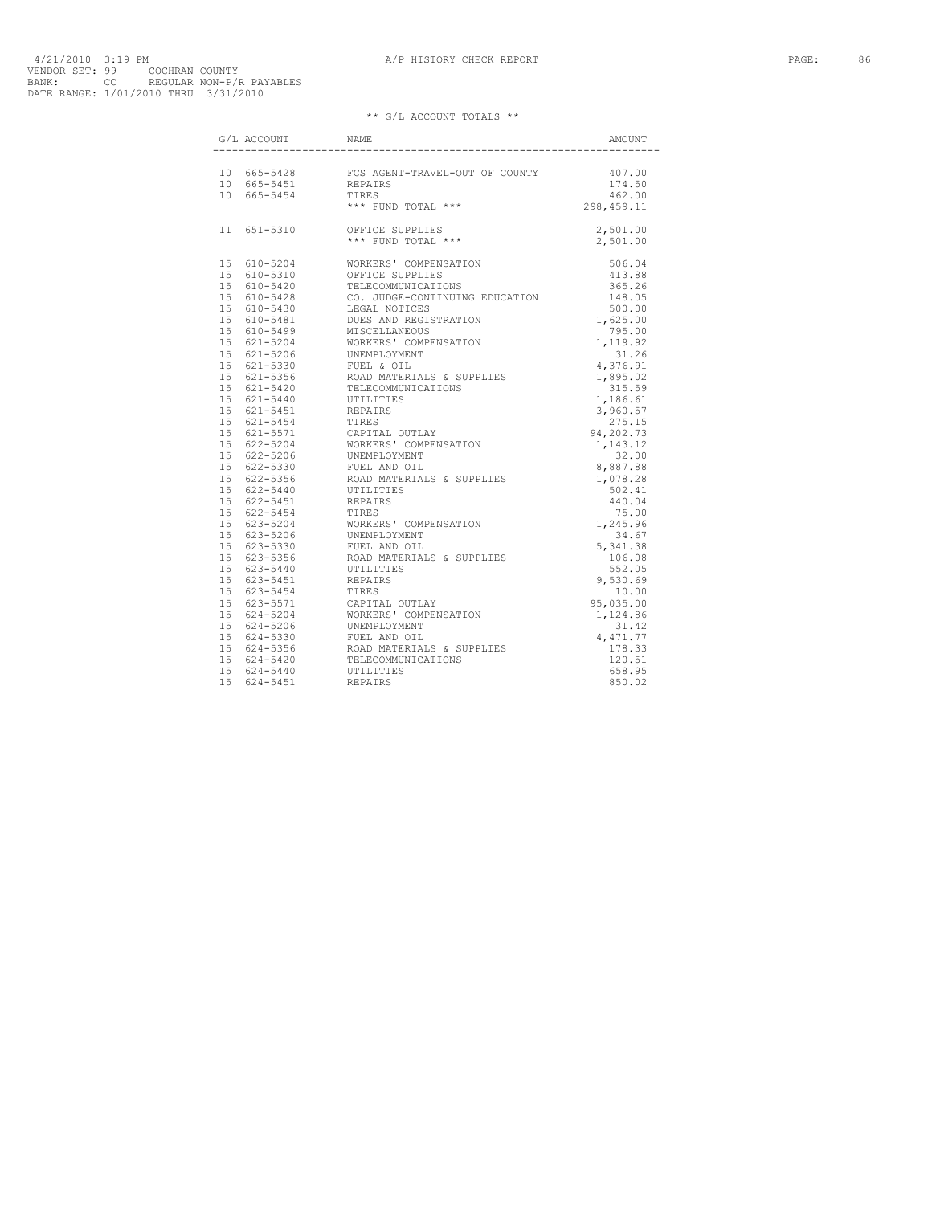| G/L ACCOUNT NAME |                                                                                                                                                                                                                                                                                                                                       |        |
|------------------|---------------------------------------------------------------------------------------------------------------------------------------------------------------------------------------------------------------------------------------------------------------------------------------------------------------------------------------|--------|
|                  |                                                                                                                                                                                                                                                                                                                                       |        |
|                  |                                                                                                                                                                                                                                                                                                                                       | 407.00 |
|                  |                                                                                                                                                                                                                                                                                                                                       |        |
|                  |                                                                                                                                                                                                                                                                                                                                       |        |
|                  |                                                                                                                                                                                                                                                                                                                                       |        |
|                  |                                                                                                                                                                                                                                                                                                                                       |        |
|                  | $\begin{tabular}{lllllllllll} 10&665-5428&\text{FCS AGENT-TRAVEL-OUT OF COUNTY}&407.00\\ 10&665-5451&\text{REPAIRS}&174.50\\ 10&665-5454&\text{TIRES}&462.00\\ &\text{\ } \ast\ast\ast\text{ FUND TOTAL}&\ast\ast\ast\\ 11&651-5310&\text{OFFICE SUPPLIES}&2,501.00\\ &&&\ast\ast\ast\text{ FUND TOTAL}&\ast\ast\ast\\ \end{tabular}$ |        |
|                  |                                                                                                                                                                                                                                                                                                                                       |        |
|                  |                                                                                                                                                                                                                                                                                                                                       |        |
|                  |                                                                                                                                                                                                                                                                                                                                       |        |
|                  |                                                                                                                                                                                                                                                                                                                                       |        |
|                  |                                                                                                                                                                                                                                                                                                                                       |        |
|                  |                                                                                                                                                                                                                                                                                                                                       |        |
|                  |                                                                                                                                                                                                                                                                                                                                       |        |
|                  |                                                                                                                                                                                                                                                                                                                                       |        |
|                  |                                                                                                                                                                                                                                                                                                                                       |        |
|                  |                                                                                                                                                                                                                                                                                                                                       |        |
|                  |                                                                                                                                                                                                                                                                                                                                       |        |
|                  |                                                                                                                                                                                                                                                                                                                                       |        |
|                  |                                                                                                                                                                                                                                                                                                                                       |        |
|                  |                                                                                                                                                                                                                                                                                                                                       |        |
|                  |                                                                                                                                                                                                                                                                                                                                       |        |
|                  |                                                                                                                                                                                                                                                                                                                                       |        |
|                  |                                                                                                                                                                                                                                                                                                                                       |        |
|                  |                                                                                                                                                                                                                                                                                                                                       |        |
|                  |                                                                                                                                                                                                                                                                                                                                       |        |
|                  |                                                                                                                                                                                                                                                                                                                                       |        |
|                  |                                                                                                                                                                                                                                                                                                                                       |        |
|                  |                                                                                                                                                                                                                                                                                                                                       |        |
|                  |                                                                                                                                                                                                                                                                                                                                       |        |
|                  |                                                                                                                                                                                                                                                                                                                                       |        |
|                  |                                                                                                                                                                                                                                                                                                                                       |        |
|                  |                                                                                                                                                                                                                                                                                                                                       |        |
|                  |                                                                                                                                                                                                                                                                                                                                       |        |
|                  |                                                                                                                                                                                                                                                                                                                                       |        |
|                  |                                                                                                                                                                                                                                                                                                                                       |        |
|                  |                                                                                                                                                                                                                                                                                                                                       |        |
|                  |                                                                                                                                                                                                                                                                                                                                       |        |
|                  |                                                                                                                                                                                                                                                                                                                                       |        |
|                  |                                                                                                                                                                                                                                                                                                                                       |        |
|                  |                                                                                                                                                                                                                                                                                                                                       |        |
|                  |                                                                                                                                                                                                                                                                                                                                       |        |
|                  |                                                                                                                                                                                                                                                                                                                                       |        |
|                  |                                                                                                                                                                                                                                                                                                                                       |        |
|                  |                                                                                                                                                                                                                                                                                                                                       |        |
|                  |                                                                                                                                                                                                                                                                                                                                       |        |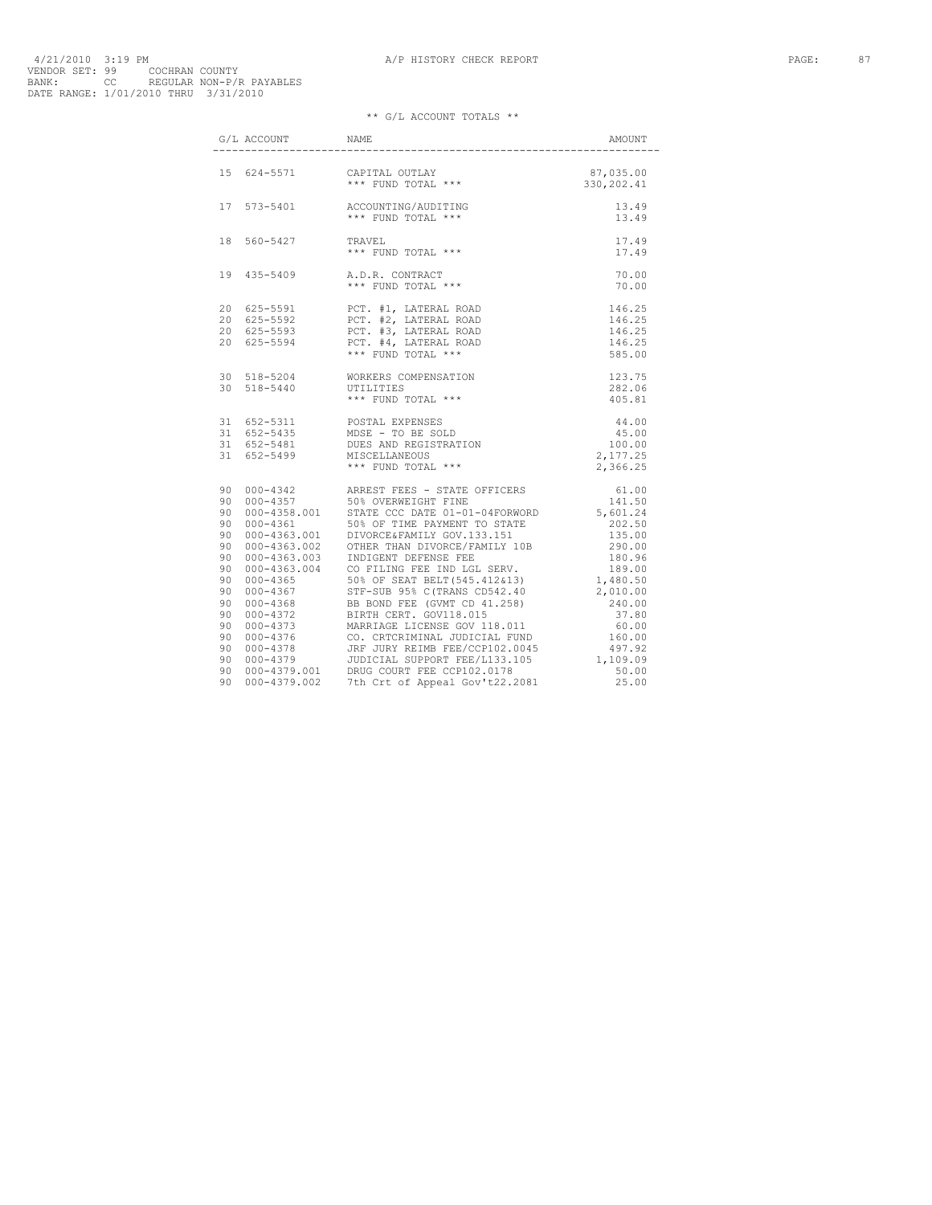| $\begin{minipage}{.4\linewidth} G/L \; \; \text{ACCOUNT} \; \; \hspace{1.5cm} \text{NAME} \end{minipage}$ |                                                                                                                                                                                                                                                                                                                                                                      | AMOUNT         |
|-----------------------------------------------------------------------------------------------------------|----------------------------------------------------------------------------------------------------------------------------------------------------------------------------------------------------------------------------------------------------------------------------------------------------------------------------------------------------------------------|----------------|
|                                                                                                           | $\begin{array}{cccc} \texttt{15} & \texttt{624-5571} & \texttt{CAPITAL OUTLAY} & \texttt{87,035.00} \\ & \texttt{*** FUND TOTAL} & \texttt{***} & \texttt{330,202.41} \end{array}$                                                                                                                                                                                   |                |
|                                                                                                           |                                                                                                                                                                                                                                                                                                                                                                      |                |
|                                                                                                           |                                                                                                                                                                                                                                                                                                                                                                      |                |
|                                                                                                           |                                                                                                                                                                                                                                                                                                                                                                      | 70.00<br>70.00 |
|                                                                                                           | $\begin{tabular}{lllllllllllll} 20 & 625-5591 & & {\tt PCT.} & \tt \#1, \tt \; LATERAL \,\,ROAD & & & & 146.25 \\ 20 & 625-5592 & & {\tt PCT.} & \tt \#2, \,\, LATERAL \,\,ROAD & & & 146.25 \\ 20 & 625-5593 & & {\tt PCT.} & \tt \#3, \,\, LATERAL \,\,ROAD & & & 146.25 \\ 20 & 625-5594 & & {\tt PCT.} & \tt \#4, \,\, LATERAL \,\,ROAD & & & 146.25 \\ & & & &$ |                |
|                                                                                                           |                                                                                                                                                                                                                                                                                                                                                                      |                |
|                                                                                                           | 30 518-5204 WORKERS COMPENSATION 123.75<br>30 518-5440 UTILITIES 282.06<br>*** FUND TOTAL *** 405.81<br>31 652-5311 POSTAL EXPENSES 44.00<br>31 652-5481 DUES AND REGISTRATION 45.00<br>31 652-5481 DUES AND REGISTRATION 100.00<br>31 652                                                                                                                           |                |
|                                                                                                           |                                                                                                                                                                                                                                                                                                                                                                      |                |
|                                                                                                           |                                                                                                                                                                                                                                                                                                                                                                      |                |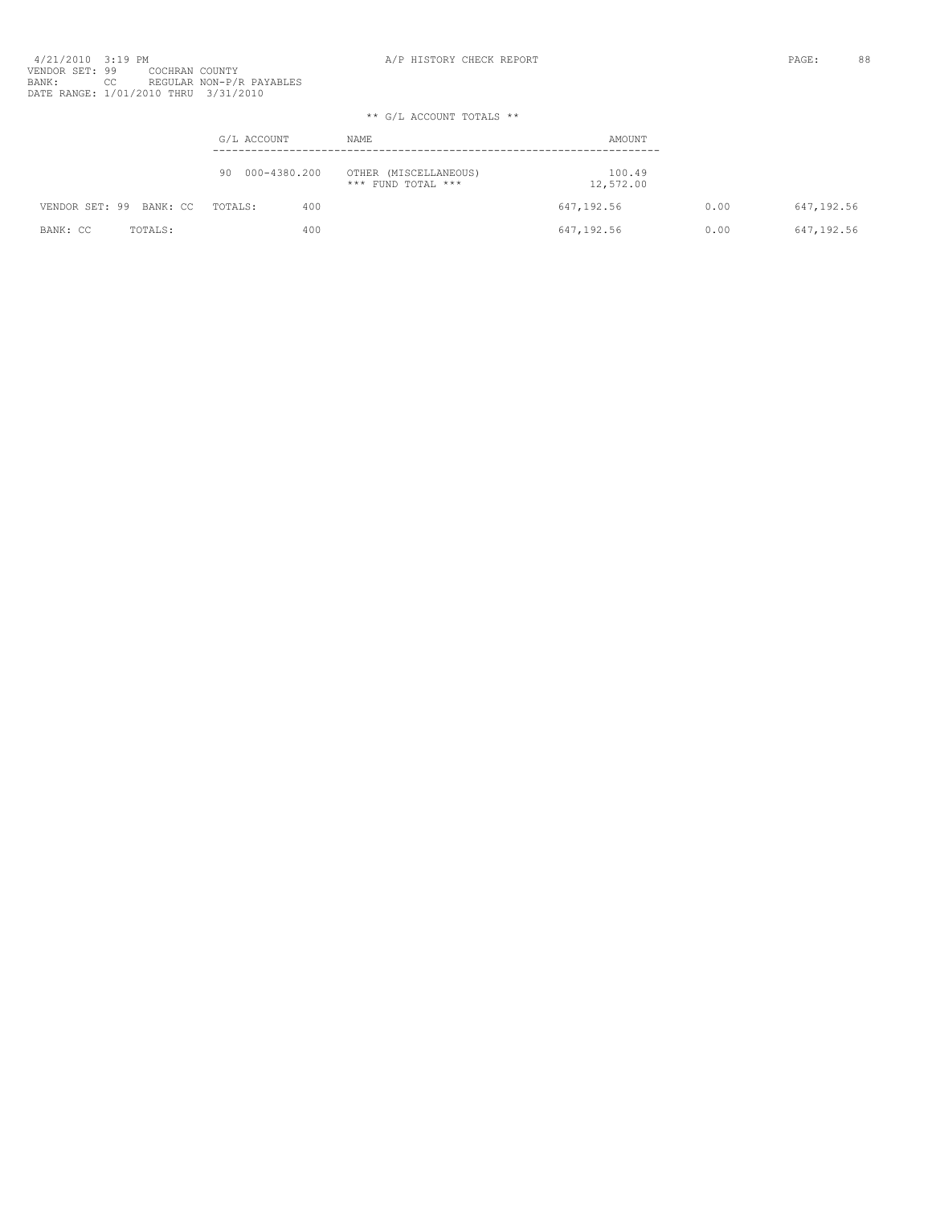4/21/2010 3:19 PM<br>VENDOR SET: 99 COCHRAN COUNTY<br>BANK: OC REGULAR NON-P/R PAYABLES<br>BATE RANGE: 1/01/2010 THRU 3/31/2010

|                         | G/L ACCOUNT     | NAME                                        | AMOUNT              |      |             |
|-------------------------|-----------------|---------------------------------------------|---------------------|------|-------------|
|                         | 90 000-4380.200 | OTHER (MISCELLANEOUS)<br>*** FUND TOTAL *** | 100.49<br>12,572.00 |      |             |
| VENDOR SET: 99 BANK: CC | TOTALS:<br>400  |                                             | 647,192.56          | 0.00 | 647,192.56  |
| BANK: CC<br>TOTALS:     | 400             |                                             | 647,192.56          | 0.00 | 647, 192.56 |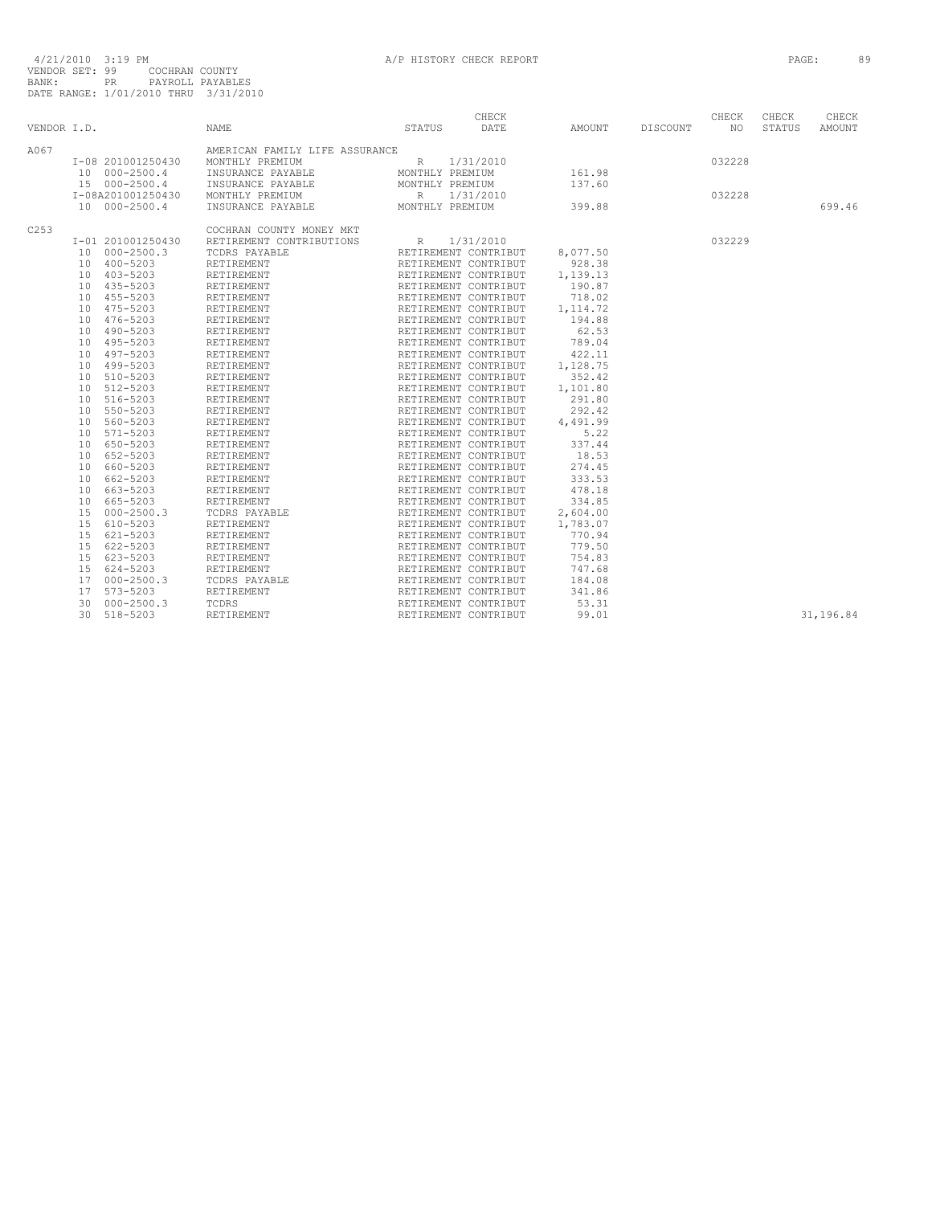|             |                      |                                | CHECK                                        |                                  |          | CHECK  | CHECK  | CHECK     |
|-------------|----------------------|--------------------------------|----------------------------------------------|----------------------------------|----------|--------|--------|-----------|
| VENDOR I.D. |                      | <b>NAME</b>                    | DATE<br>STATUS                               | AMOUNT                           | DISCOUNT | NO.    | STATUS | AMOUNT    |
| A067        |                      | AMERICAN FAMILY LIFE ASSURANCE |                                              |                                  |          |        |        |           |
|             | I-08 201001250430    | MONTHLY PREMIUM                | R<br>1/31/2010                               |                                  |          | 032228 |        |           |
|             | 10 000-2500.4        | INSURANCE PAYABLE              | MONTHLY PREMIUM                              | 161.98                           |          |        |        |           |
|             | 15 000-2500.4        | INSURANCE PAYABLE              | MONTHLY PREMIUM                              | 137.60                           |          |        |        |           |
|             | I-08A201001250430    | MONTHLY PREMIUM                | R 1/31/2010                                  |                                  |          | 032228 |        |           |
|             | 10 000-2500.4        | INSURANCE PAYABLE              | MONTHLY PREMIUM                              | 399.88                           |          |        |        | 699.46    |
| C253        |                      | COCHRAN COUNTY MONEY MKT       |                                              |                                  |          |        |        |           |
|             | I-01 201001250430    | RETIREMENT CONTRIBUTIONS       | R 1/31/2010                                  |                                  |          | 032229 |        |           |
|             | 10 000-2500.3        | TCDRS PAYABLE                  | RETIREMENT CONTRIBUT                         | 8,077.50                         |          |        |        |           |
|             | 10 400-5203          | RETIREMENT                     | RETIREMENT CONTRIBUT                         | 928.38                           |          |        |        |           |
|             | 10 403-5203          | RETIREMENT                     | RETIREMENT CONTRIBUT                         | 1,139.13                         |          |        |        |           |
|             | 10 435-5203          | RETIREMENT                     | RETIREMENT CONTRIBUT                         | 190.87                           |          |        |        |           |
|             | 10 455-5203          | RETIREMENT                     | RETIREMENT CONTRIBUT                         | 718.02                           |          |        |        |           |
|             | 10 475-5203          | RETIREMENT                     |                                              | 1, 114.72                        |          |        |        |           |
|             | 10 476-5203          | RETIREMENT                     | RETIREMENT CONTRIBUT<br>RETIREMENT CONTRIBUT | 194.88                           |          |        |        |           |
|             | 10 490-5203          | RETIREMENT                     | RETIREMENT CONTRIBUT                         | 62.53                            |          |        |        |           |
|             | 10 495-5203          | RETIREMENT                     | RETIREMENT CONTRIBUT<br>RETIREMENT CONTRIBUT | 789.04                           |          |        |        |           |
|             | 10 497-5203          | RETIREMENT                     |                                              | 422.11                           |          |        |        |           |
|             | 10 499-5203          | RETIREMENT                     | RETIREMENT CONTRIBUT                         | 1,128.75                         |          |        |        |           |
|             | 10 510-5203          | RETIREMENT                     | RETIREMENT CONTRIBUT<br>RETIREMENT CONTRIBUT | 352.42                           |          |        |        |           |
|             | 10 512-5203          | RETIREMENT                     |                                              | 1,101.80                         |          |        |        |           |
|             | 10 516-5203          | RETIREMENT                     | RETIREMENT CONTRIBUT                         | 291.80                           |          |        |        |           |
|             | 10 550-5203          | RETIREMENT                     | RETIREMENT CONTRIBUT<br>RETIREMENT CONTRIBUT | 292.42                           |          |        |        |           |
|             | 10 560-5203          | RETIREMENT                     |                                              | 4,491.99                         |          |        |        |           |
|             | 10 571-5203          | RETIREMENT                     | RETIREMENT CONTRIBUT                         | 5.22                             |          |        |        |           |
|             | 10 650-5203          | RETIREMENT                     | RETIREMENT CONTRIBUT<br>RETIREMENT CONTRIBUT | 337.44                           |          |        |        |           |
|             | 10 652-5203          | RETIREMENT                     |                                              | 18.53                            |          |        |        |           |
|             | 10 660-5203          | RETIREMENT                     | RETIREMENT CONTRIBUT                         | 274.45                           |          |        |        |           |
|             | 10 662-5203          | RETIREMENT                     | RETIREMENT CONTRIBUT<br>RETIREMENT CONTRIBUT | 333.53                           |          |        |        |           |
|             | 10 663-5203          | RETIREMENT                     |                                              | 478.18                           |          |        |        |           |
|             | 10 665-5203          | RETIREMENT                     | RETIREMENT CONTRIBUT                         | 334.85                           |          |        |        |           |
|             | 15 000-2500.3        | TCDRS PAYABLE                  | RETIREMENT CONTRIBUT<br>RETIREMENT CONTRIBUT | 2,604.00<br>2,604.00<br>1,783.07 |          |        |        |           |
|             | 15 610-5203          | RETIREMENT                     |                                              |                                  |          |        |        |           |
|             | 621-5203<br>15       | RETIREMENT                     | RETIREMENT CONTRIBUT                         | 770.94                           |          |        |        |           |
|             | 15<br>622-5203       | RETIREMENT                     | RETIREMENT CONTRIBUT<br>RETIREMENT CONTRIBUT | 779.50                           |          |        |        |           |
|             | 15 623-5203          | RETIREMENT                     |                                              | 754.83                           |          |        |        |           |
|             | 15 624-5203          | RETIREMENT                     | RETIREMENT CONTRIBUT                         | 747.68                           |          |        |        |           |
|             | 17 000-2500.3        | TCDRS PAYABLE                  | RETIREMENT CONTRIBUT<br>RETIREMENT CONTRIBUT | 184.08                           |          |        |        |           |
|             | 573-5203<br>17       | RETIREMENT                     |                                              | 341.86                           |          |        |        |           |
|             | $000 - 2500.3$<br>30 | TCDRS                          | RETIREMENT CONTRIBUT                         | 53.31                            |          |        |        |           |
|             | 30<br>518-5203       | RETIREMENT                     | RETIREMENT CONTRIBUT                         | 99.01                            |          |        |        | 31,196.84 |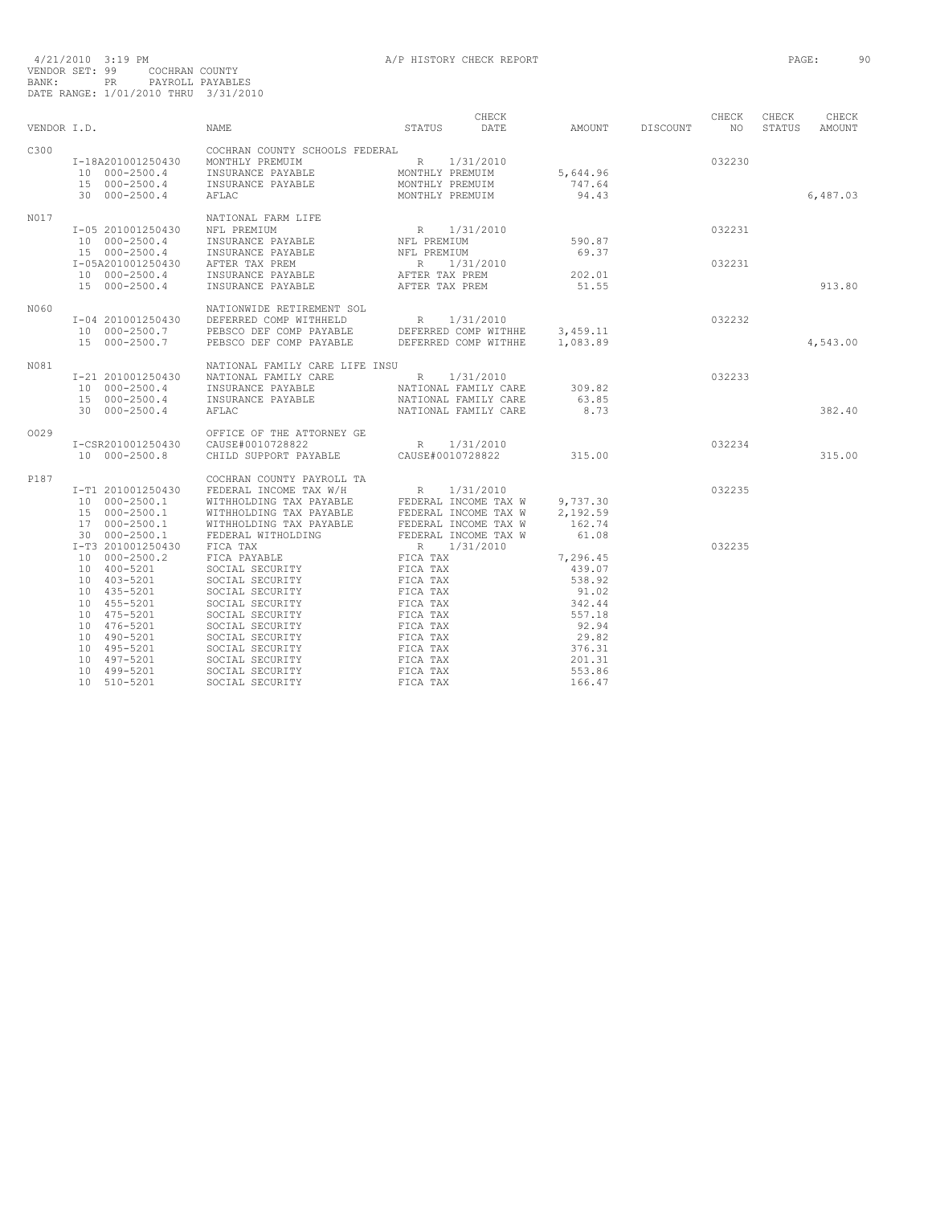|             |                                                                                                                                                                                                         | NAME                                                                                                                                                                                                                                                                                                                                                                                                        | CHECK<br>STATUS                                                                              | AMOUNT DISCOUNT NO                                                                                                  | CHECK            | CHECK  | CHECK    |
|-------------|---------------------------------------------------------------------------------------------------------------------------------------------------------------------------------------------------------|-------------------------------------------------------------------------------------------------------------------------------------------------------------------------------------------------------------------------------------------------------------------------------------------------------------------------------------------------------------------------------------------------------------|----------------------------------------------------------------------------------------------|---------------------------------------------------------------------------------------------------------------------|------------------|--------|----------|
| VENDOR I.D. |                                                                                                                                                                                                         |                                                                                                                                                                                                                                                                                                                                                                                                             | DATE                                                                                         |                                                                                                                     |                  | STATUS | AMOUNT   |
| C300        | 30 000-2500.4                                                                                                                                                                                           | COCHRAN COUNTY SCHOOLS FEDERAL<br>$\begin{tabular}{lcccc} \texttt{I}-18A201001250430 & MONTHLY PREMUIM & & & & & & & \\ \texttt{I0} & 000-2500.4 & & & & & & & & \\ \texttt{I1} & 000-2500.4 & & & & & & & \\ \texttt{I2} & 000-2500.4 & & & & & & & \\ \texttt{I3} & 000-2500.4 & & & & & & \\ \texttt{I4} & 000-2500.4 & & & & & \\ \texttt{I5} & 000-2500.4 & & & & & \\ \texttt{I5} & 000-250$<br>AFLAC | MONTHLY PREMUIM                                                                              | 5,644.96<br>747.64<br>94.43                                                                                         | 032230           |        | 6,487.03 |
|             |                                                                                                                                                                                                         |                                                                                                                                                                                                                                                                                                                                                                                                             |                                                                                              |                                                                                                                     |                  |        |          |
| N017        | I-05 201001250430<br>10 000-2500.4<br>15 000-2500.4<br>I-05A201001250430 AFTER TAX PREM<br>15 000-2500.4                                                                                                | NATIONAL FARM LIFE<br>NFL PREMIUM<br>INSURANCE PAYABLE<br>INSURANCE PAYABLE<br>10 000-2500.4 INSURANCE PAYABLE<br>INSURANCE PAYABLE                                                                                                                                                                                                                                                                         | R 1/31/2010<br>NFL PREMIUM<br>NFL PREMIUM<br>R 1/31/2010<br>AFTER TAX PREM<br>AFTER TAX PREM | 590.87<br>69.37<br>202.01<br>51.55                                                                                  | 032231<br>032231 |        | 913.80   |
| N060        | I-04 201001250430<br>15 000-2500.7                                                                                                                                                                      | NATIONWIDE RETIREMENT SOL<br>$1-04$ 201001250430 DEFERRED COMP WITHHELD R 1/31/2010<br>10 000-2500.7 PEBSCO DEF COMP PAYABLE DEFERRED COMP WITHHE 3,459.11<br>PEBSCO DEF COMP PAYABLE DEFERRED COMP WITHHE                                                                                                                                                                                                  |                                                                                              | 1,083.89                                                                                                            | 032232           |        | 4,543.00 |
| N081        | I-21 201001250430<br>10 000-2500.4<br>15 000-2500.4<br>30 000-2500.4                                                                                                                                    | NATIONAL FAMILY CARE LIFE INSU<br>NATIONAL FAMILY CARE<br>INSURANCE PAYABLE<br>INSURANCE PAYABLE<br>AFLAC                                                                                                                                                                                                                                                                                                   | NATIONAL FAMILY CARE<br>NATIONAL FAMILY CARE                                                 | 63.85<br>8.73                                                                                                       | 032233           |        | 382.40   |
| 0029        | I-CSR201001250430<br>10 000-2500.8                                                                                                                                                                      | OFFICE OF THE ATTORNEY GE<br>$\begin{tabular}{lllllllll} \multicolumn{4}{c}{\texttt{CAUSE+0010728822}} & & & \multicolumn{4}{c}{\texttt{R}} & 1/31/2010} \\ \multicolumn{4}{c}{\texttt{CHILD}} & \texttt{SUPPORT} & \texttt{PAYABLE} & & \multicolumn{4}{c}{\texttt{CAUSE+0010728822}} \end{tabular}$                                                                                                       |                                                                                              | 315.00                                                                                                              | 032234           |        | 315.00   |
| P187        | I-T1 201001250430<br>10 000-2500.1<br>$15 \t 000-2500.1$<br>$17 \t 000-2500.1$<br>30 000-2500.1                                                                                                         | COCHRAN COUNTY PAYROLL TA                                                                                                                                                                                                                                                                                                                                                                                   |                                                                                              | 9,737.30<br>2,192.59<br>162.74<br>61.08                                                                             | 032235           |        |          |
|             | I-T3 201001250430<br>10 000-2500.2<br>10 400-5201<br>10 403-5201<br>10 435-5201<br>10 455-5201<br>10 475-5201<br>10 476-5201<br>10 490-5201<br>10 495-5201<br>10 497-5201<br>10 499-5201<br>10 510-5201 | COCHRAN COUNTY PAYROLL TA<br>FEDERAL INCOME TAX W/H<br>MITHHOLDING TAX PAYABLE FEDERAL INCOME TAX W<br>MITHHOLDING TAX PAYABLE FEDERAL INCOME TAX W<br>MITHHOLDING TAX PAYABLE FEDERAL INCOME TAX W<br>FEDERAL WITHOLDING FIX W<br>FEDERAL<br>SOCIAL SECURITY<br>SOCIAL SECURITY<br>SOCIAL SECURITY<br>SOCIAL SECURITY<br>SOCIAL SECURITY                                                                   | FICA TAX<br>FICA TAX<br>FICA TAX<br>FICA TAX<br>FICA TAX                                     | 7,296.45<br>439.07<br>538.92<br>91.02<br>342.44<br>557.18<br>92.94<br>29.82<br>376.31<br>201.31<br>553.86<br>166.47 | 032235           |        |          |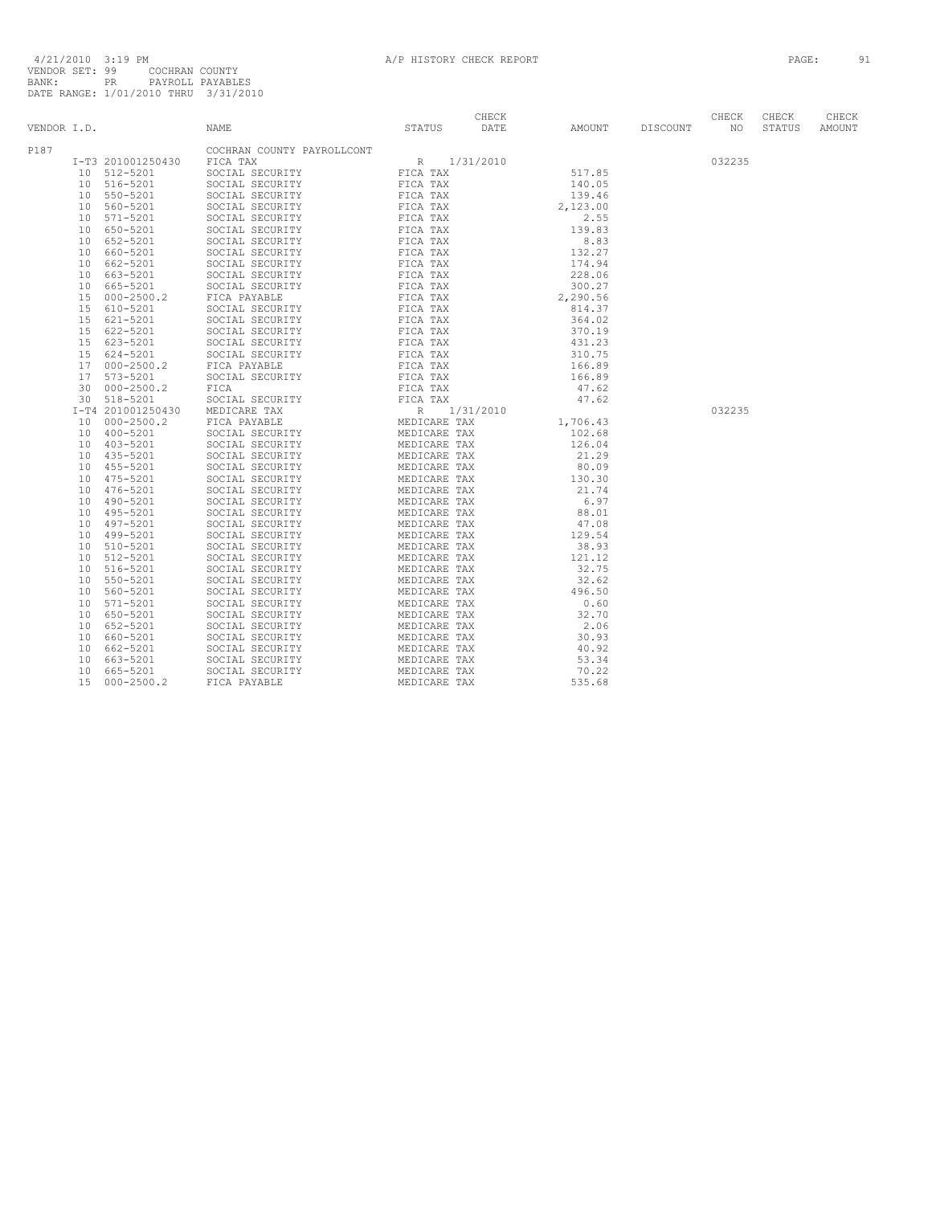| VENDOR I.D. |                 |                         | NAME                                                                                                                                                                                                                                                         | STATUS       | CHECK<br>DATE | AMOUNT          | DISCOUNT | CHECK<br>NO | CHECK<br>STATUS | CHECK<br>AMOUNT |
|-------------|-----------------|-------------------------|--------------------------------------------------------------------------------------------------------------------------------------------------------------------------------------------------------------------------------------------------------------|--------------|---------------|-----------------|----------|-------------|-----------------|-----------------|
| P187        |                 |                         | COCHRAN COUNTY PAYROLLCONT<br>COCHRAN COUNTY PAYROLLCONT (FOR TAX SOCIAL SECURITY FICA TAX SOCIAL SECURITY FICA TAX SOCIAL SECURITY FICA TAX SOCIAL SECURITY FICA TAX SOCIAL SECURITY FICA TAX SOCIAL SECURITY FICA TAX SOCIAL SECURITY FICA TAX SOCIAL SECU |              |               |                 |          |             |                 |                 |
|             |                 | I-T3 201001250430       |                                                                                                                                                                                                                                                              |              |               | 517.85          |          | 032235      |                 |                 |
|             |                 | 10 512-5201             |                                                                                                                                                                                                                                                              |              |               |                 |          |             |                 |                 |
|             |                 | 10 516-5201             |                                                                                                                                                                                                                                                              |              |               | 140.05          |          |             |                 |                 |
|             | 10              | 550-5201                |                                                                                                                                                                                                                                                              |              |               | 139.46          |          |             |                 |                 |
|             |                 | 10 560-5201             |                                                                                                                                                                                                                                                              |              |               | 2,123.00        |          |             |                 |                 |
|             |                 | 10 571-5201             |                                                                                                                                                                                                                                                              |              |               | 2.55            |          |             |                 |                 |
|             | 10              | 650-5201                |                                                                                                                                                                                                                                                              |              |               | 139.83          |          |             |                 |                 |
|             | 10              | 652-5201                |                                                                                                                                                                                                                                                              |              |               | 8.83            |          |             |                 |                 |
|             | 10              | 660-5201                |                                                                                                                                                                                                                                                              |              |               | 132.27          |          |             |                 |                 |
|             | 10              | 662-5201                |                                                                                                                                                                                                                                                              |              |               | 174.94          |          |             |                 |                 |
|             | 10 <sup>1</sup> | 663-5201                |                                                                                                                                                                                                                                                              |              |               | 228.06          |          |             |                 |                 |
|             | 10              | 665-5201                |                                                                                                                                                                                                                                                              |              |               | 300.27          |          |             |                 |                 |
|             | 15              | $000 - 2500.2$          |                                                                                                                                                                                                                                                              |              |               | 2,290.56        |          |             |                 |                 |
|             | 15              | 610-5201                |                                                                                                                                                                                                                                                              |              |               | 814.37          |          |             |                 |                 |
|             | 15              | 621-5201                |                                                                                                                                                                                                                                                              |              |               | 364.02          |          |             |                 |                 |
|             | 15              | 622-5201                |                                                                                                                                                                                                                                                              |              |               | 370.19          |          |             |                 |                 |
|             | 15              | 623-5201                |                                                                                                                                                                                                                                                              |              |               | 431.23          |          |             |                 |                 |
|             |                 | 15 624-5201             |                                                                                                                                                                                                                                                              |              |               | 310.75          |          |             |                 |                 |
|             | 17              | $000 - 2500.2$          |                                                                                                                                                                                                                                                              |              |               | 166.89          |          |             |                 |                 |
|             |                 | 17 573-5201             |                                                                                                                                                                                                                                                              |              |               | 166.89          |          |             |                 |                 |
|             | 30              | $000 - 2500.2$          |                                                                                                                                                                                                                                                              |              |               | 47.62           |          |             |                 |                 |
|             |                 | 30 518-5201             |                                                                                                                                                                                                                                                              |              |               | 47.62           |          |             |                 |                 |
|             |                 | I-T4 201001250430       |                                                                                                                                                                                                                                                              |              |               |                 |          | 032235      |                 |                 |
|             |                 | 10 000-2500.2           |                                                                                                                                                                                                                                                              |              |               | 1,706.43        |          |             |                 |                 |
|             |                 | 10 400-5201             |                                                                                                                                                                                                                                                              |              |               | 102.68          |          |             |                 |                 |
|             | 10              | 403-5201                |                                                                                                                                                                                                                                                              |              |               | 126.04          |          |             |                 |                 |
|             |                 | 10 435-5201             |                                                                                                                                                                                                                                                              |              |               | 21.29           |          |             |                 |                 |
|             | 10              | 455-5201                |                                                                                                                                                                                                                                                              |              |               | 80.09           |          |             |                 |                 |
|             |                 | 10 475-5201             |                                                                                                                                                                                                                                                              |              |               | 130.30<br>21.74 |          |             |                 |                 |
|             | 10              | 476-5201<br>10 490-5201 |                                                                                                                                                                                                                                                              |              |               | 6.97            |          |             |                 |                 |
|             |                 | 10 495-5201             |                                                                                                                                                                                                                                                              |              |               | 88.01           |          |             |                 |                 |
|             | 10              | 497-5201                |                                                                                                                                                                                                                                                              |              |               | 47.08           |          |             |                 |                 |
|             | 10              | 499-5201                |                                                                                                                                                                                                                                                              |              |               | 129.54          |          |             |                 |                 |
|             | 10              | 510-5201                | SOCIAL SECURITY                                                                                                                                                                                                                                              |              |               | 38.93           |          |             |                 |                 |
|             | 10 <sup>°</sup> | 512-5201                | SOCIAL SECURITY                                                                                                                                                                                                                                              |              |               | 121.12          |          |             |                 |                 |
|             | 10              | 516-5201                | SOCIAL SECURITY                                                                                                                                                                                                                                              |              |               | 32.75           |          |             |                 |                 |
|             | 10              | 550-5201                | SOCIAL SECURITY                                                                                                                                                                                                                                              |              |               | 32.62           |          |             |                 |                 |
|             | 10              | 560-5201                | SOCIAL SECURITY                                                                                                                                                                                                                                              |              |               | 496.50          |          |             |                 |                 |
|             | 10 <sup>°</sup> | 571-5201                | SOCIAL SECURITY                                                                                                                                                                                                                                              |              |               | 0.60            |          |             |                 |                 |
|             | 10              | 650-5201                | SOCIAL SECURITY                                                                                                                                                                                                                                              |              |               | 32.70           |          |             |                 |                 |
|             | 10              | 652-5201                | MEDICARE TAX<br>MEDICARE TAX<br>MEDICARE TAX<br>MEDICARE TAX<br>MEDICARE TAX<br>MEDICARE TAX<br>MEDICARE TAX<br>MEDICARE TAX<br>MEDICARE TAX<br>MEDICARE TAX<br>MEDICARE TAX<br>MEDICARE TAX<br>MEDICARE TAX<br>SOCIAL SECURITY                              |              |               | 2.06            |          |             |                 |                 |
|             | 10              | 660-5201                | SOCIAL SECURITY                                                                                                                                                                                                                                              |              |               | 30.93           |          |             |                 |                 |
|             | 10              | 662-5201                | SOCIAL SECURITY                                                                                                                                                                                                                                              |              |               | 40.92           |          |             |                 |                 |
|             | 10              | 663-5201                | SOCIAL SECURITY                                                                                                                                                                                                                                              |              |               | 53.34           |          |             |                 |                 |
|             | 10              | 665-5201                | SOCIAL SECURITY                                                                                                                                                                                                                                              | MEDICARE TAX |               | 70.22           |          |             |                 |                 |
|             | 1.5             | $000 - 2500.2$          | FICA PAYABLE                                                                                                                                                                                                                                                 | MEDICARE TAX |               | 535.68          |          |             |                 |                 |
|             |                 |                         |                                                                                                                                                                                                                                                              |              |               |                 |          |             |                 |                 |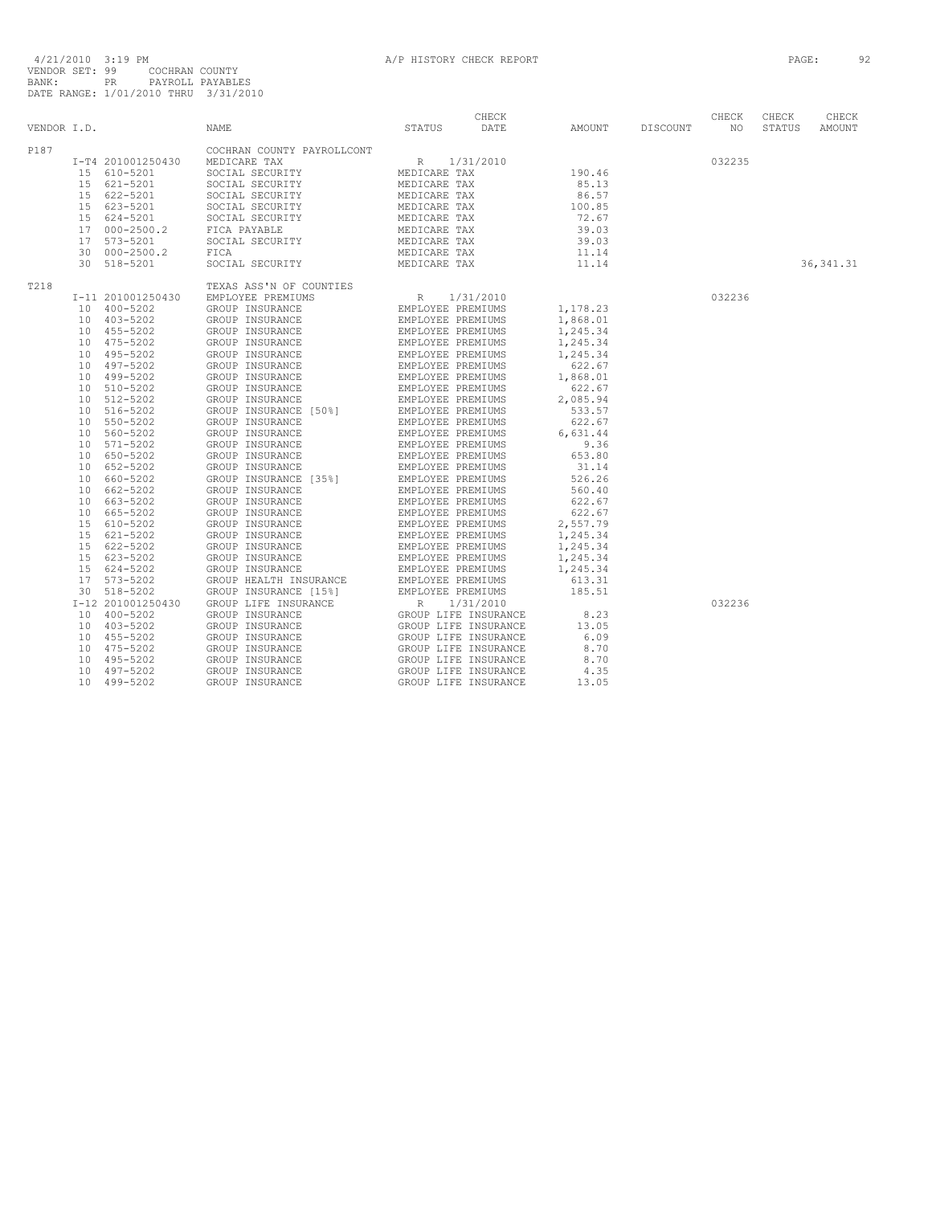| VENDOR I.D. |                                                                                                                                                     | NAME                                                                                                                                                                                                                                                                                                                                                                          | STATUS                                      | CHECK<br>DATE | AMOUNT                                                                            | DISCOUNT | CHECK<br>NO. | CHECK<br>STATUS | CHECK<br>AMOUNT |
|-------------|-----------------------------------------------------------------------------------------------------------------------------------------------------|-------------------------------------------------------------------------------------------------------------------------------------------------------------------------------------------------------------------------------------------------------------------------------------------------------------------------------------------------------------------------------|---------------------------------------------|---------------|-----------------------------------------------------------------------------------|----------|--------------|-----------------|-----------------|
| P187        | I-T4 201001250430<br>15 610-5201<br>15 621-5201<br>622-5201<br>15<br>15 623-5201<br>15 624-5201<br>17 000-2500.2<br>17<br>573-5201<br>30 000-2500.2 | COCHRAN COUNTY PAYROLLCONT<br>MEDICARE TAX<br>SOCIAL SECURITY<br>SOCIAL SECURITY<br>SOCIAL SECURITY<br>MEDICARE TAX<br>MEDICARE TAX<br>MEDICARE TAX<br>MEDICARE TAX<br>MEDICARE TAX<br>MEDICARE TAX<br>MEDICARE TAX<br>MEDICARE TAX<br>SOCIAL SECURITY<br>SOCIAL SECURITY<br>FICA PAYABLE<br>SOCIAL SECURITY<br>FICA                                                          | R 1/31/2010<br>MEDICARE TAX<br>MEDICARE TAX |               | 190.46<br>85.13<br>86.57<br>100.85<br>72.67<br>39.03<br>39.03<br>11.14            |          | 032235       |                 |                 |
|             | 30 518-5201                                                                                                                                         | SOCIAL SECURITY                                                                                                                                                                                                                                                                                                                                                               |                                             |               | 11.14                                                                             |          |              |                 | 36, 341.31      |
| T218        | I-11 201001250430<br>10 400-5202<br>10 403-5202<br>10 455-5202<br>10 475-5202<br>10 495-5202<br>10 497-5202                                         | TEXAS ASS'N OF COUNTIES<br>EMPLOYEE PREMIUMS                                                                                                                                                                                                                                                                                                                                  | R 1/31/2010                                 |               | 1,178.23<br>1,868.01<br>1,245.34<br>1,245.34<br>1,245.34<br>622.67                |          | 032236       |                 |                 |
|             | 10 499-5202<br>510-5202<br>10<br>512-5202<br>10<br>516-5202<br>10<br>10 550-5202<br>560-5202<br>10<br>10 571-5202<br>650-5202<br>10                 | TEXAS ASS'N OF COUNTIES<br>EMPLOYEE PREMIUMS<br>GROUP INSURANCE<br>GROUP INSURANCE<br>GROUP INSURANCE<br>GROUP INSURANCE<br>GROUP INSURANCE<br>GROUP INSURANCE<br>GROUP INSURANCE<br>GROUP INSURANCE<br>GROUP INSURANCE<br>GROUP INSURANCE<br>EMPLOYE                                                                                                                         |                                             |               | 1,868.01<br>622.67<br>2,085.94<br>533.57<br>622.67<br>6,631.44<br>9.36<br>653.80  |          |              |                 |                 |
|             | 10 652-5202<br>10 660-5202<br>662-5202<br>10<br>10 663-5202<br>10<br>665-5202<br>15 610-5202<br>621-5202<br>15<br>15 622-5202                       |                                                                                                                                                                                                                                                                                                                                                                               |                                             |               | 31.14<br>526.26<br>560.40<br>622.67<br>622.67<br>2,557.79<br>1,245.34<br>1,245.34 |          |              |                 |                 |
|             | 15<br>623-5202<br>15 624-5202<br>573-5202<br>17<br>30 518-5202<br>I-12 201001250430                                                                 | GROUP LIFE INSURANCE                                                                                                                                                                                                                                                                                                                                                          |                                             |               | 1,245.34<br>1,245.34<br>613.31<br>185.51                                          |          | 032236       |                 |                 |
|             | 10 400-5202<br>10 403-5202<br>10 455-5202<br>10 475-5202<br>495-5202<br>10<br>10<br>497-5202<br>499-5202<br>10                                      | RANCE REPLUES PREMIUMS<br>RANCE REVISION AND REPLUES IN SURVANCE<br>GROUP LIFE INSURANCE<br>GROUP LIFE INSURANCE<br>GROUP LIFE INSURANCE<br>GROUP LIFE INSURANCE<br>GROUP LIFE INSURANCE<br>GROUP LIFE INSURANCE<br>CROUP LIFE INSURANCE<br>GROUP INSURANCE<br>GROUP INSURANCE<br>GROUP INSURANCE<br>GROUP INSURANCE<br>GROUP INSURANCE<br>GROUP INSURANCE<br>GROUP INSURANCE | GROUP LIFE INSURANCE                        |               | 8.23<br>13.05<br>6.09<br>8.70<br>8.70<br>4.35<br>13.05                            |          |              |                 |                 |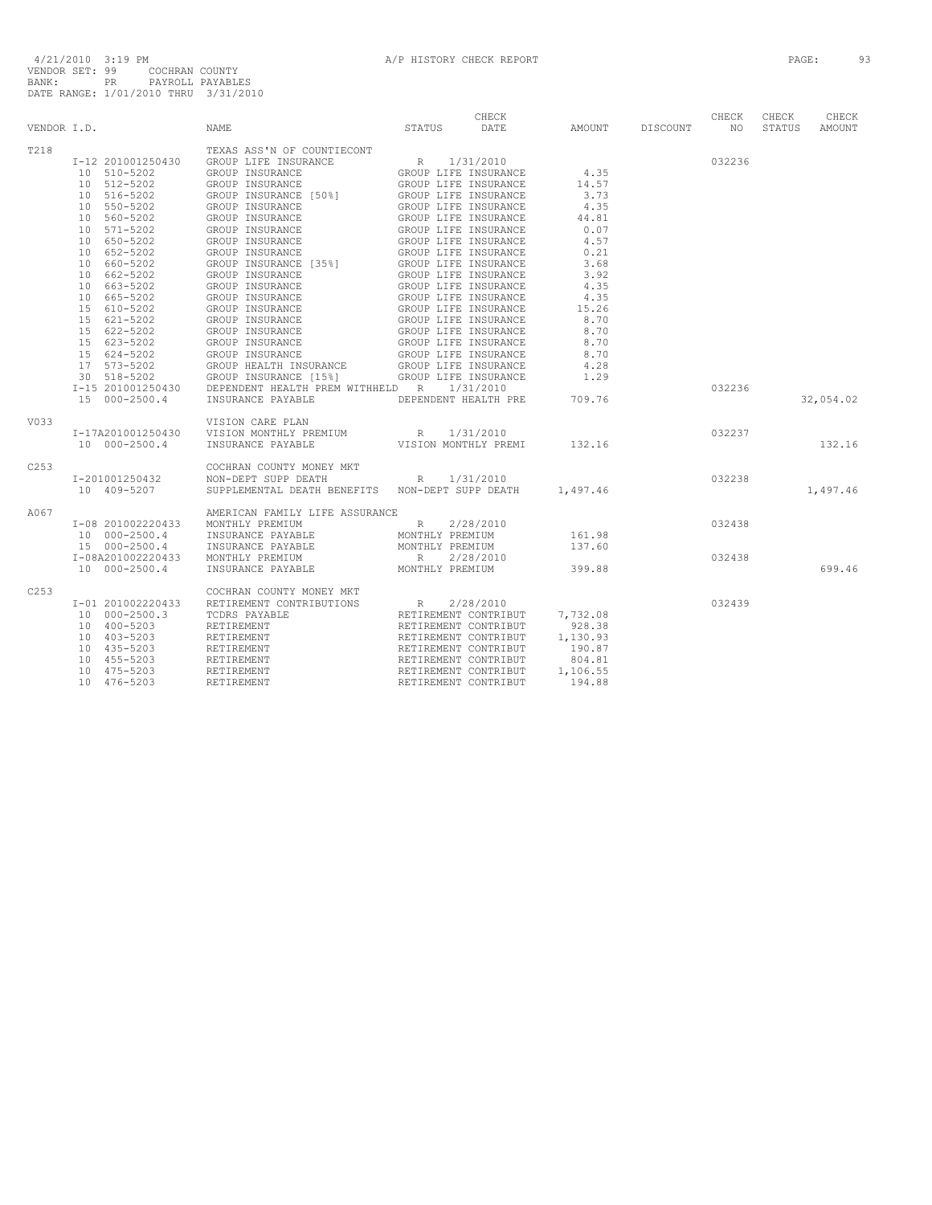|             |                                 |                                                                                                                                                                                                                                                                       | CHECK       |                    |        | CHECK  | CHECK  | CHECK     |
|-------------|---------------------------------|-----------------------------------------------------------------------------------------------------------------------------------------------------------------------------------------------------------------------------------------------------------------------|-------------|--------------------|--------|--------|--------|-----------|
| VENDOR I.D. |                                 | NAME                                                                                                                                                                                                                                                                  | STATUS DATE | AMOUNT DISCOUNT NO |        |        | STATUS | AMOUNT    |
| T218        |                                 | TEXAS ASS'N OF COUNTIECONT                                                                                                                                                                                                                                            |             |                    |        |        |        |           |
|             |                                 |                                                                                                                                                                                                                                                                       |             |                    |        | 032236 |        |           |
|             |                                 | $[10 510-5202 \t\t\t\t 201001250430 \t\t\t 201001250430 \t\t\t 201001250430 \t\t\t 201001250430 \t\t\t 201001250430 \t\t\t 201001250430 \t\t\t 201001250430 \t\t\t 201001250430 \t\t\t 201001250430 \t\t\t 201001250430 \t\t\t 201001250430 \t\t\t 201001250430 \t\t$ |             |                    |        |        |        |           |
|             |                                 |                                                                                                                                                                                                                                                                       |             |                    |        |        |        |           |
|             |                                 |                                                                                                                                                                                                                                                                       |             |                    |        |        |        |           |
|             |                                 |                                                                                                                                                                                                                                                                       |             |                    |        |        |        |           |
|             |                                 |                                                                                                                                                                                                                                                                       |             |                    |        |        |        |           |
|             |                                 |                                                                                                                                                                                                                                                                       |             |                    |        |        |        |           |
|             |                                 |                                                                                                                                                                                                                                                                       |             |                    |        |        |        |           |
|             | 10 652-5202                     |                                                                                                                                                                                                                                                                       |             | 0.21               |        |        |        |           |
|             | 10 660-5202                     | GROUP INSURANCE GROUP LIFE INSURANCE<br>GROUP INSURANCE (35%) GROUP LIFE INSURANCE<br>GROUP INSURANCE [35%] GROUP LIFE INSURANCE                                                                                                                                      |             | 3.68               |        |        |        |           |
|             |                                 |                                                                                                                                                                                                                                                                       |             | 3.92               |        |        |        |           |
|             |                                 |                                                                                                                                                                                                                                                                       |             | 4.35               |        |        |        |           |
|             |                                 |                                                                                                                                                                                                                                                                       |             | 4.35               |        |        |        |           |
|             |                                 |                                                                                                                                                                                                                                                                       |             | 15.26              |        |        |        |           |
|             |                                 |                                                                                                                                                                                                                                                                       |             | 8.70               |        |        |        |           |
|             |                                 |                                                                                                                                                                                                                                                                       |             | 8.70               |        |        |        |           |
|             |                                 |                                                                                                                                                                                                                                                                       |             | 8.70               |        |        |        |           |
|             |                                 |                                                                                                                                                                                                                                                                       |             | 8.70               |        |        |        |           |
|             |                                 |                                                                                                                                                                                                                                                                       |             | 4.28               |        |        |        |           |
|             |                                 |                                                                                                                                                                                                                                                                       |             | 1.29               |        |        |        |           |
|             |                                 | I-15 201001250430 DEPENDENT HEALTH PREM WITHHELD R 1/31/2010                                                                                                                                                                                                          |             |                    |        | 032236 |        |           |
|             | 15 000-2500.4                   | INSURANCE PAYABLE DEPENDENT HEALTH PRE 709.76                                                                                                                                                                                                                         |             |                    |        |        |        | 32,054.02 |
|             |                                 |                                                                                                                                                                                                                                                                       |             |                    |        |        |        |           |
| V033        |                                 | VISION CARE PLAN                                                                                                                                                                                                                                                      |             |                    |        |        |        |           |
|             |                                 | I-17A201001250430 VISION MONTHLY PREMIUM R 1/31/2010                                                                                                                                                                                                                  |             |                    |        |        |        |           |
|             | 10 000-2500.4                   | INSURANCE PAYABLE <b>WEST OF STATE VISION MONTHLY PREMI</b> 132.16                                                                                                                                                                                                    |             |                    | 032237 |        |        | 132.16    |
|             |                                 |                                                                                                                                                                                                                                                                       |             |                    |        |        |        |           |
| C253        |                                 | COCHRAN COUNTY MONEY MKT                                                                                                                                                                                                                                              |             |                    |        |        |        |           |
|             |                                 | I-201001250432 NON-DEPT SUPP DEATH R 1/31/2010                                                                                                                                                                                                                        |             |                    |        |        |        |           |
|             | 10 409-5207                     | SUPPLEMENTAL DEATH BENEFITS NON-DEPT SUPP DEATH 1,497.46                                                                                                                                                                                                              |             |                    | 032238 |        |        | 1,497.46  |
|             |                                 |                                                                                                                                                                                                                                                                       |             |                    |        |        |        |           |
| A067        |                                 | AMERICAN FAMILY LIFE ASSURANCE                                                                                                                                                                                                                                        |             |                    |        |        |        |           |
|             |                                 | I-08 201002220433 MONTHLY PREMIUM R                                                                                                                                                                                                                                   | 2/28/2010   |                    |        | 032438 |        |           |
|             |                                 |                                                                                                                                                                                                                                                                       |             | 161.98             |        |        |        |           |
|             |                                 | $10 000-2500.4$ INSURANCE PAYABLE MONTHLY PREMIUM $15 000-2500.4$ INSURANCE PAYABLE MONTHLY PREMIUM                                                                                                                                                                   |             | 137.60             |        |        |        |           |
|             |                                 | I-08A201002220433 MONTHLY PREMIUM                                                                                                                                                                                                                                     | R 2/28/2010 |                    |        | 032438 |        |           |
|             | 10 000-2500.4                   | INSURANCE PAYABLE MONTHLY PREMIUM 399.88                                                                                                                                                                                                                              |             |                    |        |        |        | 699.46    |
|             |                                 |                                                                                                                                                                                                                                                                       |             |                    |        |        |        |           |
| C253        |                                 | COCHRAN COUNTY MONEY MKT                                                                                                                                                                                                                                              |             |                    |        |        |        |           |
|             | I-01 201002220433               |                                                                                                                                                                                                                                                                       |             |                    |        | 032439 |        |           |
|             | 10 000-2500.3                   |                                                                                                                                                                                                                                                                       |             |                    |        |        |        |           |
|             | 10 400-5203                     |                                                                                                                                                                                                                                                                       |             |                    |        |        |        |           |
|             | $10$ 400 0 = 0<br>$10$ 403-5203 |                                                                                                                                                                                                                                                                       |             |                    |        |        |        |           |
|             |                                 |                                                                                                                                                                                                                                                                       |             |                    |        |        |        |           |
|             | 10 455-5203                     |                                                                                                                                                                                                                                                                       |             |                    |        |        |        |           |
|             | 10 475-5203                     |                                                                                                                                                                                                                                                                       |             |                    |        |        |        |           |
|             | 10 476-5203                     |                                                                                                                                                                                                                                                                       |             |                    |        |        |        |           |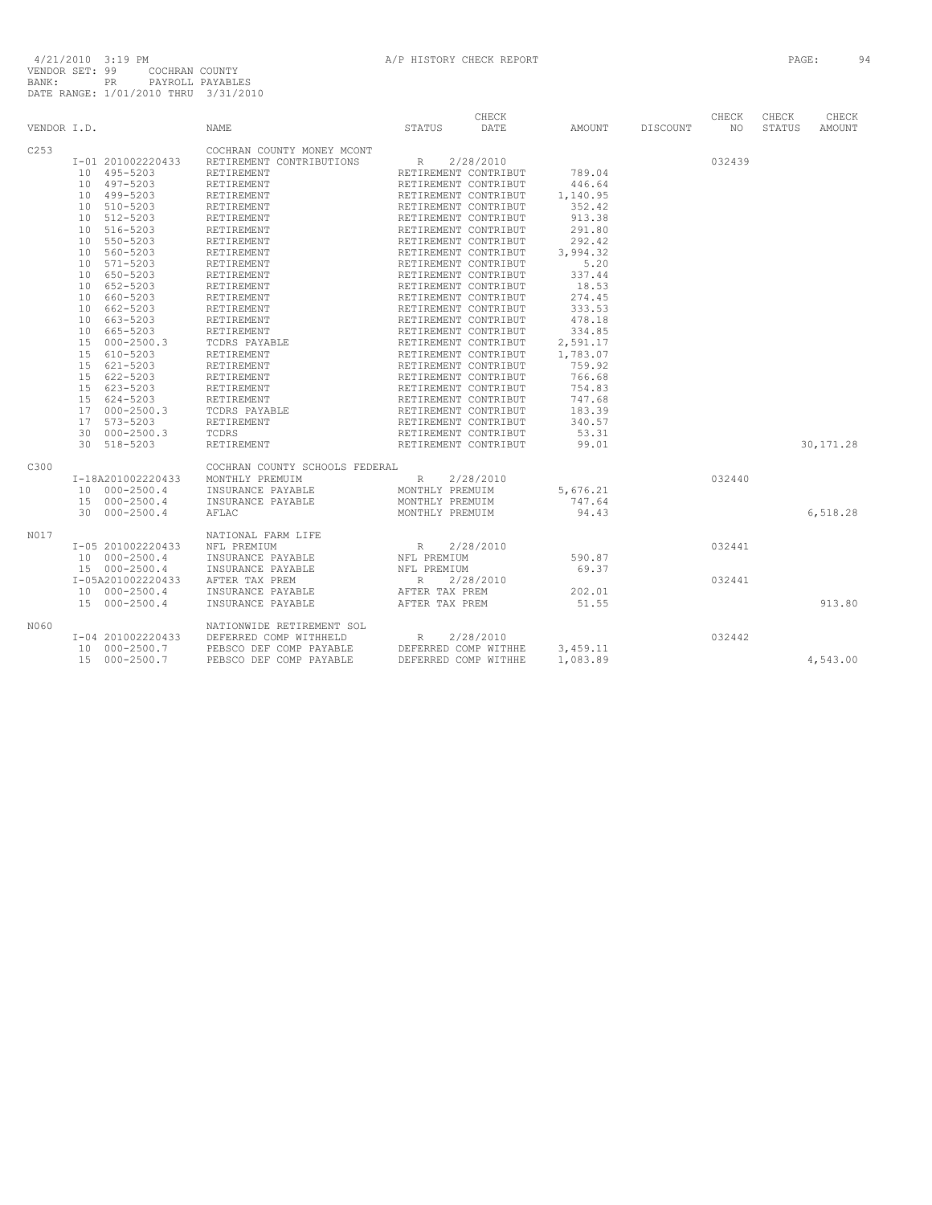| VENDOR I.D. |                                                 | <b>NAME</b>                                                  | STATUS                                       | CHECK<br>DATE                                                | AMOUNT DISCOUNT NO               | CHECK  | CHECK<br>STATUS | CHECK<br>AMOUNT |
|-------------|-------------------------------------------------|--------------------------------------------------------------|----------------------------------------------|--------------------------------------------------------------|----------------------------------|--------|-----------------|-----------------|
| C253        |                                                 | COCHRAN COUNTY MONEY MCONT                                   |                                              |                                                              |                                  |        |                 |                 |
|             | I-01 201002220433                               | RETIREMENT CONTRIBUTIONS R                                   |                                              | 2/28/2010                                                    |                                  | 032439 |                 |                 |
|             | 10 495-5203                                     | RETIREMENT                                                   | RETIREMENT CONTRIBUT<br>RETIREMENT CONTRIBUT |                                                              | 789.04                           |        |                 |                 |
|             | 10 497-5203                                     | RETIREMENT                                                   |                                              |                                                              | 446.64                           |        |                 |                 |
|             | 10 499-5203                                     | RETIREMENT                                                   | RETIREMENT CONTRIBUT                         |                                                              | 1,140.95                         |        |                 |                 |
|             | 10 510-5203                                     | RETIREMENT                                                   | RETIREMENT CONTRIBUT                         |                                                              | 352.42                           |        |                 |                 |
|             | 10 512-5203                                     | RETIREMENT                                                   | RETIREMENT CONTRIBUT                         |                                                              | 913.38                           |        |                 |                 |
|             | 10 516-5203                                     | RETIREMENT                                                   | RETIREMENT CONTRIBUT                         |                                                              | 291.80                           |        |                 |                 |
|             | 10 550-5203                                     | RETIREMENT                                                   | RETIREMENT CONTRIBUT<br>RETIREMENT CONTRIBUT |                                                              | 292.42                           |        |                 |                 |
|             | 10 560-5203                                     | RETIREMENT                                                   |                                              |                                                              | 3,994.32                         |        |                 |                 |
|             | 10 571-5203                                     | RETIREMENT                                                   |                                              |                                                              | 5.20                             |        |                 |                 |
|             | 10 650-5203                                     | RETIREMENT                                                   | RETIREMENT CONTRIBUT<br>RETIREMENT CONTRIBUT |                                                              | 337.44                           |        |                 |                 |
|             | 10 652-5203                                     | RETIREMENT                                                   |                                              |                                                              | 18.53                            |        |                 |                 |
|             | 10 660-5203                                     | RETIREMENT                                                   | RETIREMENT CONTRIBUT<br>RETIREMENT CONTRIBUT |                                                              | 274.45                           |        |                 |                 |
|             | 10 662-5203                                     | RETIREMENT                                                   | RETIREMENT CONTRIBUT                         |                                                              | 333.53                           |        |                 |                 |
|             | 10 663-5203                                     | RETIREMENT                                                   | RETIREMENT CONTRIBUT                         |                                                              | 478.18                           |        |                 |                 |
|             | 10 665-5203                                     | RETIREMENT                                                   |                                              |                                                              |                                  |        |                 |                 |
|             | 10 665-5203<br>15 000-2500.3                    | TCDRS PAYABLE                                                |                                              | RETIREMENT CONTRIBUT 334.85<br>RETIREMENT CONTRIBUT 2,591.17 |                                  |        |                 |                 |
|             | 15 610-5203                                     | RETIREMENT                                                   | RETIREMENT CONTRIBUT                         |                                                              |                                  |        |                 |                 |
|             | 15 621-5203                                     | RETIREMENT                                                   | RETIREMENT CONTRIBUT                         |                                                              | $1,783.07$<br>$759.92$<br>759.92 |        |                 |                 |
|             | 15 622-5203                                     | RETIREMENT                                                   | RETIREMENT CONTRIBUT                         |                                                              | 766.68                           |        |                 |                 |
|             | 15 623-5203                                     | RETIREMENT                                                   | RETIREMENT CONTRIBUT                         |                                                              | 754.83                           |        |                 |                 |
|             |                                                 |                                                              | RETIREMENT CONTRIBUT                         |                                                              | 747.68                           |        |                 |                 |
|             |                                                 | 15 624-5203 RETIREMENT<br>17 000-2500.3 TCDRS PAYABLE        | <br>RETIREMENT CONTRIBUT                     |                                                              | 183.39                           |        |                 |                 |
|             | 17 573-5203                                     | RETIREMENT                                                   | RETIREMENT CONTRIBUT                         |                                                              |                                  |        |                 |                 |
|             | 30 000-2500.3                                   | TCDRS                                                        | RETIREMENT CONTRIBUT                         |                                                              | 53.31                            |        |                 |                 |
|             | 30 518-5203                                     | RETIREMENT                                                   | RETIREMENT CONTRIBUT                         |                                                              | 99.01                            |        |                 | 30, 171.28      |
|             |                                                 |                                                              |                                              |                                                              |                                  |        |                 |                 |
| C300        |                                                 | COCHRAN COUNTY SCHOOLS FEDERAL                               |                                              |                                                              |                                  |        |                 |                 |
|             |                                                 | I-18A201002220433 MONTHLY PREMUIM R                          |                                              | 2/28/2010                                                    |                                  | 032440 |                 |                 |
|             | 10 000-2500.4<br>15 000-2500.4                  | INSURANCE PAYABLE                                            | MONTHLY PREMUIM                              |                                                              | 5,676.21                         |        |                 |                 |
|             |                                                 | INSURANCE PAYABLE                                            | MONTHLY PREMUIM                              |                                                              | 747.64                           |        |                 |                 |
|             | 30 000-2500.4                                   | AFLAC                                                        | MONTHLY PREMUIM                              |                                                              | 94.43                            |        |                 | 6,518.28        |
| N017        |                                                 | NATIONAL FARM LIFE                                           |                                              |                                                              |                                  |        |                 |                 |
|             | I-05 201002220433                               | NFL PREMIUM                                                  | $\mathbb R$                                  | 2/28/2010                                                    |                                  | 032441 |                 |                 |
|             |                                                 | INSURANCE PAYABLE                                            | NFL PREMIUM                                  |                                                              | 590.87                           |        |                 |                 |
|             | 10 000-2500.4<br>15 000-2500.4<br>15 000-2500.4 | INSURANCE PAYABLE                                            | NFL PREMIUM                                  |                                                              | 69.37                            |        |                 |                 |
|             | I-05A201002220433                               | AFTER TAX PREM                                               | R                                            | 2/28/2010                                                    |                                  | 032441 |                 |                 |
|             | 10 000-2500.4                                   | INSURANCE PAYABLE                                            | AFTER TAX PREM                               |                                                              | 202.01                           |        |                 |                 |
|             | 15 000-2500.4                                   | INSURANCE PAYABLE                                            | AFTER TAX PREM                               |                                                              | 51.55                            |        |                 | 913.80          |
|             |                                                 |                                                              |                                              |                                                              |                                  |        |                 |                 |
| N060        |                                                 | NATIONWIDE RETIREMENT SOL                                    |                                              |                                                              |                                  |        |                 |                 |
|             | I-04 201002220433                               | DEFERRED COMP WITHHELD                                       | R                                            | 2/28/2010                                                    |                                  | 032442 |                 |                 |
|             | 10 000-2500.7<br>15 000-2500.7                  | ${\tt PEBSCO~~DEF~~COMP~~PAYABLE~~DEFERRED~~COMP~~WITHHE~~}$ |                                              |                                                              | 3,459.11                         |        |                 |                 |
|             |                                                 | PEBSCO DEF COMP PAYABLE                                      | DEFERRED COMP WITHHE                         |                                                              | 1,083.89                         |        |                 | 4,543.00        |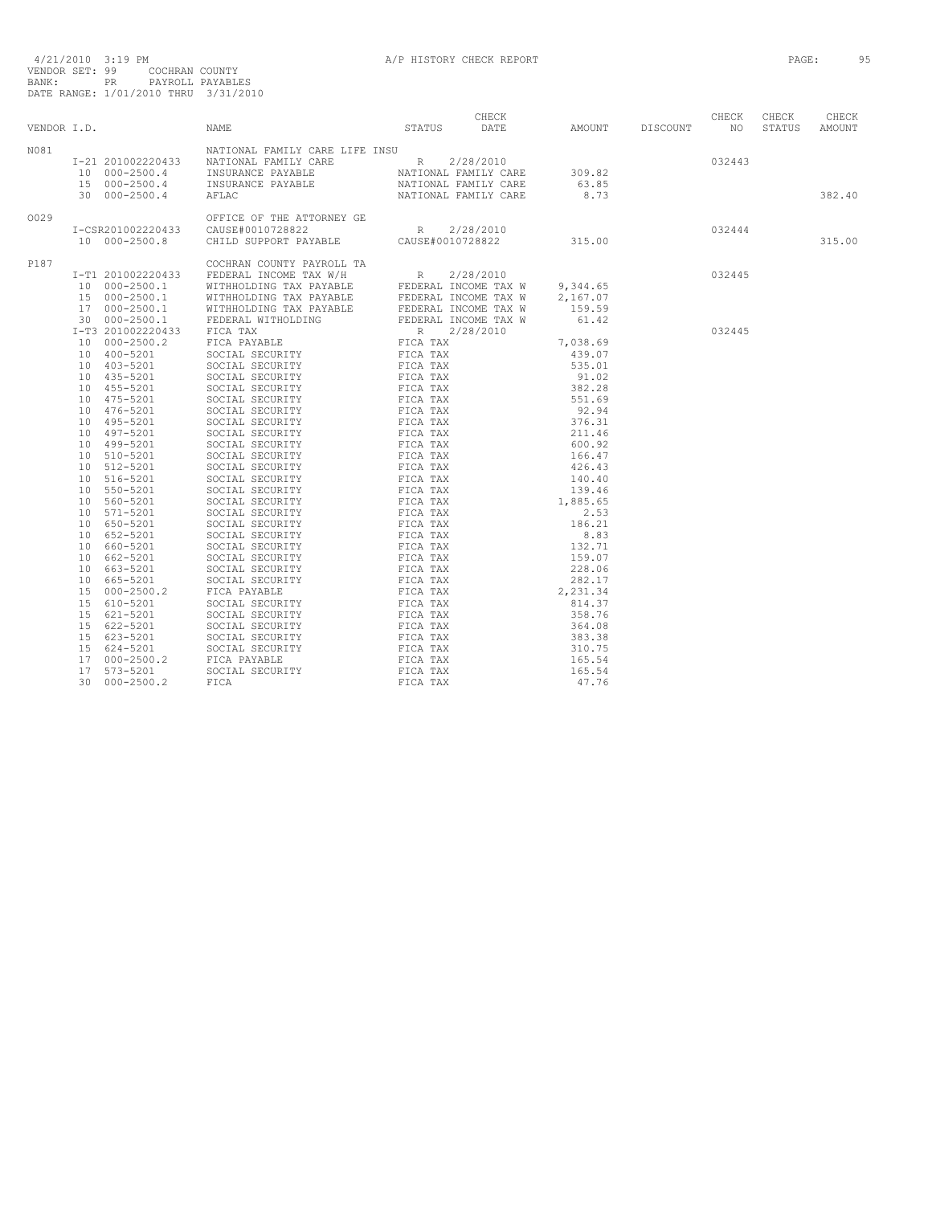|      |                   |                                                                                                                                                                                                                                                                                                                                                                                                              |  |        |        | CHECK  | CHECK  |
|------|-------------------|--------------------------------------------------------------------------------------------------------------------------------------------------------------------------------------------------------------------------------------------------------------------------------------------------------------------------------------------------------------------------------------------------------------|--|--------|--------|--------|--------|
|      | VENDOR I.D.       | CHECK<br>STATUS DATE AMOUNT DISCOUNT NO<br>NAME                                                                                                                                                                                                                                                                                                                                                              |  |        |        | STATUS | AMOUNT |
| N081 |                   |                                                                                                                                                                                                                                                                                                                                                                                                              |  |        |        |        |        |
|      |                   |                                                                                                                                                                                                                                                                                                                                                                                                              |  |        | 032443 |        |        |
|      |                   |                                                                                                                                                                                                                                                                                                                                                                                                              |  |        |        |        |        |
|      |                   |                                                                                                                                                                                                                                                                                                                                                                                                              |  |        |        |        |        |
|      |                   | $\begin{tabular}{lcccc} \texttt{I-21} & 201002220433 & \texttt{NATIONAL FAMILY CARE LIFF INSU & & & & & \texttt{R2/28/2010} \\ 10 & 000-2500.4 & \texttt{INSURANCE PAYABLE} & \texttt{NATIONAL FAMILY CARE} & 309.82 \\ 15 & 000-2500.4 & \texttt{INSURANCE PAYABLE} & \texttt{NATIONAL FAMILY CARE} & 63.85 \\ 16 & \texttt{000-2500.4} & \texttt{INSUMALE PAYABLE} & \texttt{NATIONAL FAMILY CARE} & 63.8$ |  |        |        |        | 382.40 |
| 0029 |                   |                                                                                                                                                                                                                                                                                                                                                                                                              |  |        |        |        |        |
|      | I-CSR201002220433 |                                                                                                                                                                                                                                                                                                                                                                                                              |  |        |        |        |        |
|      |                   | OFFICE OF THE ATTORNEY GE<br>10 000-2500.8 CAUSE#0010728822 R 2/28/2010<br>10 000-2500.8 CHILD SUPPORT PAYABLE CAUSE#0010728822 315.00                                                                                                                                                                                                                                                                       |  |        |        |        | 315.00 |
| P187 |                   |                                                                                                                                                                                                                                                                                                                                                                                                              |  |        |        |        |        |
|      |                   |                                                                                                                                                                                                                                                                                                                                                                                                              |  | 032445 |        |        |        |
|      |                   |                                                                                                                                                                                                                                                                                                                                                                                                              |  |        |        |        |        |
|      |                   |                                                                                                                                                                                                                                                                                                                                                                                                              |  |        |        |        |        |
|      |                   |                                                                                                                                                                                                                                                                                                                                                                                                              |  |        |        |        |        |
|      |                   |                                                                                                                                                                                                                                                                                                                                                                                                              |  |        |        |        |        |
|      |                   |                                                                                                                                                                                                                                                                                                                                                                                                              |  |        | 032445 |        |        |
|      |                   |                                                                                                                                                                                                                                                                                                                                                                                                              |  |        |        |        |        |
|      |                   |                                                                                                                                                                                                                                                                                                                                                                                                              |  |        |        |        |        |
|      |                   |                                                                                                                                                                                                                                                                                                                                                                                                              |  |        |        |        |        |
|      |                   |                                                                                                                                                                                                                                                                                                                                                                                                              |  |        |        |        |        |
|      |                   |                                                                                                                                                                                                                                                                                                                                                                                                              |  |        |        |        |        |
|      |                   |                                                                                                                                                                                                                                                                                                                                                                                                              |  |        |        |        |        |
|      |                   |                                                                                                                                                                                                                                                                                                                                                                                                              |  |        |        |        |        |
|      |                   |                                                                                                                                                                                                                                                                                                                                                                                                              |  |        |        |        |        |
|      |                   |                                                                                                                                                                                                                                                                                                                                                                                                              |  |        |        |        |        |
|      |                   |                                                                                                                                                                                                                                                                                                                                                                                                              |  |        |        |        |        |
|      |                   |                                                                                                                                                                                                                                                                                                                                                                                                              |  |        |        |        |        |
|      |                   |                                                                                                                                                                                                                                                                                                                                                                                                              |  |        |        |        |        |
|      |                   |                                                                                                                                                                                                                                                                                                                                                                                                              |  |        |        |        |        |
|      |                   |                                                                                                                                                                                                                                                                                                                                                                                                              |  |        |        |        |        |
|      |                   |                                                                                                                                                                                                                                                                                                                                                                                                              |  |        |        |        |        |
|      |                   |                                                                                                                                                                                                                                                                                                                                                                                                              |  |        |        |        |        |
|      |                   |                                                                                                                                                                                                                                                                                                                                                                                                              |  |        |        |        |        |
|      |                   |                                                                                                                                                                                                                                                                                                                                                                                                              |  |        |        |        |        |
|      |                   |                                                                                                                                                                                                                                                                                                                                                                                                              |  |        |        |        |        |
|      |                   |                                                                                                                                                                                                                                                                                                                                                                                                              |  |        |        |        |        |
|      |                   |                                                                                                                                                                                                                                                                                                                                                                                                              |  |        |        |        |        |
|      |                   |                                                                                                                                                                                                                                                                                                                                                                                                              |  |        |        |        |        |
|      |                   |                                                                                                                                                                                                                                                                                                                                                                                                              |  |        |        |        |        |
|      |                   |                                                                                                                                                                                                                                                                                                                                                                                                              |  |        |        |        |        |
|      |                   |                                                                                                                                                                                                                                                                                                                                                                                                              |  |        |        |        |        |
|      |                   |                                                                                                                                                                                                                                                                                                                                                                                                              |  |        |        |        |        |
|      |                   |                                                                                                                                                                                                                                                                                                                                                                                                              |  |        |        |        |        |
|      |                   |                                                                                                                                                                                                                                                                                                                                                                                                              |  |        |        |        |        |
|      |                   |                                                                                                                                                                                                                                                                                                                                                                                                              |  |        |        |        |        |
|      |                   |                                                                                                                                                                                                                                                                                                                                                                                                              |  |        |        |        |        |
|      |                   |                                                                                                                                                                                                                                                                                                                                                                                                              |  |        |        |        |        |
|      |                   |                                                                                                                                                                                                                                                                                                                                                                                                              |  |        |        |        |        |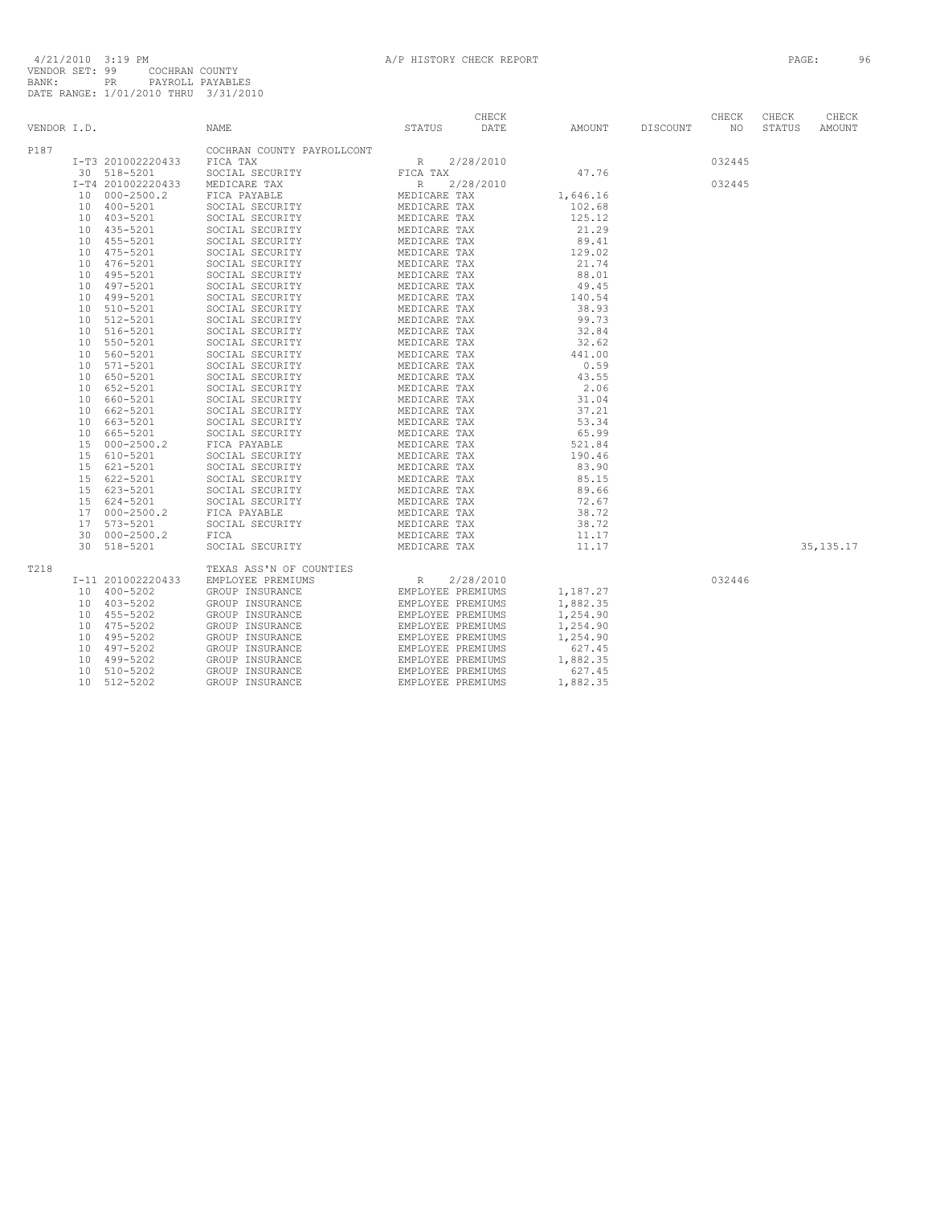|      |        |                                                |                                                                                                                                                                                                                                                                                                                                                                                                                                                                                                                                                                                                                                                                                                           |  |                    |        | CHECK  | CHECK  | CHECK       |
|------|--------|------------------------------------------------|-----------------------------------------------------------------------------------------------------------------------------------------------------------------------------------------------------------------------------------------------------------------------------------------------------------------------------------------------------------------------------------------------------------------------------------------------------------------------------------------------------------------------------------------------------------------------------------------------------------------------------------------------------------------------------------------------------------|--|--------------------|--------|--------|--------|-------------|
|      |        | VENDOR I.D.                                    | CHECK<br>STATUS DATE<br>NAME                                                                                                                                                                                                                                                                                                                                                                                                                                                                                                                                                                                                                                                                              |  | AMOUNT DISCOUNT NO |        |        | STATUS | AMOUNT      |
| P187 |        |                                                | COCHRAN COUNTY PAYROLLCONT                                                                                                                                                                                                                                                                                                                                                                                                                                                                                                                                                                                                                                                                                |  |                    |        |        |        |             |
|      |        |                                                |                                                                                                                                                                                                                                                                                                                                                                                                                                                                                                                                                                                                                                                                                                           |  |                    |        | 032445 |        |             |
|      |        |                                                |                                                                                                                                                                                                                                                                                                                                                                                                                                                                                                                                                                                                                                                                                                           |  |                    |        |        |        |             |
|      |        |                                                |                                                                                                                                                                                                                                                                                                                                                                                                                                                                                                                                                                                                                                                                                                           |  |                    |        | 032445 |        |             |
|      |        |                                                |                                                                                                                                                                                                                                                                                                                                                                                                                                                                                                                                                                                                                                                                                                           |  |                    |        |        |        |             |
|      |        |                                                |                                                                                                                                                                                                                                                                                                                                                                                                                                                                                                                                                                                                                                                                                                           |  |                    |        |        |        |             |
|      |        |                                                |                                                                                                                                                                                                                                                                                                                                                                                                                                                                                                                                                                                                                                                                                                           |  |                    |        |        |        |             |
|      |        |                                                |                                                                                                                                                                                                                                                                                                                                                                                                                                                                                                                                                                                                                                                                                                           |  |                    |        |        |        |             |
|      |        |                                                |                                                                                                                                                                                                                                                                                                                                                                                                                                                                                                                                                                                                                                                                                                           |  |                    |        |        |        |             |
|      |        |                                                |                                                                                                                                                                                                                                                                                                                                                                                                                                                                                                                                                                                                                                                                                                           |  |                    |        |        |        |             |
|      |        |                                                |                                                                                                                                                                                                                                                                                                                                                                                                                                                                                                                                                                                                                                                                                                           |  |                    |        |        |        |             |
|      |        |                                                |                                                                                                                                                                                                                                                                                                                                                                                                                                                                                                                                                                                                                                                                                                           |  |                    |        |        |        |             |
|      |        |                                                |                                                                                                                                                                                                                                                                                                                                                                                                                                                                                                                                                                                                                                                                                                           |  |                    |        |        |        |             |
|      |        |                                                |                                                                                                                                                                                                                                                                                                                                                                                                                                                                                                                                                                                                                                                                                                           |  |                    |        |        |        |             |
|      |        |                                                |                                                                                                                                                                                                                                                                                                                                                                                                                                                                                                                                                                                                                                                                                                           |  |                    |        |        |        |             |
|      |        |                                                |                                                                                                                                                                                                                                                                                                                                                                                                                                                                                                                                                                                                                                                                                                           |  |                    |        |        |        |             |
|      |        |                                                |                                                                                                                                                                                                                                                                                                                                                                                                                                                                                                                                                                                                                                                                                                           |  |                    |        |        |        |             |
|      |        |                                                |                                                                                                                                                                                                                                                                                                                                                                                                                                                                                                                                                                                                                                                                                                           |  |                    |        |        |        |             |
|      |        |                                                |                                                                                                                                                                                                                                                                                                                                                                                                                                                                                                                                                                                                                                                                                                           |  |                    |        |        |        |             |
|      |        |                                                |                                                                                                                                                                                                                                                                                                                                                                                                                                                                                                                                                                                                                                                                                                           |  |                    |        |        |        |             |
|      |        |                                                |                                                                                                                                                                                                                                                                                                                                                                                                                                                                                                                                                                                                                                                                                                           |  |                    |        |        |        |             |
|      |        |                                                |                                                                                                                                                                                                                                                                                                                                                                                                                                                                                                                                                                                                                                                                                                           |  |                    |        |        |        |             |
|      |        |                                                |                                                                                                                                                                                                                                                                                                                                                                                                                                                                                                                                                                                                                                                                                                           |  |                    |        |        |        |             |
|      |        |                                                |                                                                                                                                                                                                                                                                                                                                                                                                                                                                                                                                                                                                                                                                                                           |  |                    |        |        |        |             |
|      |        |                                                |                                                                                                                                                                                                                                                                                                                                                                                                                                                                                                                                                                                                                                                                                                           |  |                    |        |        |        |             |
|      |        |                                                |                                                                                                                                                                                                                                                                                                                                                                                                                                                                                                                                                                                                                                                                                                           |  |                    |        |        |        |             |
|      |        |                                                |                                                                                                                                                                                                                                                                                                                                                                                                                                                                                                                                                                                                                                                                                                           |  |                    |        |        |        |             |
|      |        |                                                |                                                                                                                                                                                                                                                                                                                                                                                                                                                                                                                                                                                                                                                                                                           |  |                    |        |        |        |             |
|      |        |                                                |                                                                                                                                                                                                                                                                                                                                                                                                                                                                                                                                                                                                                                                                                                           |  |                    |        |        |        |             |
|      |        |                                                |                                                                                                                                                                                                                                                                                                                                                                                                                                                                                                                                                                                                                                                                                                           |  |                    |        |        |        |             |
|      |        |                                                |                                                                                                                                                                                                                                                                                                                                                                                                                                                                                                                                                                                                                                                                                                           |  |                    |        |        |        |             |
|      |        |                                                |                                                                                                                                                                                                                                                                                                                                                                                                                                                                                                                                                                                                                                                                                                           |  |                    |        |        |        |             |
|      |        |                                                |                                                                                                                                                                                                                                                                                                                                                                                                                                                                                                                                                                                                                                                                                                           |  |                    |        |        |        |             |
|      |        |                                                |                                                                                                                                                                                                                                                                                                                                                                                                                                                                                                                                                                                                                                                                                                           |  |                    |        |        |        |             |
|      |        |                                                |                                                                                                                                                                                                                                                                                                                                                                                                                                                                                                                                                                                                                                                                                                           |  |                    |        |        |        |             |
|      |        |                                                |                                                                                                                                                                                                                                                                                                                                                                                                                                                                                                                                                                                                                                                                                                           |  |                    |        |        |        | 35, 135. 17 |
| T218 |        |                                                | 1.1.0.<br>1.12. Solution Court Paysoluton (1987)<br>1.12. Solution (1987)<br>1.12. Solution (1987)<br>1.12. Solution (1987)<br>1.12. Solution (1988)<br>1.12. Solution (1988)<br>1.12. Solution (1988)<br>1.12. Solution (1988)<br>1.12. Soluti<br>$\begin{tabular}{l c c c c} \multicolumn{1}{c}{\textbf{TEXAS AS'N OF COUNTES}} & \multicolumn{1}{c}{\textbf{R}} & \multicolumn{1}{c}{\textbf{EMPLOYEE PREMIUMS}} & \multicolumn{1}{c}{\textbf{R}} & \multicolumn{1}{c}{\textbf{L1,187.27}} \\ \multicolumn{1}{c}{\textbf{ENDUPP INSURANCE}} & \multicolumn{1}{c}{\textbf{EMPLOYEE PREMIUMS}} & \multicolumn{1}{c}{\textbf{1,187.27}} \\ \multicolumn{1}{c}{\textbf{GROUP INSURANCE}} & \multicolumn{1$ |  |                    |        |        |        |             |
|      |        | I-11 201002220433                              |                                                                                                                                                                                                                                                                                                                                                                                                                                                                                                                                                                                                                                                                                                           |  |                    |        |        |        |             |
|      |        | 10 400-5202                                    |                                                                                                                                                                                                                                                                                                                                                                                                                                                                                                                                                                                                                                                                                                           |  |                    | 032446 |        |        |             |
|      |        |                                                |                                                                                                                                                                                                                                                                                                                                                                                                                                                                                                                                                                                                                                                                                                           |  |                    |        |        |        |             |
|      |        |                                                |                                                                                                                                                                                                                                                                                                                                                                                                                                                                                                                                                                                                                                                                                                           |  |                    |        |        |        |             |
|      |        | 10 $403-5202$<br>10 $455-5202$<br>10 $55-5202$ |                                                                                                                                                                                                                                                                                                                                                                                                                                                                                                                                                                                                                                                                                                           |  |                    |        |        |        |             |
|      |        |                                                |                                                                                                                                                                                                                                                                                                                                                                                                                                                                                                                                                                                                                                                                                                           |  |                    |        |        |        |             |
|      |        | 10 495-5202<br>10 497-5202                     |                                                                                                                                                                                                                                                                                                                                                                                                                                                                                                                                                                                                                                                                                                           |  |                    |        |        |        |             |
|      |        | 10 497-5202<br>10 499-5202<br>10 510-5202      |                                                                                                                                                                                                                                                                                                                                                                                                                                                                                                                                                                                                                                                                                                           |  |                    |        |        |        |             |
|      |        |                                                |                                                                                                                                                                                                                                                                                                                                                                                                                                                                                                                                                                                                                                                                                                           |  |                    |        |        |        |             |
|      | $10-1$ | 512-5202                                       |                                                                                                                                                                                                                                                                                                                                                                                                                                                                                                                                                                                                                                                                                                           |  |                    |        |        |        |             |
|      |        |                                                |                                                                                                                                                                                                                                                                                                                                                                                                                                                                                                                                                                                                                                                                                                           |  |                    |        |        |        |             |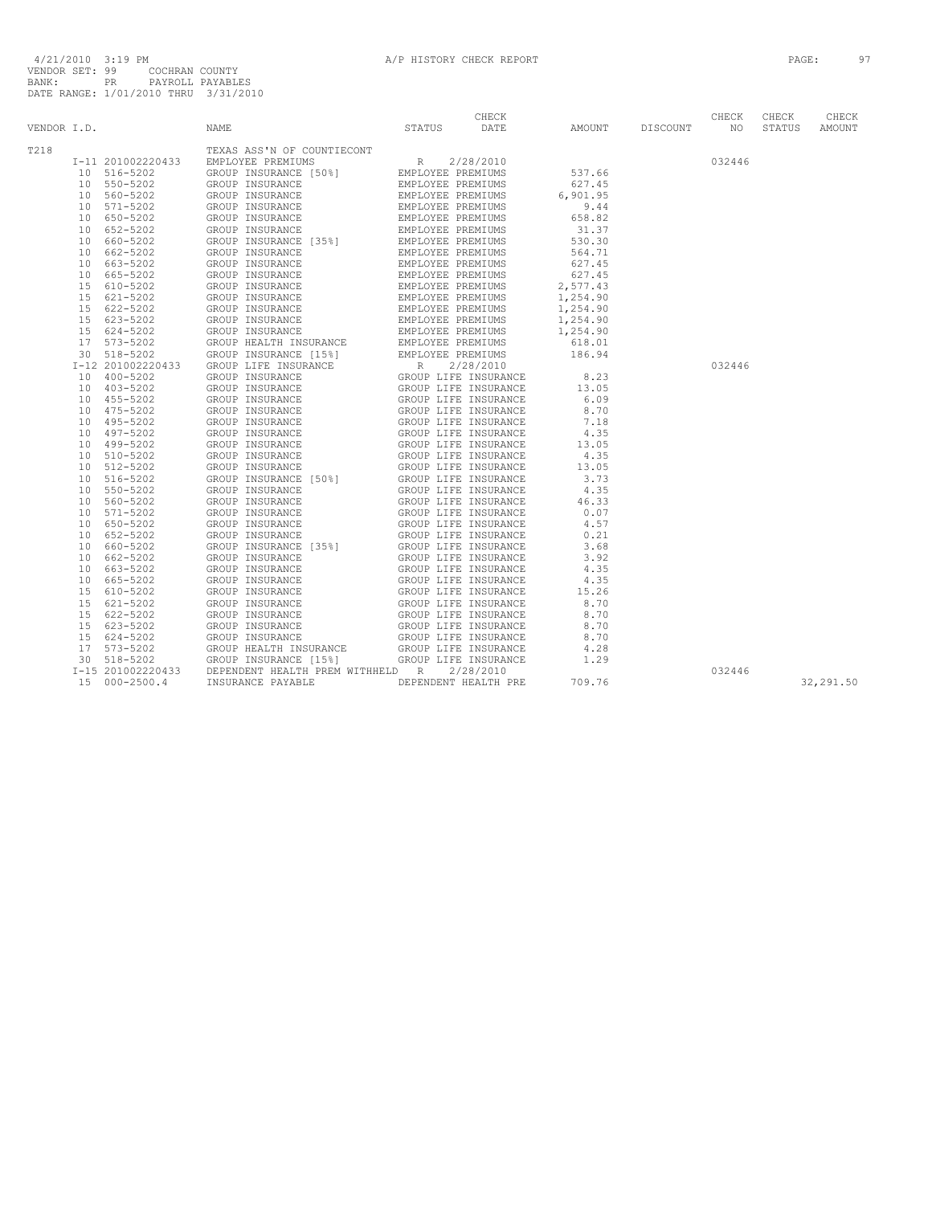| VENDOR I.D. | NAME | CHECK<br>STATUS DATE |  | CHECK<br>AMOUNT DISCOUNT NO |        | CHECK<br>STATUS | CHECK<br>AMOUNT |
|-------------|------|----------------------|--|-----------------------------|--------|-----------------|-----------------|
|             |      |                      |  |                             |        |                 |                 |
| T218        |      |                      |  |                             |        |                 |                 |
|             |      |                      |  |                             | 032446 |                 |                 |
|             |      |                      |  |                             |        |                 |                 |
|             |      |                      |  |                             |        |                 |                 |
|             |      |                      |  |                             |        |                 |                 |
|             |      |                      |  |                             |        |                 |                 |
|             |      |                      |  |                             |        |                 |                 |
|             |      |                      |  |                             |        |                 |                 |
|             |      |                      |  |                             |        |                 |                 |
|             |      |                      |  |                             |        |                 |                 |
|             |      |                      |  |                             |        |                 |                 |
|             |      |                      |  |                             |        |                 |                 |
|             |      |                      |  |                             |        |                 |                 |
|             |      |                      |  |                             |        |                 |                 |
|             |      |                      |  |                             |        |                 |                 |
|             |      |                      |  |                             |        |                 |                 |
|             |      |                      |  |                             |        |                 |                 |
|             |      |                      |  |                             |        |                 |                 |
|             |      |                      |  |                             | 032446 |                 |                 |
|             |      |                      |  |                             |        |                 |                 |
|             |      |                      |  |                             |        |                 |                 |
|             |      |                      |  |                             |        |                 |                 |
|             |      |                      |  |                             |        |                 |                 |
|             |      |                      |  |                             |        |                 |                 |
|             |      |                      |  |                             |        |                 |                 |
|             |      |                      |  |                             |        |                 |                 |
|             |      |                      |  |                             |        |                 |                 |
|             |      |                      |  |                             |        |                 |                 |
|             |      |                      |  |                             |        |                 |                 |
|             |      |                      |  |                             |        |                 |                 |
|             |      |                      |  |                             |        |                 |                 |
|             |      |                      |  |                             |        |                 |                 |
|             |      |                      |  |                             |        |                 |                 |
|             |      |                      |  |                             |        |                 |                 |
|             |      |                      |  |                             |        |                 |                 |
|             |      |                      |  |                             |        |                 |                 |
|             |      |                      |  |                             |        |                 |                 |
|             |      |                      |  |                             |        |                 |                 |
|             |      |                      |  |                             |        |                 |                 |
|             |      |                      |  |                             |        |                 |                 |
|             |      |                      |  |                             |        |                 |                 |
|             |      |                      |  |                             |        |                 |                 |
|             |      |                      |  |                             |        |                 |                 |
|             |      |                      |  |                             |        |                 |                 |
|             |      |                      |  |                             |        |                 |                 |
|             |      |                      |  |                             | 032446 |                 |                 |
|             |      |                      |  |                             |        |                 | 32,291.50       |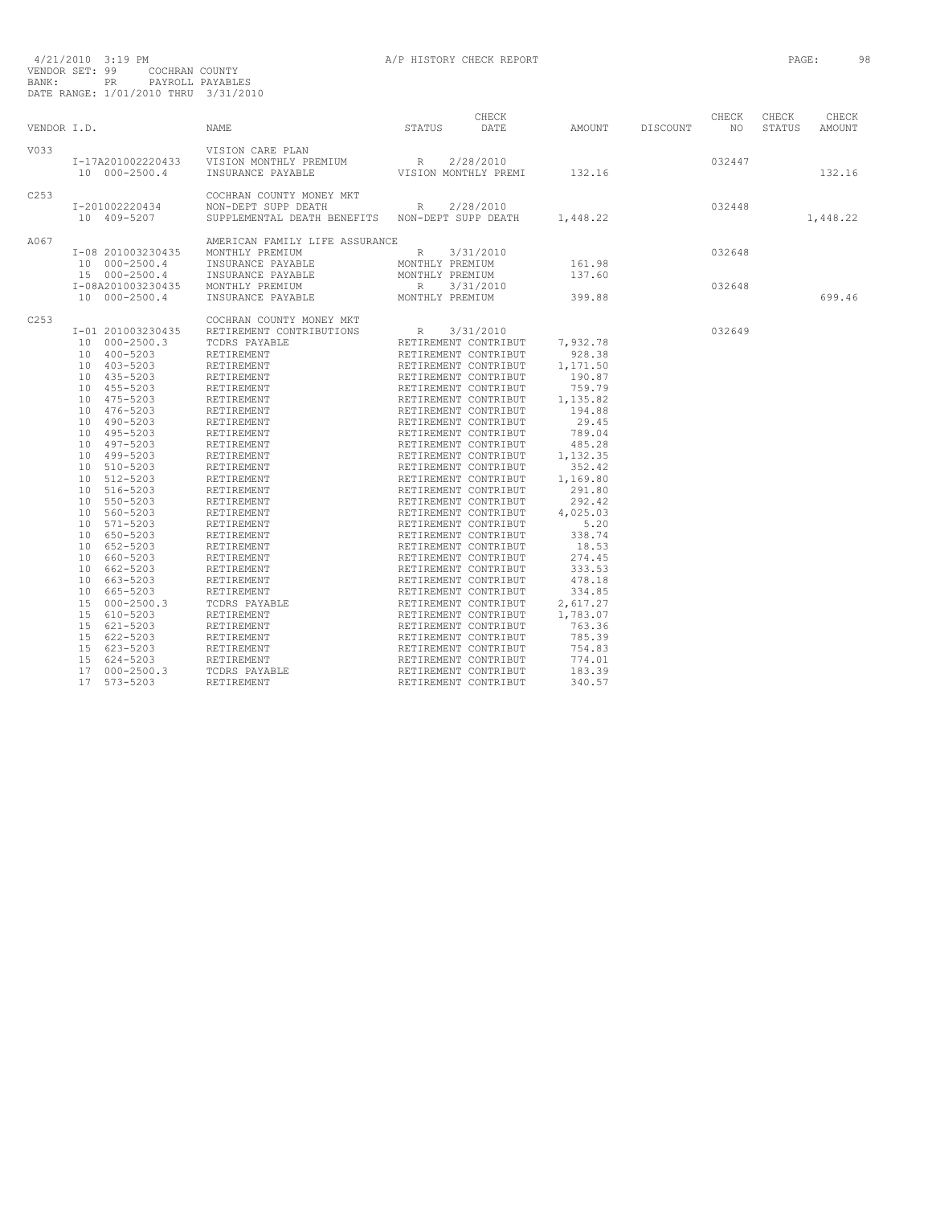| VENDOR I.D.      |                                                                                                                                                                                                                                                                                                                                                                                                                                                                                           | NAME                                                                                                                                                                                                                                                                                                                                                                                                                                                                                              | CHECK<br>STATUS<br>DATE                                                                                                                                                                                                                                                                                                                                                                                                                                                                                                                                                                                                                                                                                                                                                                                                                | AMOUNT                                                                                                                                                                                                                                             | DISCOUNT | CHECK<br>NO <sub>1</sub> | CHECK<br>STATUS | CHECK<br>AMOUNT |
|------------------|-------------------------------------------------------------------------------------------------------------------------------------------------------------------------------------------------------------------------------------------------------------------------------------------------------------------------------------------------------------------------------------------------------------------------------------------------------------------------------------------|---------------------------------------------------------------------------------------------------------------------------------------------------------------------------------------------------------------------------------------------------------------------------------------------------------------------------------------------------------------------------------------------------------------------------------------------------------------------------------------------------|----------------------------------------------------------------------------------------------------------------------------------------------------------------------------------------------------------------------------------------------------------------------------------------------------------------------------------------------------------------------------------------------------------------------------------------------------------------------------------------------------------------------------------------------------------------------------------------------------------------------------------------------------------------------------------------------------------------------------------------------------------------------------------------------------------------------------------------|----------------------------------------------------------------------------------------------------------------------------------------------------------------------------------------------------------------------------------------------------|----------|--------------------------|-----------------|-----------------|
| V033             | 10 000-2500.4                                                                                                                                                                                                                                                                                                                                                                                                                                                                             | VISION CARE PLAN<br>I-17A201002220433 VISION MONTHLY PREMIUM R 2/28/2010<br>INSURANCE PAYABLE                                                                                                                                                                                                                                                                                                                                                                                                     | VISION MONTHLY PREMI                                                                                                                                                                                                                                                                                                                                                                                                                                                                                                                                                                                                                                                                                                                                                                                                                   | 132.16                                                                                                                                                                                                                                             |          | 032447                   |                 | 132.16          |
| C253             | I-201002220434<br>10 409-5207                                                                                                                                                                                                                                                                                                                                                                                                                                                             | COCHRAN COUNTY MONEY MKT<br>NON-DEPT SUPP DEATH<br>SUPPLEMENTAL DEATH BENEFITS   NON-DEPT SUPP DEATH                                                                                                                                                                                                                                                                                                                                                                                              | R 2/28/2010                                                                                                                                                                                                                                                                                                                                                                                                                                                                                                                                                                                                                                                                                                                                                                                                                            | 1,448.22                                                                                                                                                                                                                                           |          | 032448                   |                 | 1,448.22        |
| A067             | I-08 201003230435<br>10 000-2500.4<br>15 000-2500.4<br>I-08A201003230435<br>10 000-2500.4                                                                                                                                                                                                                                                                                                                                                                                                 | AMERICAN FAMILY LIFE ASSURANCE<br>MONTHLY PREMIUM<br>INSURANCE PAYABLE<br>INSURANCE PAYABLE<br>MONTHLY PREMIUM<br>INSURANCE PAYABLE                                                                                                                                                                                                                                                                                                                                                               | R 3/31/2010<br>MONTHLY PREMIUM<br>MONTHLY PREMIUM<br>R 3/31/2010<br>MONTHLY PREMIUM                                                                                                                                                                                                                                                                                                                                                                                                                                                                                                                                                                                                                                                                                                                                                    | 161.98<br>137.60<br>399.88                                                                                                                                                                                                                         |          | 032648<br>032648         |                 | 699.46          |
| C <sub>253</sub> | I-01 201003230435<br>10 000-2500.3<br>10 400-5203<br>10 403-5203<br>10 435-5203<br>10 455-5203<br>10 475-5203<br>10 476-5203<br>10 490-5203<br>10 495-5203<br>10 497-5203<br>10 499-5203<br>10 510-5203<br>10 512-5203<br>10 516-5203<br>10 550-5203<br>10 560-5203<br>10 571-5203<br>10 650-5203<br>10 652-5203<br>10 660-5203<br>10 662-5203<br>10 663-5203<br>10 665-5203<br>15 000-2500.3<br>15 610-5203<br>15 621-5203<br>15 622-5203<br>15 623-5203<br>15 624-5203<br>17 000-2500.3 | COCHRAN COUNTY MONEY MKT<br>RETIREMENT CONTRIBUTIONS<br>TCDRS PAYABLE<br>RETIREMENT<br>RETIREMENT<br>RETIREMENT<br>RETIREMENT<br>RETIREMENT<br>RETIREMENT<br>RETIREMENT<br>RETIREMENT<br>RETIREMENT<br>RETIREMENT<br>RETIREMENT<br>RETIREMENT<br>RETIREMENT<br>RETIREMENT<br>RETIREMENT<br>RETIREMENT<br>RETIREMENT<br>RETIREMENT<br>RETIREMENT<br>RETIREMENT<br>RETIREMENT<br>RETIREMENT<br>TCDRS PAYABLE<br>RETIREMENT<br>RETIREMENT<br>RETIREMENT<br>RETIREMENT<br>RETIREMENT<br>TCDRS PAYABLE | R<br>3/31/2010<br>RETIREMENT CONTRIBUT<br>RETIREMENT CONTRIBUT 928.38<br>RETIREMENT CONTRIBUT 1,171.50<br>RETIREMENT CONTRIBUT<br>RETIREMENT CONTRIBUT<br>RETIREMENT CONTRIBUT<br>RETIREMENT CONTRIBUT<br>RETIREMENT CONTRIBUT<br>RETIREMENT CONTRIBUT<br>RETIREMENT CONTRIBUT 485.28<br>RETIREMENT CONTRIBUT 1,132.35<br>RETIREMENT CONTRIBUT 352.42<br>RETIREMENT CONTRIBUT 1,169.80<br>RETIREMENT CONTRIBUT<br>RETIREMENT CONTRIBUT<br>RETIREMENT CONTRIBUT<br>RETIREMENT CONTRIBUT<br>RETIREMENT CONTRIBUT<br>RETIREMENT CONTRIBUT<br>RETIREMENT CONTRIBUT<br>RETIREMENT CONTRIBUT<br>RETIREMENT CONTRIBUT<br>RETIREMENT CONTRIBUT<br>RETIREMENT CONTRIBUT<br>RETIREMENT CONTRIBUT<br>RETIREMENT CONTRIBUT<br>RETIREMENT CONTRIBUT<br>RETIREMENT CONTRIBUT<br>RETIREMENT CONTRIBUT<br>RETIREMENT CONTRIBUT<br>RETIREMENT CONTRIBUT | 7,932.78<br>190.87<br>759.79<br>1,135.82<br>194.88<br>29.45<br>789.04<br>291.80<br>292.42<br>4,025.03<br>5.20<br>338.74<br>18.53<br>274.45<br>333.53<br>478.18<br>334.85<br>2,617.27<br>1,783.07<br>763.36<br>785.39<br>754.83<br>774.01<br>183.39 |          | 032649                   |                 |                 |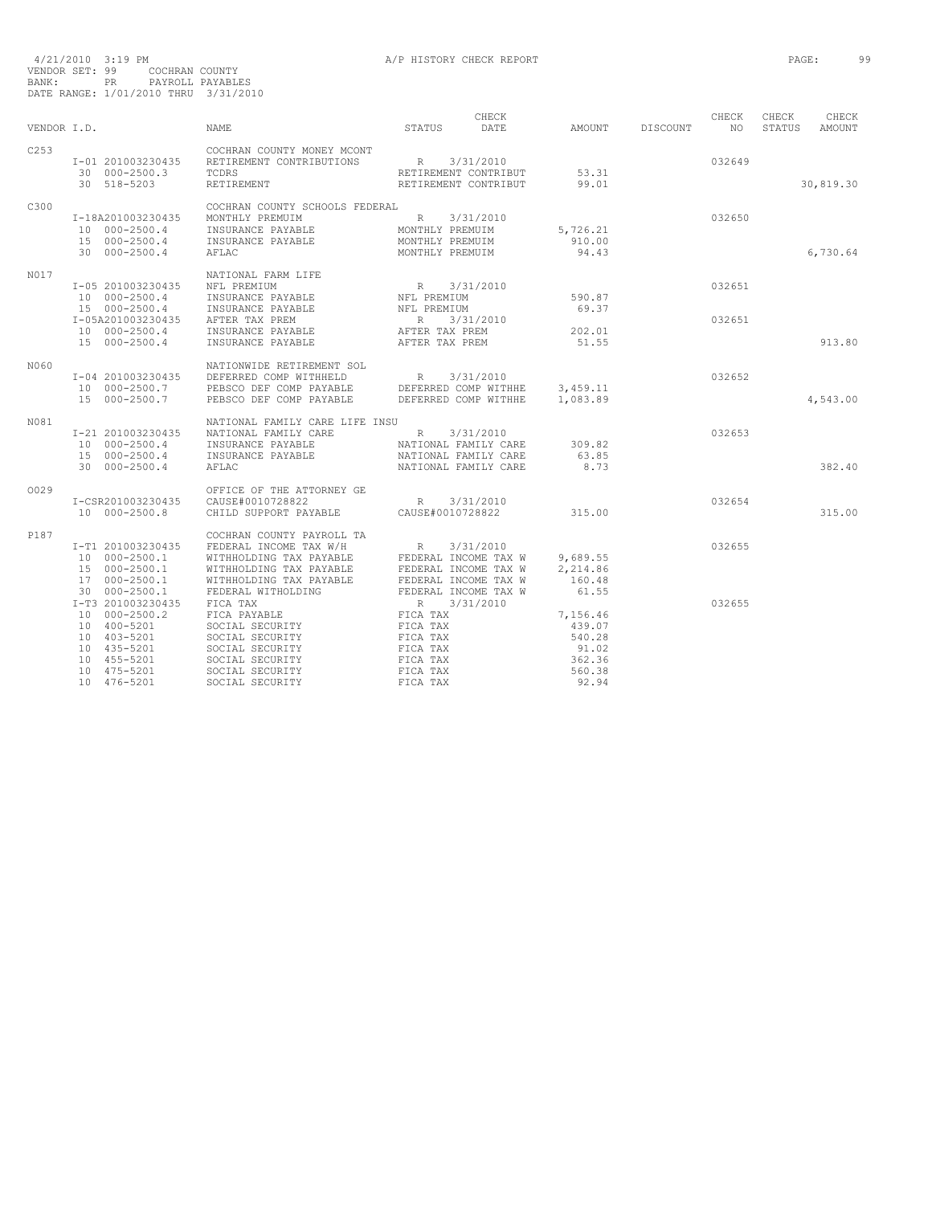| VENDOR I.D. |                                    | <b>NAME</b>                                            | CHECK<br>STATUS<br>DATE           | AMOUNT   | DISCOUNT | CHECK<br>NO. | CHECK<br>STATUS | CHECK<br>AMOUNT |
|-------------|------------------------------------|--------------------------------------------------------|-----------------------------------|----------|----------|--------------|-----------------|-----------------|
|             |                                    |                                                        |                                   |          |          |              |                 |                 |
| C253        | I-01 201003230435                  | COCHRAN COUNTY MONEY MCONT<br>RETIREMENT CONTRIBUTIONS | R                                 |          |          | 032649       |                 |                 |
|             | 30 000-2500.3                      | TCDRS                                                  | 3/31/2010<br>RETIREMENT CONTRIBUT | 53.31    |          |              |                 |                 |
|             | 30 518-5203                        | RETIREMENT                                             | RETIREMENT CONTRIBUT              | 99.01    |          |              |                 | 30,819.30       |
|             |                                    |                                                        |                                   |          |          |              |                 |                 |
| C300        |                                    | COCHRAN COUNTY SCHOOLS FEDERAL                         |                                   |          |          |              |                 |                 |
|             | I-18A201003230435<br>10 000-2500.4 | MONTHLY PREMUIM<br>INSURANCE PAYABLE                   | R<br>3/31/2010<br>MONTHLY PREMUIM | 5,726.21 |          | 032650       |                 |                 |
|             | 15 000-2500.4                      | INSURANCE PAYABLE                                      | MONTHLY PREMUIM                   | 910.00   |          |              |                 |                 |
|             | 30 000-2500.4                      | AFLAC                                                  | MONTHLY PREMUIM                   | 94.43    |          |              |                 | 6,730.64        |
|             |                                    |                                                        |                                   |          |          |              |                 |                 |
| N017        | I-05 201003230435                  | NATIONAL FARM LIFE<br>NFL PREMIUM                      |                                   |          |          | 032651       |                 |                 |
|             | 10 000-2500.4                      | INSURANCE PAYABLE                                      | R 3/31/2010<br>NFL PREMIUM        | 590.87   |          |              |                 |                 |
|             | 15 000-2500.4                      | INSURANCE PAYABLE                                      | NFL PREMIUM                       | 69.37    |          |              |                 |                 |
|             | I-05A201003230435                  | AFTER TAX PREM                                         | R<br>3/31/2010                    |          |          | 032651       |                 |                 |
|             | 10 000-2500.4                      | INSURANCE PAYABLE                                      | AFTER TAX PREM                    | 202.01   |          |              |                 |                 |
|             | 15 000-2500.4                      | INSURANCE PAYABLE                                      | AFTER TAX PREM                    | 51.55    |          |              |                 | 913.80          |
| N060        |                                    | NATIONWIDE RETIREMENT SOL                              |                                   |          |          |              |                 |                 |
|             | I-04 201003230435                  | DEFERRED COMP WITHHELD                                 | R<br>3/31/2010                    |          |          | 032652       |                 |                 |
|             | 10 000-2500.7                      | PEBSCO DEF COMP PAYABLE                                | DEFERRED COMP WITHHE              | 3,459.11 |          |              |                 |                 |
|             | 15 000-2500.7                      | PEBSCO DEF COMP PAYABLE                                | DEFERRED COMP WITHHE              | 1,083.89 |          |              |                 | 4,543.00        |
| N081        |                                    | NATIONAL FAMILY CARE LIFE INSU                         |                                   |          |          |              |                 |                 |
|             | I-21 201003230435                  | NATIONAL FAMILY CARE                                   | R<br>3/31/2010                    |          |          | 032653       |                 |                 |
|             | 10 000-2500.4                      | INSURANCE PAYABLE                                      | NATIONAL FAMILY CARE              | 309.82   |          |              |                 |                 |
|             | 15 000-2500.4                      | INSURANCE PAYABLE                                      | NATIONAL FAMILY CARE              | 63.85    |          |              |                 |                 |
|             | 30 000-2500.4                      | AFLAC                                                  | NATIONAL FAMILY CARE              | 8.73     |          |              |                 | 382.40          |
| 0029        |                                    | OFFICE OF THE ATTORNEY GE                              |                                   |          |          |              |                 |                 |
|             | I-CSR201003230435                  | CAUSE#0010728822                                       | R<br>3/31/2010                    |          |          | 032654       |                 |                 |
|             | 10 000-2500.8                      | CHILD SUPPORT PAYABLE                                  | CAUSE#0010728822                  | 315.00   |          |              |                 | 315.00          |
| P187        |                                    | COCHRAN COUNTY PAYROLL TA                              |                                   |          |          |              |                 |                 |
|             | I-T1 201003230435                  | FEDERAL INCOME TAX W/H                                 | $\mathbb R$<br>3/31/2010          |          |          | 032655       |                 |                 |
|             | 10 000-2500.1                      | WITHHOLDING TAX PAYABLE                                | FEDERAL INCOME TAX W              | 9,689.55 |          |              |                 |                 |
|             | 15 000-2500.1                      | WITHHOLDING TAX PAYABLE                                | FEDERAL INCOME TAX W              | 2,214.86 |          |              |                 |                 |
|             | 17 000-2500.1                      | WITHHOLDING TAX PAYABLE                                | FEDERAL INCOME TAX W              | 160.48   |          |              |                 |                 |
|             | 30 000-2500.1                      | FEDERAL WITHOLDING                                     | FEDERAL INCOME TAX W              | 61.55    |          |              |                 |                 |
|             | I-T3 201003230435<br>10 000-2500.2 | FICA TAX<br>FICA PAYABLE                               | R 3/31/2010<br>FICA TAX           | 7,156.46 |          | 032655       |                 |                 |
|             | 10 400-5201                        | SOCIAL SECURITY                                        | FICA TAX                          | 439.07   |          |              |                 |                 |
|             | 10 403-5201                        | SOCIAL SECURITY                                        | FICA TAX                          | 540.28   |          |              |                 |                 |
|             | 10 435-5201                        | SOCIAL SECURITY                                        | FICA TAX                          | 91.02    |          |              |                 |                 |
|             | 10 455-5201                        | SOCIAL SECURITY                                        | FICA TAX                          | 362.36   |          |              |                 |                 |
|             | 10 475-5201                        | SOCIAL SECURITY                                        | FICA TAX                          | 560.38   |          |              |                 |                 |
|             | 10 476-5201                        | SOCIAL SECURITY                                        | FICA TAX                          | 92.94    |          |              |                 |                 |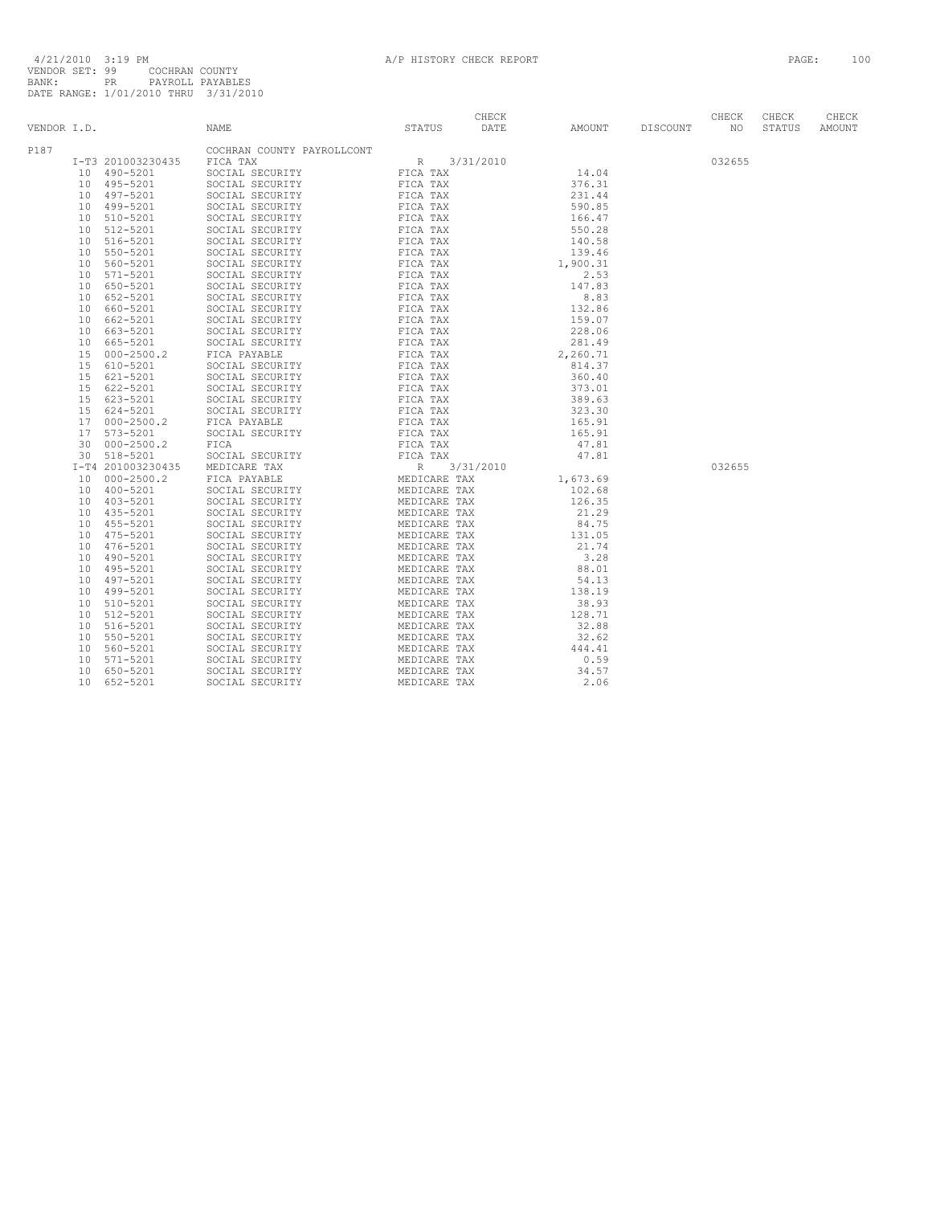| VENDOR I.D. |                 |                   | NAME                                                                                                                                                                                                                                                                         | STATUS       | CHECK<br>DATE | AMOUNT                                                                | DISCOUNT | CHECK<br>NO. | CHECK<br>STATUS | CHECK<br>AMOUNT |
|-------------|-----------------|-------------------|------------------------------------------------------------------------------------------------------------------------------------------------------------------------------------------------------------------------------------------------------------------------------|--------------|---------------|-----------------------------------------------------------------------|----------|--------------|-----------------|-----------------|
| P187        |                 |                   | COCHRAN COUNTY PAYROLLCONT<br>NAME COMMISSION TRIVIAL STATES DATE STATES DATE<br>STATES AN COUNTY PAYROLLCONT<br>FICA TAX<br>SOCIAL SECURITY FIGA TAX<br>SOCIAL SECURITY FIGA TAX<br>SOCIAL SECURITY FIGA TAX<br>SOCIAL SECURITY FIGA TAX<br>SOCIAL SECURITY FIGA TAX<br>SOC |              |               |                                                                       |          |              |                 |                 |
|             |                 | I-T3 201003230435 |                                                                                                                                                                                                                                                                              |              |               | 14.04                                                                 |          | 032655       |                 |                 |
|             |                 | 10 490-5201       |                                                                                                                                                                                                                                                                              |              |               |                                                                       |          |              |                 |                 |
|             |                 | 10 495-5201       |                                                                                                                                                                                                                                                                              |              |               | 376.31                                                                |          |              |                 |                 |
|             |                 | 10 497-5201       |                                                                                                                                                                                                                                                                              |              |               | 231.44                                                                |          |              |                 |                 |
|             |                 | 10 499-5201       |                                                                                                                                                                                                                                                                              |              |               | 590.85                                                                |          |              |                 |                 |
|             |                 | 10 510-5201       |                                                                                                                                                                                                                                                                              |              |               | 166.47                                                                |          |              |                 |                 |
|             |                 | 10 512-5201       |                                                                                                                                                                                                                                                                              |              |               | 550.28                                                                |          |              |                 |                 |
|             | 10              | 516-5201          |                                                                                                                                                                                                                                                                              |              |               | 140.58                                                                |          |              |                 |                 |
|             |                 | 10 550-5201       |                                                                                                                                                                                                                                                                              |              |               | 139.46                                                                |          |              |                 |                 |
|             | 10              | 560-5201          |                                                                                                                                                                                                                                                                              |              |               | 1,900.31                                                              |          |              |                 |                 |
|             |                 | 10 571-5201       |                                                                                                                                                                                                                                                                              |              |               | 2.53                                                                  |          |              |                 |                 |
|             |                 | 10 650-5201       |                                                                                                                                                                                                                                                                              |              |               | 147.83                                                                |          |              |                 |                 |
|             |                 | 10 652-5201       |                                                                                                                                                                                                                                                                              |              |               | 8.83                                                                  |          |              |                 |                 |
|             | 10              | 660-5201          |                                                                                                                                                                                                                                                                              |              |               |                                                                       |          |              |                 |                 |
|             |                 | 10 662-5201       |                                                                                                                                                                                                                                                                              |              |               | 132.86<br>159.07                                                      |          |              |                 |                 |
|             | 10              | 663-5201          |                                                                                                                                                                                                                                                                              |              |               |                                                                       |          |              |                 |                 |
|             | 10              | 665-5201          |                                                                                                                                                                                                                                                                              |              |               | $\begin{array}{c} 228.06 \\ 281.49 \\ 2,260.71 \\ 814.37 \end{array}$ |          |              |                 |                 |
|             | 15              | $000 - 2500.2$    |                                                                                                                                                                                                                                                                              |              |               |                                                                       |          |              |                 |                 |
|             | 15              | 610-5201          |                                                                                                                                                                                                                                                                              |              |               |                                                                       |          |              |                 |                 |
|             |                 | 15 621-5201       |                                                                                                                                                                                                                                                                              |              |               | 360.40                                                                |          |              |                 |                 |
|             |                 | 15 622-5201       |                                                                                                                                                                                                                                                                              |              |               | 373.01                                                                |          |              |                 |                 |
|             |                 | 15 623-5201       |                                                                                                                                                                                                                                                                              |              |               | 389.63                                                                |          |              |                 |                 |
|             |                 | 15 624-5201       |                                                                                                                                                                                                                                                                              |              |               | 323.30                                                                |          |              |                 |                 |
|             |                 | 17 000-2500.2     |                                                                                                                                                                                                                                                                              |              |               | 323.30<br>165.91                                                      |          |              |                 |                 |
|             |                 | 17 573-5201       |                                                                                                                                                                                                                                                                              |              |               | 165.91                                                                |          |              |                 |                 |
|             |                 | 30 000-2500.2     |                                                                                                                                                                                                                                                                              |              |               | 105.91<br>47.81                                                       |          |              |                 |                 |
|             |                 | 30 518-5201       |                                                                                                                                                                                                                                                                              |              |               |                                                                       |          |              |                 |                 |
|             |                 | I-T4 201003230435 |                                                                                                                                                                                                                                                                              |              |               | $47.81$<br>$1,673.69$                                                 |          | 032655       |                 |                 |
|             | 10              | $000 - 2500.2$    |                                                                                                                                                                                                                                                                              |              |               |                                                                       |          |              |                 |                 |
|             |                 | 10 400-5201       |                                                                                                                                                                                                                                                                              |              |               | 102.68                                                                |          |              |                 |                 |
|             |                 | 10 403-5201       |                                                                                                                                                                                                                                                                              |              |               | 126.35                                                                |          |              |                 |                 |
|             |                 | 10 435-5201       |                                                                                                                                                                                                                                                                              |              |               | 21.29                                                                 |          |              |                 |                 |
|             |                 | 10 455-5201       |                                                                                                                                                                                                                                                                              |              |               | 84.75                                                                 |          |              |                 |                 |
|             | 10              | 475-5201          |                                                                                                                                                                                                                                                                              |              |               | 131.05                                                                |          |              |                 |                 |
|             | 10              | 476-5201          |                                                                                                                                                                                                                                                                              |              |               | 21.74                                                                 |          |              |                 |                 |
|             | 10              | 490-5201          |                                                                                                                                                                                                                                                                              |              |               | 3.28                                                                  |          |              |                 |                 |
|             | 10              | 495-5201          |                                                                                                                                                                                                                                                                              |              |               | 88.01                                                                 |          |              |                 |                 |
|             | 10              | 497-5201          |                                                                                                                                                                                                                                                                              |              |               | 54.13                                                                 |          |              |                 |                 |
|             |                 | 10 499-5201       |                                                                                                                                                                                                                                                                              |              |               | 138.19                                                                |          |              |                 |                 |
|             | 10              | 510-5201          |                                                                                                                                                                                                                                                                              |              |               | 38.93                                                                 |          |              |                 |                 |
|             | 10              | 512-5201          |                                                                                                                                                                                                                                                                              |              |               | 128.71                                                                |          |              |                 |                 |
|             | 10              | 516-5201          |                                                                                                                                                                                                                                                                              |              |               | 32.88                                                                 |          |              |                 |                 |
|             | 10              | 550-5201          |                                                                                                                                                                                                                                                                              |              |               | 32.62                                                                 |          |              |                 |                 |
|             | 10              | 560-5201          |                                                                                                                                                                                                                                                                              |              |               | 444.41                                                                |          |              |                 |                 |
|             | 10              | 571-5201          |                                                                                                                                                                                                                                                                              |              |               | 0.59                                                                  |          |              |                 |                 |
|             | 10              | 650-5201          |                                                                                                                                                                                                                                                                              |              |               | 34.57                                                                 |          |              |                 |                 |
|             | 10 <sup>°</sup> | 652-5201          | SOCIAL SECURITY                                                                                                                                                                                                                                                              | MEDICARE TAX |               | 2.06                                                                  |          |              |                 |                 |
|             |                 |                   |                                                                                                                                                                                                                                                                              |              |               |                                                                       |          |              |                 |                 |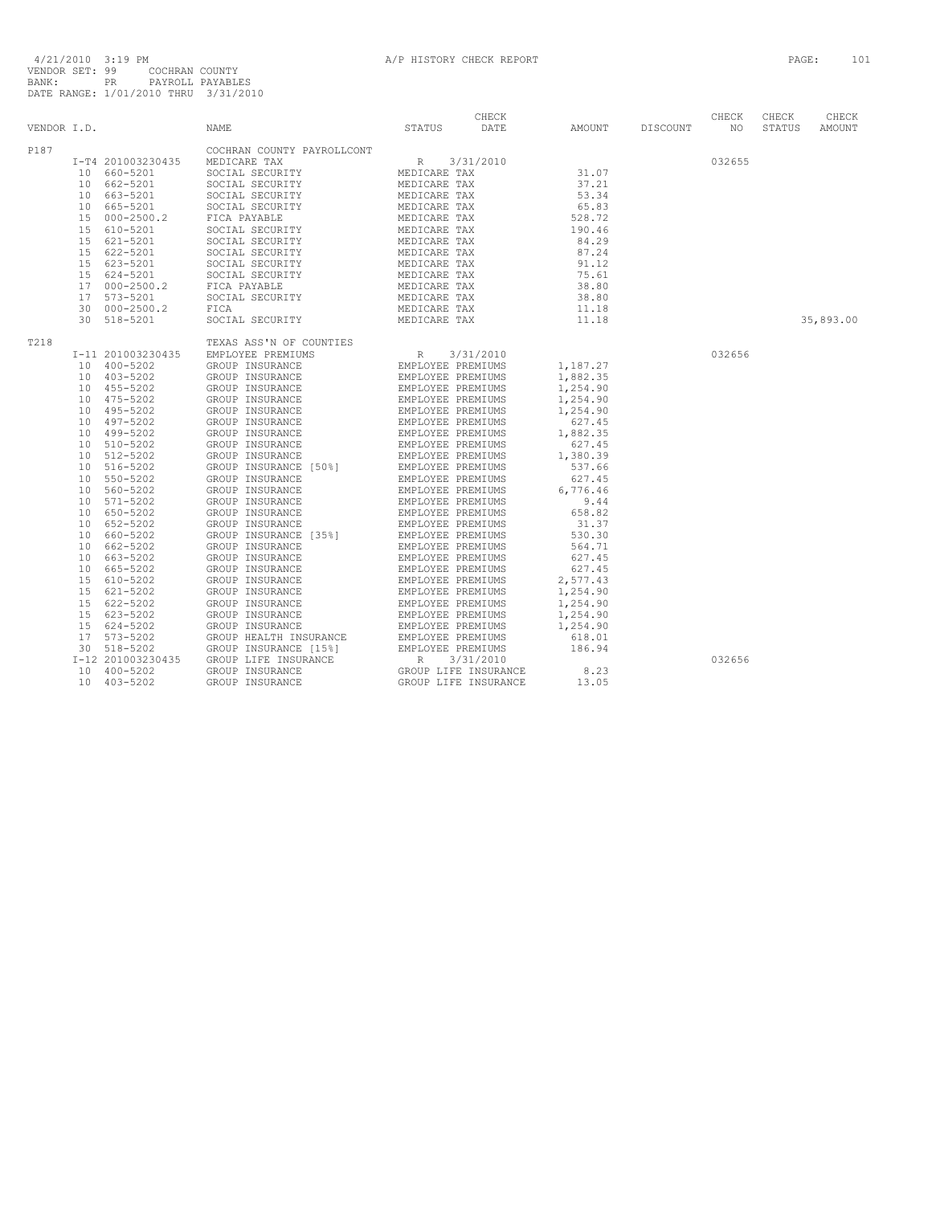|             |                                        |                                                                                                                                                                                                                                                                                                                                                                                                                                                                                                         | CHECK |                            |        | CHECK  | CHECK     | CHECK  |
|-------------|----------------------------------------|---------------------------------------------------------------------------------------------------------------------------------------------------------------------------------------------------------------------------------------------------------------------------------------------------------------------------------------------------------------------------------------------------------------------------------------------------------------------------------------------------------|-------|----------------------------|--------|--------|-----------|--------|
| VENDOR I.D. |                                        | STATUS DATE<br><b>NAME</b>                                                                                                                                                                                                                                                                                                                                                                                                                                                                              |       | AMOUNT DISCOUNT NO         |        |        | STATUS    | AMOUNT |
| P187        |                                        | COCHRAN COUNTY PAYROLLCONT<br>$\begin{tabular}{l c c c c} \multicolumn{3}{c c c} \multicolumn{3}{c c}c} \multicolumn{3}{c}{\textbf{COCHRAN}\begin{tabular}{c} \multicolumn{3}{c}{\textbf{COCHRAN}\begin{tabular}{c} \multicolumn{3}{c}{\textbf{COCHRAN}\begin{tabular}{c} \multicolumn{3}{c}{\textbf{COCHRAN}\begin{tabular}{c} \multicolumn{3}{c}{\textbf{COC1AL}\begin{tabular}{c} \multicolumn{3}{c}{\textbf{SOC1AL}\begin{tabular}{c} \multicolumn{3}{c}{\textbf{COC1AL}\begin{tabular}{c} \multic$ |       |                            |        |        |           |        |
|             |                                        |                                                                                                                                                                                                                                                                                                                                                                                                                                                                                                         |       |                            |        | 032655 |           |        |
|             |                                        |                                                                                                                                                                                                                                                                                                                                                                                                                                                                                                         |       | $3/31/2010$<br>E TAX 31.07 |        |        |           |        |
|             |                                        |                                                                                                                                                                                                                                                                                                                                                                                                                                                                                                         |       |                            |        |        |           |        |
|             |                                        |                                                                                                                                                                                                                                                                                                                                                                                                                                                                                                         |       |                            |        |        |           |        |
|             |                                        |                                                                                                                                                                                                                                                                                                                                                                                                                                                                                                         |       |                            |        |        |           |        |
|             |                                        |                                                                                                                                                                                                                                                                                                                                                                                                                                                                                                         |       |                            |        |        |           |        |
|             |                                        |                                                                                                                                                                                                                                                                                                                                                                                                                                                                                                         |       |                            |        |        |           |        |
|             |                                        |                                                                                                                                                                                                                                                                                                                                                                                                                                                                                                         |       |                            |        |        |           |        |
|             |                                        |                                                                                                                                                                                                                                                                                                                                                                                                                                                                                                         |       |                            |        |        |           |        |
|             |                                        |                                                                                                                                                                                                                                                                                                                                                                                                                                                                                                         |       |                            |        |        |           |        |
|             |                                        |                                                                                                                                                                                                                                                                                                                                                                                                                                                                                                         |       |                            |        |        |           |        |
|             |                                        |                                                                                                                                                                                                                                                                                                                                                                                                                                                                                                         |       |                            |        |        |           |        |
|             |                                        |                                                                                                                                                                                                                                                                                                                                                                                                                                                                                                         |       |                            |        |        |           |        |
|             |                                        |                                                                                                                                                                                                                                                                                                                                                                                                                                                                                                         |       |                            |        |        |           |        |
|             |                                        |                                                                                                                                                                                                                                                                                                                                                                                                                                                                                                         |       |                            |        |        | 35,893.00 |        |
|             |                                        |                                                                                                                                                                                                                                                                                                                                                                                                                                                                                                         |       |                            |        |        |           |        |
| T218        |                                        |                                                                                                                                                                                                                                                                                                                                                                                                                                                                                                         |       |                            |        |        |           |        |
|             | I-11 201003230435                      |                                                                                                                                                                                                                                                                                                                                                                                                                                                                                                         |       |                            | 032656 |        |           |        |
|             | 10 400-5202                            |                                                                                                                                                                                                                                                                                                                                                                                                                                                                                                         |       |                            |        |        |           |        |
|             | $10$ $403 - 5202$<br>$10$ $403 - 5202$ |                                                                                                                                                                                                                                                                                                                                                                                                                                                                                                         |       |                            |        |        |           |        |
|             |                                        |                                                                                                                                                                                                                                                                                                                                                                                                                                                                                                         |       |                            |        |        |           |        |
|             | 10 475-5202                            |                                                                                                                                                                                                                                                                                                                                                                                                                                                                                                         |       |                            |        |        |           |        |
|             | 10 495-5202                            |                                                                                                                                                                                                                                                                                                                                                                                                                                                                                                         |       |                            |        |        |           |        |
|             | 10 497-5202                            |                                                                                                                                                                                                                                                                                                                                                                                                                                                                                                         |       |                            |        |        |           |        |
|             | 10 499-5202                            |                                                                                                                                                                                                                                                                                                                                                                                                                                                                                                         |       |                            |        |        |           |        |
|             | 10 510-5202                            |                                                                                                                                                                                                                                                                                                                                                                                                                                                                                                         |       |                            |        |        |           |        |
|             | 10 512-5202                            |                                                                                                                                                                                                                                                                                                                                                                                                                                                                                                         |       |                            |        |        |           |        |
|             | 10 516-5202                            |                                                                                                                                                                                                                                                                                                                                                                                                                                                                                                         |       |                            |        |        |           |        |
|             | 10 550-5202                            |                                                                                                                                                                                                                                                                                                                                                                                                                                                                                                         |       |                            |        |        |           |        |
|             | 10 560-5202                            |                                                                                                                                                                                                                                                                                                                                                                                                                                                                                                         |       |                            |        |        |           |        |
|             | 10 571-5202                            |                                                                                                                                                                                                                                                                                                                                                                                                                                                                                                         |       |                            |        |        |           |        |
|             | 10 650-5202                            |                                                                                                                                                                                                                                                                                                                                                                                                                                                                                                         |       |                            |        |        |           |        |
|             | 10 652-5202                            |                                                                                                                                                                                                                                                                                                                                                                                                                                                                                                         |       |                            |        |        |           |        |
|             | 10 660-5202                            |                                                                                                                                                                                                                                                                                                                                                                                                                                                                                                         |       |                            |        |        |           |        |
|             | 10 662-5202                            |                                                                                                                                                                                                                                                                                                                                                                                                                                                                                                         |       |                            |        |        |           |        |
|             | 10 663-5202                            |                                                                                                                                                                                                                                                                                                                                                                                                                                                                                                         |       |                            |        |        |           |        |
|             | 10 665-5202                            |                                                                                                                                                                                                                                                                                                                                                                                                                                                                                                         |       |                            |        |        |           |        |
|             | 15 610-5202                            |                                                                                                                                                                                                                                                                                                                                                                                                                                                                                                         |       |                            |        |        |           |        |
|             | 15 621-5202                            |                                                                                                                                                                                                                                                                                                                                                                                                                                                                                                         |       |                            |        |        |           |        |
|             | 15 622-5202                            |                                                                                                                                                                                                                                                                                                                                                                                                                                                                                                         |       |                            |        |        |           |        |
|             | 15 623-5202                            |                                                                                                                                                                                                                                                                                                                                                                                                                                                                                                         |       |                            |        |        |           |        |
|             | 15 624-5202                            |                                                                                                                                                                                                                                                                                                                                                                                                                                                                                                         |       |                            |        |        |           |        |
|             | 17 573-5202                            |                                                                                                                                                                                                                                                                                                                                                                                                                                                                                                         |       |                            |        |        |           |        |
|             | 30 518-5202                            |                                                                                                                                                                                                                                                                                                                                                                                                                                                                                                         |       |                            |        |        |           |        |
|             | I-12 201003230435                      |                                                                                                                                                                                                                                                                                                                                                                                                                                                                                                         |       |                            |        | 032656 |           |        |
|             | $10 \quad 400 - 5202$                  |                                                                                                                                                                                                                                                                                                                                                                                                                                                                                                         |       |                            |        |        |           |        |
|             | 10 403-5202                            |                                                                                                                                                                                                                                                                                                                                                                                                                                                                                                         |       |                            |        |        |           |        |
|             |                                        |                                                                                                                                                                                                                                                                                                                                                                                                                                                                                                         |       |                            |        |        |           |        |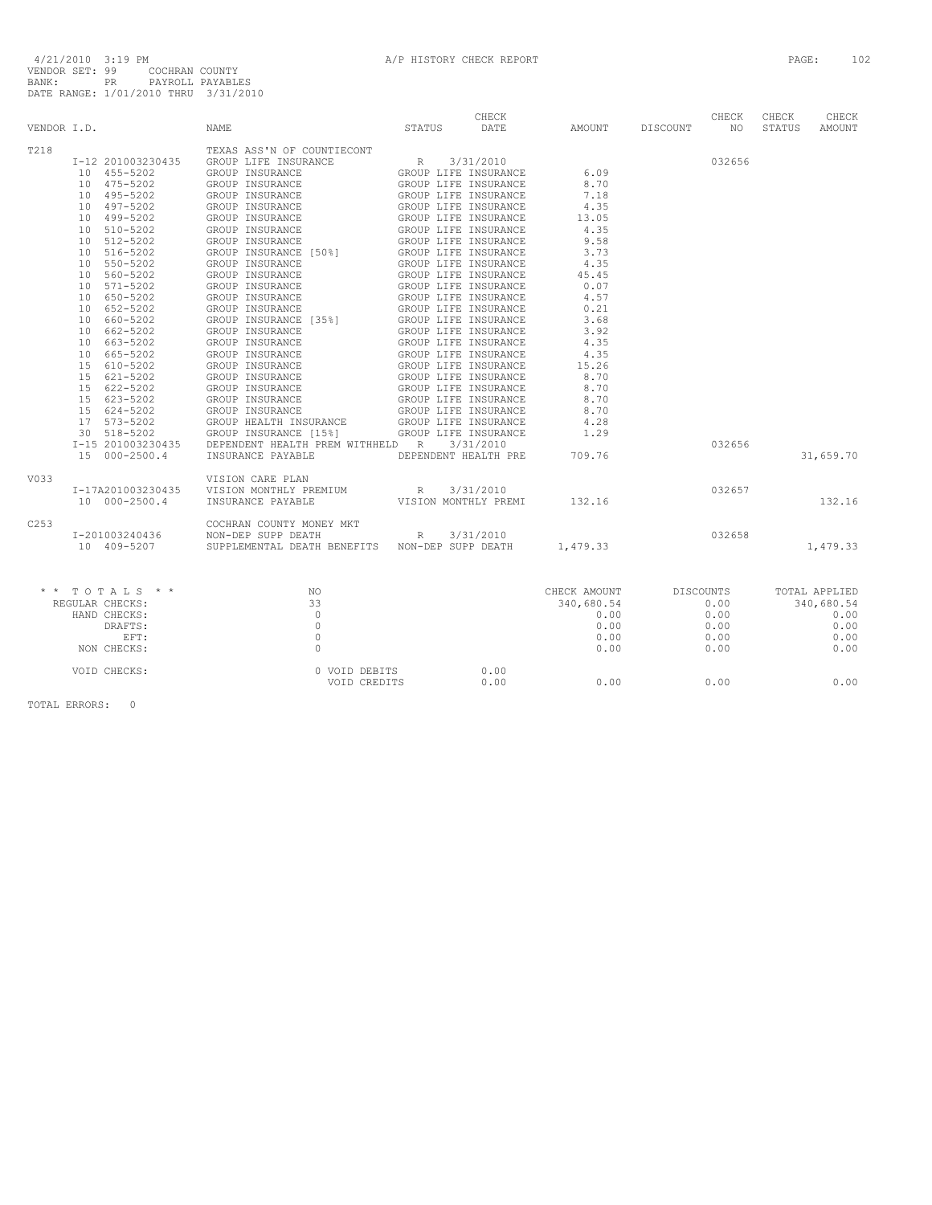|                  | VENDOR I.D.                   | STATUS DATE<br><b>NAME</b>                                                                                                                                                                                                                                                                                                                                      |             | CHECK | AMOUNT DISCOUNT NO                                 |        | CHECK     | CHECK<br>STATUS | CHECK<br>AMOUNT |
|------------------|-------------------------------|-----------------------------------------------------------------------------------------------------------------------------------------------------------------------------------------------------------------------------------------------------------------------------------------------------------------------------------------------------------------|-------------|-------|----------------------------------------------------|--------|-----------|-----------------|-----------------|
| T218             |                               | TEXAS ASS'N OF COUNTIECONT<br>TEXAS ASS'N OF COUNTIECONT (Resp. 3/31/2010)<br>GROUP INSURANCE GROUP INSURANCE GROUP INSURANCE CROUP INSURANCE<br>GROUP INSURANCE (SOUP LIFE INSURANCE GROUP INSURANCE GROUP INSURANCE GROUP INSURANCE<br>GROUP INSURANCE GROUP IL                                                                                               |             |       |                                                    |        |           |                 |                 |
|                  | I-12 201003230435             |                                                                                                                                                                                                                                                                                                                                                                 |             |       |                                                    |        | 032656    |                 |                 |
|                  | 10 455-5202                   |                                                                                                                                                                                                                                                                                                                                                                 |             |       | 6.09                                               |        |           |                 |                 |
|                  | 10 475-5202                   |                                                                                                                                                                                                                                                                                                                                                                 |             |       | 8.70                                               |        |           |                 |                 |
|                  | 10 495-5202                   |                                                                                                                                                                                                                                                                                                                                                                 |             |       | 7.18                                               |        |           |                 |                 |
|                  | 10 497-5202                   |                                                                                                                                                                                                                                                                                                                                                                 |             |       | 4.35                                               |        |           |                 |                 |
|                  | 10 499-5202                   |                                                                                                                                                                                                                                                                                                                                                                 |             |       | 13.05                                              |        |           |                 |                 |
|                  | 10 510-5202                   |                                                                                                                                                                                                                                                                                                                                                                 |             |       | 4.35                                               |        |           |                 |                 |
|                  | 10 512-5202                   |                                                                                                                                                                                                                                                                                                                                                                 |             |       | 9.58                                               |        |           |                 |                 |
|                  | 10 516-5202                   |                                                                                                                                                                                                                                                                                                                                                                 |             |       | 3.73                                               |        |           |                 |                 |
|                  | 10 550-5202                   |                                                                                                                                                                                                                                                                                                                                                                 |             |       | 4.35                                               |        |           |                 |                 |
|                  | 10 560-5202                   |                                                                                                                                                                                                                                                                                                                                                                 |             |       | 45.45                                              |        |           |                 |                 |
|                  | 10 571-5202                   |                                                                                                                                                                                                                                                                                                                                                                 |             |       | 0.07                                               |        |           |                 |                 |
|                  | 10 650-5202                   |                                                                                                                                                                                                                                                                                                                                                                 |             |       | 4.57                                               |        |           |                 |                 |
|                  | 10 652-5202                   |                                                                                                                                                                                                                                                                                                                                                                 |             |       | 0.21                                               |        |           |                 |                 |
|                  | 10 660-5202                   |                                                                                                                                                                                                                                                                                                                                                                 |             |       | 3.68                                               |        |           |                 |                 |
|                  | 10 662-5202                   |                                                                                                                                                                                                                                                                                                                                                                 |             |       | 3.92                                               |        |           |                 |                 |
|                  | 10 663-5202                   |                                                                                                                                                                                                                                                                                                                                                                 |             |       | 4.35                                               |        |           |                 |                 |
|                  | 10 665-5202                   |                                                                                                                                                                                                                                                                                                                                                                 |             |       | 4.35                                               |        |           |                 |                 |
|                  | 15 610-5202                   |                                                                                                                                                                                                                                                                                                                                                                 |             |       | 15.26                                              |        |           |                 |                 |
|                  | 15 621-5202                   |                                                                                                                                                                                                                                                                                                                                                                 |             |       | 8.70                                               |        |           |                 |                 |
|                  | 15 622-5202                   |                                                                                                                                                                                                                                                                                                                                                                 |             |       | 8.70                                               |        |           |                 |                 |
|                  | 15 623-5202                   |                                                                                                                                                                                                                                                                                                                                                                 |             |       | 8.70                                               |        |           |                 |                 |
|                  |                               |                                                                                                                                                                                                                                                                                                                                                                 |             |       | 8.70                                               |        |           |                 |                 |
|                  |                               | $\begin{tabular}{lllllllllll} 15 & 624-5202 & \text{GROUP INSUBANCE} & \text{GROUP IIFE INSUBANCE} \\ 17 & 573-5202 & \text{GROUP HEALTH INSUBANCE} & \text{GROUP LIFE INSUBANCE} \\ 30 & 518-5202 & \text{GROUP INSUBANCE [15%]} & \text{GROUP LIFE INSUBANCE} \\ \text{T-15 & 201003230435 & DEPENDENT HEALTH PREM WITHHELD & R & 3/31/2010 \\ \end{tabular}$ |             |       | 4.28                                               |        |           |                 |                 |
|                  |                               |                                                                                                                                                                                                                                                                                                                                                                 |             |       | 1.29                                               |        |           |                 |                 |
|                  |                               |                                                                                                                                                                                                                                                                                                                                                                 |             |       |                                                    |        |           |                 |                 |
|                  | 15 000-2500.4                 | INSURANCE PAYABLE <b>The DEPENDENT HEALTH PRE</b> 709.76                                                                                                                                                                                                                                                                                                        |             |       |                                                    |        | 032656    |                 | 31,659.70       |
|                  |                               |                                                                                                                                                                                                                                                                                                                                                                 |             |       |                                                    |        |           |                 |                 |
| V033             |                               | VISION CARE PLAN                                                                                                                                                                                                                                                                                                                                                |             |       |                                                    |        |           |                 |                 |
|                  | I-17A201003230435             | VISION MONTHLY PREMIUM<br>INSURANCE PAYABLE<br>VISION MONTHLY PREMI 132.16                                                                                                                                                                                                                                                                                      |             |       |                                                    | 032657 |           |                 |                 |
|                  | 10 000-2500.4                 |                                                                                                                                                                                                                                                                                                                                                                 |             |       |                                                    |        |           |                 | 132.16          |
| C <sub>253</sub> |                               | COCHRAN COUNTY MONEY MKT                                                                                                                                                                                                                                                                                                                                        |             |       |                                                    |        |           |                 |                 |
|                  |                               | NON-DEP SUPP DEATH                                                                                                                                                                                                                                                                                                                                              | R 3/31/2010 |       |                                                    |        |           |                 |                 |
|                  | I-201003240436<br>10 409-5207 | NON-DEP SUPP DEATH<br>SUPPLEMENTAL DEATH BENEFITS MON-DEP SUPP DEATH 1,479.33                                                                                                                                                                                                                                                                                   |             |       |                                                    |        | 032658    |                 | 1,479.33        |
|                  |                               |                                                                                                                                                                                                                                                                                                                                                                 |             |       |                                                    |        |           |                 |                 |
|                  |                               |                                                                                                                                                                                                                                                                                                                                                                 |             |       |                                                    |        |           |                 |                 |
|                  | $*$ * TOTALS * *              |                                                                                                                                                                                                                                                                                                                                                                 |             |       | CHECK AMOUNT<br>340,680.54<br>0.00<br>0.00<br>0.00 |        | DISCOUNTS |                 | TOTAL APPLIED   |
|                  | REGULAR CHECKS:               |                                                                                                                                                                                                                                                                                                                                                                 |             |       |                                                    |        | 0.00      |                 | 340,680.54      |
|                  | HAND CHECKS:                  |                                                                                                                                                                                                                                                                                                                                                                 |             |       |                                                    |        | 0.00      |                 | 0.00            |
|                  | DRAFTS:                       |                                                                                                                                                                                                                                                                                                                                                                 |             |       |                                                    |        | 0.00      |                 | 0.00            |
|                  | EFT:                          |                                                                                                                                                                                                                                                                                                                                                                 |             |       |                                                    |        | 0.00      |                 | 0.00            |
|                  | NON CHECKS:                   |                                                                                                                                                                                                                                                                                                                                                                 |             |       | 0.00                                               |        | 0.00      |                 | 0.00            |
|                  | VOID CHECKS:                  | * * NO<br>33<br>0<br>0<br>0<br>0<br>0<br>0                                                                                                                                                                                                                                                                                                                      |             |       |                                                    |        |           |                 |                 |
|                  |                               | 0 VOID DEBITS 0.00<br>VOID CREDITS 0.00<br>VOID CREDITS                                                                                                                                                                                                                                                                                                         |             | 0.00  | 0.00                                               |        | 0.00      |                 | 0.00            |
|                  |                               |                                                                                                                                                                                                                                                                                                                                                                 |             |       |                                                    |        |           |                 |                 |

TOTAL ERRORS: 0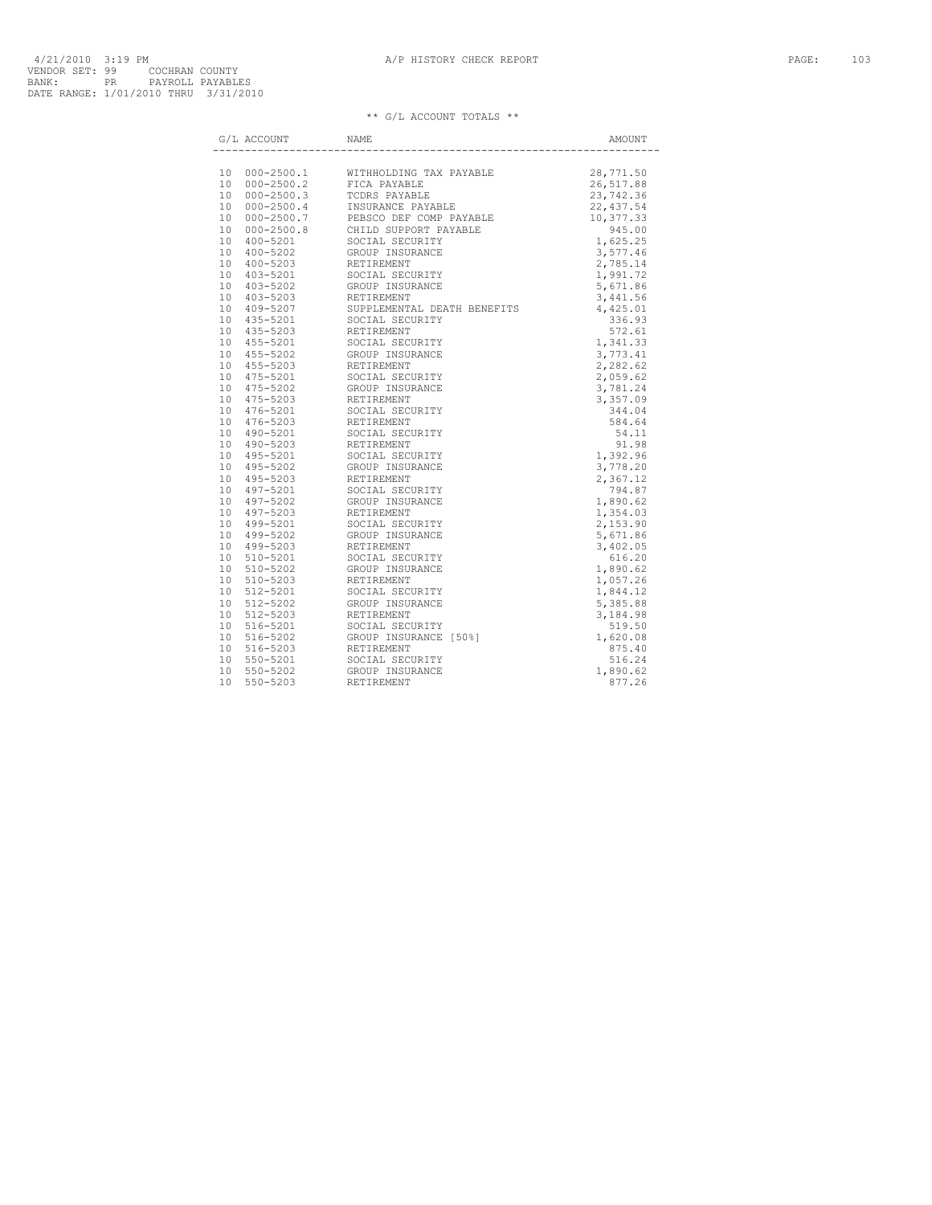| G/L ACCOUNT | NAME                                                                                                                                                                                                                                                                                                                                                                                |  |
|-------------|-------------------------------------------------------------------------------------------------------------------------------------------------------------------------------------------------------------------------------------------------------------------------------------------------------------------------------------------------------------------------------------|--|
|             | $\begin{tabular}{ c c c c c c c c c } \hline & $A \times 001 & $M \times 001 & $M \times 0101 & $M \times 0101 & $M \times 0101 & $M \times 0101 & $M \times 0101 & $M \times 0101 & $M \times 0101 & $M \times 0101 & $M \times 0101 & $M \times 0101 & $M \times 0101 & $M \times 0101 & $M \times 0101 & $M \times 0101 & $M \times 0101 & $M \times 0101 & $M \times 0101 & $M$ |  |
|             |                                                                                                                                                                                                                                                                                                                                                                                     |  |
|             |                                                                                                                                                                                                                                                                                                                                                                                     |  |
|             |                                                                                                                                                                                                                                                                                                                                                                                     |  |
|             |                                                                                                                                                                                                                                                                                                                                                                                     |  |
|             |                                                                                                                                                                                                                                                                                                                                                                                     |  |
|             |                                                                                                                                                                                                                                                                                                                                                                                     |  |
|             |                                                                                                                                                                                                                                                                                                                                                                                     |  |
|             |                                                                                                                                                                                                                                                                                                                                                                                     |  |
|             |                                                                                                                                                                                                                                                                                                                                                                                     |  |
|             |                                                                                                                                                                                                                                                                                                                                                                                     |  |
|             |                                                                                                                                                                                                                                                                                                                                                                                     |  |
|             |                                                                                                                                                                                                                                                                                                                                                                                     |  |
|             |                                                                                                                                                                                                                                                                                                                                                                                     |  |
|             |                                                                                                                                                                                                                                                                                                                                                                                     |  |
|             |                                                                                                                                                                                                                                                                                                                                                                                     |  |
|             |                                                                                                                                                                                                                                                                                                                                                                                     |  |
|             |                                                                                                                                                                                                                                                                                                                                                                                     |  |
|             |                                                                                                                                                                                                                                                                                                                                                                                     |  |
|             |                                                                                                                                                                                                                                                                                                                                                                                     |  |
|             |                                                                                                                                                                                                                                                                                                                                                                                     |  |
|             |                                                                                                                                                                                                                                                                                                                                                                                     |  |
|             |                                                                                                                                                                                                                                                                                                                                                                                     |  |
|             |                                                                                                                                                                                                                                                                                                                                                                                     |  |
|             |                                                                                                                                                                                                                                                                                                                                                                                     |  |
|             |                                                                                                                                                                                                                                                                                                                                                                                     |  |
|             |                                                                                                                                                                                                                                                                                                                                                                                     |  |
|             |                                                                                                                                                                                                                                                                                                                                                                                     |  |
|             |                                                                                                                                                                                                                                                                                                                                                                                     |  |
|             |                                                                                                                                                                                                                                                                                                                                                                                     |  |
|             |                                                                                                                                                                                                                                                                                                                                                                                     |  |
|             |                                                                                                                                                                                                                                                                                                                                                                                     |  |
|             |                                                                                                                                                                                                                                                                                                                                                                                     |  |
|             |                                                                                                                                                                                                                                                                                                                                                                                     |  |
|             |                                                                                                                                                                                                                                                                                                                                                                                     |  |
|             |                                                                                                                                                                                                                                                                                                                                                                                     |  |
|             |                                                                                                                                                                                                                                                                                                                                                                                     |  |
|             |                                                                                                                                                                                                                                                                                                                                                                                     |  |
|             |                                                                                                                                                                                                                                                                                                                                                                                     |  |
|             |                                                                                                                                                                                                                                                                                                                                                                                     |  |
|             |                                                                                                                                                                                                                                                                                                                                                                                     |  |
|             |                                                                                                                                                                                                                                                                                                                                                                                     |  |
|             |                                                                                                                                                                                                                                                                                                                                                                                     |  |
|             |                                                                                                                                                                                                                                                                                                                                                                                     |  |
|             |                                                                                                                                                                                                                                                                                                                                                                                     |  |
|             |                                                                                                                                                                                                                                                                                                                                                                                     |  |
|             |                                                                                                                                                                                                                                                                                                                                                                                     |  |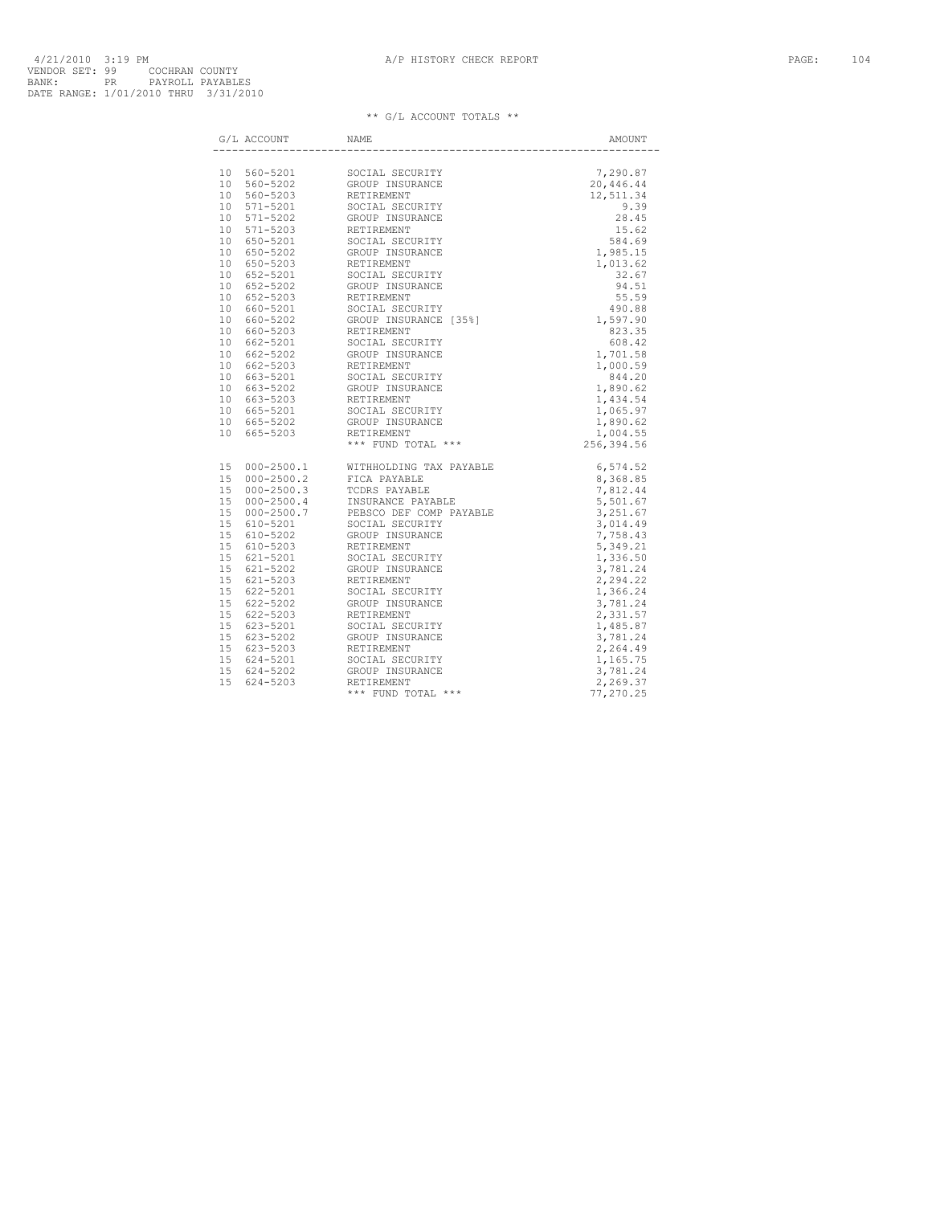| G/L ACCOUNT NAME |  |
|------------------|--|
|                  |  |
|                  |  |
|                  |  |
|                  |  |
|                  |  |
|                  |  |
|                  |  |
|                  |  |
|                  |  |
|                  |  |
|                  |  |
|                  |  |
|                  |  |
|                  |  |
|                  |  |
|                  |  |
|                  |  |
|                  |  |
|                  |  |
|                  |  |
|                  |  |
|                  |  |
|                  |  |
|                  |  |
|                  |  |
|                  |  |
|                  |  |
|                  |  |
|                  |  |
|                  |  |
|                  |  |
|                  |  |
|                  |  |
|                  |  |
|                  |  |
|                  |  |
|                  |  |
|                  |  |
|                  |  |
|                  |  |
|                  |  |
|                  |  |
|                  |  |
|                  |  |
|                  |  |
|                  |  |
|                  |  |
|                  |  |
|                  |  |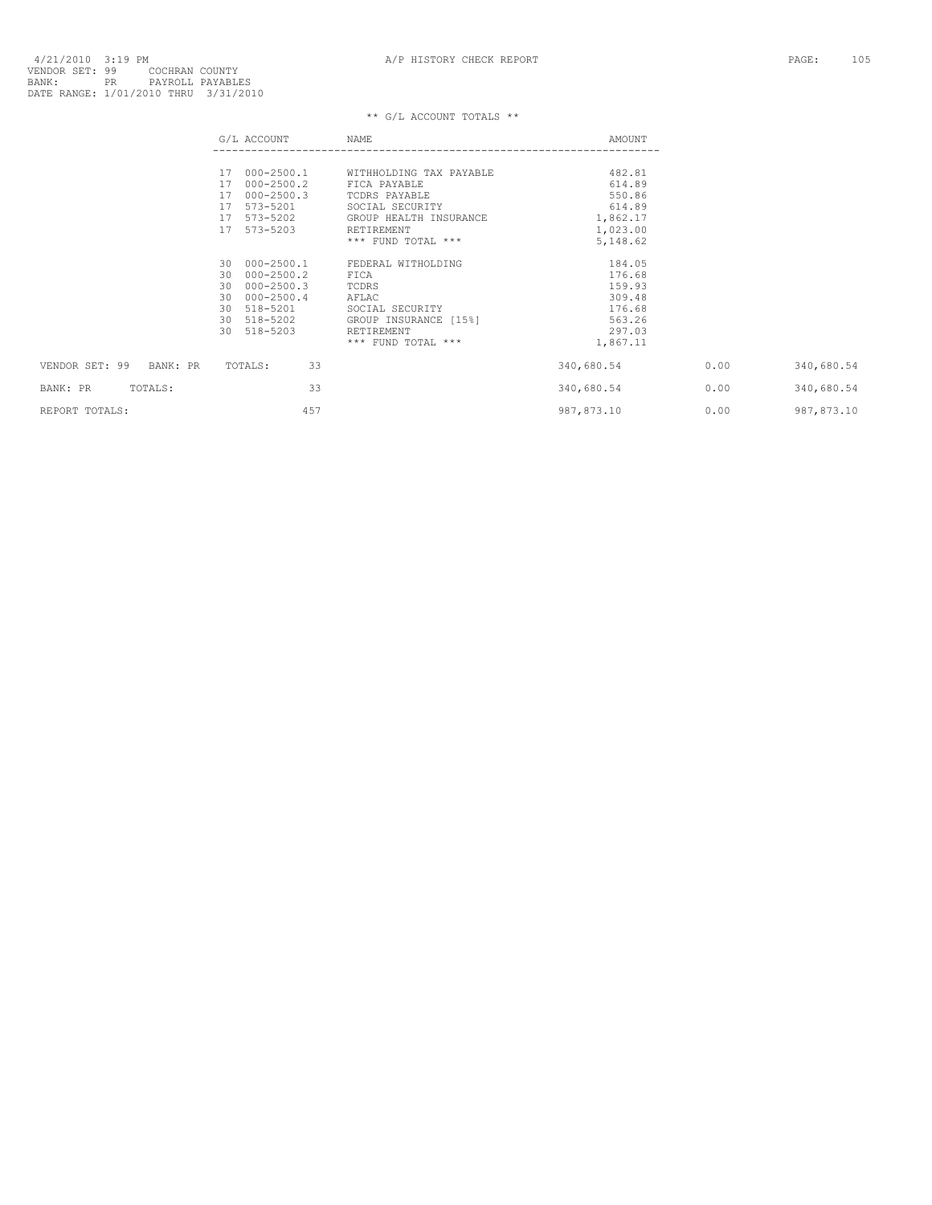4/21/2010 3:19 PM<br>VENDOR SET: 99 COCHRAN COUNTY<br>BANK: PR PAYROLL PAYABLES<br>BANK: PRANGE: 1/01/2010 THRU 3/31/2010

|                         | G/L ACCOUNT                                                                                                                            | NAME                                                                                                                         | AMOUNT                                                                         |      |             |
|-------------------------|----------------------------------------------------------------------------------------------------------------------------------------|------------------------------------------------------------------------------------------------------------------------------|--------------------------------------------------------------------------------|------|-------------|
|                         | $000 - 2500.2$<br>17<br>$000 - 2500.3$<br>17<br>17 573-5201<br>17 573-5202                                                             | 17 000-2500.1 WITHHOLDING TAX PAYABLE<br>FICA PAYABLE<br>TCDRS PAYABLE<br>SOCIAL SECURITY<br>GROUP HEALTH INSURANCE          | 482.81<br>614.89<br>550.86<br>614.89<br>1,862.17                               |      |             |
|                         | 17 573-5203                                                                                                                            | RETIREMENT<br>*** FUND TOTAL ***                                                                                             | 1,023.00<br>5,148.62                                                           |      |             |
|                         | 30 000-2500.1<br>000-2500.2<br>30<br>$000 - 2500.3$<br>30<br>$000 - 2500.4$<br>30<br>518-5201<br>30<br>30 518-5202<br>518-5203<br>30 I | FEDERAL WITHOLDING<br>FICA<br>TCDRS<br>AFLAC<br>SOCIAL SECURITY<br>GROUP INSURANCE [15%]<br>RETIREMENT<br>*** FUND TOTAL *** | 184.05<br>176.68<br>159.93<br>309.48<br>176.68<br>563.26<br>297.03<br>1,867.11 |      |             |
| VENDOR SET: 99 BANK: PR | 33<br>TOTALS:                                                                                                                          |                                                                                                                              | 340,680.54                                                                     | 0.00 | 340,680.54  |
| TOTALS:<br>BANK: PR     | 33                                                                                                                                     |                                                                                                                              | 340,680.54                                                                     | 0.00 | 340,680.54  |
| REPORT TOTALS:          | 457                                                                                                                                    |                                                                                                                              | 987,873.10                                                                     | 0.00 | 987, 873.10 |